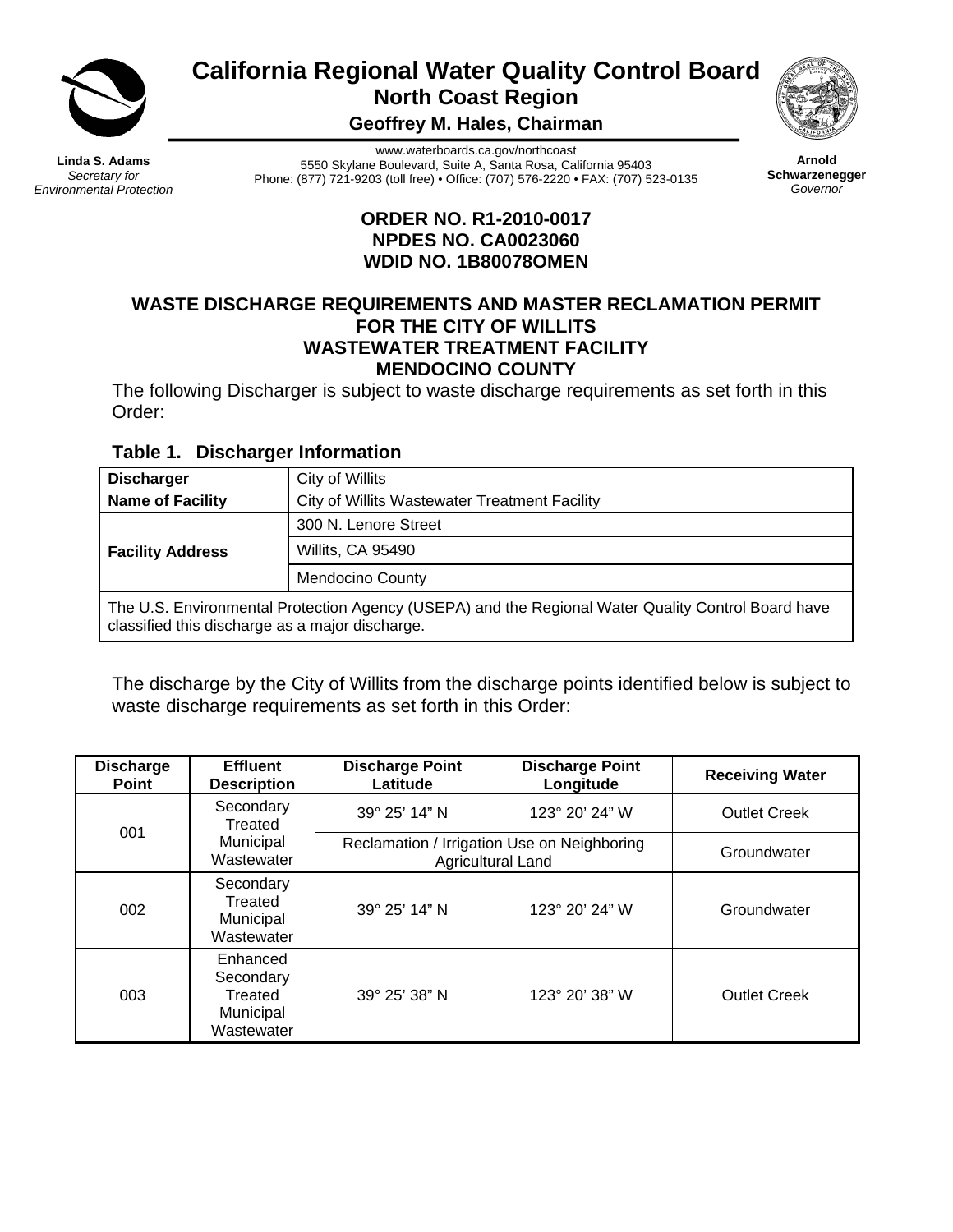

**California Regional Water Quality Control Board North Coast Region** 

**Geoffrey M. Hales, Chairman** 



**Linda S. Adams**  *Secretary for Environmental Protection* 

www.waterboards.ca.gov/northcoast 5550 Skylane Boulevard, Suite A, Santa Rosa, California 95403 Phone: (877) 721-9203 (toll free) • Office: (707) 576-2220 • FAX: (707) 523-0135

**Arnold Schwarzenegger** *Governor*

# **ORDER NO. R1-2010-0017 NPDES NO. CA0023060 WDID NO. 1B80078OMEN**

#### **WASTE DISCHARGE REQUIREMENTS AND MASTER RECLAMATION PERMIT FOR THE CITY OF WILLITS WASTEWATER TREATMENT FACILITY MENDOCINO COUNTY**

The following Discharger is subject to waste discharge requirements as set forth in this Order:

# **Table 1. Discharger Information**

| <b>Discharger</b>                                                                                                                                     | City of Willits                               |  |  |  |  |
|-------------------------------------------------------------------------------------------------------------------------------------------------------|-----------------------------------------------|--|--|--|--|
| <b>Name of Facility</b>                                                                                                                               | City of Willits Wastewater Treatment Facility |  |  |  |  |
|                                                                                                                                                       | 300 N. Lenore Street                          |  |  |  |  |
| <b>Facility Address</b>                                                                                                                               | Willits, CA 95490                             |  |  |  |  |
|                                                                                                                                                       | <b>Mendocino County</b>                       |  |  |  |  |
| The U.S. Environmental Protection Agency (USEPA) and the Regional Water Quality Control Board have<br>classified this discharge as a major discharge. |                                               |  |  |  |  |

The discharge by the City of Willits from the discharge points identified below is subject to waste discharge requirements as set forth in this Order:

| <b>Discharge</b><br><b>Point</b> | <b>Effluent</b><br><b>Description</b>                       | <b>Discharge Point</b><br>Latitude | <b>Discharge Point</b><br>Longitude                                     | <b>Receiving Water</b> |
|----------------------------------|-------------------------------------------------------------|------------------------------------|-------------------------------------------------------------------------|------------------------|
| 001                              | Secondary<br>Treated                                        | 39° 25' 14" N                      | 123° 20' 24" W                                                          | <b>Outlet Creek</b>    |
|                                  | Municipal<br>Wastewater                                     |                                    | Reclamation / Irrigation Use on Neighboring<br><b>Agricultural Land</b> | Groundwater            |
| 002                              | Secondary<br>Treated<br>Municipal<br>Wastewater             | 39° 25' 14" N                      | 123° 20' 24" W                                                          | Groundwater            |
| 003                              | Enhanced<br>Secondary<br>Treated<br>Municipal<br>Wastewater | 39° 25' 38" N                      | $123^{\circ}$ 20' 38" W                                                 | <b>Outlet Creek</b>    |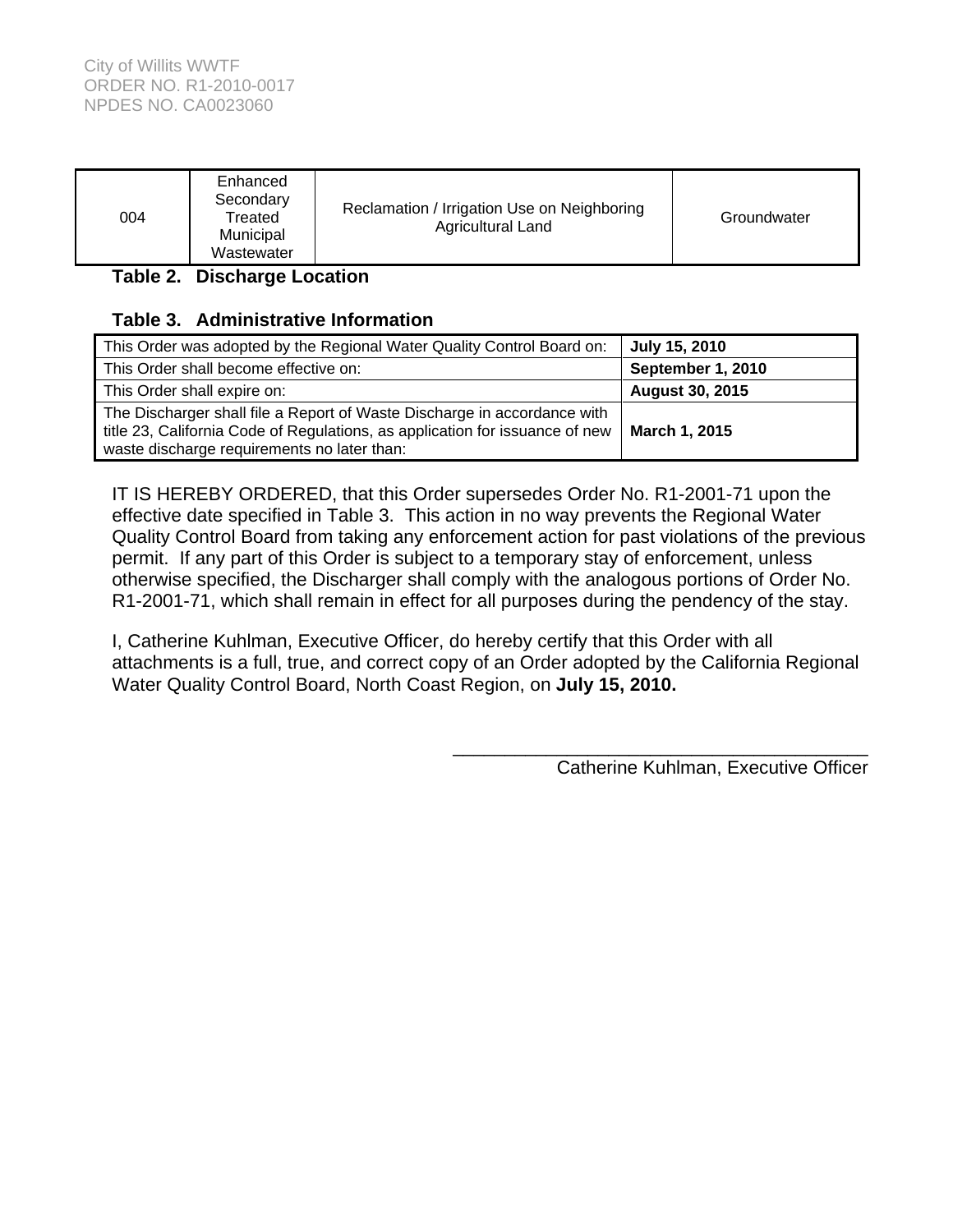| 004 | Enhanced<br>Secondary<br>Treated<br>Municipal<br>Wastewater | Reclamation / Irrigation Use on Neighboring<br>Agricultural Land | Groundwater |
|-----|-------------------------------------------------------------|------------------------------------------------------------------|-------------|
|-----|-------------------------------------------------------------|------------------------------------------------------------------|-------------|

# **Table 2. Discharge Location**

# **Table 3. Administrative Information**

| This Order was adopted by the Regional Water Quality Control Board on:                                                                                                                                  | July 15, 2010          |
|---------------------------------------------------------------------------------------------------------------------------------------------------------------------------------------------------------|------------------------|
| This Order shall become effective on:                                                                                                                                                                   | September 1, 2010      |
| This Order shall expire on:                                                                                                                                                                             | <b>August 30, 2015</b> |
| The Discharger shall file a Report of Waste Discharge in accordance with<br>title 23, California Code of Regulations, as application for issuance of new<br>waste discharge requirements no later than: | March 1, 2015          |

IT IS HEREBY ORDERED, that this Order supersedes Order No. R1-2001-71 upon the effective date specified in Table 3. This action in no way prevents the Regional Water Quality Control Board from taking any enforcement action for past violations of the previous permit. If any part of this Order is subject to a temporary stay of enforcement, unless otherwise specified, the Discharger shall comply with the analogous portions of Order No. R1-2001-71, which shall remain in effect for all purposes during the pendency of the stay.

I, Catherine Kuhlman, Executive Officer, do hereby certify that this Order with all attachments is a full, true, and correct copy of an Order adopted by the California Regional Water Quality Control Board, North Coast Region, on **July 15, 2010.**

> $\frac{1}{\sqrt{2}}$  ,  $\frac{1}{\sqrt{2}}$  ,  $\frac{1}{\sqrt{2}}$  ,  $\frac{1}{\sqrt{2}}$  ,  $\frac{1}{\sqrt{2}}$  ,  $\frac{1}{\sqrt{2}}$  ,  $\frac{1}{\sqrt{2}}$  ,  $\frac{1}{\sqrt{2}}$  ,  $\frac{1}{\sqrt{2}}$  ,  $\frac{1}{\sqrt{2}}$  ,  $\frac{1}{\sqrt{2}}$  ,  $\frac{1}{\sqrt{2}}$  ,  $\frac{1}{\sqrt{2}}$  ,  $\frac{1}{\sqrt{2}}$  ,  $\frac{1}{\sqrt{2}}$ Catherine Kuhlman, Executive Officer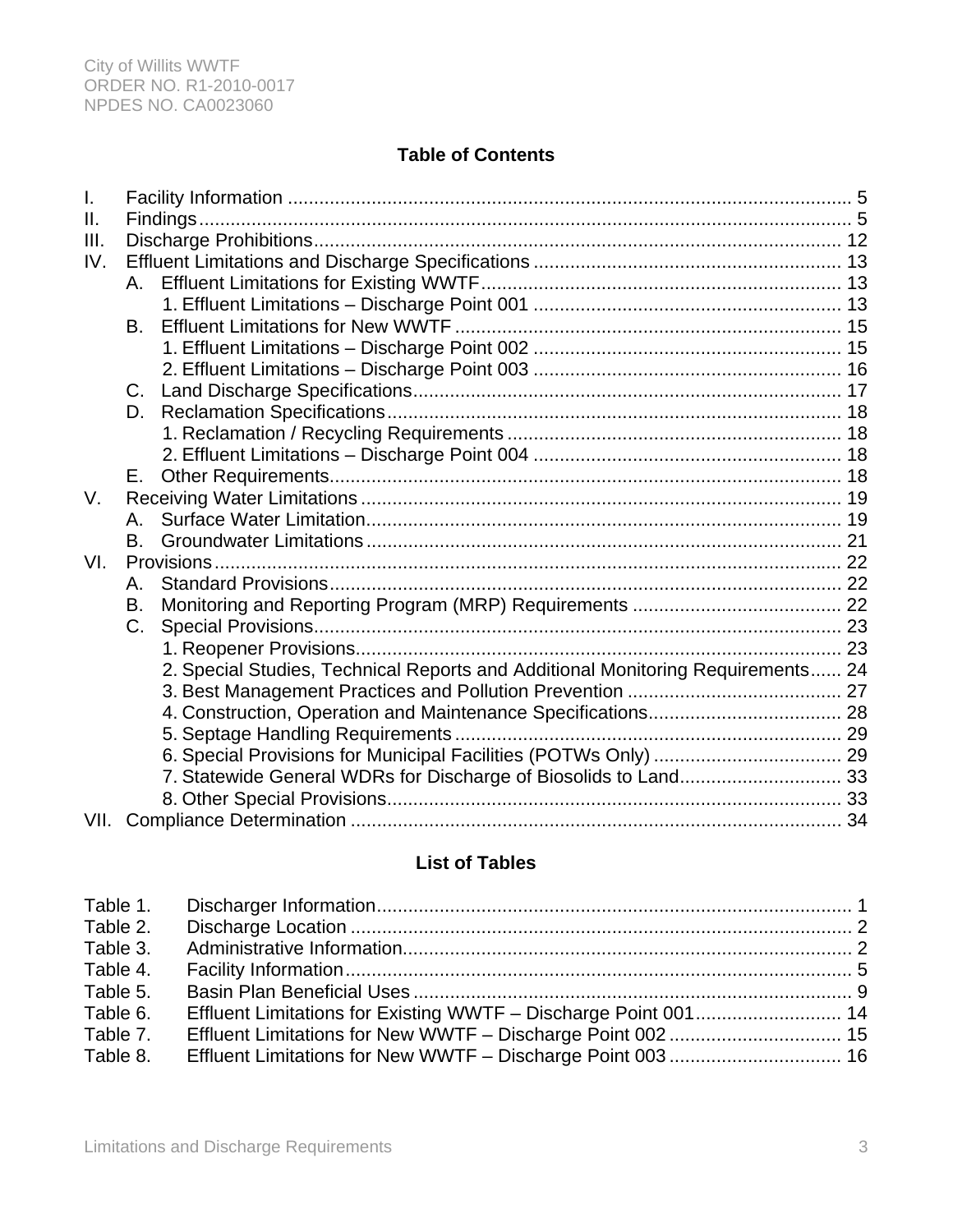# **Table of Contents**

| $\mathbf{I}$ .  |           |                                                                                 |  |
|-----------------|-----------|---------------------------------------------------------------------------------|--|
| $\mathbf{II}$ . |           |                                                                                 |  |
| III.            |           |                                                                                 |  |
| IV.             |           |                                                                                 |  |
|                 |           |                                                                                 |  |
|                 |           |                                                                                 |  |
|                 | B.        |                                                                                 |  |
|                 |           |                                                                                 |  |
|                 |           |                                                                                 |  |
|                 |           |                                                                                 |  |
|                 | D.        |                                                                                 |  |
|                 |           |                                                                                 |  |
|                 |           |                                                                                 |  |
|                 | Е.        |                                                                                 |  |
| V.              |           |                                                                                 |  |
|                 | А.        |                                                                                 |  |
|                 | B.        |                                                                                 |  |
| VI.             |           |                                                                                 |  |
|                 | Α.        |                                                                                 |  |
|                 | <b>B.</b> |                                                                                 |  |
|                 | C.        |                                                                                 |  |
|                 |           |                                                                                 |  |
|                 |           | 2. Special Studies, Technical Reports and Additional Monitoring Requirements 24 |  |
|                 |           |                                                                                 |  |
|                 |           |                                                                                 |  |
|                 |           |                                                                                 |  |
|                 |           |                                                                                 |  |
|                 |           | 7. Statewide General WDRs for Discharge of Biosolids to Land 33                 |  |
|                 |           |                                                                                 |  |
|                 |           |                                                                                 |  |

# **List of Tables**

| Table 2. |  |
|----------|--|
|          |  |
|          |  |
|          |  |
|          |  |
|          |  |
| Table 8. |  |
|          |  |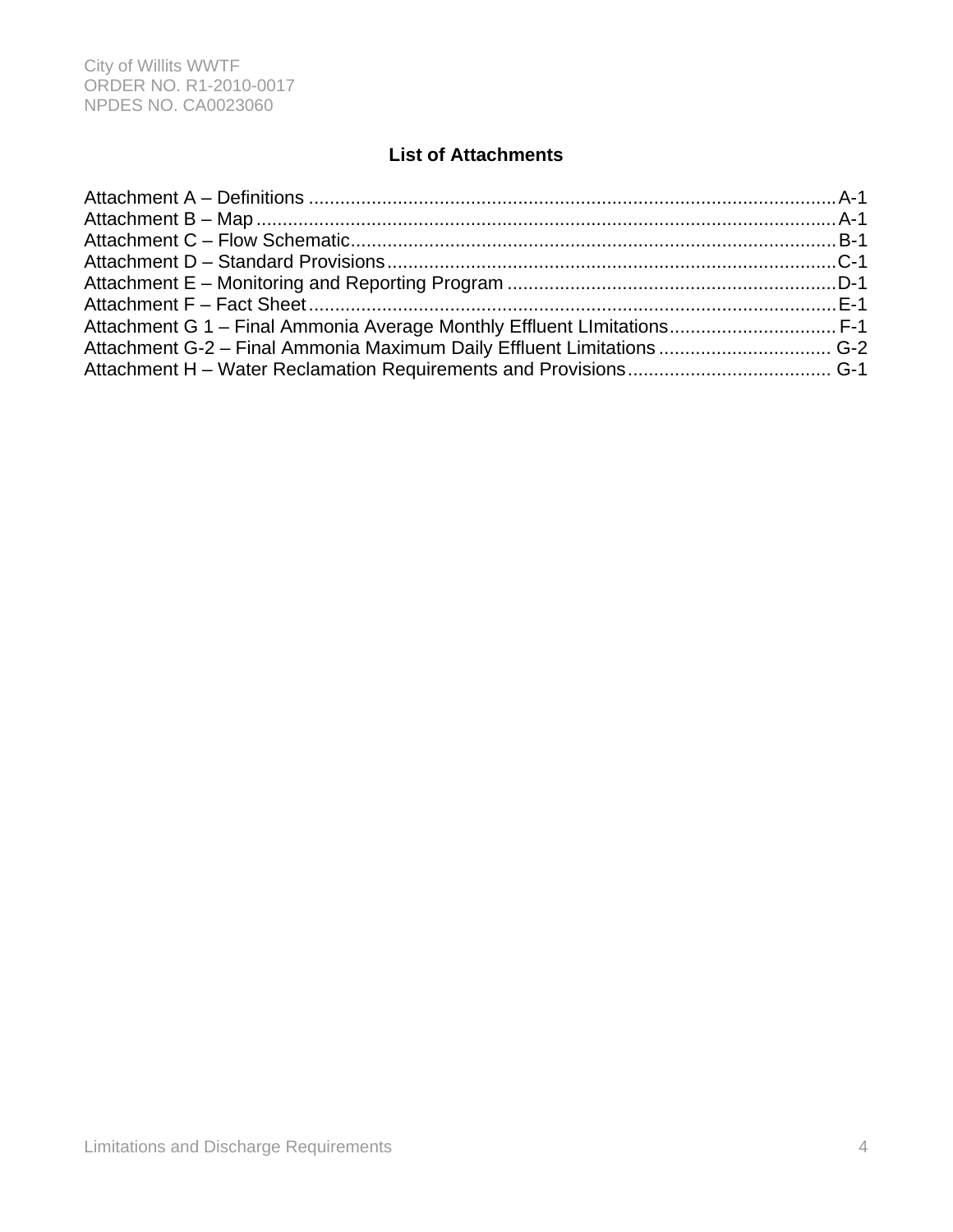# **List of Attachments**

| Attachment G 1 - Final Ammonia Average Monthly Effluent Limitations F-1 |  |
|-------------------------------------------------------------------------|--|
| Attachment G-2 - Final Ammonia Maximum Daily Effluent Limitations  G-2  |  |
|                                                                         |  |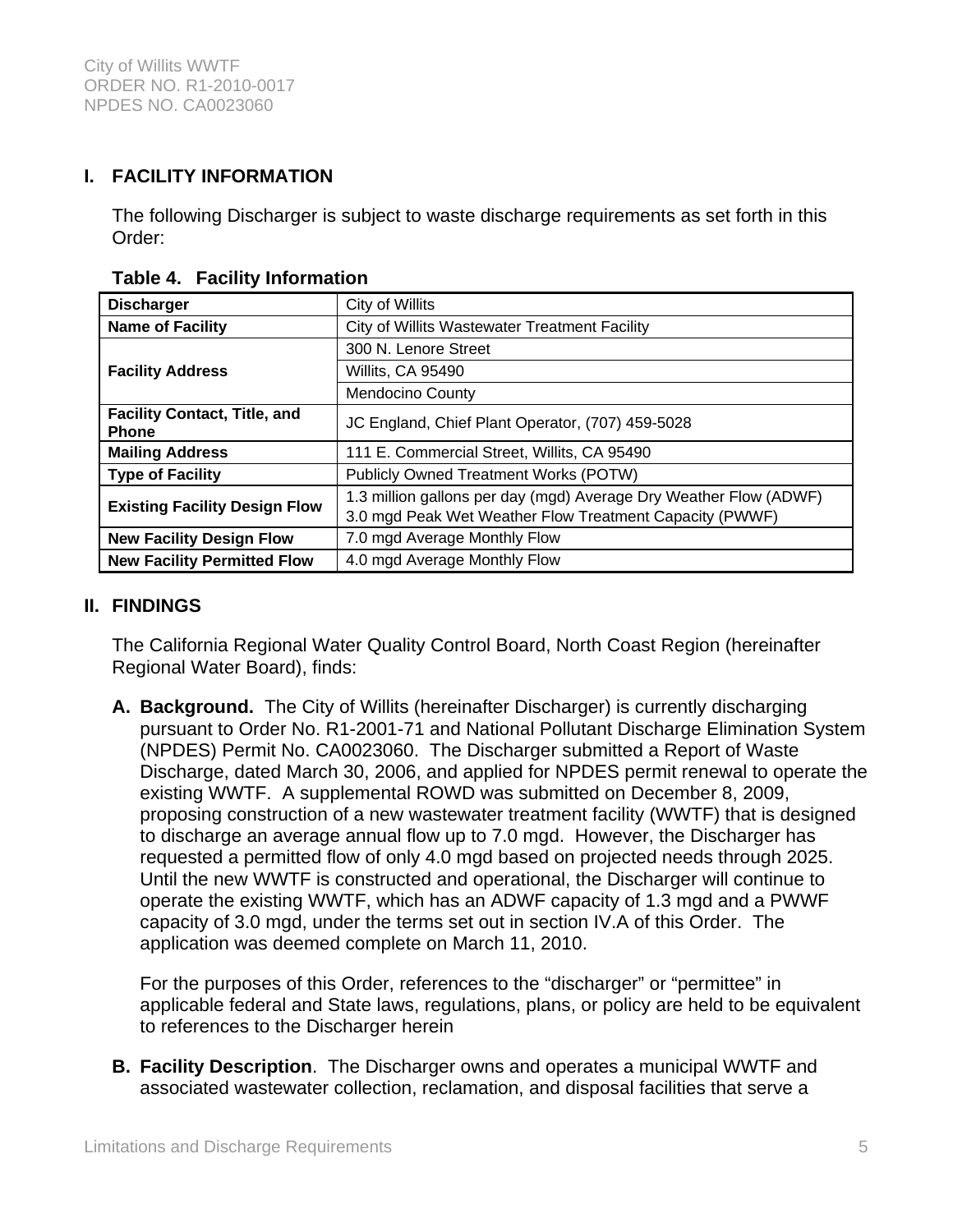# **I. FACILITY INFORMATION**

The following Discharger is subject to waste discharge requirements as set forth in this Order:

| <b>Discharger</b>                                   | City of Willits                                                                                                              |  |
|-----------------------------------------------------|------------------------------------------------------------------------------------------------------------------------------|--|
| <b>Name of Facility</b>                             | City of Willits Wastewater Treatment Facility                                                                                |  |
|                                                     | 300 N. Lenore Street                                                                                                         |  |
| <b>Facility Address</b>                             | Willits, CA 95490                                                                                                            |  |
|                                                     | <b>Mendocino County</b>                                                                                                      |  |
| <b>Facility Contact, Title, and</b><br><b>Phone</b> | JC England, Chief Plant Operator, (707) 459-5028                                                                             |  |
| <b>Mailing Address</b>                              | 111 E. Commercial Street, Willits, CA 95490                                                                                  |  |
| <b>Type of Facility</b>                             | <b>Publicly Owned Treatment Works (POTW)</b>                                                                                 |  |
| <b>Existing Facility Design Flow</b>                | 1.3 million gallons per day (mgd) Average Dry Weather Flow (ADWF)<br>3.0 mgd Peak Wet Weather Flow Treatment Capacity (PWWF) |  |
| <b>New Facility Design Flow</b>                     | 7.0 mgd Average Monthly Flow                                                                                                 |  |
| <b>New Facility Permitted Flow</b>                  | 4.0 mgd Average Monthly Flow                                                                                                 |  |

#### **Table 4. Facility Information**

### **II. FINDINGS**

The California Regional Water Quality Control Board, North Coast Region (hereinafter Regional Water Board), finds:

**A. Background.** The City of Willits (hereinafter Discharger) is currently discharging pursuant to Order No. R1-2001-71 and National Pollutant Discharge Elimination System (NPDES) Permit No. CA0023060. The Discharger submitted a Report of Waste Discharge, dated March 30, 2006, and applied for NPDES permit renewal to operate the existing WWTF. A supplemental ROWD was submitted on December 8, 2009, proposing construction of a new wastewater treatment facility (WWTF) that is designed to discharge an average annual flow up to 7.0 mgd. However, the Discharger has requested a permitted flow of only 4.0 mgd based on projected needs through 2025. Until the new WWTF is constructed and operational, the Discharger will continue to operate the existing WWTF, which has an ADWF capacity of 1.3 mgd and a PWWF capacity of 3.0 mgd, under the terms set out in section IV.A of this Order. The application was deemed complete on March 11, 2010.

For the purposes of this Order, references to the "discharger" or "permittee" in applicable federal and State laws, regulations, plans, or policy are held to be equivalent to references to the Discharger herein

**B. Facility Description**. The Discharger owns and operates a municipal WWTF and associated wastewater collection, reclamation, and disposal facilities that serve a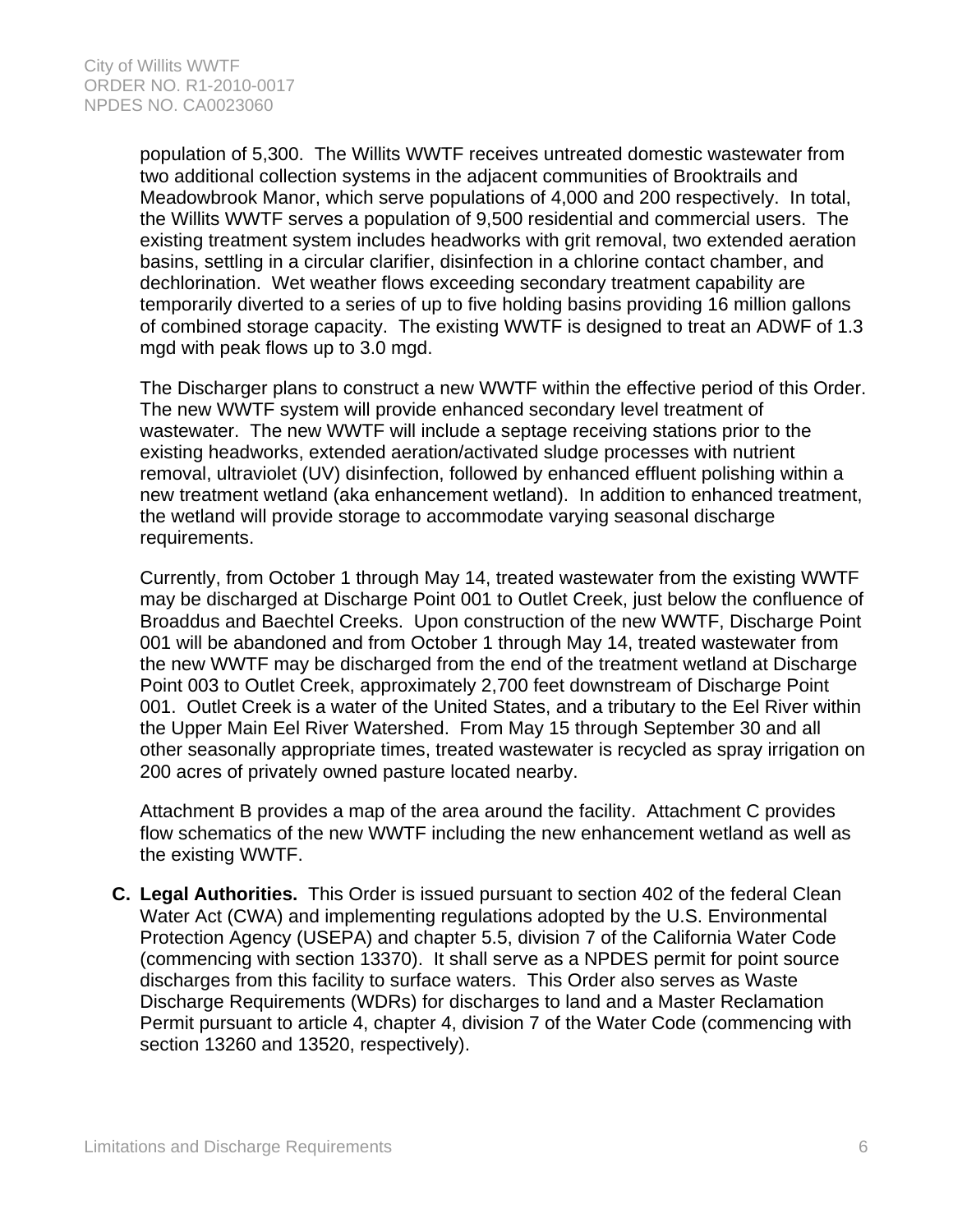population of 5,300. The Willits WWTF receives untreated domestic wastewater from two additional collection systems in the adjacent communities of Brooktrails and Meadowbrook Manor, which serve populations of 4,000 and 200 respectively. In total, the Willits WWTF serves a population of 9,500 residential and commercial users. The existing treatment system includes headworks with grit removal, two extended aeration basins, settling in a circular clarifier, disinfection in a chlorine contact chamber, and dechlorination. Wet weather flows exceeding secondary treatment capability are temporarily diverted to a series of up to five holding basins providing 16 million gallons of combined storage capacity. The existing WWTF is designed to treat an ADWF of 1.3 mgd with peak flows up to 3.0 mgd.

The Discharger plans to construct a new WWTF within the effective period of this Order. The new WWTF system will provide enhanced secondary level treatment of wastewater. The new WWTF will include a septage receiving stations prior to the existing headworks, extended aeration/activated sludge processes with nutrient removal, ultraviolet (UV) disinfection, followed by enhanced effluent polishing within a new treatment wetland (aka enhancement wetland). In addition to enhanced treatment, the wetland will provide storage to accommodate varying seasonal discharge requirements.

Currently, from October 1 through May 14, treated wastewater from the existing WWTF may be discharged at Discharge Point 001 to Outlet Creek, just below the confluence of Broaddus and Baechtel Creeks. Upon construction of the new WWTF, Discharge Point 001 will be abandoned and from October 1 through May 14, treated wastewater from the new WWTF may be discharged from the end of the treatment wetland at Discharge Point 003 to Outlet Creek, approximately 2,700 feet downstream of Discharge Point 001. Outlet Creek is a water of the United States, and a tributary to the Eel River within the Upper Main Eel River Watershed. From May 15 through September 30 and all other seasonally appropriate times, treated wastewater is recycled as spray irrigation on 200 acres of privately owned pasture located nearby.

Attachment B provides a map of the area around the facility. Attachment C provides flow schematics of the new WWTF including the new enhancement wetland as well as the existing WWTF.

**C. Legal Authorities.** This Order is issued pursuant to section 402 of the federal Clean Water Act (CWA) and implementing regulations adopted by the U.S. Environmental Protection Agency (USEPA) and chapter 5.5, division 7 of the California Water Code (commencing with section 13370). It shall serve as a NPDES permit for point source discharges from this facility to surface waters. This Order also serves as Waste Discharge Requirements (WDRs) for discharges to land and a Master Reclamation Permit pursuant to article 4, chapter 4, division 7 of the Water Code (commencing with section 13260 and 13520, respectively).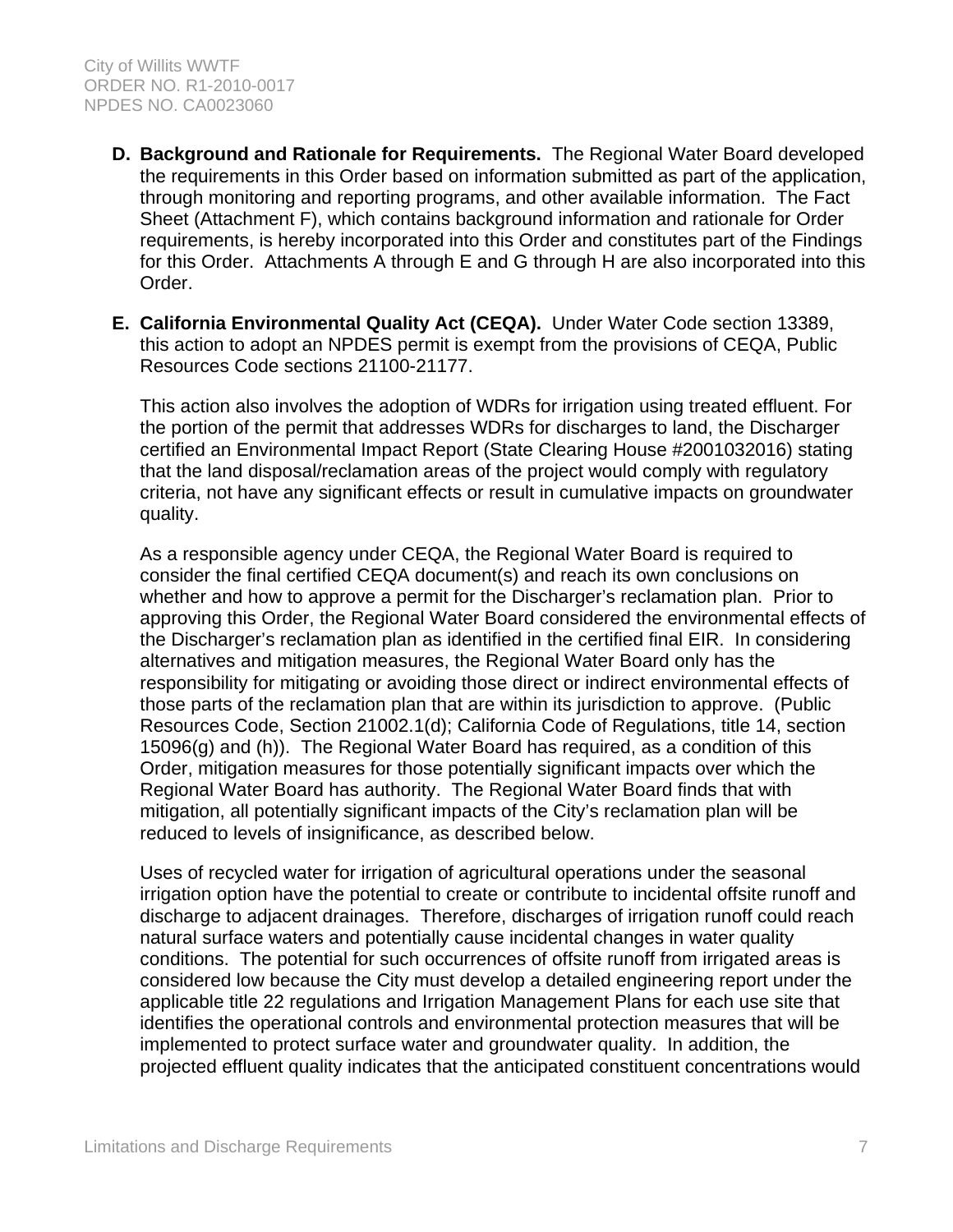- **D. Background and Rationale for Requirements.** The Regional Water Board developed the requirements in this Order based on information submitted as part of the application, through monitoring and reporting programs, and other available information. The Fact Sheet (Attachment F), which contains background information and rationale for Order requirements, is hereby incorporated into this Order and constitutes part of the Findings for this Order. Attachments A through E and G through H are also incorporated into this Order.
- **E. California Environmental Quality Act (CEQA).** Under Water Code section 13389, this action to adopt an NPDES permit is exempt from the provisions of CEQA, Public Resources Code sections 21100-21177.

This action also involves the adoption of WDRs for irrigation using treated effluent. For the portion of the permit that addresses WDRs for discharges to land, the Discharger certified an Environmental Impact Report (State Clearing House #2001032016) stating that the land disposal/reclamation areas of the project would comply with regulatory criteria, not have any significant effects or result in cumulative impacts on groundwater quality.

As a responsible agency under CEQA, the Regional Water Board is required to consider the final certified CEQA document(s) and reach its own conclusions on whether and how to approve a permit for the Discharger's reclamation plan. Prior to approving this Order, the Regional Water Board considered the environmental effects of the Discharger's reclamation plan as identified in the certified final EIR. In considering alternatives and mitigation measures, the Regional Water Board only has the responsibility for mitigating or avoiding those direct or indirect environmental effects of those parts of the reclamation plan that are within its jurisdiction to approve. (Public Resources Code, Section 21002.1(d); California Code of Regulations, title 14, section 15096(g) and (h)). The Regional Water Board has required, as a condition of this Order, mitigation measures for those potentially significant impacts over which the Regional Water Board has authority. The Regional Water Board finds that with mitigation, all potentially significant impacts of the City's reclamation plan will be reduced to levels of insignificance, as described below.

Uses of recycled water for irrigation of agricultural operations under the seasonal irrigation option have the potential to create or contribute to incidental offsite runoff and discharge to adjacent drainages. Therefore, discharges of irrigation runoff could reach natural surface waters and potentially cause incidental changes in water quality conditions. The potential for such occurrences of offsite runoff from irrigated areas is considered low because the City must develop a detailed engineering report under the applicable title 22 regulations and Irrigation Management Plans for each use site that identifies the operational controls and environmental protection measures that will be implemented to protect surface water and groundwater quality. In addition, the projected effluent quality indicates that the anticipated constituent concentrations would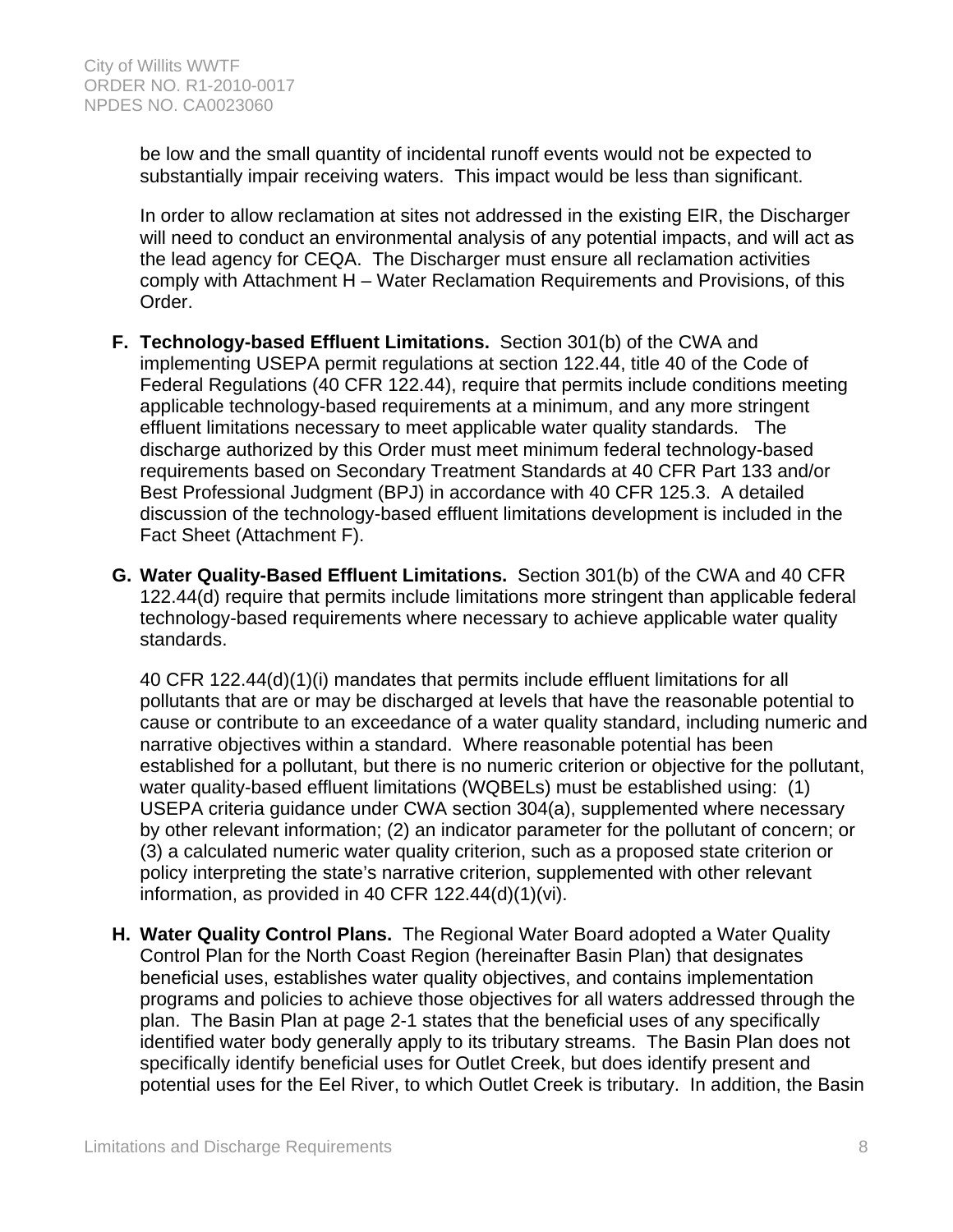be low and the small quantity of incidental runoff events would not be expected to substantially impair receiving waters. This impact would be less than significant.

In order to allow reclamation at sites not addressed in the existing EIR, the Discharger will need to conduct an environmental analysis of any potential impacts, and will act as the lead agency for CEQA. The Discharger must ensure all reclamation activities comply with Attachment H – Water Reclamation Requirements and Provisions, of this Order.

- **F. Technology-based Effluent Limitations.** Section 301(b) of the CWA and implementing USEPA permit regulations at section 122.44, title 40 of the Code of Federal Regulations (40 CFR 122.44), require that permits include conditions meeting applicable technology-based requirements at a minimum, and any more stringent effluent limitations necessary to meet applicable water quality standards. The discharge authorized by this Order must meet minimum federal technology-based requirements based on Secondary Treatment Standards at 40 CFR Part 133 and/or Best Professional Judgment (BPJ) in accordance with 40 CFR 125.3. A detailed discussion of the technology-based effluent limitations development is included in the Fact Sheet (Attachment F).
- **G. Water Quality-Based Effluent Limitations.** Section 301(b) of the CWA and 40 CFR 122.44(d) require that permits include limitations more stringent than applicable federal technology-based requirements where necessary to achieve applicable water quality standards.

40 CFR 122.44(d)(1)(i) mandates that permits include effluent limitations for all pollutants that are or may be discharged at levels that have the reasonable potential to cause or contribute to an exceedance of a water quality standard, including numeric and narrative objectives within a standard. Where reasonable potential has been established for a pollutant, but there is no numeric criterion or objective for the pollutant, water quality-based effluent limitations (WQBELs) must be established using: (1) USEPA criteria guidance under CWA section 304(a), supplemented where necessary by other relevant information; (2) an indicator parameter for the pollutant of concern; or (3) a calculated numeric water quality criterion, such as a proposed state criterion or policy interpreting the state's narrative criterion, supplemented with other relevant information, as provided in 40 CFR 122.44(d)(1)(vi).

**H. Water Quality Control Plans.** The Regional Water Board adopted a Water Quality Control Plan for the North Coast Region (hereinafter Basin Plan) that designates beneficial uses, establishes water quality objectives, and contains implementation programs and policies to achieve those objectives for all waters addressed through the plan. The Basin Plan at page 2-1 states that the beneficial uses of any specifically identified water body generally apply to its tributary streams. The Basin Plan does not specifically identify beneficial uses for Outlet Creek, but does identify present and potential uses for the Eel River, to which Outlet Creek is tributary. In addition, the Basin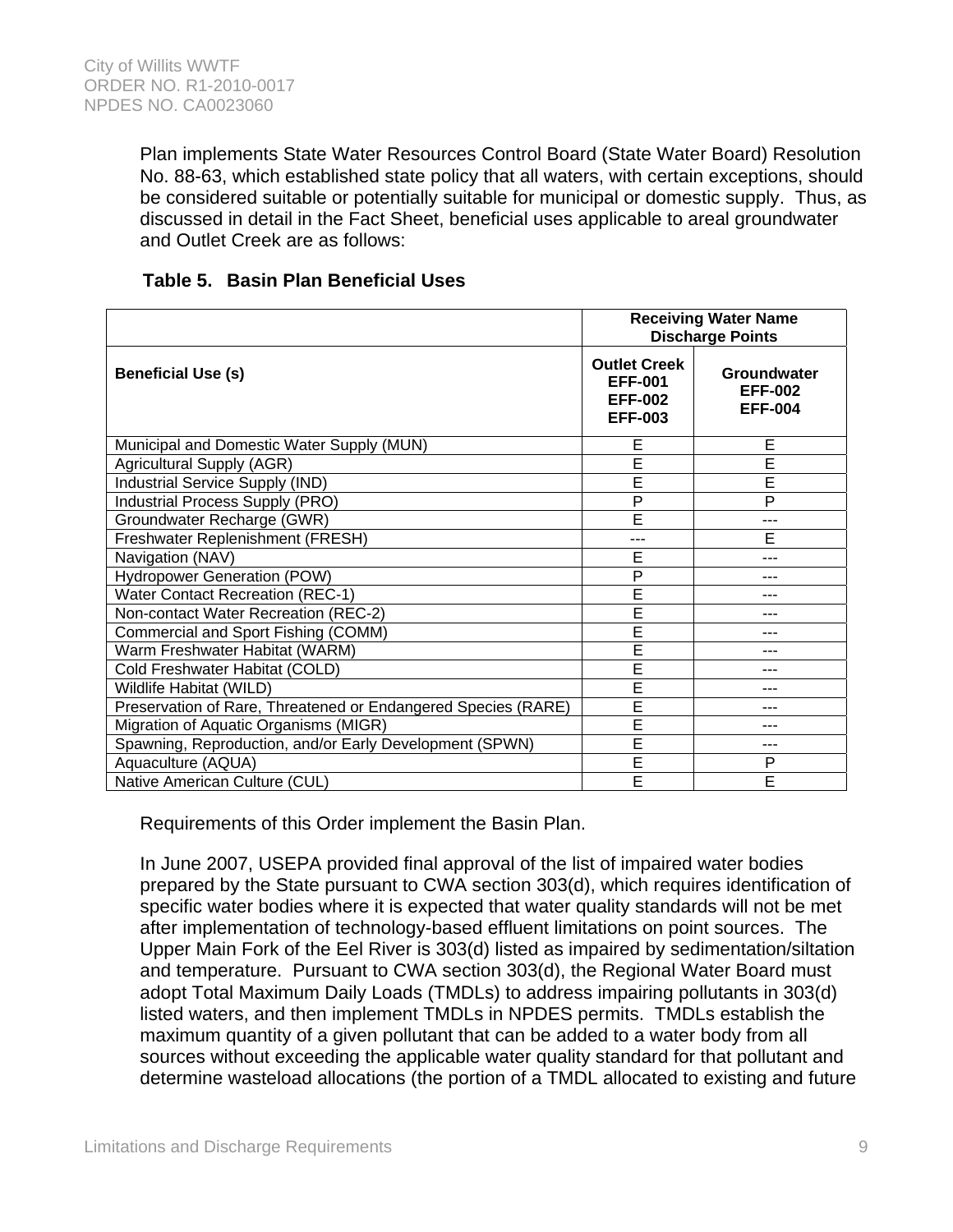Plan implements State Water Resources Control Board (State Water Board) Resolution No. 88-63, which established state policy that all waters, with certain exceptions, should be considered suitable or potentially suitable for municipal or domestic supply. Thus, as discussed in detail in the Fact Sheet, beneficial uses applicable to areal groundwater and Outlet Creek are as follows:

|                                                               |                                                                           | <b>Receiving Water Name</b><br><b>Discharge Points</b> |
|---------------------------------------------------------------|---------------------------------------------------------------------------|--------------------------------------------------------|
| <b>Beneficial Use (s)</b>                                     | <b>Outlet Creek</b><br><b>EFF-001</b><br><b>EFF-002</b><br><b>EFF-003</b> | Groundwater<br><b>EFF-002</b><br><b>EFF-004</b>        |
| Municipal and Domestic Water Supply (MUN)                     | E                                                                         | E                                                      |
| Agricultural Supply (AGR)                                     | Ē                                                                         | Ē                                                      |
| Industrial Service Supply (IND)                               | Ē                                                                         | Ē                                                      |
| Industrial Process Supply (PRO)                               | P                                                                         | $\overline{P}$                                         |
| Groundwater Recharge (GWR)                                    | E                                                                         | ---                                                    |
| Freshwater Replenishment (FRESH)                              | ---                                                                       | E                                                      |
| Navigation (NAV)                                              | E                                                                         | ---                                                    |
| <b>Hydropower Generation (POW)</b>                            | P                                                                         |                                                        |
| <b>Water Contact Recreation (REC-1)</b>                       | E                                                                         | ---                                                    |
| Non-contact Water Recreation (REC-2)                          | Ē                                                                         |                                                        |
| Commercial and Sport Fishing (COMM)                           | Ē                                                                         | ---                                                    |
| Warm Freshwater Habitat (WARM)                                | Ē                                                                         | ---                                                    |
| Cold Freshwater Habitat (COLD)                                | Ë                                                                         | ---                                                    |
| Wildlife Habitat (WILD)                                       | Ē                                                                         | ---                                                    |
| Preservation of Rare, Threatened or Endangered Species (RARE) | Ē                                                                         | ---                                                    |
| Migration of Aquatic Organisms (MIGR)                         | Ē                                                                         |                                                        |
| Spawning, Reproduction, and/or Early Development (SPWN)       | Ē                                                                         |                                                        |
| Aquaculture (AQUA)                                            | Ē                                                                         | P                                                      |
| Native American Culture (CUL)                                 | E                                                                         | E                                                      |

### **Table 5. Basin Plan Beneficial Uses**

Requirements of this Order implement the Basin Plan.

In June 2007, USEPA provided final approval of the list of impaired water bodies prepared by the State pursuant to CWA section 303(d), which requires identification of specific water bodies where it is expected that water quality standards will not be met after implementation of technology-based effluent limitations on point sources. The Upper Main Fork of the Eel River is 303(d) listed as impaired by sedimentation/siltation and temperature. Pursuant to CWA section 303(d), the Regional Water Board must adopt Total Maximum Daily Loads (TMDLs) to address impairing pollutants in 303(d) listed waters, and then implement TMDLs in NPDES permits. TMDLs establish the maximum quantity of a given pollutant that can be added to a water body from all sources without exceeding the applicable water quality standard for that pollutant and determine wasteload allocations (the portion of a TMDL allocated to existing and future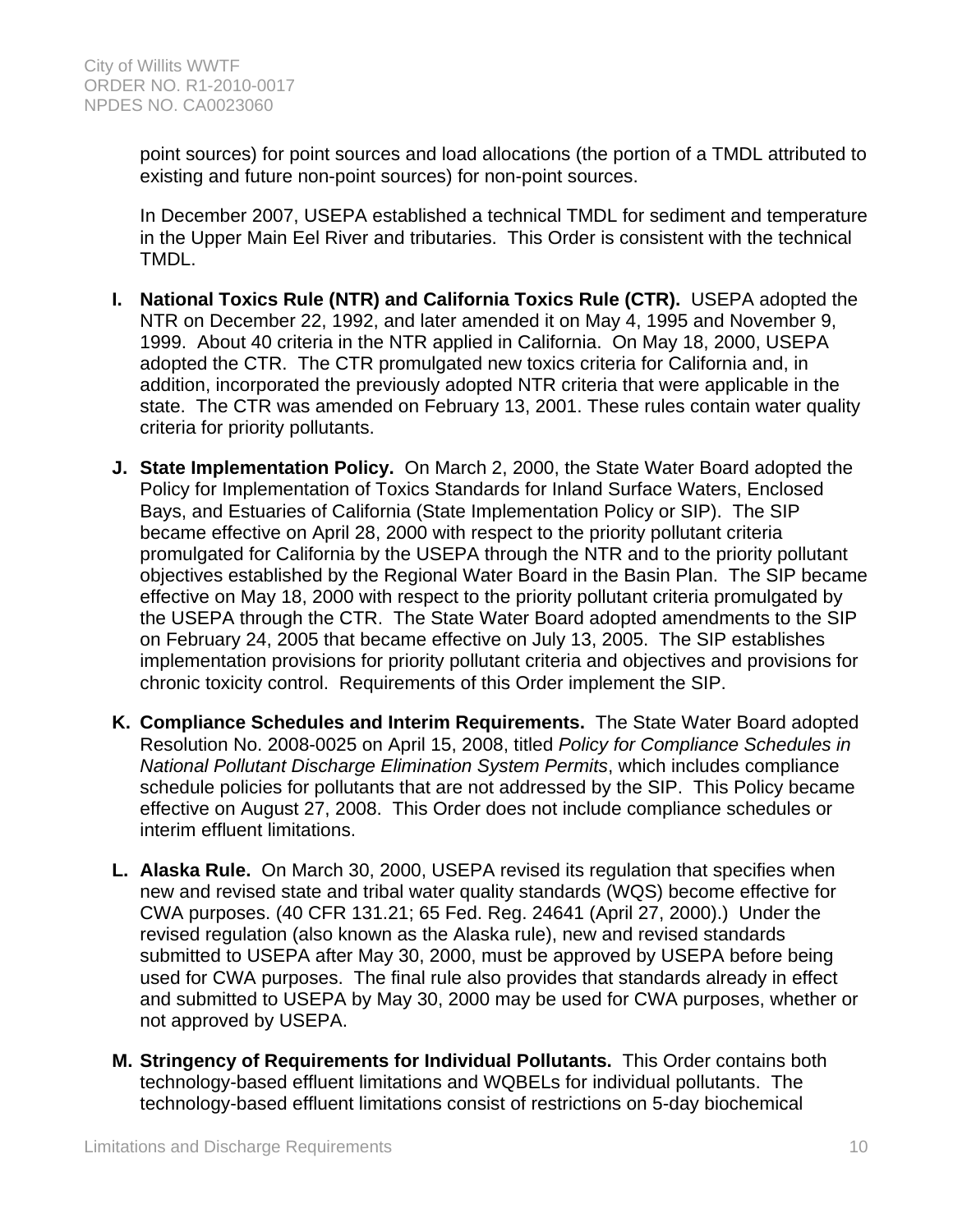point sources) for point sources and load allocations (the portion of a TMDL attributed to existing and future non-point sources) for non-point sources.

In December 2007, USEPA established a technical TMDL for sediment and temperature in the Upper Main Eel River and tributaries. This Order is consistent with the technical TMDL.

- **I. National Toxics Rule (NTR) and California Toxics Rule (CTR).** USEPA adopted the NTR on December 22, 1992, and later amended it on May 4, 1995 and November 9, 1999. About 40 criteria in the NTR applied in California. On May 18, 2000, USEPA adopted the CTR. The CTR promulgated new toxics criteria for California and, in addition, incorporated the previously adopted NTR criteria that were applicable in the state. The CTR was amended on February 13, 2001. These rules contain water quality criteria for priority pollutants.
- **J. State Implementation Policy.** On March 2, 2000, the State Water Board adopted the Policy for Implementation of Toxics Standards for Inland Surface Waters, Enclosed Bays, and Estuaries of California (State Implementation Policy or SIP). The SIP became effective on April 28, 2000 with respect to the priority pollutant criteria promulgated for California by the USEPA through the NTR and to the priority pollutant objectives established by the Regional Water Board in the Basin Plan. The SIP became effective on May 18, 2000 with respect to the priority pollutant criteria promulgated by the USEPA through the CTR. The State Water Board adopted amendments to the SIP on February 24, 2005 that became effective on July 13, 2005. The SIP establishes implementation provisions for priority pollutant criteria and objectives and provisions for chronic toxicity control. Requirements of this Order implement the SIP.
- **K. Compliance Schedules and Interim Requirements.** The State Water Board adopted Resolution No. 2008-0025 on April 15, 2008, titled *Policy for Compliance Schedules in National Pollutant Discharge Elimination System Permits*, which includes compliance schedule policies for pollutants that are not addressed by the SIP. This Policy became effective on August 27, 2008. This Order does not include compliance schedules or interim effluent limitations.
- **L. Alaska Rule.** On March 30, 2000, USEPA revised its regulation that specifies when new and revised state and tribal water quality standards (WQS) become effective for CWA purposes. (40 CFR 131.21; 65 Fed. Reg. 24641 (April 27, 2000).) Under the revised regulation (also known as the Alaska rule), new and revised standards submitted to USEPA after May 30, 2000, must be approved by USEPA before being used for CWA purposes. The final rule also provides that standards already in effect and submitted to USEPA by May 30, 2000 may be used for CWA purposes, whether or not approved by USEPA.
- **M. Stringency of Requirements for Individual Pollutants.** This Order contains both technology-based effluent limitations and WQBELs for individual pollutants. The technology-based effluent limitations consist of restrictions on 5-day biochemical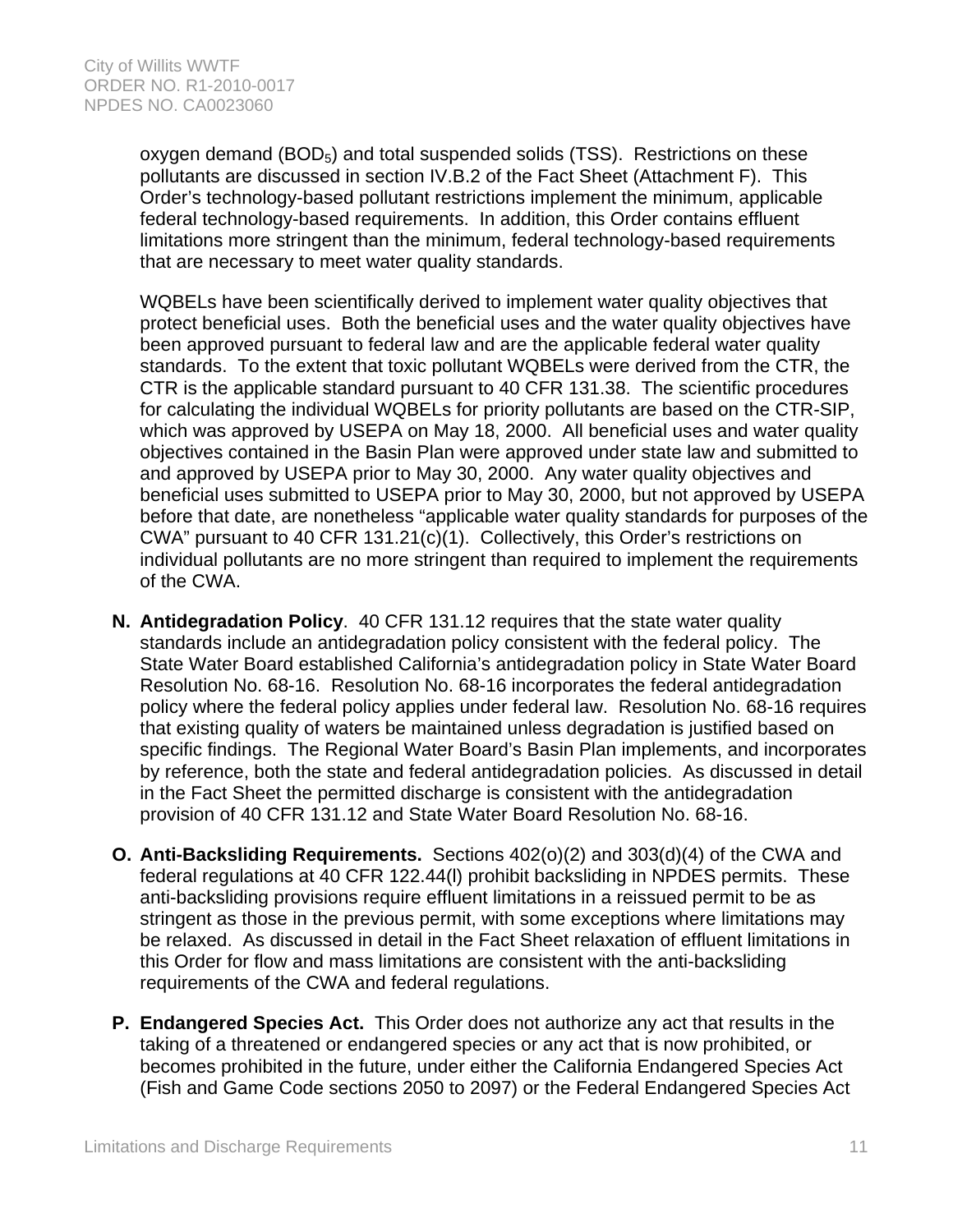oxygen demand  $(BOD<sub>5</sub>)$  and total suspended solids  $(TSS)$ . Restrictions on these pollutants are discussed in section IV.B.2 of the Fact Sheet (Attachment F). This Order's technology-based pollutant restrictions implement the minimum, applicable federal technology-based requirements. In addition, this Order contains effluent limitations more stringent than the minimum, federal technology-based requirements that are necessary to meet water quality standards.

WQBELs have been scientifically derived to implement water quality objectives that protect beneficial uses. Both the beneficial uses and the water quality objectives have been approved pursuant to federal law and are the applicable federal water quality standards. To the extent that toxic pollutant WQBELs were derived from the CTR, the CTR is the applicable standard pursuant to 40 CFR 131.38. The scientific procedures for calculating the individual WQBELs for priority pollutants are based on the CTR-SIP, which was approved by USEPA on May 18, 2000. All beneficial uses and water quality objectives contained in the Basin Plan were approved under state law and submitted to and approved by USEPA prior to May 30, 2000. Any water quality objectives and beneficial uses submitted to USEPA prior to May 30, 2000, but not approved by USEPA before that date, are nonetheless "applicable water quality standards for purposes of the CWA" pursuant to 40 CFR 131.21(c)(1). Collectively, this Order's restrictions on individual pollutants are no more stringent than required to implement the requirements of the CWA.

- **N. Antidegradation Policy**. 40 CFR 131.12 requires that the state water quality standards include an antidegradation policy consistent with the federal policy. The State Water Board established California's antidegradation policy in State Water Board Resolution No. 68-16. Resolution No. 68-16 incorporates the federal antidegradation policy where the federal policy applies under federal law. Resolution No. 68-16 requires that existing quality of waters be maintained unless degradation is justified based on specific findings. The Regional Water Board's Basin Plan implements, and incorporates by reference, both the state and federal antidegradation policies. As discussed in detail in the Fact Sheet the permitted discharge is consistent with the antidegradation provision of 40 CFR 131.12 and State Water Board Resolution No. 68-16.
- **O. Anti-Backsliding Requirements.** Sections 402(o)(2) and 303(d)(4) of the CWA and federal regulations at 40 CFR 122.44(l) prohibit backsliding in NPDES permits. These anti-backsliding provisions require effluent limitations in a reissued permit to be as stringent as those in the previous permit, with some exceptions where limitations may be relaxed. As discussed in detail in the Fact Sheet relaxation of effluent limitations in this Order for flow and mass limitations are consistent with the anti-backsliding requirements of the CWA and federal regulations.
- **P. Endangered Species Act.** This Order does not authorize any act that results in the taking of a threatened or endangered species or any act that is now prohibited, or becomes prohibited in the future, under either the California Endangered Species Act (Fish and Game Code sections 2050 to 2097) or the Federal Endangered Species Act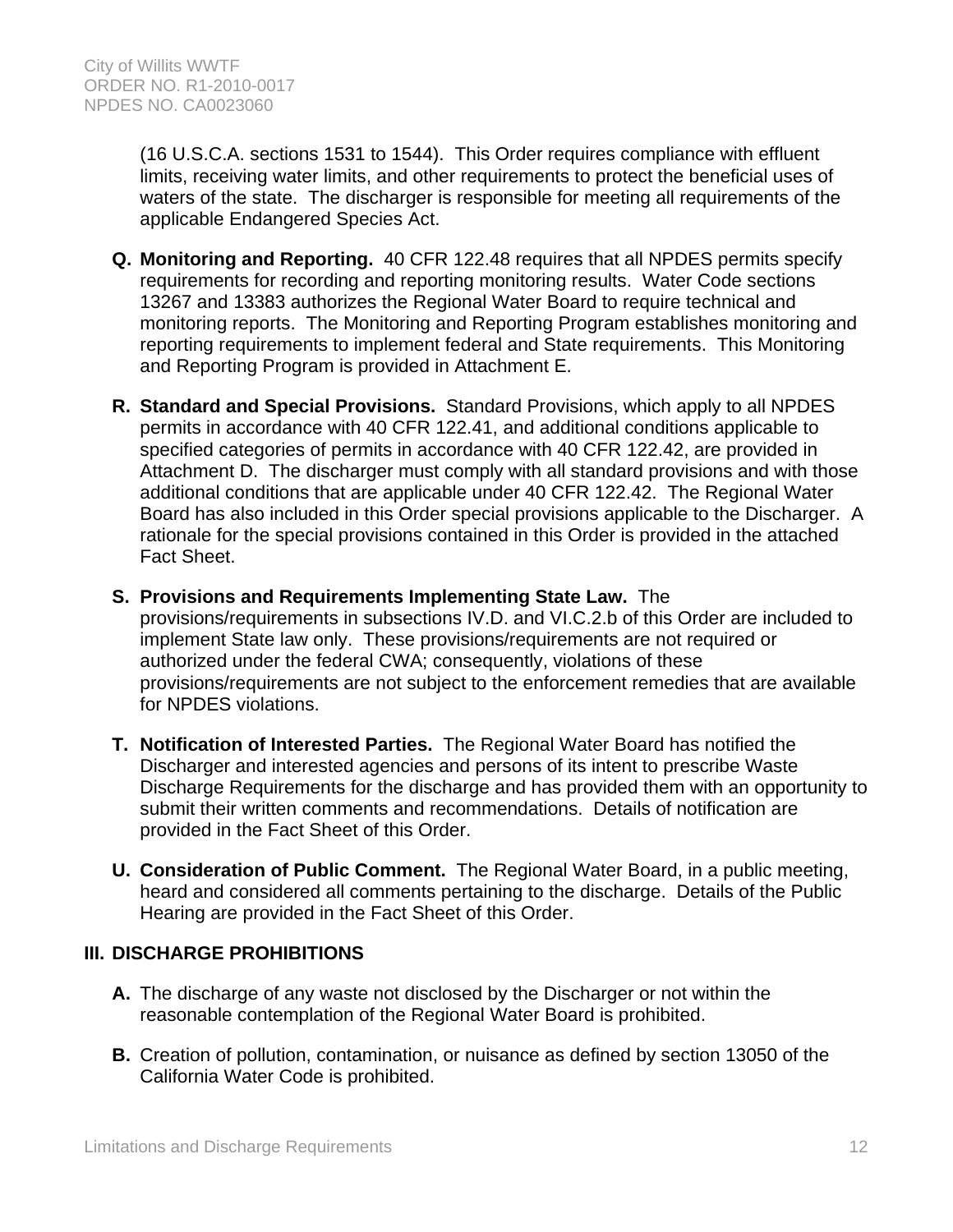(16 U.S.C.A. sections 1531 to 1544). This Order requires compliance with effluent limits, receiving water limits, and other requirements to protect the beneficial uses of waters of the state. The discharger is responsible for meeting all requirements of the applicable Endangered Species Act.

- **Q. Monitoring and Reporting.** 40 CFR 122.48 requires that all NPDES permits specify requirements for recording and reporting monitoring results. Water Code sections 13267 and 13383 authorizes the Regional Water Board to require technical and monitoring reports. The Monitoring and Reporting Program establishes monitoring and reporting requirements to implement federal and State requirements. This Monitoring and Reporting Program is provided in Attachment E.
- **R. Standard and Special Provisions.** Standard Provisions, which apply to all NPDES permits in accordance with 40 CFR 122.41, and additional conditions applicable to specified categories of permits in accordance with 40 CFR 122.42, are provided in Attachment D. The discharger must comply with all standard provisions and with those additional conditions that are applicable under 40 CFR 122.42. The Regional Water Board has also included in this Order special provisions applicable to the Discharger. A rationale for the special provisions contained in this Order is provided in the attached Fact Sheet.
- **S. Provisions and Requirements Implementing State Law.** The provisions/requirements in subsections IV.D. and VI.C.2.b of this Order are included to implement State law only. These provisions/requirements are not required or authorized under the federal CWA; consequently, violations of these provisions/requirements are not subject to the enforcement remedies that are available for NPDES violations.
- **T. Notification of Interested Parties.** The Regional Water Board has notified the Discharger and interested agencies and persons of its intent to prescribe Waste Discharge Requirements for the discharge and has provided them with an opportunity to submit their written comments and recommendations. Details of notification are provided in the Fact Sheet of this Order.
- **U. Consideration of Public Comment.** The Regional Water Board, in a public meeting, heard and considered all comments pertaining to the discharge. Details of the Public Hearing are provided in the Fact Sheet of this Order.

# **III. DISCHARGE PROHIBITIONS**

- **A.** The discharge of any waste not disclosed by the Discharger or not within the reasonable contemplation of the Regional Water Board is prohibited.
- **B.** Creation of pollution, contamination, or nuisance as defined by section 13050 of the California Water Code is prohibited.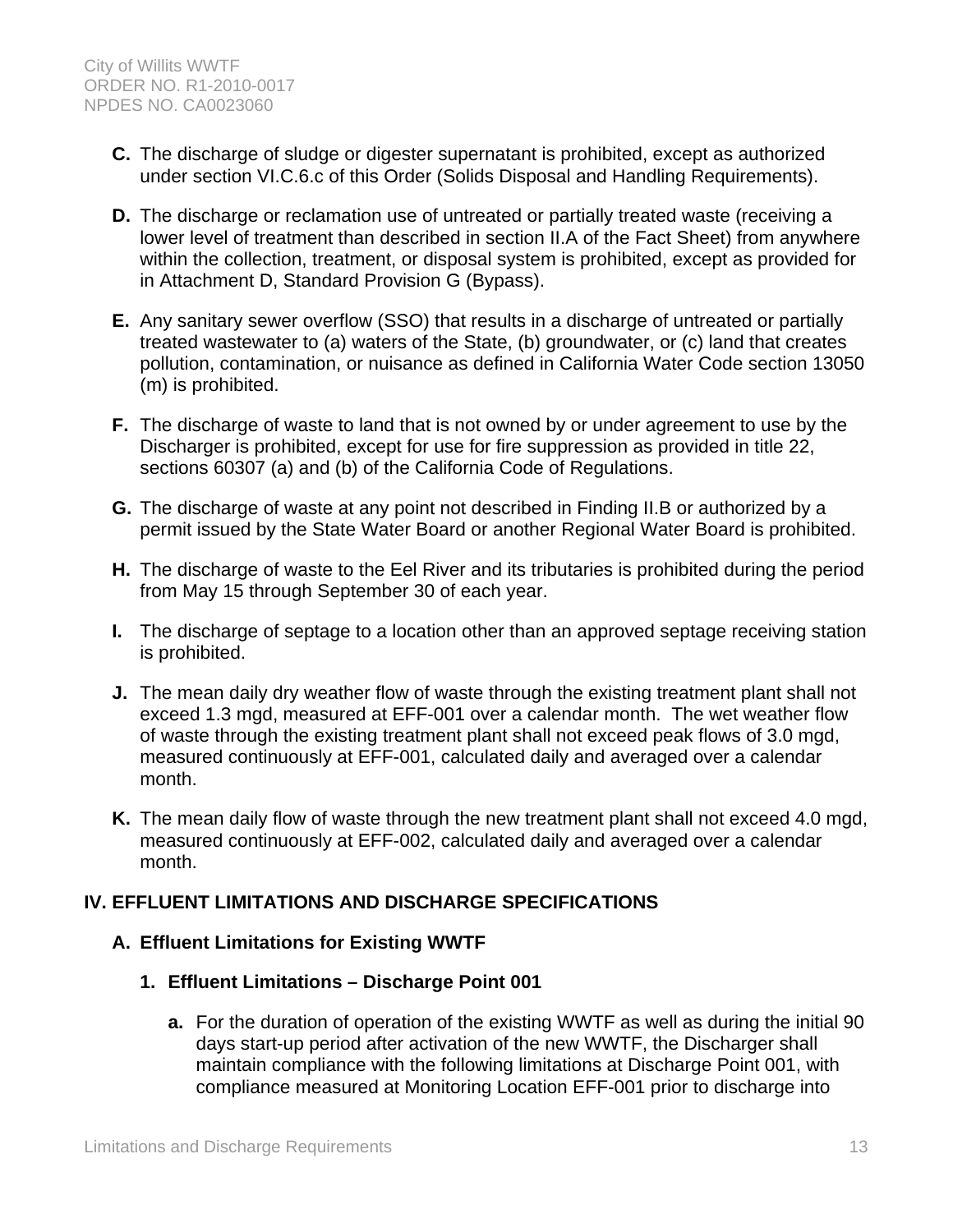- **C.** The discharge of sludge or digester supernatant is prohibited, except as authorized under section VI.C.6.c of this Order (Solids Disposal and Handling Requirements).
- **D.** The discharge or reclamation use of untreated or partially treated waste (receiving a lower level of treatment than described in section II.A of the Fact Sheet) from anywhere within the collection, treatment, or disposal system is prohibited, except as provided for in Attachment D, Standard Provision G (Bypass).
- **E.** Any sanitary sewer overflow (SSO) that results in a discharge of untreated or partially treated wastewater to (a) waters of the State, (b) groundwater, or (c) land that creates pollution, contamination, or nuisance as defined in California Water Code section 13050 (m) is prohibited.
- **F.** The discharge of waste to land that is not owned by or under agreement to use by the Discharger is prohibited, except for use for fire suppression as provided in title 22, sections 60307 (a) and (b) of the California Code of Regulations.
- **G.** The discharge of waste at any point not described in Finding II.B or authorized by a permit issued by the State Water Board or another Regional Water Board is prohibited.
- **H.** The discharge of waste to the Eel River and its tributaries is prohibited during the period from May 15 through September 30 of each year.
- **I.** The discharge of septage to a location other than an approved septage receiving station is prohibited.
- **J.** The mean daily dry weather flow of waste through the existing treatment plant shall not exceed 1.3 mgd, measured at EFF-001 over a calendar month. The wet weather flow of waste through the existing treatment plant shall not exceed peak flows of 3.0 mgd, measured continuously at EFF-001, calculated daily and averaged over a calendar month.
- **K.** The mean daily flow of waste through the new treatment plant shall not exceed 4.0 mgd, measured continuously at EFF-002, calculated daily and averaged over a calendar month.

# **IV. EFFLUENT LIMITATIONS AND DISCHARGE SPECIFICATIONS**

# **A. Effluent Limitations for Existing WWTF**

# **1. Effluent Limitations – Discharge Point 001**

**a.** For the duration of operation of the existing WWTF as well as during the initial 90 days start-up period after activation of the new WWTF, the Discharger shall maintain compliance with the following limitations at Discharge Point 001, with compliance measured at Monitoring Location EFF-001 prior to discharge into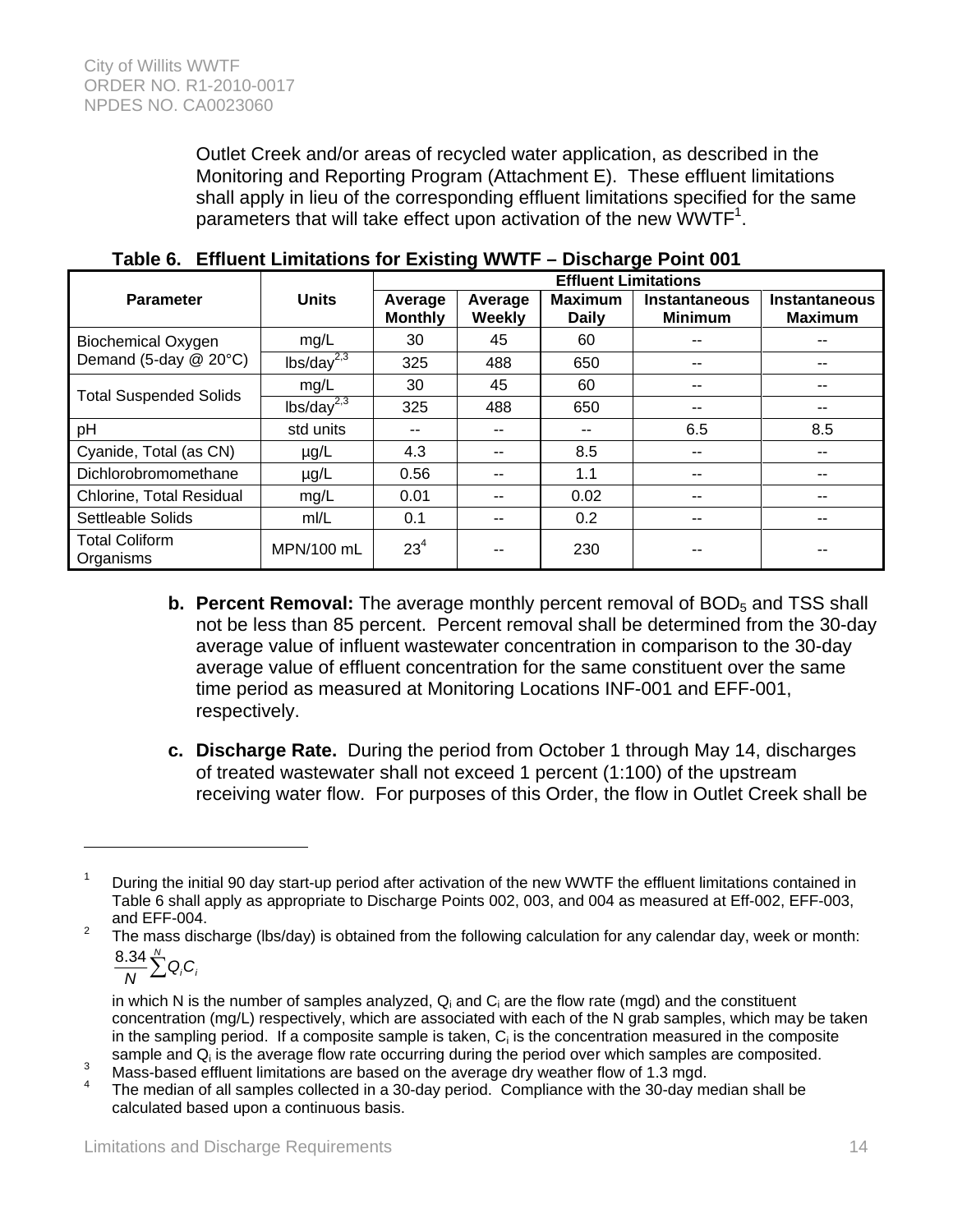Outlet Creek and/or areas of recycled water application, as described in the Monitoring and Reporting Program (Attachment E). These effluent limitations shall apply in lieu of the corresponding effluent limitations specified for the same parameters that will take effect upon activation of the new WWTF<sup>1</sup>.

|                                    |                        | <b>Effluent Limitations</b> |                   |                                |                                 |                                        |
|------------------------------------|------------------------|-----------------------------|-------------------|--------------------------------|---------------------------------|----------------------------------------|
| <b>Parameter</b>                   | <b>Units</b>           | Average<br><b>Monthly</b>   | Average<br>Weekly | <b>Maximum</b><br><b>Daily</b> | Instantaneous<br><b>Minimum</b> | <b>Instantaneous</b><br><b>Maximum</b> |
| <b>Biochemical Oxygen</b>          | mg/L                   | 30                          | 45                | 60                             |                                 |                                        |
| Demand (5-day @ 20°C)              | lbs/day <sup>2,3</sup> | 325                         | 488               | 650                            | --                              |                                        |
| <b>Total Suspended Solids</b>      | mg/L                   | 30                          | 45                | 60                             |                                 |                                        |
|                                    | lbs/day <sup>2,3</sup> | 325                         | 488               | 650                            | --                              |                                        |
| pH                                 | std units              | --                          | --                | --                             | 6.5                             | 8.5                                    |
| Cyanide, Total (as CN)             | $\mu$ g/L              | 4.3                         | --                | 8.5                            |                                 |                                        |
| Dichlorobromomethane               | $\mu$ g/L              | 0.56                        | --                | 1.1                            | --                              |                                        |
| Chlorine, Total Residual           | mg/L                   | 0.01                        | --                | 0.02                           | --                              |                                        |
| Settleable Solids                  | mI/L                   | 0.1                         | --                | 0.2                            | --                              |                                        |
| <b>Total Coliform</b><br>Organisms | MPN/100 mL             | 23 <sup>4</sup>             |                   | 230                            |                                 |                                        |

**Table 6. Effluent Limitations for Existing WWTF – Discharge Point 001** 

- **b. Percent Removal:** The average monthly percent removal of BOD<sub>5</sub> and TSS shall not be less than 85 percent. Percent removal shall be determined from the 30-day average value of influent wastewater concentration in comparison to the 30-day average value of effluent concentration for the same constituent over the same time period as measured at Monitoring Locations INF-001 and EFF-001, respectively.
- **c. Discharge Rate.** During the period from October 1 through May 14, discharges of treated wastewater shall not exceed 1 percent (1:100) of the upstream receiving water flow. For purposes of this Order, the flow in Outlet Creek shall be

2 The mass discharge (lbs/day) is obtained from the following calculation for any calendar day, week or month:  $C_i$ 

$$
\frac{8.34}{N}\sum_{i=1}^{N}Q_{i}
$$

 $\overline{a}$ 

<sup>1</sup> During the initial 90 day start-up period after activation of the new WWTF the effluent limitations contained in Table 6 shall apply as appropriate to Discharge Points 002, 003, and 004 as measured at Eff-002, EFF-003, and EFF-004.

in which N is the number of samples analyzed,  $Q_i$  and  $C_i$  are the flow rate (mgd) and the constituent concentration (mg/L) respectively, which are associated with each of the N grab samples, which may be taken in the sampling period. If a composite sample is taken,  $C_i$  is the concentration measured in the composite sample and  $Q_i$  is the average flow rate occurring during the period over which samples are composited.<br>Mess besed offluent limitations are besed on the overage drumather flow of 1.2 mod

Mass-based effluent limitations are based on the average dry weather flow of 1.3 mgd.

The median of all samples collected in a 30-day period. Compliance with the 30-day median shall be calculated based upon a continuous basis.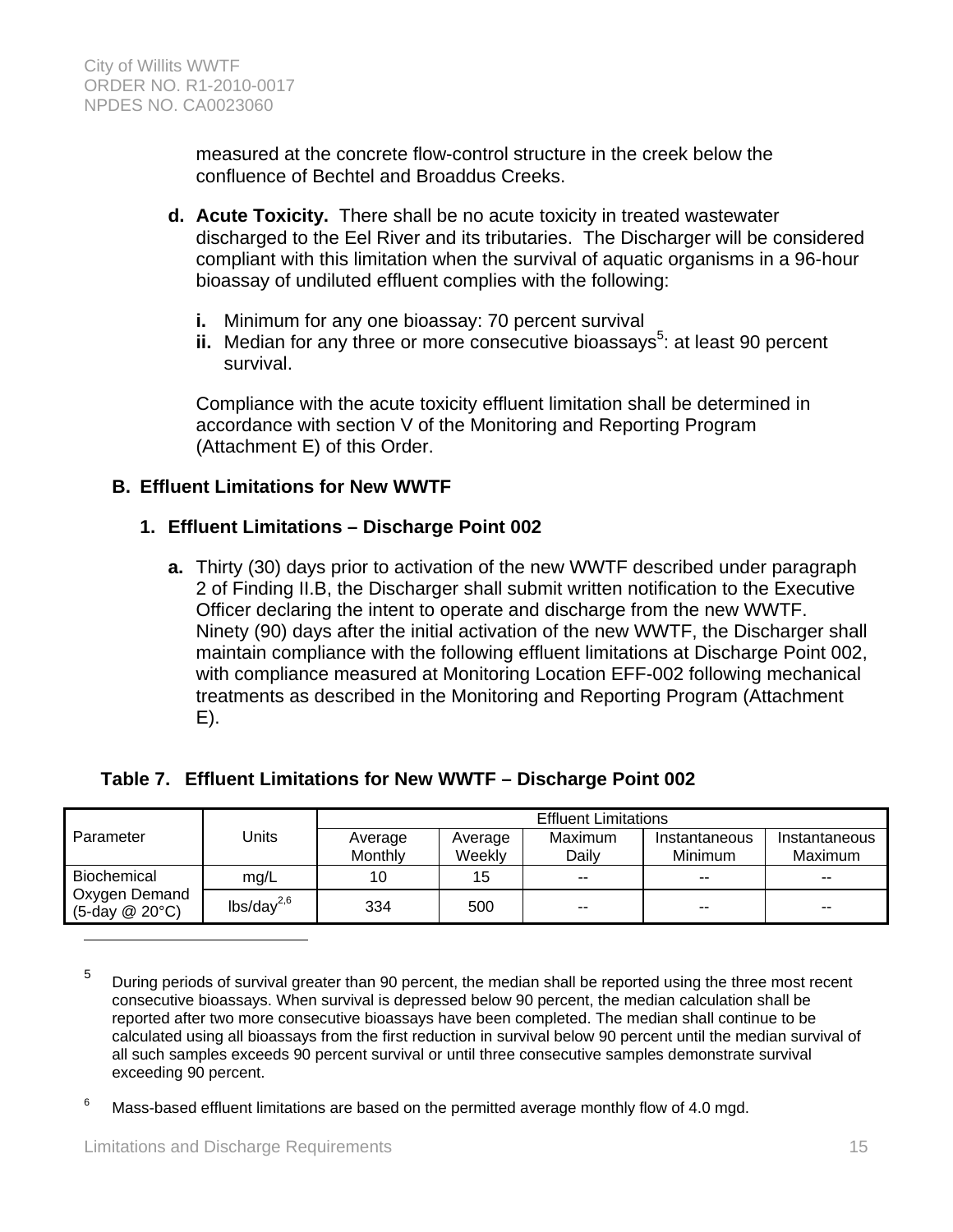measured at the concrete flow-control structure in the creek below the confluence of Bechtel and Broaddus Creeks.

- **d. Acute Toxicity.** There shall be no acute toxicity in treated wastewater discharged to the Eel River and its tributaries. The Discharger will be considered compliant with this limitation when the survival of aquatic organisms in a 96-hour bioassay of undiluted effluent complies with the following:
	- **i.** Minimum for any one bioassay: 70 percent survival
	- ii. Median for any three or more consecutive bioassays<sup>5</sup>: at least 90 percent survival.

Compliance with the acute toxicity effluent limitation shall be determined in accordance with section V of the Monitoring and Reporting Program (Attachment E) of this Order.

### **B. Effluent Limitations for New WWTF**

### **1. Effluent Limitations – Discharge Point 002**

**a.** Thirty (30) days prior to activation of the new WWTF described under paragraph 2 of Finding II.B, the Discharger shall submit written notification to the Executive Officer declaring the intent to operate and discharge from the new WWTF. Ninety (90) days after the initial activation of the new WWTF, the Discharger shall maintain compliance with the following effluent limitations at Discharge Point 002, with compliance measured at Monitoring Location EFF-002 following mechanical treatments as described in the Monitoring and Reporting Program (Attachment E).

|                                       |                 | <b>Effluent Limitations</b> |         |                |               |               |  |
|---------------------------------------|-----------------|-----------------------------|---------|----------------|---------------|---------------|--|
| Parameter                             | Units           | Average                     | Average | <b>Maximum</b> | Instantaneous | Instantaneous |  |
|                                       |                 | Monthly                     | Weekly  | Daily          | Minimum       | Maximum       |  |
| Biochemical                           | mg/L            | 10                          | 15      | $- -$          | $- -$         | $- -$         |  |
| Oxygen Demand<br>$(5$ -day @ 20 $°C)$ | $lbs/day^{2,6}$ | 334                         | 500     | $- -$          | $- -$         | $- -$         |  |

### **Table 7. Effluent Limitations for New WWTF – Discharge Point 002**

5 During periods of survival greater than 90 percent, the median shall be reported using the three most recent consecutive bioassays. When survival is depressed below 90 percent, the median calculation shall be reported after two more consecutive bioassays have been completed. The median shall continue to be calculated using all bioassays from the first reduction in survival below 90 percent until the median survival of all such samples exceeds 90 percent survival or until three consecutive samples demonstrate survival exceeding 90 percent.

6 Mass-based effluent limitations are based on the permitted average monthly flow of 4.0 mgd.

 $\overline{a}$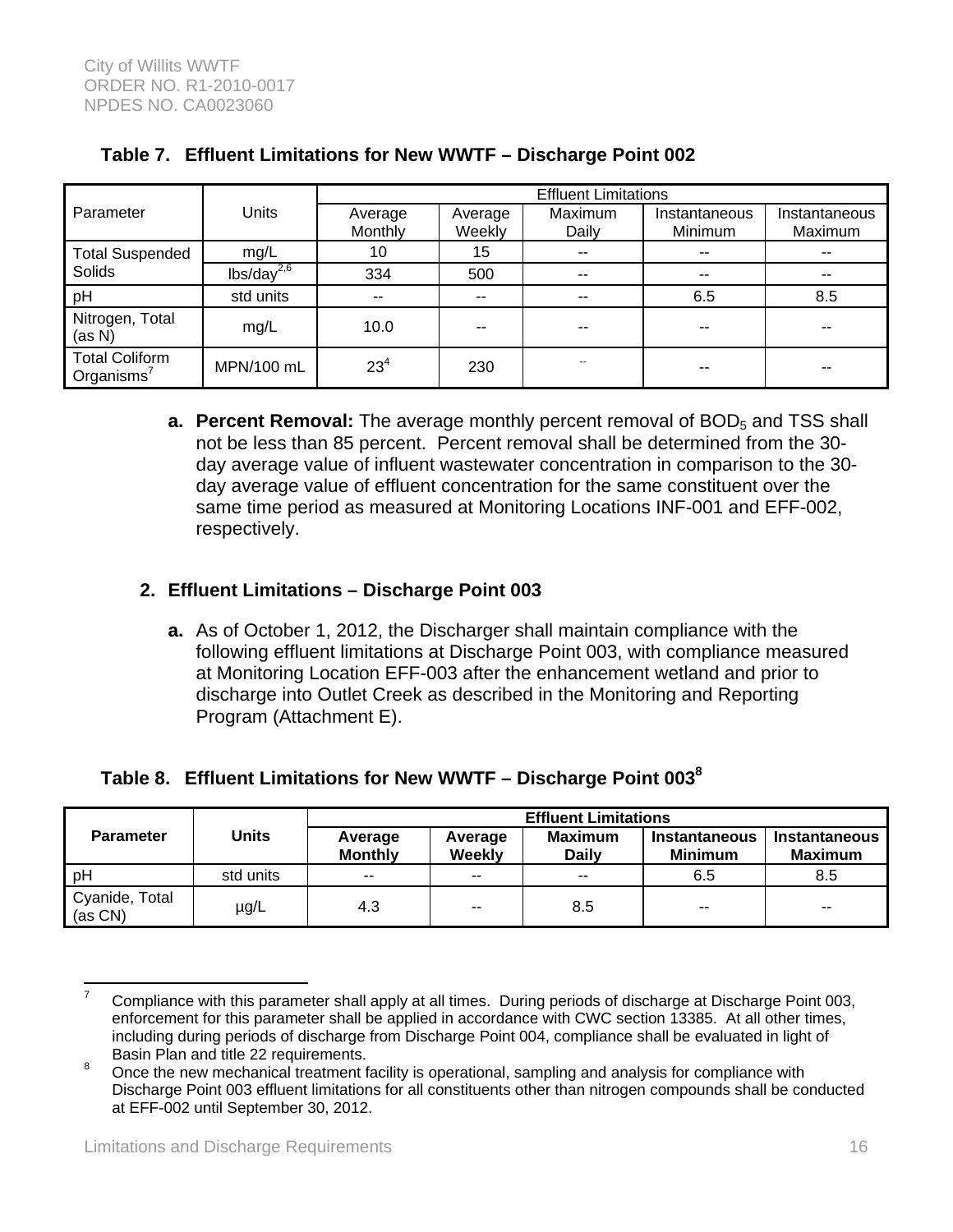|                                        |                 | <b>Effluent Limitations</b> |               |               |               |               |  |
|----------------------------------------|-----------------|-----------------------------|---------------|---------------|---------------|---------------|--|
| Parameter                              | Units           | Average                     | Average       | Maximum       | Instantaneous | Instantaneous |  |
|                                        |                 | Monthly                     | Weekly        | Daily         | Minimum       | Maximum       |  |
| <b>Total Suspended</b>                 | mg/L            | 10                          | 15            | $- -$         | --            | --            |  |
| <b>Solids</b>                          | $lbs/day^{2,6}$ | 334                         | 500           | $\sim$ $\sim$ | $- -$         | --            |  |
| pH                                     | std units       | $\sim$ $\sim$               | $\sim$ $\sim$ | --            | 6.5           | 8.5           |  |
| Nitrogen, Total<br>(as N)              | mg/L            | 10.0                        |               | --            | --            |               |  |
| <b>Total Coliform</b><br>Organisms $7$ | MPN/100 mL      | $23^{4}$                    | 230           | --            | --            | --            |  |

# **Table 7. Effluent Limitations for New WWTF – Discharge Point 002**

**a. Percent Removal:** The average monthly percent removal of BOD<sub>5</sub> and TSS shall not be less than 85 percent. Percent removal shall be determined from the 30 day average value of influent wastewater concentration in comparison to the 30 day average value of effluent concentration for the same constituent over the same time period as measured at Monitoring Locations INF-001 and EFF-002, respectively.

# **2. Effluent Limitations – Discharge Point 003**

**a.** As of October 1, 2012, the Discharger shall maintain compliance with the following effluent limitations at Discharge Point 003, with compliance measured at Monitoring Location EFF-003 after the enhancement wetland and prior to discharge into Outlet Creek as described in the Monitoring and Reporting Program (Attachment E).

# **Table 8. Effluent Limitations for New WWTF – Discharge Point 0038**

| <b>Parameter</b>                 | Units     | <b>Effluent Limitations</b> |                   |                                |                                 |                                        |  |
|----------------------------------|-----------|-----------------------------|-------------------|--------------------------------|---------------------------------|----------------------------------------|--|
|                                  |           | Average<br><b>Monthly</b>   | Average<br>Weekly | <b>Maximum</b><br><b>Daily</b> | Instantaneous<br><b>Minimum</b> | <b>Instantaneous</b><br><b>Maximum</b> |  |
| pH                               | std units | $- -$                       | $- -$             | $- -$                          | 6.5                             | 8.5                                    |  |
| Cyanide, Total<br>$(a \circ CN)$ | $\mu$ g/L | 4.3                         | $- -$             | 8.5                            | $- -$                           | $- -$                                  |  |

 $\overline{a}$ 7 Compliance with this parameter shall apply at all times. During periods of discharge at Discharge Point 003, enforcement for this parameter shall be applied in accordance with CWC section 13385. At all other times, including during periods of discharge from Discharge Point 004, compliance shall be evaluated in light of Basin Plan and title 22 requirements.

Once the new mechanical treatment facility is operational, sampling and analysis for compliance with Discharge Point 003 effluent limitations for all constituents other than nitrogen compounds shall be conducted at EFF-002 until September 30, 2012.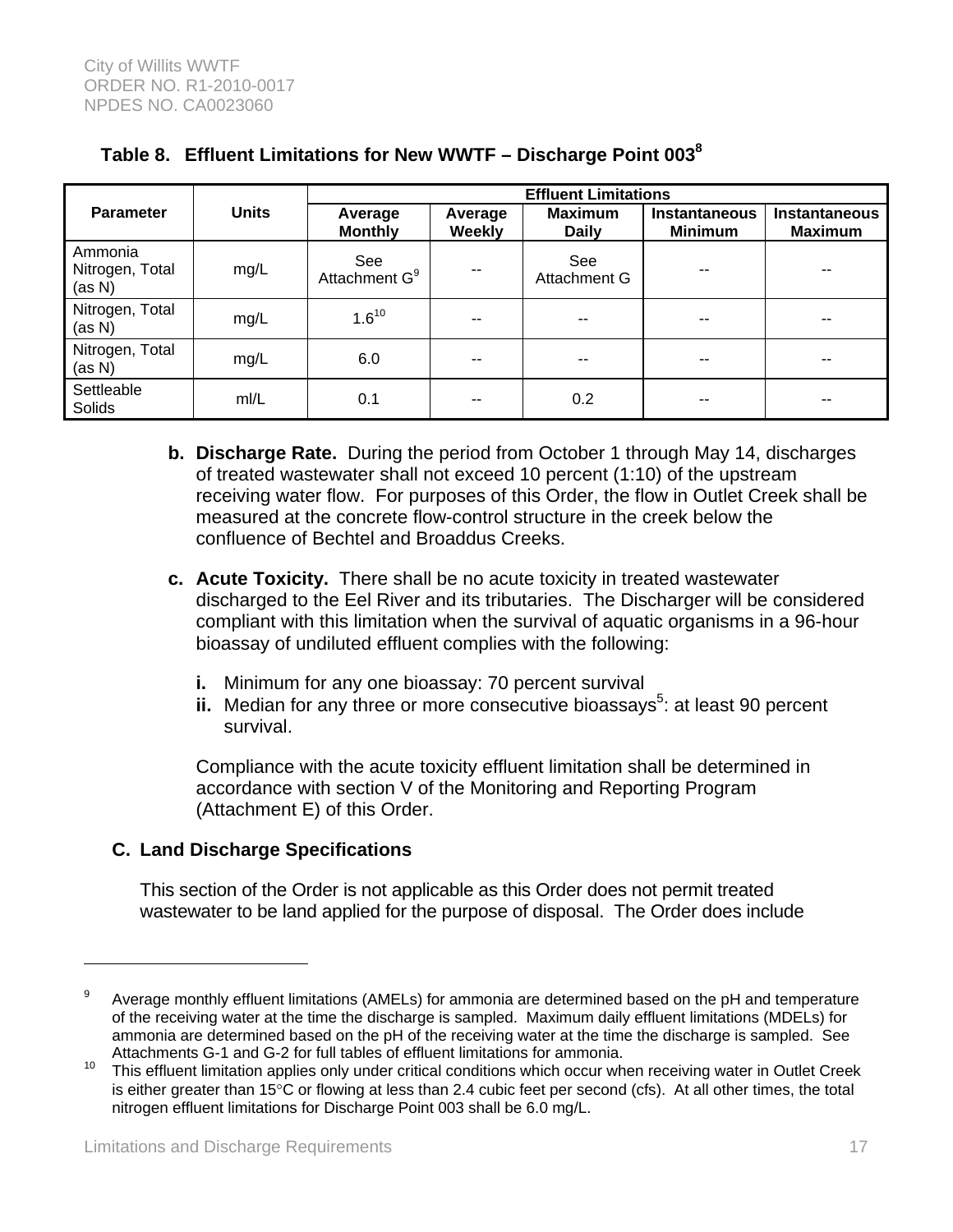| <b>Parameter</b>                     | <b>Units</b> | <b>Effluent Limitations</b>      |                          |                                |                                        |                                        |  |
|--------------------------------------|--------------|----------------------------------|--------------------------|--------------------------------|----------------------------------------|----------------------------------------|--|
|                                      |              | Average<br><b>Monthly</b>        | Average<br><b>Weekly</b> | <b>Maximum</b><br><b>Daily</b> | <b>Instantaneous</b><br><b>Minimum</b> | <b>Instantaneous</b><br><b>Maximum</b> |  |
| Ammonia<br>Nitrogen, Total<br>(as N) | mg/L         | See<br>Attachment G <sup>9</sup> | --                       | See<br>Attachment G            | --                                     | --                                     |  |
| Nitrogen, Total<br>(as N)            | mg/L         | $1.6^{10}$                       | --                       | --                             | --                                     | --                                     |  |
| Nitrogen, Total<br>(as N)            | mg/L         | 6.0                              | --                       | $- -$                          | --                                     | --                                     |  |
| Settleable<br>Solids                 | mI/L         | 0.1                              | --                       | 0.2                            | --                                     | --                                     |  |

# **Table 8. Effluent Limitations for New WWTF – Discharge Point 0038**

- **b. Discharge Rate.** During the period from October 1 through May 14, discharges of treated wastewater shall not exceed 10 percent (1:10) of the upstream receiving water flow. For purposes of this Order, the flow in Outlet Creek shall be measured at the concrete flow-control structure in the creek below the confluence of Bechtel and Broaddus Creeks.
- **c. Acute Toxicity.** There shall be no acute toxicity in treated wastewater discharged to the Eel River and its tributaries. The Discharger will be considered compliant with this limitation when the survival of aquatic organisms in a 96-hour bioassay of undiluted effluent complies with the following:
	- **i.** Minimum for any one bioassay: 70 percent survival
	- ii. Median for any three or more consecutive bioassays<sup>5</sup>: at least 90 percent survival.

Compliance with the acute toxicity effluent limitation shall be determined in accordance with section V of the Monitoring and Reporting Program (Attachment E) of this Order.

# **C. Land Discharge Specifications**

This section of the Order is not applicable as this Order does not permit treated wastewater to be land applied for the purpose of disposal. The Order does include

 $\overline{a}$ 

<sup>9</sup> Average monthly effluent limitations (AMELs) for ammonia are determined based on the pH and temperature of the receiving water at the time the discharge is sampled. Maximum daily effluent limitations (MDELs) for ammonia are determined based on the pH of the receiving water at the time the discharge is sampled. See Attachments G-1 and G-2 for full tables of effluent limitations for ammonia.

<sup>&</sup>lt;sup>10</sup> This effluent limitation applies only under critical conditions which occur when receiving water in Outlet Creek is either greater than 15°C or flowing at less than 2.4 cubic feet per second (cfs). At all other times, the total nitrogen effluent limitations for Discharge Point 003 shall be 6.0 mg/L.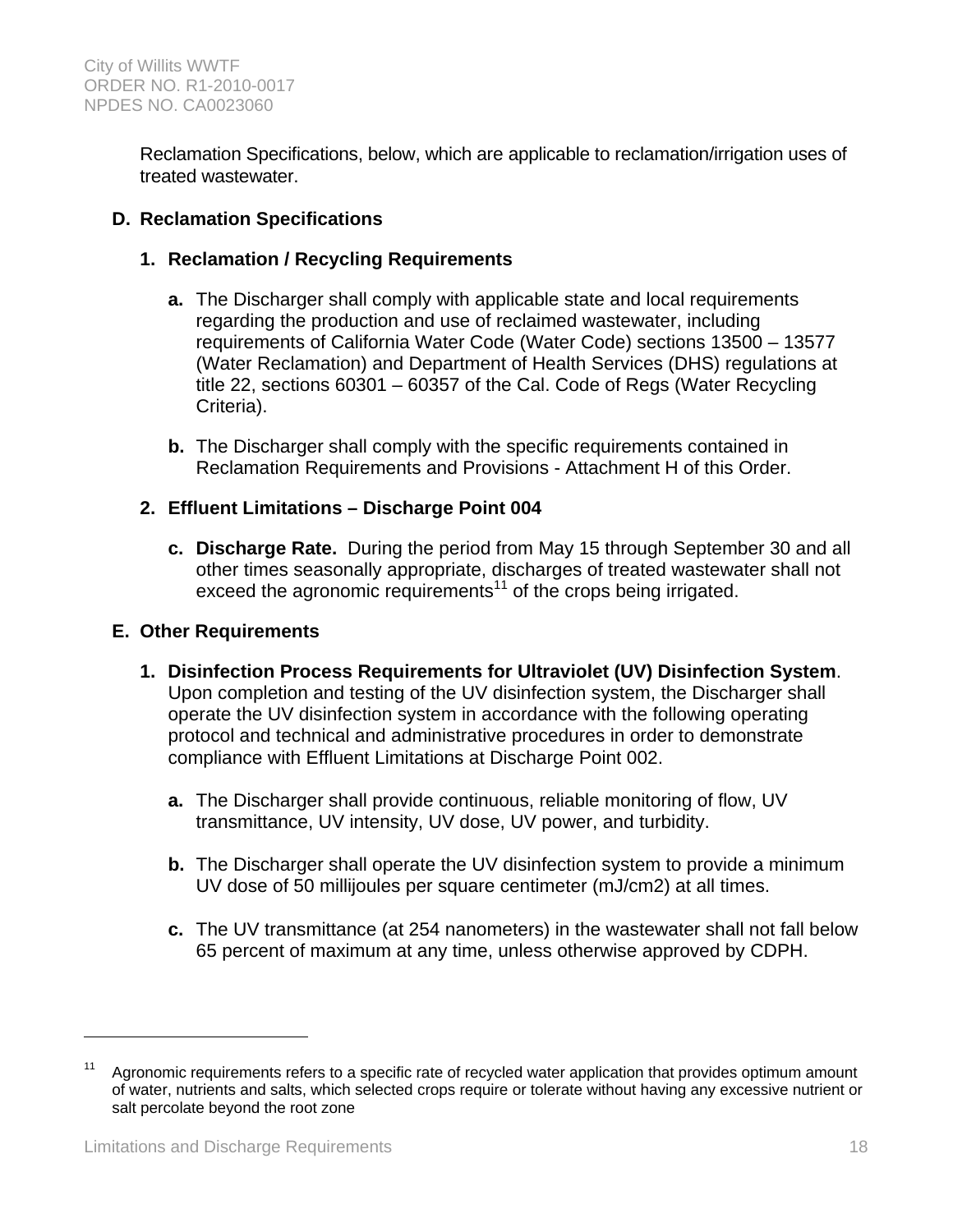Reclamation Specifications, below, which are applicable to reclamation/irrigation uses of treated wastewater.

# **D. Reclamation Specifications**

### **1. Reclamation / Recycling Requirements**

- **a.** The Discharger shall comply with applicable state and local requirements regarding the production and use of reclaimed wastewater, including requirements of California Water Code (Water Code) sections 13500 – 13577 (Water Reclamation) and Department of Health Services (DHS) regulations at title 22, sections 60301 – 60357 of the Cal. Code of Regs (Water Recycling Criteria).
- **b.** The Discharger shall comply with the specific requirements contained in Reclamation Requirements and Provisions - Attachment H of this Order.

### **2. Effluent Limitations – Discharge Point 004**

**c. Discharge Rate.** During the period from May 15 through September 30 and all other times seasonally appropriate, discharges of treated wastewater shall not exceed the agronomic requirements<sup>11</sup> of the crops being irrigated.

### **E. Other Requirements**

- **1. Disinfection Process Requirements for Ultraviolet (UV) Disinfection System**. Upon completion and testing of the UV disinfection system, the Discharger shall operate the UV disinfection system in accordance with the following operating protocol and technical and administrative procedures in order to demonstrate compliance with Effluent Limitations at Discharge Point 002.
	- **a.** The Discharger shall provide continuous, reliable monitoring of flow, UV transmittance, UV intensity, UV dose, UV power, and turbidity.
	- **b.** The Discharger shall operate the UV disinfection system to provide a minimum UV dose of 50 millijoules per square centimeter (mJ/cm2) at all times.
	- **c.** The UV transmittance (at 254 nanometers) in the wastewater shall not fall below 65 percent of maximum at any time, unless otherwise approved by CDPH.

<u>.</u>

Agronomic requirements refers to a specific rate of recycled water application that provides optimum amount of water, nutrients and salts, which selected crops require or tolerate without having any excessive nutrient or salt percolate beyond the root zone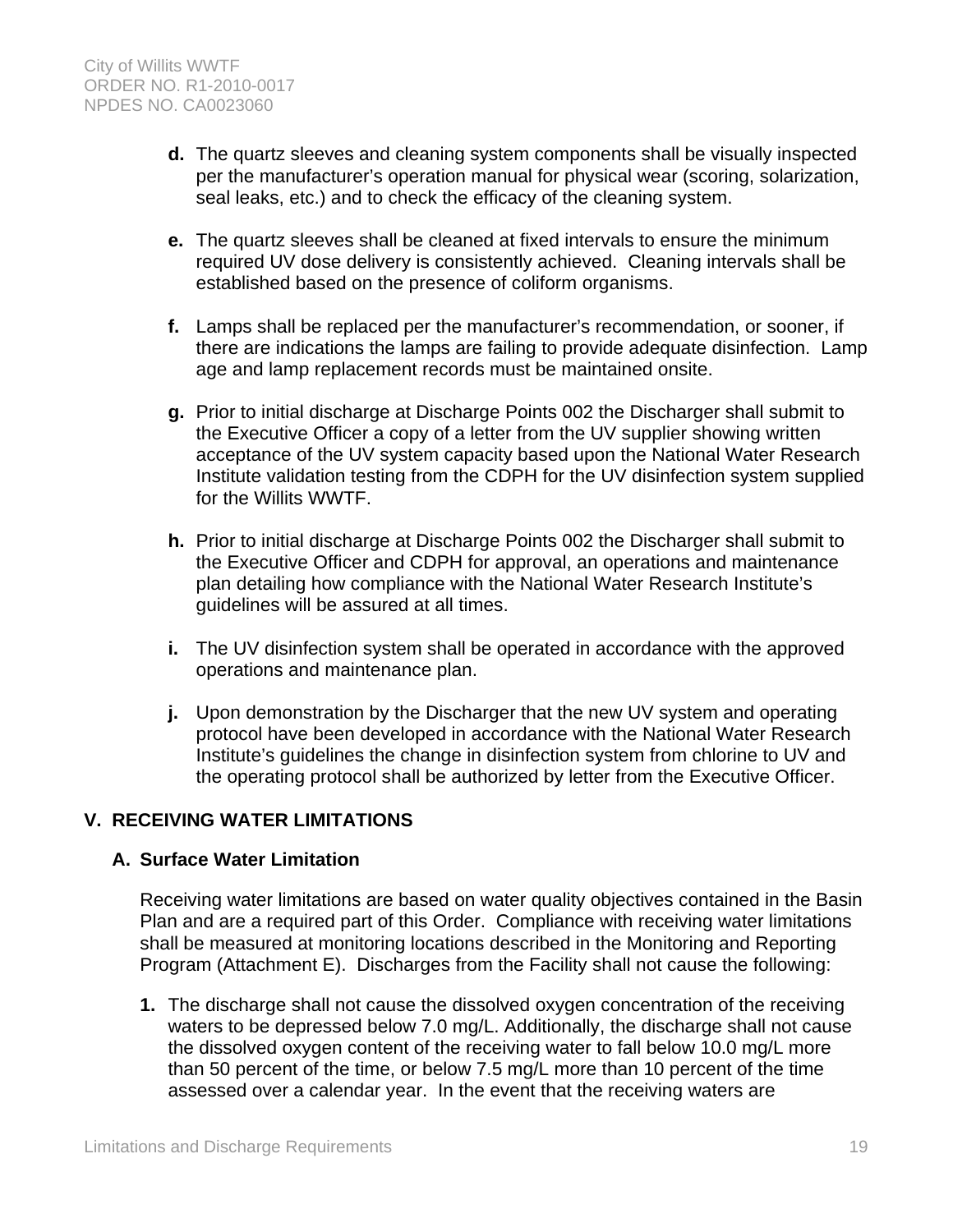- **d.** The quartz sleeves and cleaning system components shall be visually inspected per the manufacturer's operation manual for physical wear (scoring, solarization, seal leaks, etc.) and to check the efficacy of the cleaning system.
- **e.** The quartz sleeves shall be cleaned at fixed intervals to ensure the minimum required UV dose delivery is consistently achieved. Cleaning intervals shall be established based on the presence of coliform organisms.
- **f.** Lamps shall be replaced per the manufacturer's recommendation, or sooner, if there are indications the lamps are failing to provide adequate disinfection. Lamp age and lamp replacement records must be maintained onsite.
- **g.** Prior to initial discharge at Discharge Points 002 the Discharger shall submit to the Executive Officer a copy of a letter from the UV supplier showing written acceptance of the UV system capacity based upon the National Water Research Institute validation testing from the CDPH for the UV disinfection system supplied for the Willits WWTF.
- **h.** Prior to initial discharge at Discharge Points 002 the Discharger shall submit to the Executive Officer and CDPH for approval, an operations and maintenance plan detailing how compliance with the National Water Research Institute's guidelines will be assured at all times.
- **i.** The UV disinfection system shall be operated in accordance with the approved operations and maintenance plan.
- **j.** Upon demonstration by the Discharger that the new UV system and operating protocol have been developed in accordance with the National Water Research Institute's guidelines the change in disinfection system from chlorine to UV and the operating protocol shall be authorized by letter from the Executive Officer.

# **V. RECEIVING WATER LIMITATIONS**

### **A. Surface Water Limitation**

Receiving water limitations are based on water quality objectives contained in the Basin Plan and are a required part of this Order. Compliance with receiving water limitations shall be measured at monitoring locations described in the Monitoring and Reporting Program (Attachment E). Discharges from the Facility shall not cause the following:

**1.** The discharge shall not cause the dissolved oxygen concentration of the receiving waters to be depressed below 7.0 mg/L. Additionally, the discharge shall not cause the dissolved oxygen content of the receiving water to fall below 10.0 mg/L more than 50 percent of the time, or below 7.5 mg/L more than 10 percent of the time assessed over a calendar year. In the event that the receiving waters are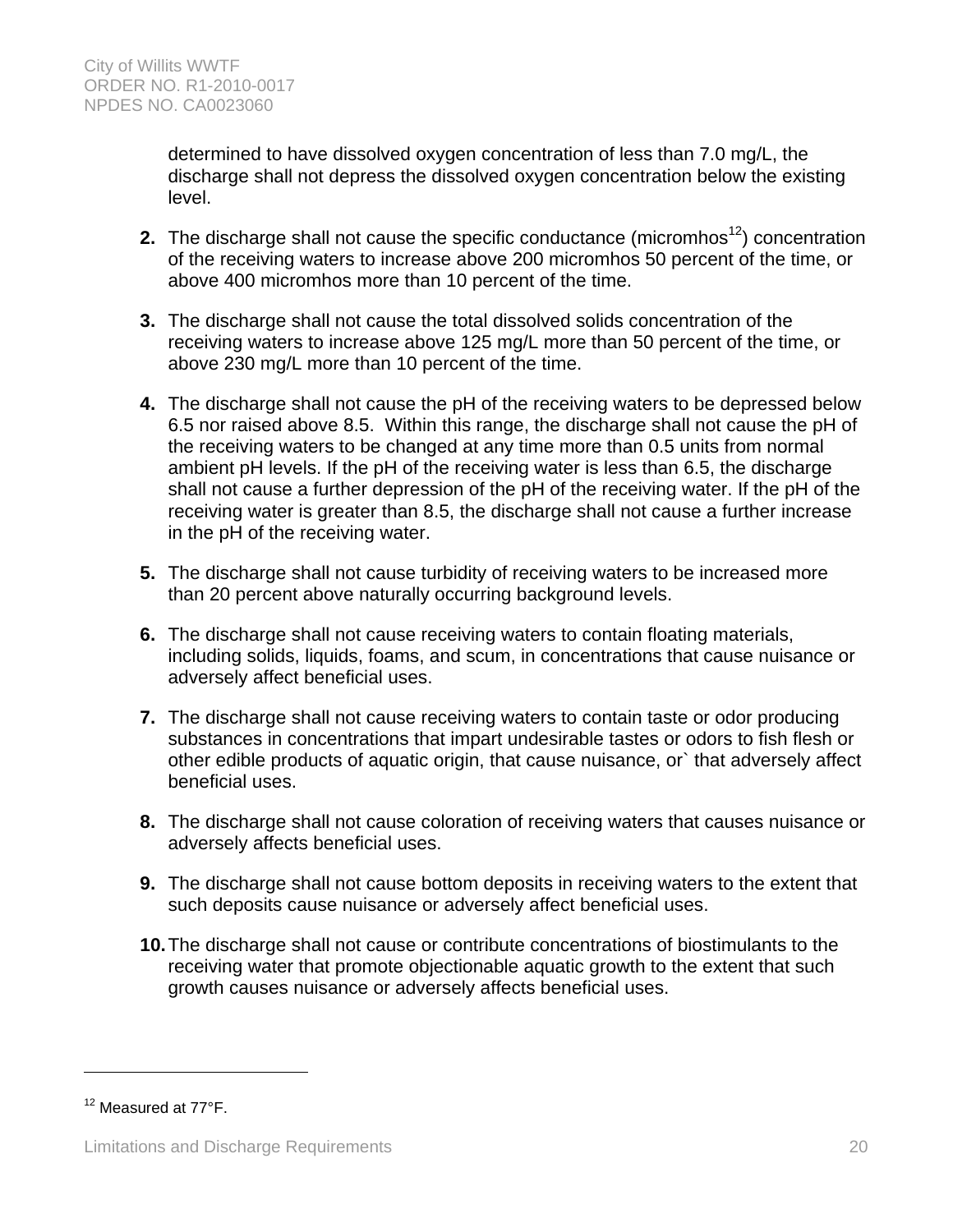determined to have dissolved oxygen concentration of less than 7.0 mg/L, the discharge shall not depress the dissolved oxygen concentration below the existing level.

- **2.** The discharge shall not cause the specific conductance (micromhos<sup>12</sup>) concentration of the receiving waters to increase above 200 micromhos 50 percent of the time, or above 400 micromhos more than 10 percent of the time.
- **3.** The discharge shall not cause the total dissolved solids concentration of the receiving waters to increase above 125 mg/L more than 50 percent of the time, or above 230 mg/L more than 10 percent of the time.
- **4.** The discharge shall not cause the pH of the receiving waters to be depressed below 6.5 nor raised above 8.5. Within this range, the discharge shall not cause the pH of the receiving waters to be changed at any time more than 0.5 units from normal ambient pH levels. If the pH of the receiving water is less than 6.5, the discharge shall not cause a further depression of the pH of the receiving water. If the pH of the receiving water is greater than 8.5, the discharge shall not cause a further increase in the pH of the receiving water.
- **5.** The discharge shall not cause turbidity of receiving waters to be increased more than 20 percent above naturally occurring background levels.
- **6.** The discharge shall not cause receiving waters to contain floating materials, including solids, liquids, foams, and scum, in concentrations that cause nuisance or adversely affect beneficial uses.
- **7.** The discharge shall not cause receiving waters to contain taste or odor producing substances in concentrations that impart undesirable tastes or odors to fish flesh or other edible products of aquatic origin, that cause nuisance, or` that adversely affect beneficial uses.
- **8.** The discharge shall not cause coloration of receiving waters that causes nuisance or adversely affects beneficial uses.
- **9.** The discharge shall not cause bottom deposits in receiving waters to the extent that such deposits cause nuisance or adversely affect beneficial uses.
- **10.** The discharge shall not cause or contribute concentrations of biostimulants to the receiving water that promote objectionable aquatic growth to the extent that such growth causes nuisance or adversely affects beneficial uses.

1

<sup>&</sup>lt;sup>12</sup> Measured at 77°F.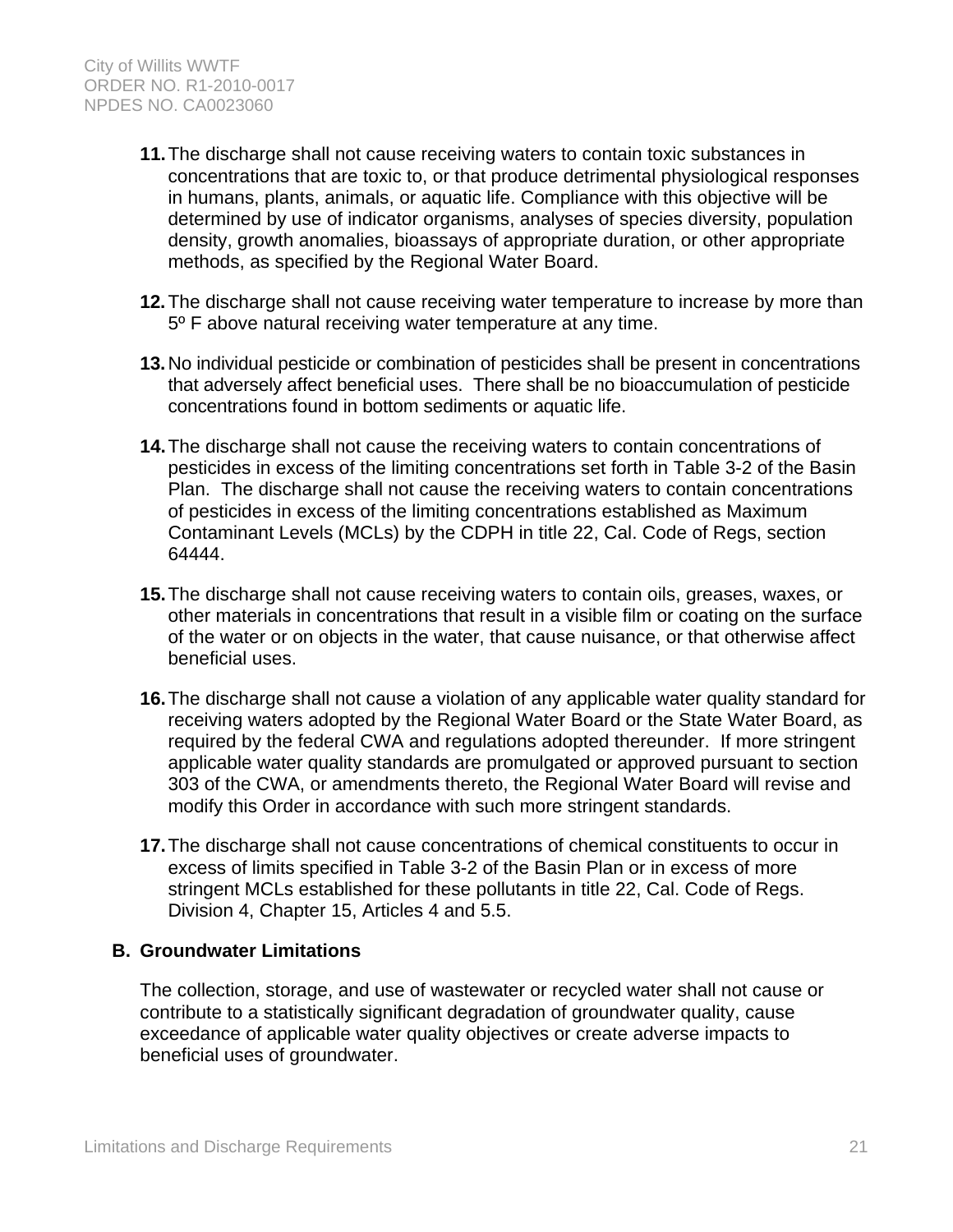- **11.** The discharge shall not cause receiving waters to contain toxic substances in concentrations that are toxic to, or that produce detrimental physiological responses in humans, plants, animals, or aquatic life. Compliance with this objective will be determined by use of indicator organisms, analyses of species diversity, population density, growth anomalies, bioassays of appropriate duration, or other appropriate methods, as specified by the Regional Water Board.
- **12.** The discharge shall not cause receiving water temperature to increase by more than 5º F above natural receiving water temperature at any time.
- **13.** No individual pesticide or combination of pesticides shall be present in concentrations that adversely affect beneficial uses. There shall be no bioaccumulation of pesticide concentrations found in bottom sediments or aquatic life.
- **14.** The discharge shall not cause the receiving waters to contain concentrations of pesticides in excess of the limiting concentrations set forth in Table 3-2 of the Basin Plan. The discharge shall not cause the receiving waters to contain concentrations of pesticides in excess of the limiting concentrations established as Maximum Contaminant Levels (MCLs) by the CDPH in title 22, Cal. Code of Regs, section 64444.
- **15.** The discharge shall not cause receiving waters to contain oils, greases, waxes, or other materials in concentrations that result in a visible film or coating on the surface of the water or on objects in the water, that cause nuisance, or that otherwise affect beneficial uses.
- **16.** The discharge shall not cause a violation of any applicable water quality standard for receiving waters adopted by the Regional Water Board or the State Water Board, as required by the federal CWA and regulations adopted thereunder. If more stringent applicable water quality standards are promulgated or approved pursuant to section 303 of the CWA, or amendments thereto, the Regional Water Board will revise and modify this Order in accordance with such more stringent standards.
- **17.** The discharge shall not cause concentrations of chemical constituents to occur in excess of limits specified in Table 3-2 of the Basin Plan or in excess of more stringent MCLs established for these pollutants in title 22, Cal. Code of Regs. Division 4, Chapter 15, Articles 4 and 5.5.

### **B. Groundwater Limitations**

The collection, storage, and use of wastewater or recycled water shall not cause or contribute to a statistically significant degradation of groundwater quality, cause exceedance of applicable water quality objectives or create adverse impacts to beneficial uses of groundwater.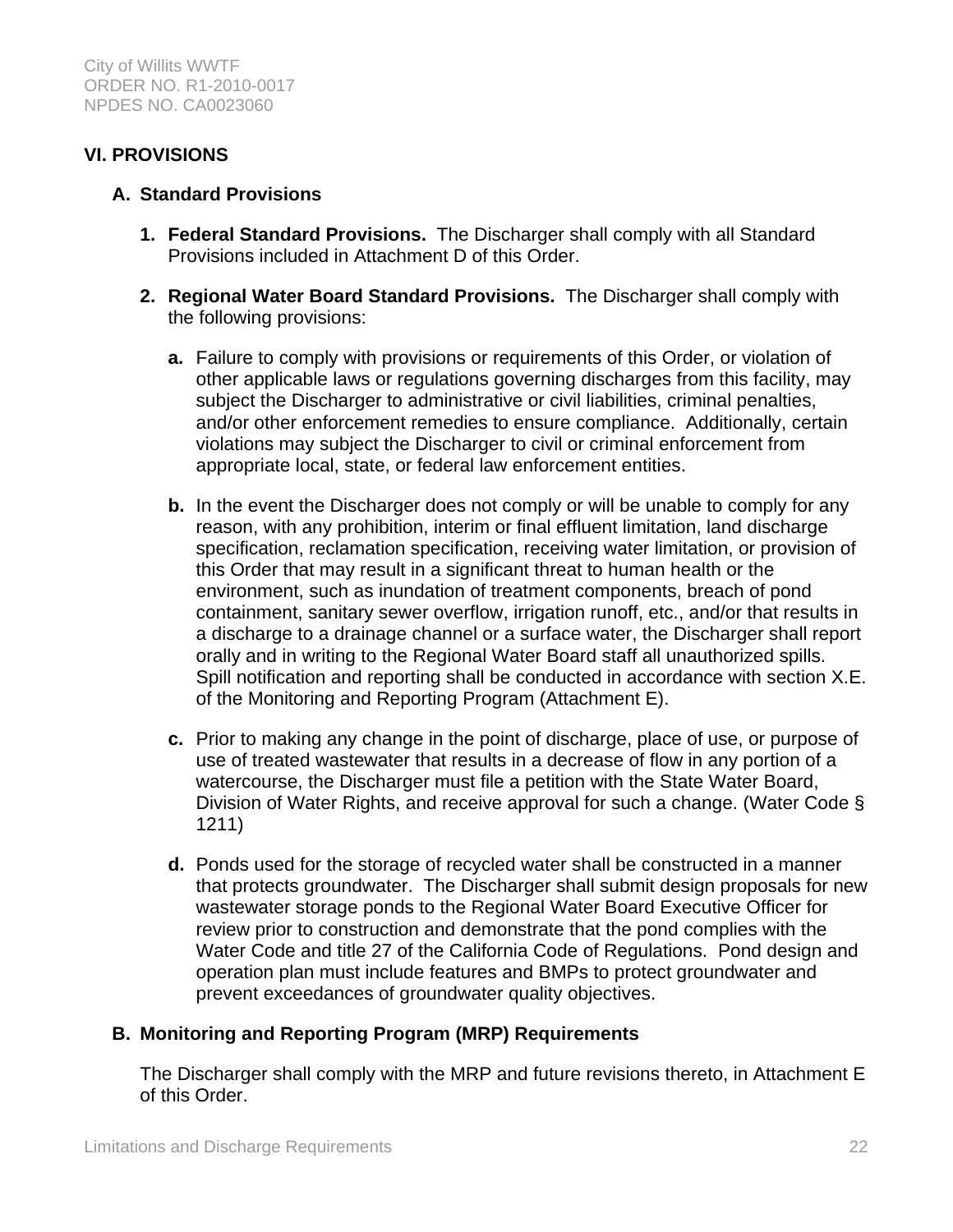# **VI. PROVISIONS**

### **A. Standard Provisions**

- **1. Federal Standard Provisions.** The Discharger shall comply with all Standard Provisions included in Attachment D of this Order.
- **2. Regional Water Board Standard Provisions.** The Discharger shall comply with the following provisions:
	- **a.** Failure to comply with provisions or requirements of this Order, or violation of other applicable laws or regulations governing discharges from this facility, may subject the Discharger to administrative or civil liabilities, criminal penalties, and/or other enforcement remedies to ensure compliance. Additionally, certain violations may subject the Discharger to civil or criminal enforcement from appropriate local, state, or federal law enforcement entities.
	- **b.** In the event the Discharger does not comply or will be unable to comply for any reason, with any prohibition, interim or final effluent limitation, land discharge specification, reclamation specification, receiving water limitation, or provision of this Order that may result in a significant threat to human health or the environment, such as inundation of treatment components, breach of pond containment, sanitary sewer overflow, irrigation runoff, etc., and/or that results in a discharge to a drainage channel or a surface water, the Discharger shall report orally and in writing to the Regional Water Board staff all unauthorized spills. Spill notification and reporting shall be conducted in accordance with section X.E. of the Monitoring and Reporting Program (Attachment E).
	- **c.** Prior to making any change in the point of discharge, place of use, or purpose of use of treated wastewater that results in a decrease of flow in any portion of a watercourse, the Discharger must file a petition with the State Water Board, Division of Water Rights, and receive approval for such a change. (Water Code § 1211)
	- **d.** Ponds used for the storage of recycled water shall be constructed in a manner that protects groundwater. The Discharger shall submit design proposals for new wastewater storage ponds to the Regional Water Board Executive Officer for review prior to construction and demonstrate that the pond complies with the Water Code and title 27 of the California Code of Regulations. Pond design and operation plan must include features and BMPs to protect groundwater and prevent exceedances of groundwater quality objectives.

# **B. Monitoring and Reporting Program (MRP) Requirements**

The Discharger shall comply with the MRP and future revisions thereto, in Attachment E of this Order.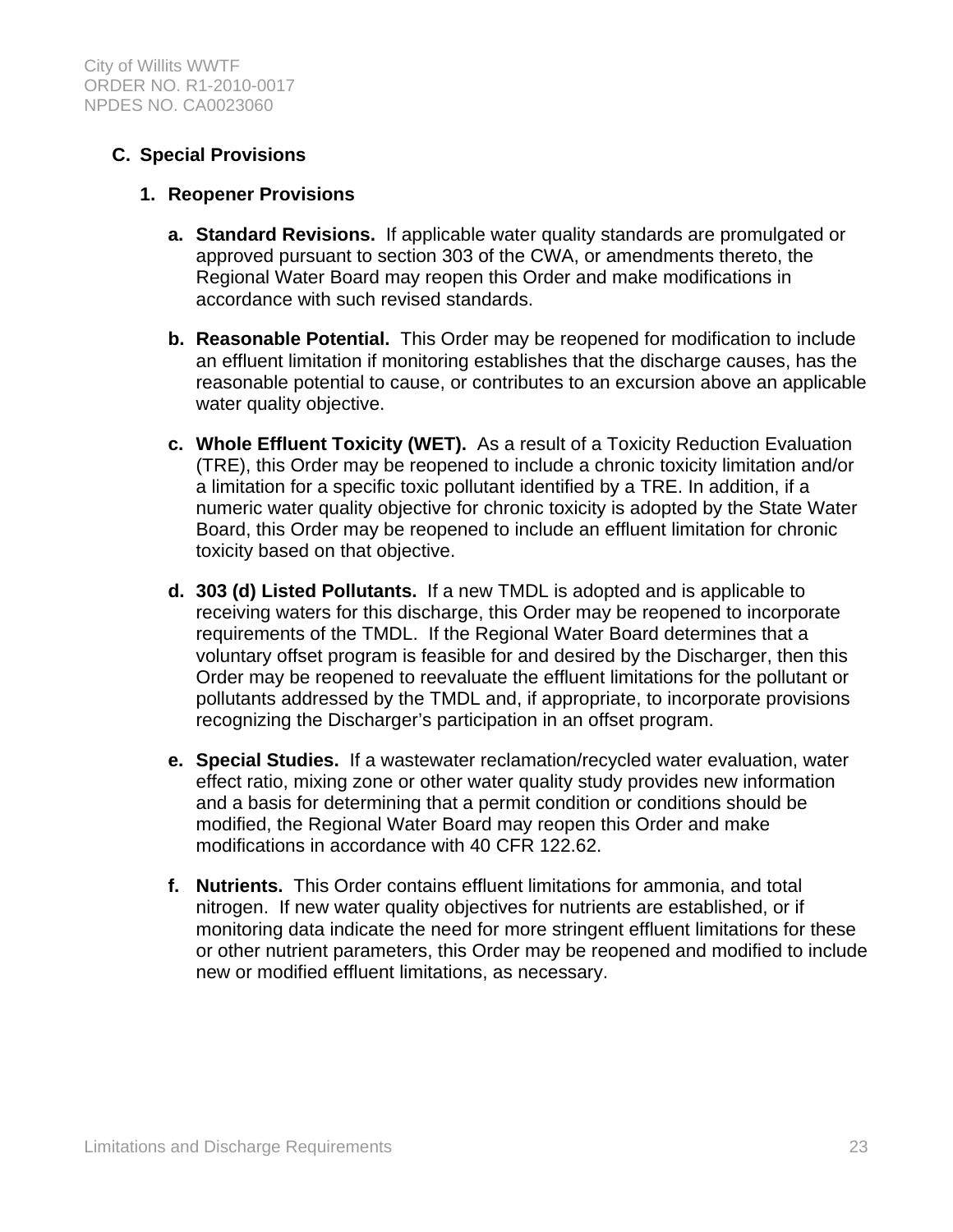# **C. Special Provisions**

### **1. Reopener Provisions**

- **a. Standard Revisions.** If applicable water quality standards are promulgated or approved pursuant to section 303 of the CWA, or amendments thereto, the Regional Water Board may reopen this Order and make modifications in accordance with such revised standards.
- **b. Reasonable Potential.** This Order may be reopened for modification to include an effluent limitation if monitoring establishes that the discharge causes, has the reasonable potential to cause, or contributes to an excursion above an applicable water quality objective.
- **c. Whole Effluent Toxicity (WET).** As a result of a Toxicity Reduction Evaluation (TRE), this Order may be reopened to include a chronic toxicity limitation and/or a limitation for a specific toxic pollutant identified by a TRE. In addition, if a numeric water quality objective for chronic toxicity is adopted by the State Water Board, this Order may be reopened to include an effluent limitation for chronic toxicity based on that objective.
- **d. 303 (d) Listed Pollutants.** If a new TMDL is adopted and is applicable to receiving waters for this discharge, this Order may be reopened to incorporate requirements of the TMDL. If the Regional Water Board determines that a voluntary offset program is feasible for and desired by the Discharger, then this Order may be reopened to reevaluate the effluent limitations for the pollutant or pollutants addressed by the TMDL and, if appropriate, to incorporate provisions recognizing the Discharger's participation in an offset program.
- **e. Special Studies.** If a wastewater reclamation/recycled water evaluation, water effect ratio, mixing zone or other water quality study provides new information and a basis for determining that a permit condition or conditions should be modified, the Regional Water Board may reopen this Order and make modifications in accordance with 40 CFR 122.62.
- **f. Nutrients.** This Order contains effluent limitations for ammonia, and total nitrogen. If new water quality objectives for nutrients are established, or if monitoring data indicate the need for more stringent effluent limitations for these or other nutrient parameters, this Order may be reopened and modified to include new or modified effluent limitations, as necessary.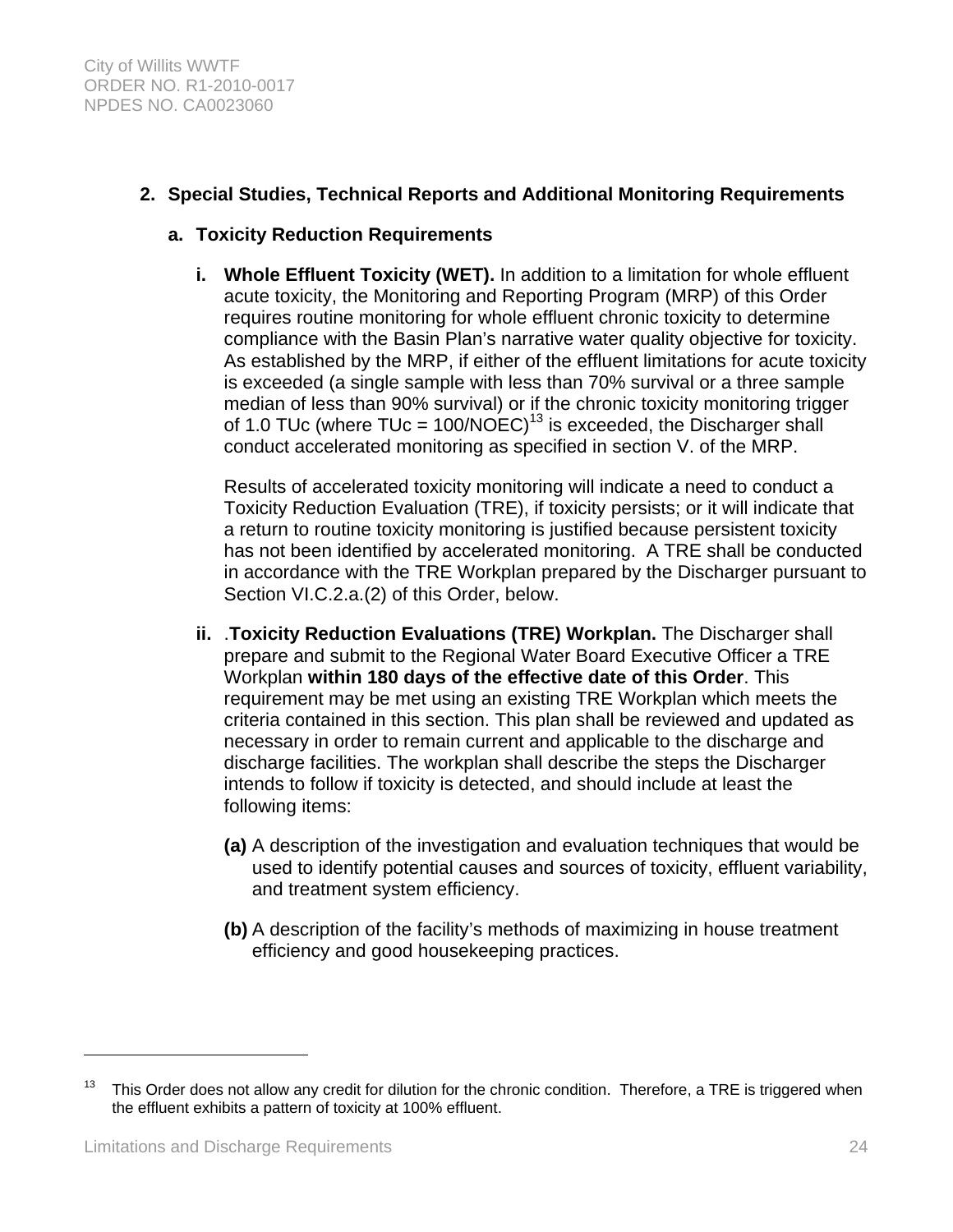# **2. Special Studies, Technical Reports and Additional Monitoring Requirements**

### **a. Toxicity Reduction Requirements**

**i. Whole Effluent Toxicity (WET).** In addition to a limitation for whole effluent acute toxicity, the Monitoring and Reporting Program (MRP) of this Order requires routine monitoring for whole effluent chronic toxicity to determine compliance with the Basin Plan's narrative water quality objective for toxicity. As established by the MRP, if either of the effluent limitations for acute toxicity is exceeded (a single sample with less than 70% survival or a three sample median of less than 90% survival) or if the chronic toxicity monitoring trigger of 1.0 TUc (where TUc =  $100/NOEC$ )<sup>13</sup> is exceeded, the Discharger shall conduct accelerated monitoring as specified in section V. of the MRP.

Results of accelerated toxicity monitoring will indicate a need to conduct a Toxicity Reduction Evaluation (TRE), if toxicity persists; or it will indicate that a return to routine toxicity monitoring is justified because persistent toxicity has not been identified by accelerated monitoring. A TRE shall be conducted in accordance with the TRE Workplan prepared by the Discharger pursuant to Section VI.C.2.a.(2) of this Order, below.

- **ii.** .**Toxicity Reduction Evaluations (TRE) Workplan.** The Discharger shall prepare and submit to the Regional Water Board Executive Officer a TRE Workplan **within 180 days of the effective date of this Order**. This requirement may be met using an existing TRE Workplan which meets the criteria contained in this section. This plan shall be reviewed and updated as necessary in order to remain current and applicable to the discharge and discharge facilities. The workplan shall describe the steps the Discharger intends to follow if toxicity is detected, and should include at least the following items:
	- **(a)** A description of the investigation and evaluation techniques that would be used to identify potential causes and sources of toxicity, effluent variability, and treatment system efficiency.
	- **(b)** A description of the facility's methods of maximizing in house treatment efficiency and good housekeeping practices.

 $\overline{a}$ 

<sup>&</sup>lt;sup>13</sup> This Order does not allow any credit for dilution for the chronic condition. Therefore, a TRE is triggered when the effluent exhibits a pattern of toxicity at 100% effluent.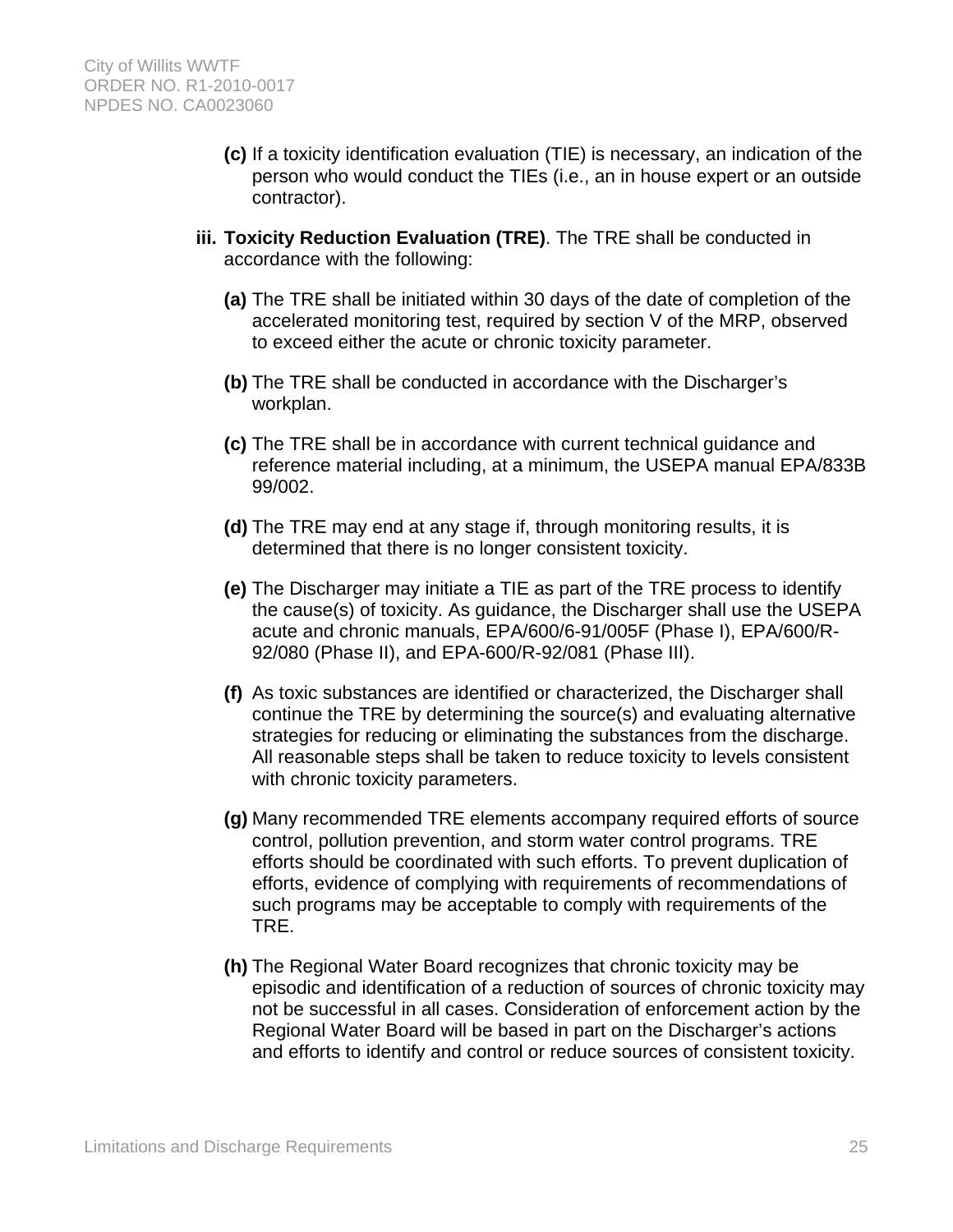- **(c)** If a toxicity identification evaluation (TIE) is necessary, an indication of the person who would conduct the TIEs (i.e., an in house expert or an outside contractor).
- **iii. Toxicity Reduction Evaluation (TRE)**. The TRE shall be conducted in accordance with the following:
	- **(a)** The TRE shall be initiated within 30 days of the date of completion of the accelerated monitoring test, required by section V of the MRP, observed to exceed either the acute or chronic toxicity parameter.
	- **(b)** The TRE shall be conducted in accordance with the Discharger's workplan.
	- **(c)** The TRE shall be in accordance with current technical guidance and reference material including, at a minimum, the USEPA manual EPA/833B 99/002.
	- **(d)** The TRE may end at any stage if, through monitoring results, it is determined that there is no longer consistent toxicity.
	- **(e)** The Discharger may initiate a TIE as part of the TRE process to identify the cause(s) of toxicity. As guidance, the Discharger shall use the USEPA acute and chronic manuals, EPA/600/6-91/005F (Phase I), EPA/600/R-92/080 (Phase II), and EPA-600/R-92/081 (Phase III).
	- **(f)** As toxic substances are identified or characterized, the Discharger shall continue the TRE by determining the source(s) and evaluating alternative strategies for reducing or eliminating the substances from the discharge. All reasonable steps shall be taken to reduce toxicity to levels consistent with chronic toxicity parameters.
	- **(g)** Many recommended TRE elements accompany required efforts of source control, pollution prevention, and storm water control programs. TRE efforts should be coordinated with such efforts. To prevent duplication of efforts, evidence of complying with requirements of recommendations of such programs may be acceptable to comply with requirements of the TRE.
	- **(h)** The Regional Water Board recognizes that chronic toxicity may be episodic and identification of a reduction of sources of chronic toxicity may not be successful in all cases. Consideration of enforcement action by the Regional Water Board will be based in part on the Discharger's actions and efforts to identify and control or reduce sources of consistent toxicity.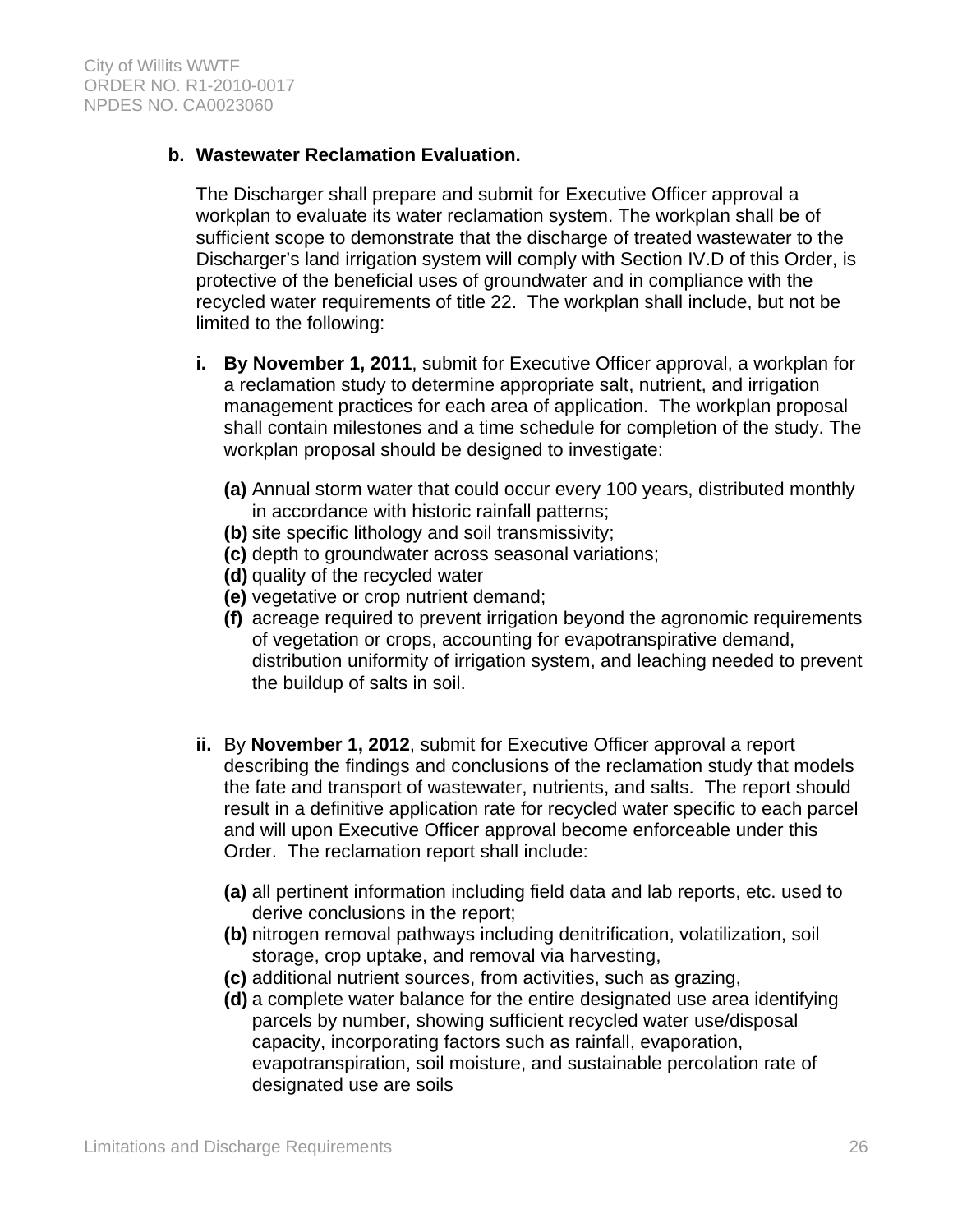### **b. Wastewater Reclamation Evaluation.**

The Discharger shall prepare and submit for Executive Officer approval a workplan to evaluate its water reclamation system. The workplan shall be of sufficient scope to demonstrate that the discharge of treated wastewater to the Discharger's land irrigation system will comply with Section IV.D of this Order, is protective of the beneficial uses of groundwater and in compliance with the recycled water requirements of title 22. The workplan shall include, but not be limited to the following:

- **i. By November 1, 2011**, submit for Executive Officer approval, a workplan for a reclamation study to determine appropriate salt, nutrient, and irrigation management practices for each area of application. The workplan proposal shall contain milestones and a time schedule for completion of the study. The workplan proposal should be designed to investigate:
	- **(a)** Annual storm water that could occur every 100 years, distributed monthly in accordance with historic rainfall patterns;
	- **(b)** site specific lithology and soil transmissivity;
	- **(c)** depth to groundwater across seasonal variations;
	- **(d)** quality of the recycled water
	- **(e)** vegetative or crop nutrient demand;
	- **(f)** acreage required to prevent irrigation beyond the agronomic requirements of vegetation or crops, accounting for evapotranspirative demand, distribution uniformity of irrigation system, and leaching needed to prevent the buildup of salts in soil.
- **ii.** By **November 1, 2012**, submit for Executive Officer approval a report describing the findings and conclusions of the reclamation study that models the fate and transport of wastewater, nutrients, and salts. The report should result in a definitive application rate for recycled water specific to each parcel and will upon Executive Officer approval become enforceable under this Order. The reclamation report shall include:
	- **(a)** all pertinent information including field data and lab reports, etc. used to derive conclusions in the report;
	- **(b)** nitrogen removal pathways including denitrification, volatilization, soil storage, crop uptake, and removal via harvesting,
	- **(c)** additional nutrient sources, from activities, such as grazing,
	- **(d)** a complete water balance for the entire designated use area identifying parcels by number, showing sufficient recycled water use/disposal capacity, incorporating factors such as rainfall, evaporation, evapotranspiration, soil moisture, and sustainable percolation rate of designated use are soils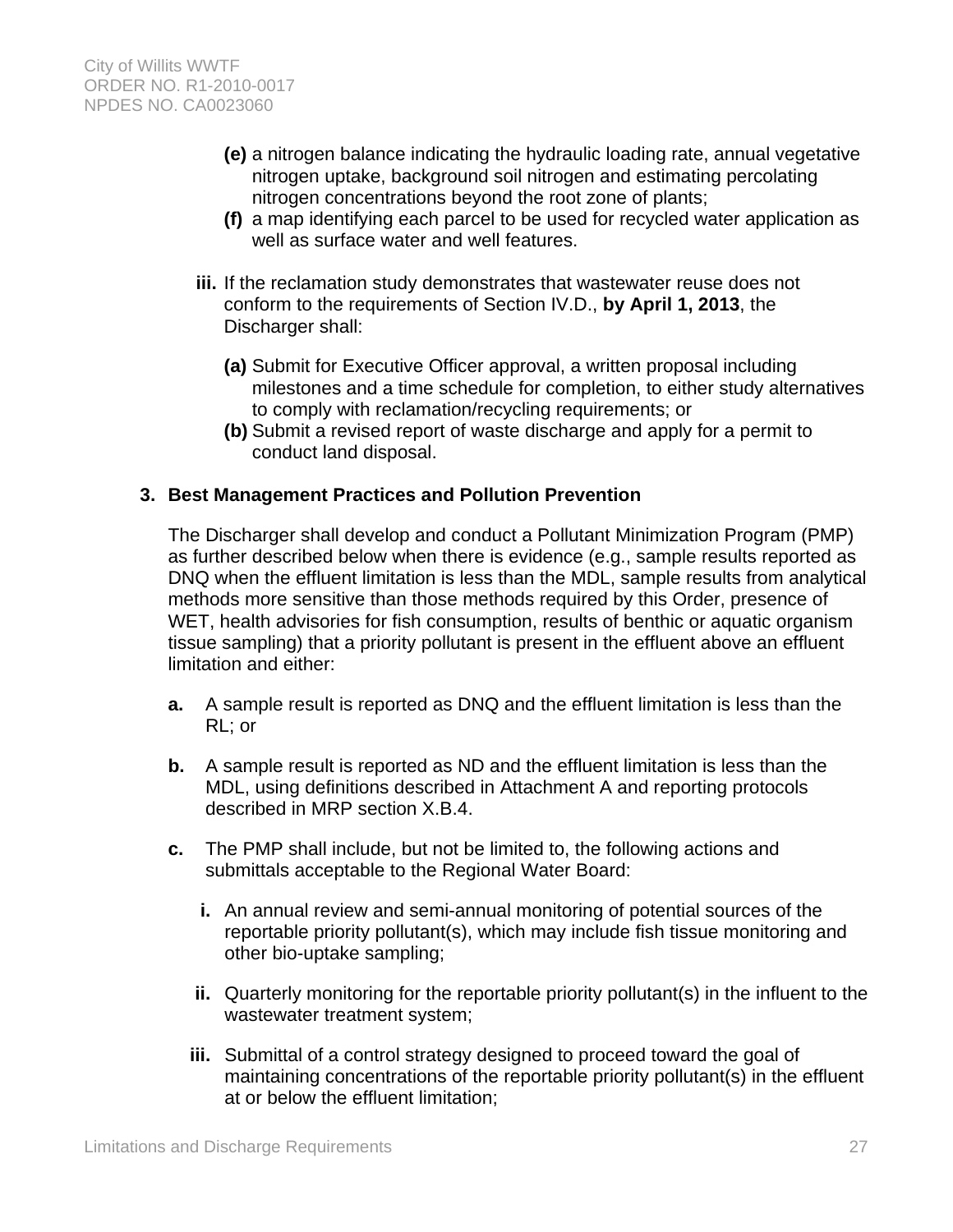- **(e)** a nitrogen balance indicating the hydraulic loading rate, annual vegetative nitrogen uptake, background soil nitrogen and estimating percolating nitrogen concentrations beyond the root zone of plants;
- **(f)** a map identifying each parcel to be used for recycled water application as well as surface water and well features.
- **iii.** If the reclamation study demonstrates that wastewater reuse does not conform to the requirements of Section IV.D., **by April 1, 2013**, the Discharger shall:
	- **(a)** Submit for Executive Officer approval, a written proposal including milestones and a time schedule for completion, to either study alternatives to comply with reclamation/recycling requirements; or
	- **(b)** Submit a revised report of waste discharge and apply for a permit to conduct land disposal.

### **3. Best Management Practices and Pollution Prevention**

The Discharger shall develop and conduct a Pollutant Minimization Program (PMP) as further described below when there is evidence (e.g., sample results reported as DNQ when the effluent limitation is less than the MDL, sample results from analytical methods more sensitive than those methods required by this Order, presence of WET, health advisories for fish consumption, results of benthic or aquatic organism tissue sampling) that a priority pollutant is present in the effluent above an effluent limitation and either:

- **a.** A sample result is reported as DNQ and the effluent limitation is less than the RL; or
- **b.** A sample result is reported as ND and the effluent limitation is less than the MDL, using definitions described in Attachment A and reporting protocols described in MRP section X.B.4.
- **c.** The PMP shall include, but not be limited to, the following actions and submittals acceptable to the Regional Water Board:
	- **i.** An annual review and semi-annual monitoring of potential sources of the reportable priority pollutant(s), which may include fish tissue monitoring and other bio-uptake sampling;
	- **ii.** Quarterly monitoring for the reportable priority pollutant(s) in the influent to the wastewater treatment system;
	- **iii.** Submittal of a control strategy designed to proceed toward the goal of maintaining concentrations of the reportable priority pollutant(s) in the effluent at or below the effluent limitation;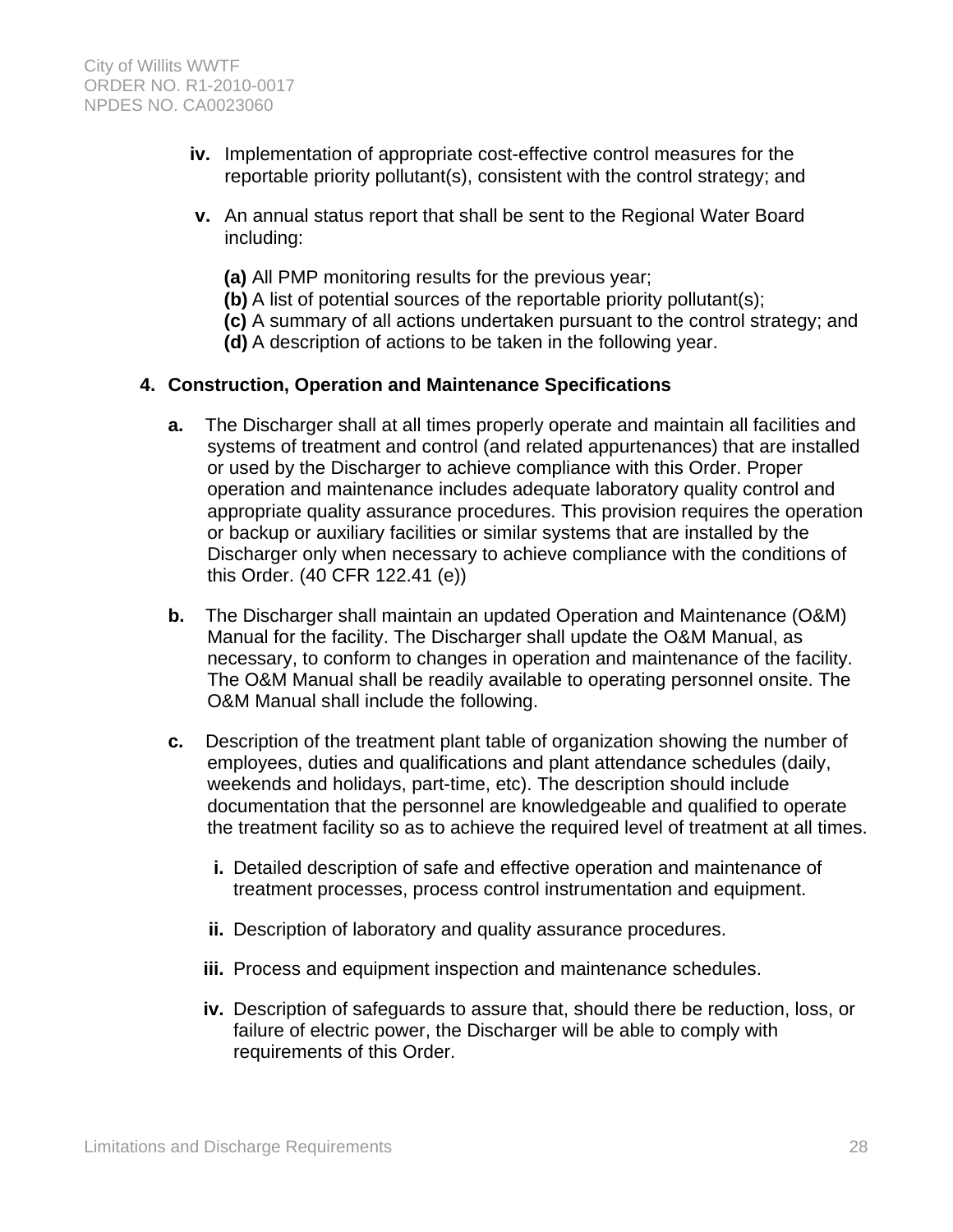- **iv.** Implementation of appropriate cost-effective control measures for the reportable priority pollutant(s), consistent with the control strategy; and
- **v.** An annual status report that shall be sent to the Regional Water Board including:
	- **(a)** All PMP monitoring results for the previous year;
	- **(b)** A list of potential sources of the reportable priority pollutant(s);
	- **(c)** A summary of all actions undertaken pursuant to the control strategy; and
	- **(d)** A description of actions to be taken in the following year.

### **4. Construction, Operation and Maintenance Specifications**

- **a.** The Discharger shall at all times properly operate and maintain all facilities and systems of treatment and control (and related appurtenances) that are installed or used by the Discharger to achieve compliance with this Order. Proper operation and maintenance includes adequate laboratory quality control and appropriate quality assurance procedures. This provision requires the operation or backup or auxiliary facilities or similar systems that are installed by the Discharger only when necessary to achieve compliance with the conditions of this Order. (40 CFR 122.41 (e))
- **b.** The Discharger shall maintain an updated Operation and Maintenance (O&M) Manual for the facility. The Discharger shall update the O&M Manual, as necessary, to conform to changes in operation and maintenance of the facility. The O&M Manual shall be readily available to operating personnel onsite. The O&M Manual shall include the following.
- **c.** Description of the treatment plant table of organization showing the number of employees, duties and qualifications and plant attendance schedules (daily, weekends and holidays, part-time, etc). The description should include documentation that the personnel are knowledgeable and qualified to operate the treatment facility so as to achieve the required level of treatment at all times.
	- **i.** Detailed description of safe and effective operation and maintenance of treatment processes, process control instrumentation and equipment.
	- **ii.** Description of laboratory and quality assurance procedures.
	- **iii.** Process and equipment inspection and maintenance schedules.
	- **iv.** Description of safeguards to assure that, should there be reduction, loss, or failure of electric power, the Discharger will be able to comply with requirements of this Order.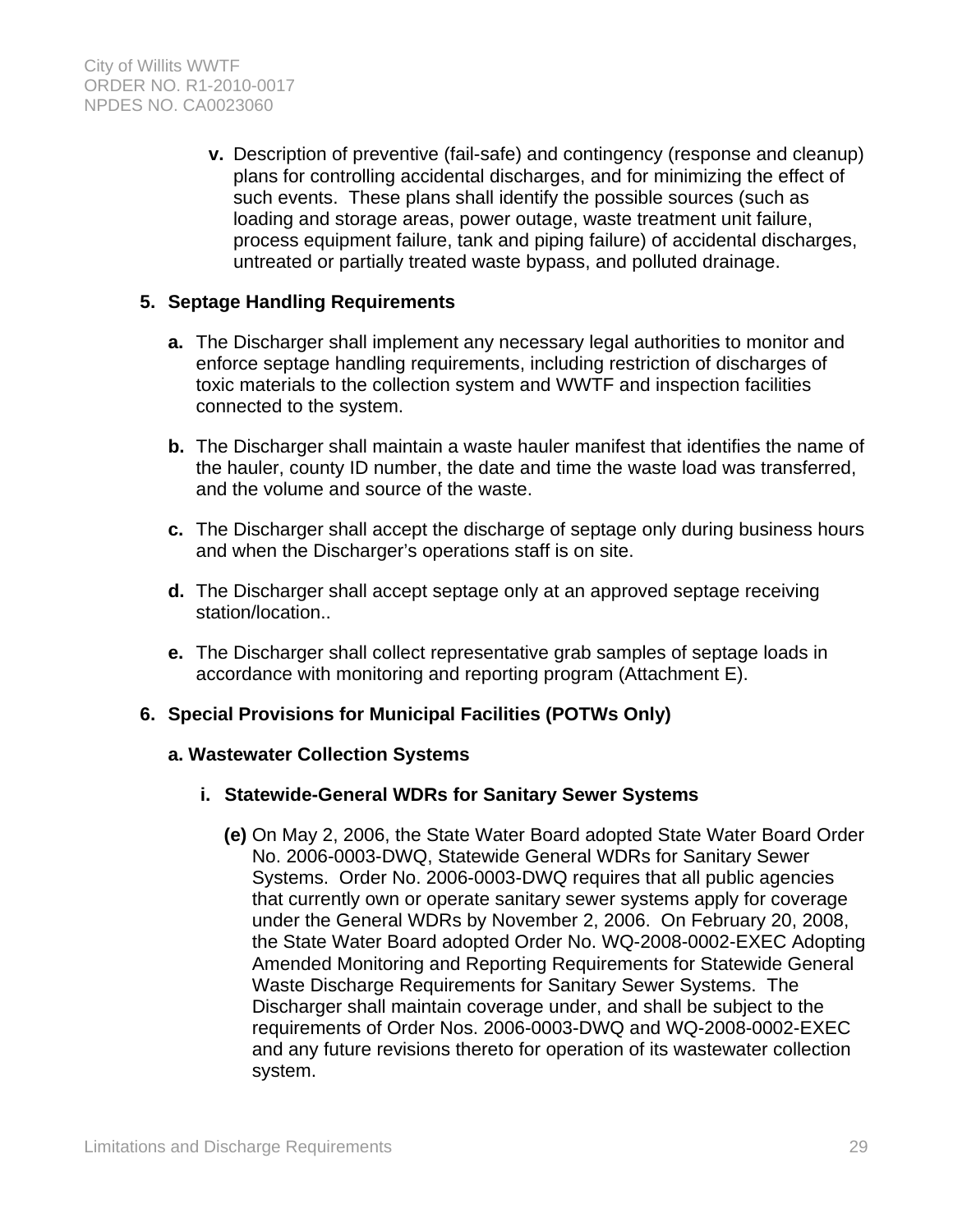**v.** Description of preventive (fail-safe) and contingency (response and cleanup) plans for controlling accidental discharges, and for minimizing the effect of such events. These plans shall identify the possible sources (such as loading and storage areas, power outage, waste treatment unit failure, process equipment failure, tank and piping failure) of accidental discharges, untreated or partially treated waste bypass, and polluted drainage.

### **5. Septage Handling Requirements**

- **a.** The Discharger shall implement any necessary legal authorities to monitor and enforce septage handling requirements, including restriction of discharges of toxic materials to the collection system and WWTF and inspection facilities connected to the system.
- **b.** The Discharger shall maintain a waste hauler manifest that identifies the name of the hauler, county ID number, the date and time the waste load was transferred, and the volume and source of the waste.
- **c.** The Discharger shall accept the discharge of septage only during business hours and when the Discharger's operations staff is on site.
- **d.** The Discharger shall accept septage only at an approved septage receiving station/location..
- **e.** The Discharger shall collect representative grab samples of septage loads in accordance with monitoring and reporting program (Attachment E).

### **6. Special Provisions for Municipal Facilities (POTWs Only)**

#### **a. Wastewater Collection Systems**

- **i. Statewide-General WDRs for Sanitary Sewer Systems**
	- **(e)** On May 2, 2006, the State Water Board adopted State Water Board Order No. 2006-0003-DWQ, Statewide General WDRs for Sanitary Sewer Systems. Order No. 2006-0003-DWQ requires that all public agencies that currently own or operate sanitary sewer systems apply for coverage under the General WDRs by November 2, 2006. On February 20, 2008, the State Water Board adopted Order No. WQ-2008-0002-EXEC Adopting Amended Monitoring and Reporting Requirements for Statewide General Waste Discharge Requirements for Sanitary Sewer Systems. The Discharger shall maintain coverage under, and shall be subject to the requirements of Order Nos. 2006-0003-DWQ and WQ-2008-0002-EXEC and any future revisions thereto for operation of its wastewater collection system.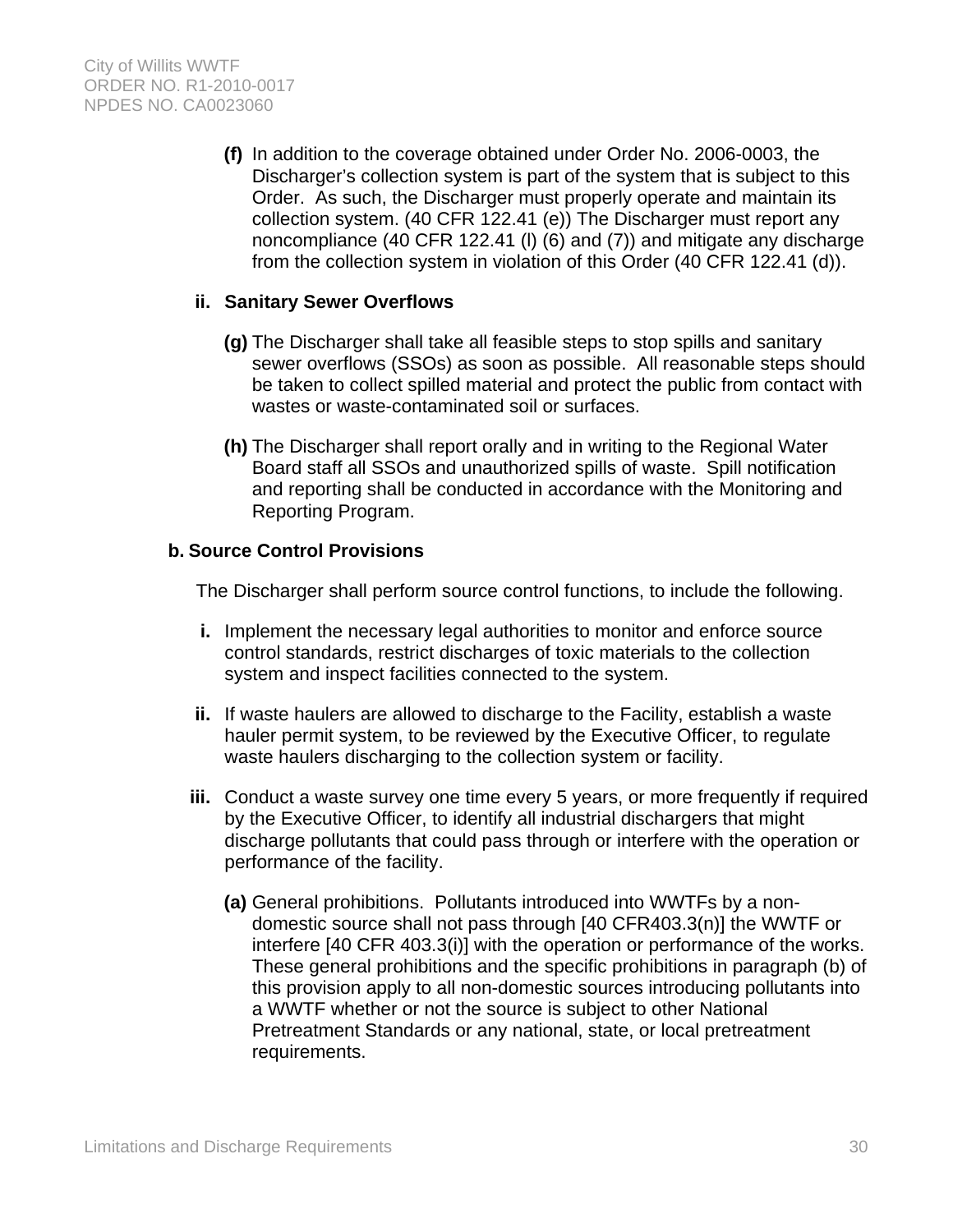**(f)** In addition to the coverage obtained under Order No. 2006-0003, the Discharger's collection system is part of the system that is subject to this Order. As such, the Discharger must properly operate and maintain its collection system. (40 CFR 122.41 (e)) The Discharger must report any noncompliance (40 CFR 122.41 (l) (6) and (7)) and mitigate any discharge from the collection system in violation of this Order (40 CFR 122.41 (d)).

### **ii. Sanitary Sewer Overflows**

- **(g)** The Discharger shall take all feasible steps to stop spills and sanitary sewer overflows (SSOs) as soon as possible. All reasonable steps should be taken to collect spilled material and protect the public from contact with wastes or waste-contaminated soil or surfaces.
- **(h)** The Discharger shall report orally and in writing to the Regional Water Board staff all SSOs and unauthorized spills of waste. Spill notification and reporting shall be conducted in accordance with the Monitoring and Reporting Program.

### **b. Source Control Provisions**

The Discharger shall perform source control functions, to include the following.

- **i.** Implement the necessary legal authorities to monitor and enforce source control standards, restrict discharges of toxic materials to the collection system and inspect facilities connected to the system.
- **ii.** If waste haulers are allowed to discharge to the Facility, establish a waste hauler permit system, to be reviewed by the Executive Officer, to regulate waste haulers discharging to the collection system or facility.
- **iii.** Conduct a waste survey one time every 5 years, or more frequently if required by the Executive Officer, to identify all industrial dischargers that might discharge pollutants that could pass through or interfere with the operation or performance of the facility.
	- **(a)** General prohibitions. Pollutants introduced into WWTFs by a nondomestic source shall not pass through [40 CFR403.3(n)] the WWTF or interfere [40 CFR 403.3(i)] with the operation or performance of the works. These general prohibitions and the specific prohibitions in paragraph (b) of this provision apply to all non-domestic sources introducing pollutants into a WWTF whether or not the source is subject to other National Pretreatment Standards or any national, state, or local pretreatment requirements.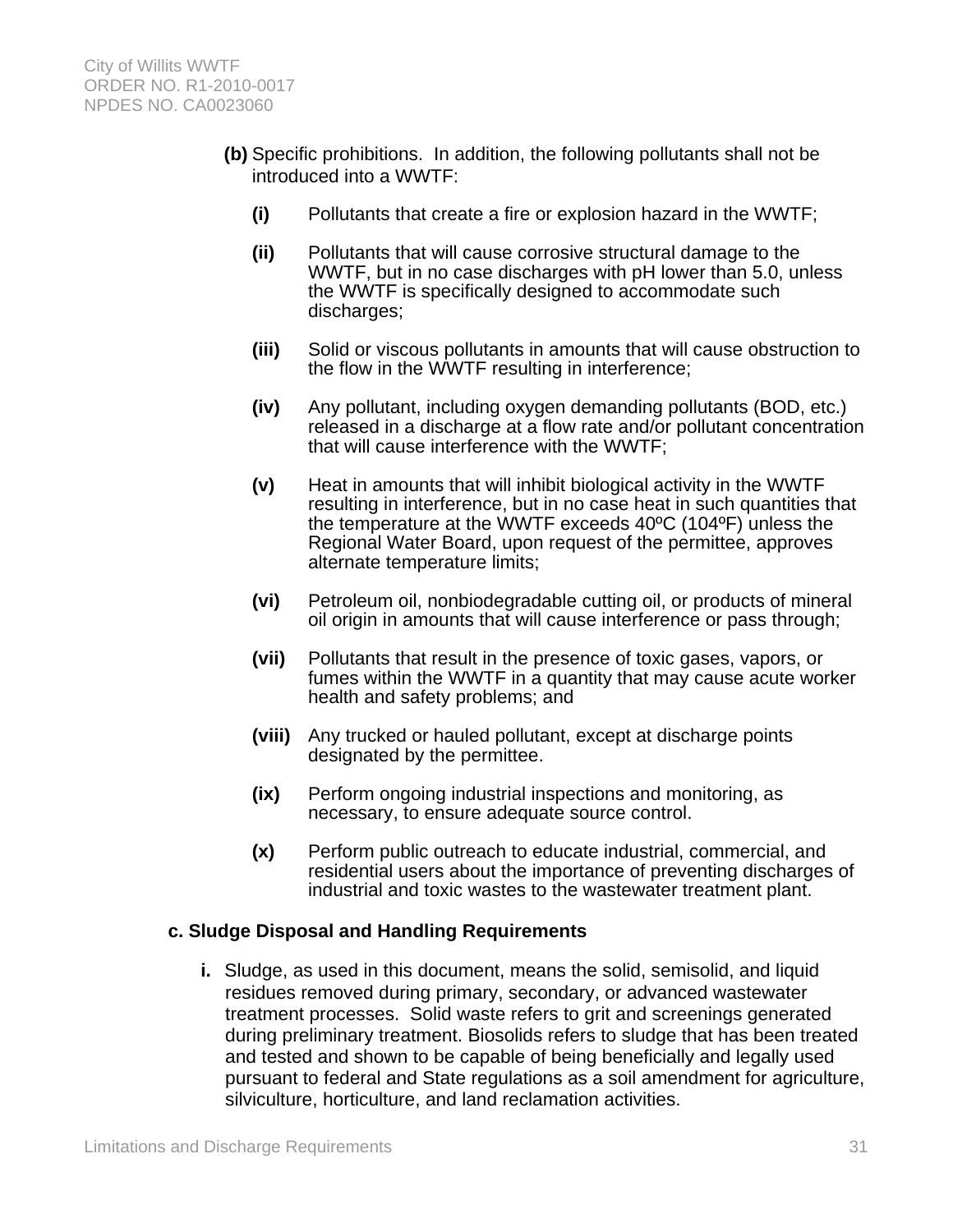- **(b)** Specific prohibitions. In addition, the following pollutants shall not be introduced into a WWTF:
	- **(i)** Pollutants that create a fire or explosion hazard in the WWTF;
	- **(ii)** Pollutants that will cause corrosive structural damage to the WWTF, but in no case discharges with pH lower than 5.0, unless the WWTF is specifically designed to accommodate such discharges;
	- **(iii)** Solid or viscous pollutants in amounts that will cause obstruction to the flow in the WWTF resulting in interference;
	- **(iv)** Any pollutant, including oxygen demanding pollutants (BOD, etc.) released in a discharge at a flow rate and/or pollutant concentration that will cause interference with the WWTF;
	- **(v)** Heat in amounts that will inhibit biological activity in the WWTF resulting in interference, but in no case heat in such quantities that the temperature at the WWTF exceeds 40ºC (104ºF) unless the Regional Water Board, upon request of the permittee, approves alternate temperature limits;
	- **(vi)** Petroleum oil, nonbiodegradable cutting oil, or products of mineral oil origin in amounts that will cause interference or pass through;
	- **(vii)** Pollutants that result in the presence of toxic gases, vapors, or fumes within the WWTF in a quantity that may cause acute worker health and safety problems; and
	- **(viii)** Any trucked or hauled pollutant, except at discharge points designated by the permittee.
	- **(ix)** Perform ongoing industrial inspections and monitoring, as necessary, to ensure adequate source control.
	- **(x)** Perform public outreach to educate industrial, commercial, and residential users about the importance of preventing discharges of industrial and toxic wastes to the wastewater treatment plant.

#### **c. Sludge Disposal and Handling Requirements**

**i.** Sludge, as used in this document, means the solid, semisolid, and liquid residues removed during primary, secondary, or advanced wastewater treatment processes. Solid waste refers to grit and screenings generated during preliminary treatment. Biosolids refers to sludge that has been treated and tested and shown to be capable of being beneficially and legally used pursuant to federal and State regulations as a soil amendment for agriculture, silviculture, horticulture, and land reclamation activities.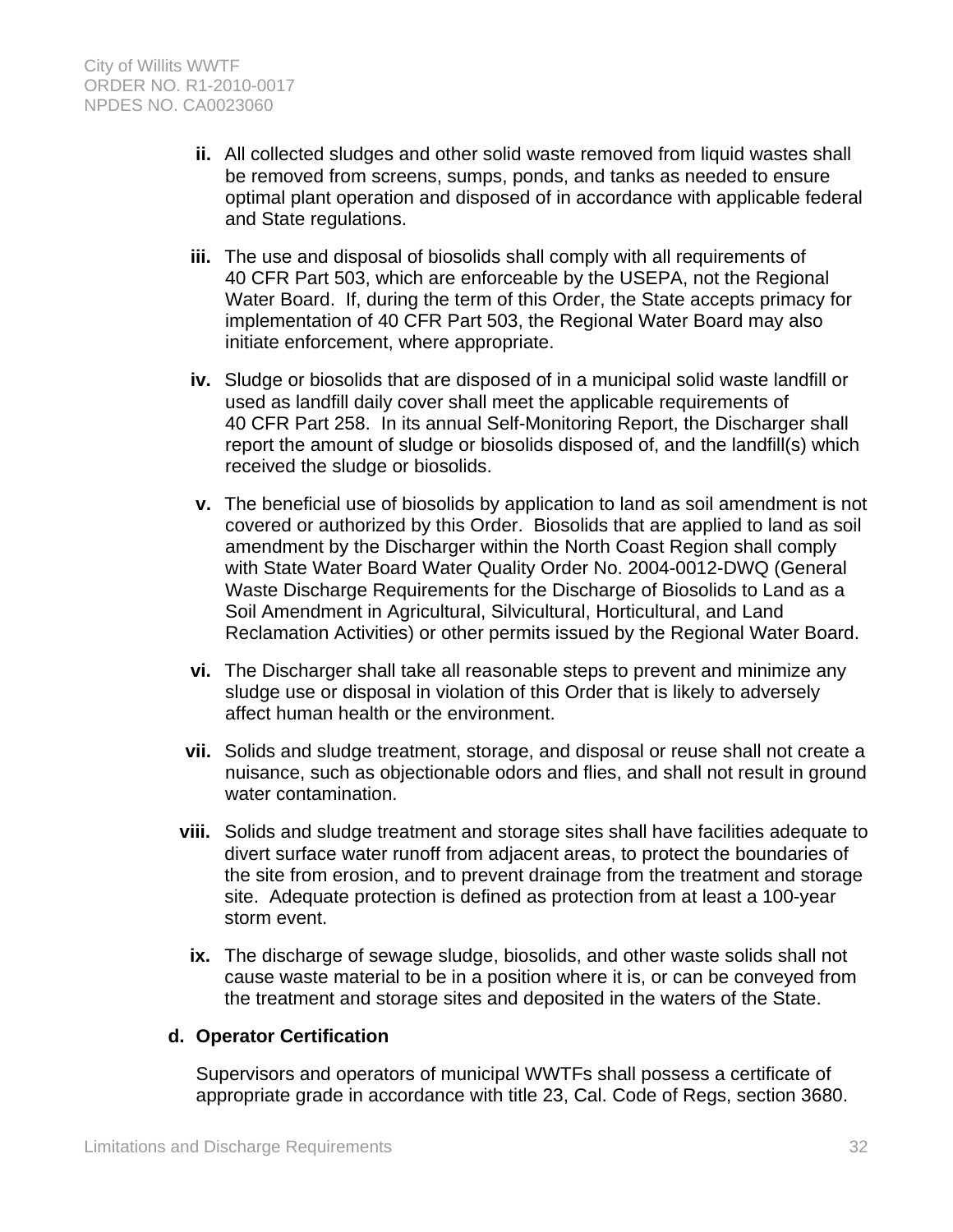- **ii.** All collected sludges and other solid waste removed from liquid wastes shall be removed from screens, sumps, ponds, and tanks as needed to ensure optimal plant operation and disposed of in accordance with applicable federal and State regulations.
- **iii.** The use and disposal of biosolids shall comply with all requirements of 40 CFR Part 503, which are enforceable by the USEPA, not the Regional Water Board. If, during the term of this Order, the State accepts primacy for implementation of 40 CFR Part 503, the Regional Water Board may also initiate enforcement, where appropriate.
- **iv.** Sludge or biosolids that are disposed of in a municipal solid waste landfill or used as landfill daily cover shall meet the applicable requirements of 40 CFR Part 258. In its annual Self-Monitoring Report, the Discharger shall report the amount of sludge or biosolids disposed of, and the landfill(s) which received the sludge or biosolids.
- **v.** The beneficial use of biosolids by application to land as soil amendment is not covered or authorized by this Order. Biosolids that are applied to land as soil amendment by the Discharger within the North Coast Region shall comply with State Water Board Water Quality Order No. 2004-0012-DWQ (General Waste Discharge Requirements for the Discharge of Biosolids to Land as a Soil Amendment in Agricultural, Silvicultural, Horticultural, and Land Reclamation Activities) or other permits issued by the Regional Water Board.
- **vi.** The Discharger shall take all reasonable steps to prevent and minimize any sludge use or disposal in violation of this Order that is likely to adversely affect human health or the environment.
- **vii.** Solids and sludge treatment, storage, and disposal or reuse shall not create a nuisance, such as objectionable odors and flies, and shall not result in ground water contamination.
- **viii.** Solids and sludge treatment and storage sites shall have facilities adequate to divert surface water runoff from adjacent areas, to protect the boundaries of the site from erosion, and to prevent drainage from the treatment and storage site. Adequate protection is defined as protection from at least a 100-year storm event.
	- **ix.** The discharge of sewage sludge, biosolids, and other waste solids shall not cause waste material to be in a position where it is, or can be conveyed from the treatment and storage sites and deposited in the waters of the State.

### **d. Operator Certification**

Supervisors and operators of municipal WWTFs shall possess a certificate of appropriate grade in accordance with title 23, Cal. Code of Regs, section 3680.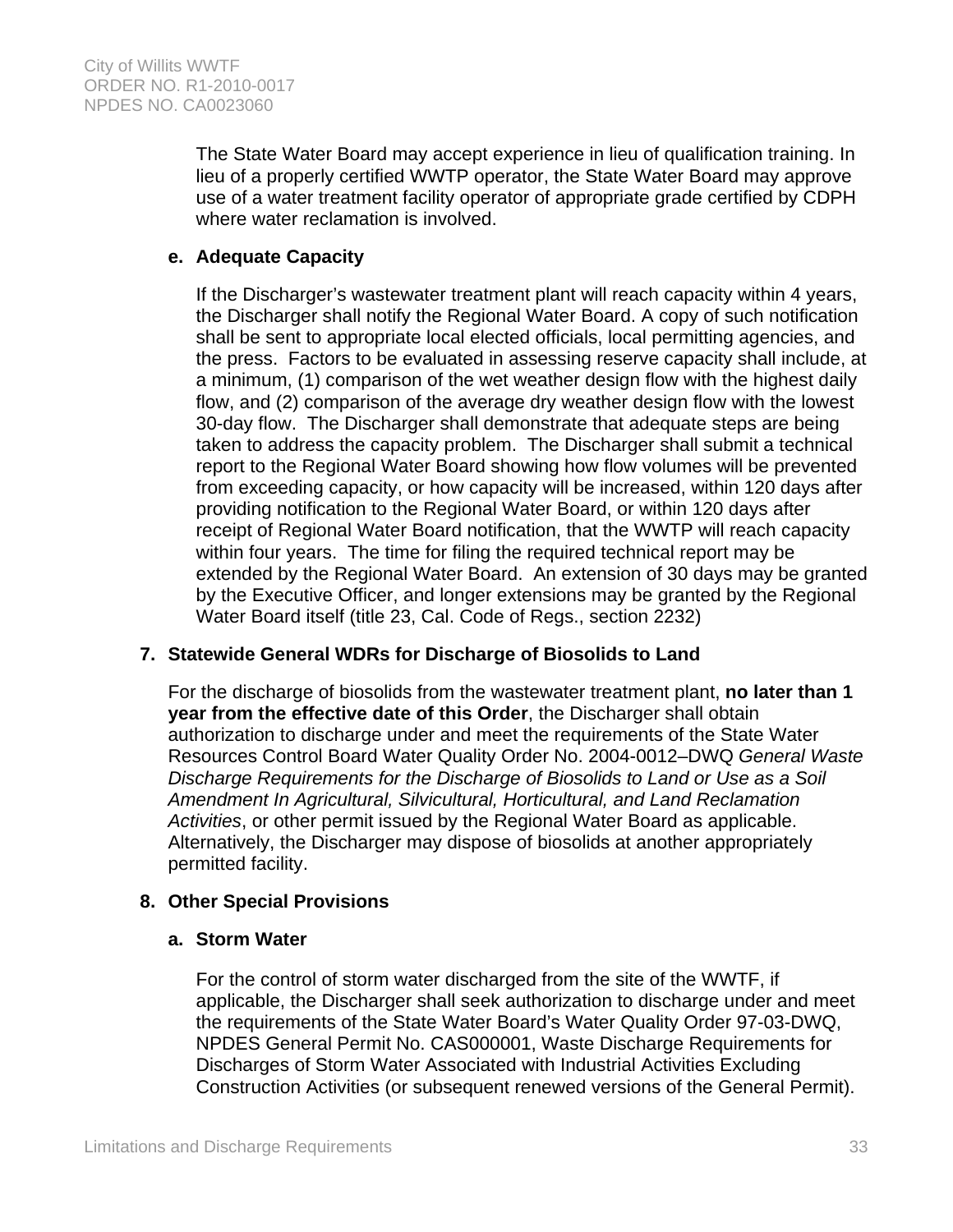The State Water Board may accept experience in lieu of qualification training. In lieu of a properly certified WWTP operator, the State Water Board may approve use of a water treatment facility operator of appropriate grade certified by CDPH where water reclamation is involved.

### **e. Adequate Capacity**

If the Discharger's wastewater treatment plant will reach capacity within 4 years, the Discharger shall notify the Regional Water Board. A copy of such notification shall be sent to appropriate local elected officials, local permitting agencies, and the press. Factors to be evaluated in assessing reserve capacity shall include, at a minimum, (1) comparison of the wet weather design flow with the highest daily flow, and (2) comparison of the average dry weather design flow with the lowest 30-day flow. The Discharger shall demonstrate that adequate steps are being taken to address the capacity problem. The Discharger shall submit a technical report to the Regional Water Board showing how flow volumes will be prevented from exceeding capacity, or how capacity will be increased, within 120 days after providing notification to the Regional Water Board, or within 120 days after receipt of Regional Water Board notification, that the WWTP will reach capacity within four years. The time for filing the required technical report may be extended by the Regional Water Board. An extension of 30 days may be granted by the Executive Officer, and longer extensions may be granted by the Regional Water Board itself (title 23, Cal. Code of Regs., section 2232)

# **7. Statewide General WDRs for Discharge of Biosolids to Land**

For the discharge of biosolids from the wastewater treatment plant, **no later than 1 year from the effective date of this Order**, the Discharger shall obtain authorization to discharge under and meet the requirements of the State Water Resources Control Board Water Quality Order No. 2004-0012–DWQ *General Waste Discharge Requirements for the Discharge of Biosolids to Land or Use as a Soil Amendment In Agricultural, Silvicultural, Horticultural, and Land Reclamation Activities*, or other permit issued by the Regional Water Board as applicable. Alternatively, the Discharger may dispose of biosolids at another appropriately permitted facility.

# **8. Other Special Provisions**

### **a. Storm Water**

For the control of storm water discharged from the site of the WWTF, if applicable, the Discharger shall seek authorization to discharge under and meet the requirements of the State Water Board's Water Quality Order 97-03-DWQ, NPDES General Permit No. CAS000001, Waste Discharge Requirements for Discharges of Storm Water Associated with Industrial Activities Excluding Construction Activities (or subsequent renewed versions of the General Permit).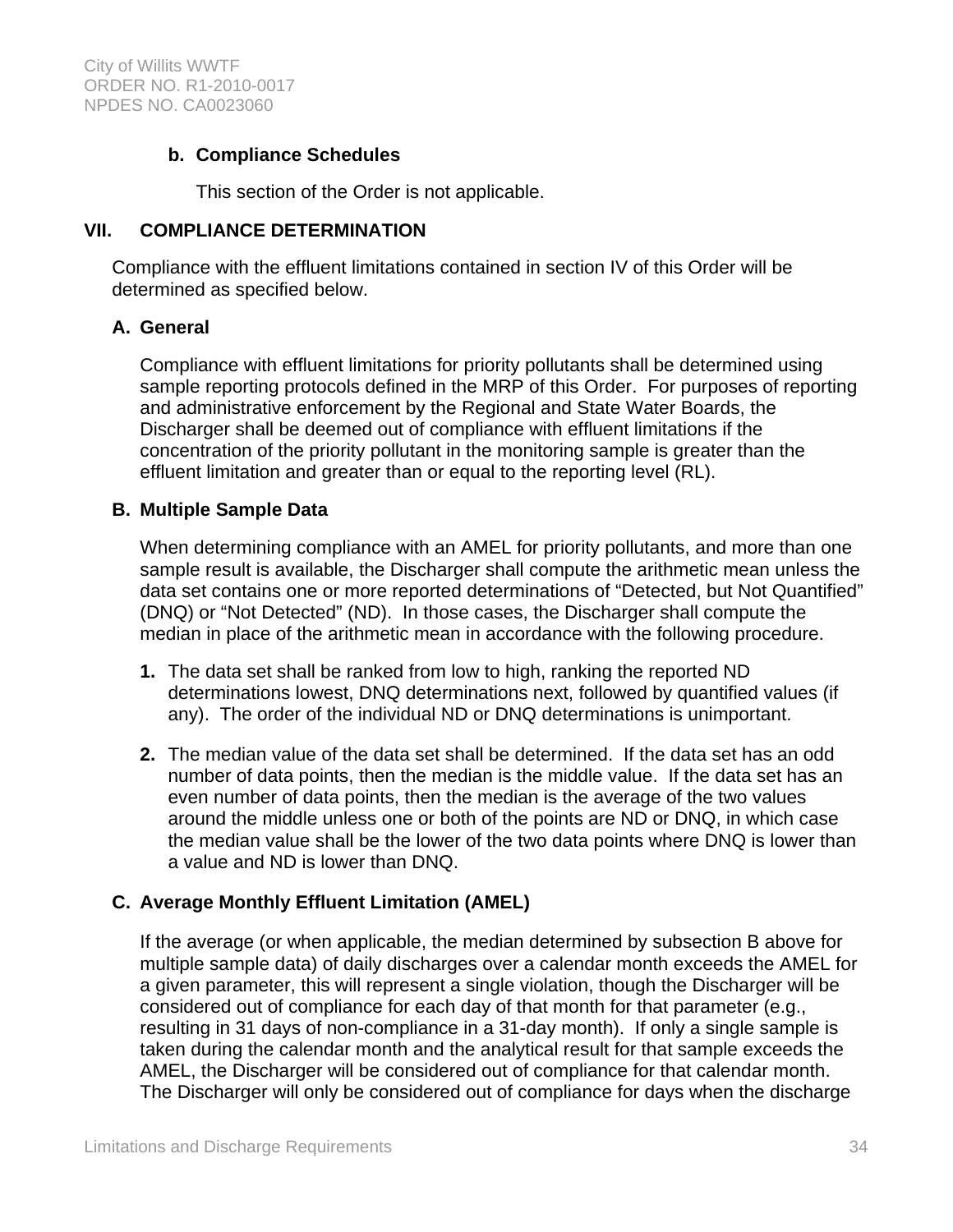### **b. Compliance Schedules**

This section of the Order is not applicable.

#### **VII. COMPLIANCE DETERMINATION**

Compliance with the effluent limitations contained in section IV of this Order will be determined as specified below.

### **A. General**

Compliance with effluent limitations for priority pollutants shall be determined using sample reporting protocols defined in the MRP of this Order. For purposes of reporting and administrative enforcement by the Regional and State Water Boards, the Discharger shall be deemed out of compliance with effluent limitations if the concentration of the priority pollutant in the monitoring sample is greater than the effluent limitation and greater than or equal to the reporting level (RL).

### **B. Multiple Sample Data**

When determining compliance with an AMEL for priority pollutants, and more than one sample result is available, the Discharger shall compute the arithmetic mean unless the data set contains one or more reported determinations of "Detected, but Not Quantified" (DNQ) or "Not Detected" (ND). In those cases, the Discharger shall compute the median in place of the arithmetic mean in accordance with the following procedure.

- **1.** The data set shall be ranked from low to high, ranking the reported ND determinations lowest, DNQ determinations next, followed by quantified values (if any). The order of the individual ND or DNQ determinations is unimportant.
- **2.** The median value of the data set shall be determined. If the data set has an odd number of data points, then the median is the middle value. If the data set has an even number of data points, then the median is the average of the two values around the middle unless one or both of the points are ND or DNQ, in which case the median value shall be the lower of the two data points where DNQ is lower than a value and ND is lower than DNQ.

# **C. Average Monthly Effluent Limitation (AMEL)**

If the average (or when applicable, the median determined by subsection B above for multiple sample data) of daily discharges over a calendar month exceeds the AMEL for a given parameter, this will represent a single violation, though the Discharger will be considered out of compliance for each day of that month for that parameter (e.g., resulting in 31 days of non-compliance in a 31-day month). If only a single sample is taken during the calendar month and the analytical result for that sample exceeds the AMEL, the Discharger will be considered out of compliance for that calendar month. The Discharger will only be considered out of compliance for days when the discharge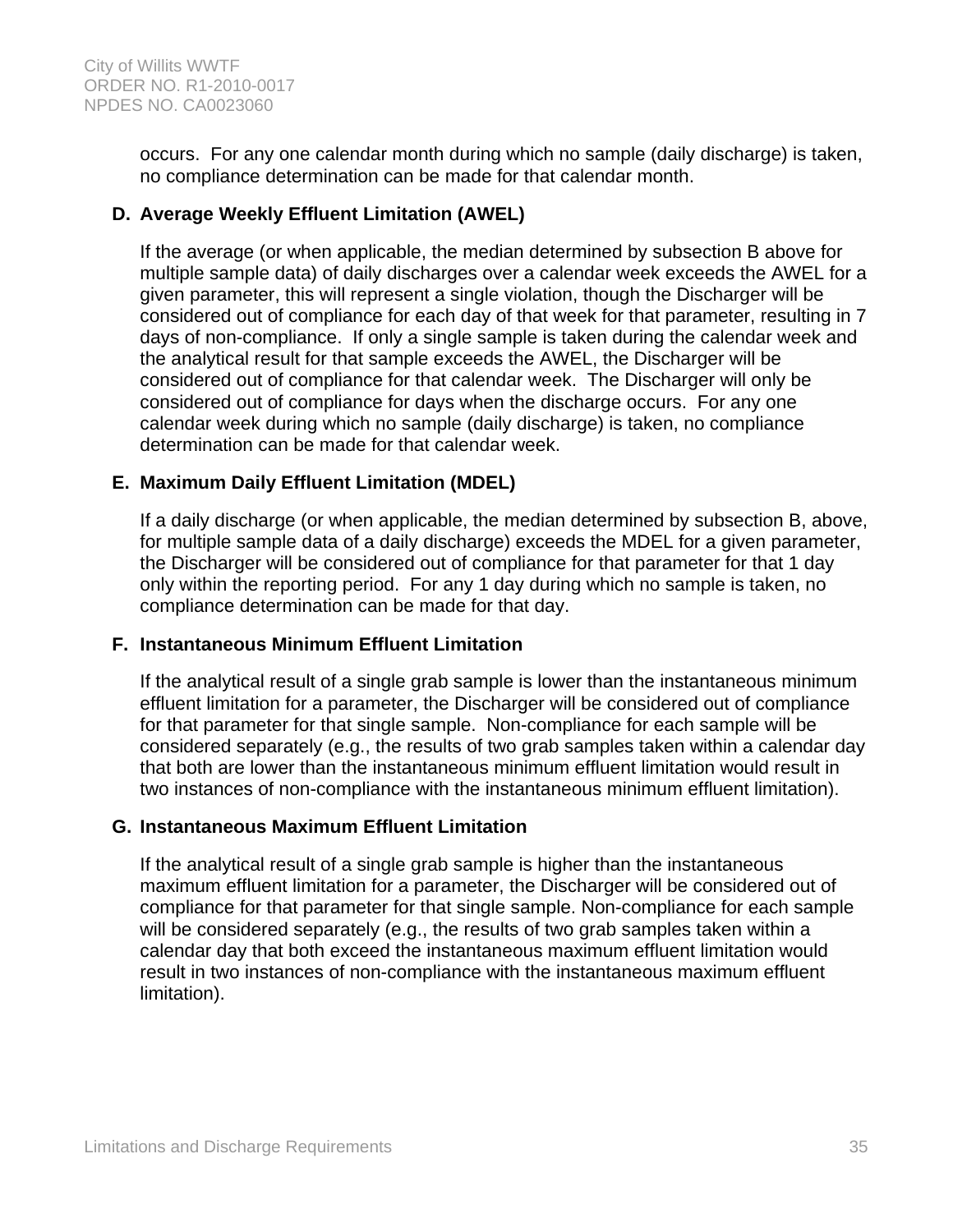occurs. For any one calendar month during which no sample (daily discharge) is taken, no compliance determination can be made for that calendar month.

### **D. Average Weekly Effluent Limitation (AWEL)**

If the average (or when applicable, the median determined by subsection B above for multiple sample data) of daily discharges over a calendar week exceeds the AWEL for a given parameter, this will represent a single violation, though the Discharger will be considered out of compliance for each day of that week for that parameter, resulting in 7 days of non-compliance. If only a single sample is taken during the calendar week and the analytical result for that sample exceeds the AWEL, the Discharger will be considered out of compliance for that calendar week. The Discharger will only be considered out of compliance for days when the discharge occurs. For any one calendar week during which no sample (daily discharge) is taken, no compliance determination can be made for that calendar week.

### **E. Maximum Daily Effluent Limitation (MDEL)**

If a daily discharge (or when applicable, the median determined by subsection B, above, for multiple sample data of a daily discharge) exceeds the MDEL for a given parameter, the Discharger will be considered out of compliance for that parameter for that 1 day only within the reporting period. For any 1 day during which no sample is taken, no compliance determination can be made for that day.

### **F. Instantaneous Minimum Effluent Limitation**

If the analytical result of a single grab sample is lower than the instantaneous minimum effluent limitation for a parameter, the Discharger will be considered out of compliance for that parameter for that single sample. Non-compliance for each sample will be considered separately (e.g., the results of two grab samples taken within a calendar day that both are lower than the instantaneous minimum effluent limitation would result in two instances of non-compliance with the instantaneous minimum effluent limitation).

### **G. Instantaneous Maximum Effluent Limitation**

If the analytical result of a single grab sample is higher than the instantaneous maximum effluent limitation for a parameter, the Discharger will be considered out of compliance for that parameter for that single sample. Non-compliance for each sample will be considered separately (e.g., the results of two grab samples taken within a calendar day that both exceed the instantaneous maximum effluent limitation would result in two instances of non-compliance with the instantaneous maximum effluent limitation).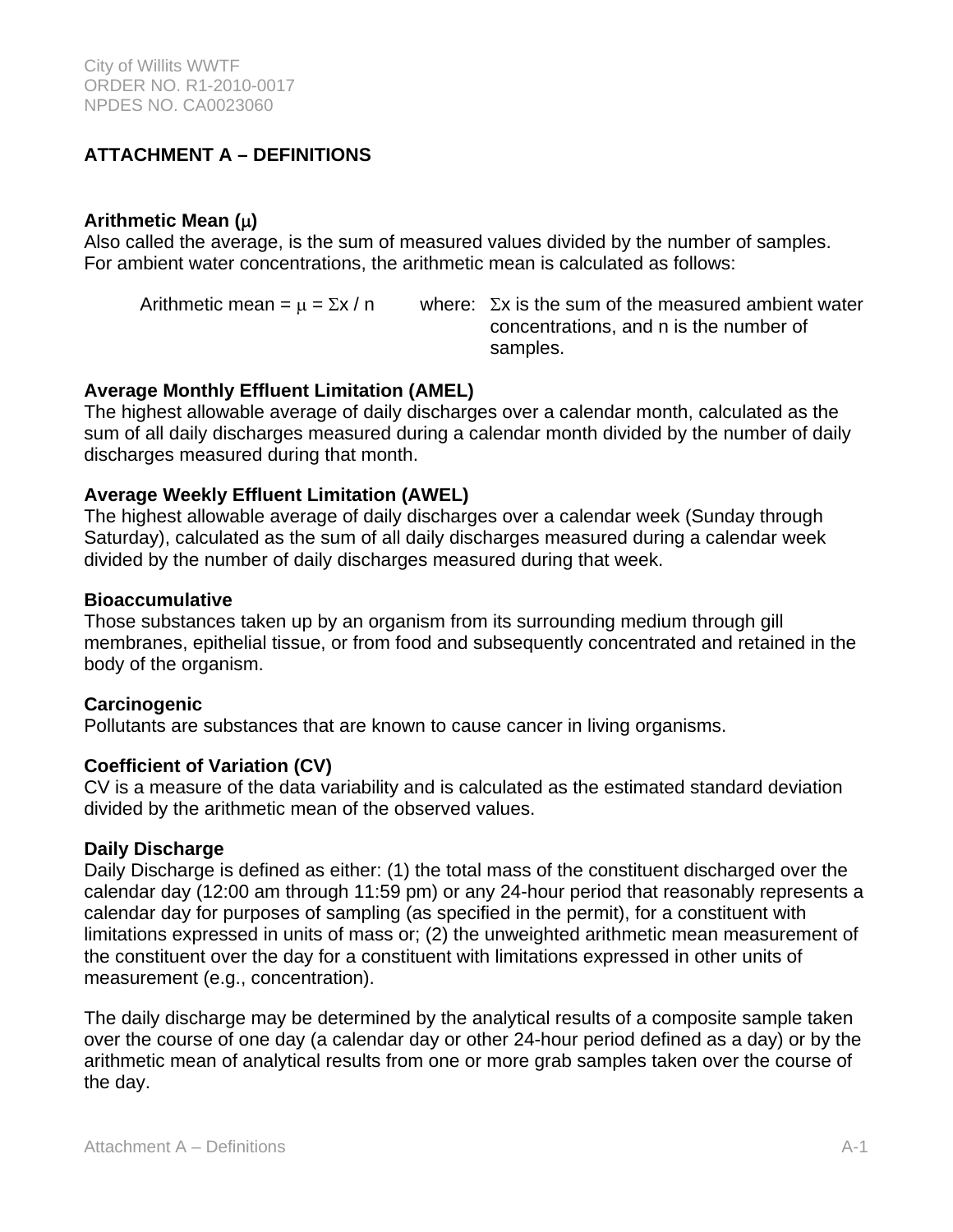# **ATTACHMENT A – DEFINITIONS**

### **Arithmetic Mean ()**

Also called the average, is the sum of measured values divided by the number of samples. For ambient water concentrations, the arithmetic mean is calculated as follows:

Arithmetic mean =  $\mu$  =  $\Sigma x / n$  where:  $\Sigma x$  is the sum of the measured ambient water concentrations, and n is the number of samples.

### **Average Monthly Effluent Limitation (AMEL)**

The highest allowable average of daily discharges over a calendar month, calculated as the sum of all daily discharges measured during a calendar month divided by the number of daily discharges measured during that month.

### **Average Weekly Effluent Limitation (AWEL)**

The highest allowable average of daily discharges over a calendar week (Sunday through Saturday), calculated as the sum of all daily discharges measured during a calendar week divided by the number of daily discharges measured during that week.

### **Bioaccumulative**

Those substances taken up by an organism from its surrounding medium through gill membranes, epithelial tissue, or from food and subsequently concentrated and retained in the body of the organism.

### **Carcinogenic**

Pollutants are substances that are known to cause cancer in living organisms.

### **Coefficient of Variation (CV)**

CV is a measure of the data variability and is calculated as the estimated standard deviation divided by the arithmetic mean of the observed values.

### **Daily Discharge**

Daily Discharge is defined as either: (1) the total mass of the constituent discharged over the calendar day (12:00 am through 11:59 pm) or any 24-hour period that reasonably represents a calendar day for purposes of sampling (as specified in the permit), for a constituent with limitations expressed in units of mass or; (2) the unweighted arithmetic mean measurement of the constituent over the day for a constituent with limitations expressed in other units of measurement (e.g., concentration).

The daily discharge may be determined by the analytical results of a composite sample taken over the course of one day (a calendar day or other 24-hour period defined as a day) or by the arithmetic mean of analytical results from one or more grab samples taken over the course of the day.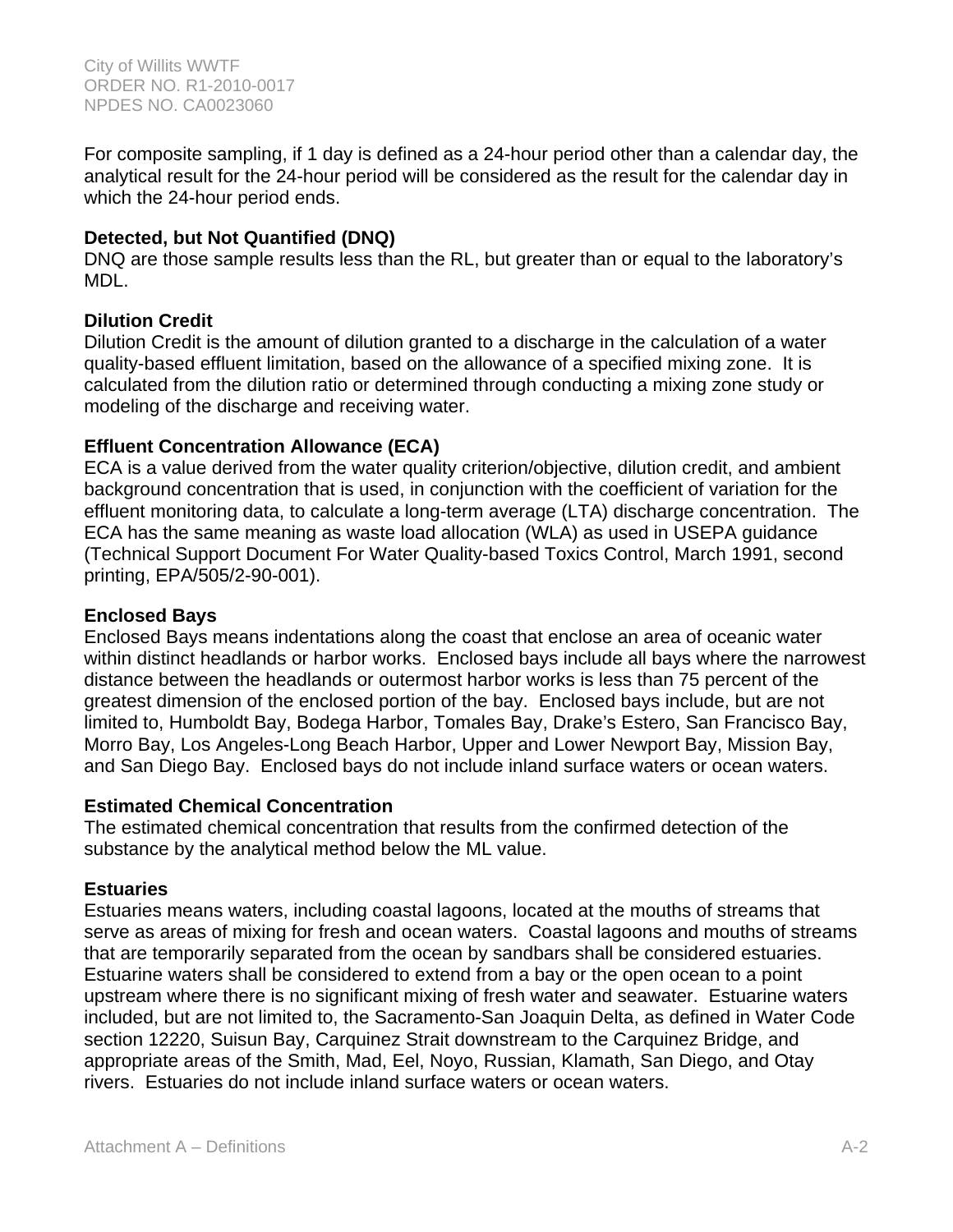For composite sampling, if 1 day is defined as a 24-hour period other than a calendar day, the analytical result for the 24-hour period will be considered as the result for the calendar day in which the 24-hour period ends.

## **Detected, but Not Quantified (DNQ)**

DNQ are those sample results less than the RL, but greater than or equal to the laboratory's MDL.

### **Dilution Credit**

Dilution Credit is the amount of dilution granted to a discharge in the calculation of a water quality-based effluent limitation, based on the allowance of a specified mixing zone. It is calculated from the dilution ratio or determined through conducting a mixing zone study or modeling of the discharge and receiving water.

### **Effluent Concentration Allowance (ECA)**

ECA is a value derived from the water quality criterion/objective, dilution credit, and ambient background concentration that is used, in conjunction with the coefficient of variation for the effluent monitoring data, to calculate a long-term average (LTA) discharge concentration. The ECA has the same meaning as waste load allocation (WLA) as used in USEPA guidance (Technical Support Document For Water Quality-based Toxics Control, March 1991, second printing, EPA/505/2-90-001).

### **Enclosed Bays**

Enclosed Bays means indentations along the coast that enclose an area of oceanic water within distinct headlands or harbor works. Enclosed bays include all bays where the narrowest distance between the headlands or outermost harbor works is less than 75 percent of the greatest dimension of the enclosed portion of the bay. Enclosed bays include, but are not limited to, Humboldt Bay, Bodega Harbor, Tomales Bay, Drake's Estero, San Francisco Bay, Morro Bay, Los Angeles-Long Beach Harbor, Upper and Lower Newport Bay, Mission Bay, and San Diego Bay. Enclosed bays do not include inland surface waters or ocean waters.

### **Estimated Chemical Concentration**

The estimated chemical concentration that results from the confirmed detection of the substance by the analytical method below the ML value.

### **Estuaries**

Estuaries means waters, including coastal lagoons, located at the mouths of streams that serve as areas of mixing for fresh and ocean waters. Coastal lagoons and mouths of streams that are temporarily separated from the ocean by sandbars shall be considered estuaries. Estuarine waters shall be considered to extend from a bay or the open ocean to a point upstream where there is no significant mixing of fresh water and seawater. Estuarine waters included, but are not limited to, the Sacramento-San Joaquin Delta, as defined in Water Code section 12220, Suisun Bay, Carquinez Strait downstream to the Carquinez Bridge, and appropriate areas of the Smith, Mad, Eel, Noyo, Russian, Klamath, San Diego, and Otay rivers. Estuaries do not include inland surface waters or ocean waters.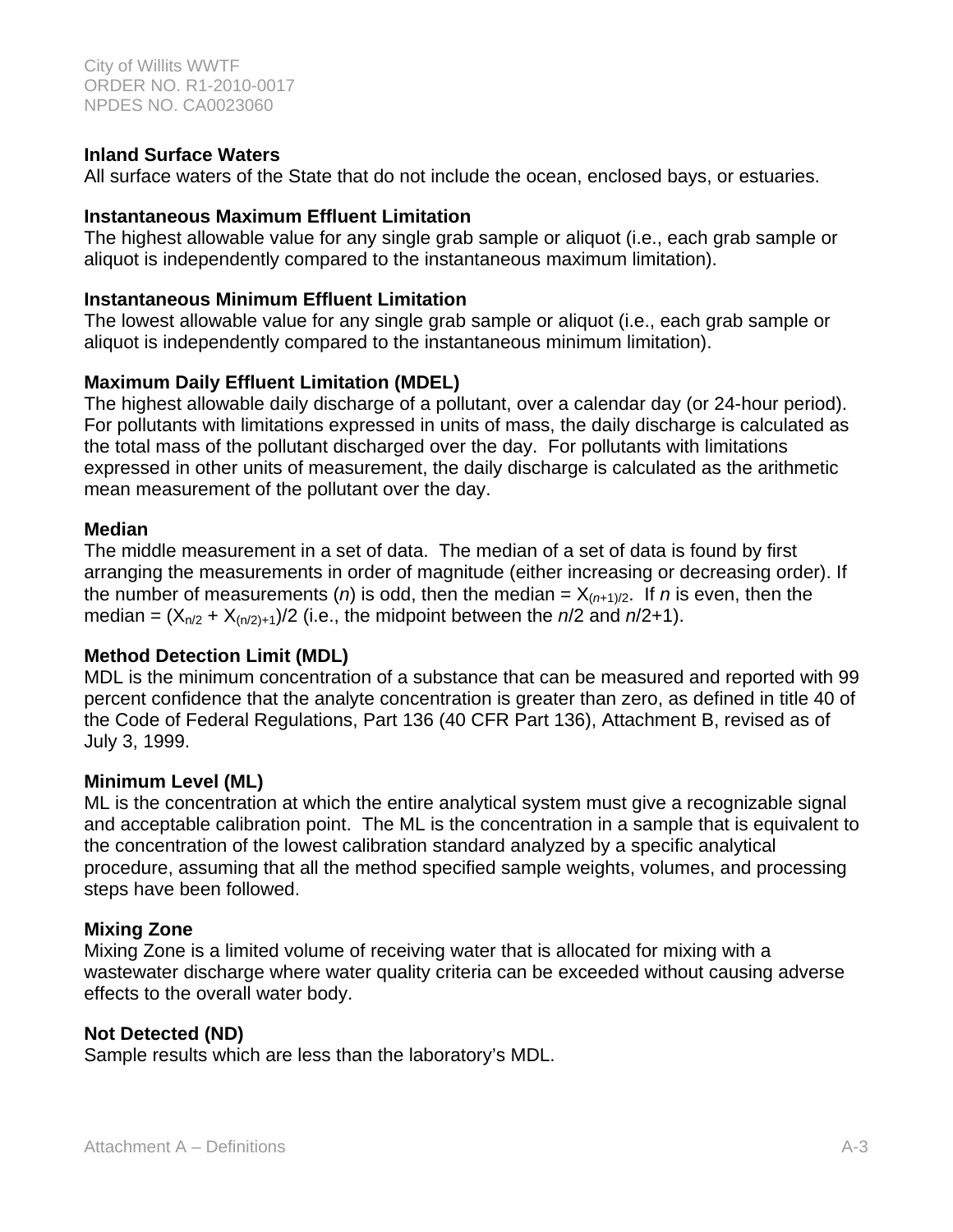### **Inland Surface Waters**

All surface waters of the State that do not include the ocean, enclosed bays, or estuaries.

#### **Instantaneous Maximum Effluent Limitation**

The highest allowable value for any single grab sample or aliquot (i.e., each grab sample or aliquot is independently compared to the instantaneous maximum limitation).

#### **Instantaneous Minimum Effluent Limitation**

The lowest allowable value for any single grab sample or aliquot (i.e., each grab sample or aliquot is independently compared to the instantaneous minimum limitation).

### **Maximum Daily Effluent Limitation (MDEL)**

The highest allowable daily discharge of a pollutant, over a calendar day (or 24-hour period). For pollutants with limitations expressed in units of mass, the daily discharge is calculated as the total mass of the pollutant discharged over the day. For pollutants with limitations expressed in other units of measurement, the daily discharge is calculated as the arithmetic mean measurement of the pollutant over the day.

#### **Median**

The middle measurement in a set of data. The median of a set of data is found by first arranging the measurements in order of magnitude (either increasing or decreasing order). If the number of measurements (*n*) is odd, then the median =  $X_{(n+1)/2}$ . If *n* is even, then the median =  $(X_{n/2} + X_{n/2+1})/2$  (i.e., the midpoint between the  $n/2$  and  $n/2+1$ ).

#### **Method Detection Limit (MDL)**

MDL is the minimum concentration of a substance that can be measured and reported with 99 percent confidence that the analyte concentration is greater than zero, as defined in title 40 of the Code of Federal Regulations, Part 136 (40 CFR Part 136), Attachment B, revised as of July 3, 1999.

#### **Minimum Level (ML)**

ML is the concentration at which the entire analytical system must give a recognizable signal and acceptable calibration point. The ML is the concentration in a sample that is equivalent to the concentration of the lowest calibration standard analyzed by a specific analytical procedure, assuming that all the method specified sample weights, volumes, and processing steps have been followed.

#### **Mixing Zone**

Mixing Zone is a limited volume of receiving water that is allocated for mixing with a wastewater discharge where water quality criteria can be exceeded without causing adverse effects to the overall water body.

#### **Not Detected (ND)**

Sample results which are less than the laboratory's MDL.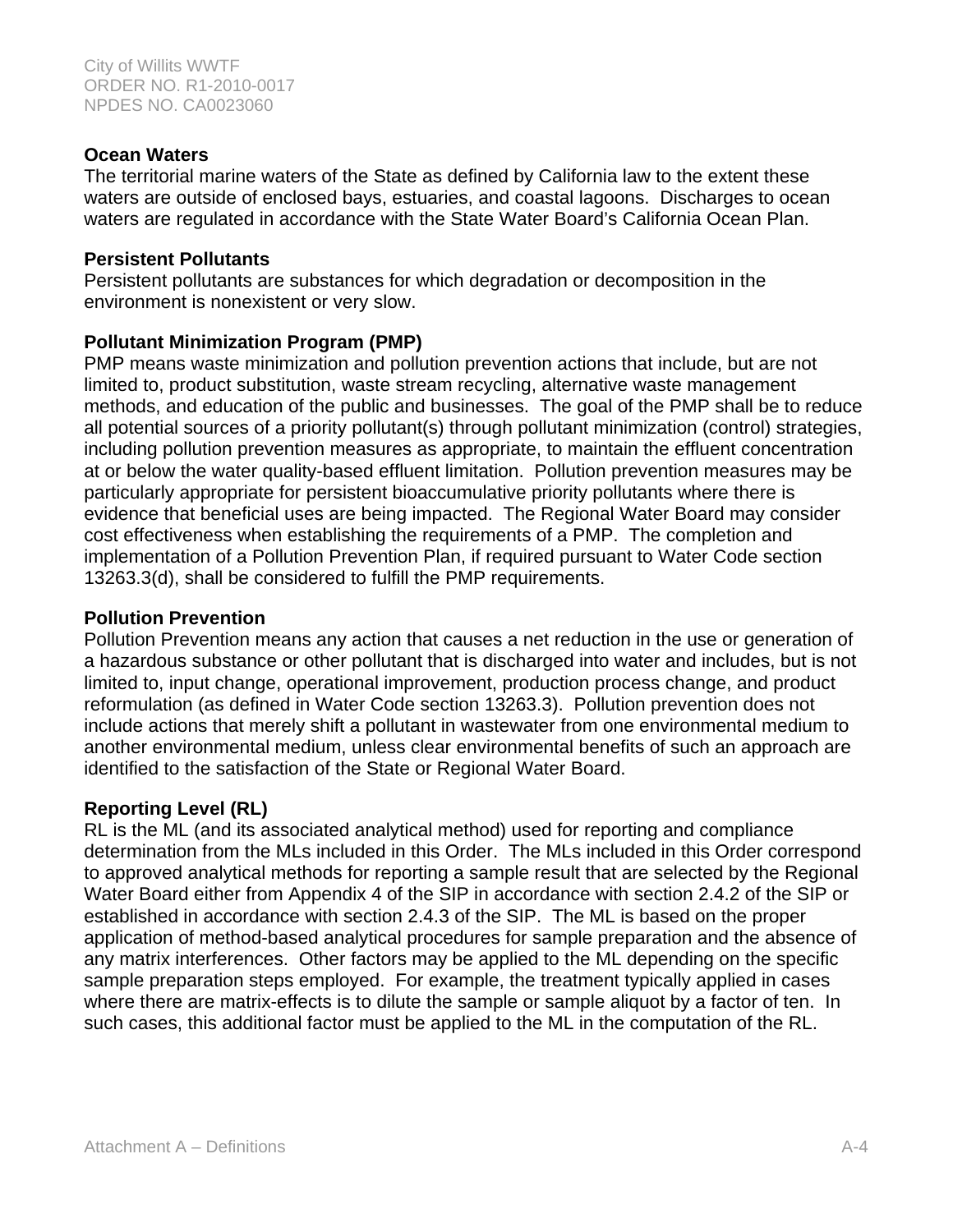### **Ocean Waters**

The territorial marine waters of the State as defined by California law to the extent these waters are outside of enclosed bays, estuaries, and coastal lagoons. Discharges to ocean waters are regulated in accordance with the State Water Board's California Ocean Plan.

### **Persistent Pollutants**

Persistent pollutants are substances for which degradation or decomposition in the environment is nonexistent or very slow.

### **Pollutant Minimization Program (PMP)**

PMP means waste minimization and pollution prevention actions that include, but are not limited to, product substitution, waste stream recycling, alternative waste management methods, and education of the public and businesses. The goal of the PMP shall be to reduce all potential sources of a priority pollutant(s) through pollutant minimization (control) strategies, including pollution prevention measures as appropriate, to maintain the effluent concentration at or below the water quality-based effluent limitation. Pollution prevention measures may be particularly appropriate for persistent bioaccumulative priority pollutants where there is evidence that beneficial uses are being impacted. The Regional Water Board may consider cost effectiveness when establishing the requirements of a PMP. The completion and implementation of a Pollution Prevention Plan, if required pursuant to Water Code section 13263.3(d), shall be considered to fulfill the PMP requirements.

### **Pollution Prevention**

Pollution Prevention means any action that causes a net reduction in the use or generation of a hazardous substance or other pollutant that is discharged into water and includes, but is not limited to, input change, operational improvement, production process change, and product reformulation (as defined in Water Code section 13263.3). Pollution prevention does not include actions that merely shift a pollutant in wastewater from one environmental medium to another environmental medium, unless clear environmental benefits of such an approach are identified to the satisfaction of the State or Regional Water Board.

# **Reporting Level (RL)**

RL is the ML (and its associated analytical method) used for reporting and compliance determination from the MLs included in this Order. The MLs included in this Order correspond to approved analytical methods for reporting a sample result that are selected by the Regional Water Board either from Appendix 4 of the SIP in accordance with section 2.4.2 of the SIP or established in accordance with section 2.4.3 of the SIP. The ML is based on the proper application of method-based analytical procedures for sample preparation and the absence of any matrix interferences. Other factors may be applied to the ML depending on the specific sample preparation steps employed. For example, the treatment typically applied in cases where there are matrix-effects is to dilute the sample or sample aliquot by a factor of ten. In such cases, this additional factor must be applied to the ML in the computation of the RL.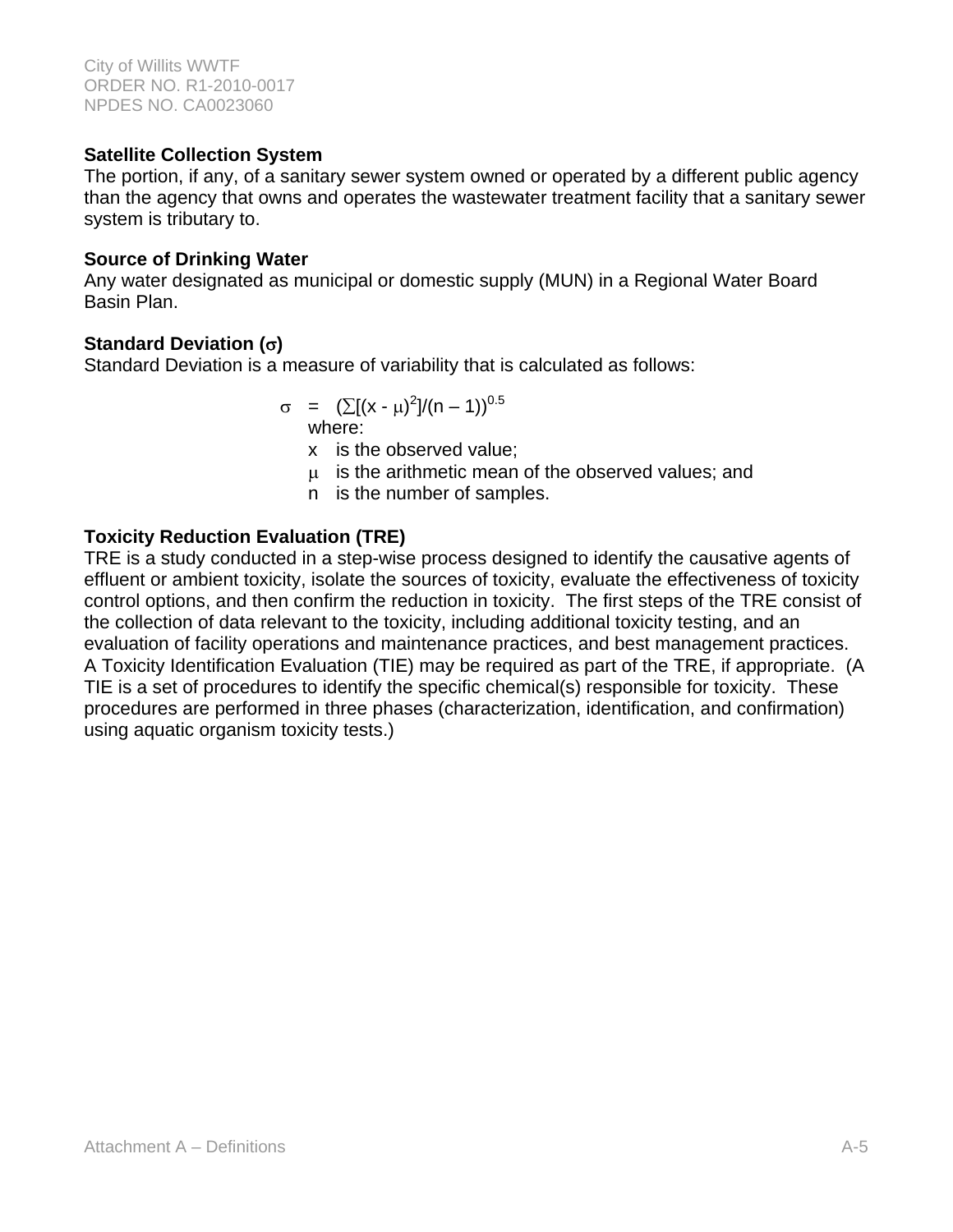### **Satellite Collection System**

The portion, if any, of a sanitary sewer system owned or operated by a different public agency than the agency that owns and operates the wastewater treatment facility that a sanitary sewer system is tributary to.

### **Source of Drinking Water**

Any water designated as municipal or domestic supply (MUN) in a Regional Water Board Basin Plan.

# **Standard Deviation ()**

Standard Deviation is a measure of variability that is calculated as follows:

$$
\sigma = (\sum [(x - \mu)^2]/(n - 1))^{0.5}
$$
 where:

x is the observed value;

 $\mu$  is the arithmetic mean of the observed values; and

n is the number of samples.

# **Toxicity Reduction Evaluation (TRE)**

TRE is a study conducted in a step-wise process designed to identify the causative agents of effluent or ambient toxicity, isolate the sources of toxicity, evaluate the effectiveness of toxicity control options, and then confirm the reduction in toxicity. The first steps of the TRE consist of the collection of data relevant to the toxicity, including additional toxicity testing, and an evaluation of facility operations and maintenance practices, and best management practices. A Toxicity Identification Evaluation (TIE) may be required as part of the TRE, if appropriate. (A TIE is a set of procedures to identify the specific chemical(s) responsible for toxicity. These procedures are performed in three phases (characterization, identification, and confirmation) using aquatic organism toxicity tests.)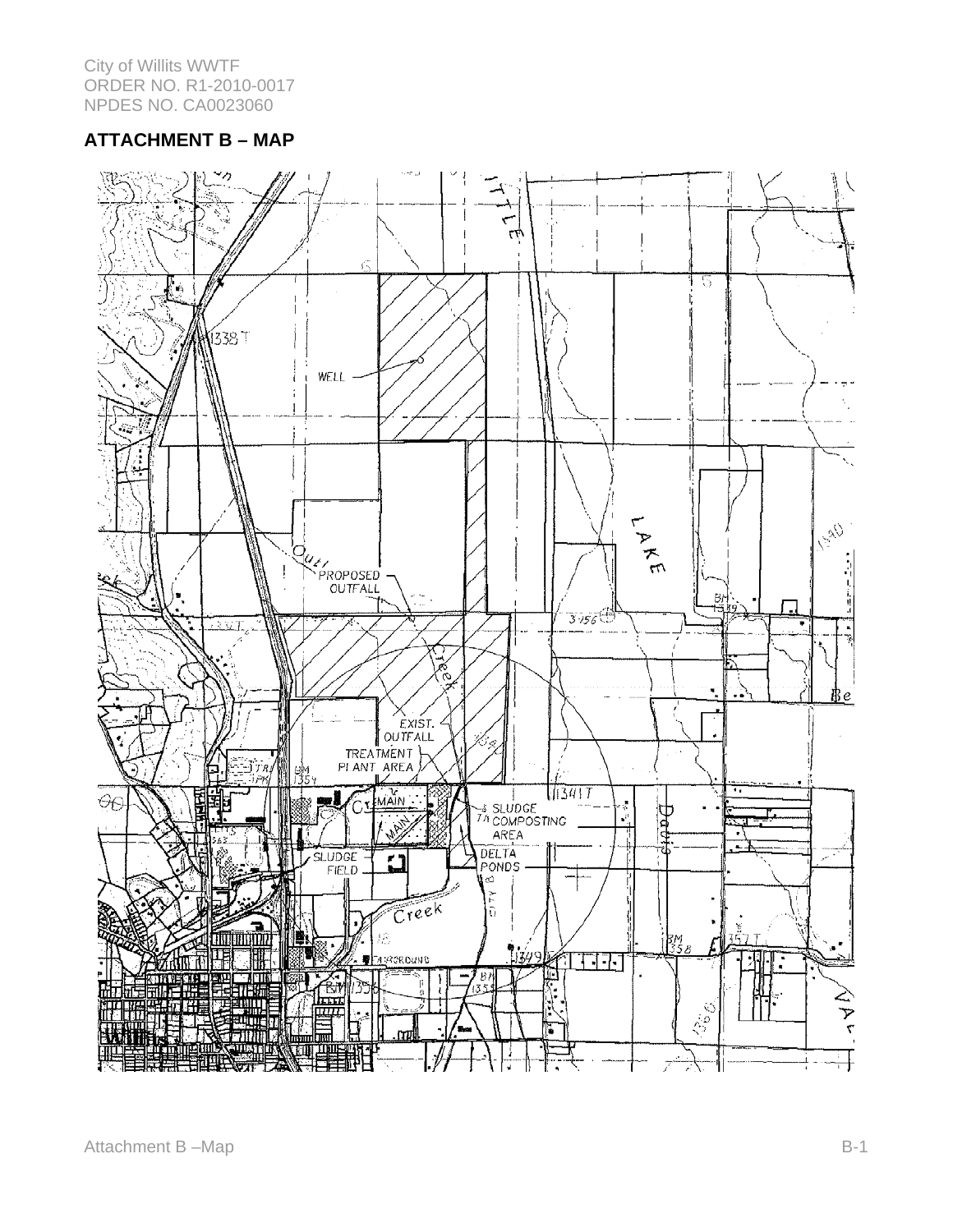## **ATTACHMENT B – MAP**

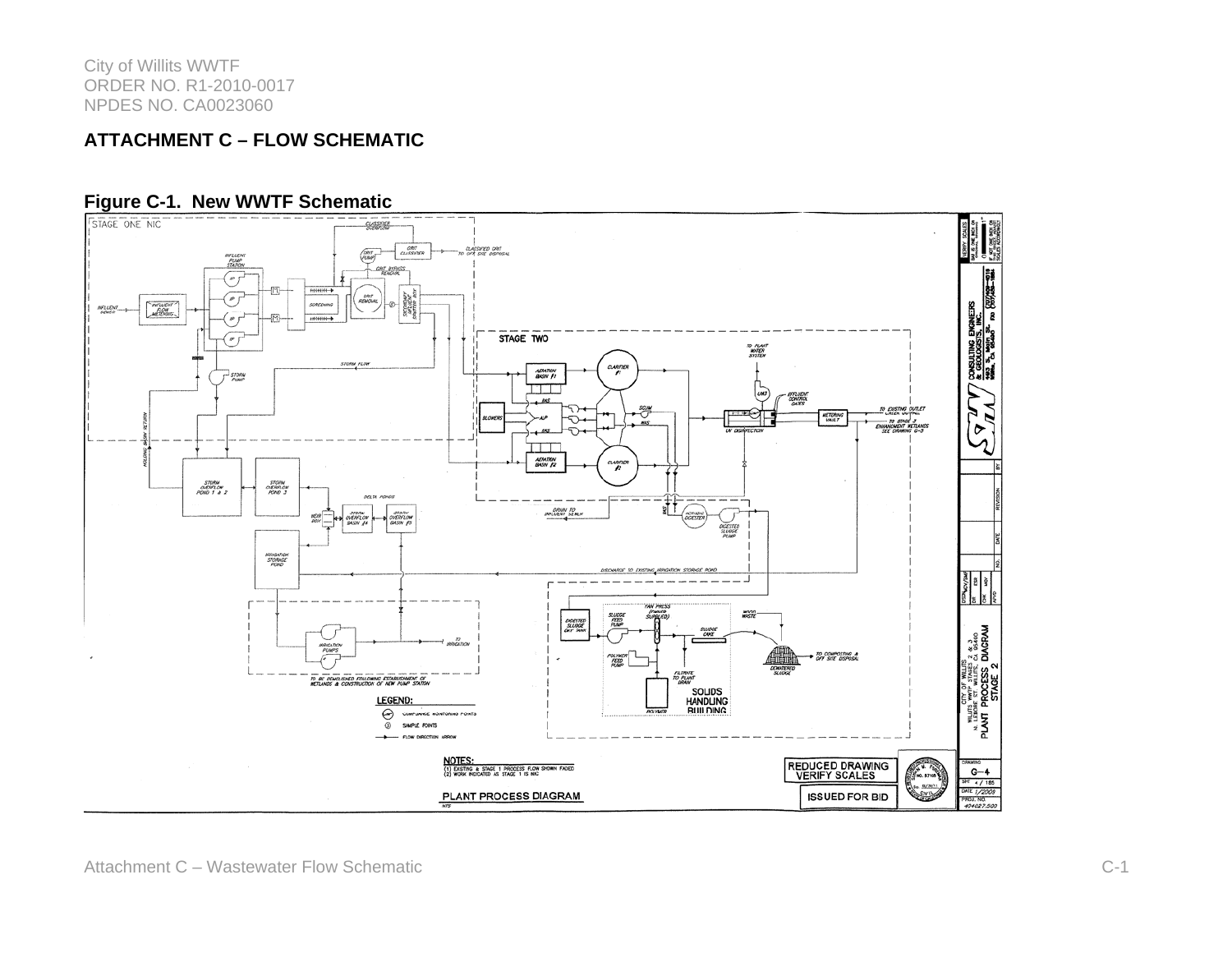### **ATTACHMENT C – FLOW SCHEMATIC**



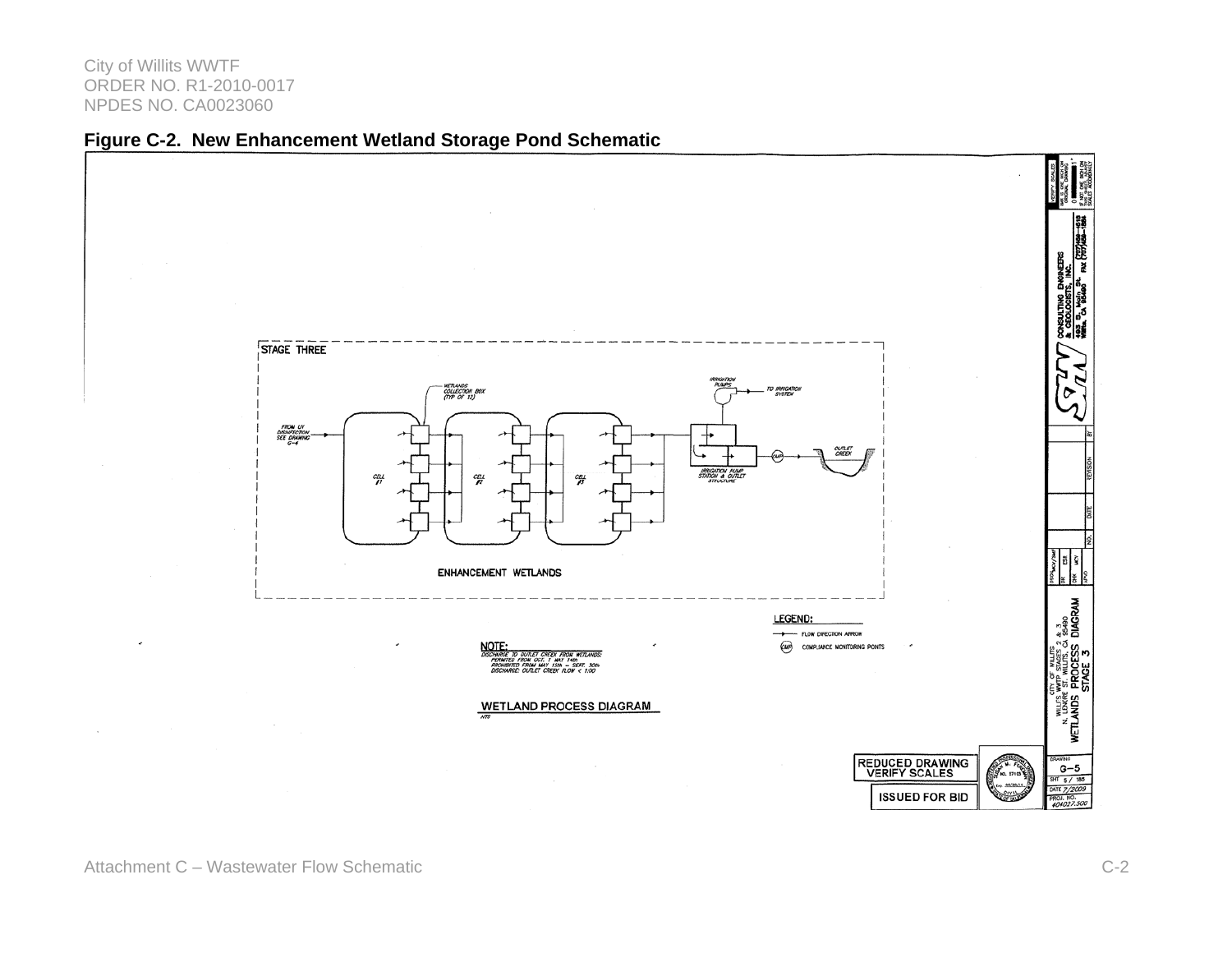

### **Figure C-2. New Enhancement Wetland Storage Pond Schematic**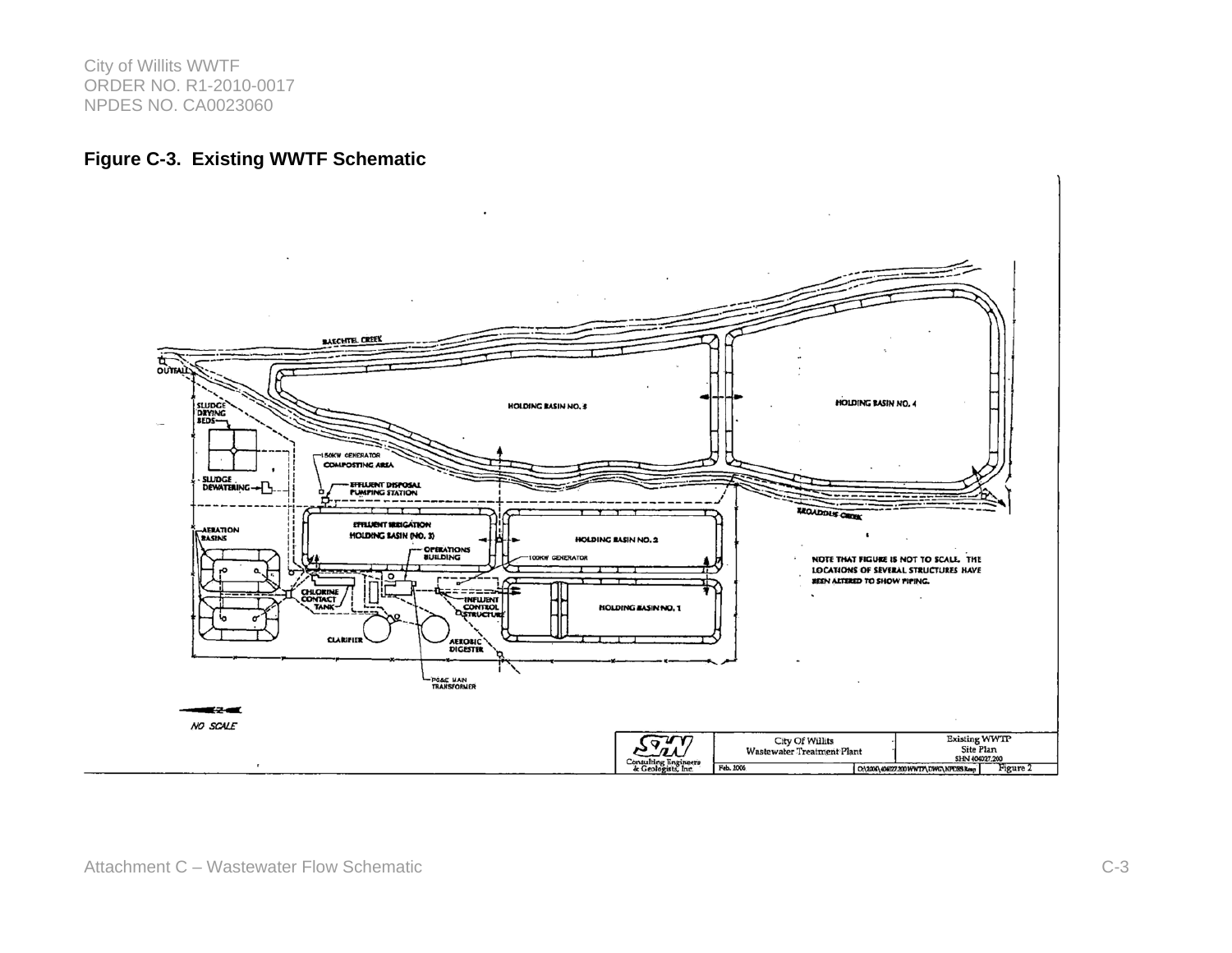### **Figure C-3. Existing WWTF Schematic**

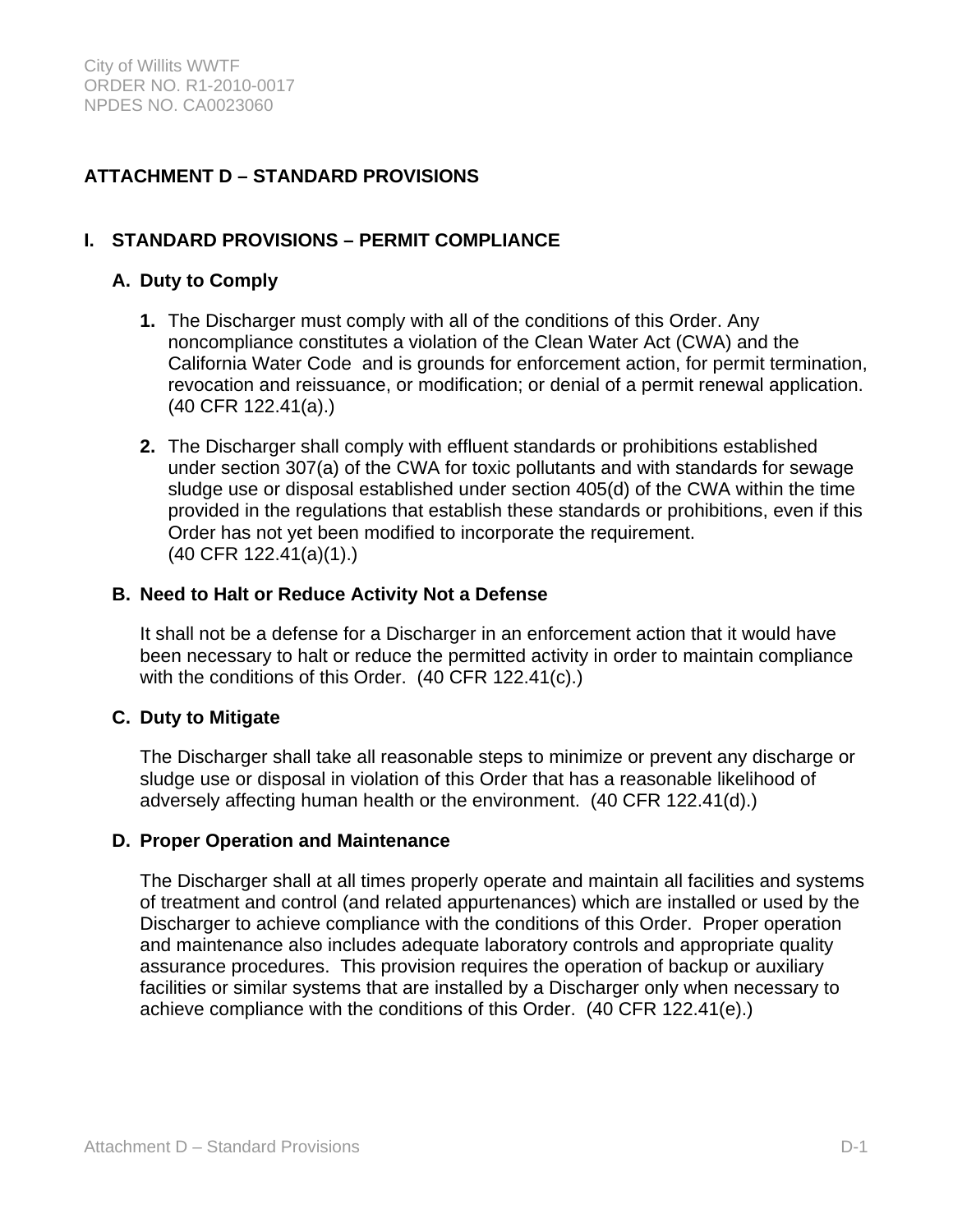# **ATTACHMENT D – STANDARD PROVISIONS**

# **I. STANDARD PROVISIONS – PERMIT COMPLIANCE**

### **A. Duty to Comply**

- **1.** The Discharger must comply with all of the conditions of this Order. Any noncompliance constitutes a violation of the Clean Water Act (CWA) and the California Water Code and is grounds for enforcement action, for permit termination, revocation and reissuance, or modification; or denial of a permit renewal application. (40 CFR 122.41(a).)
- **2.** The Discharger shall comply with effluent standards or prohibitions established under section 307(a) of the CWA for toxic pollutants and with standards for sewage sludge use or disposal established under section 405(d) of the CWA within the time provided in the regulations that establish these standards or prohibitions, even if this Order has not yet been modified to incorporate the requirement. (40 CFR 122.41(a)(1).)

### **B. Need to Halt or Reduce Activity Not a Defense**

It shall not be a defense for a Discharger in an enforcement action that it would have been necessary to halt or reduce the permitted activity in order to maintain compliance with the conditions of this Order. (40 CFR 122.41(c).)

### **C. Duty to Mitigate**

The Discharger shall take all reasonable steps to minimize or prevent any discharge or sludge use or disposal in violation of this Order that has a reasonable likelihood of adversely affecting human health or the environment. (40 CFR 122.41(d).)

### **D. Proper Operation and Maintenance**

The Discharger shall at all times properly operate and maintain all facilities and systems of treatment and control (and related appurtenances) which are installed or used by the Discharger to achieve compliance with the conditions of this Order. Proper operation and maintenance also includes adequate laboratory controls and appropriate quality assurance procedures. This provision requires the operation of backup or auxiliary facilities or similar systems that are installed by a Discharger only when necessary to achieve compliance with the conditions of this Order. (40 CFR 122.41(e).)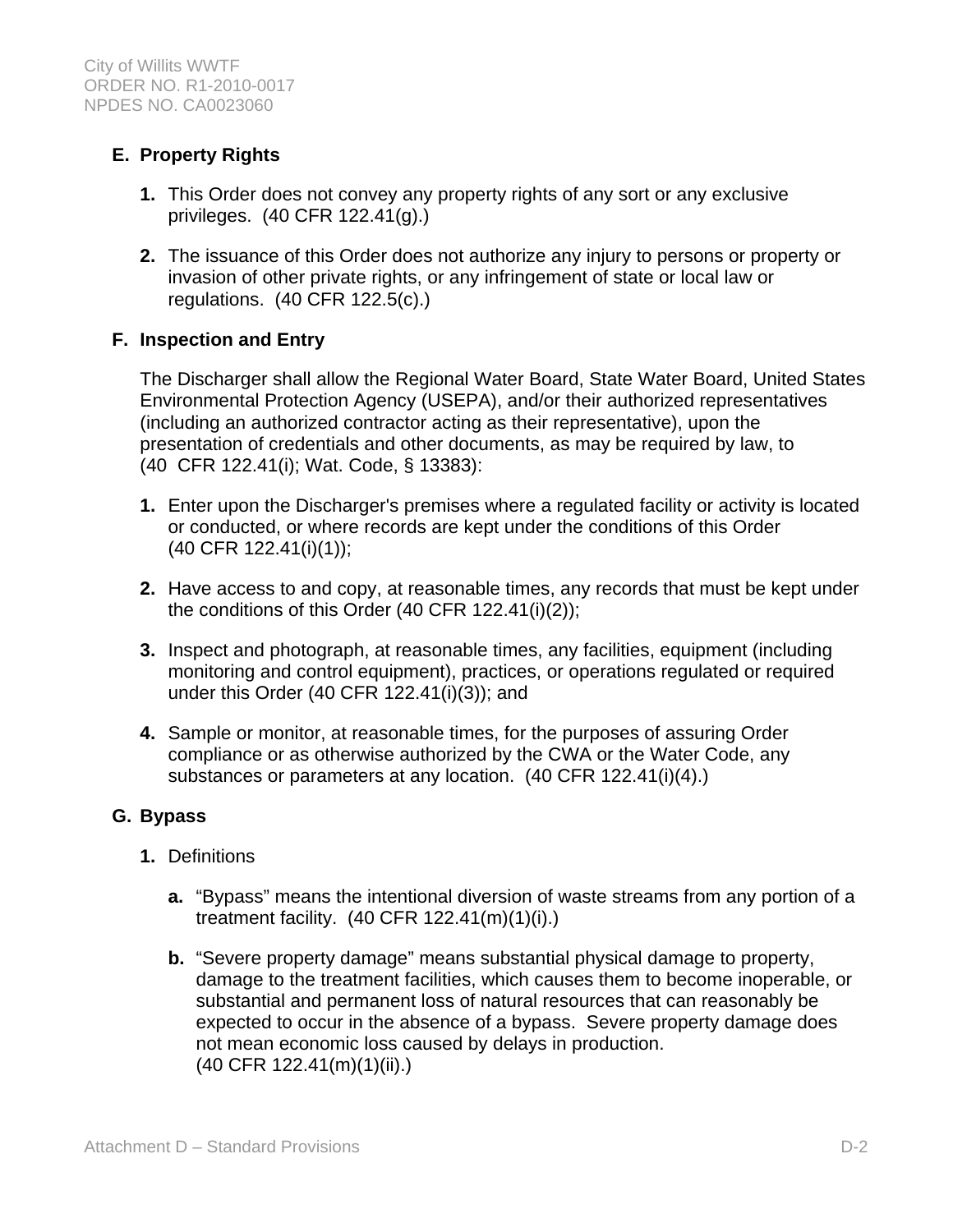# **E. Property Rights**

- **1.** This Order does not convey any property rights of any sort or any exclusive privileges. (40 CFR 122.41(g).)
- **2.** The issuance of this Order does not authorize any injury to persons or property or invasion of other private rights, or any infringement of state or local law or regulations. (40 CFR 122.5(c).)

# **F. Inspection and Entry**

The Discharger shall allow the Regional Water Board, State Water Board, United States Environmental Protection Agency (USEPA), and/or their authorized representatives (including an authorized contractor acting as their representative), upon the presentation of credentials and other documents, as may be required by law, to (40 CFR 122.41(i); Wat. Code, § 13383):

- **1.** Enter upon the Discharger's premises where a regulated facility or activity is located or conducted, or where records are kept under the conditions of this Order (40 CFR 122.41(i)(1));
- **2.** Have access to and copy, at reasonable times, any records that must be kept under the conditions of this Order (40 CFR 122.41(i)(2));
- **3.** Inspect and photograph, at reasonable times, any facilities, equipment (including monitoring and control equipment), practices, or operations regulated or required under this Order (40 CFR 122.41(i)(3)); and
- **4.** Sample or monitor, at reasonable times, for the purposes of assuring Order compliance or as otherwise authorized by the CWA or the Water Code, any substances or parameters at any location. (40 CFR 122.41(i)(4).)

### **G. Bypass**

- **1.** Definitions
	- **a.** "Bypass" means the intentional diversion of waste streams from any portion of a treatment facility. (40 CFR 122.41(m)(1)(i).)
	- **b.** "Severe property damage" means substantial physical damage to property, damage to the treatment facilities, which causes them to become inoperable, or substantial and permanent loss of natural resources that can reasonably be expected to occur in the absence of a bypass. Severe property damage does not mean economic loss caused by delays in production. (40 CFR 122.41(m)(1)(ii).)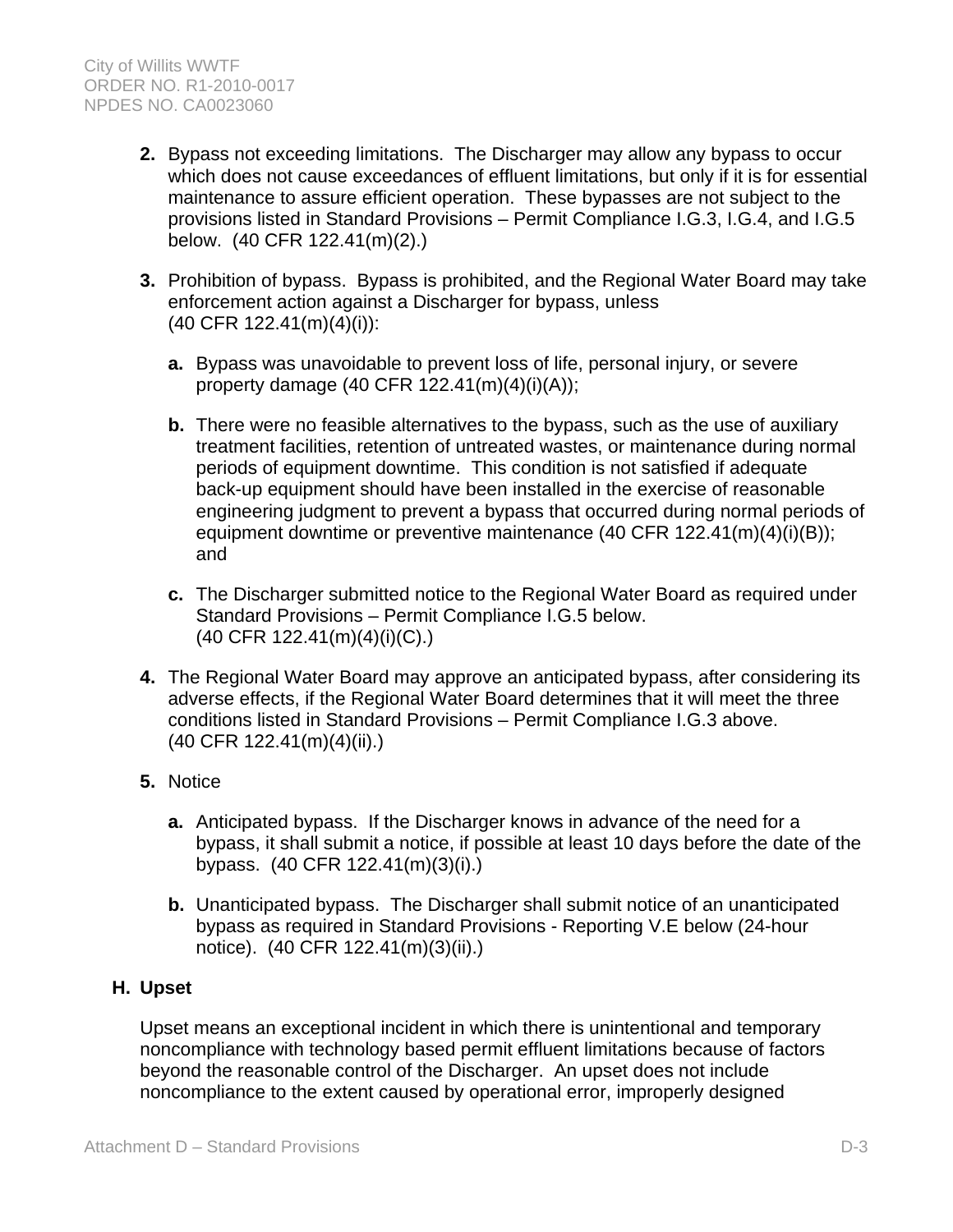- **2.** Bypass not exceeding limitations. The Discharger may allow any bypass to occur which does not cause exceedances of effluent limitations, but only if it is for essential maintenance to assure efficient operation. These bypasses are not subject to the provisions listed in Standard Provisions – Permit Compliance I.G.3, I.G.4, and I.G.5 below. (40 CFR 122.41(m)(2).)
- **3.** Prohibition of bypass. Bypass is prohibited, and the Regional Water Board may take enforcement action against a Discharger for bypass, unless (40 CFR 122.41(m)(4)(i)):
	- **a.** Bypass was unavoidable to prevent loss of life, personal injury, or severe property damage (40 CFR 122.41(m)(4)(i)(A));
	- **b.** There were no feasible alternatives to the bypass, such as the use of auxiliary treatment facilities, retention of untreated wastes, or maintenance during normal periods of equipment downtime. This condition is not satisfied if adequate back-up equipment should have been installed in the exercise of reasonable engineering judgment to prevent a bypass that occurred during normal periods of equipment downtime or preventive maintenance (40 CFR 122.41(m)(4)(i)(B)); and
	- **c.** The Discharger submitted notice to the Regional Water Board as required under Standard Provisions – Permit Compliance I.G.5 below. (40 CFR 122.41(m)(4)(i)(C).)
- **4.** The Regional Water Board may approve an anticipated bypass, after considering its adverse effects, if the Regional Water Board determines that it will meet the three conditions listed in Standard Provisions – Permit Compliance I.G.3 above. (40 CFR 122.41(m)(4)(ii).)
- **5.** Notice
	- **a.** Anticipated bypass. If the Discharger knows in advance of the need for a bypass, it shall submit a notice, if possible at least 10 days before the date of the bypass. (40 CFR 122.41(m)(3)(i).)
	- **b.** Unanticipated bypass. The Discharger shall submit notice of an unanticipated bypass as required in Standard Provisions - Reporting V.E below (24-hour notice). (40 CFR 122.41(m)(3)(ii).)

# **H. Upset**

Upset means an exceptional incident in which there is unintentional and temporary noncompliance with technology based permit effluent limitations because of factors beyond the reasonable control of the Discharger. An upset does not include noncompliance to the extent caused by operational error, improperly designed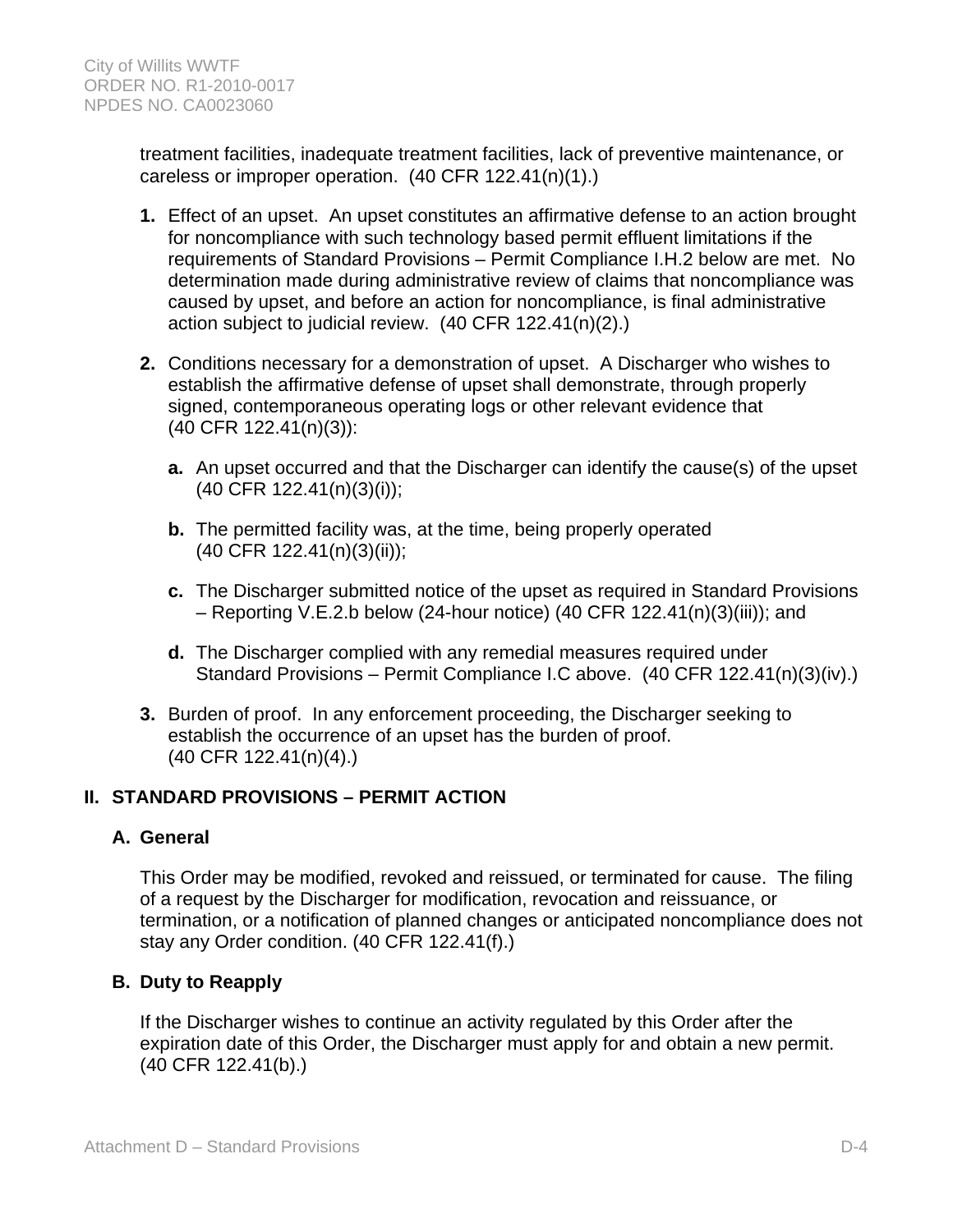treatment facilities, inadequate treatment facilities, lack of preventive maintenance, or careless or improper operation. (40 CFR 122.41(n)(1).)

- **1.** Effect of an upset. An upset constitutes an affirmative defense to an action brought for noncompliance with such technology based permit effluent limitations if the requirements of Standard Provisions – Permit Compliance I.H.2 below are met. No determination made during administrative review of claims that noncompliance was caused by upset, and before an action for noncompliance, is final administrative action subject to judicial review. (40 CFR 122.41(n)(2).)
- **2.** Conditions necessary for a demonstration of upset. A Discharger who wishes to establish the affirmative defense of upset shall demonstrate, through properly signed, contemporaneous operating logs or other relevant evidence that (40 CFR 122.41(n)(3)):
	- **a.** An upset occurred and that the Discharger can identify the cause(s) of the upset (40 CFR 122.41(n)(3)(i));
	- **b.** The permitted facility was, at the time, being properly operated (40 CFR 122.41(n)(3)(ii));
	- **c.** The Discharger submitted notice of the upset as required in Standard Provisions – Reporting V.E.2.b below (24-hour notice) (40 CFR 122.41(n)(3)(iii)); and
	- **d.** The Discharger complied with any remedial measures required under Standard Provisions – Permit Compliance I.C above. (40 CFR 122.41(n)(3)(iv).)
- **3.** Burden of proof. In any enforcement proceeding, the Discharger seeking to establish the occurrence of an upset has the burden of proof. (40 CFR 122.41(n)(4).)

# **II. STANDARD PROVISIONS – PERMIT ACTION**

### **A. General**

This Order may be modified, revoked and reissued, or terminated for cause. The filing of a request by the Discharger for modification, revocation and reissuance, or termination, or a notification of planned changes or anticipated noncompliance does not stay any Order condition. (40 CFR 122.41(f).)

# **B. Duty to Reapply**

If the Discharger wishes to continue an activity regulated by this Order after the expiration date of this Order, the Discharger must apply for and obtain a new permit. (40 CFR 122.41(b).)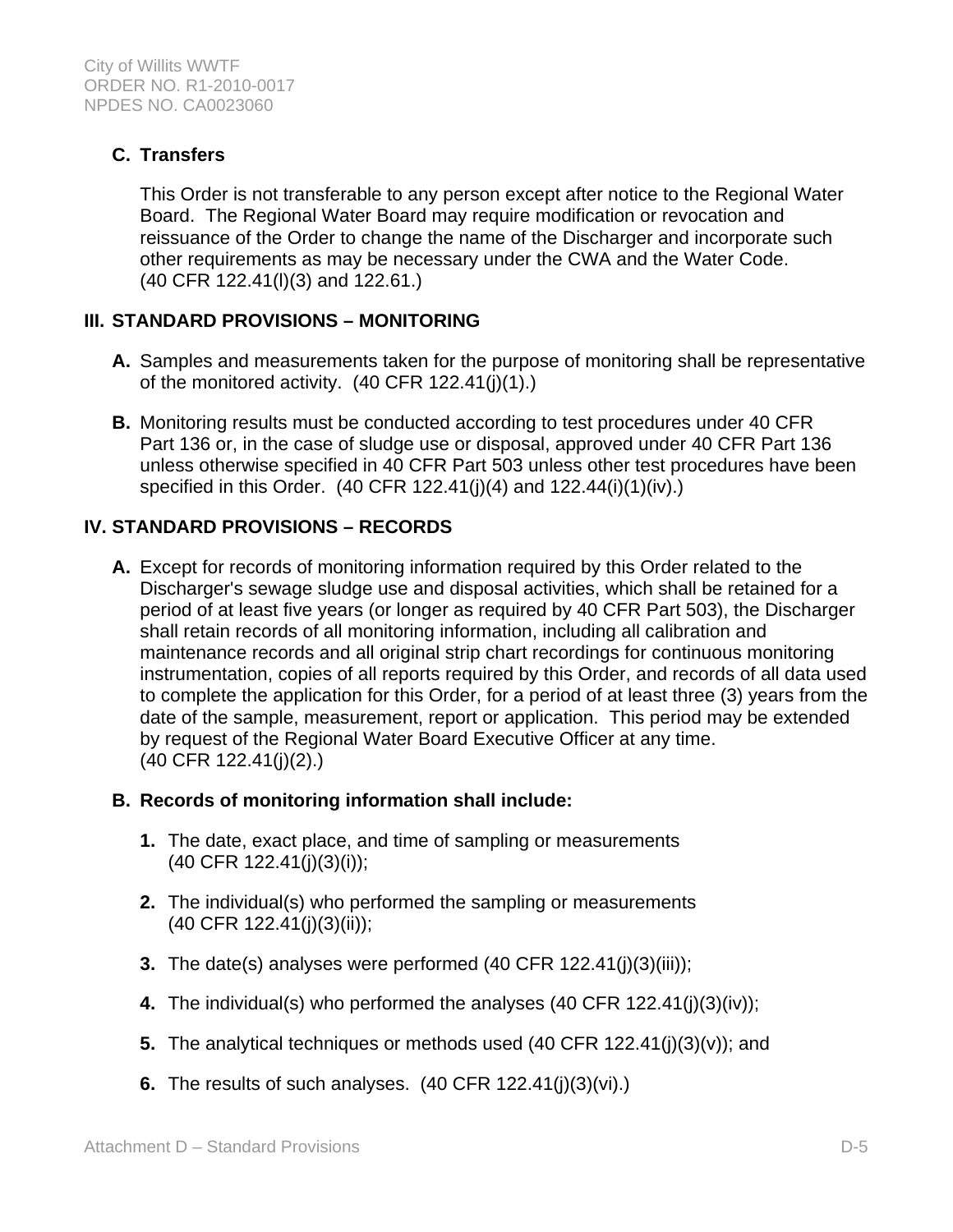# **C. Transfers**

This Order is not transferable to any person except after notice to the Regional Water Board. The Regional Water Board may require modification or revocation and reissuance of the Order to change the name of the Discharger and incorporate such other requirements as may be necessary under the CWA and the Water Code. (40 CFR 122.41(l)(3) and 122.61.)

# **III. STANDARD PROVISIONS – MONITORING**

- **A.** Samples and measurements taken for the purpose of monitoring shall be representative of the monitored activity. (40 CFR 122.41(j)(1).)
- **B.** Monitoring results must be conducted according to test procedures under 40 CFR Part 136 or, in the case of sludge use or disposal, approved under 40 CFR Part 136 unless otherwise specified in 40 CFR Part 503 unless other test procedures have been specified in this Order. (40 CFR 122.41(j)(4) and 122.44(i)(1)(iv).)

# **IV. STANDARD PROVISIONS – RECORDS**

**A.** Except for records of monitoring information required by this Order related to the Discharger's sewage sludge use and disposal activities, which shall be retained for a period of at least five years (or longer as required by 40 CFR Part 503), the Discharger shall retain records of all monitoring information, including all calibration and maintenance records and all original strip chart recordings for continuous monitoring instrumentation, copies of all reports required by this Order, and records of all data used to complete the application for this Order, for a period of at least three (3) years from the date of the sample, measurement, report or application. This period may be extended by request of the Regional Water Board Executive Officer at any time. (40 CFR 122.41(j)(2).)

# **B. Records of monitoring information shall include:**

- **1.** The date, exact place, and time of sampling or measurements (40 CFR 122.41(j)(3)(i));
- **2.** The individual(s) who performed the sampling or measurements (40 CFR 122.41(j)(3)(ii));
- **3.** The date(s) analyses were performed (40 CFR 122.41(j)(3)(iii));
- **4.** The individual(s) who performed the analyses (40 CFR 122.41(j)(3)(iv));
- **5.** The analytical techniques or methods used (40 CFR 122.41(j)(3)(v)); and
- **6.** The results of such analyses. (40 CFR 122.41(j)(3)(vi).)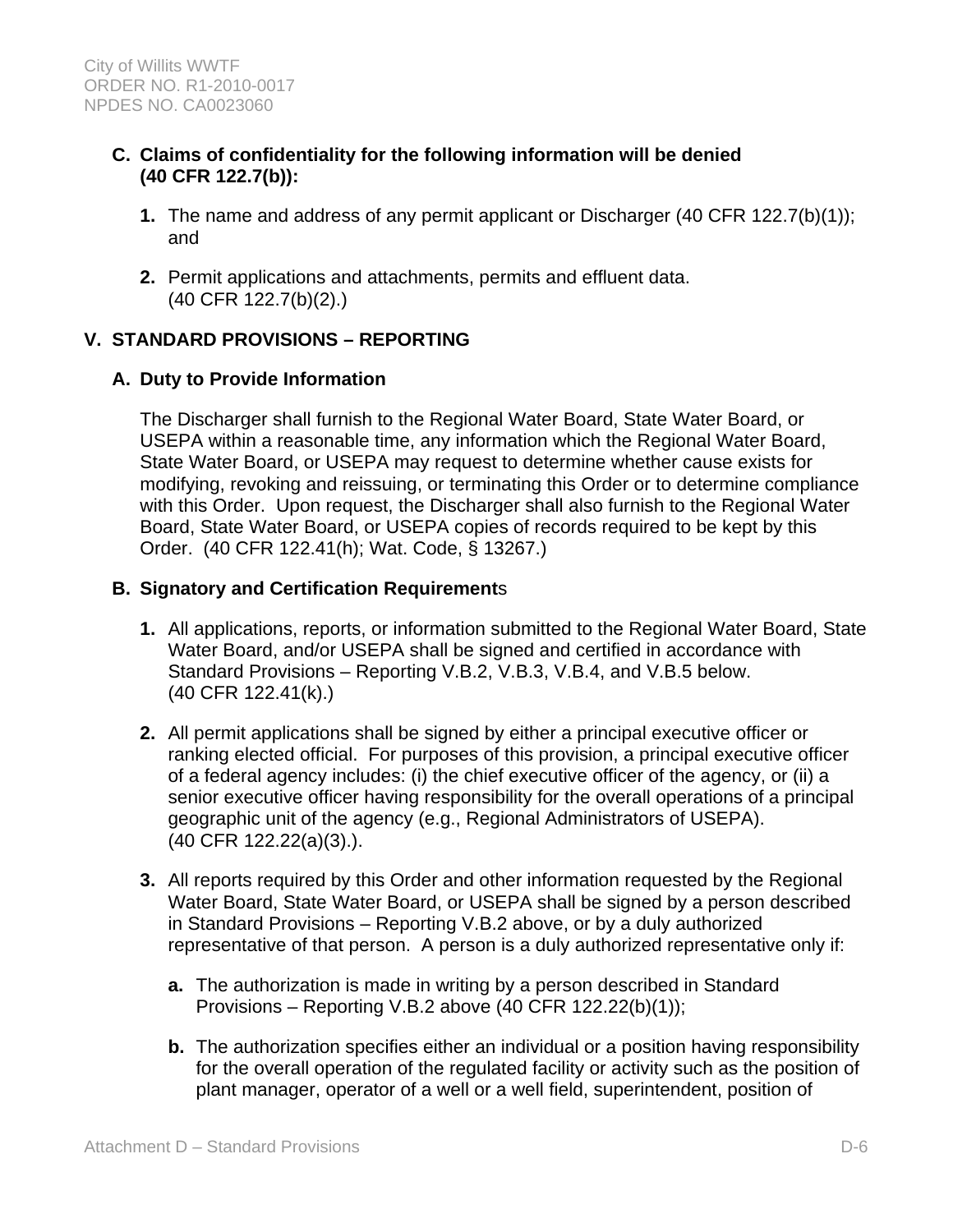- **C. Claims of confidentiality for the following information will be denied (40 CFR 122.7(b)):** 
	- **1.** The name and address of any permit applicant or Discharger (40 CFR 122.7(b)(1)); and
	- **2.** Permit applications and attachments, permits and effluent data. (40 CFR 122.7(b)(2).)

# **V. STANDARD PROVISIONS – REPORTING**

### **A. Duty to Provide Information**

The Discharger shall furnish to the Regional Water Board, State Water Board, or USEPA within a reasonable time, any information which the Regional Water Board, State Water Board, or USEPA may request to determine whether cause exists for modifying, revoking and reissuing, or terminating this Order or to determine compliance with this Order. Upon request, the Discharger shall also furnish to the Regional Water Board, State Water Board, or USEPA copies of records required to be kept by this Order. (40 CFR 122.41(h); Wat. Code, § 13267.)

### **B. Signatory and Certification Requirement**s

- **1.** All applications, reports, or information submitted to the Regional Water Board, State Water Board, and/or USEPA shall be signed and certified in accordance with Standard Provisions – Reporting V.B.2, V.B.3, V.B.4, and V.B.5 below. (40 CFR 122.41(k).)
- **2.** All permit applications shall be signed by either a principal executive officer or ranking elected official. For purposes of this provision, a principal executive officer of a federal agency includes: (i) the chief executive officer of the agency, or (ii) a senior executive officer having responsibility for the overall operations of a principal geographic unit of the agency (e.g., Regional Administrators of USEPA). (40 CFR 122.22(a)(3).).
- **3.** All reports required by this Order and other information requested by the Regional Water Board, State Water Board, or USEPA shall be signed by a person described in Standard Provisions – Reporting V.B.2 above, or by a duly authorized representative of that person. A person is a duly authorized representative only if:
	- **a.** The authorization is made in writing by a person described in Standard Provisions – Reporting V.B.2 above (40 CFR 122.22(b)(1));
	- **b.** The authorization specifies either an individual or a position having responsibility for the overall operation of the regulated facility or activity such as the position of plant manager, operator of a well or a well field, superintendent, position of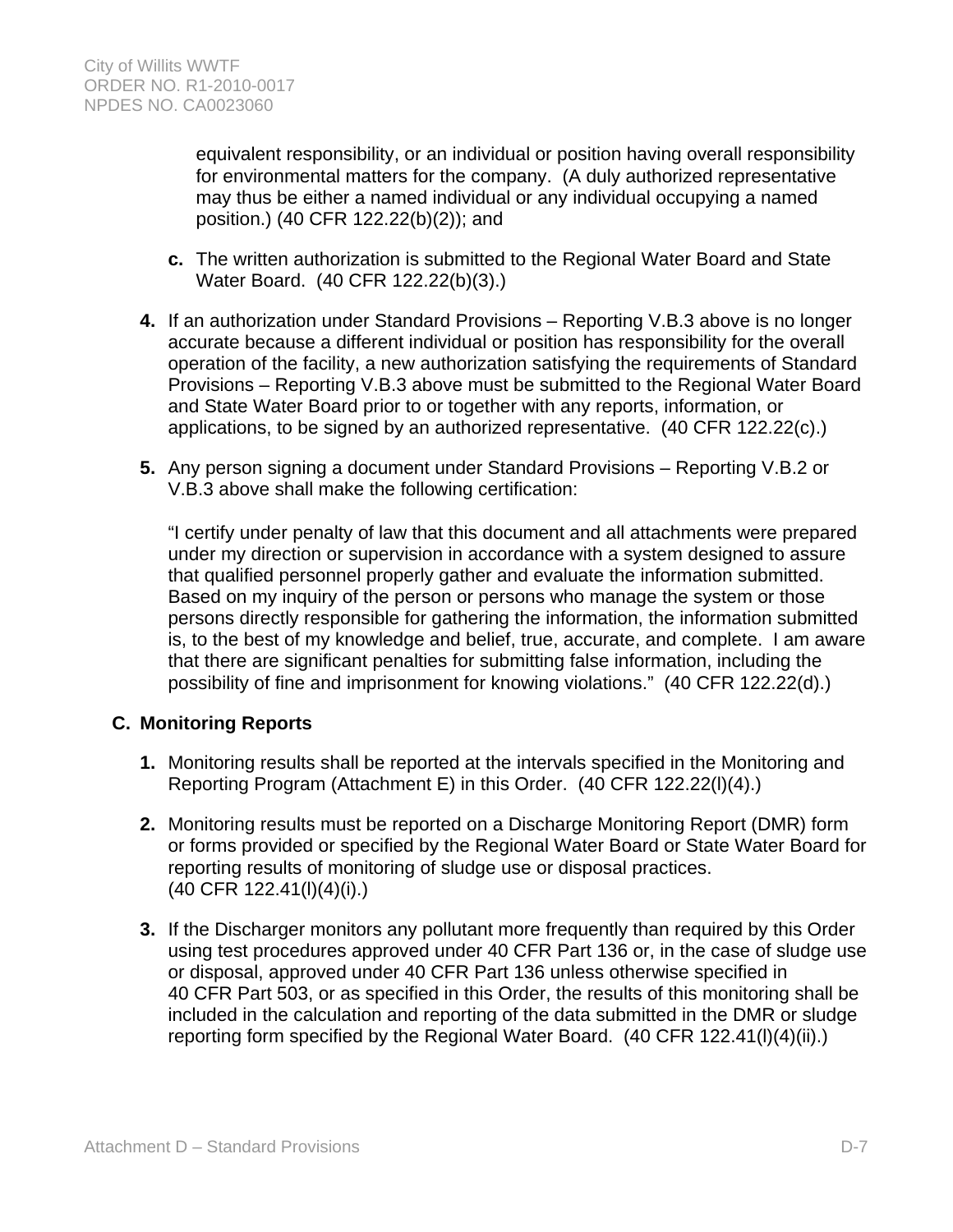equivalent responsibility, or an individual or position having overall responsibility for environmental matters for the company. (A duly authorized representative may thus be either a named individual or any individual occupying a named position.) (40 CFR 122.22(b)(2)); and

- **c.** The written authorization is submitted to the Regional Water Board and State Water Board. (40 CFR 122.22(b)(3).)
- **4.** If an authorization under Standard Provisions Reporting V.B.3 above is no longer accurate because a different individual or position has responsibility for the overall operation of the facility, a new authorization satisfying the requirements of Standard Provisions – Reporting V.B.3 above must be submitted to the Regional Water Board and State Water Board prior to or together with any reports, information, or applications, to be signed by an authorized representative. (40 CFR 122.22(c).)
- **5.** Any person signing a document under Standard Provisions Reporting V.B.2 or V.B.3 above shall make the following certification:

"I certify under penalty of law that this document and all attachments were prepared under my direction or supervision in accordance with a system designed to assure that qualified personnel properly gather and evaluate the information submitted. Based on my inquiry of the person or persons who manage the system or those persons directly responsible for gathering the information, the information submitted is, to the best of my knowledge and belief, true, accurate, and complete. I am aware that there are significant penalties for submitting false information, including the possibility of fine and imprisonment for knowing violations." (40 CFR 122.22(d).)

### **C. Monitoring Reports**

- **1.** Monitoring results shall be reported at the intervals specified in the Monitoring and Reporting Program (Attachment E) in this Order. (40 CFR 122.22(l)(4).)
- **2.** Monitoring results must be reported on a Discharge Monitoring Report (DMR) form or forms provided or specified by the Regional Water Board or State Water Board for reporting results of monitoring of sludge use or disposal practices. (40 CFR 122.41(l)(4)(i).)
- **3.** If the Discharger monitors any pollutant more frequently than required by this Order using test procedures approved under 40 CFR Part 136 or, in the case of sludge use or disposal, approved under 40 CFR Part 136 unless otherwise specified in 40 CFR Part 503, or as specified in this Order, the results of this monitoring shall be included in the calculation and reporting of the data submitted in the DMR or sludge reporting form specified by the Regional Water Board. (40 CFR 122.41(l)(4)(ii).)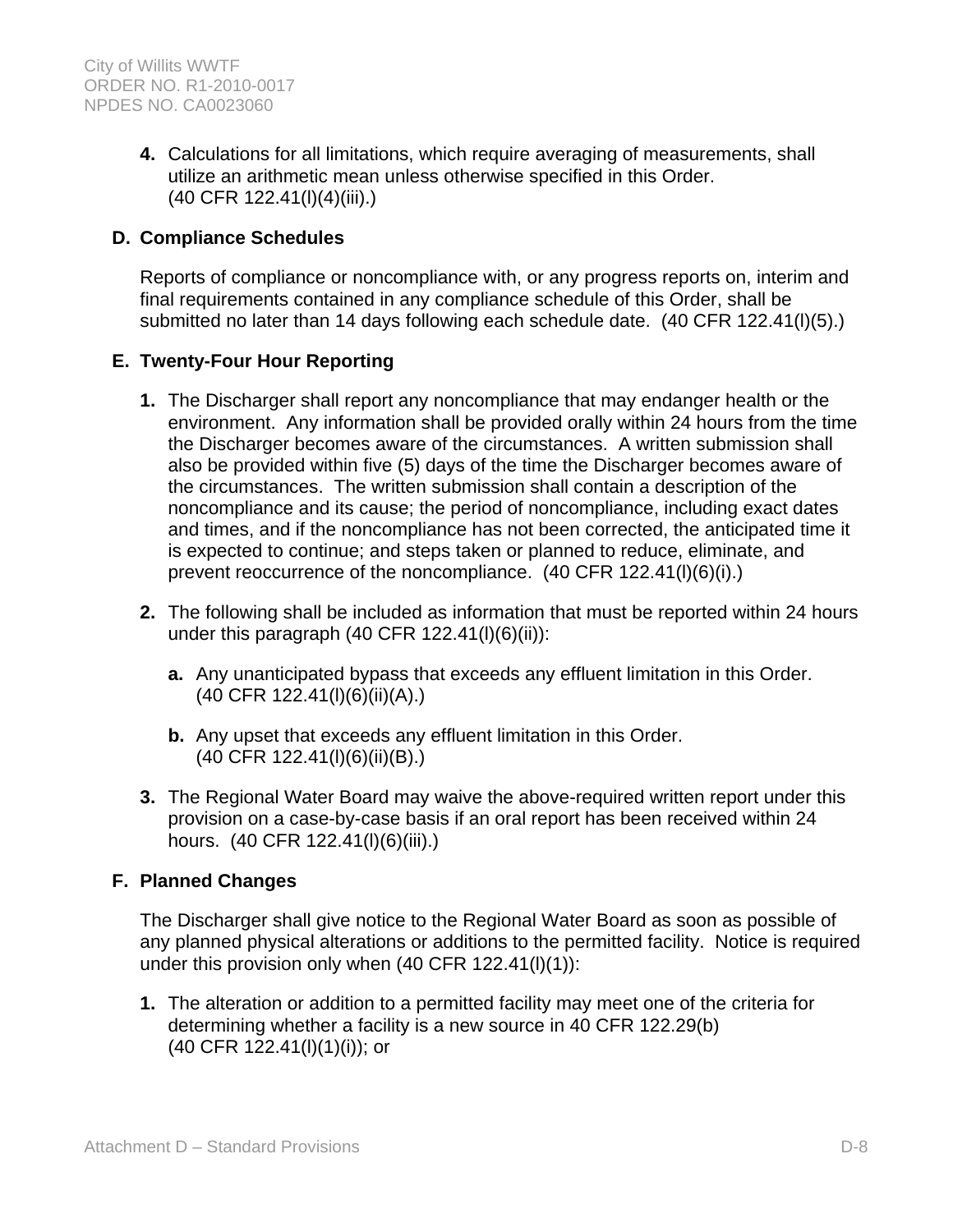**4.** Calculations for all limitations, which require averaging of measurements, shall utilize an arithmetic mean unless otherwise specified in this Order. (40 CFR 122.41(l)(4)(iii).)

## **D. Compliance Schedules**

Reports of compliance or noncompliance with, or any progress reports on, interim and final requirements contained in any compliance schedule of this Order, shall be submitted no later than 14 days following each schedule date. (40 CFR 122.41(l)(5).)

### **E. Twenty-Four Hour Reporting**

- **1.** The Discharger shall report any noncompliance that may endanger health or the environment. Any information shall be provided orally within 24 hours from the time the Discharger becomes aware of the circumstances. A written submission shall also be provided within five (5) days of the time the Discharger becomes aware of the circumstances. The written submission shall contain a description of the noncompliance and its cause; the period of noncompliance, including exact dates and times, and if the noncompliance has not been corrected, the anticipated time it is expected to continue; and steps taken or planned to reduce, eliminate, and prevent reoccurrence of the noncompliance. (40 CFR 122.41(l)(6)(i).)
- **2.** The following shall be included as information that must be reported within 24 hours under this paragraph  $(40$  CFR  $122.41(l)(6)(ii))$ :
	- **a.** Any unanticipated bypass that exceeds any effluent limitation in this Order. (40 CFR 122.41(l)(6)(ii)(A).)
	- **b.** Any upset that exceeds any effluent limitation in this Order. (40 CFR 122.41(l)(6)(ii)(B).)
- **3.** The Regional Water Board may waive the above-required written report under this provision on a case-by-case basis if an oral report has been received within 24 hours. (40 CFR 122.41(l)(6)(iii).)

### **F. Planned Changes**

The Discharger shall give notice to the Regional Water Board as soon as possible of any planned physical alterations or additions to the permitted facility. Notice is required under this provision only when (40 CFR 122.41(l)(1)):

**1.** The alteration or addition to a permitted facility may meet one of the criteria for determining whether a facility is a new source in 40 CFR 122.29(b) (40 CFR 122.41(l)(1)(i)); or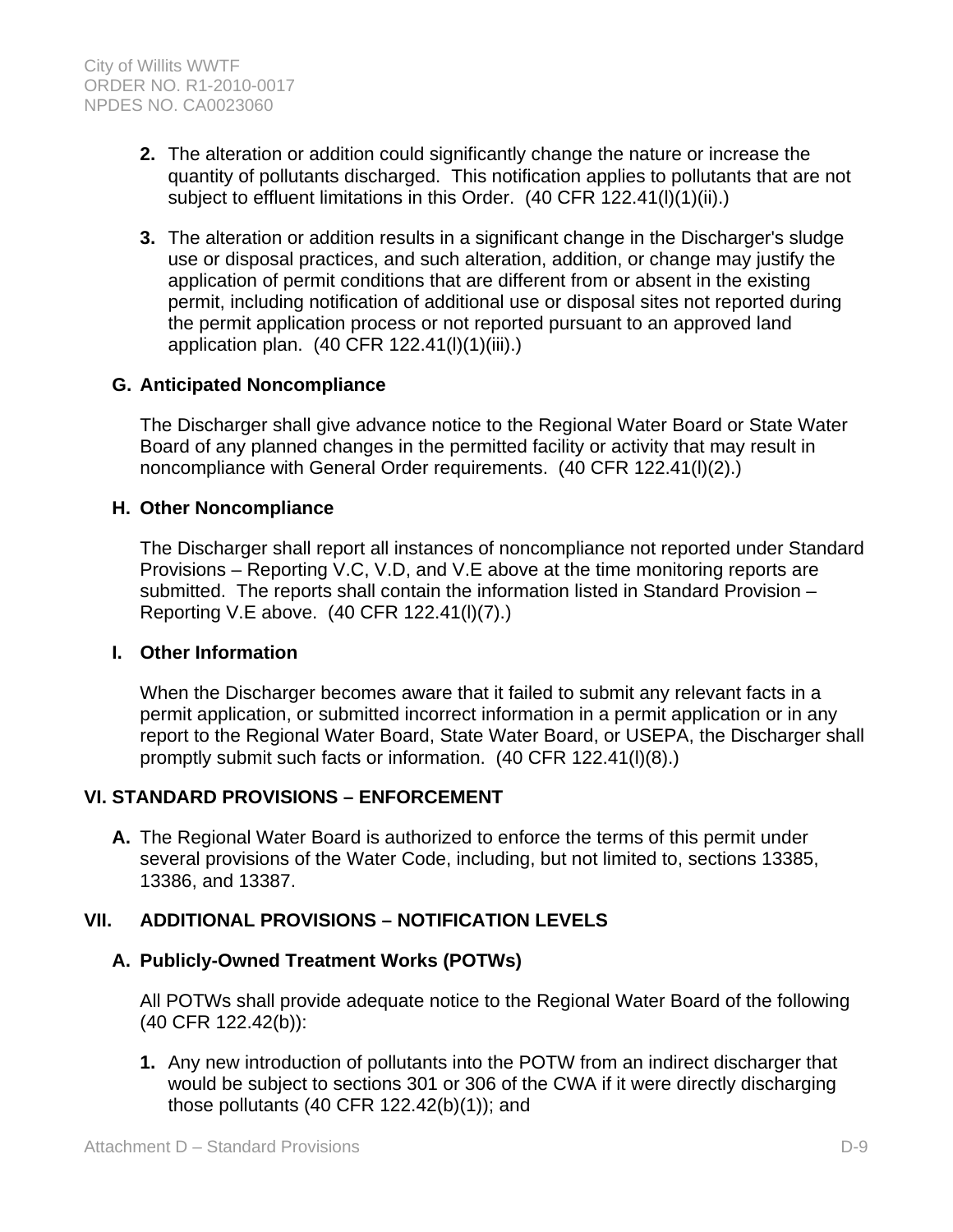- **2.** The alteration or addition could significantly change the nature or increase the quantity of pollutants discharged. This notification applies to pollutants that are not subject to effluent limitations in this Order. (40 CFR 122.41(l)(1)(ii).)
- **3.** The alteration or addition results in a significant change in the Discharger's sludge use or disposal practices, and such alteration, addition, or change may justify the application of permit conditions that are different from or absent in the existing permit, including notification of additional use or disposal sites not reported during the permit application process or not reported pursuant to an approved land application plan. (40 CFR 122.41(l)(1)(iii).)

### **G. Anticipated Noncompliance**

The Discharger shall give advance notice to the Regional Water Board or State Water Board of any planned changes in the permitted facility or activity that may result in noncompliance with General Order requirements. (40 CFR 122.41(l)(2).)

### **H. Other Noncompliance**

The Discharger shall report all instances of noncompliance not reported under Standard Provisions – Reporting V.C, V.D, and V.E above at the time monitoring reports are submitted. The reports shall contain the information listed in Standard Provision – Reporting V.E above. (40 CFR 122.41(l)(7).)

### **I. Other Information**

When the Discharger becomes aware that it failed to submit any relevant facts in a permit application, or submitted incorrect information in a permit application or in any report to the Regional Water Board, State Water Board, or USEPA, the Discharger shall promptly submit such facts or information. (40 CFR 122.41(l)(8).)

### **VI. STANDARD PROVISIONS – ENFORCEMENT**

**A.** The Regional Water Board is authorized to enforce the terms of this permit under several provisions of the Water Code, including, but not limited to, sections 13385, 13386, and 13387.

### **VII. ADDITIONAL PROVISIONS – NOTIFICATION LEVELS**

#### **A. Publicly-Owned Treatment Works (POTWs)**

All POTWs shall provide adequate notice to the Regional Water Board of the following (40 CFR 122.42(b)):

**1.** Any new introduction of pollutants into the POTW from an indirect discharger that would be subject to sections 301 or 306 of the CWA if it were directly discharging those pollutants (40 CFR 122.42(b)(1)); and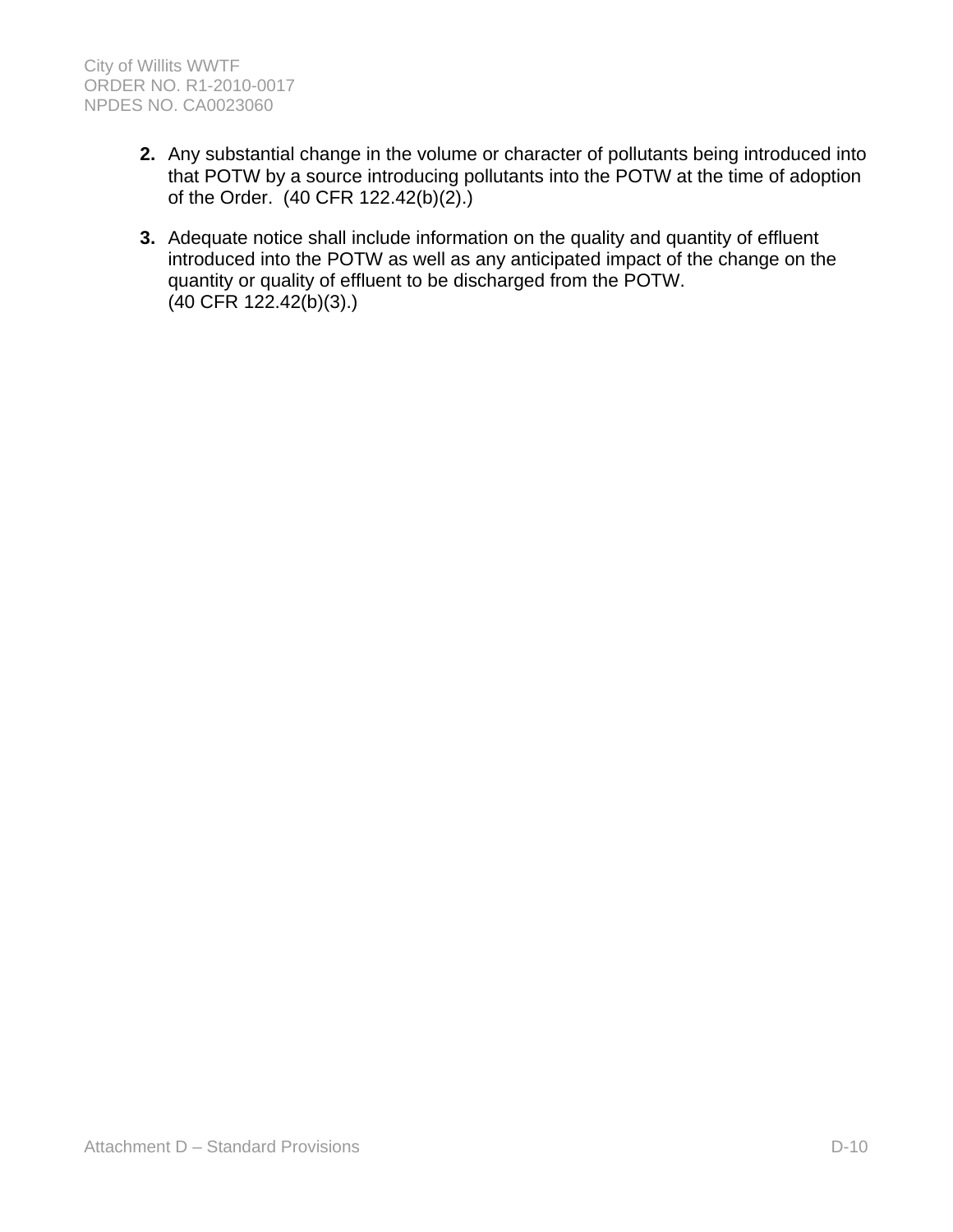- **2.** Any substantial change in the volume or character of pollutants being introduced into that POTW by a source introducing pollutants into the POTW at the time of adoption of the Order. (40 CFR 122.42(b)(2).)
- **3.** Adequate notice shall include information on the quality and quantity of effluent introduced into the POTW as well as any anticipated impact of the change on the quantity or quality of effluent to be discharged from the POTW. (40 CFR 122.42(b)(3).)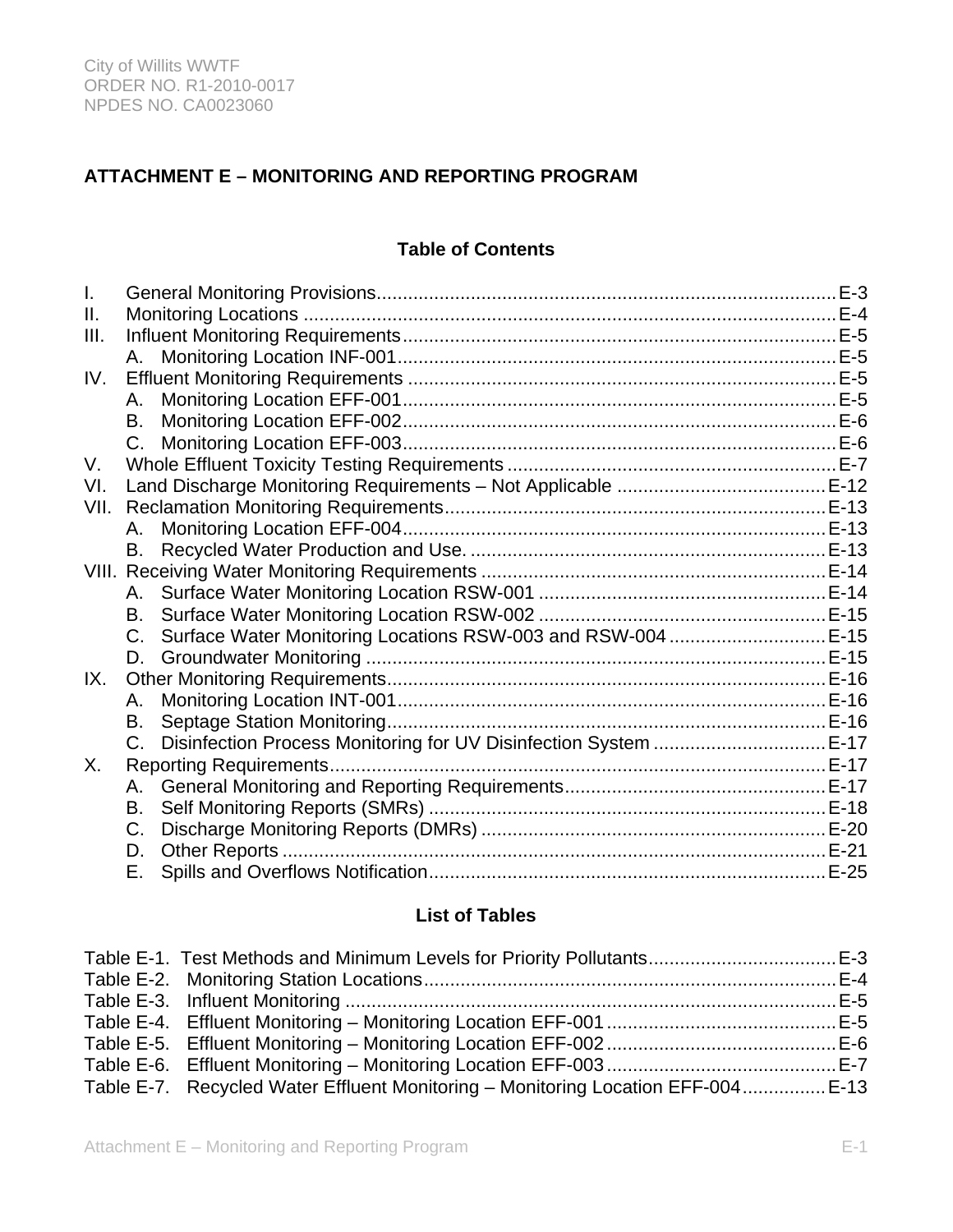# **ATTACHMENT E – MONITORING AND REPORTING PROGRAM**

# **Table of Contents**

| I.   |         |                                                                  | $E-3$ |
|------|---------|------------------------------------------------------------------|-------|
| Ш.   |         |                                                                  |       |
| III. |         |                                                                  |       |
|      | A.      |                                                                  |       |
| IV.  |         |                                                                  |       |
|      | А.      |                                                                  |       |
|      | В.      |                                                                  |       |
|      | $C_{1}$ |                                                                  |       |
| V.   |         |                                                                  |       |
| VI.  |         |                                                                  |       |
| VII. |         |                                                                  |       |
|      | Α.      |                                                                  |       |
|      | B.      |                                                                  |       |
|      |         |                                                                  |       |
|      | A.      |                                                                  |       |
|      | В.      |                                                                  |       |
|      |         |                                                                  |       |
|      | D.      |                                                                  |       |
| IX.  |         |                                                                  |       |
|      | А.      |                                                                  |       |
|      | В.      |                                                                  |       |
|      | $C_{1}$ | Disinfection Process Monitoring for UV Disinfection System  E-17 |       |
| Χ.   |         |                                                                  |       |
|      | Α.      |                                                                  |       |
|      | В.      |                                                                  |       |
|      | C.      |                                                                  |       |
|      | D.      |                                                                  |       |
|      | Е.      |                                                                  |       |

### **List of Tables**

| Table E-7. Recycled Water Effluent Monitoring - Monitoring Location EFF-004 E-13 |  |
|----------------------------------------------------------------------------------|--|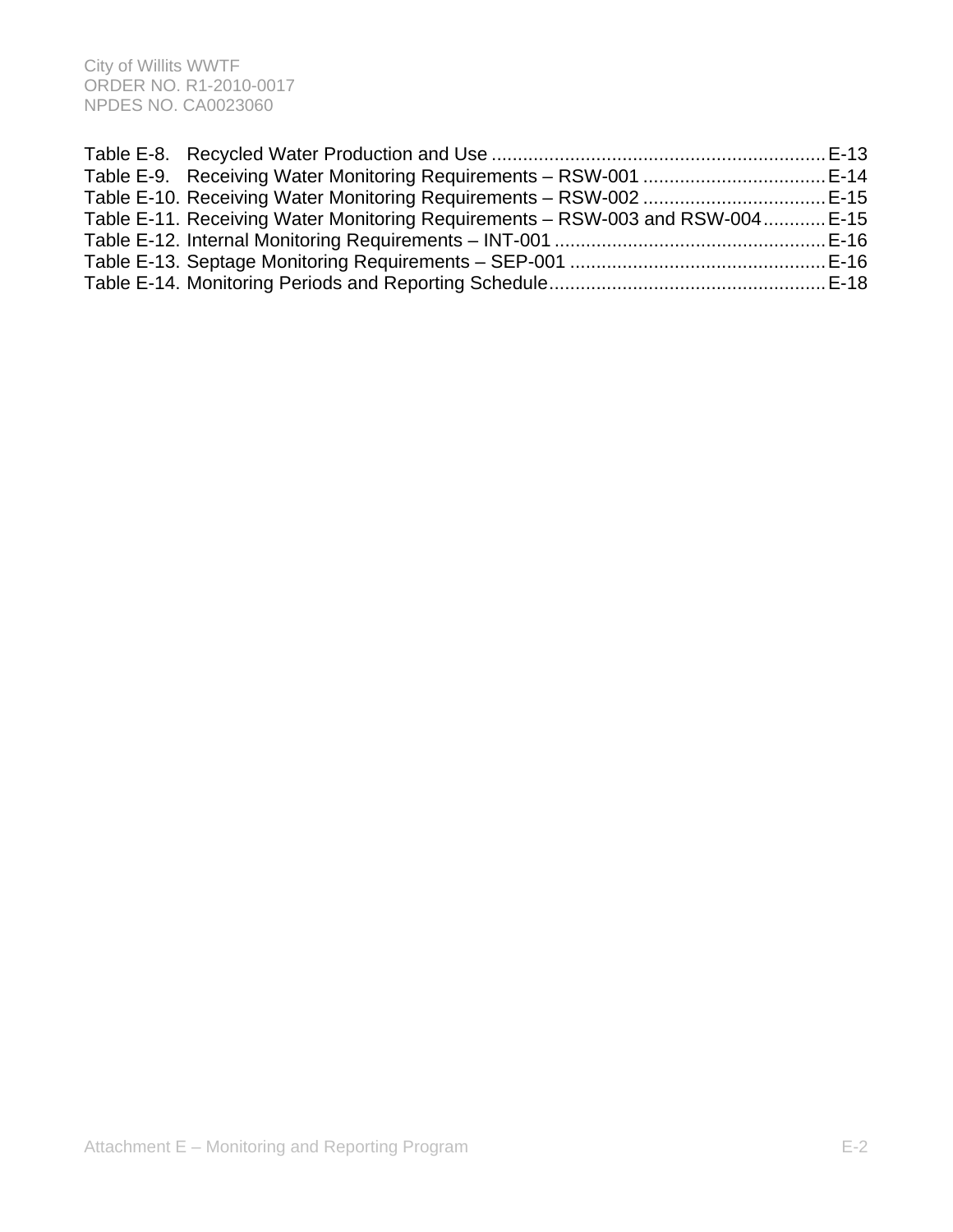| Table E-11. Receiving Water Monitoring Requirements – RSW-003 and RSW-004 E-15 |  |
|--------------------------------------------------------------------------------|--|
|                                                                                |  |
|                                                                                |  |
|                                                                                |  |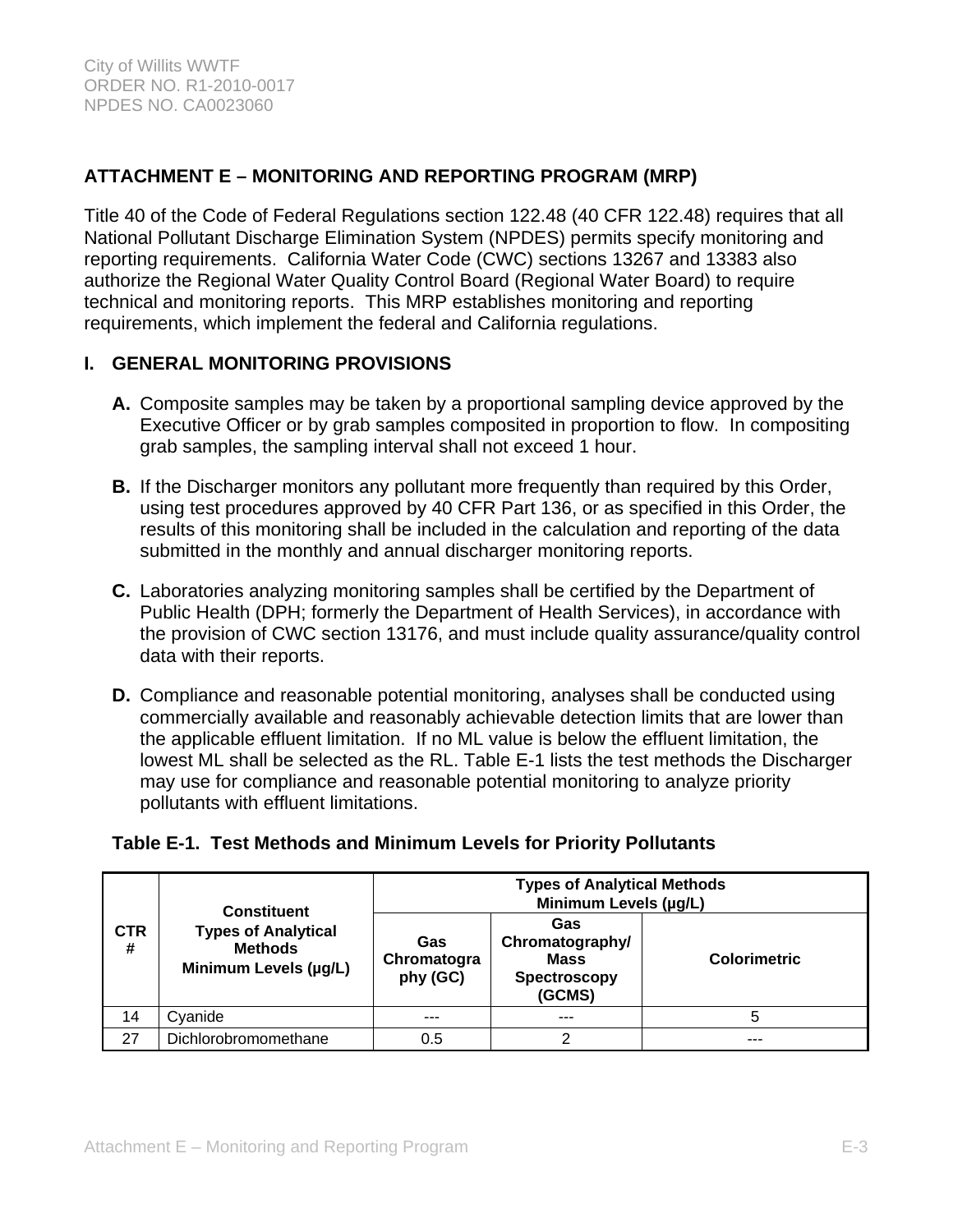# **ATTACHMENT E – MONITORING AND REPORTING PROGRAM (MRP)**

Title 40 of the Code of Federal Regulations section 122.48 (40 CFR 122.48) requires that all National Pollutant Discharge Elimination System (NPDES) permits specify monitoring and reporting requirements. California Water Code (CWC) sections 13267 and 13383 also authorize the Regional Water Quality Control Board (Regional Water Board) to require technical and monitoring reports. This MRP establishes monitoring and reporting requirements, which implement the federal and California regulations.

# **I. GENERAL MONITORING PROVISIONS**

- **A.** Composite samples may be taken by a proportional sampling device approved by the Executive Officer or by grab samples composited in proportion to flow. In compositing grab samples, the sampling interval shall not exceed 1 hour.
- **B.** If the Discharger monitors any pollutant more frequently than required by this Order, using test procedures approved by 40 CFR Part 136, or as specified in this Order, the results of this monitoring shall be included in the calculation and reporting of the data submitted in the monthly and annual discharger monitoring reports.
- **C.** Laboratories analyzing monitoring samples shall be certified by the Department of Public Health (DPH; formerly the Department of Health Services), in accordance with the provision of CWC section 13176, and must include quality assurance/quality control data with their reports.
- **D.** Compliance and reasonable potential monitoring, analyses shall be conducted using commercially available and reasonably achievable detection limits that are lower than the applicable effluent limitation. If no ML value is below the effluent limitation, the lowest ML shall be selected as the RL. Table E-1 lists the test methods the Discharger may use for compliance and reasonable potential monitoring to analyze priority pollutants with effluent limitations.

# **Table E-1. Test Methods and Minimum Levels for Priority Pollutants**

| <b>CTR</b><br># |                                                                                             | <b>Types of Analytical Methods</b><br>Minimum Levels (µg/L) |                                                                 |                     |  |  |
|-----------------|---------------------------------------------------------------------------------------------|-------------------------------------------------------------|-----------------------------------------------------------------|---------------------|--|--|
|                 | <b>Constituent</b><br><b>Types of Analytical</b><br><b>Methods</b><br>Minimum Levels (µg/L) | Gas<br>Chromatogra<br>phy (GC)                              | Gas<br>Chromatography/<br><b>Mass</b><br>Spectroscopy<br>(GCMS) | <b>Colorimetric</b> |  |  |
| 14              | Cyanide                                                                                     | ---                                                         | ---                                                             | 5                   |  |  |
| 27              | Dichlorobromomethane                                                                        | 0.5                                                         |                                                                 |                     |  |  |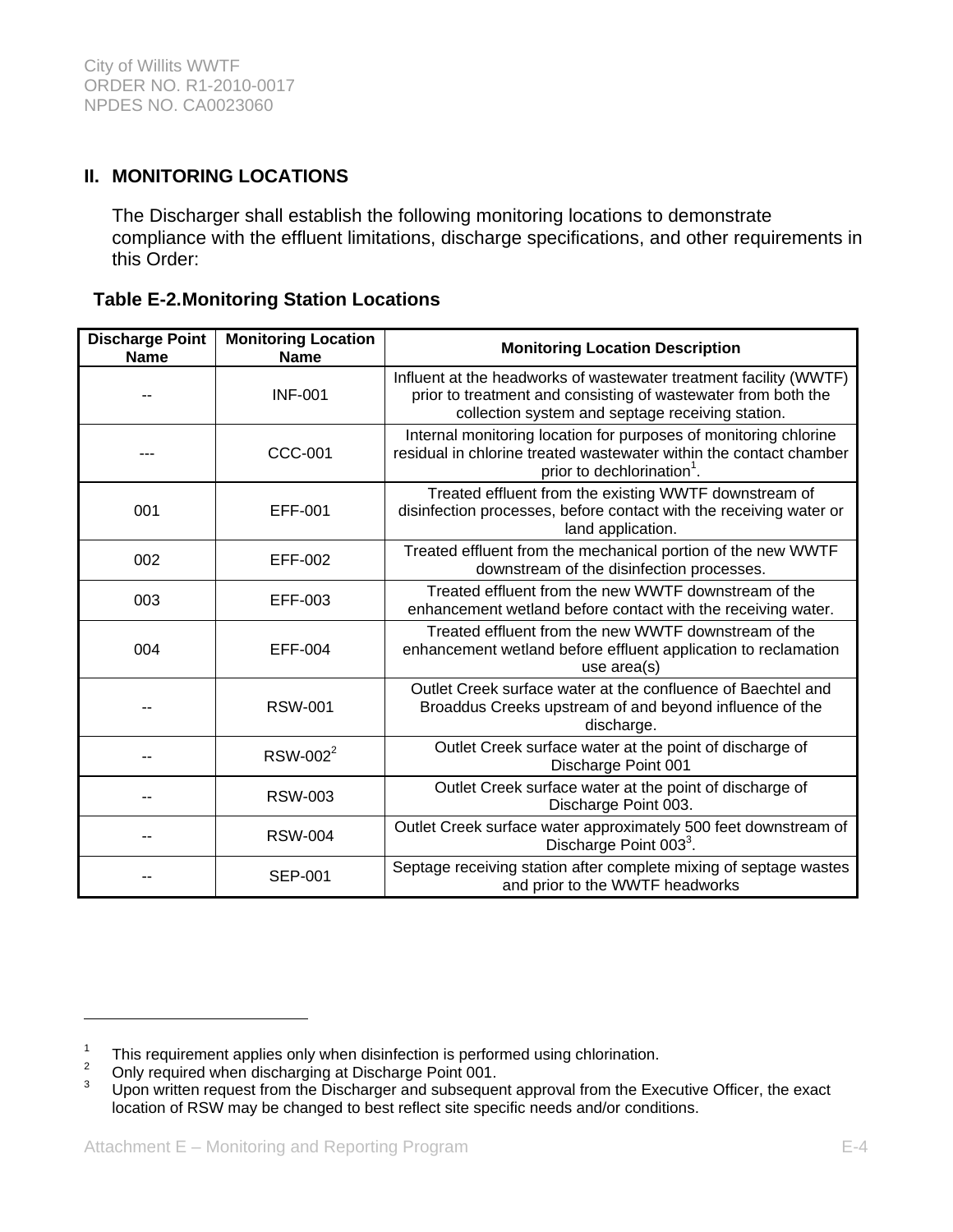# **II. MONITORING LOCATIONS**

The Discharger shall establish the following monitoring locations to demonstrate compliance with the effluent limitations, discharge specifications, and other requirements in this Order:

### **Table E-2. Monitoring Station Locations**

| <b>Discharge Point</b><br><b>Name</b> | <b>Monitoring Location</b><br><b>Name</b> | <b>Monitoring Location Description</b>                                                                                                                                                 |  |  |
|---------------------------------------|-------------------------------------------|----------------------------------------------------------------------------------------------------------------------------------------------------------------------------------------|--|--|
|                                       | <b>INF-001</b>                            | Influent at the headworks of wastewater treatment facility (WWTF)<br>prior to treatment and consisting of wastewater from both the<br>collection system and septage receiving station. |  |  |
|                                       | <b>CCC-001</b>                            | Internal monitoring location for purposes of monitoring chlorine<br>residual in chlorine treated wastewater within the contact chamber<br>prior to dechlorination <sup>1</sup> .       |  |  |
| 001                                   | EFF-001                                   | Treated effluent from the existing WWTF downstream of<br>disinfection processes, before contact with the receiving water or<br>land application.                                       |  |  |
| 002                                   | EFF-002                                   | Treated effluent from the mechanical portion of the new WWTF<br>downstream of the disinfection processes.                                                                              |  |  |
| 003                                   | EFF-003                                   | Treated effluent from the new WWTF downstream of the<br>enhancement wetland before contact with the receiving water.                                                                   |  |  |
| 004                                   | EFF-004                                   | Treated effluent from the new WWTF downstream of the<br>enhancement wetland before effluent application to reclamation<br>use $area(s)$                                                |  |  |
|                                       | <b>RSW-001</b>                            | Outlet Creek surface water at the confluence of Baechtel and<br>Broaddus Creeks upstream of and beyond influence of the<br>discharge.                                                  |  |  |
|                                       | RSW-002 <sup>2</sup>                      | Outlet Creek surface water at the point of discharge of<br>Discharge Point 001                                                                                                         |  |  |
|                                       | <b>RSW-003</b>                            | Outlet Creek surface water at the point of discharge of<br>Discharge Point 003.                                                                                                        |  |  |
|                                       | <b>RSW-004</b>                            | Outlet Creek surface water approximately 500 feet downstream of<br>Discharge Point 003 <sup>3</sup> .                                                                                  |  |  |
|                                       | <b>SEP-001</b>                            | Septage receiving station after complete mixing of septage wastes<br>and prior to the WWTF headworks                                                                                   |  |  |

 $\overline{a}$ 

<sup>1</sup> <sup>1</sup> This requirement applies only when disinfection is performed using chlorination.<br><sup>2</sup> Only required when discharging at Discharge Point 001

Only required when discharging at Discharge Point 001.

<sup>3</sup> Upon written request from the Discharger and subsequent approval from the Executive Officer, the exact location of RSW may be changed to best reflect site specific needs and/or conditions.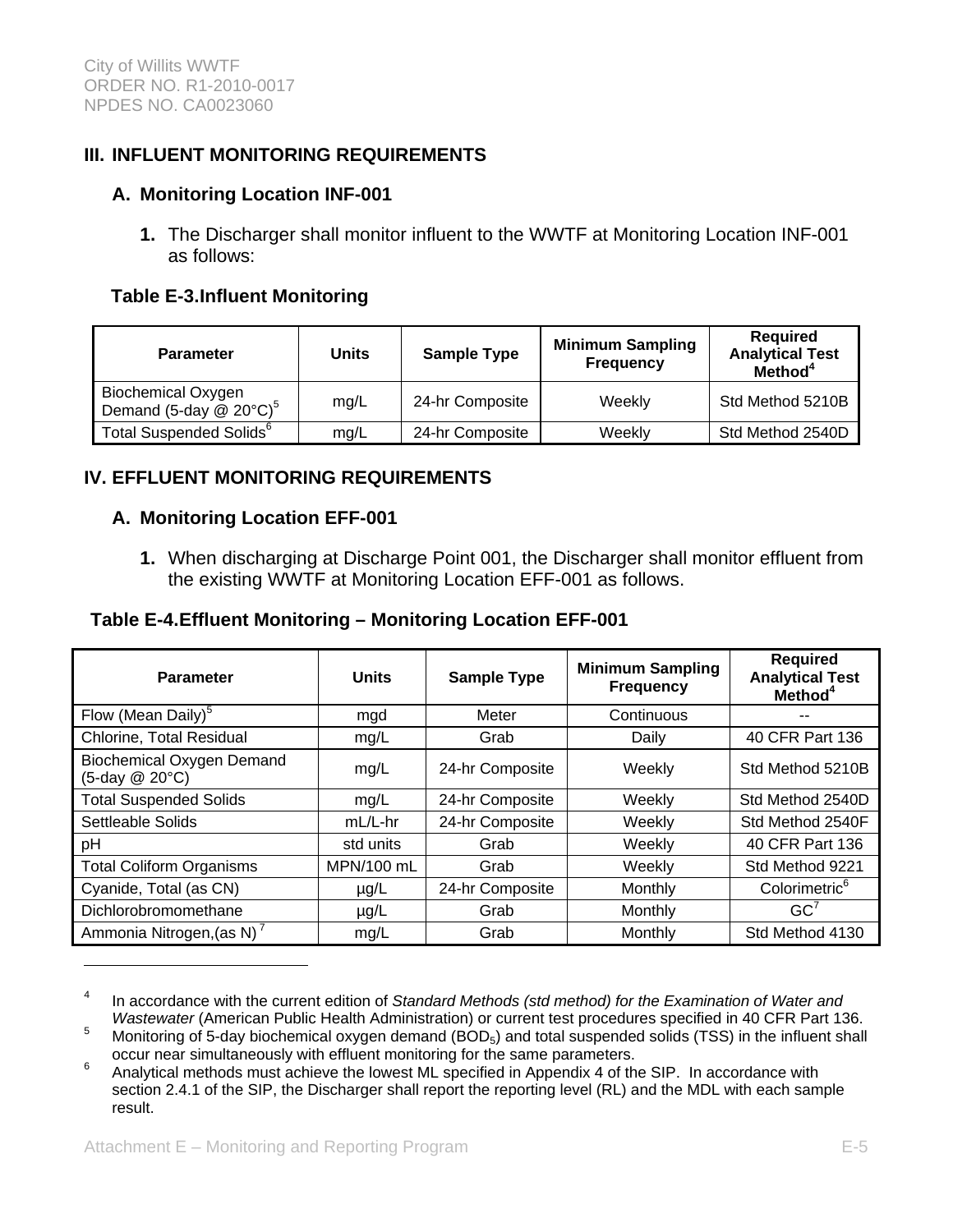# **III. INFLUENT MONITORING REQUIREMENTS**

### **A. Monitoring Location INF-001**

**1.** The Discharger shall monitor influent to the WWTF at Monitoring Location INF-001 as follows:

### **Table E-3. Influent Monitoring**

| <b>Parameter</b>                                                      | Units | <b>Sample Type</b> | <b>Minimum Sampling</b><br><b>Frequency</b> | <b>Required</b><br><b>Analytical Test</b><br>Method <sup>4</sup> |
|-----------------------------------------------------------------------|-------|--------------------|---------------------------------------------|------------------------------------------------------------------|
| <b>Biochemical Oxygen</b><br>Demand (5-day $@$ 20 $°C$ ) <sup>5</sup> | mg/L  | 24-hr Composite    | Weekly                                      | Std Method 5210B                                                 |
| Total Suspended Solids <sup>6</sup>                                   | mg/L  | 24-hr Composite    | Weekly                                      | Std Method 2540D                                                 |

# **IV. EFFLUENT MONITORING REQUIREMENTS**

### **A. Monitoring Location EFF-001**

**1.** When discharging at Discharge Point 001, the Discharger shall monitor effluent from the existing WWTF at Monitoring Location EFF-001 as follows.

### **Table E-4. Effluent Monitoring – Monitoring Location EFF-001**

| <b>Parameter</b>                                   | <b>Units</b> | <b>Sample Type</b> | <b>Minimum Sampling</b><br><b>Frequency</b> | <b>Required</b><br><b>Analytical Test</b><br>Method <sup>4</sup> |
|----------------------------------------------------|--------------|--------------------|---------------------------------------------|------------------------------------------------------------------|
| Flow (Mean Daily) <sup>5</sup>                     | mgd          | Meter              | Continuous                                  |                                                                  |
| Chlorine, Total Residual                           | mg/L         | Grab               | Daily                                       | 40 CFR Part 136                                                  |
| <b>Biochemical Oxygen Demand</b><br>(5-day @ 20°C) | mg/L         | 24-hr Composite    | Weekly                                      | Std Method 5210B                                                 |
| <b>Total Suspended Solids</b>                      | mg/L         | 24-hr Composite    | Weekly                                      | Std Method 2540D                                                 |
| Settleable Solids                                  | $mL/L$ -hr   | 24-hr Composite    | Weekly                                      | Std Method 2540F                                                 |
| рH                                                 | std units    | Grab               | Weekly                                      | 40 CFR Part 136                                                  |
| <b>Total Coliform Organisms</b>                    | MPN/100 mL   | Grab               | Weekly                                      | Std Method 9221                                                  |
| Cyanide, Total (as CN)                             | $\mu$ g/L    | 24-hr Composite    | Monthly                                     | Colorimetric <sup>6</sup>                                        |
| Dichlorobromomethane                               | $\mu$ g/L    | Grab               | Monthly                                     | GC <sup>7</sup>                                                  |
| Ammonia Nitrogen, (as N)                           | mg/L         | Grab               | Monthly                                     | Std Method 4130                                                  |

<sup>4</sup> In accordance with the current edition of *Standard Methods (std method) for the Examination of Water and Wastewater* (American Public Health Administration) or current test procedures specified in 40 CFR Part 136.

 $\overline{a}$ 

Monitoring of 5-day biochemical oxygen demand (BOD<sub>5</sub>) and total suspended solids (TSS) in the influent shall occur near simultaneously with effluent monitoring for the same parameters.

Analytical methods must achieve the lowest ML specified in Appendix 4 of the SIP. In accordance with section 2.4.1 of the SIP, the Discharger shall report the reporting level (RL) and the MDL with each sample result.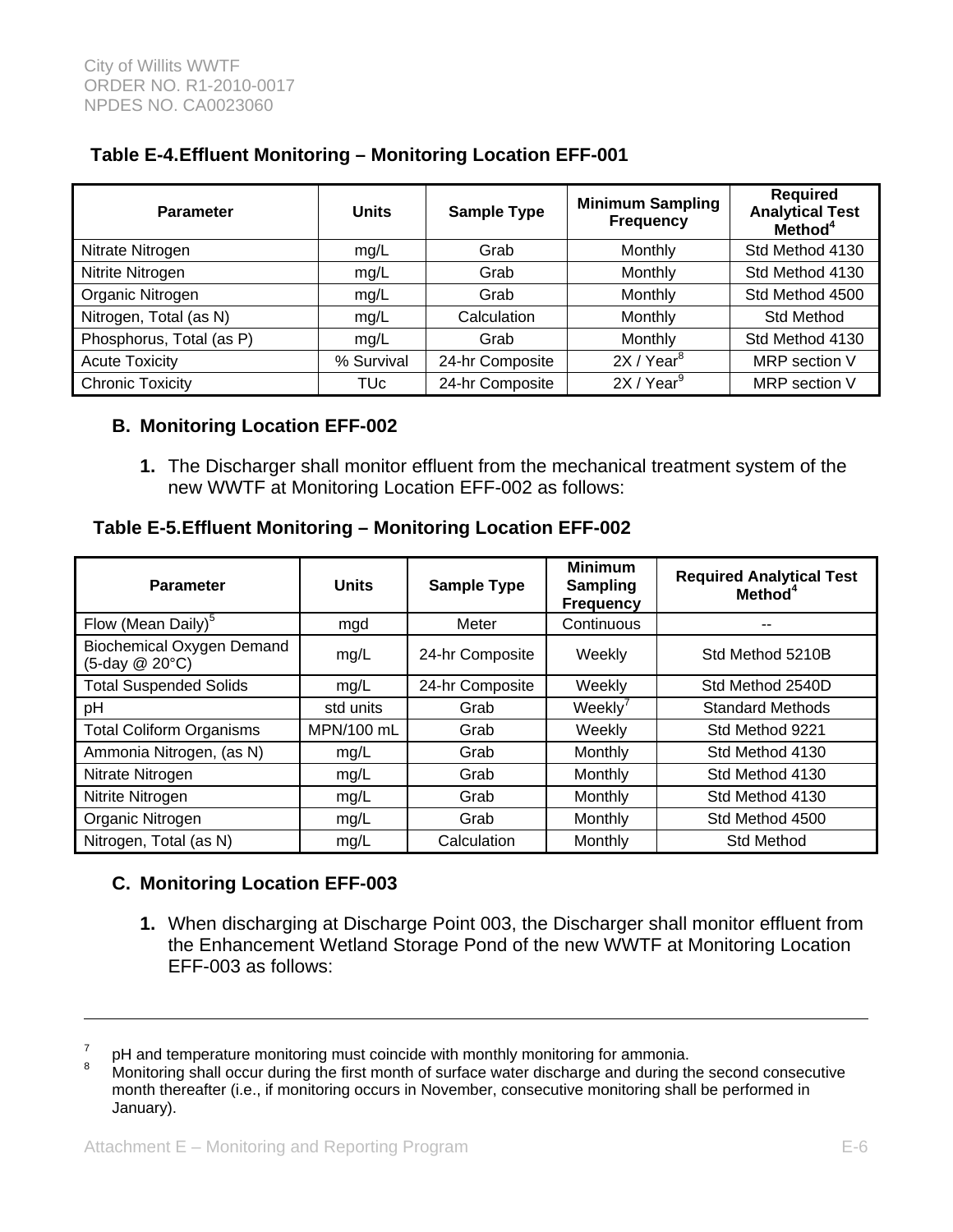| <b>Parameter</b>         | <b>Units</b> | <b>Sample Type</b> | <b>Minimum Sampling</b><br><b>Frequency</b> | <b>Required</b><br><b>Analytical Test</b><br>Method <sup>4</sup> |
|--------------------------|--------------|--------------------|---------------------------------------------|------------------------------------------------------------------|
| Nitrate Nitrogen         | mg/L         | Grab               | Monthly                                     | Std Method 4130                                                  |
| Nitrite Nitrogen         | mg/L         | Grab               | Monthly                                     | Std Method 4130                                                  |
| Organic Nitrogen         | mg/L         | Grab               | Monthly                                     | Std Method 4500                                                  |
| Nitrogen, Total (as N)   | mg/L         | Calculation        | Monthly                                     | <b>Std Method</b>                                                |
| Phosphorus, Total (as P) | mg/L         | Grab               | Monthly                                     | Std Method 4130                                                  |
| <b>Acute Toxicity</b>    | % Survival   | 24-hr Composite    | 2X/Year <sup>8</sup>                        | MRP section V                                                    |
| <b>Chronic Toxicity</b>  | TUc          | 24-hr Composite    | 2X/Year <sup>9</sup>                        | MRP section V                                                    |

# **Table E-4. Effluent Monitoring – Monitoring Location EFF-001**

#### **B. Monitoring Location EFF-002**

**1.** The Discharger shall monitor effluent from the mechanical treatment system of the new WWTF at Monitoring Location EFF-002 as follows:

#### **Table E-5. Effluent Monitoring – Monitoring Location EFF-002**

| <b>Parameter</b>                                   | <b>Units</b> | <b>Sample Type</b> | <b>Minimum</b><br><b>Sampling</b><br><b>Frequency</b> | <b>Required Analytical Test</b><br>Method <sup>4</sup> |
|----------------------------------------------------|--------------|--------------------|-------------------------------------------------------|--------------------------------------------------------|
| Flow (Mean Daily) <sup>5</sup>                     | mgd          | Meter              | Continuous                                            | --                                                     |
| <b>Biochemical Oxygen Demand</b><br>(5-day @ 20°C) | mg/L         | 24-hr Composite    | Weekly                                                | Std Method 5210B                                       |
| <b>Total Suspended Solids</b>                      | mg/L         | 24-hr Composite    | Weekly                                                | Std Method 2540D                                       |
| pH                                                 | std units    | Grab               | Weekly'                                               | <b>Standard Methods</b>                                |
| <b>Total Coliform Organisms</b>                    | MPN/100 mL   | Grab               | Weekly                                                | Std Method 9221                                        |
| Ammonia Nitrogen, (as N)                           | mg/L         | Grab               | Monthly                                               | Std Method 4130                                        |
| Nitrate Nitrogen                                   | mg/L         | Grab               | Monthly                                               | Std Method 4130                                        |
| Nitrite Nitrogen                                   | mg/L         | Grab               | Monthly                                               | Std Method 4130                                        |
| Organic Nitrogen                                   | mg/L         | Grab               | Monthly                                               | Std Method 4500                                        |
| Nitrogen, Total (as N)                             | mq/L         | Calculation        | Monthly                                               | Std Method                                             |

### **C. Monitoring Location EFF-003**

 $\overline{a}$ 

**1.** When discharging at Discharge Point 003, the Discharger shall monitor effluent from the Enhancement Wetland Storage Pond of the new WWTF at Monitoring Location EFF-003 as follows:

<sup>7</sup> pH and temperature monitoring must coincide with monthly monitoring for ammonia.

<sup>8</sup> Monitoring shall occur during the first month of surface water discharge and during the second consecutive month thereafter (i.e., if monitoring occurs in November, consecutive monitoring shall be performed in January).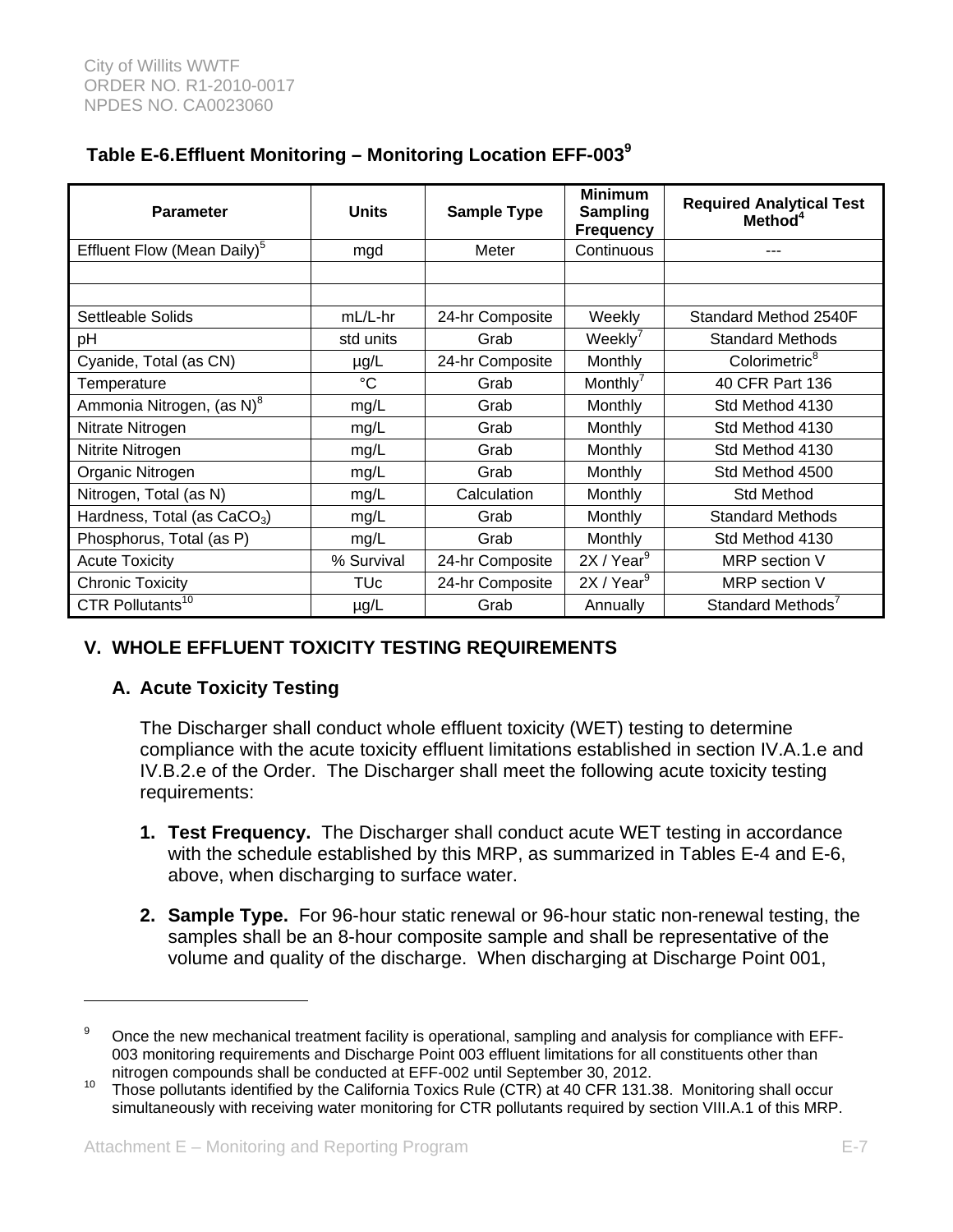# **Table E-6. Effluent Monitoring – Monitoring Location EFF-003<sup>9</sup>**

| <b>Parameter</b>                        | <b>Units</b>    | <b>Sample Type</b> | <b>Minimum</b><br><b>Sampling</b><br><b>Frequency</b> | <b>Required Analytical Test</b><br>Method <sup>4</sup> |
|-----------------------------------------|-----------------|--------------------|-------------------------------------------------------|--------------------------------------------------------|
| Effluent Flow (Mean Daily) <sup>5</sup> | mgd             | Meter              | Continuous                                            | ---                                                    |
|                                         |                 |                    |                                                       |                                                        |
|                                         |                 |                    |                                                       |                                                        |
| Settleable Solids                       | mL/L-hr         | 24-hr Composite    | Weekly                                                | Standard Method 2540F                                  |
| pH                                      | std units       | Grab               | Weekly <sup>'</sup>                                   | <b>Standard Methods</b>                                |
| Cyanide, Total (as CN)                  | µg/L            | 24-hr Composite    | Monthly                                               | Colorimetric <sup>8</sup>                              |
| Temperature                             | $\rm ^{\circ}C$ | Grab               | Monthly <sup>'</sup>                                  | 40 CFR Part 136                                        |
| Ammonia Nitrogen, (as N) <sup>8</sup>   | mg/L            | Grab               | Monthly                                               | Std Method 4130                                        |
| Nitrate Nitrogen                        | mg/L            | Grab               | Monthly                                               | Std Method 4130                                        |
| Nitrite Nitrogen                        | mg/L            | Grab               | Monthly                                               | Std Method 4130                                        |
| Organic Nitrogen                        | mg/L            | Grab               | Monthly                                               | Std Method 4500                                        |
| Nitrogen, Total (as N)                  | mg/L            | Calculation        | Monthly                                               | <b>Std Method</b>                                      |
| Hardness, Total (as $CaCO3$ )           | mg/L            | Grab               | Monthly                                               | <b>Standard Methods</b>                                |
| Phosphorus, Total (as P)                | mg/L            | Grab               | Monthly                                               | Std Method 4130                                        |
| <b>Acute Toxicity</b>                   | % Survival      | 24-hr Composite    | 2X/Year <sup>9</sup>                                  | MRP section V                                          |
| <b>Chronic Toxicity</b>                 | TUc             | 24-hr Composite    | 2X/Year <sup>9</sup>                                  | MRP section V                                          |
| CTR Pollutants <sup>10</sup>            | $\mu$ g/L       | Grab               | Annually                                              | Standard Methods <sup>7</sup>                          |

# **V. WHOLE EFFLUENT TOXICITY TESTING REQUIREMENTS**

# **A. Acute Toxicity Testing**

 $\overline{a}$ 

The Discharger shall conduct whole effluent toxicity (WET) testing to determine compliance with the acute toxicity effluent limitations established in section IV.A.1.e and IV.B.2.e of the Order. The Discharger shall meet the following acute toxicity testing requirements:

- **1. Test Frequency.** The Discharger shall conduct acute WET testing in accordance with the schedule established by this MRP, as summarized in Tables E-4 and E-6, above, when discharging to surface water.
- **2. Sample Type.** For 96-hour static renewal or 96-hour static non-renewal testing, the samples shall be an 8-hour composite sample and shall be representative of the volume and quality of the discharge. When discharging at Discharge Point 001,

<sup>9</sup> Once the new mechanical treatment facility is operational, sampling and analysis for compliance with EFF-003 monitoring requirements and Discharge Point 003 effluent limitations for all constituents other than nitrogen compounds shall be conducted at EFF-002 until September 30, 2012.<br><sup>10</sup> Those pollutants identified by the California Toxics Rule (CTR) at 40 CFR 131.38. Monitoring shall occur

simultaneously with receiving water monitoring for CTR pollutants required by section VIII.A.1 of this MRP.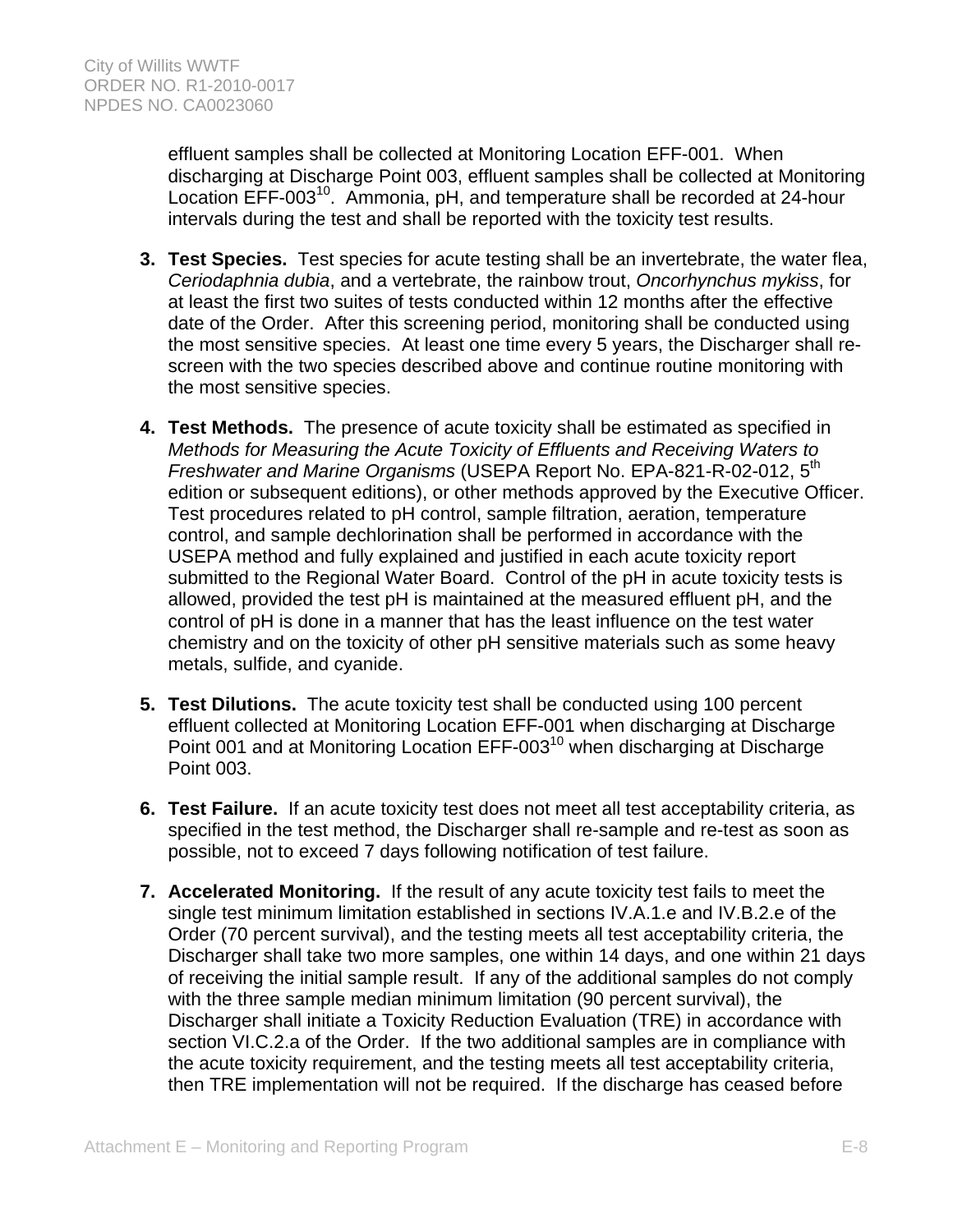effluent samples shall be collected at Monitoring Location EFF-001. When discharging at Discharge Point 003, effluent samples shall be collected at Monitoring Location EFF-003<sup>10</sup>. Ammonia, pH, and temperature shall be recorded at 24-hour intervals during the test and shall be reported with the toxicity test results.

- **3. Test Species.** Test species for acute testing shall be an invertebrate, the water flea, *Ceriodaphnia dubia*, and a vertebrate, the rainbow trout, *Oncorhynchus mykiss*, for at least the first two suites of tests conducted within 12 months after the effective date of the Order. After this screening period, monitoring shall be conducted using the most sensitive species. At least one time every 5 years, the Discharger shall rescreen with the two species described above and continue routine monitoring with the most sensitive species.
- **4. Test Methods.** The presence of acute toxicity shall be estimated as specified in *Methods for Measuring the Acute Toxicity of Effluents and Receiving Waters to Freshwater and Marine Organisms* (USEPA Report No. EPA-821-R-02-012, 5th edition or subsequent editions), or other methods approved by the Executive Officer. Test procedures related to pH control, sample filtration, aeration, temperature control, and sample dechlorination shall be performed in accordance with the USEPA method and fully explained and justified in each acute toxicity report submitted to the Regional Water Board. Control of the pH in acute toxicity tests is allowed, provided the test pH is maintained at the measured effluent pH, and the control of pH is done in a manner that has the least influence on the test water chemistry and on the toxicity of other pH sensitive materials such as some heavy metals, sulfide, and cyanide.
- **5. Test Dilutions.** The acute toxicity test shall be conducted using 100 percent effluent collected at Monitoring Location EFF-001 when discharging at Discharge Point 001 and at Monitoring Location EFF-003<sup>10</sup> when discharging at Discharge Point 003.
- **6. Test Failure.** If an acute toxicity test does not meet all test acceptability criteria, as specified in the test method, the Discharger shall re-sample and re-test as soon as possible, not to exceed 7 days following notification of test failure.
- **7. Accelerated Monitoring.** If the result of any acute toxicity test fails to meet the single test minimum limitation established in sections IV.A.1.e and IV.B.2.e of the Order (70 percent survival), and the testing meets all test acceptability criteria, the Discharger shall take two more samples, one within 14 days, and one within 21 days of receiving the initial sample result. If any of the additional samples do not comply with the three sample median minimum limitation (90 percent survival), the Discharger shall initiate a Toxicity Reduction Evaluation (TRE) in accordance with section VI.C.2.a of the Order. If the two additional samples are in compliance with the acute toxicity requirement, and the testing meets all test acceptability criteria, then TRE implementation will not be required. If the discharge has ceased before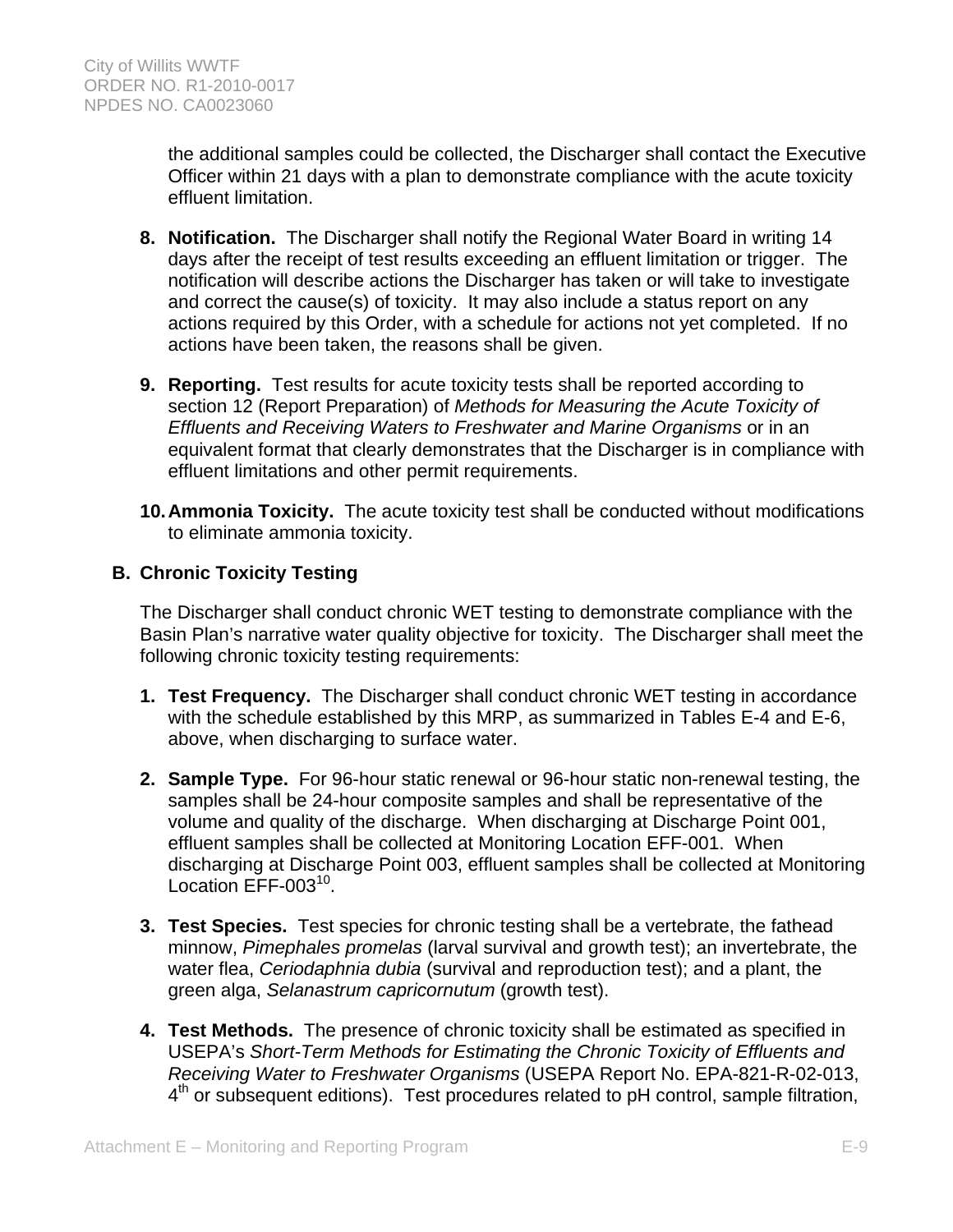the additional samples could be collected, the Discharger shall contact the Executive Officer within 21 days with a plan to demonstrate compliance with the acute toxicity effluent limitation.

- **8. Notification.** The Discharger shall notify the Regional Water Board in writing 14 days after the receipt of test results exceeding an effluent limitation or trigger. The notification will describe actions the Discharger has taken or will take to investigate and correct the cause(s) of toxicity. It may also include a status report on any actions required by this Order, with a schedule for actions not yet completed. If no actions have been taken, the reasons shall be given.
- **9. Reporting.** Test results for acute toxicity tests shall be reported according to section 12 (Report Preparation) of *Methods for Measuring the Acute Toxicity of Effluents and Receiving Waters to Freshwater and Marine Organisms* or in an equivalent format that clearly demonstrates that the Discharger is in compliance with effluent limitations and other permit requirements.
- **10. Ammonia Toxicity.** The acute toxicity test shall be conducted without modifications to eliminate ammonia toxicity.

# **B. Chronic Toxicity Testing**

The Discharger shall conduct chronic WET testing to demonstrate compliance with the Basin Plan's narrative water quality objective for toxicity. The Discharger shall meet the following chronic toxicity testing requirements:

- **1. Test Frequency.** The Discharger shall conduct chronic WET testing in accordance with the schedule established by this MRP, as summarized in Tables E-4 and E-6, above, when discharging to surface water.
- **2. Sample Type.** For 96-hour static renewal or 96-hour static non-renewal testing, the samples shall be 24-hour composite samples and shall be representative of the volume and quality of the discharge. When discharging at Discharge Point 001, effluent samples shall be collected at Monitoring Location EFF-001. When discharging at Discharge Point 003, effluent samples shall be collected at Monitoring Location EFF-003<sup>10</sup>.
- **3. Test Species.** Test species for chronic testing shall be a vertebrate, the fathead minnow, *Pimephales promelas* (larval survival and growth test); an invertebrate, the water flea, *Ceriodaphnia dubia* (survival and reproduction test); and a plant, the green alga, *Selanastrum capricornutum* (growth test).
- **4. Test Methods.** The presence of chronic toxicity shall be estimated as specified in USEPA's *Short-Term Methods for Estimating the Chronic Toxicity of Effluents and Receiving Water to Freshwater Organisms* (USEPA Report No. EPA-821-R-02-013,  $4<sup>th</sup>$  or subsequent editions). Test procedures related to pH control, sample filtration,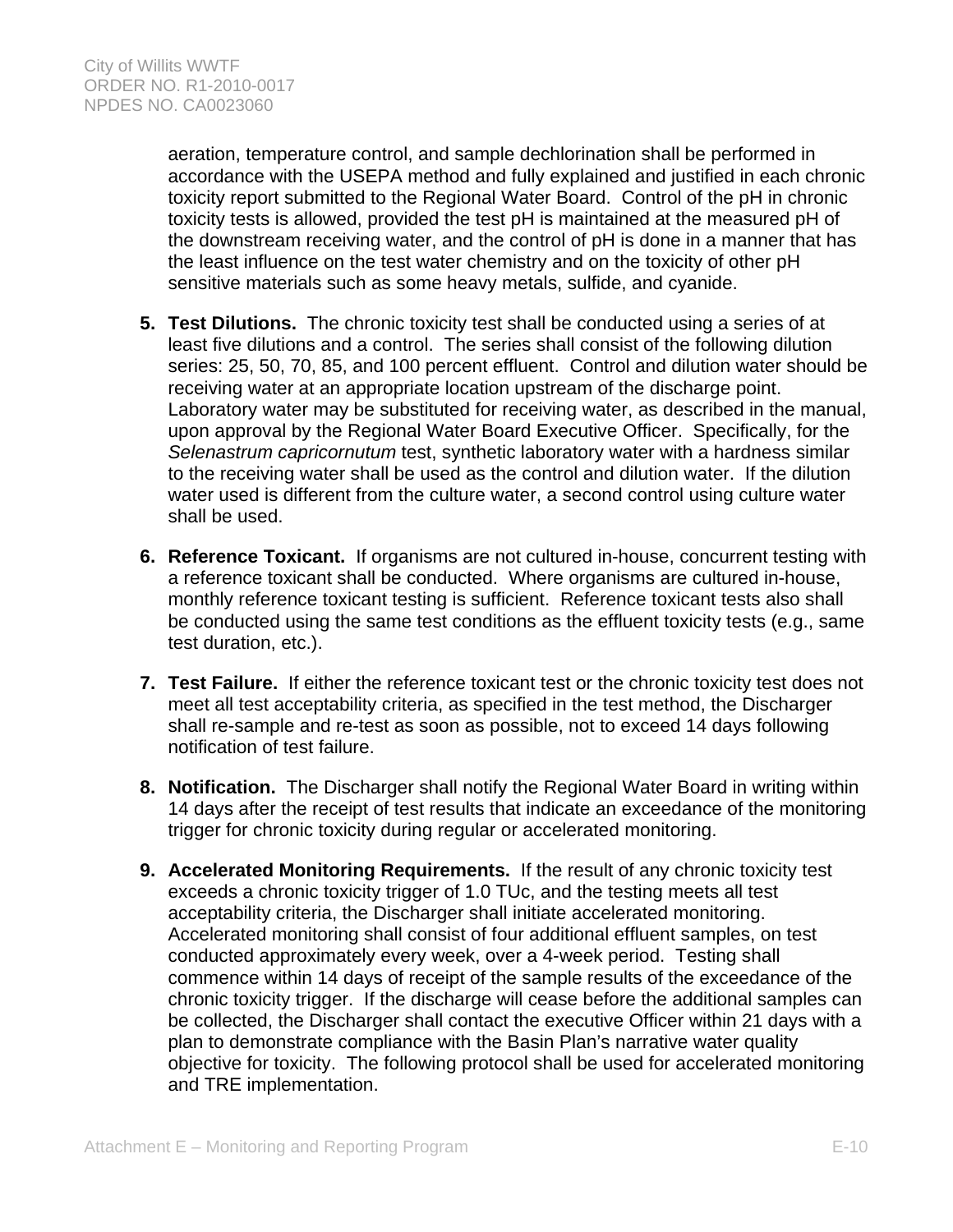aeration, temperature control, and sample dechlorination shall be performed in accordance with the USEPA method and fully explained and justified in each chronic toxicity report submitted to the Regional Water Board. Control of the pH in chronic toxicity tests is allowed, provided the test pH is maintained at the measured pH of the downstream receiving water, and the control of pH is done in a manner that has the least influence on the test water chemistry and on the toxicity of other pH sensitive materials such as some heavy metals, sulfide, and cyanide.

- **5. Test Dilutions.** The chronic toxicity test shall be conducted using a series of at least five dilutions and a control. The series shall consist of the following dilution series: 25, 50, 70, 85, and 100 percent effluent. Control and dilution water should be receiving water at an appropriate location upstream of the discharge point. Laboratory water may be substituted for receiving water, as described in the manual, upon approval by the Regional Water Board Executive Officer. Specifically, for the *Selenastrum capricornutum* test, synthetic laboratory water with a hardness similar to the receiving water shall be used as the control and dilution water. If the dilution water used is different from the culture water, a second control using culture water shall be used.
- **6. Reference Toxicant.** If organisms are not cultured in-house, concurrent testing with a reference toxicant shall be conducted. Where organisms are cultured in-house, monthly reference toxicant testing is sufficient. Reference toxicant tests also shall be conducted using the same test conditions as the effluent toxicity tests (e.g., same test duration, etc.).
- **7. Test Failure.** If either the reference toxicant test or the chronic toxicity test does not meet all test acceptability criteria, as specified in the test method, the Discharger shall re-sample and re-test as soon as possible, not to exceed 14 days following notification of test failure.
- **8. Notification.** The Discharger shall notify the Regional Water Board in writing within 14 days after the receipt of test results that indicate an exceedance of the monitoring trigger for chronic toxicity during regular or accelerated monitoring.
- **9. Accelerated Monitoring Requirements.** If the result of any chronic toxicity test exceeds a chronic toxicity trigger of 1.0 TUc, and the testing meets all test acceptability criteria, the Discharger shall initiate accelerated monitoring. Accelerated monitoring shall consist of four additional effluent samples, on test conducted approximately every week, over a 4-week period. Testing shall commence within 14 days of receipt of the sample results of the exceedance of the chronic toxicity trigger. If the discharge will cease before the additional samples can be collected, the Discharger shall contact the executive Officer within 21 days with a plan to demonstrate compliance with the Basin Plan's narrative water quality objective for toxicity. The following protocol shall be used for accelerated monitoring and TRE implementation.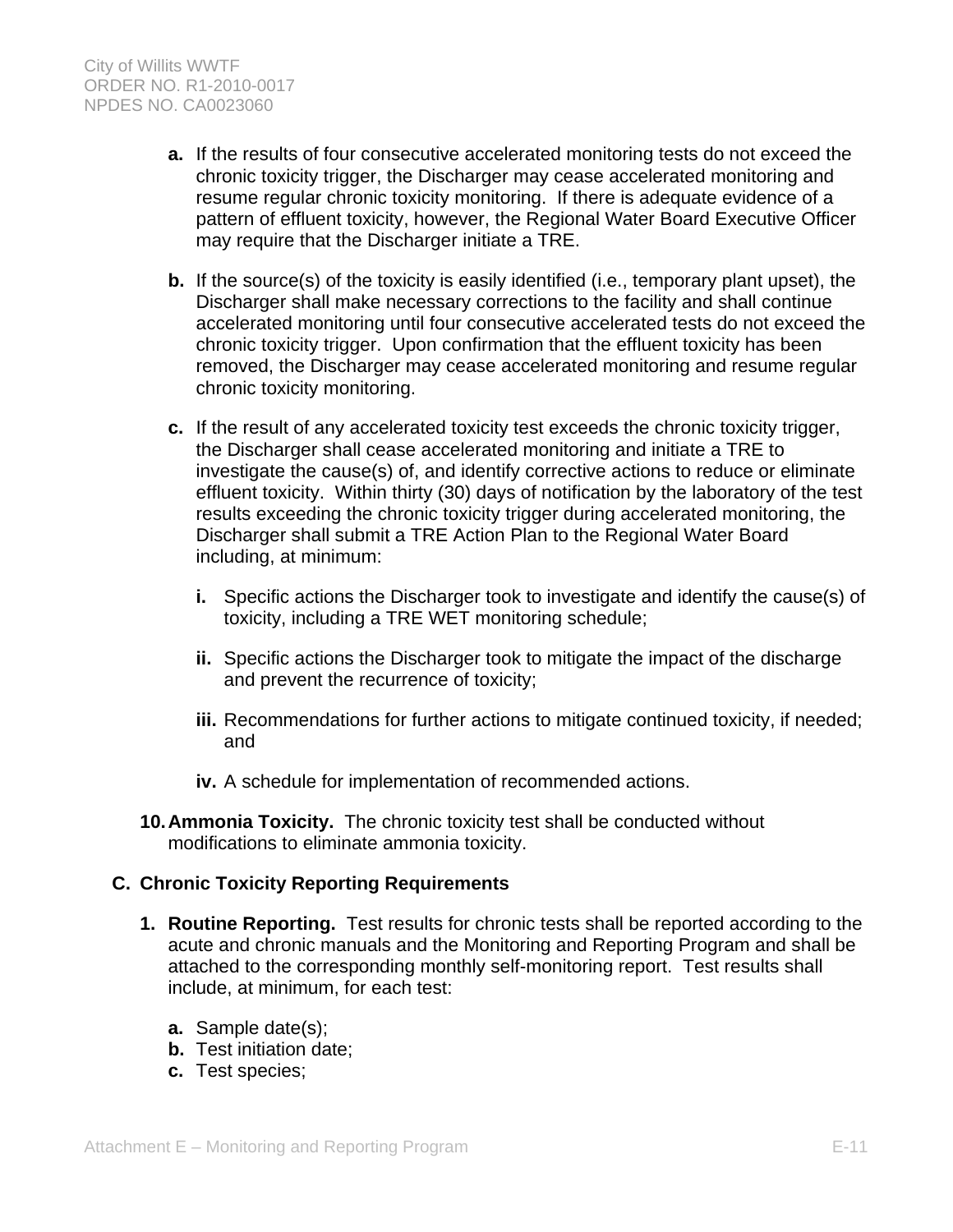- **a.** If the results of four consecutive accelerated monitoring tests do not exceed the chronic toxicity trigger, the Discharger may cease accelerated monitoring and resume regular chronic toxicity monitoring. If there is adequate evidence of a pattern of effluent toxicity, however, the Regional Water Board Executive Officer may require that the Discharger initiate a TRE.
- **b.** If the source(s) of the toxicity is easily identified (i.e., temporary plant upset), the Discharger shall make necessary corrections to the facility and shall continue accelerated monitoring until four consecutive accelerated tests do not exceed the chronic toxicity trigger. Upon confirmation that the effluent toxicity has been removed, the Discharger may cease accelerated monitoring and resume regular chronic toxicity monitoring.
- **c.** If the result of any accelerated toxicity test exceeds the chronic toxicity trigger, the Discharger shall cease accelerated monitoring and initiate a TRE to investigate the cause(s) of, and identify corrective actions to reduce or eliminate effluent toxicity. Within thirty (30) days of notification by the laboratory of the test results exceeding the chronic toxicity trigger during accelerated monitoring, the Discharger shall submit a TRE Action Plan to the Regional Water Board including, at minimum:
	- **i.** Specific actions the Discharger took to investigate and identify the cause(s) of toxicity, including a TRE WET monitoring schedule;
	- **ii.** Specific actions the Discharger took to mitigate the impact of the discharge and prevent the recurrence of toxicity;
	- **iii.** Recommendations for further actions to mitigate continued toxicity, if needed; and
	- **iv.** A schedule for implementation of recommended actions.
- **10. Ammonia Toxicity.** The chronic toxicity test shall be conducted without modifications to eliminate ammonia toxicity.

# **C. Chronic Toxicity Reporting Requirements**

- **1. Routine Reporting.** Test results for chronic tests shall be reported according to the acute and chronic manuals and the Monitoring and Reporting Program and shall be attached to the corresponding monthly self-monitoring report. Test results shall include, at minimum, for each test:
	- **a.** Sample date(s);
	- **b.** Test initiation date;
	- **c.** Test species;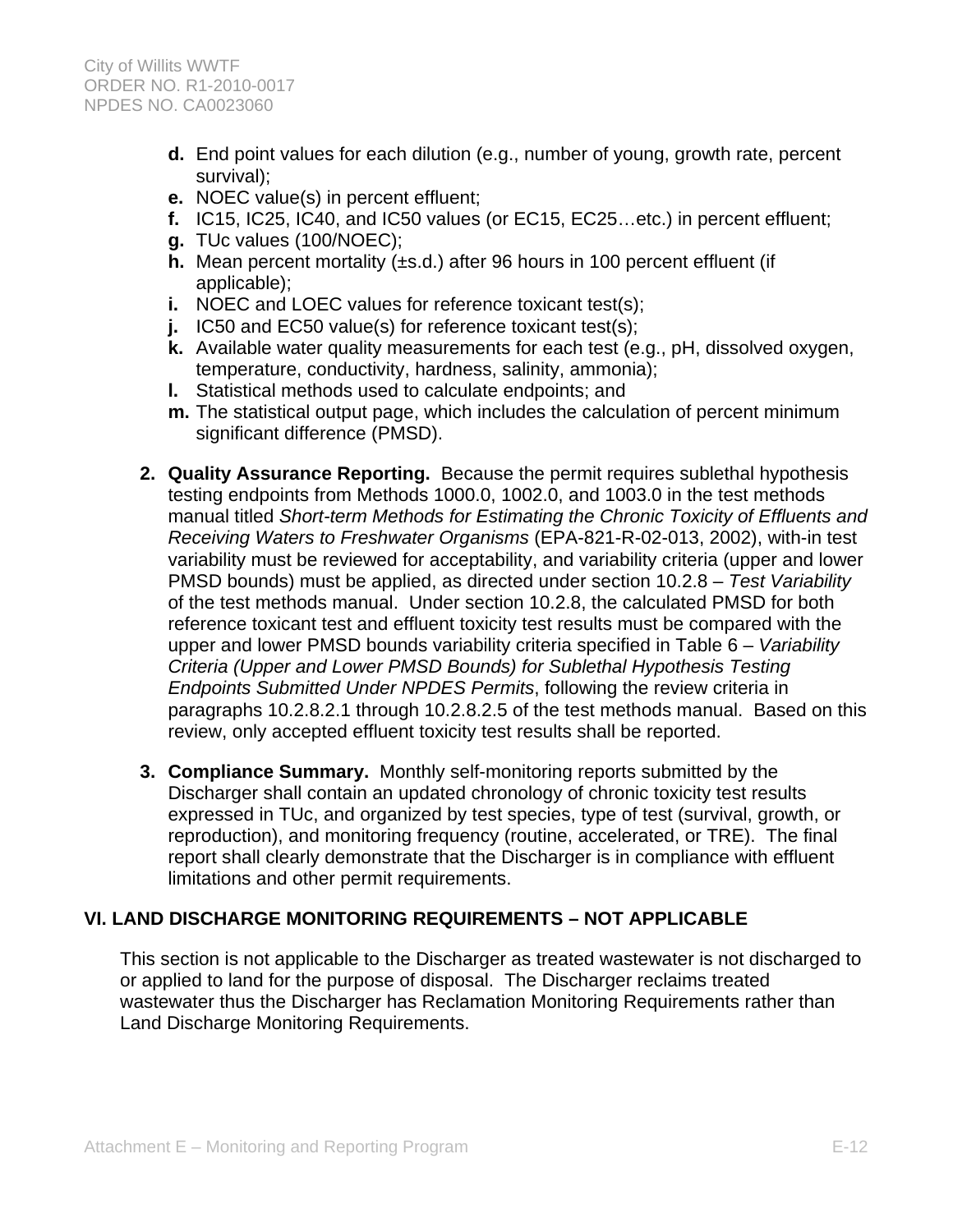- **d.** End point values for each dilution (e.g., number of young, growth rate, percent survival);
- **e.** NOEC value(s) in percent effluent;
- **f.** IC15, IC25, IC40, and IC50 values (or EC15, EC25…etc.) in percent effluent;
- **g.** TUc values (100/NOEC);
- **h.** Mean percent mortality (±s.d.) after 96 hours in 100 percent effluent (if applicable);
- **i.** NOEC and LOEC values for reference toxicant test(s);
- **j.** IC50 and EC50 value(s) for reference toxicant test(s);
- **k.** Available water quality measurements for each test (e.g., pH, dissolved oxygen, temperature, conductivity, hardness, salinity, ammonia);
- **l.** Statistical methods used to calculate endpoints; and
- **m.** The statistical output page, which includes the calculation of percent minimum significant difference (PMSD).
- **2. Quality Assurance Reporting.** Because the permit requires sublethal hypothesis testing endpoints from Methods 1000.0, 1002.0, and 1003.0 in the test methods manual titled *Short-term Methods for Estimating the Chronic Toxicity of Effluents and Receiving Waters to Freshwater Organisms* (EPA-821-R-02-013, 2002), with-in test variability must be reviewed for acceptability, and variability criteria (upper and lower PMSD bounds) must be applied, as directed under section 10.2.8 – *Test Variability*  of the test methods manual. Under section 10.2.8, the calculated PMSD for both reference toxicant test and effluent toxicity test results must be compared with the upper and lower PMSD bounds variability criteria specified in Table 6 – *Variability Criteria (Upper and Lower PMSD Bounds) for Sublethal Hypothesis Testing Endpoints Submitted Under NPDES Permits*, following the review criteria in paragraphs 10.2.8.2.1 through 10.2.8.2.5 of the test methods manual. Based on this review, only accepted effluent toxicity test results shall be reported.
- **3. Compliance Summary.** Monthly self-monitoring reports submitted by the Discharger shall contain an updated chronology of chronic toxicity test results expressed in TUc, and organized by test species, type of test (survival, growth, or reproduction), and monitoring frequency (routine, accelerated, or TRE). The final report shall clearly demonstrate that the Discharger is in compliance with effluent limitations and other permit requirements.

# **VI. LAND DISCHARGE MONITORING REQUIREMENTS – NOT APPLICABLE**

This section is not applicable to the Discharger as treated wastewater is not discharged to or applied to land for the purpose of disposal. The Discharger reclaims treated wastewater thus the Discharger has Reclamation Monitoring Requirements rather than Land Discharge Monitoring Requirements.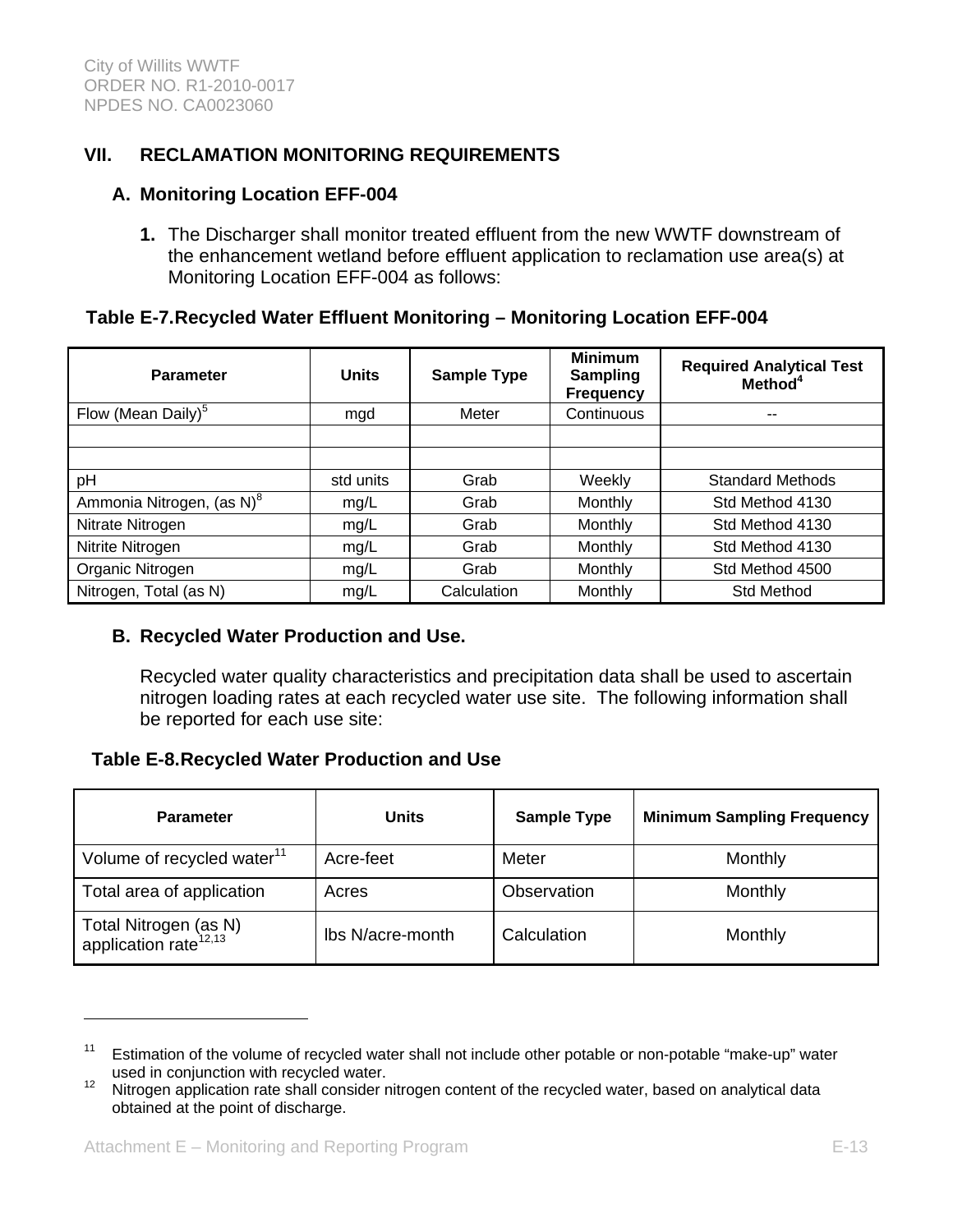# **VII. RECLAMATION MONITORING REQUIREMENTS**

#### **A. Monitoring Location EFF-004**

**1.** The Discharger shall monitor treated effluent from the new WWTF downstream of the enhancement wetland before effluent application to reclamation use area(s) at Monitoring Location EFF-004 as follows:

### **Table E-7. Recycled Water Effluent Monitoring – Monitoring Location EFF-004**

| <b>Parameter</b>                      | <b>Units</b> | <b>Sample Type</b> | <b>Minimum</b><br><b>Sampling</b><br><b>Frequency</b> | <b>Required Analytical Test</b><br>Method <sup>4</sup> |
|---------------------------------------|--------------|--------------------|-------------------------------------------------------|--------------------------------------------------------|
| Flow (Mean Daily) <sup>5</sup>        | mgd          | Meter              | Continuous                                            | --                                                     |
|                                       |              |                    |                                                       |                                                        |
|                                       |              |                    |                                                       |                                                        |
| pH                                    | std units    | Grab               | Weekly                                                | <b>Standard Methods</b>                                |
| Ammonia Nitrogen, (as N) <sup>8</sup> | mg/L         | Grab               | Monthly                                               | Std Method 4130                                        |
| Nitrate Nitrogen                      | mg/L         | Grab               | Monthly                                               | Std Method 4130                                        |
| Nitrite Nitrogen                      | mg/L         | Grab               | Monthly                                               | Std Method 4130                                        |
| Organic Nitrogen                      | mg/L         | Grab               | Monthly                                               | Std Method 4500                                        |
| Nitrogen, Total (as N)                | mg/L         | Calculation        | Monthly                                               | Std Method                                             |

### **B. Recycled Water Production and Use.**

Recycled water quality characteristics and precipitation data shall be used to ascertain nitrogen loading rates at each recycled water use site. The following information shall be reported for each use site:

### **Table E-8. Recycled Water Production and Use**

| <b>Parameter</b>                                           | <b>Units</b>     | <b>Sample Type</b> | <b>Minimum Sampling Frequency</b> |
|------------------------------------------------------------|------------------|--------------------|-----------------------------------|
| Volume of recycled water <sup>11</sup>                     | Acre-feet        | Meter              | Monthly                           |
| Total area of application                                  | Acres            | Observation        | Monthly                           |
| Total Nitrogen (as N)<br>application rate <sup>12,13</sup> | Ibs N/acre-month | Calculation        | Monthly                           |

 $\overline{a}$ 

 $11$  Estimation of the volume of recycled water shall not include other potable or non-potable "make-up" water used in conjunction with recycled water.<br><sup>12</sup> Nitrogen application rate shall consider nitrogen content of the recycled water, based on analytical data

obtained at the point of discharge.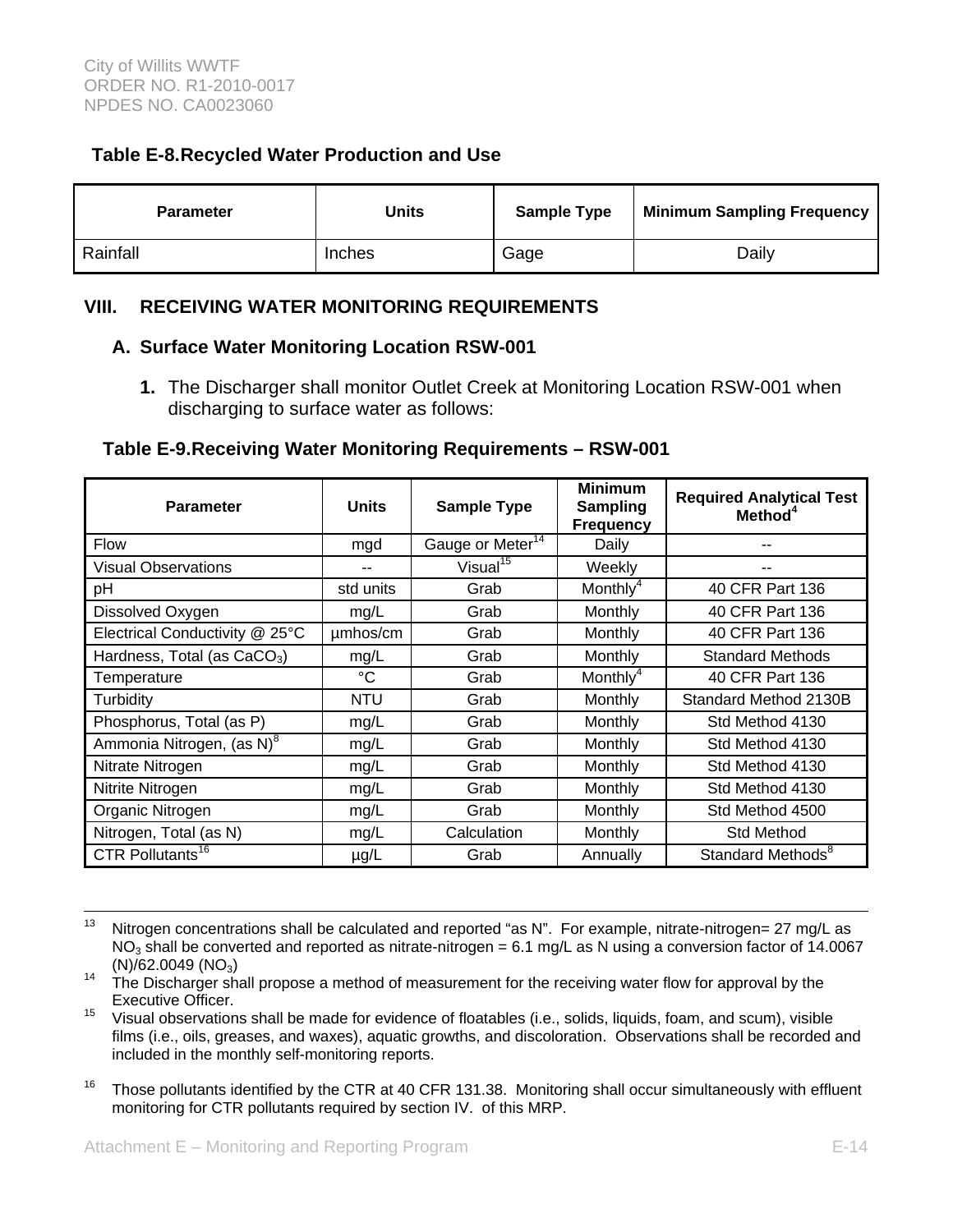# **Table E-8. Recycled Water Production and Use**

| <b>Parameter</b> | Units  | <b>Sample Type</b> | <b>Minimum Sampling Frequency</b> |
|------------------|--------|--------------------|-----------------------------------|
| Rainfall         | Inches | Gage               | Dailv                             |

# **VIII. RECEIVING WATER MONITORING REQUIREMENTS**

#### **A. Surface Water Monitoring Location RSW-001**

**1.** The Discharger shall monitor Outlet Creek at Monitoring Location RSW-001 when discharging to surface water as follows:

### **Table E-9. Receiving Water Monitoring Requirements – RSW-001**

| <b>Parameter</b>                        | <b>Units</b> | <b>Sample Type</b>           | <b>Minimum</b><br><b>Sampling</b><br><b>Frequency</b> | <b>Required Analytical Test</b><br>Method <sup>4</sup> |
|-----------------------------------------|--------------|------------------------------|-------------------------------------------------------|--------------------------------------------------------|
| <b>Flow</b>                             | mgd          | Gauge or Meter <sup>14</sup> | Daily                                                 |                                                        |
| <b>Visual Observations</b>              |              | Visual <sup>15</sup>         | Weekly                                                |                                                        |
| pH                                      | std units    | Grab                         | Monthly <sup>4</sup>                                  | 40 CFR Part 136                                        |
| Dissolved Oxygen                        | mg/L         | Grab                         | Monthly                                               | 40 CFR Part 136                                        |
| Electrical Conductivity @ 25°C          | µmhos/cm     | Grab                         | Monthly                                               | 40 CFR Part 136                                        |
| Hardness, Total (as CaCO <sub>3</sub> ) | mg/L         | Grab                         | Monthly                                               | <b>Standard Methods</b>                                |
| Temperature                             | $^{\circ}$ C | Grab                         | Monthly <sup>4</sup>                                  | 40 CFR Part 136                                        |
| Turbidity                               | <b>NTU</b>   | Grab                         | Monthly                                               | Standard Method 2130B                                  |
| Phosphorus, Total (as P)                | mg/L         | Grab                         | Monthly                                               | Std Method 4130                                        |
| Ammonia Nitrogen, (as N) <sup>8</sup>   | mg/L         | Grab                         | Monthly                                               | Std Method 4130                                        |
| Nitrate Nitrogen                        | mg/L         | Grab                         | Monthly                                               | Std Method 4130                                        |
| Nitrite Nitrogen                        | mg/L         | Grab                         | Monthly                                               | Std Method 4130                                        |
| Organic Nitrogen                        | mg/L         | Grab                         | Monthly                                               | Std Method 4500                                        |
| Nitrogen, Total (as N)                  | mg/L         | Calculation                  | Monthly                                               | Std Method                                             |
| CTR Pollutants <sup>16</sup>            | $\mu$ g/L    | Grab                         | Annually                                              | Standard Methods <sup>8</sup>                          |

<sup>&</sup>lt;sup>13</sup> Nitrogen concentrations shall be calculated and reported "as N". For example, nitrate-nitrogen= 27 mg/L as NO<sub>3</sub> shall be converted and reported as nitrate-nitrogen = 6.1 mg/L as N using a conversion factor of 14.0067 (N)/62.0049 (NO<sub>3</sub>)

<sup>16</sup> Those pollutants identified by the CTR at 40 CFR 131.38. Monitoring shall occur simultaneously with effluent monitoring for CTR pollutants required by section IV. of this MRP.

 $14$  The Discharger shall propose a method of measurement for the receiving water flow for approval by the Executive Officer.

 $15$  Visual observations shall be made for evidence of floatables (i.e., solids, liquids, foam, and scum), visible films (i.e., oils, greases, and waxes), aquatic growths, and discoloration. Observations shall be recorded and included in the monthly self-monitoring reports.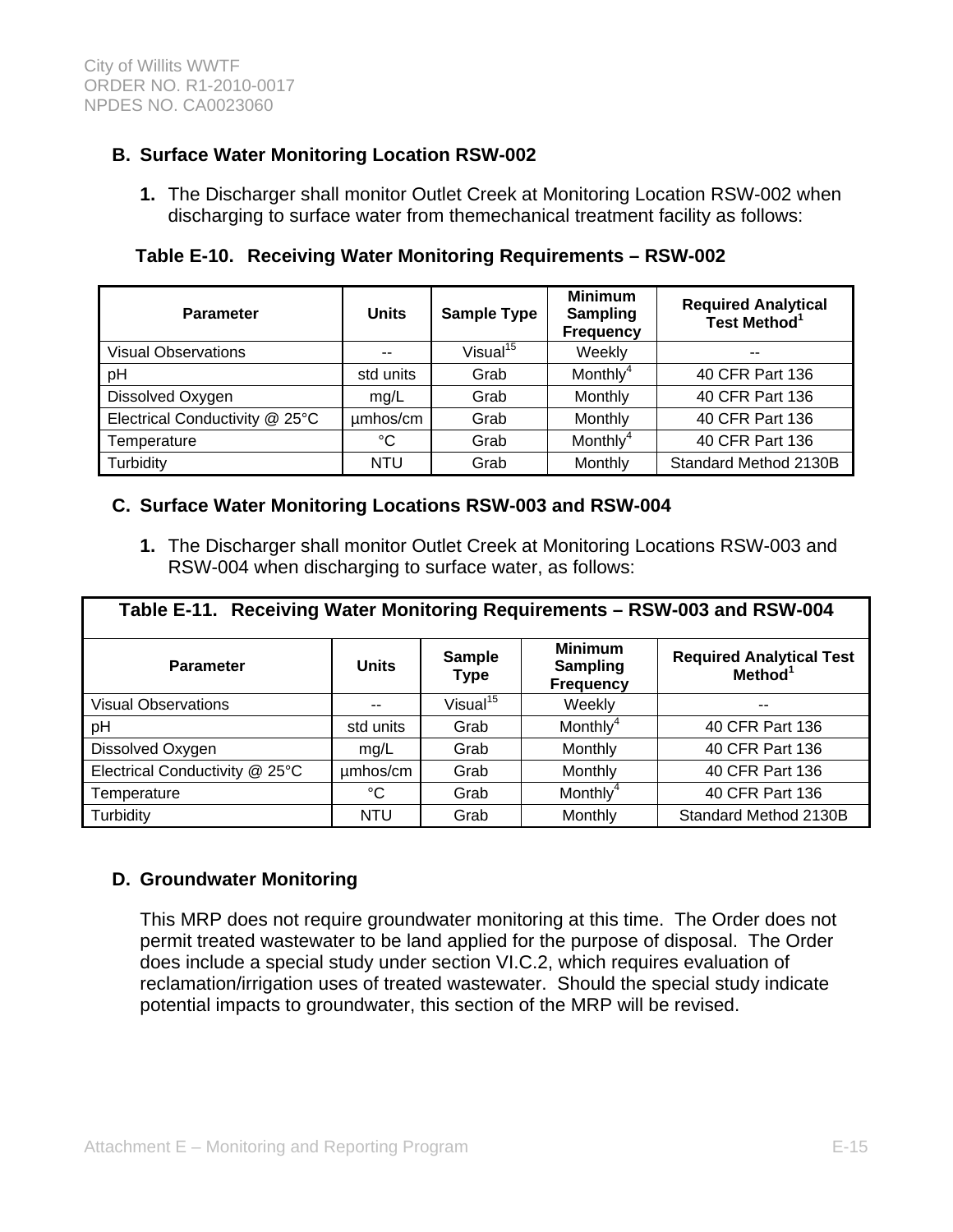# **B. Surface Water Monitoring Location RSW-002**

**1.** The Discharger shall monitor Outlet Creek at Monitoring Location RSW-002 when discharging to surface water from themechanical treatment facility as follows:

**Table E-10. Receiving Water Monitoring Requirements – RSW-002** 

| <b>Parameter</b>               | <b>Units</b><br><b>Sample Type</b> |                      | <b>Minimum</b><br><b>Sampling</b><br><b>Frequency</b> | <b>Required Analytical</b><br>Test Method <sup>1</sup> |
|--------------------------------|------------------------------------|----------------------|-------------------------------------------------------|--------------------------------------------------------|
| <b>Visual Observations</b>     | --                                 | Visual <sup>15</sup> | Weekly                                                | $- -$                                                  |
| pH                             | std units                          | Grab                 | Monthly <sup>4</sup>                                  | 40 CFR Part 136                                        |
| Dissolved Oxygen               | mq/L                               | Grab                 | Monthly                                               | 40 CFR Part 136                                        |
| Electrical Conductivity @ 25°C | umhos/cm                           | Grab                 | Monthly                                               | 40 CFR Part 136                                        |
| Temperature                    | °C                                 | Grab                 | Monthly <sup>4</sup>                                  | 40 CFR Part 136                                        |
| Turbidity                      | <b>NTU</b>                         | Grab                 | Monthly                                               | Standard Method 2130B                                  |

# **C. Surface Water Monitoring Locations RSW-003 and RSW-004**

**1.** The Discharger shall monitor Outlet Creek at Monitoring Locations RSW-003 and RSW-004 when discharging to surface water, as follows:

| Table E-11. Receiving Water Monitoring Requirements - RSW-003 and RSW-004 |              |                              |                                                       |                                                        |
|---------------------------------------------------------------------------|--------------|------------------------------|-------------------------------------------------------|--------------------------------------------------------|
| <b>Parameter</b>                                                          | <b>Units</b> | <b>Sample</b><br><b>Type</b> | <b>Minimum</b><br><b>Sampling</b><br><b>Frequency</b> | <b>Required Analytical Test</b><br>Method <sup>1</sup> |
| <b>Visual Observations</b>                                                |              | Visual <sup>15</sup>         | Weekly                                                | --                                                     |
| pH                                                                        | std units    | Grab                         | Monthly <sup>4</sup>                                  | 40 CFR Part 136                                        |
| Dissolved Oxygen                                                          | mg/L         | Grab                         | Monthly                                               | 40 CFR Part 136                                        |
| Electrical Conductivity @ 25°C                                            | umhos/cm     | Grab                         | Monthly                                               | 40 CFR Part 136                                        |
| Temperature                                                               | ℃            | Grab                         | Monthly <sup>4</sup>                                  | 40 CFR Part 136                                        |
| Turbidity                                                                 | <b>NTU</b>   | Grab                         | Monthly                                               | Standard Method 2130B                                  |

# **D. Groundwater Monitoring**

This MRP does not require groundwater monitoring at this time. The Order does not permit treated wastewater to be land applied for the purpose of disposal. The Order does include a special study under section VI.C.2, which requires evaluation of reclamation/irrigation uses of treated wastewater. Should the special study indicate potential impacts to groundwater, this section of the MRP will be revised.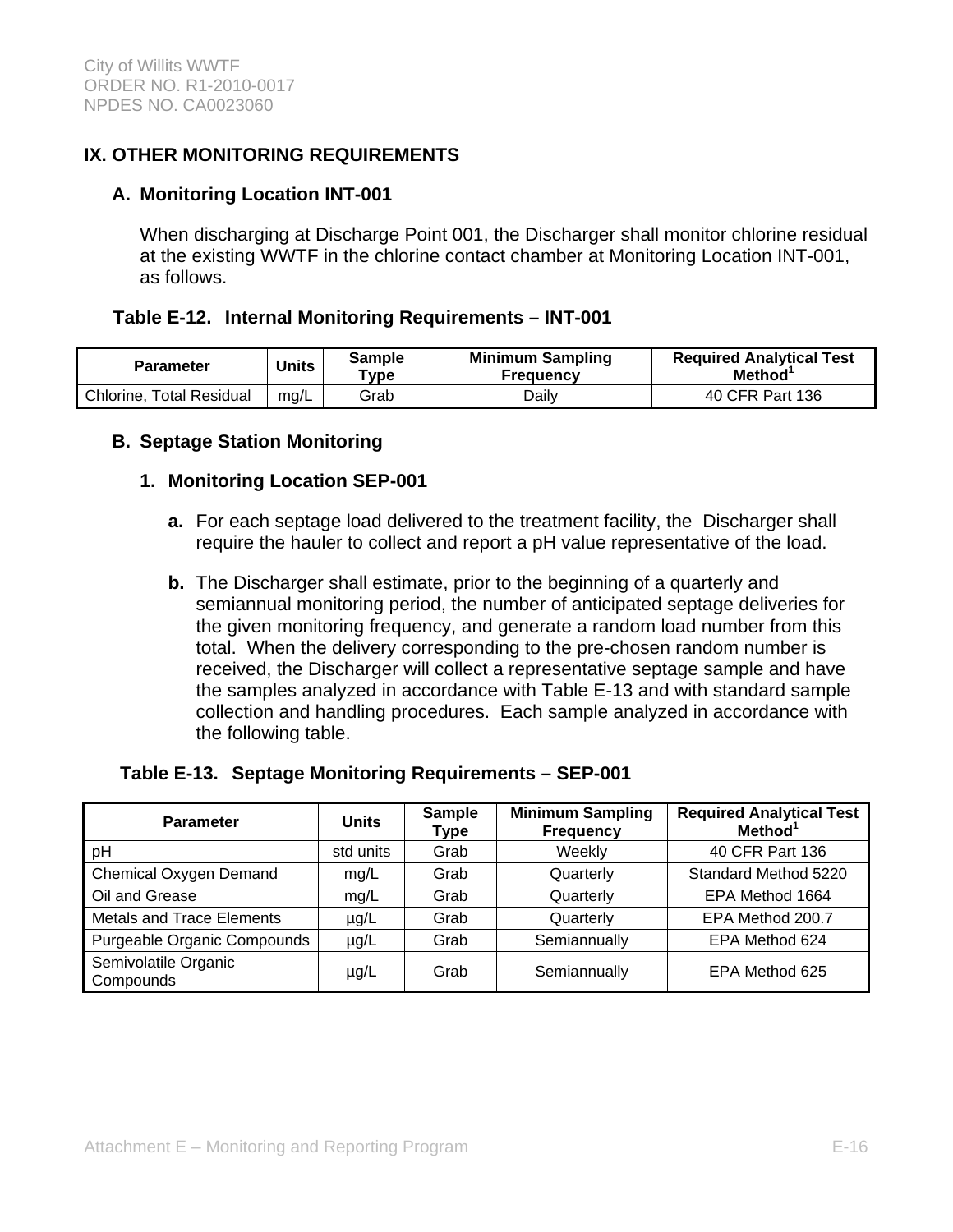# **IX. OTHER MONITORING REQUIREMENTS**

### **A. Monitoring Location INT-001**

When discharging at Discharge Point 001, the Discharger shall monitor chlorine residual at the existing WWTF in the chlorine contact chamber at Monitoring Location INT-001, as follows.

### **Table E-12. Internal Monitoring Requirements – INT-001**

| <b>Parameter</b>                | Units | Sample<br>$T$ ype | <b>Minimum Sampling</b><br><b>Frequency</b> | <b>Required Analytical Test</b><br><b>Method</b> |
|---------------------------------|-------|-------------------|---------------------------------------------|--------------------------------------------------|
| <b>Chlorine, Total Residual</b> | mg/L  | Grab              | Daily                                       | 40 CFR Part 136                                  |

### **B. Septage Station Monitoring**

### **1. Monitoring Location SEP-001**

- **a.** For each septage load delivered to the treatment facility, the Discharger shall require the hauler to collect and report a pH value representative of the load.
- **b.** The Discharger shall estimate, prior to the beginning of a quarterly and semiannual monitoring period, the number of anticipated septage deliveries for the given monitoring frequency, and generate a random load number from this total. When the delivery corresponding to the pre-chosen random number is received, the Discharger will collect a representative septage sample and have the samples analyzed in accordance with Table E-13 and with standard sample collection and handling procedures. Each sample analyzed in accordance with the following table.

### **Table E-13. Septage Monitoring Requirements – SEP-001**

| <b>Parameter</b>                   | <b>Units</b> | <b>Sample</b><br>Type | <b>Minimum Sampling</b><br><b>Frequency</b> | <b>Required Analytical Test</b><br>Method <sup>1</sup> |
|------------------------------------|--------------|-----------------------|---------------------------------------------|--------------------------------------------------------|
| pH                                 | std units    | Grab                  | Weekly                                      | 40 CFR Part 136                                        |
| Chemical Oxygen Demand             | mg/L         | Grab                  | Quarterly                                   | Standard Method 5220                                   |
| Oil and Grease                     | mg/L         | Grab                  | Quarterly                                   | EPA Method 1664                                        |
| <b>Metals and Trace Elements</b>   | $\mu$ g/L    | Grab                  | Quarterly                                   | EPA Method 200.7                                       |
| <b>Purgeable Organic Compounds</b> | $\mu$ g/L    | Grab                  | Semiannually                                | EPA Method 624                                         |
| Semivolatile Organic<br>Compounds  | $\mu$ g/L    | Grab                  | Semiannually                                | EPA Method 625                                         |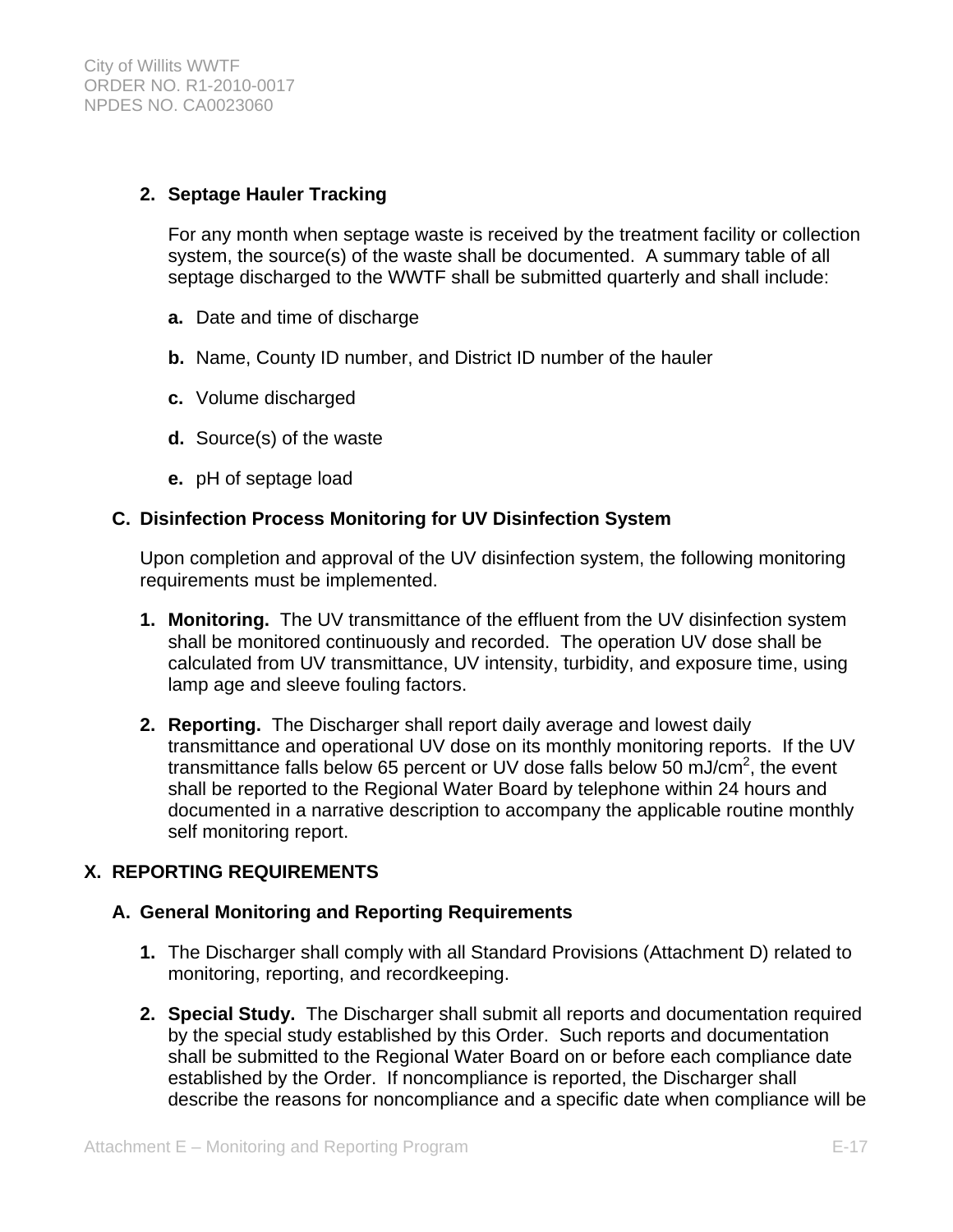### **2. Septage Hauler Tracking**

For any month when septage waste is received by the treatment facility or collection system, the source(s) of the waste shall be documented. A summary table of all septage discharged to the WWTF shall be submitted quarterly and shall include:

- **a.** Date and time of discharge
- **b.** Name, County ID number, and District ID number of the hauler
- **c.** Volume discharged
- **d.** Source(s) of the waste
- **e.** pH of septage load

### **C. Disinfection Process Monitoring for UV Disinfection System**

Upon completion and approval of the UV disinfection system, the following monitoring requirements must be implemented.

- **1. Monitoring.** The UV transmittance of the effluent from the UV disinfection system shall be monitored continuously and recorded. The operation UV dose shall be calculated from UV transmittance, UV intensity, turbidity, and exposure time, using lamp age and sleeve fouling factors.
- **2. Reporting.** The Discharger shall report daily average and lowest daily transmittance and operational UV dose on its monthly monitoring reports. If the UV transmittance falls below 65 percent or UV dose falls below 50 mJ/cm<sup>2</sup>, the event shall be reported to the Regional Water Board by telephone within 24 hours and documented in a narrative description to accompany the applicable routine monthly self monitoring report.

# **X. REPORTING REQUIREMENTS**

### **A. General Monitoring and Reporting Requirements**

- **1.** The Discharger shall comply with all Standard Provisions (Attachment D) related to monitoring, reporting, and recordkeeping.
- **2. Special Study.** The Discharger shall submit all reports and documentation required by the special study established by this Order. Such reports and documentation shall be submitted to the Regional Water Board on or before each compliance date established by the Order. If noncompliance is reported, the Discharger shall describe the reasons for noncompliance and a specific date when compliance will be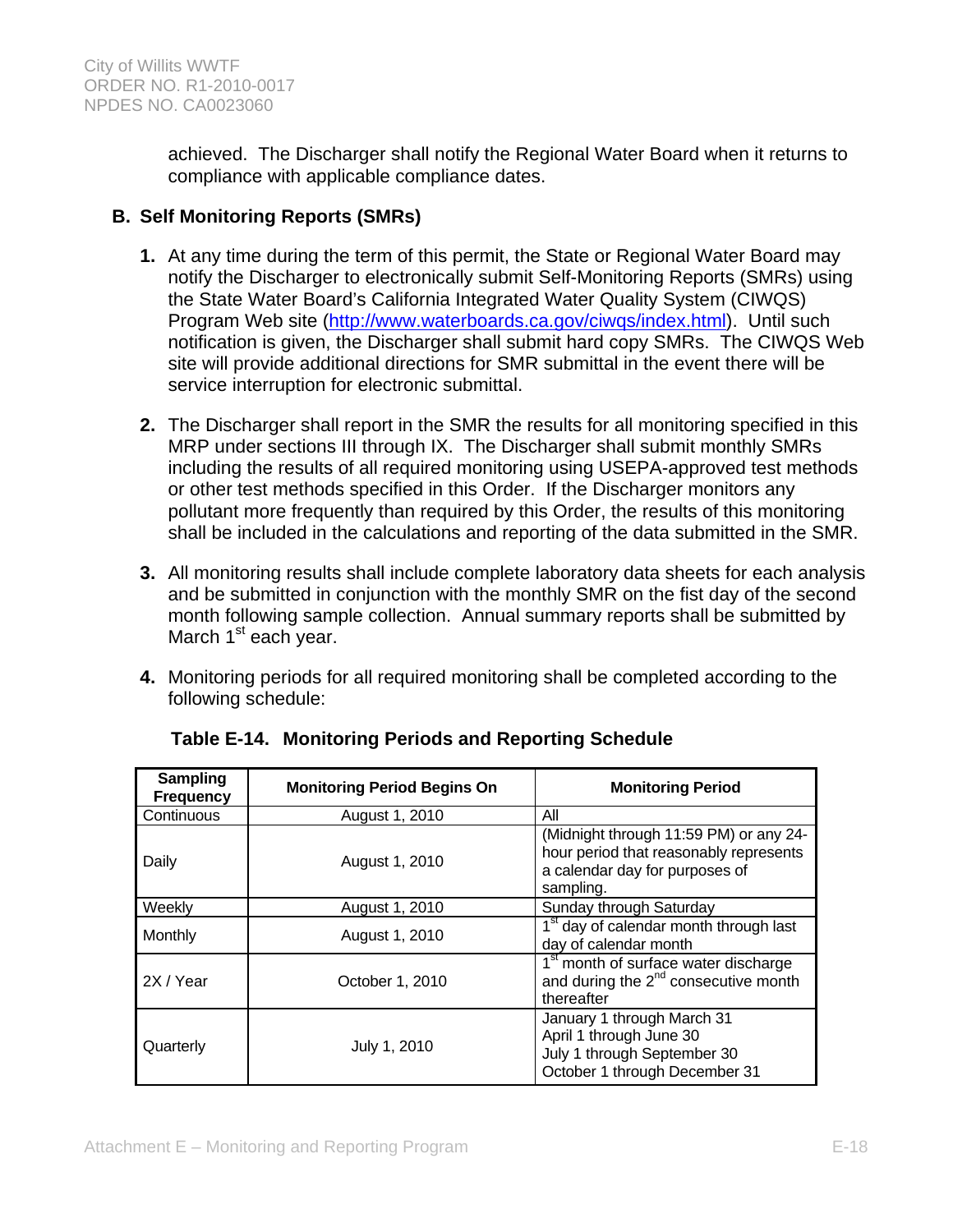achieved. The Discharger shall notify the Regional Water Board when it returns to compliance with applicable compliance dates.

# **B. Self Monitoring Reports (SMRs)**

- **1.** At any time during the term of this permit, the State or Regional Water Board may notify the Discharger to electronically submit Self-Monitoring Reports (SMRs) using the State Water Board's California Integrated Water Quality System (CIWQS) Program Web site (http://www.waterboards.ca.gov/ciwqs/index.html). Until such notification is given, the Discharger shall submit hard copy SMRs. The CIWQS Web site will provide additional directions for SMR submittal in the event there will be service interruption for electronic submittal.
- **2.** The Discharger shall report in the SMR the results for all monitoring specified in this MRP under sections III through IX. The Discharger shall submit monthly SMRs including the results of all required monitoring using USEPA-approved test methods or other test methods specified in this Order. If the Discharger monitors any pollutant more frequently than required by this Order, the results of this monitoring shall be included in the calculations and reporting of the data submitted in the SMR.
- **3.** All monitoring results shall include complete laboratory data sheets for each analysis and be submitted in conjunction with the monthly SMR on the fist day of the second month following sample collection. Annual summary reports shall be submitted by March 1<sup>st</sup> each year.
- **4.** Monitoring periods for all required monitoring shall be completed according to the following schedule:

| <b>Sampling</b><br><b>Frequency</b> | <b>Monitoring Period Begins On</b> | <b>Monitoring Period</b>                                                                                                        |
|-------------------------------------|------------------------------------|---------------------------------------------------------------------------------------------------------------------------------|
| Continuous                          | August 1, 2010                     | All                                                                                                                             |
| Daily                               | August 1, 2010                     | (Midnight through 11:59 PM) or any 24-<br>hour period that reasonably represents<br>a calendar day for purposes of<br>sampling. |
| Weekly                              | August 1, 2010                     | Sunday through Saturday                                                                                                         |
| Monthly                             | August 1, 2010                     | 1 <sup>st</sup> day of calendar month through last<br>day of calendar month                                                     |
| 2X / Year                           | October 1, 2010                    | 1 <sup>st</sup> month of surface water discharge<br>and during the 2 <sup>nd</sup> consecutive month<br>thereafter              |
| Quarterly                           | July 1, 2010                       | January 1 through March 31<br>April 1 through June 30<br>July 1 through September 30<br>October 1 through December 31           |

**Table E-14. Monitoring Periods and Reporting Schedule**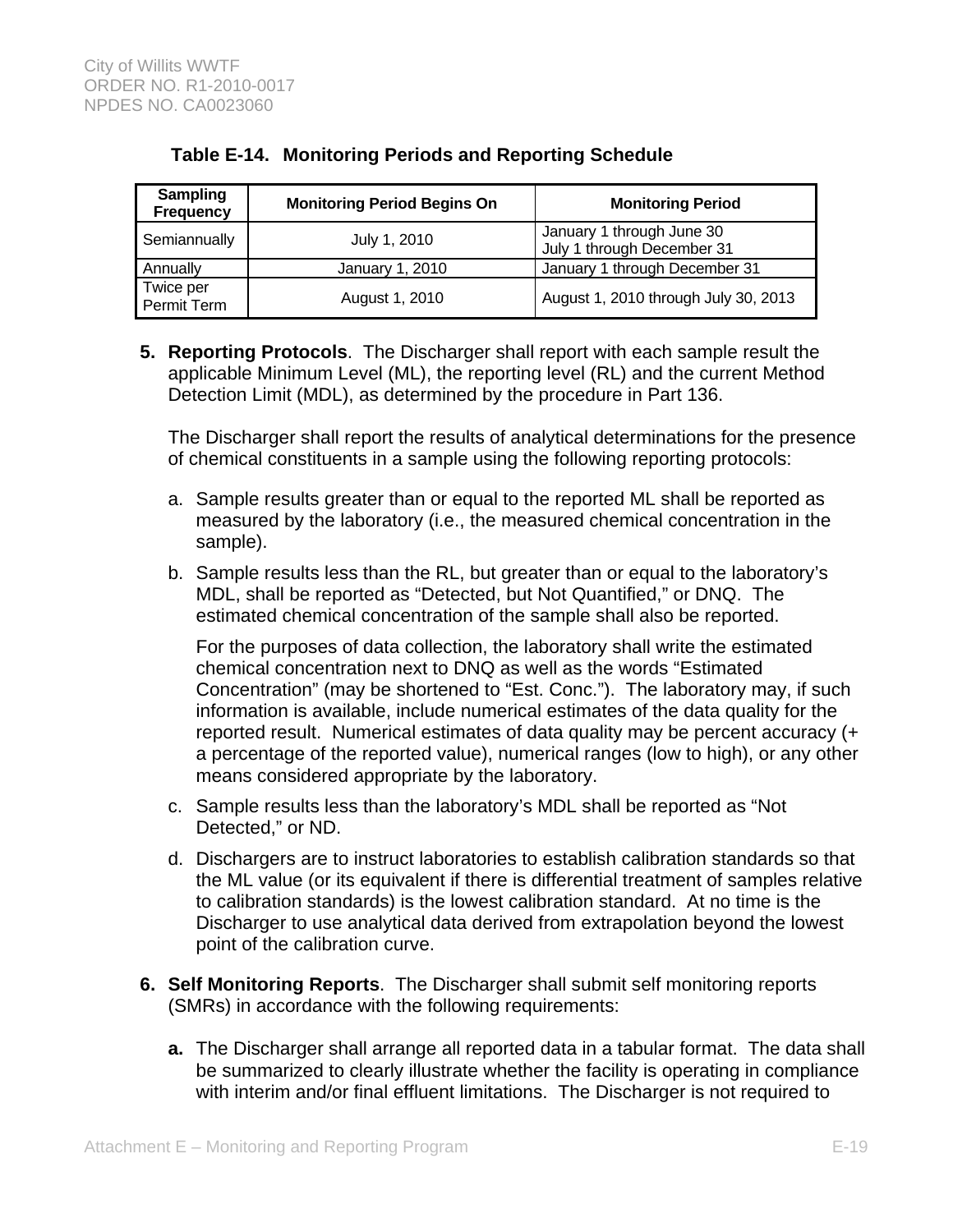| Sampling<br><b>Frequency</b> | <b>Monitoring Period Begins On</b> | <b>Monitoring Period</b>                                |  |
|------------------------------|------------------------------------|---------------------------------------------------------|--|
| Semiannually                 | July 1, 2010                       | January 1 through June 30<br>July 1 through December 31 |  |
| Annually                     | January 1, 2010                    | January 1 through December 31                           |  |
| Twice per<br>Permit Term     | August 1, 2010                     | August 1, 2010 through July 30, 2013                    |  |

# **Table E-14. Monitoring Periods and Reporting Schedule**

**5. Reporting Protocols**. The Discharger shall report with each sample result the applicable Minimum Level (ML), the reporting level (RL) and the current Method Detection Limit (MDL), as determined by the procedure in Part 136.

The Discharger shall report the results of analytical determinations for the presence of chemical constituents in a sample using the following reporting protocols:

- a. Sample results greater than or equal to the reported ML shall be reported as measured by the laboratory (i.e., the measured chemical concentration in the sample).
- b. Sample results less than the RL, but greater than or equal to the laboratory's MDL, shall be reported as "Detected, but Not Quantified," or DNQ. The estimated chemical concentration of the sample shall also be reported.

For the purposes of data collection, the laboratory shall write the estimated chemical concentration next to DNQ as well as the words "Estimated Concentration" (may be shortened to "Est. Conc."). The laboratory may, if such information is available, include numerical estimates of the data quality for the reported result. Numerical estimates of data quality may be percent accuracy (+ a percentage of the reported value), numerical ranges (low to high), or any other means considered appropriate by the laboratory.

- c. Sample results less than the laboratory's MDL shall be reported as "Not Detected," or ND.
- d. Dischargers are to instruct laboratories to establish calibration standards so that the ML value (or its equivalent if there is differential treatment of samples relative to calibration standards) is the lowest calibration standard. At no time is the Discharger to use analytical data derived from extrapolation beyond the lowest point of the calibration curve.
- **6. Self Monitoring Reports**. The Discharger shall submit self monitoring reports (SMRs) in accordance with the following requirements:
	- **a.** The Discharger shall arrange all reported data in a tabular format. The data shall be summarized to clearly illustrate whether the facility is operating in compliance with interim and/or final effluent limitations. The Discharger is not required to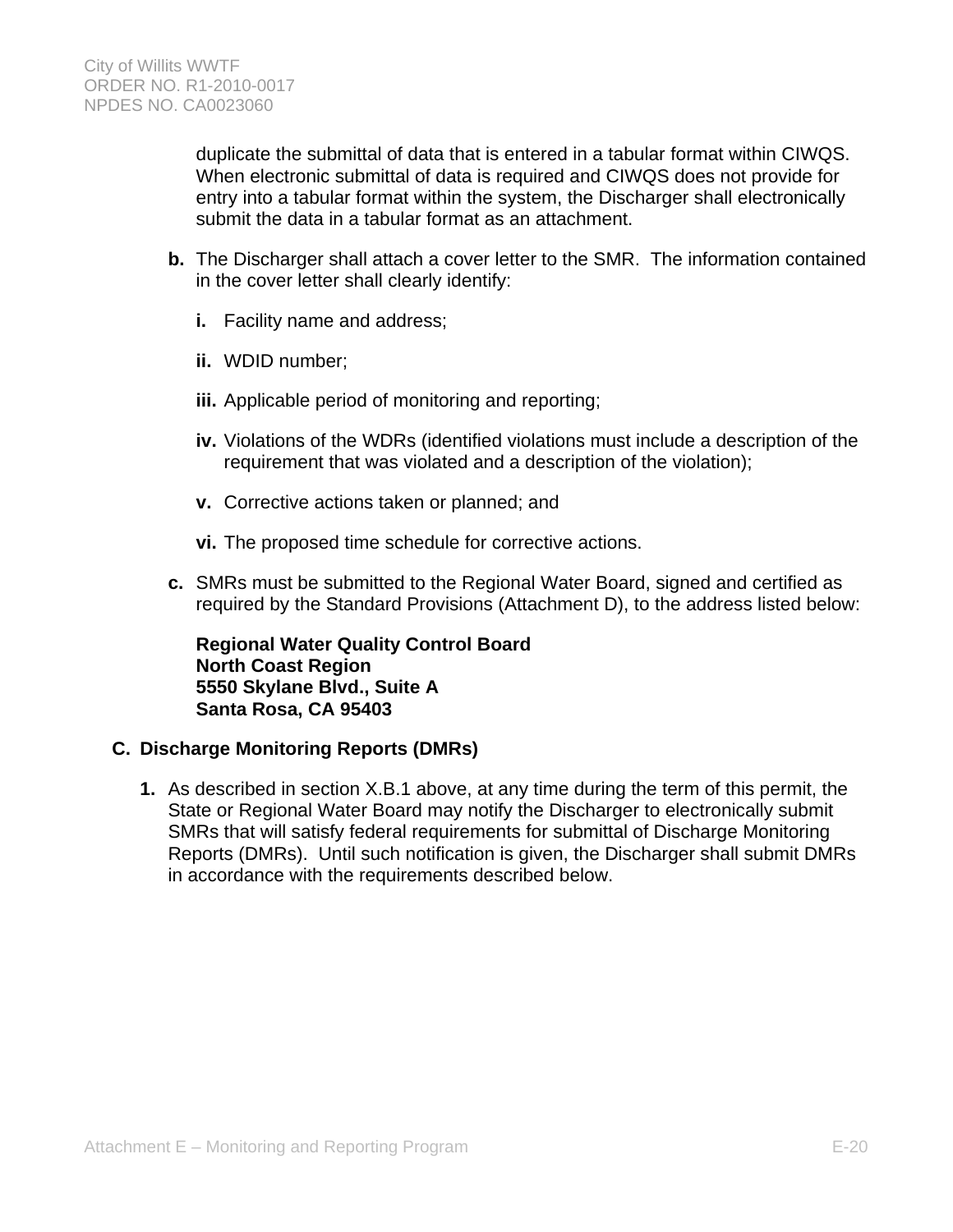duplicate the submittal of data that is entered in a tabular format within CIWQS. When electronic submittal of data is required and CIWQS does not provide for entry into a tabular format within the system, the Discharger shall electronically submit the data in a tabular format as an attachment.

- **b.** The Discharger shall attach a cover letter to the SMR. The information contained in the cover letter shall clearly identify:
	- **i.** Facility name and address;
	- **ii.** WDID number;
	- **iii.** Applicable period of monitoring and reporting;
	- **iv.** Violations of the WDRs (identified violations must include a description of the requirement that was violated and a description of the violation);
	- **v.** Corrective actions taken or planned; and
	- **vi.** The proposed time schedule for corrective actions.
- **c.** SMRs must be submitted to the Regional Water Board, signed and certified as required by the Standard Provisions (Attachment D), to the address listed below:

**Regional Water Quality Control Board North Coast Region 5550 Skylane Blvd., Suite A Santa Rosa, CA 95403** 

# **C. Discharge Monitoring Reports (DMRs)**

**1.** As described in section X.B.1 above, at any time during the term of this permit, the State or Regional Water Board may notify the Discharger to electronically submit SMRs that will satisfy federal requirements for submittal of Discharge Monitoring Reports (DMRs). Until such notification is given, the Discharger shall submit DMRs in accordance with the requirements described below.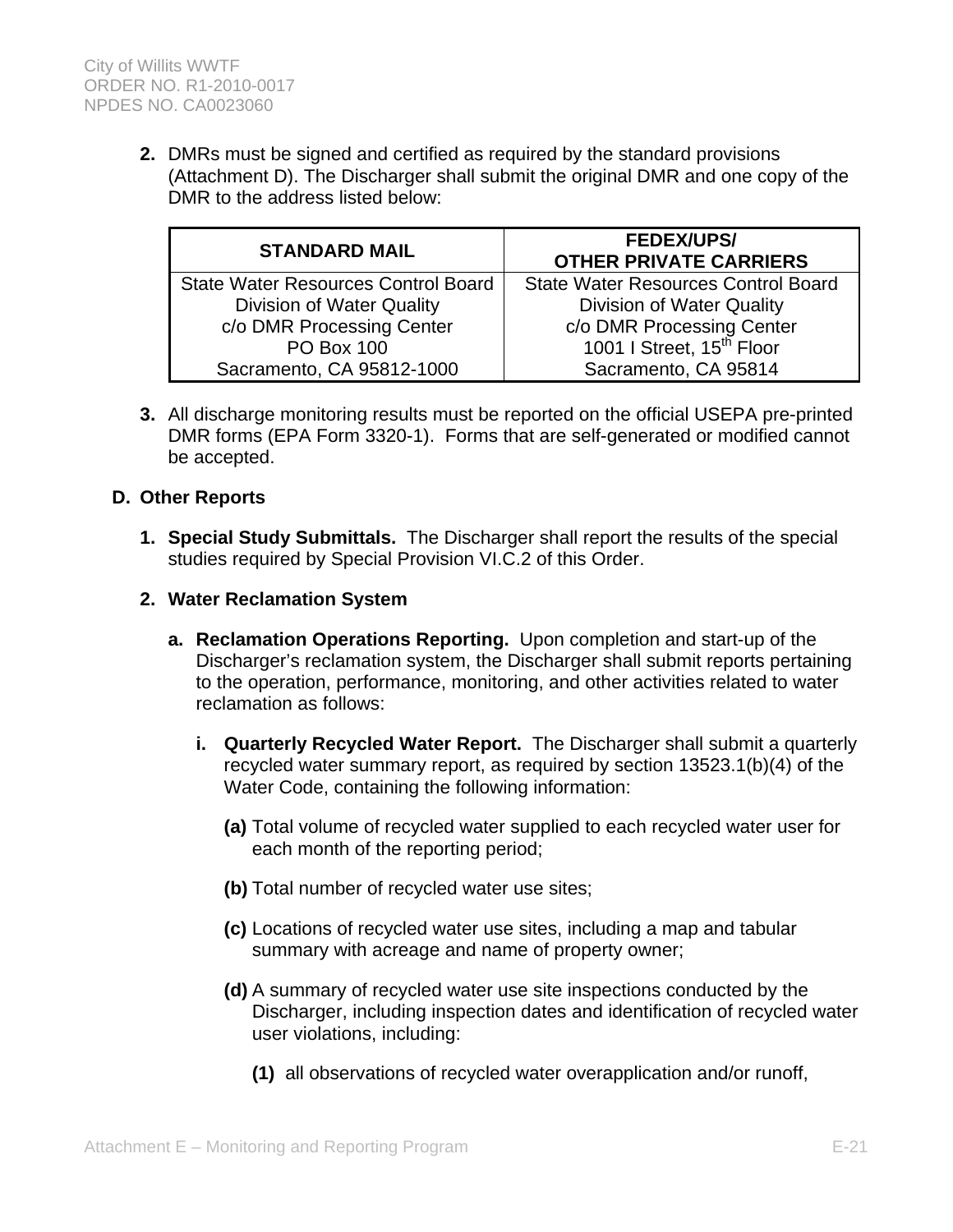**2.** DMRs must be signed and certified as required by the standard provisions (Attachment D). The Discharger shall submit the original DMR and one copy of the DMR to the address listed below:

| <b>STANDARD MAIL</b>                       | <b>FEDEX/UPS/</b><br><b>OTHER PRIVATE CARRIERS</b> |  |  |
|--------------------------------------------|----------------------------------------------------|--|--|
| <b>State Water Resources Control Board</b> | <b>State Water Resources Control Board</b>         |  |  |
| <b>Division of Water Quality</b>           | <b>Division of Water Quality</b>                   |  |  |
| c/o DMR Processing Center                  | c/o DMR Processing Center                          |  |  |
| <b>PO Box 100</b>                          | 1001   Street, 15 <sup>th</sup> Floor              |  |  |
| Sacramento, CA 95812-1000                  | Sacramento, CA 95814                               |  |  |

**3.** All discharge monitoring results must be reported on the official USEPA pre-printed DMR forms (EPA Form 3320-1). Forms that are self-generated or modified cannot be accepted.

### **D. Other Reports**

- **1. Special Study Submittals.** The Discharger shall report the results of the special studies required by Special Provision VI.C.2 of this Order.
- **2. Water Reclamation System**
	- **a. Reclamation Operations Reporting.** Upon completion and start-up of the Discharger's reclamation system, the Discharger shall submit reports pertaining to the operation, performance, monitoring, and other activities related to water reclamation as follows:
		- **i. Quarterly Recycled Water Report.** The Discharger shall submit a quarterly recycled water summary report, as required by section 13523.1(b)(4) of the Water Code, containing the following information:
			- **(a)** Total volume of recycled water supplied to each recycled water user for each month of the reporting period;
			- **(b)** Total number of recycled water use sites;
			- **(c)** Locations of recycled water use sites, including a map and tabular summary with acreage and name of property owner;
			- **(d)** A summary of recycled water use site inspections conducted by the Discharger, including inspection dates and identification of recycled water user violations, including:
				- **(1)** all observations of recycled water overapplication and/or runoff,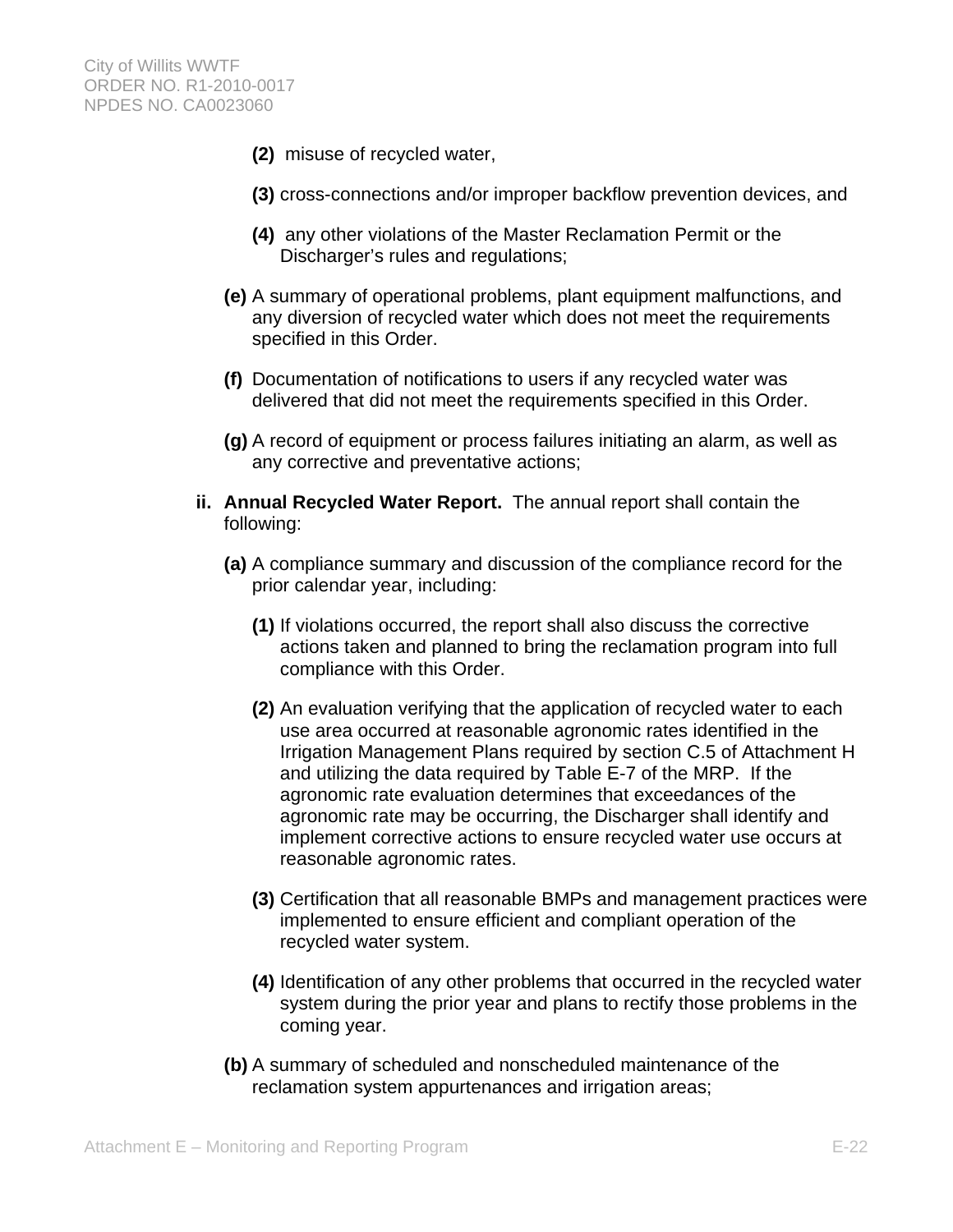- **(2)** misuse of recycled water,
- **(3)** cross-connections and/or improper backflow prevention devices, and
- **(4)** any other violations of the Master Reclamation Permit or the Discharger's rules and regulations;
- **(e)** A summary of operational problems, plant equipment malfunctions, and any diversion of recycled water which does not meet the requirements specified in this Order.
- **(f)** Documentation of notifications to users if any recycled water was delivered that did not meet the requirements specified in this Order.
- **(g)** A record of equipment or process failures initiating an alarm, as well as any corrective and preventative actions;
- **ii. Annual Recycled Water Report.** The annual report shall contain the following:
	- **(a)** A compliance summary and discussion of the compliance record for the prior calendar year, including:
		- **(1)** If violations occurred, the report shall also discuss the corrective actions taken and planned to bring the reclamation program into full compliance with this Order.
		- **(2)** An evaluation verifying that the application of recycled water to each use area occurred at reasonable agronomic rates identified in the Irrigation Management Plans required by section C.5 of Attachment H and utilizing the data required by Table E-7 of the MRP. If the agronomic rate evaluation determines that exceedances of the agronomic rate may be occurring, the Discharger shall identify and implement corrective actions to ensure recycled water use occurs at reasonable agronomic rates.
		- **(3)** Certification that all reasonable BMPs and management practices were implemented to ensure efficient and compliant operation of the recycled water system.
		- **(4)** Identification of any other problems that occurred in the recycled water system during the prior year and plans to rectify those problems in the coming year.
	- **(b)** A summary of scheduled and nonscheduled maintenance of the reclamation system appurtenances and irrigation areas;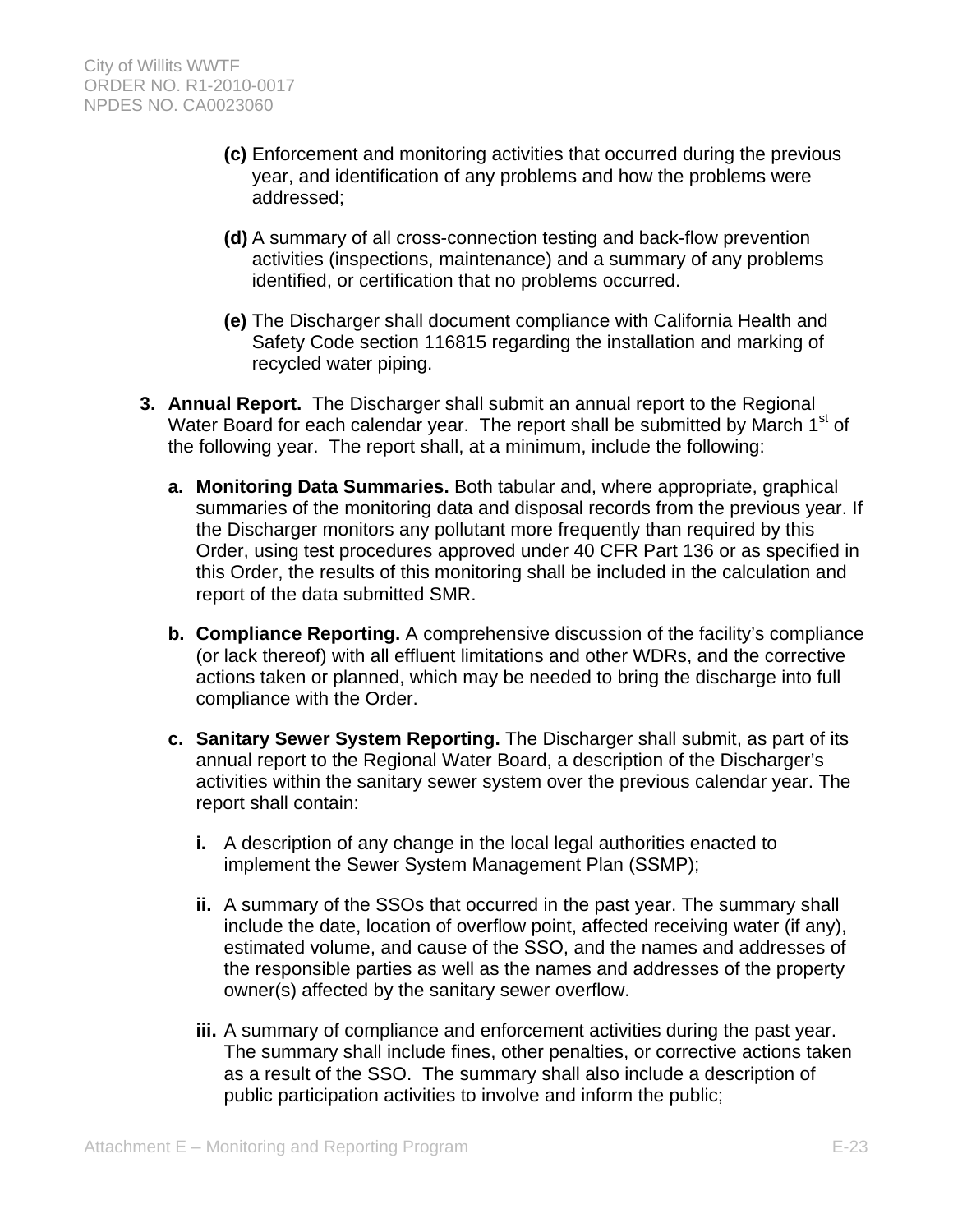- **(c)** Enforcement and monitoring activities that occurred during the previous year, and identification of any problems and how the problems were addressed;
- **(d)** A summary of all cross-connection testing and back-flow prevention activities (inspections, maintenance) and a summary of any problems identified, or certification that no problems occurred.
- **(e)** The Discharger shall document compliance with California Health and Safety Code section 116815 regarding the installation and marking of recycled water piping.
- **3. Annual Report.** The Discharger shall submit an annual report to the Regional Water Board for each calendar year. The report shall be submitted by March 1<sup>st</sup> of the following year. The report shall, at a minimum, include the following:
	- **a. Monitoring Data Summaries.** Both tabular and, where appropriate, graphical summaries of the monitoring data and disposal records from the previous year. If the Discharger monitors any pollutant more frequently than required by this Order, using test procedures approved under 40 CFR Part 136 or as specified in this Order, the results of this monitoring shall be included in the calculation and report of the data submitted SMR.
	- **b. Compliance Reporting.** A comprehensive discussion of the facility's compliance (or lack thereof) with all effluent limitations and other WDRs, and the corrective actions taken or planned, which may be needed to bring the discharge into full compliance with the Order.
	- **c. Sanitary Sewer System Reporting.** The Discharger shall submit, as part of its annual report to the Regional Water Board, a description of the Discharger's activities within the sanitary sewer system over the previous calendar year. The report shall contain:
		- **i.** A description of any change in the local legal authorities enacted to implement the Sewer System Management Plan (SSMP);
		- **ii.** A summary of the SSOs that occurred in the past year. The summary shall include the date, location of overflow point, affected receiving water (if any), estimated volume, and cause of the SSO, and the names and addresses of the responsible parties as well as the names and addresses of the property owner(s) affected by the sanitary sewer overflow.
		- **iii.** A summary of compliance and enforcement activities during the past year. The summary shall include fines, other penalties, or corrective actions taken as a result of the SSO. The summary shall also include a description of public participation activities to involve and inform the public;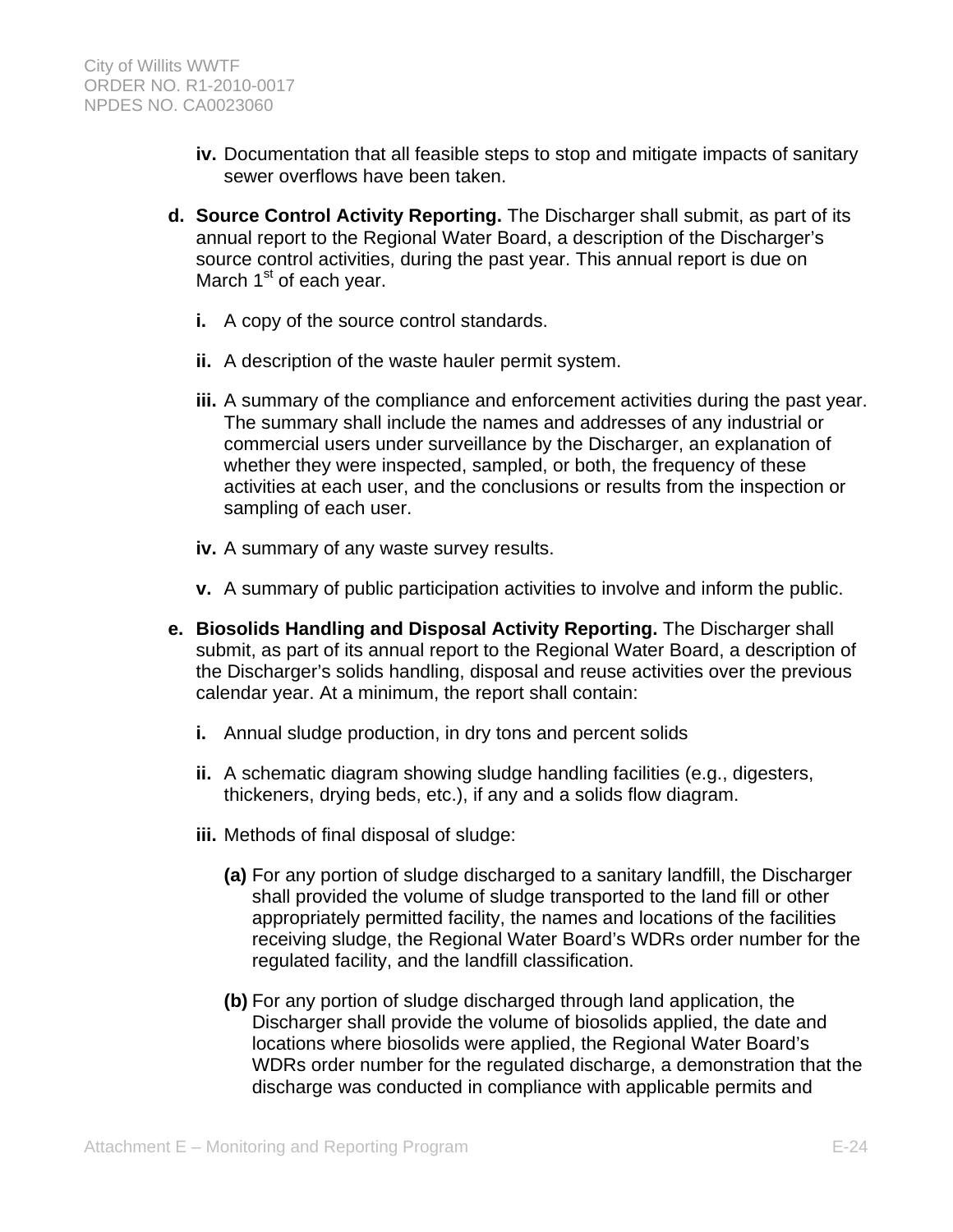- **iv.** Documentation that all feasible steps to stop and mitigate impacts of sanitary sewer overflows have been taken.
- **d. Source Control Activity Reporting.** The Discharger shall submit, as part of its annual report to the Regional Water Board, a description of the Discharger's source control activities, during the past year. This annual report is due on March  $1<sup>st</sup>$  of each year.
	- **i.** A copy of the source control standards.
	- **ii.** A description of the waste hauler permit system.
	- **iii.** A summary of the compliance and enforcement activities during the past year. The summary shall include the names and addresses of any industrial or commercial users under surveillance by the Discharger, an explanation of whether they were inspected, sampled, or both, the frequency of these activities at each user, and the conclusions or results from the inspection or sampling of each user.
	- **iv.** A summary of any waste survey results.
	- **v.** A summary of public participation activities to involve and inform the public.
- **e. Biosolids Handling and Disposal Activity Reporting.** The Discharger shall submit, as part of its annual report to the Regional Water Board, a description of the Discharger's solids handling, disposal and reuse activities over the previous calendar year. At a minimum, the report shall contain:
	- **i.** Annual sludge production, in dry tons and percent solids
	- **ii.** A schematic diagram showing sludge handling facilities (e.g., digesters, thickeners, drying beds, etc.), if any and a solids flow diagram.
	- **iii.** Methods of final disposal of sludge:
		- **(a)** For any portion of sludge discharged to a sanitary landfill, the Discharger shall provided the volume of sludge transported to the land fill or other appropriately permitted facility, the names and locations of the facilities receiving sludge, the Regional Water Board's WDRs order number for the regulated facility, and the landfill classification.
		- **(b)** For any portion of sludge discharged through land application, the Discharger shall provide the volume of biosolids applied, the date and locations where biosolids were applied, the Regional Water Board's WDRs order number for the regulated discharge, a demonstration that the discharge was conducted in compliance with applicable permits and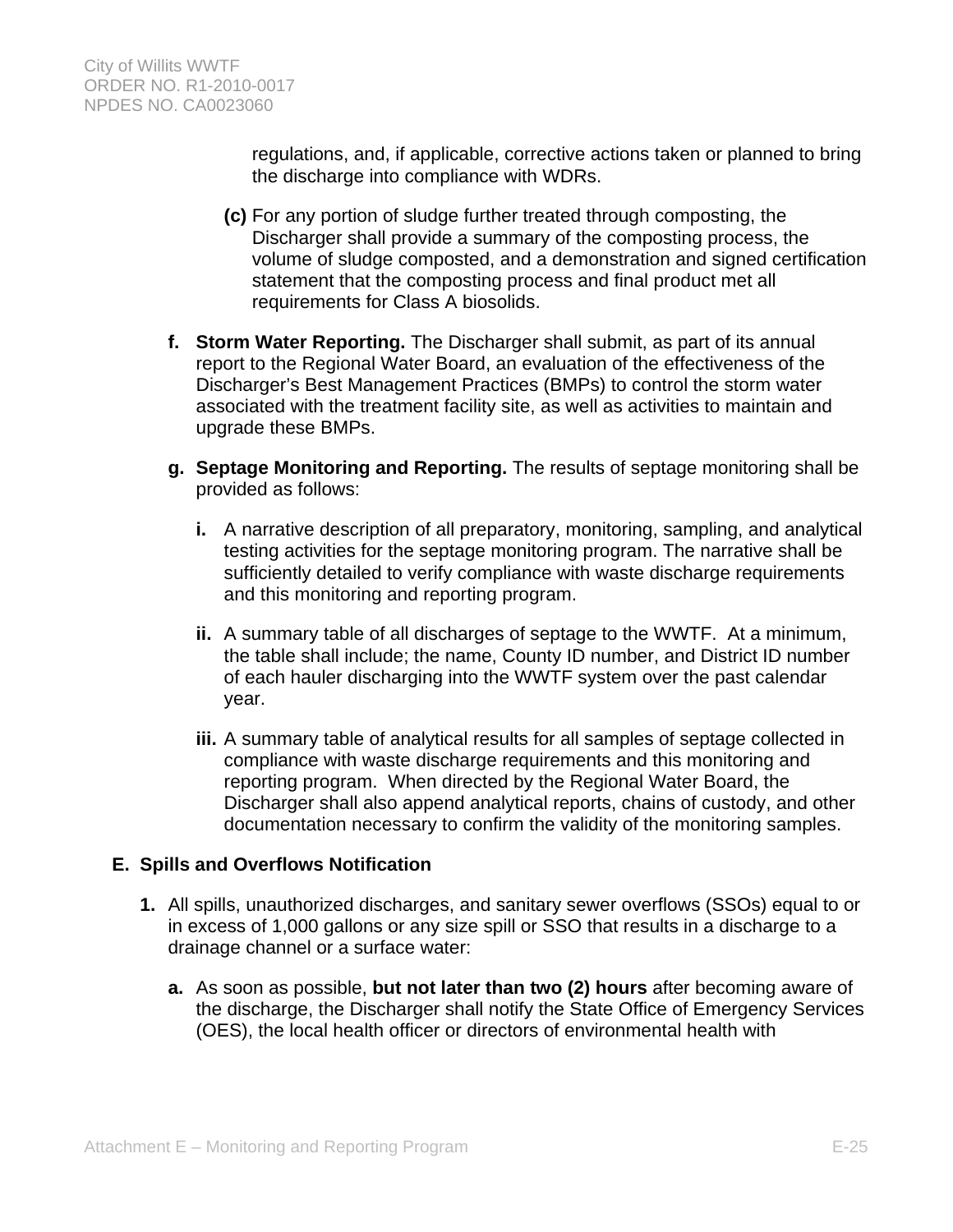regulations, and, if applicable, corrective actions taken or planned to bring the discharge into compliance with WDRs.

- **(c)** For any portion of sludge further treated through composting, the Discharger shall provide a summary of the composting process, the volume of sludge composted, and a demonstration and signed certification statement that the composting process and final product met all requirements for Class A biosolids.
- **f. Storm Water Reporting.** The Discharger shall submit, as part of its annual report to the Regional Water Board, an evaluation of the effectiveness of the Discharger's Best Management Practices (BMPs) to control the storm water associated with the treatment facility site, as well as activities to maintain and upgrade these BMPs.
- **g. Septage Monitoring and Reporting.** The results of septage monitoring shall be provided as follows:
	- **i.** A narrative description of all preparatory, monitoring, sampling, and analytical testing activities for the septage monitoring program. The narrative shall be sufficiently detailed to verify compliance with waste discharge requirements and this monitoring and reporting program.
	- **ii.** A summary table of all discharges of septage to the WWTF. At a minimum, the table shall include; the name, County ID number, and District ID number of each hauler discharging into the WWTF system over the past calendar year.
	- **iii.** A summary table of analytical results for all samples of septage collected in compliance with waste discharge requirements and this monitoring and reporting program. When directed by the Regional Water Board, the Discharger shall also append analytical reports, chains of custody, and other documentation necessary to confirm the validity of the monitoring samples.

# **E. Spills and Overflows Notification**

- **1.** All spills, unauthorized discharges, and sanitary sewer overflows (SSOs) equal to or in excess of 1,000 gallons or any size spill or SSO that results in a discharge to a drainage channel or a surface water:
	- **a.** As soon as possible, **but not later than two (2) hours** after becoming aware of the discharge, the Discharger shall notify the State Office of Emergency Services (OES), the local health officer or directors of environmental health with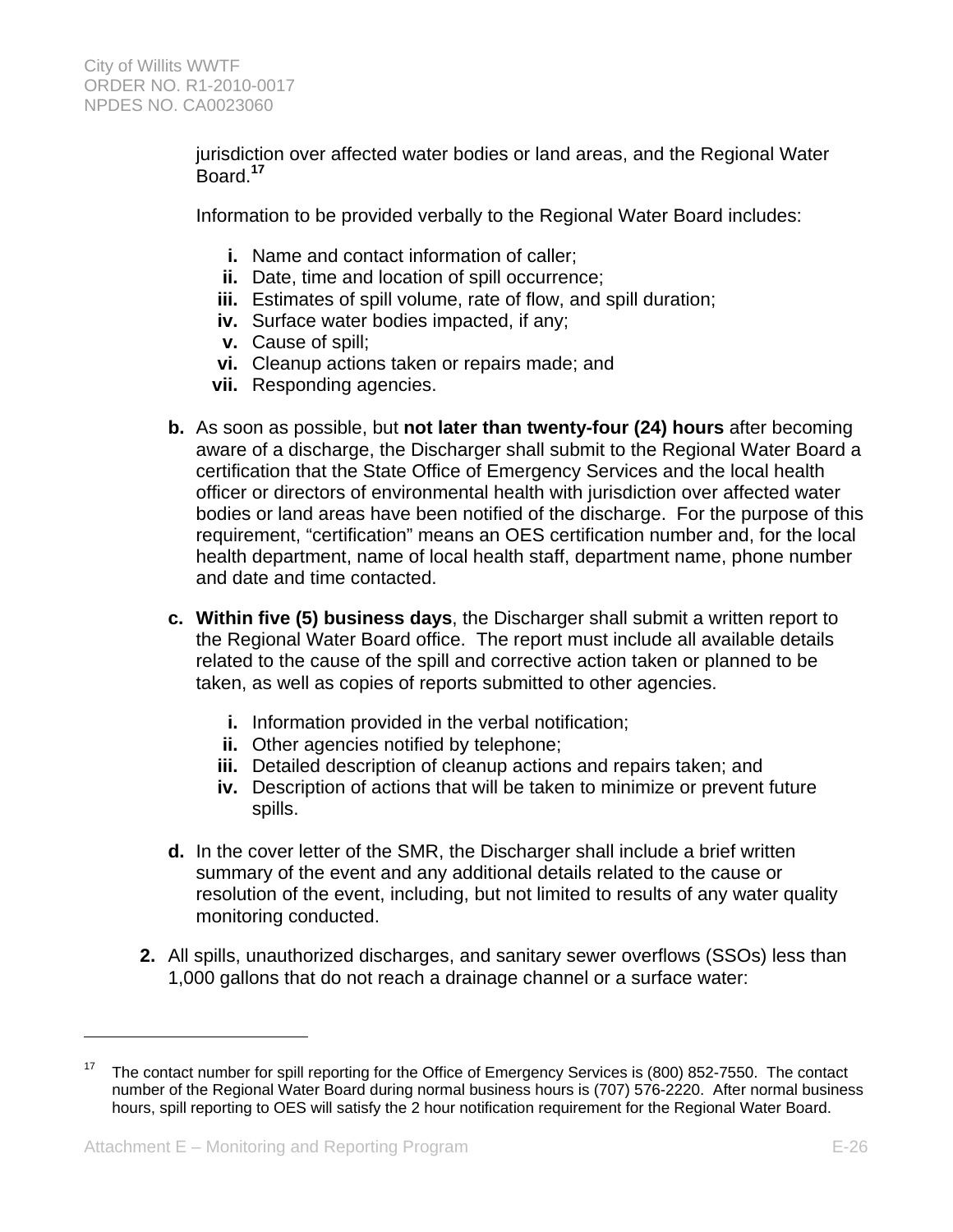jurisdiction over affected water bodies or land areas, and the Regional Water Board.**<sup>17</sup>**

Information to be provided verbally to the Regional Water Board includes:

- **i.** Name and contact information of caller;
- **ii.** Date, time and location of spill occurrence;
- **iii.** Estimates of spill volume, rate of flow, and spill duration;
- **iv.** Surface water bodies impacted, if any;
- **v.** Cause of spill;
- **vi.** Cleanup actions taken or repairs made; and
- **vii.** Responding agencies.
- **b.** As soon as possible, but **not later than twenty-four (24) hours** after becoming aware of a discharge, the Discharger shall submit to the Regional Water Board a certification that the State Office of Emergency Services and the local health officer or directors of environmental health with jurisdiction over affected water bodies or land areas have been notified of the discharge. For the purpose of this requirement, "certification" means an OES certification number and, for the local health department, name of local health staff, department name, phone number and date and time contacted.
- **c. Within five (5) business days**, the Discharger shall submit a written report to the Regional Water Board office. The report must include all available details related to the cause of the spill and corrective action taken or planned to be taken, as well as copies of reports submitted to other agencies.
	- **i.** Information provided in the verbal notification;
	- **ii.** Other agencies notified by telephone;
	- **iii.** Detailed description of cleanup actions and repairs taken; and
	- **iv.** Description of actions that will be taken to minimize or prevent future spills.
- **d.** In the cover letter of the SMR, the Discharger shall include a brief written summary of the event and any additional details related to the cause or resolution of the event, including, but not limited to results of any water quality monitoring conducted.
- **2.** All spills, unauthorized discharges, and sanitary sewer overflows (SSOs) less than 1,000 gallons that do not reach a drainage channel or a surface water:

 $\overline{a}$ 

The contact number for spill reporting for the Office of Emergency Services is (800) 852-7550. The contact number of the Regional Water Board during normal business hours is (707) 576-2220. After normal business hours, spill reporting to OES will satisfy the 2 hour notification requirement for the Regional Water Board.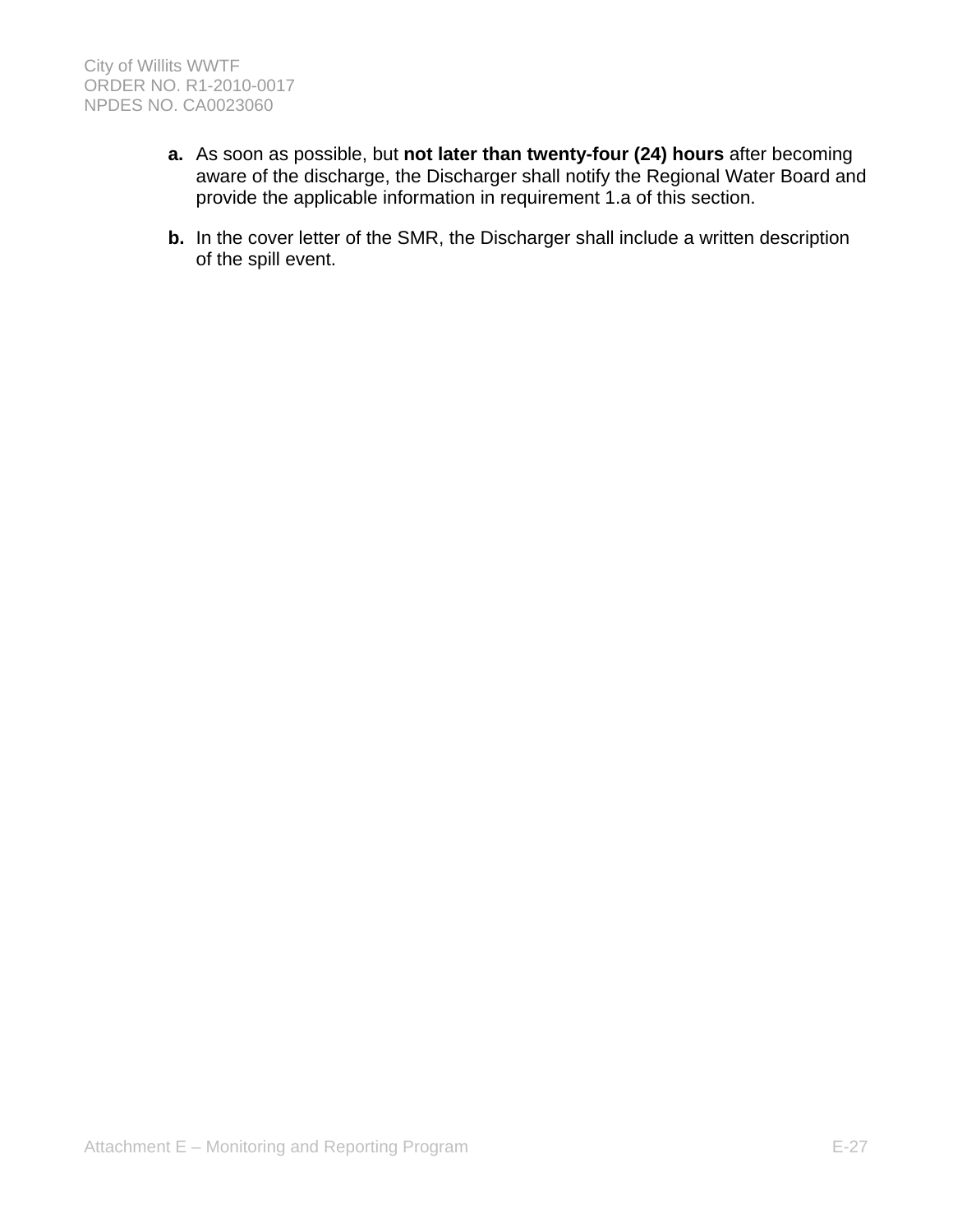- **a.** As soon as possible, but **not later than twenty-four (24) hours** after becoming aware of the discharge, the Discharger shall notify the Regional Water Board and provide the applicable information in requirement 1.a of this section.
- **b.** In the cover letter of the SMR, the Discharger shall include a written description of the spill event.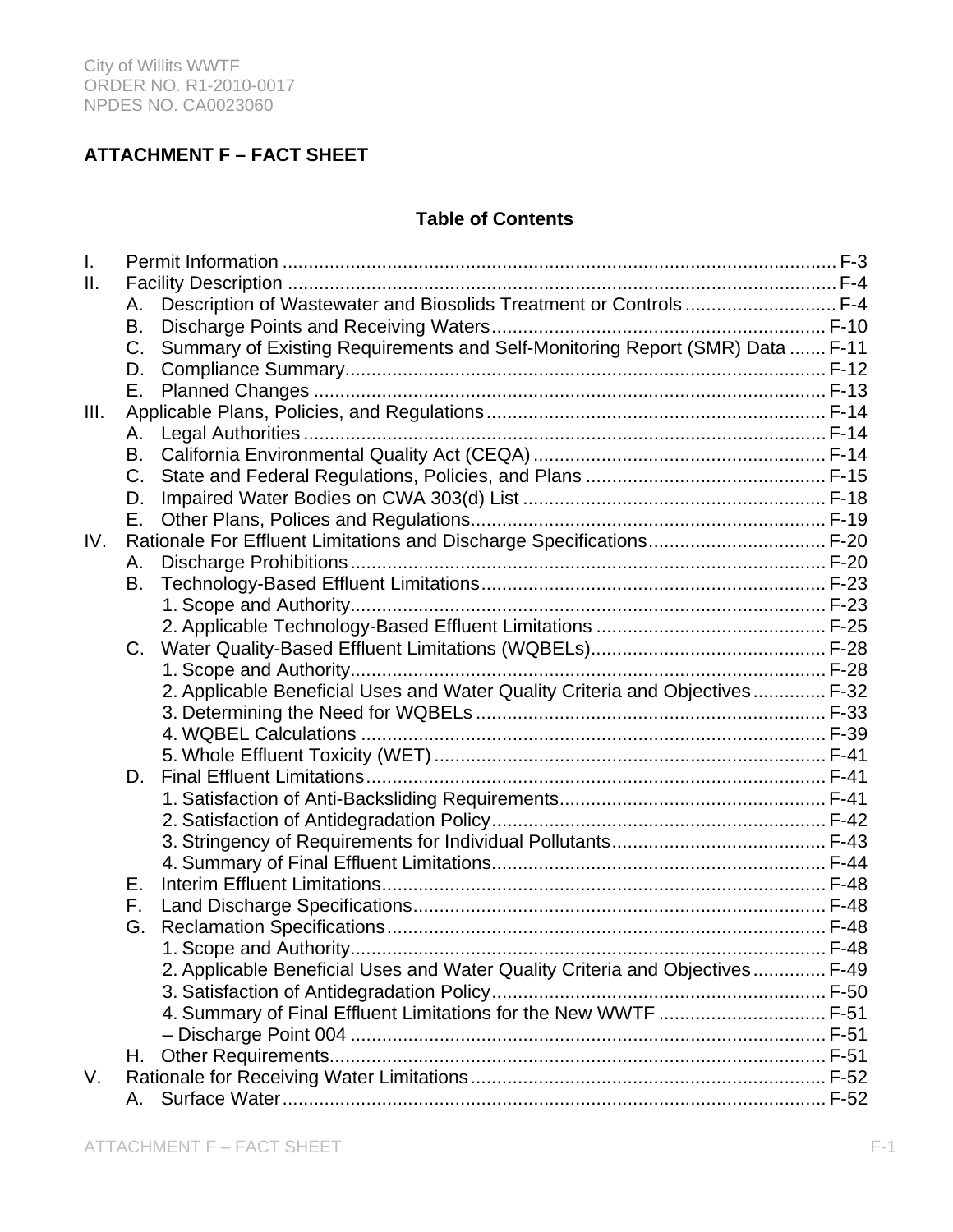# **ATTACHMENT F – FACT SHEET**

# **Table of Contents**

| $\mathsf{L}$ |         |                                                                              |  |
|--------------|---------|------------------------------------------------------------------------------|--|
| Ш.           |         |                                                                              |  |
|              | А.      | Description of Wastewater and Biosolids Treatment or Controls  F-4           |  |
|              | В.      |                                                                              |  |
|              | $C_{1}$ | Summary of Existing Requirements and Self-Monitoring Report (SMR) Data  F-11 |  |
|              | D.      |                                                                              |  |
|              | Е.      |                                                                              |  |
| III.         |         |                                                                              |  |
|              | А.      |                                                                              |  |
|              | В.      |                                                                              |  |
|              | C.      |                                                                              |  |
|              | D.      |                                                                              |  |
|              | Е.      |                                                                              |  |
| IV.          |         | Rationale For Effluent Limitations and Discharge Specifications F-20         |  |
|              | А.      |                                                                              |  |
|              | В.      |                                                                              |  |
|              |         |                                                                              |  |
|              |         |                                                                              |  |
|              | C.      |                                                                              |  |
|              |         |                                                                              |  |
|              |         | 2. Applicable Beneficial Uses and Water Quality Criteria and Objectives F-32 |  |
|              |         |                                                                              |  |
|              |         |                                                                              |  |
|              |         |                                                                              |  |
|              | D.      |                                                                              |  |
|              |         |                                                                              |  |
|              |         |                                                                              |  |
|              |         |                                                                              |  |
|              |         |                                                                              |  |
|              | Е.      |                                                                              |  |
|              | F.      |                                                                              |  |
|              | G.      |                                                                              |  |
|              |         |                                                                              |  |
|              |         | 2. Applicable Beneficial Uses and Water Quality Criteria and Objectives F-49 |  |
|              |         |                                                                              |  |
|              |         | 4. Summary of Final Effluent Limitations for the New WWTF  F-51              |  |
|              |         |                                                                              |  |
|              | Н.      |                                                                              |  |
| V.           |         |                                                                              |  |
|              | А.      |                                                                              |  |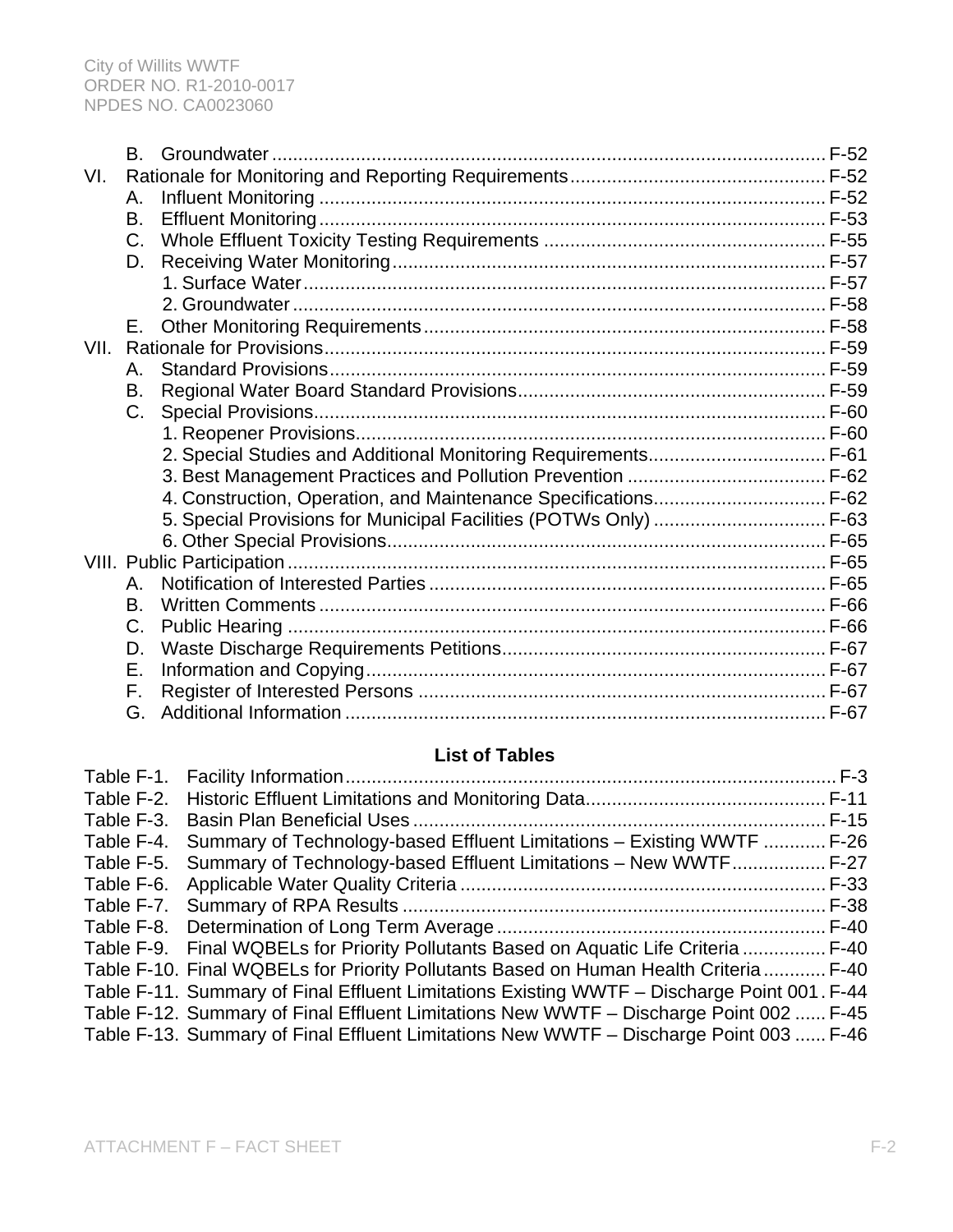|      | B.      |                                                                   |
|------|---------|-------------------------------------------------------------------|
| VI.  |         |                                                                   |
|      | Α.      |                                                                   |
|      | B.      |                                                                   |
|      | C.      |                                                                   |
|      | D.      |                                                                   |
|      |         |                                                                   |
|      |         |                                                                   |
|      | Е.      |                                                                   |
| VII. |         |                                                                   |
|      | $A_{-}$ |                                                                   |
|      | B.      |                                                                   |
|      | $C_{-}$ |                                                                   |
|      |         |                                                                   |
|      |         | 2. Special Studies and Additional Monitoring Requirements F-61    |
|      |         |                                                                   |
|      |         | 4. Construction, Operation, and Maintenance Specifications F-62   |
|      |         | 5. Special Provisions for Municipal Facilities (POTWs Only)  F-63 |
|      |         |                                                                   |
|      |         |                                                                   |
|      | А.      |                                                                   |
|      | B.      |                                                                   |
|      | C.      |                                                                   |
|      | D.      |                                                                   |
|      | Ε.      |                                                                   |
|      | F.      |                                                                   |
|      | G.      |                                                                   |

# **List of Tables**

| Table F-4. Summary of Technology-based Effluent Limitations - Existing WWTF  F-26           |  |
|---------------------------------------------------------------------------------------------|--|
| Table F-5. Summary of Technology-based Effluent Limitations - New WWTF F-27                 |  |
|                                                                                             |  |
|                                                                                             |  |
|                                                                                             |  |
| Table F-9. Final WQBELs for Priority Pollutants Based on Aquatic Life Criteria  F-40        |  |
| Table F-10. Final WQBELs for Priority Pollutants Based on Human Health Criteria  F-40       |  |
| Table F-11. Summary of Final Effluent Limitations Existing WWTF - Discharge Point 001. F-44 |  |
| Table F-12. Summary of Final Effluent Limitations New WWTF - Discharge Point 002  F-45      |  |
| Table F-13. Summary of Final Effluent Limitations New WWTF - Discharge Point 003  F-46      |  |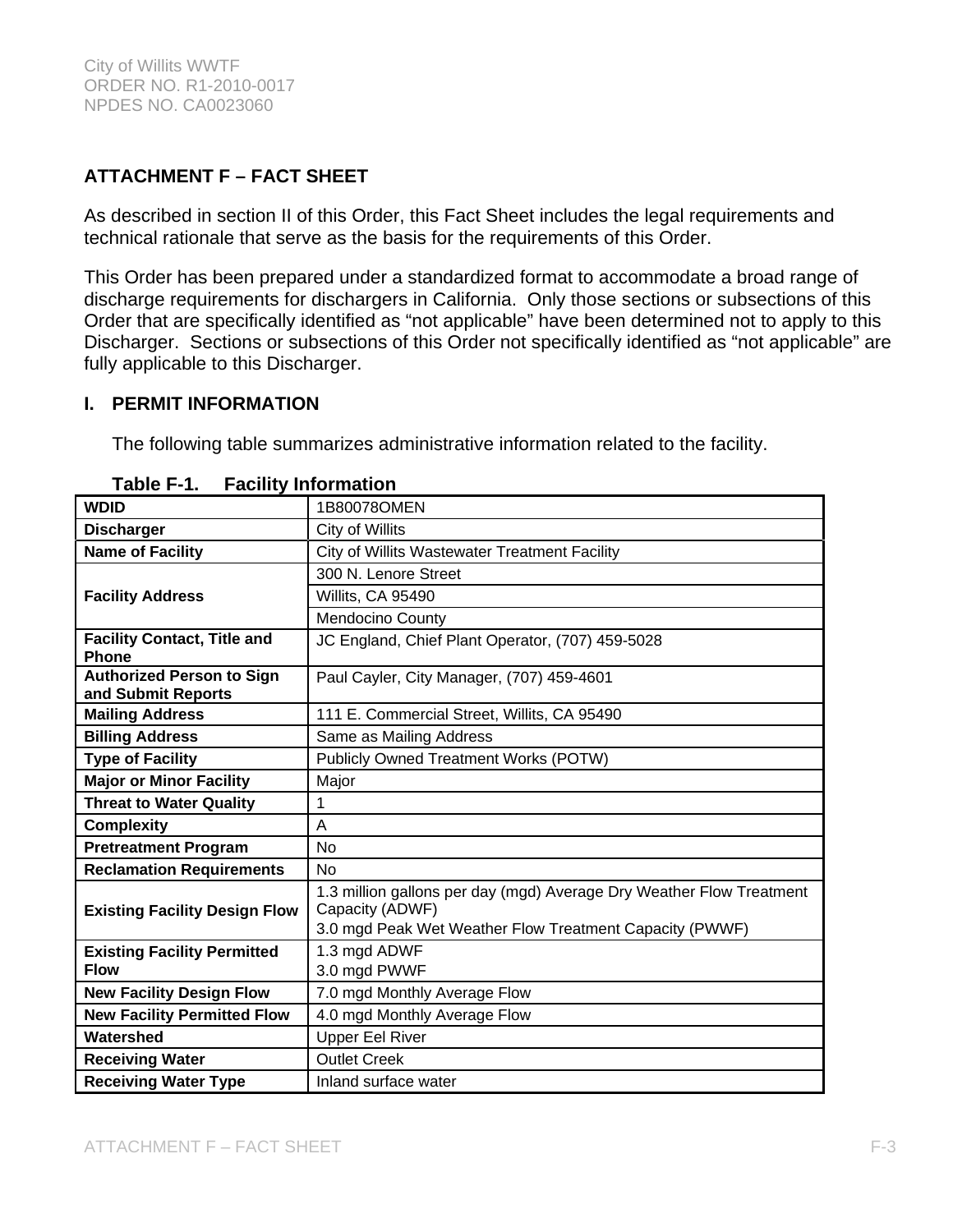# **ATTACHMENT F – FACT SHEET**

As described in section II of this Order, this Fact Sheet includes the legal requirements and technical rationale that serve as the basis for the requirements of this Order.

This Order has been prepared under a standardized format to accommodate a broad range of discharge requirements for dischargers in California. Only those sections or subsections of this Order that are specifically identified as "not applicable" have been determined not to apply to this Discharger. Sections or subsections of this Order not specifically identified as "not applicable" are fully applicable to this Discharger.

### **I. PERMIT INFORMATION**

The following table summarizes administrative information related to the facility.

| <b>WDID</b>                                            | 1B80078OMEN                                                                             |
|--------------------------------------------------------|-----------------------------------------------------------------------------------------|
| <b>Discharger</b>                                      | City of Willits                                                                         |
| <b>Name of Facility</b>                                | City of Willits Wastewater Treatment Facility                                           |
|                                                        | 300 N. Lenore Street                                                                    |
| <b>Facility Address</b>                                | Willits, CA 95490                                                                       |
|                                                        | Mendocino County                                                                        |
| <b>Facility Contact, Title and</b><br><b>Phone</b>     | JC England, Chief Plant Operator, (707) 459-5028                                        |
| <b>Authorized Person to Sign</b><br>and Submit Reports | Paul Cayler, City Manager, (707) 459-4601                                               |
| <b>Mailing Address</b>                                 | 111 E. Commercial Street, Willits, CA 95490                                             |
| <b>Billing Address</b>                                 | Same as Mailing Address                                                                 |
| <b>Type of Facility</b>                                | Publicly Owned Treatment Works (POTW)                                                   |
| <b>Major or Minor Facility</b>                         | Major                                                                                   |
| <b>Threat to Water Quality</b>                         | 1                                                                                       |
| <b>Complexity</b>                                      | A                                                                                       |
| <b>Pretreatment Program</b>                            | <b>No</b>                                                                               |
| <b>Reclamation Requirements</b>                        | <b>No</b>                                                                               |
|                                                        | 1.3 million gallons per day (mgd) Average Dry Weather Flow Treatment<br>Capacity (ADWF) |
| <b>Existing Facility Design Flow</b>                   | 3.0 mgd Peak Wet Weather Flow Treatment Capacity (PWWF)                                 |
| <b>Existing Facility Permitted</b>                     | 1.3 mgd ADWF                                                                            |
| <b>Flow</b>                                            | 3.0 mgd PWWF                                                                            |
| <b>New Facility Design Flow</b>                        | 7.0 mgd Monthly Average Flow                                                            |
| <b>New Facility Permitted Flow</b>                     | 4.0 mgd Monthly Average Flow                                                            |
| Watershed                                              | <b>Upper Eel River</b>                                                                  |
| <b>Receiving Water</b>                                 | <b>Outlet Creek</b>                                                                     |
| <b>Receiving Water Type</b>                            | Inland surface water                                                                    |

**Table F-1. Facility Information**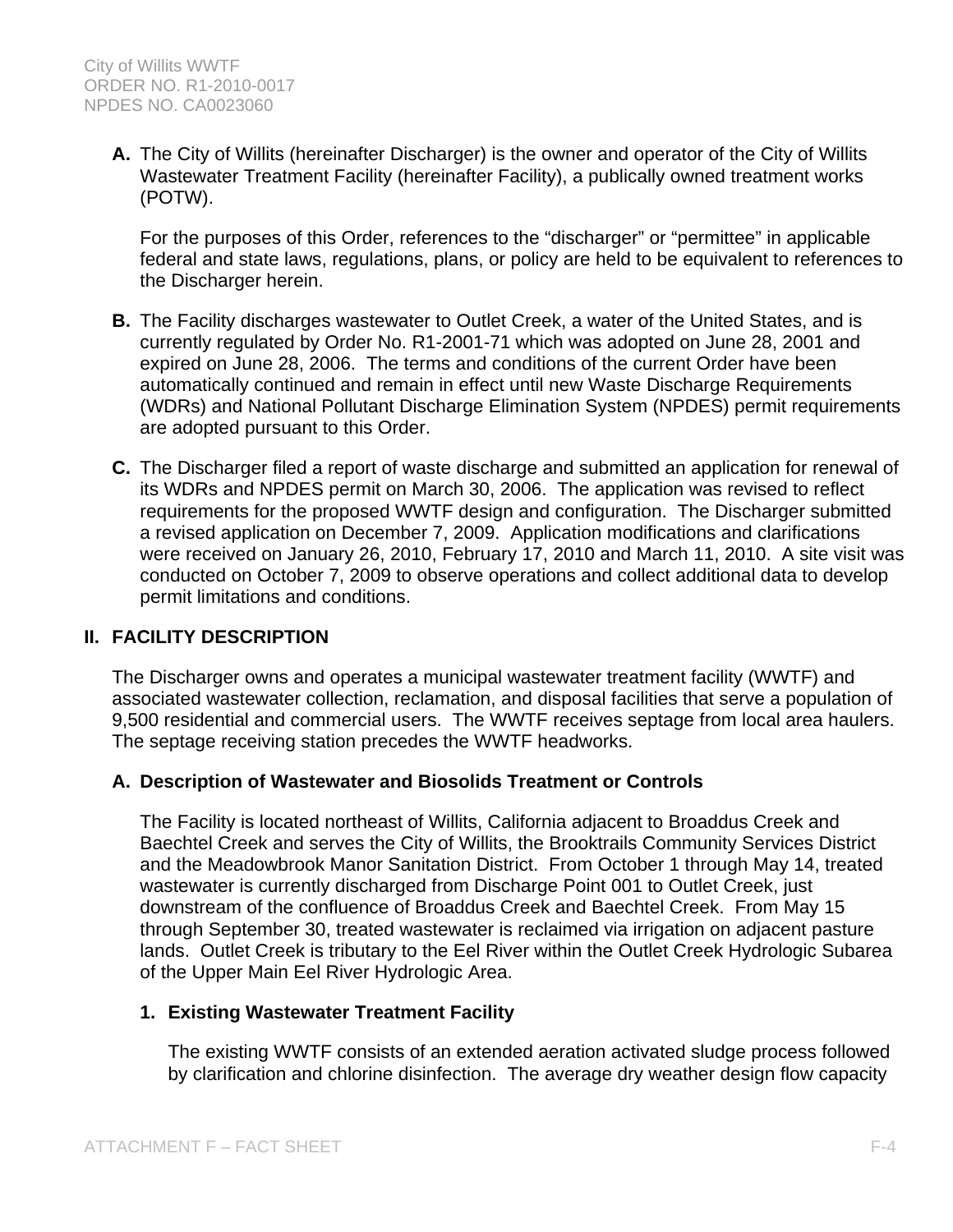**A.** The City of Willits (hereinafter Discharger) is the owner and operator of the City of Willits Wastewater Treatment Facility (hereinafter Facility), a publically owned treatment works (POTW).

For the purposes of this Order, references to the "discharger" or "permittee" in applicable federal and state laws, regulations, plans, or policy are held to be equivalent to references to the Discharger herein.

- **B.** The Facility discharges wastewater to Outlet Creek, a water of the United States, and is currently regulated by Order No. R1-2001-71 which was adopted on June 28, 2001 and expired on June 28, 2006. The terms and conditions of the current Order have been automatically continued and remain in effect until new Waste Discharge Requirements (WDRs) and National Pollutant Discharge Elimination System (NPDES) permit requirements are adopted pursuant to this Order.
- **C.** The Discharger filed a report of waste discharge and submitted an application for renewal of its WDRs and NPDES permit on March 30, 2006. The application was revised to reflect requirements for the proposed WWTF design and configuration. The Discharger submitted a revised application on December 7, 2009. Application modifications and clarifications were received on January 26, 2010, February 17, 2010 and March 11, 2010. A site visit was conducted on October 7, 2009 to observe operations and collect additional data to develop permit limitations and conditions.

# **II. FACILITY DESCRIPTION**

The Discharger owns and operates a municipal wastewater treatment facility (WWTF) and associated wastewater collection, reclamation, and disposal facilities that serve a population of 9,500 residential and commercial users. The WWTF receives septage from local area haulers. The septage receiving station precedes the WWTF headworks.

### **A. Description of Wastewater and Biosolids Treatment or Controls**

The Facility is located northeast of Willits, California adjacent to Broaddus Creek and Baechtel Creek and serves the City of Willits, the Brooktrails Community Services District and the Meadowbrook Manor Sanitation District. From October 1 through May 14, treated wastewater is currently discharged from Discharge Point 001 to Outlet Creek, just downstream of the confluence of Broaddus Creek and Baechtel Creek. From May 15 through September 30, treated wastewater is reclaimed via irrigation on adjacent pasture lands. Outlet Creek is tributary to the Eel River within the Outlet Creek Hydrologic Subarea of the Upper Main Eel River Hydrologic Area.

# **1. Existing Wastewater Treatment Facility**

The existing WWTF consists of an extended aeration activated sludge process followed by clarification and chlorine disinfection. The average dry weather design flow capacity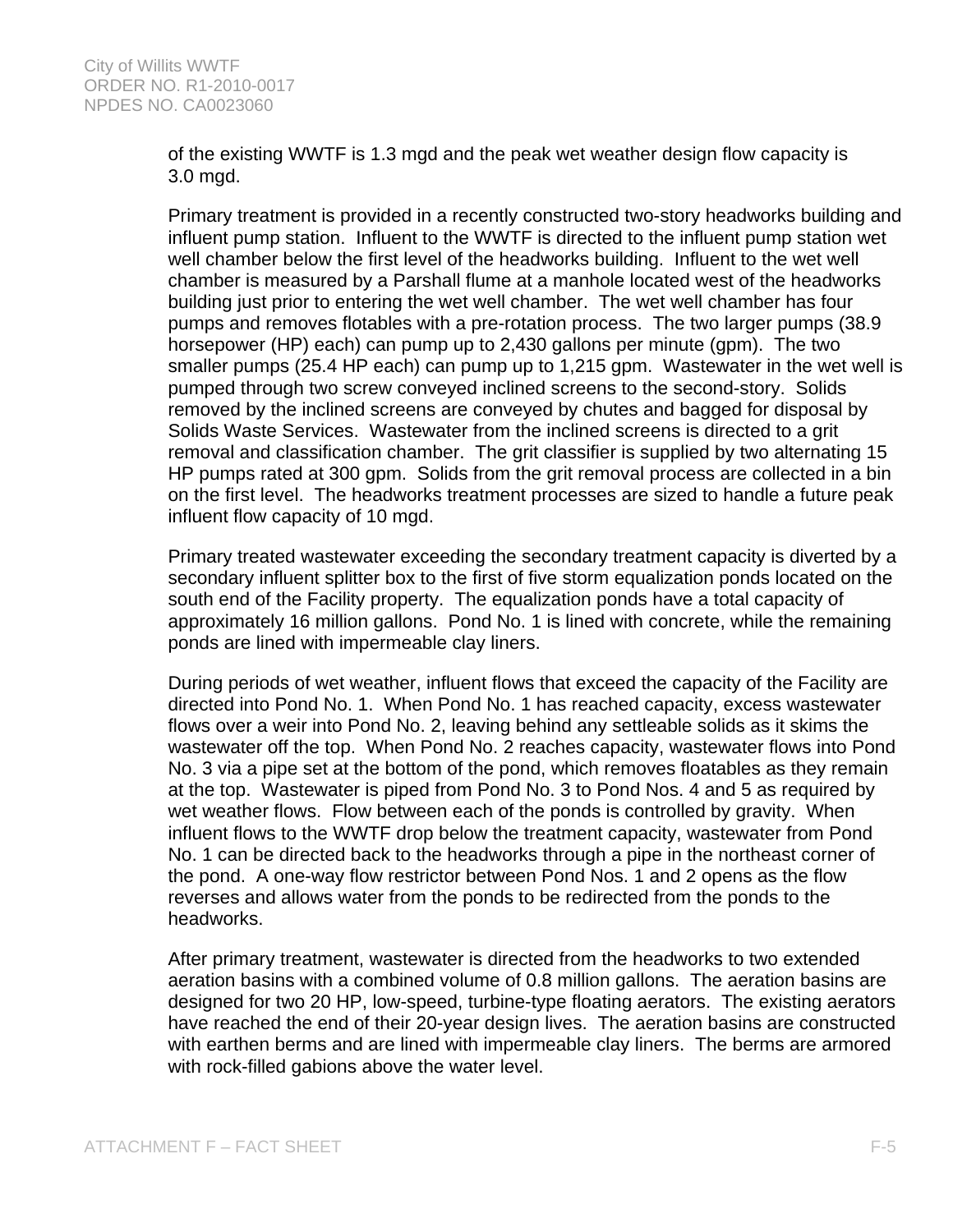of the existing WWTF is 1.3 mgd and the peak wet weather design flow capacity is 3.0 mgd.

Primary treatment is provided in a recently constructed two-story headworks building and influent pump station. Influent to the WWTF is directed to the influent pump station wet well chamber below the first level of the headworks building. Influent to the wet well chamber is measured by a Parshall flume at a manhole located west of the headworks building just prior to entering the wet well chamber. The wet well chamber has four pumps and removes flotables with a pre-rotation process. The two larger pumps (38.9 horsepower (HP) each) can pump up to 2,430 gallons per minute (gpm). The two smaller pumps (25.4 HP each) can pump up to 1,215 gpm. Wastewater in the wet well is pumped through two screw conveyed inclined screens to the second-story. Solids removed by the inclined screens are conveyed by chutes and bagged for disposal by Solids Waste Services. Wastewater from the inclined screens is directed to a grit removal and classification chamber. The grit classifier is supplied by two alternating 15 HP pumps rated at 300 gpm. Solids from the grit removal process are collected in a bin on the first level. The headworks treatment processes are sized to handle a future peak influent flow capacity of 10 mgd.

Primary treated wastewater exceeding the secondary treatment capacity is diverted by a secondary influent splitter box to the first of five storm equalization ponds located on the south end of the Facility property. The equalization ponds have a total capacity of approximately 16 million gallons. Pond No. 1 is lined with concrete, while the remaining ponds are lined with impermeable clay liners.

During periods of wet weather, influent flows that exceed the capacity of the Facility are directed into Pond No. 1. When Pond No. 1 has reached capacity, excess wastewater flows over a weir into Pond No. 2, leaving behind any settleable solids as it skims the wastewater off the top. When Pond No. 2 reaches capacity, wastewater flows into Pond No. 3 via a pipe set at the bottom of the pond, which removes floatables as they remain at the top. Wastewater is piped from Pond No. 3 to Pond Nos. 4 and 5 as required by wet weather flows. Flow between each of the ponds is controlled by gravity. When influent flows to the WWTF drop below the treatment capacity, wastewater from Pond No. 1 can be directed back to the headworks through a pipe in the northeast corner of the pond. A one-way flow restrictor between Pond Nos. 1 and 2 opens as the flow reverses and allows water from the ponds to be redirected from the ponds to the headworks.

After primary treatment, wastewater is directed from the headworks to two extended aeration basins with a combined volume of 0.8 million gallons. The aeration basins are designed for two 20 HP, low-speed, turbine-type floating aerators. The existing aerators have reached the end of their 20-year design lives. The aeration basins are constructed with earthen berms and are lined with impermeable clay liners. The berms are armored with rock-filled gabions above the water level.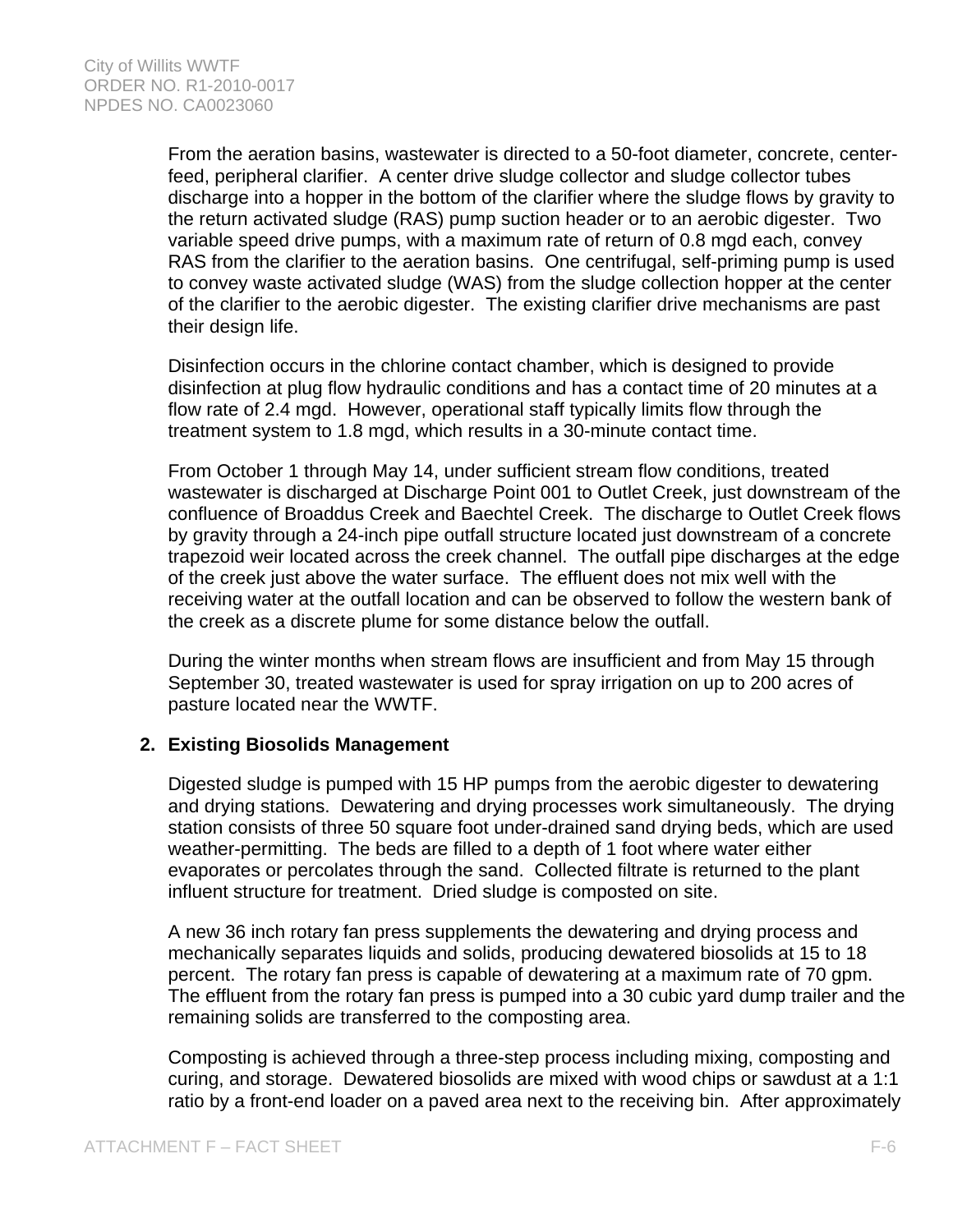From the aeration basins, wastewater is directed to a 50-foot diameter, concrete, centerfeed, peripheral clarifier. A center drive sludge collector and sludge collector tubes discharge into a hopper in the bottom of the clarifier where the sludge flows by gravity to the return activated sludge (RAS) pump suction header or to an aerobic digester. Two variable speed drive pumps, with a maximum rate of return of 0.8 mgd each, convey RAS from the clarifier to the aeration basins. One centrifugal, self-priming pump is used to convey waste activated sludge (WAS) from the sludge collection hopper at the center of the clarifier to the aerobic digester. The existing clarifier drive mechanisms are past their design life.

Disinfection occurs in the chlorine contact chamber, which is designed to provide disinfection at plug flow hydraulic conditions and has a contact time of 20 minutes at a flow rate of 2.4 mgd. However, operational staff typically limits flow through the treatment system to 1.8 mgd, which results in a 30-minute contact time.

From October 1 through May 14, under sufficient stream flow conditions, treated wastewater is discharged at Discharge Point 001 to Outlet Creek, just downstream of the confluence of Broaddus Creek and Baechtel Creek. The discharge to Outlet Creek flows by gravity through a 24-inch pipe outfall structure located just downstream of a concrete trapezoid weir located across the creek channel. The outfall pipe discharges at the edge of the creek just above the water surface. The effluent does not mix well with the receiving water at the outfall location and can be observed to follow the western bank of the creek as a discrete plume for some distance below the outfall.

During the winter months when stream flows are insufficient and from May 15 through September 30, treated wastewater is used for spray irrigation on up to 200 acres of pasture located near the WWTF.

### **2. Existing Biosolids Management**

Digested sludge is pumped with 15 HP pumps from the aerobic digester to dewatering and drying stations. Dewatering and drying processes work simultaneously. The drying station consists of three 50 square foot under-drained sand drying beds, which are used weather-permitting. The beds are filled to a depth of 1 foot where water either evaporates or percolates through the sand. Collected filtrate is returned to the plant influent structure for treatment. Dried sludge is composted on site.

A new 36 inch rotary fan press supplements the dewatering and drying process and mechanically separates liquids and solids, producing dewatered biosolids at 15 to 18 percent. The rotary fan press is capable of dewatering at a maximum rate of 70 gpm. The effluent from the rotary fan press is pumped into a 30 cubic yard dump trailer and the remaining solids are transferred to the composting area.

Composting is achieved through a three-step process including mixing, composting and curing, and storage. Dewatered biosolids are mixed with wood chips or sawdust at a 1:1 ratio by a front-end loader on a paved area next to the receiving bin. After approximately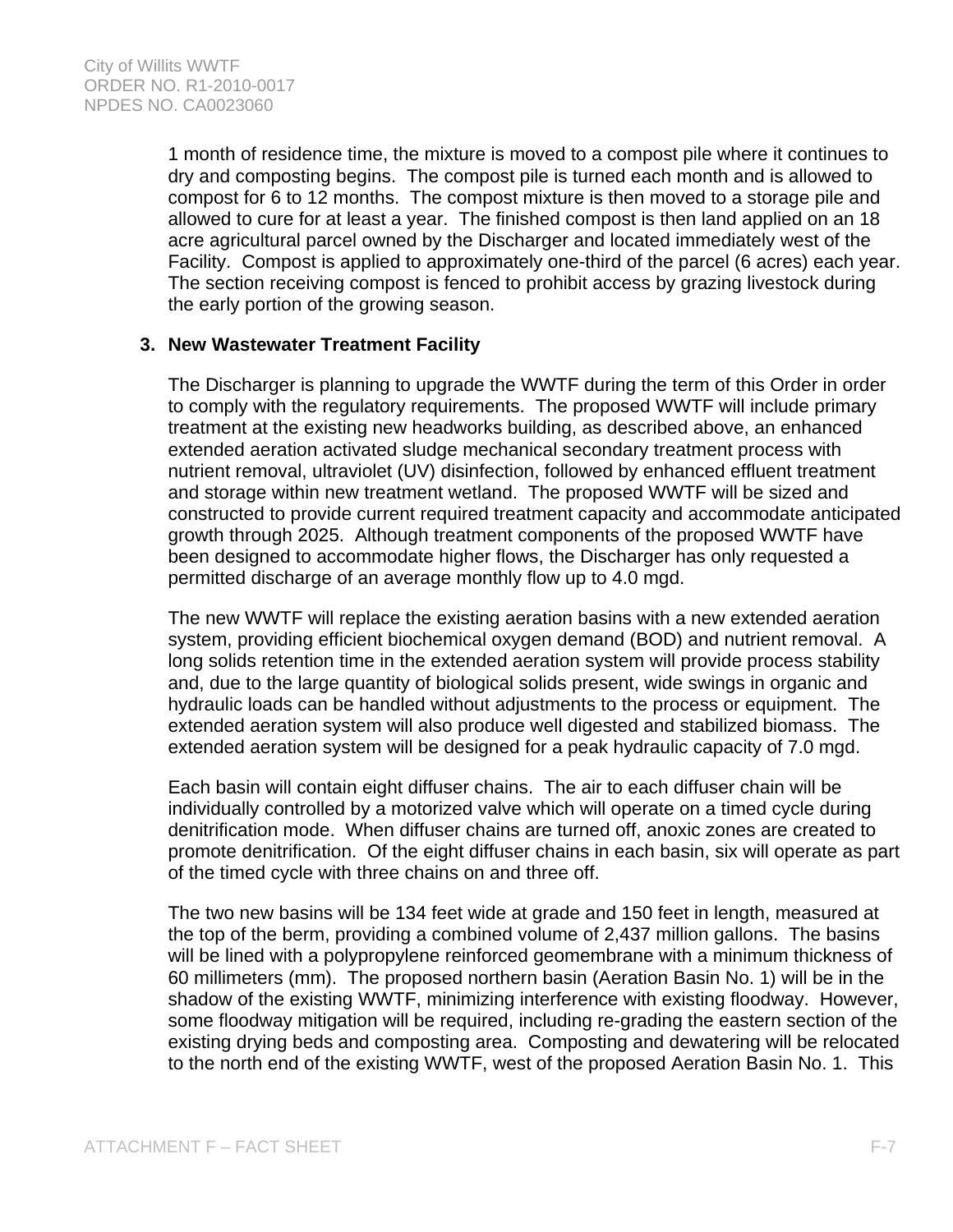1 month of residence time, the mixture is moved to a compost pile where it continues to dry and composting begins. The compost pile is turned each month and is allowed to compost for 6 to 12 months. The compost mixture is then moved to a storage pile and allowed to cure for at least a year. The finished compost is then land applied on an 18 acre agricultural parcel owned by the Discharger and located immediately west of the Facility. Compost is applied to approximately one-third of the parcel (6 acres) each year. The section receiving compost is fenced to prohibit access by grazing livestock during the early portion of the growing season.

### **3. New Wastewater Treatment Facility**

The Discharger is planning to upgrade the WWTF during the term of this Order in order to comply with the regulatory requirements. The proposed WWTF will include primary treatment at the existing new headworks building, as described above, an enhanced extended aeration activated sludge mechanical secondary treatment process with nutrient removal, ultraviolet (UV) disinfection, followed by enhanced effluent treatment and storage within new treatment wetland. The proposed WWTF will be sized and constructed to provide current required treatment capacity and accommodate anticipated growth through 2025. Although treatment components of the proposed WWTF have been designed to accommodate higher flows, the Discharger has only requested a permitted discharge of an average monthly flow up to 4.0 mgd.

The new WWTF will replace the existing aeration basins with a new extended aeration system, providing efficient biochemical oxygen demand (BOD) and nutrient removal. A long solids retention time in the extended aeration system will provide process stability and, due to the large quantity of biological solids present, wide swings in organic and hydraulic loads can be handled without adjustments to the process or equipment. The extended aeration system will also produce well digested and stabilized biomass. The extended aeration system will be designed for a peak hydraulic capacity of 7.0 mgd.

Each basin will contain eight diffuser chains. The air to each diffuser chain will be individually controlled by a motorized valve which will operate on a timed cycle during denitrification mode. When diffuser chains are turned off, anoxic zones are created to promote denitrification. Of the eight diffuser chains in each basin, six will operate as part of the timed cycle with three chains on and three off.

The two new basins will be 134 feet wide at grade and 150 feet in length, measured at the top of the berm, providing a combined volume of 2,437 million gallons. The basins will be lined with a polypropylene reinforced geomembrane with a minimum thickness of 60 millimeters (mm). The proposed northern basin (Aeration Basin No. 1) will be in the shadow of the existing WWTF, minimizing interference with existing floodway. However, some floodway mitigation will be required, including re-grading the eastern section of the existing drying beds and composting area. Composting and dewatering will be relocated to the north end of the existing WWTF, west of the proposed Aeration Basin No. 1. This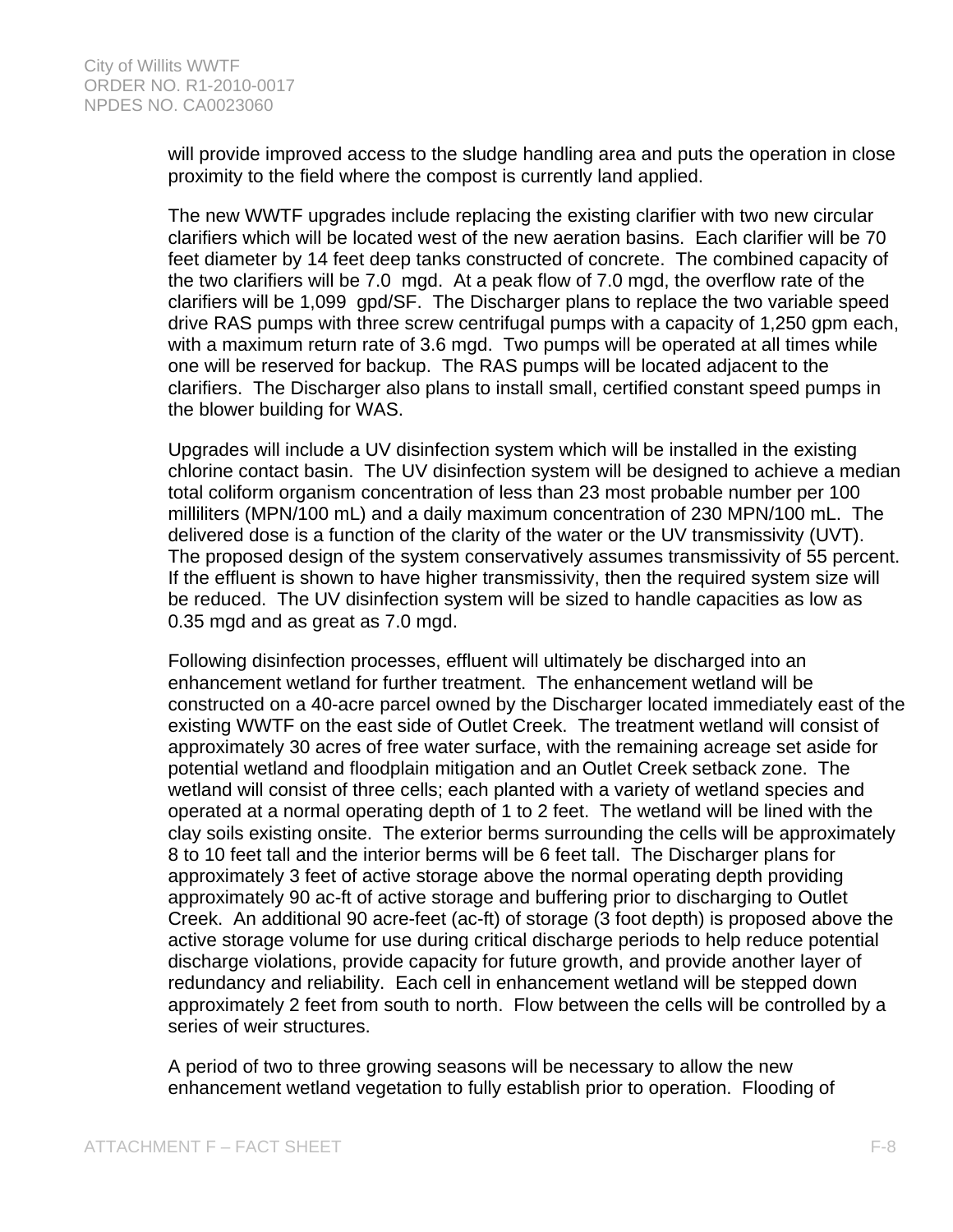will provide improved access to the sludge handling area and puts the operation in close proximity to the field where the compost is currently land applied.

The new WWTF upgrades include replacing the existing clarifier with two new circular clarifiers which will be located west of the new aeration basins. Each clarifier will be 70 feet diameter by 14 feet deep tanks constructed of concrete. The combined capacity of the two clarifiers will be 7.0 mgd. At a peak flow of 7.0 mgd, the overflow rate of the clarifiers will be 1,099 gpd/SF. The Discharger plans to replace the two variable speed drive RAS pumps with three screw centrifugal pumps with a capacity of 1,250 gpm each, with a maximum return rate of 3.6 mgd. Two pumps will be operated at all times while one will be reserved for backup. The RAS pumps will be located adjacent to the clarifiers. The Discharger also plans to install small, certified constant speed pumps in the blower building for WAS.

Upgrades will include a UV disinfection system which will be installed in the existing chlorine contact basin. The UV disinfection system will be designed to achieve a median total coliform organism concentration of less than 23 most probable number per 100 milliliters (MPN/100 mL) and a daily maximum concentration of 230 MPN/100 mL. The delivered dose is a function of the clarity of the water or the UV transmissivity (UVT). The proposed design of the system conservatively assumes transmissivity of 55 percent. If the effluent is shown to have higher transmissivity, then the required system size will be reduced. The UV disinfection system will be sized to handle capacities as low as 0.35 mgd and as great as 7.0 mgd.

Following disinfection processes, effluent will ultimately be discharged into an enhancement wetland for further treatment. The enhancement wetland will be constructed on a 40-acre parcel owned by the Discharger located immediately east of the existing WWTF on the east side of Outlet Creek. The treatment wetland will consist of approximately 30 acres of free water surface, with the remaining acreage set aside for potential wetland and floodplain mitigation and an Outlet Creek setback zone. The wetland will consist of three cells; each planted with a variety of wetland species and operated at a normal operating depth of 1 to 2 feet. The wetland will be lined with the clay soils existing onsite. The exterior berms surrounding the cells will be approximately 8 to 10 feet tall and the interior berms will be 6 feet tall. The Discharger plans for approximately 3 feet of active storage above the normal operating depth providing approximately 90 ac-ft of active storage and buffering prior to discharging to Outlet Creek. An additional 90 acre-feet (ac-ft) of storage (3 foot depth) is proposed above the active storage volume for use during critical discharge periods to help reduce potential discharge violations, provide capacity for future growth, and provide another layer of redundancy and reliability. Each cell in enhancement wetland will be stepped down approximately 2 feet from south to north. Flow between the cells will be controlled by a series of weir structures.

A period of two to three growing seasons will be necessary to allow the new enhancement wetland vegetation to fully establish prior to operation. Flooding of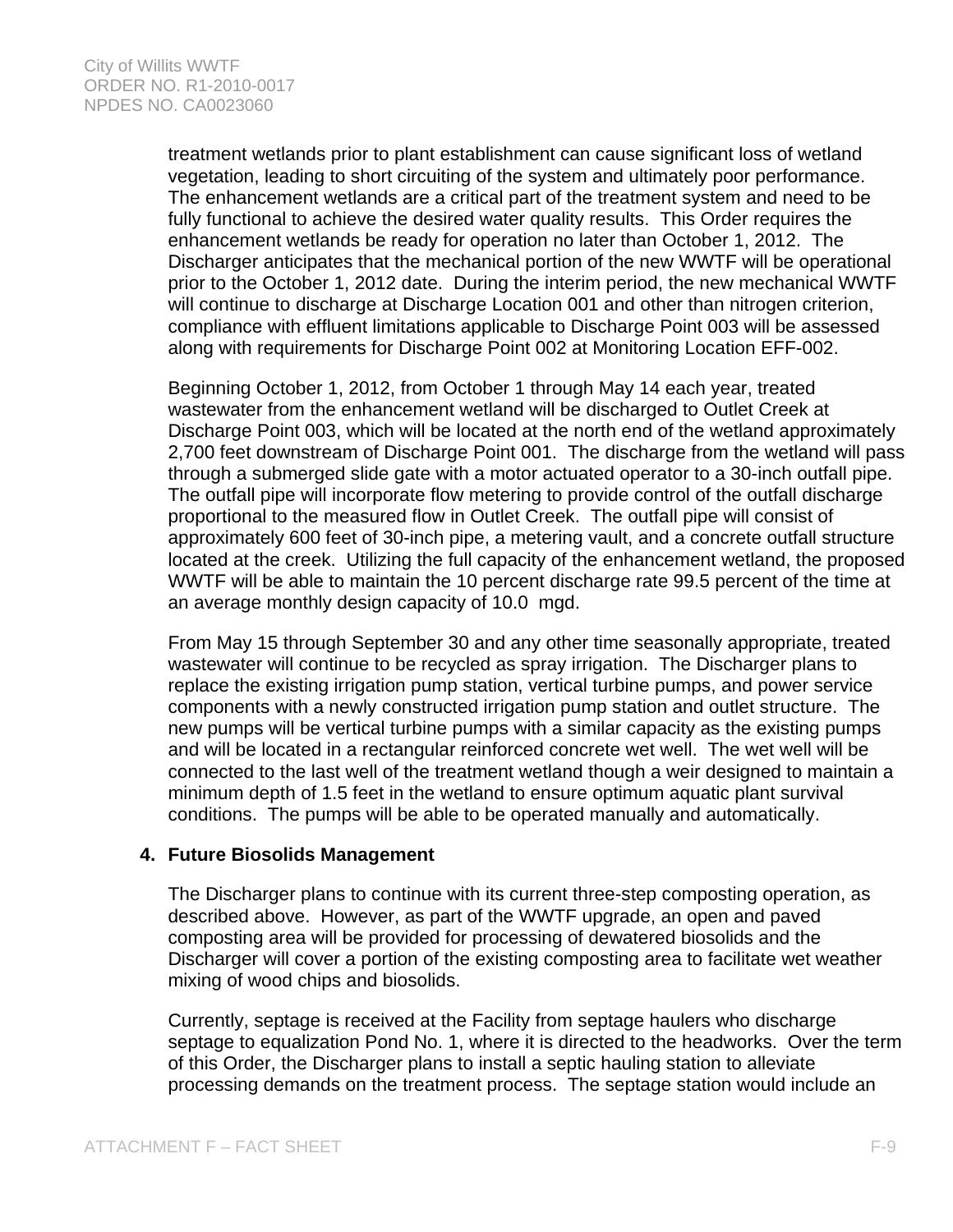treatment wetlands prior to plant establishment can cause significant loss of wetland vegetation, leading to short circuiting of the system and ultimately poor performance. The enhancement wetlands are a critical part of the treatment system and need to be fully functional to achieve the desired water quality results. This Order requires the enhancement wetlands be ready for operation no later than October 1, 2012. The Discharger anticipates that the mechanical portion of the new WWTF will be operational prior to the October 1, 2012 date. During the interim period, the new mechanical WWTF will continue to discharge at Discharge Location 001 and other than nitrogen criterion, compliance with effluent limitations applicable to Discharge Point 003 will be assessed along with requirements for Discharge Point 002 at Monitoring Location EFF-002.

Beginning October 1, 2012, from October 1 through May 14 each year, treated wastewater from the enhancement wetland will be discharged to Outlet Creek at Discharge Point 003, which will be located at the north end of the wetland approximately 2,700 feet downstream of Discharge Point 001. The discharge from the wetland will pass through a submerged slide gate with a motor actuated operator to a 30-inch outfall pipe. The outfall pipe will incorporate flow metering to provide control of the outfall discharge proportional to the measured flow in Outlet Creek. The outfall pipe will consist of approximately 600 feet of 30-inch pipe, a metering vault, and a concrete outfall structure located at the creek. Utilizing the full capacity of the enhancement wetland, the proposed WWTF will be able to maintain the 10 percent discharge rate 99.5 percent of the time at an average monthly design capacity of 10.0 mgd.

From May 15 through September 30 and any other time seasonally appropriate, treated wastewater will continue to be recycled as spray irrigation. The Discharger plans to replace the existing irrigation pump station, vertical turbine pumps, and power service components with a newly constructed irrigation pump station and outlet structure. The new pumps will be vertical turbine pumps with a similar capacity as the existing pumps and will be located in a rectangular reinforced concrete wet well. The wet well will be connected to the last well of the treatment wetland though a weir designed to maintain a minimum depth of 1.5 feet in the wetland to ensure optimum aquatic plant survival conditions. The pumps will be able to be operated manually and automatically.

### **4. Future Biosolids Management**

The Discharger plans to continue with its current three-step composting operation, as described above. However, as part of the WWTF upgrade, an open and paved composting area will be provided for processing of dewatered biosolids and the Discharger will cover a portion of the existing composting area to facilitate wet weather mixing of wood chips and biosolids.

Currently, septage is received at the Facility from septage haulers who discharge septage to equalization Pond No. 1, where it is directed to the headworks. Over the term of this Order, the Discharger plans to install a septic hauling station to alleviate processing demands on the treatment process. The septage station would include an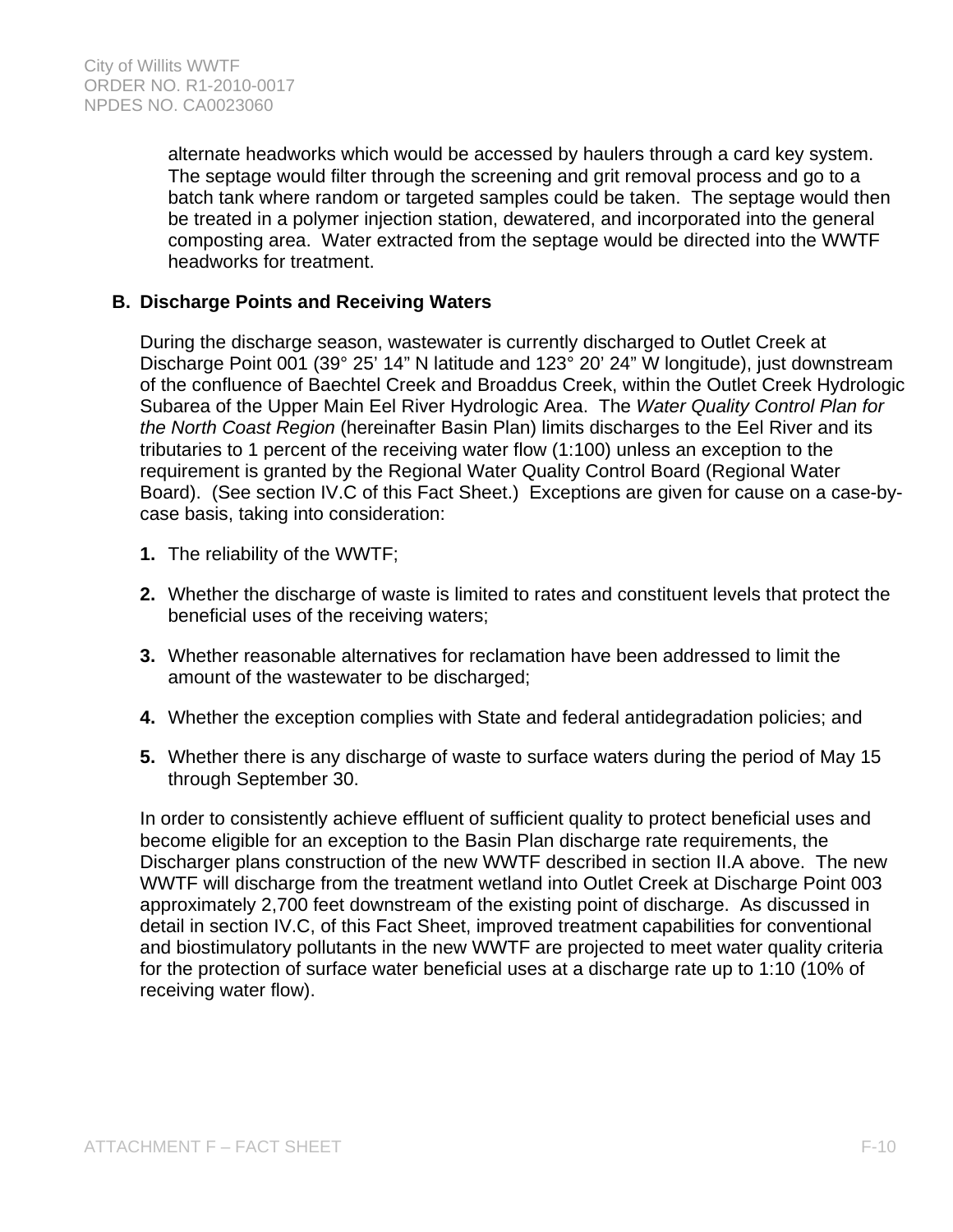alternate headworks which would be accessed by haulers through a card key system. The septage would filter through the screening and grit removal process and go to a batch tank where random or targeted samples could be taken. The septage would then be treated in a polymer injection station, dewatered, and incorporated into the general composting area. Water extracted from the septage would be directed into the WWTF headworks for treatment.

### **B. Discharge Points and Receiving Waters**

During the discharge season, wastewater is currently discharged to Outlet Creek at Discharge Point 001 (39° 25' 14" N latitude and 123° 20' 24" W longitude), just downstream of the confluence of Baechtel Creek and Broaddus Creek, within the Outlet Creek Hydrologic Subarea of the Upper Main Eel River Hydrologic Area. The *Water Quality Control Plan for the North Coast Region* (hereinafter Basin Plan) limits discharges to the Eel River and its tributaries to 1 percent of the receiving water flow (1:100) unless an exception to the requirement is granted by the Regional Water Quality Control Board (Regional Water Board). (See section IV.C of this Fact Sheet.) Exceptions are given for cause on a case-bycase basis, taking into consideration:

- **1.** The reliability of the WWTF;
- **2.** Whether the discharge of waste is limited to rates and constituent levels that protect the beneficial uses of the receiving waters;
- **3.** Whether reasonable alternatives for reclamation have been addressed to limit the amount of the wastewater to be discharged;
- **4.** Whether the exception complies with State and federal antidegradation policies; and
- **5.** Whether there is any discharge of waste to surface waters during the period of May 15 through September 30.

In order to consistently achieve effluent of sufficient quality to protect beneficial uses and become eligible for an exception to the Basin Plan discharge rate requirements, the Discharger plans construction of the new WWTF described in section II.A above. The new WWTF will discharge from the treatment wetland into Outlet Creek at Discharge Point 003 approximately 2,700 feet downstream of the existing point of discharge. As discussed in detail in section IV.C, of this Fact Sheet, improved treatment capabilities for conventional and biostimulatory pollutants in the new WWTF are projected to meet water quality criteria for the protection of surface water beneficial uses at a discharge rate up to 1:10 (10% of receiving water flow).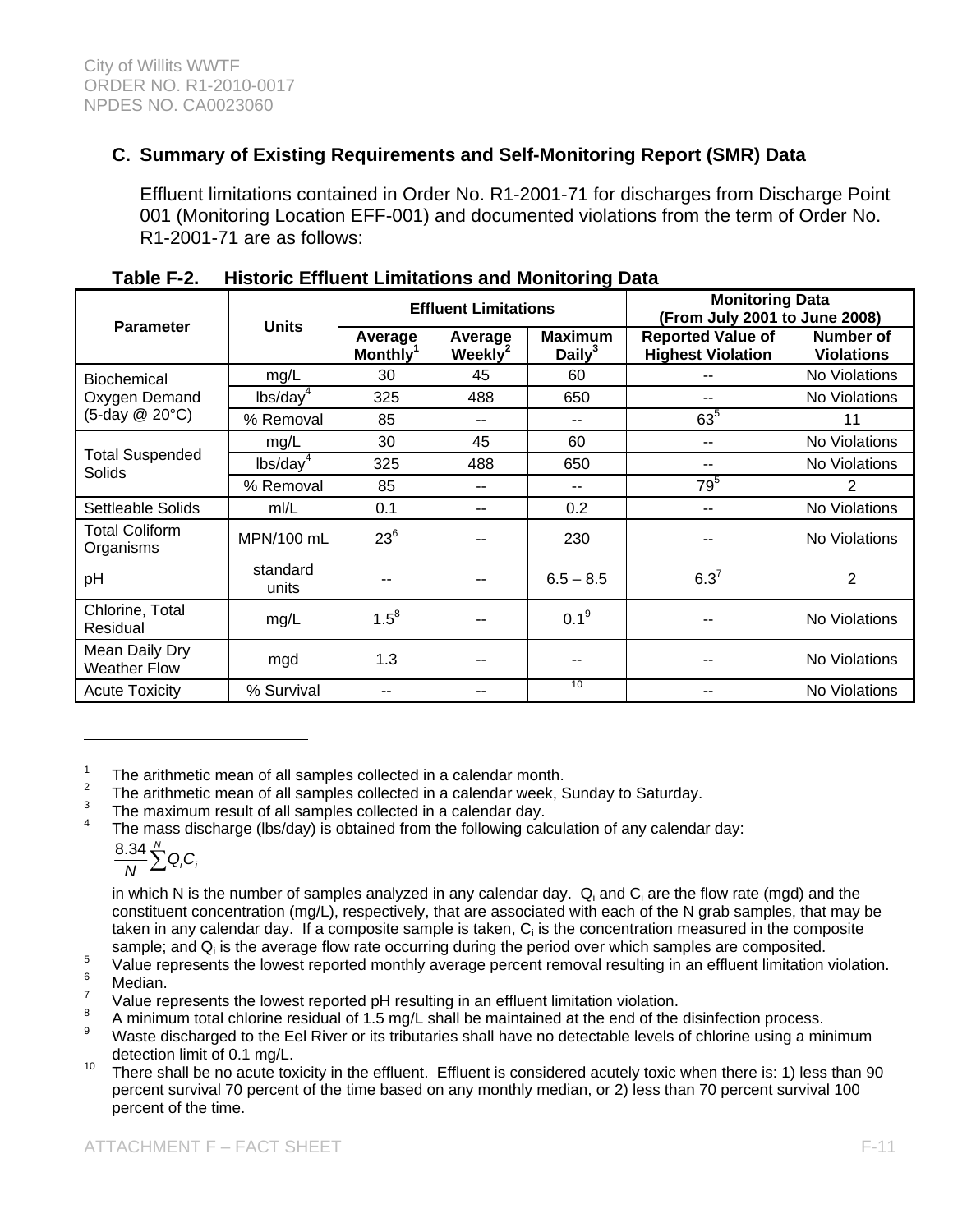# **C. Summary of Existing Requirements and Self-Monitoring Report (SMR) Data**

Effluent limitations contained in Order No. R1-2001-71 for discharges from Discharge Point 001 (Monitoring Location EFF-001) and documented violations from the term of Order No. R1-2001-71 are as follows:

| <b>Parameter</b>                      | <b>Units</b>         | <b>Effluent Limitations</b>     |                                | <b>Monitoring Data</b><br>(From July 2001 to June 2008) |                                                      |                                |
|---------------------------------------|----------------------|---------------------------------|--------------------------------|---------------------------------------------------------|------------------------------------------------------|--------------------------------|
|                                       |                      | Average<br>Monthly <sup>1</sup> | Average<br>Weekly <sup>2</sup> | <b>Maximum</b><br>Daily $3$                             | <b>Reported Value of</b><br><b>Highest Violation</b> | Number of<br><b>Violations</b> |
| Biochemical                           | mg/L                 | 30                              | 45                             | 60                                                      |                                                      | No Violations                  |
| Oxygen Demand                         | lbs/day <sup>4</sup> | 325                             | 488                            | 650                                                     |                                                      | No Violations                  |
| (5-day @ 20°C)                        | % Removal            | 85                              |                                |                                                         | $63^{5}$                                             | 11                             |
|                                       | mg/L                 | 30                              | 45                             | 60                                                      | --                                                   | No Violations                  |
| <b>Total Suspended</b><br>Solids      | lbs/day <sup>4</sup> | 325                             | 488                            | 650                                                     | --                                                   | No Violations                  |
|                                       | % Removal            | 85                              |                                | --                                                      | 79 <sup>5</sup>                                      | 2                              |
| Settleable Solids                     | m/L                  | 0.1                             | --                             | 0.2                                                     | --                                                   | No Violations                  |
| Total Coliform<br>Organisms           | MPN/100 mL           | $23^{6}$                        |                                | 230                                                     |                                                      | No Violations                  |
| pH                                    | standard<br>units    |                                 |                                | $6.5 - 8.5$                                             | $6.3^{7}$                                            | 2                              |
| Chlorine, Total<br>Residual           | mg/L                 | $1.5^8$                         |                                | $0.1^9$                                                 |                                                      | <b>No Violations</b>           |
| Mean Daily Dry<br><b>Weather Flow</b> | mgd                  | 1.3                             |                                | --                                                      |                                                      | No Violations                  |
| <b>Acute Toxicity</b>                 | % Survival           | --                              | --                             | 10                                                      | --                                                   | No Violations                  |

| Table F-2. | <b>Historic Effluent Limitations and Monitoring Data</b> |
|------------|----------------------------------------------------------|
|------------|----------------------------------------------------------|

1 The arithmetic mean of all samples collected in a calendar month.

2 The arithmetic mean of all samples collected in a calendar week, Sunday to Saturday.

3 The maximum result of all samples collected in a calendar day.

4 The mass discharge (lbs/day) is obtained from the following calculation of any calendar day:

$$
\frac{8.34}{N}\sum_{i=1}^{N}Q_{i}C_{i}
$$

in which N is the number of samples analyzed in any calendar day.  $Q_i$  and  $C_i$  are the flow rate (mgd) and the constituent concentration (mg/L), respectively, that are associated with each of the N grab samples, that may be taken in any calendar day. If a composite sample is taken,  $C_i$  is the concentration measured in the composite sample; and  $Q_i$  is the average flow rate occurring during the period over which samples are composited.

5 Value represents the lowest reported monthly average percent removal resulting in an effluent limitation violation.

6 Median.

 $\overline{a}$ 

- 7 Value represents the lowest reported pH resulting in an effluent limitation violation.
- A minimum total chlorine residual of 1.5 mg/L shall be maintained at the end of the disinfection process.
- 9 Waste discharged to the Eel River or its tributaries shall have no detectable levels of chlorine using a minimum detection limit of 0.1 mg/L.<br><sup>10</sup> There shall be no acute toxicity in the effluent. Effluent is considered acutely toxic when there is: 1) less than 90
- percent survival 70 percent of the time based on any monthly median, or 2) less than 70 percent survival 100 percent of the time.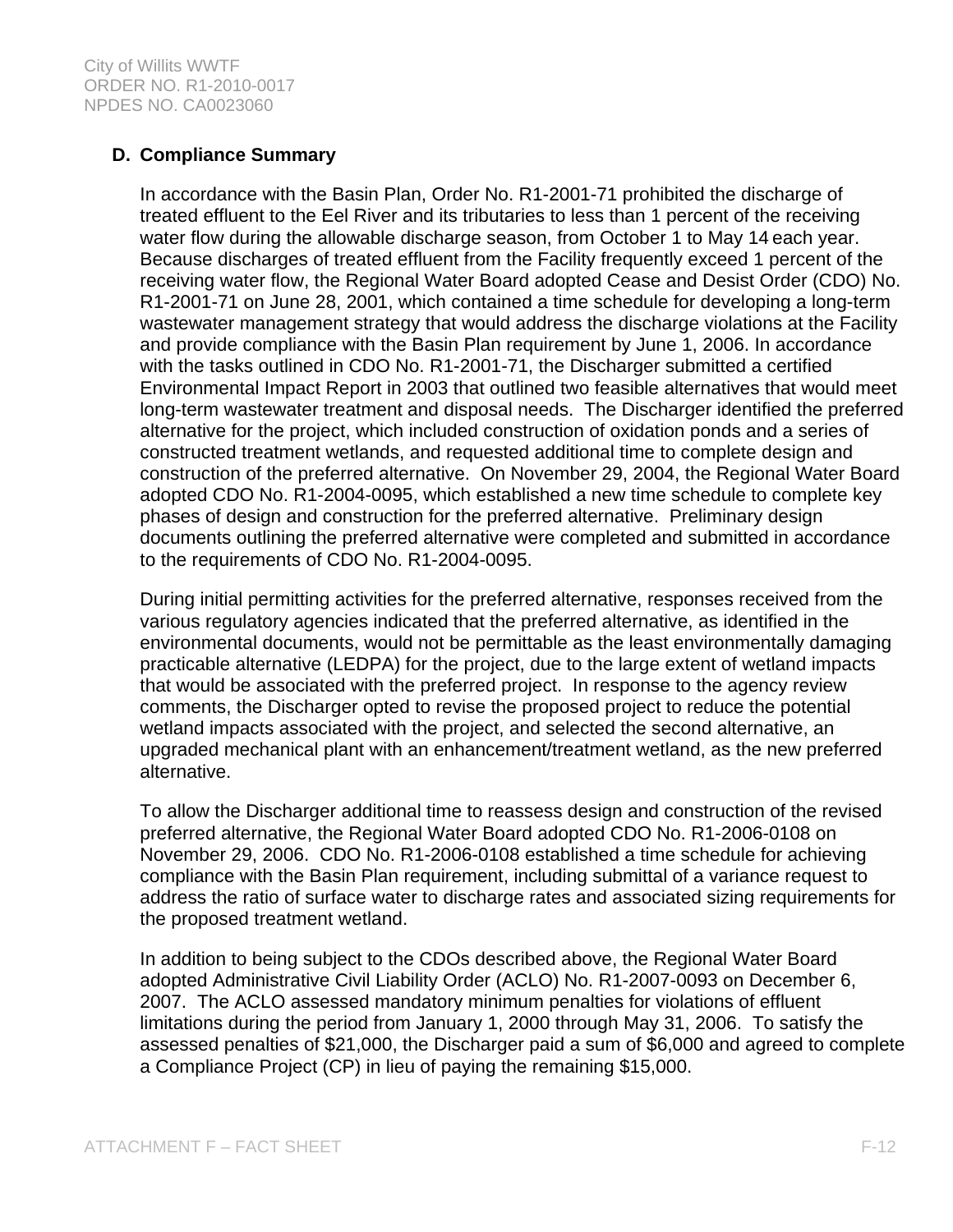# **D. Compliance Summary**

In accordance with the Basin Plan, Order No. R1-2001-71 prohibited the discharge of treated effluent to the Eel River and its tributaries to less than 1 percent of the receiving water flow during the allowable discharge season, from October 1 to May 14 each year. Because discharges of treated effluent from the Facility frequently exceed 1 percent of the receiving water flow, the Regional Water Board adopted Cease and Desist Order (CDO) No. R1-2001-71 on June 28, 2001, which contained a time schedule for developing a long-term wastewater management strategy that would address the discharge violations at the Facility and provide compliance with the Basin Plan requirement by June 1, 2006. In accordance with the tasks outlined in CDO No. R1-2001-71, the Discharger submitted a certified Environmental Impact Report in 2003 that outlined two feasible alternatives that would meet long-term wastewater treatment and disposal needs. The Discharger identified the preferred alternative for the project, which included construction of oxidation ponds and a series of constructed treatment wetlands, and requested additional time to complete design and construction of the preferred alternative. On November 29, 2004, the Regional Water Board adopted CDO No. R1-2004-0095, which established a new time schedule to complete key phases of design and construction for the preferred alternative. Preliminary design documents outlining the preferred alternative were completed and submitted in accordance to the requirements of CDO No. R1-2004-0095.

During initial permitting activities for the preferred alternative, responses received from the various regulatory agencies indicated that the preferred alternative, as identified in the environmental documents, would not be permittable as the least environmentally damaging practicable alternative (LEDPA) for the project, due to the large extent of wetland impacts that would be associated with the preferred project. In response to the agency review comments, the Discharger opted to revise the proposed project to reduce the potential wetland impacts associated with the project, and selected the second alternative, an upgraded mechanical plant with an enhancement/treatment wetland, as the new preferred alternative.

To allow the Discharger additional time to reassess design and construction of the revised preferred alternative, the Regional Water Board adopted CDO No. R1-2006-0108 on November 29, 2006. CDO No. R1-2006-0108 established a time schedule for achieving compliance with the Basin Plan requirement, including submittal of a variance request to address the ratio of surface water to discharge rates and associated sizing requirements for the proposed treatment wetland.

In addition to being subject to the CDOs described above, the Regional Water Board adopted Administrative Civil Liability Order (ACLO) No. R1-2007-0093 on December 6, 2007. The ACLO assessed mandatory minimum penalties for violations of effluent limitations during the period from January 1, 2000 through May 31, 2006. To satisfy the assessed penalties of \$21,000, the Discharger paid a sum of \$6,000 and agreed to complete a Compliance Project (CP) in lieu of paying the remaining \$15,000.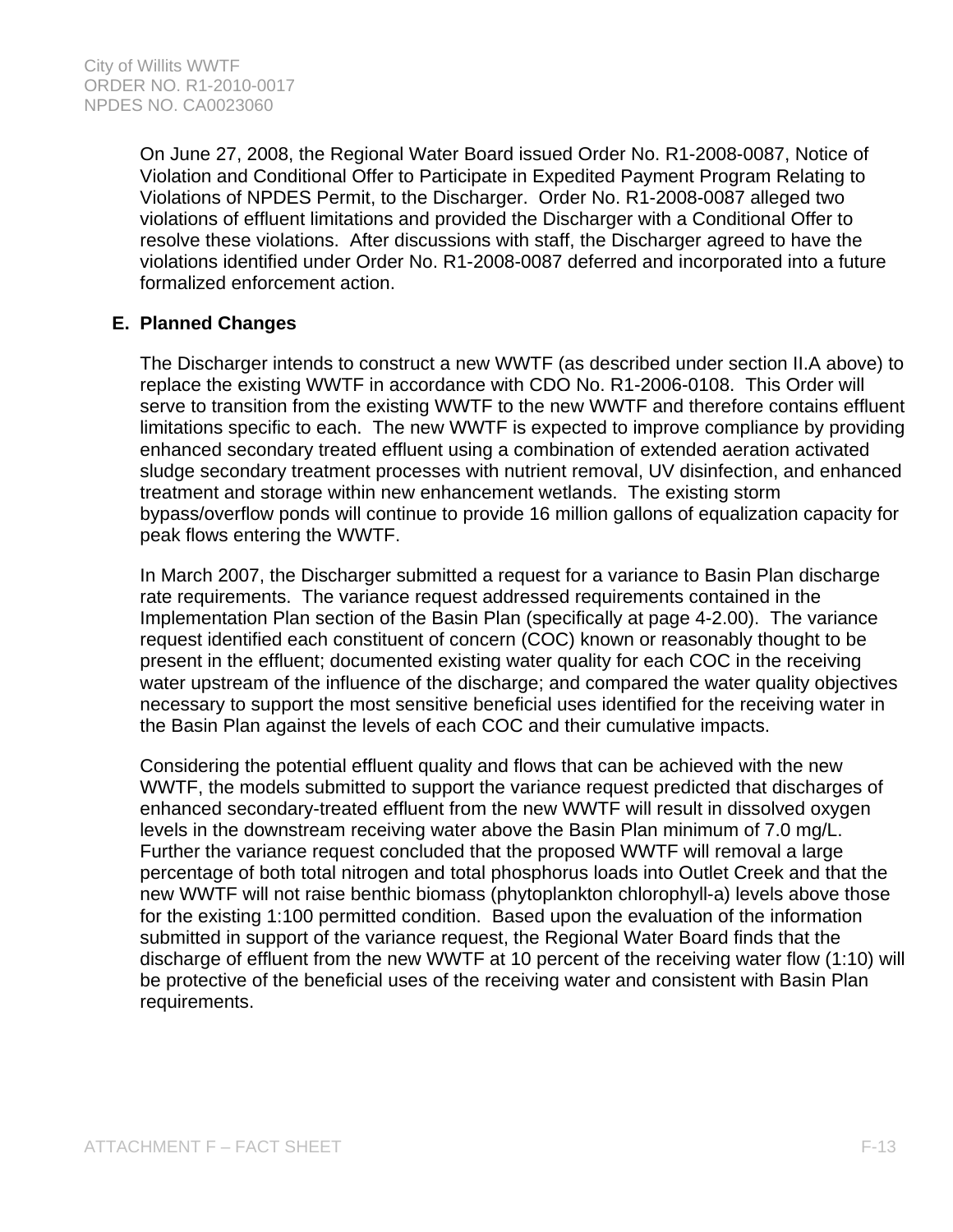On June 27, 2008, the Regional Water Board issued Order No. R1-2008-0087, Notice of Violation and Conditional Offer to Participate in Expedited Payment Program Relating to Violations of NPDES Permit, to the Discharger. Order No. R1-2008-0087 alleged two violations of effluent limitations and provided the Discharger with a Conditional Offer to resolve these violations. After discussions with staff, the Discharger agreed to have the violations identified under Order No. R1-2008-0087 deferred and incorporated into a future formalized enforcement action.

# **E. Planned Changes**

The Discharger intends to construct a new WWTF (as described under section II.A above) to replace the existing WWTF in accordance with CDO No. R1-2006-0108. This Order will serve to transition from the existing WWTF to the new WWTF and therefore contains effluent limitations specific to each. The new WWTF is expected to improve compliance by providing enhanced secondary treated effluent using a combination of extended aeration activated sludge secondary treatment processes with nutrient removal, UV disinfection, and enhanced treatment and storage within new enhancement wetlands. The existing storm bypass/overflow ponds will continue to provide 16 million gallons of equalization capacity for peak flows entering the WWTF.

In March 2007, the Discharger submitted a request for a variance to Basin Plan discharge rate requirements. The variance request addressed requirements contained in the Implementation Plan section of the Basin Plan (specifically at page 4-2.00). The variance request identified each constituent of concern (COC) known or reasonably thought to be present in the effluent; documented existing water quality for each COC in the receiving water upstream of the influence of the discharge; and compared the water quality objectives necessary to support the most sensitive beneficial uses identified for the receiving water in the Basin Plan against the levels of each COC and their cumulative impacts.

Considering the potential effluent quality and flows that can be achieved with the new WWTF, the models submitted to support the variance request predicted that discharges of enhanced secondary-treated effluent from the new WWTF will result in dissolved oxygen levels in the downstream receiving water above the Basin Plan minimum of 7.0 mg/L. Further the variance request concluded that the proposed WWTF will removal a large percentage of both total nitrogen and total phosphorus loads into Outlet Creek and that the new WWTF will not raise benthic biomass (phytoplankton chlorophyll-a) levels above those for the existing 1:100 permitted condition. Based upon the evaluation of the information submitted in support of the variance request, the Regional Water Board finds that the discharge of effluent from the new WWTF at 10 percent of the receiving water flow (1:10) will be protective of the beneficial uses of the receiving water and consistent with Basin Plan requirements.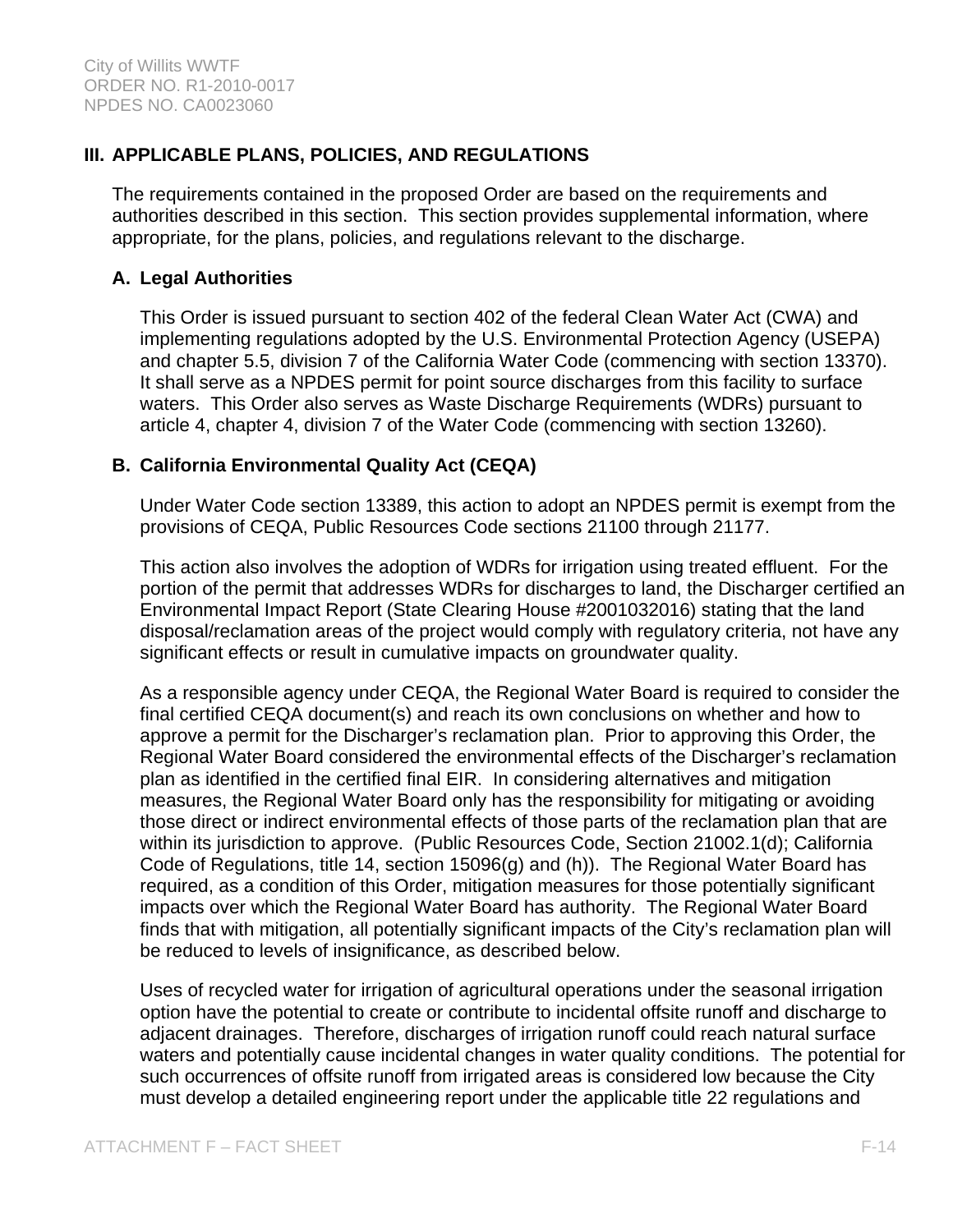# **III. APPLICABLE PLANS, POLICIES, AND REGULATIONS**

The requirements contained in the proposed Order are based on the requirements and authorities described in this section. This section provides supplemental information, where appropriate, for the plans, policies, and regulations relevant to the discharge.

### **A. Legal Authorities**

This Order is issued pursuant to section 402 of the federal Clean Water Act (CWA) and implementing regulations adopted by the U.S. Environmental Protection Agency (USEPA) and chapter 5.5, division 7 of the California Water Code (commencing with section 13370). It shall serve as a NPDES permit for point source discharges from this facility to surface waters. This Order also serves as Waste Discharge Requirements (WDRs) pursuant to article 4, chapter 4, division 7 of the Water Code (commencing with section 13260).

### **B. California Environmental Quality Act (CEQA)**

Under Water Code section 13389, this action to adopt an NPDES permit is exempt from the provisions of CEQA, Public Resources Code sections 21100 through 21177.

This action also involves the adoption of WDRs for irrigation using treated effluent. For the portion of the permit that addresses WDRs for discharges to land, the Discharger certified an Environmental Impact Report (State Clearing House #2001032016) stating that the land disposal/reclamation areas of the project would comply with regulatory criteria, not have any significant effects or result in cumulative impacts on groundwater quality.

As a responsible agency under CEQA, the Regional Water Board is required to consider the final certified CEQA document(s) and reach its own conclusions on whether and how to approve a permit for the Discharger's reclamation plan. Prior to approving this Order, the Regional Water Board considered the environmental effects of the Discharger's reclamation plan as identified in the certified final EIR. In considering alternatives and mitigation measures, the Regional Water Board only has the responsibility for mitigating or avoiding those direct or indirect environmental effects of those parts of the reclamation plan that are within its jurisdiction to approve. (Public Resources Code, Section 21002.1(d); California Code of Regulations, title 14, section 15096(g) and (h)). The Regional Water Board has required, as a condition of this Order, mitigation measures for those potentially significant impacts over which the Regional Water Board has authority. The Regional Water Board finds that with mitigation, all potentially significant impacts of the City's reclamation plan will be reduced to levels of insignificance, as described below.

Uses of recycled water for irrigation of agricultural operations under the seasonal irrigation option have the potential to create or contribute to incidental offsite runoff and discharge to adjacent drainages. Therefore, discharges of irrigation runoff could reach natural surface waters and potentially cause incidental changes in water quality conditions. The potential for such occurrences of offsite runoff from irrigated areas is considered low because the City must develop a detailed engineering report under the applicable title 22 regulations and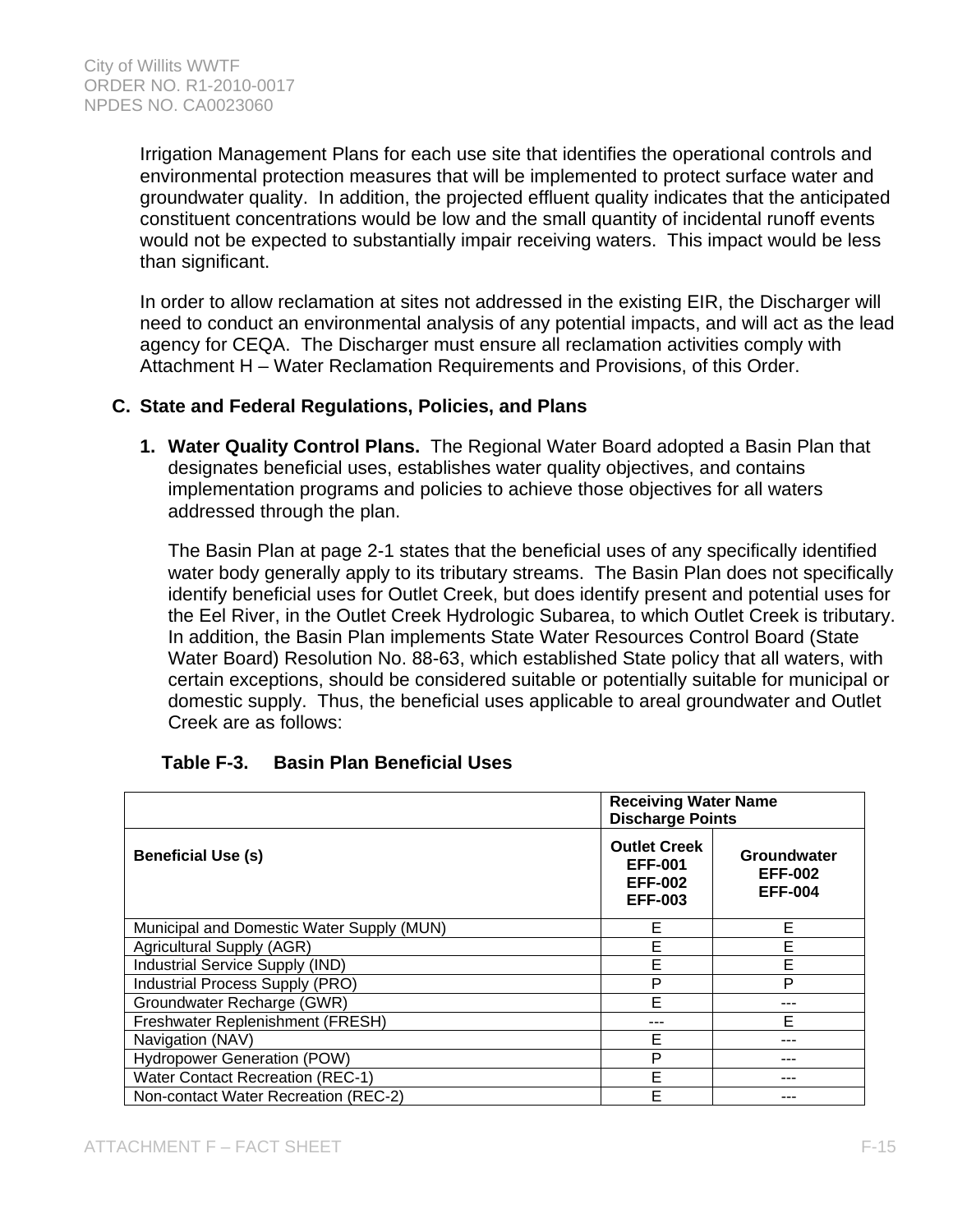Irrigation Management Plans for each use site that identifies the operational controls and environmental protection measures that will be implemented to protect surface water and groundwater quality. In addition, the projected effluent quality indicates that the anticipated constituent concentrations would be low and the small quantity of incidental runoff events would not be expected to substantially impair receiving waters. This impact would be less than significant.

In order to allow reclamation at sites not addressed in the existing EIR, the Discharger will need to conduct an environmental analysis of any potential impacts, and will act as the lead agency for CEQA. The Discharger must ensure all reclamation activities comply with Attachment H – Water Reclamation Requirements and Provisions, of this Order.

### **C. State and Federal Regulations, Policies, and Plans**

**1. Water Quality Control Plans.** The Regional Water Board adopted a Basin Plan that designates beneficial uses, establishes water quality objectives, and contains implementation programs and policies to achieve those objectives for all waters addressed through the plan.

The Basin Plan at page 2-1 states that the beneficial uses of any specifically identified water body generally apply to its tributary streams. The Basin Plan does not specifically identify beneficial uses for Outlet Creek, but does identify present and potential uses for the Eel River, in the Outlet Creek Hydrologic Subarea, to which Outlet Creek is tributary. In addition, the Basin Plan implements State Water Resources Control Board (State Water Board) Resolution No. 88-63, which established State policy that all waters, with certain exceptions, should be considered suitable or potentially suitable for municipal or domestic supply. Thus, the beneficial uses applicable to areal groundwater and Outlet Creek are as follows:

|                                           | <b>Receiving Water Name</b><br><b>Discharge Points</b>                    |                                                 |
|-------------------------------------------|---------------------------------------------------------------------------|-------------------------------------------------|
| <b>Beneficial Use (s)</b>                 | <b>Outlet Creek</b><br><b>EFF-001</b><br><b>EFF-002</b><br><b>EFF-003</b> | Groundwater<br><b>EFF-002</b><br><b>EFF-004</b> |
| Municipal and Domestic Water Supply (MUN) | Е                                                                         | Е                                               |
| Agricultural Supply (AGR)                 | Е                                                                         | E                                               |
| Industrial Service Supply (IND)           | E                                                                         | E                                               |
| Industrial Process Supply (PRO)           | P                                                                         | P                                               |
| Groundwater Recharge (GWR)                | F                                                                         |                                                 |
| Freshwater Replenishment (FRESH)          |                                                                           | F                                               |
| Navigation (NAV)                          | F                                                                         |                                                 |
| <b>Hydropower Generation (POW)</b>        | P                                                                         | ---                                             |
| <b>Water Contact Recreation (REC-1)</b>   | E                                                                         |                                                 |
| Non-contact Water Recreation (REC-2)      | F                                                                         |                                                 |

| <b>Basin Plan Beneficial Uses</b><br>Table F-3. |  |
|-------------------------------------------------|--|
|-------------------------------------------------|--|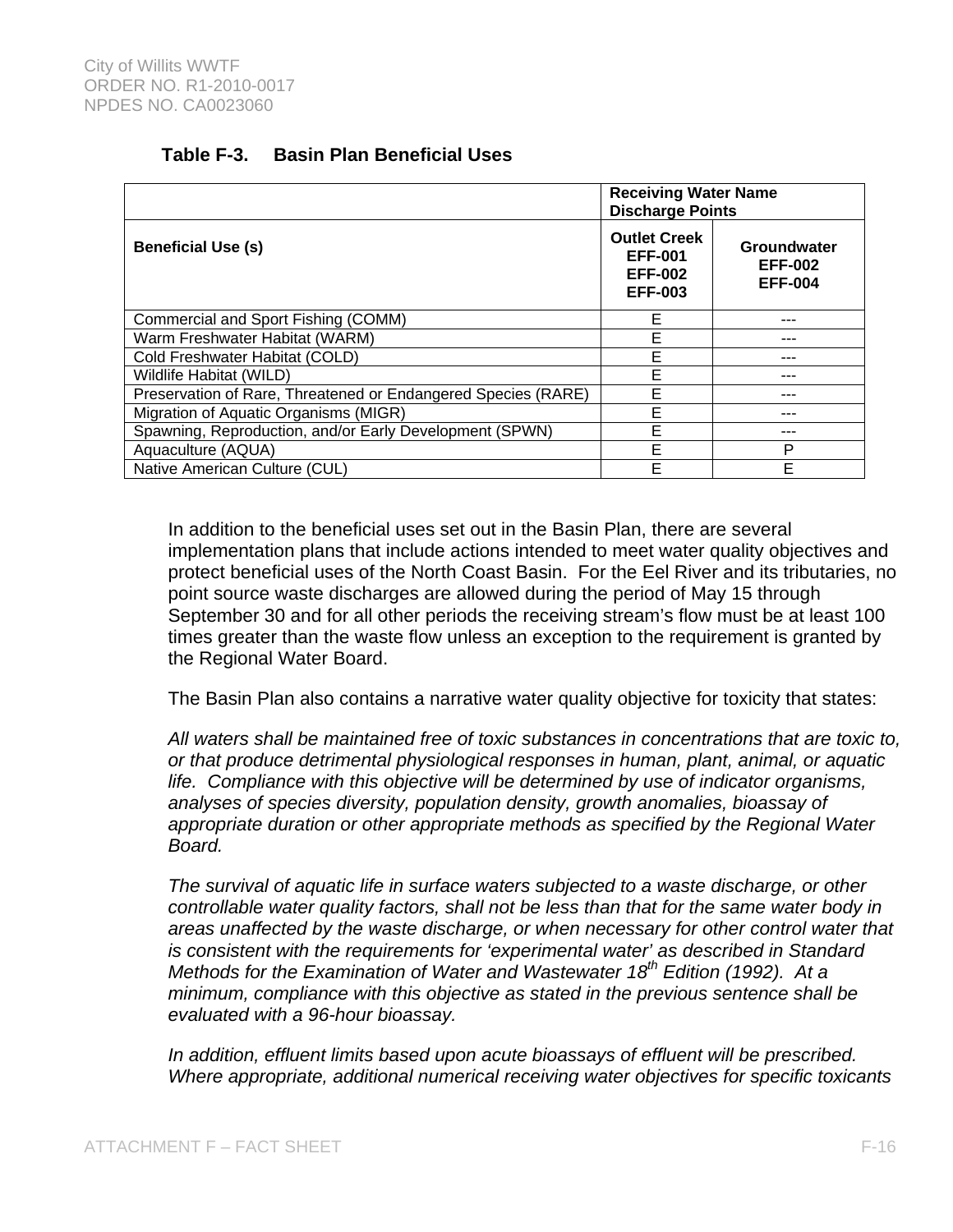| Table F-3. |  | <b>Basin Plan Beneficial Uses</b> |
|------------|--|-----------------------------------|
|------------|--|-----------------------------------|

|                                                               | <b>Receiving Water Name</b><br><b>Discharge Points</b>                    |                                                 |
|---------------------------------------------------------------|---------------------------------------------------------------------------|-------------------------------------------------|
| <b>Beneficial Use (s)</b>                                     | <b>Outlet Creek</b><br><b>EFF-001</b><br><b>EFF-002</b><br><b>EFF-003</b> | Groundwater<br><b>EFF-002</b><br><b>EFF-004</b> |
| Commercial and Sport Fishing (COMM)                           | Е                                                                         |                                                 |
| Warm Freshwater Habitat (WARM)                                | E                                                                         |                                                 |
| Cold Freshwater Habitat (COLD)                                | Е                                                                         | --                                              |
| <b>Wildlife Habitat (WILD)</b>                                | E                                                                         |                                                 |
| Preservation of Rare, Threatened or Endangered Species (RARE) | E                                                                         |                                                 |
| Migration of Aquatic Organisms (MIGR)                         | E                                                                         | ---                                             |
| Spawning, Reproduction, and/or Early Development (SPWN)       | E                                                                         |                                                 |
| Aquaculture (AQUA)                                            | E                                                                         | P                                               |
| Native American Culture (CUL)                                 | E                                                                         | F                                               |

In addition to the beneficial uses set out in the Basin Plan, there are several implementation plans that include actions intended to meet water quality objectives and protect beneficial uses of the North Coast Basin. For the Eel River and its tributaries, no point source waste discharges are allowed during the period of May 15 through September 30 and for all other periods the receiving stream's flow must be at least 100 times greater than the waste flow unless an exception to the requirement is granted by the Regional Water Board.

The Basin Plan also contains a narrative water quality objective for toxicity that states:

*All waters shall be maintained free of toxic substances in concentrations that are toxic to, or that produce detrimental physiological responses in human, plant, animal, or aquatic life. Compliance with this objective will be determined by use of indicator organisms, analyses of species diversity, population density, growth anomalies, bioassay of appropriate duration or other appropriate methods as specified by the Regional Water Board.* 

*The survival of aquatic life in surface waters subjected to a waste discharge, or other controllable water quality factors, shall not be less than that for the same water body in areas unaffected by the waste discharge, or when necessary for other control water that is consistent with the requirements for 'experimental water' as described in Standard Methods for the Examination of Water and Wastewater 18<sup>th</sup> Edition (1992). At a minimum, compliance with this objective as stated in the previous sentence shall be evaluated with a 96-hour bioassay.* 

*In addition, effluent limits based upon acute bioassays of effluent will be prescribed. Where appropriate, additional numerical receiving water objectives for specific toxicants*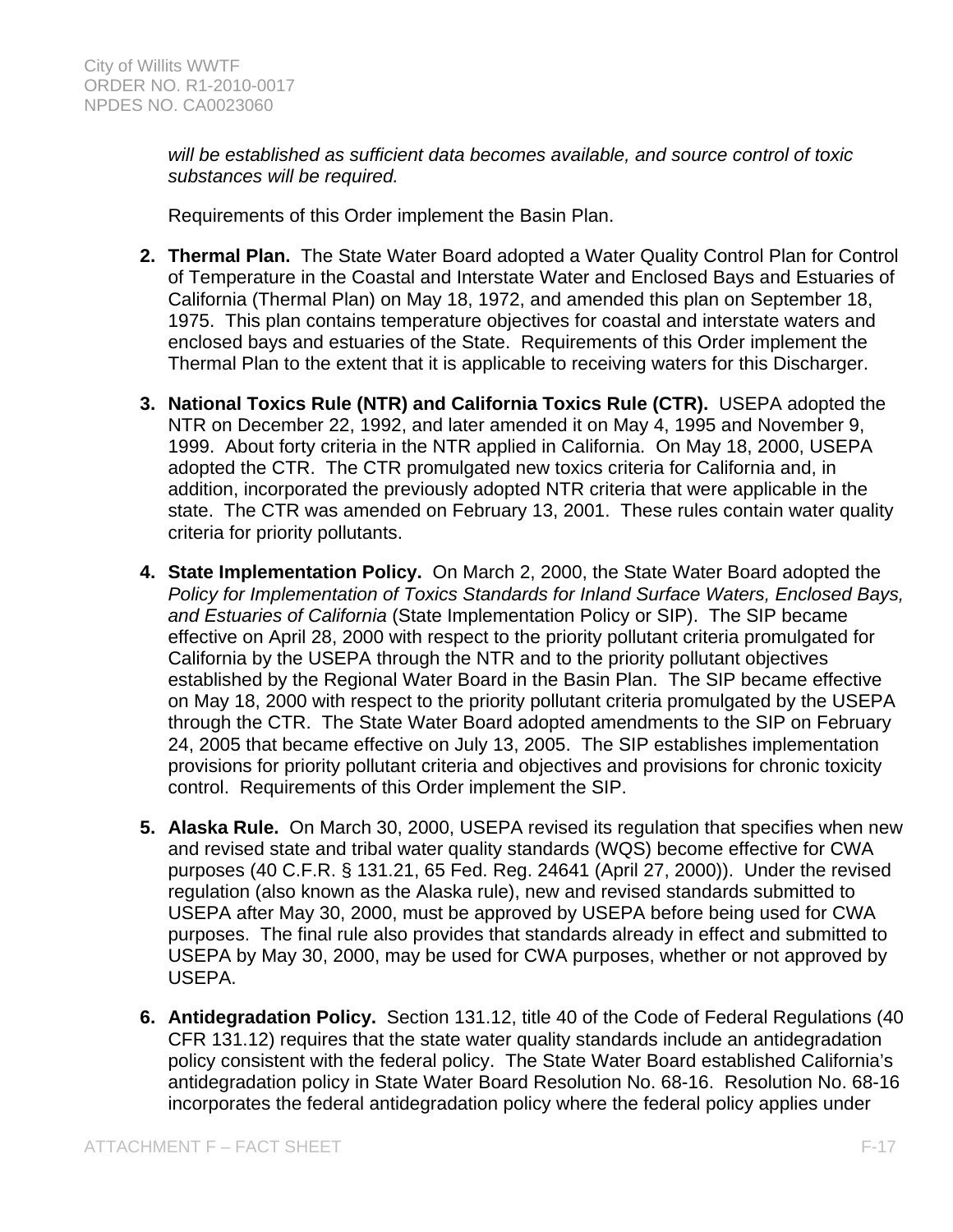*will be established as sufficient data becomes available, and source control of toxic substances will be required.* 

Requirements of this Order implement the Basin Plan.

- **2. Thermal Plan.** The State Water Board adopted a Water Quality Control Plan for Control of Temperature in the Coastal and Interstate Water and Enclosed Bays and Estuaries of California (Thermal Plan) on May 18, 1972, and amended this plan on September 18, 1975. This plan contains temperature objectives for coastal and interstate waters and enclosed bays and estuaries of the State. Requirements of this Order implement the Thermal Plan to the extent that it is applicable to receiving waters for this Discharger.
- **3. National Toxics Rule (NTR) and California Toxics Rule (CTR).** USEPA adopted the NTR on December 22, 1992, and later amended it on May 4, 1995 and November 9, 1999. About forty criteria in the NTR applied in California. On May 18, 2000, USEPA adopted the CTR. The CTR promulgated new toxics criteria for California and, in addition, incorporated the previously adopted NTR criteria that were applicable in the state. The CTR was amended on February 13, 2001. These rules contain water quality criteria for priority pollutants.
- **4. State Implementation Policy.** On March 2, 2000, the State Water Board adopted the *Policy for Implementation of Toxics Standards for Inland Surface Waters, Enclosed Bays, and Estuaries of California* (State Implementation Policy or SIP). The SIP became effective on April 28, 2000 with respect to the priority pollutant criteria promulgated for California by the USEPA through the NTR and to the priority pollutant objectives established by the Regional Water Board in the Basin Plan. The SIP became effective on May 18, 2000 with respect to the priority pollutant criteria promulgated by the USEPA through the CTR. The State Water Board adopted amendments to the SIP on February 24, 2005 that became effective on July 13, 2005. The SIP establishes implementation provisions for priority pollutant criteria and objectives and provisions for chronic toxicity control. Requirements of this Order implement the SIP.
- **5. Alaska Rule.** On March 30, 2000, USEPA revised its regulation that specifies when new and revised state and tribal water quality standards (WQS) become effective for CWA purposes (40 C.F.R. § 131.21, 65 Fed. Reg. 24641 (April 27, 2000)). Under the revised regulation (also known as the Alaska rule), new and revised standards submitted to USEPA after May 30, 2000, must be approved by USEPA before being used for CWA purposes. The final rule also provides that standards already in effect and submitted to USEPA by May 30, 2000, may be used for CWA purposes, whether or not approved by USEPA.
- **6. Antidegradation Policy.** Section 131.12, title 40 of the Code of Federal Regulations (40 CFR 131.12) requires that the state water quality standards include an antidegradation policy consistent with the federal policy. The State Water Board established California's antidegradation policy in State Water Board Resolution No. 68-16. Resolution No. 68-16 incorporates the federal antidegradation policy where the federal policy applies under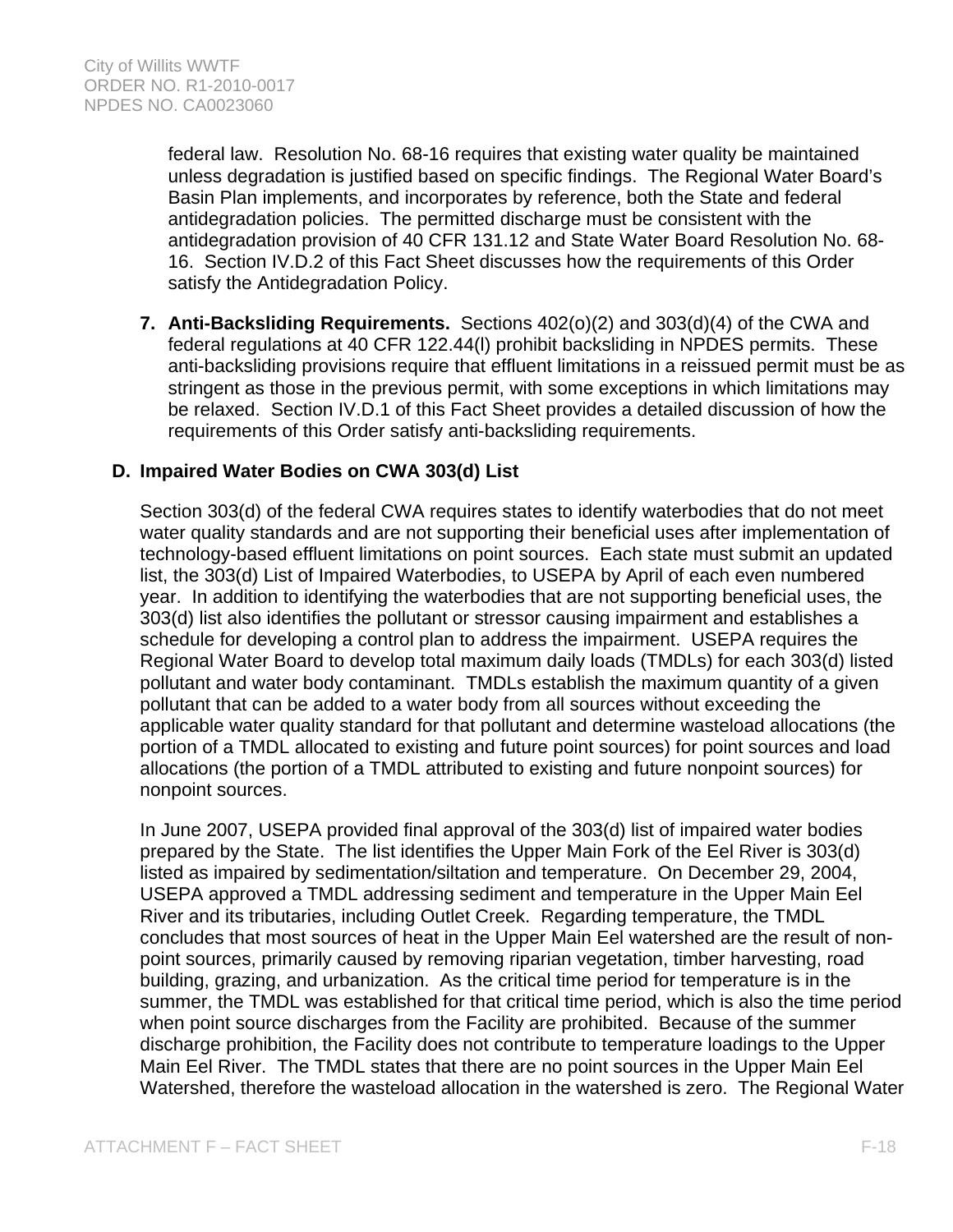federal law. Resolution No. 68-16 requires that existing water quality be maintained unless degradation is justified based on specific findings. The Regional Water Board's Basin Plan implements, and incorporates by reference, both the State and federal antidegradation policies. The permitted discharge must be consistent with the antidegradation provision of 40 CFR 131.12 and State Water Board Resolution No. 68- 16. Section IV.D.2 of this Fact Sheet discusses how the requirements of this Order satisfy the Antidegradation Policy.

**7. Anti-Backsliding Requirements.** Sections 402(o)(2) and 303(d)(4) of the CWA and federal regulations at 40 CFR 122.44(l) prohibit backsliding in NPDES permits. These anti-backsliding provisions require that effluent limitations in a reissued permit must be as stringent as those in the previous permit, with some exceptions in which limitations may be relaxed. Section IV.D.1 of this Fact Sheet provides a detailed discussion of how the requirements of this Order satisfy anti-backsliding requirements.

# **D. Impaired Water Bodies on CWA 303(d) List**

Section 303(d) of the federal CWA requires states to identify waterbodies that do not meet water quality standards and are not supporting their beneficial uses after implementation of technology-based effluent limitations on point sources. Each state must submit an updated list, the 303(d) List of Impaired Waterbodies, to USEPA by April of each even numbered year. In addition to identifying the waterbodies that are not supporting beneficial uses, the 303(d) list also identifies the pollutant or stressor causing impairment and establishes a schedule for developing a control plan to address the impairment. USEPA requires the Regional Water Board to develop total maximum daily loads (TMDLs) for each 303(d) listed pollutant and water body contaminant. TMDLs establish the maximum quantity of a given pollutant that can be added to a water body from all sources without exceeding the applicable water quality standard for that pollutant and determine wasteload allocations (the portion of a TMDL allocated to existing and future point sources) for point sources and load allocations (the portion of a TMDL attributed to existing and future nonpoint sources) for nonpoint sources.

In June 2007, USEPA provided final approval of the 303(d) list of impaired water bodies prepared by the State. The list identifies the Upper Main Fork of the Eel River is 303(d) listed as impaired by sedimentation/siltation and temperature. On December 29, 2004, USEPA approved a TMDL addressing sediment and temperature in the Upper Main Eel River and its tributaries, including Outlet Creek. Regarding temperature, the TMDL concludes that most sources of heat in the Upper Main Eel watershed are the result of nonpoint sources, primarily caused by removing riparian vegetation, timber harvesting, road building, grazing, and urbanization. As the critical time period for temperature is in the summer, the TMDL was established for that critical time period, which is also the time period when point source discharges from the Facility are prohibited. Because of the summer discharge prohibition, the Facility does not contribute to temperature loadings to the Upper Main Eel River. The TMDL states that there are no point sources in the Upper Main Eel Watershed, therefore the wasteload allocation in the watershed is zero. The Regional Water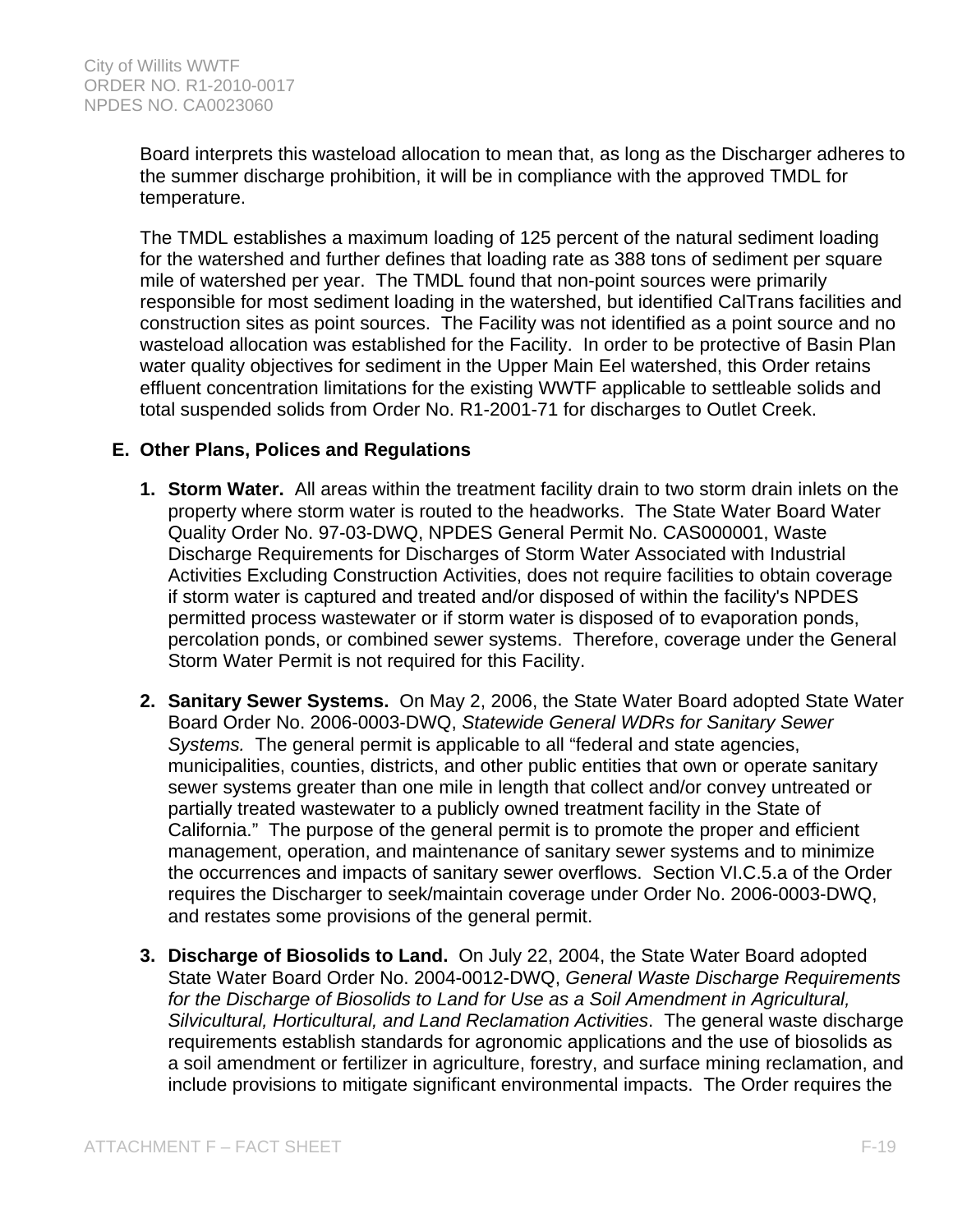Board interprets this wasteload allocation to mean that, as long as the Discharger adheres to the summer discharge prohibition, it will be in compliance with the approved TMDL for temperature.

The TMDL establishes a maximum loading of 125 percent of the natural sediment loading for the watershed and further defines that loading rate as 388 tons of sediment per square mile of watershed per year. The TMDL found that non-point sources were primarily responsible for most sediment loading in the watershed, but identified CalTrans facilities and construction sites as point sources. The Facility was not identified as a point source and no wasteload allocation was established for the Facility. In order to be protective of Basin Plan water quality objectives for sediment in the Upper Main Eel watershed, this Order retains effluent concentration limitations for the existing WWTF applicable to settleable solids and total suspended solids from Order No. R1-2001-71 for discharges to Outlet Creek.

# **E. Other Plans, Polices and Regulations**

- **1. Storm Water.** All areas within the treatment facility drain to two storm drain inlets on the property where storm water is routed to the headworks. The State Water Board Water Quality Order No. 97-03-DWQ, NPDES General Permit No. CAS000001, Waste Discharge Requirements for Discharges of Storm Water Associated with Industrial Activities Excluding Construction Activities, does not require facilities to obtain coverage if storm water is captured and treated and/or disposed of within the facility's NPDES permitted process wastewater or if storm water is disposed of to evaporation ponds, percolation ponds, or combined sewer systems. Therefore, coverage under the General Storm Water Permit is not required for this Facility.
- **2. Sanitary Sewer Systems.** On May 2, 2006, the State Water Board adopted State Water Board Order No. 2006-0003-DWQ, *Statewide General WDRs for Sanitary Sewer Systems.* The general permit is applicable to all "federal and state agencies, municipalities, counties, districts, and other public entities that own or operate sanitary sewer systems greater than one mile in length that collect and/or convey untreated or partially treated wastewater to a publicly owned treatment facility in the State of California." The purpose of the general permit is to promote the proper and efficient management, operation, and maintenance of sanitary sewer systems and to minimize the occurrences and impacts of sanitary sewer overflows. Section VI.C.5.a of the Order requires the Discharger to seek/maintain coverage under Order No. 2006-0003-DWQ, and restates some provisions of the general permit.
- **3. Discharge of Biosolids to Land.** On July 22, 2004, the State Water Board adopted State Water Board Order No. 2004-0012-DWQ, *General Waste Discharge Requirements for the Discharge of Biosolids to Land for Use as a Soil Amendment in Agricultural, Silvicultural, Horticultural, and Land Reclamation Activities*. The general waste discharge requirements establish standards for agronomic applications and the use of biosolids as a soil amendment or fertilizer in agriculture, forestry, and surface mining reclamation, and include provisions to mitigate significant environmental impacts. The Order requires the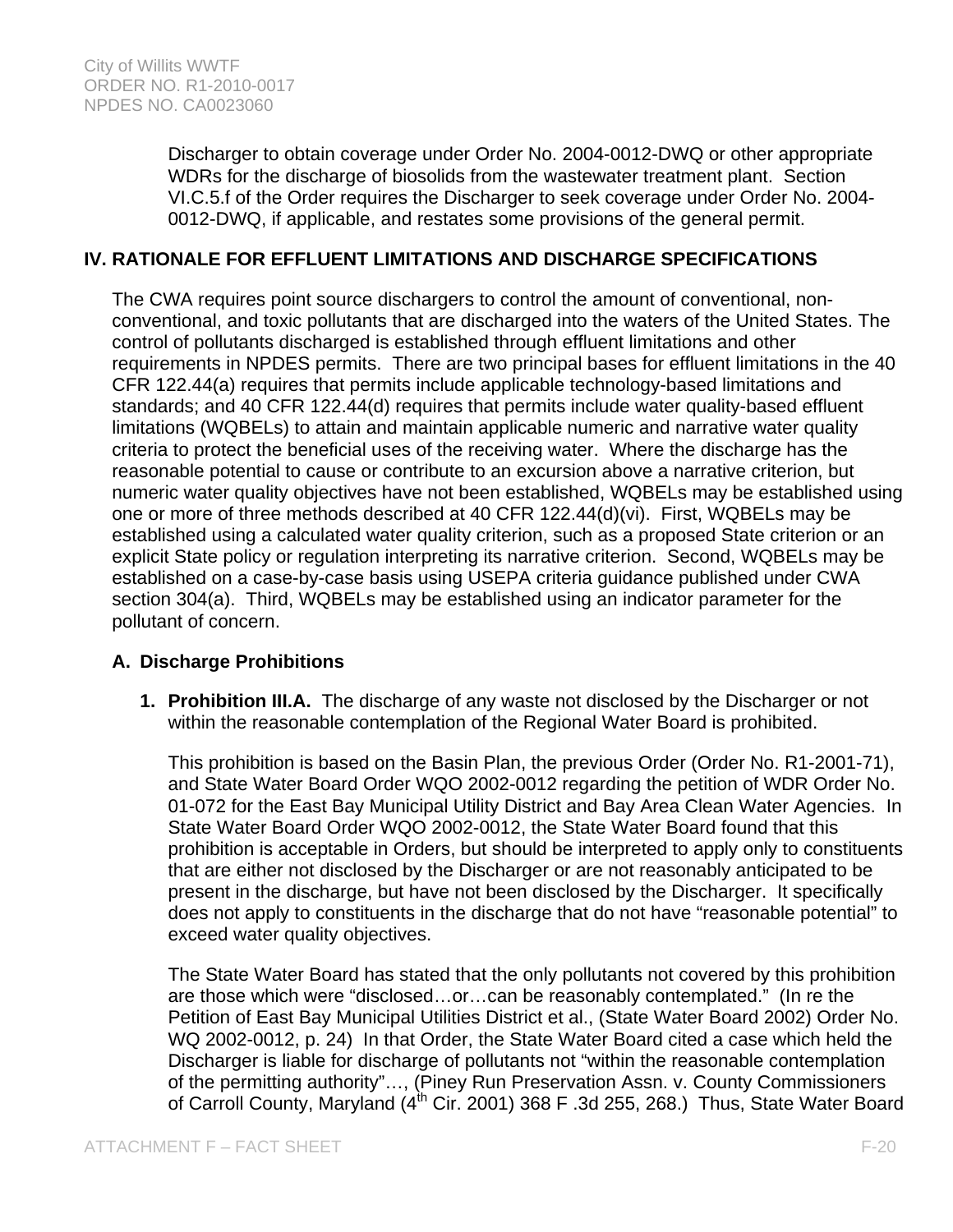Discharger to obtain coverage under Order No. 2004-0012-DWQ or other appropriate WDRs for the discharge of biosolids from the wastewater treatment plant. Section VI.C.5.f of the Order requires the Discharger to seek coverage under Order No. 2004- 0012-DWQ, if applicable, and restates some provisions of the general permit.

# **IV. RATIONALE FOR EFFLUENT LIMITATIONS AND DISCHARGE SPECIFICATIONS**

The CWA requires point source dischargers to control the amount of conventional, nonconventional, and toxic pollutants that are discharged into the waters of the United States. The control of pollutants discharged is established through effluent limitations and other requirements in NPDES permits. There are two principal bases for effluent limitations in the 40 CFR 122.44(a) requires that permits include applicable technology-based limitations and standards; and 40 CFR 122.44(d) requires that permits include water quality-based effluent limitations (WQBELs) to attain and maintain applicable numeric and narrative water quality criteria to protect the beneficial uses of the receiving water. Where the discharge has the reasonable potential to cause or contribute to an excursion above a narrative criterion, but numeric water quality objectives have not been established, WQBELs may be established using one or more of three methods described at 40 CFR 122.44(d)(vi). First, WQBELs may be established using a calculated water quality criterion, such as a proposed State criterion or an explicit State policy or regulation interpreting its narrative criterion. Second, WQBELs may be established on a case-by-case basis using USEPA criteria guidance published under CWA section 304(a). Third, WQBELs may be established using an indicator parameter for the pollutant of concern.

### **A. Discharge Prohibitions**

**1. Prohibition III.A.** The discharge of any waste not disclosed by the Discharger or not within the reasonable contemplation of the Regional Water Board is prohibited.

This prohibition is based on the Basin Plan, the previous Order (Order No. R1-2001-71), and State Water Board Order WQO 2002-0012 regarding the petition of WDR Order No. 01-072 for the East Bay Municipal Utility District and Bay Area Clean Water Agencies. In State Water Board Order WQO 2002-0012, the State Water Board found that this prohibition is acceptable in Orders, but should be interpreted to apply only to constituents that are either not disclosed by the Discharger or are not reasonably anticipated to be present in the discharge, but have not been disclosed by the Discharger. It specifically does not apply to constituents in the discharge that do not have "reasonable potential" to exceed water quality objectives.

The State Water Board has stated that the only pollutants not covered by this prohibition are those which were "disclosed…or…can be reasonably contemplated." (In re the Petition of East Bay Municipal Utilities District et al., (State Water Board 2002) Order No. WQ 2002-0012, p. 24) In that Order, the State Water Board cited a case which held the Discharger is liable for discharge of pollutants not "within the reasonable contemplation of the permitting authority"…, (Piney Run Preservation Assn. v. County Commissioners of Carroll County, Maryland  $(4^{th}$  Cir. 2001) 368 F .3d 255, 268.) Thus, State Water Board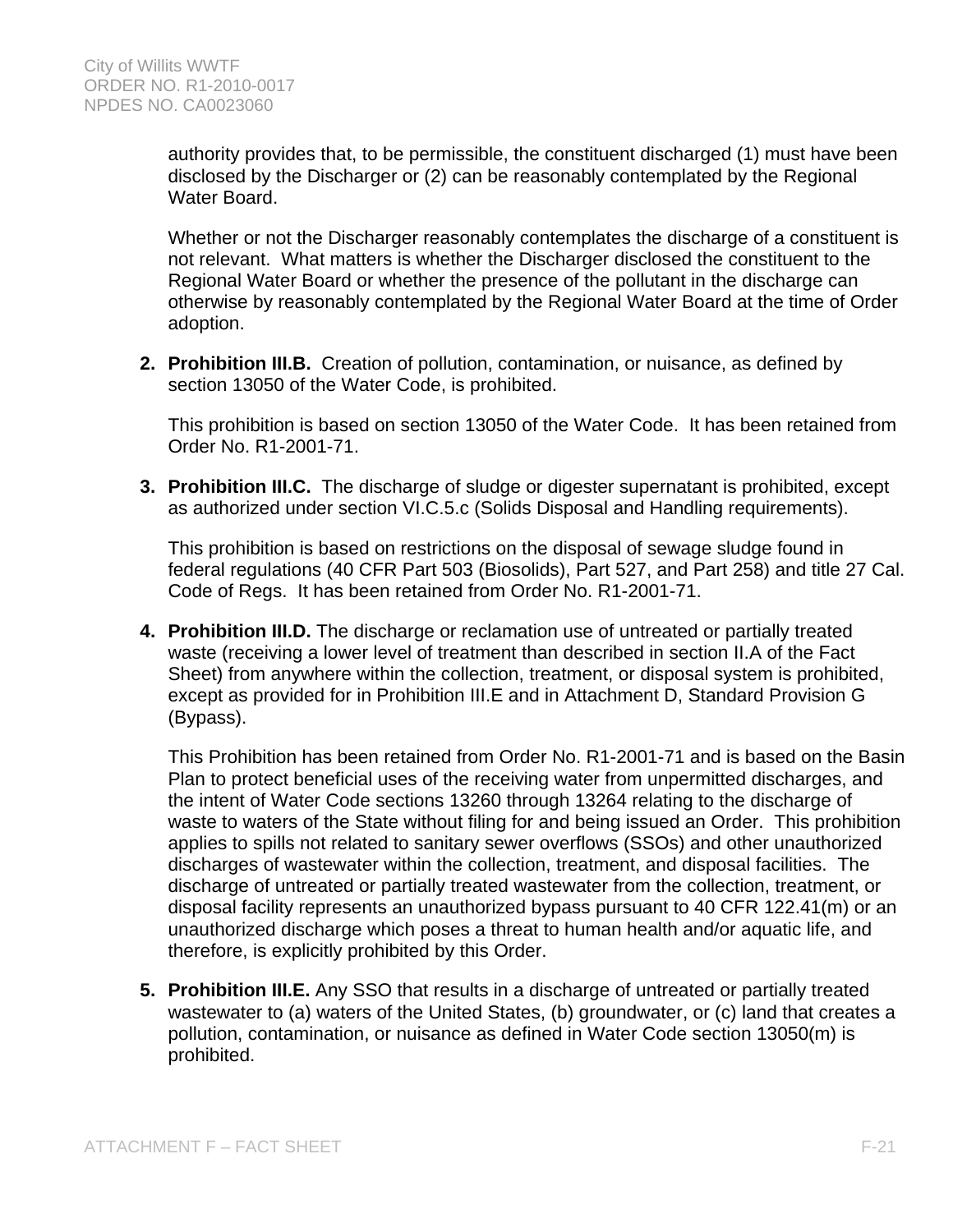authority provides that, to be permissible, the constituent discharged (1) must have been disclosed by the Discharger or (2) can be reasonably contemplated by the Regional Water Board.

Whether or not the Discharger reasonably contemplates the discharge of a constituent is not relevant. What matters is whether the Discharger disclosed the constituent to the Regional Water Board or whether the presence of the pollutant in the discharge can otherwise by reasonably contemplated by the Regional Water Board at the time of Order adoption.

**2. Prohibition III.B.** Creation of pollution, contamination, or nuisance, as defined by section 13050 of the Water Code, is prohibited.

This prohibition is based on section 13050 of the Water Code. It has been retained from Order No. R1-2001-71.

**3. Prohibition III.C.** The discharge of sludge or digester supernatant is prohibited, except as authorized under section VI.C.5.c (Solids Disposal and Handling requirements).

This prohibition is based on restrictions on the disposal of sewage sludge found in federal regulations (40 CFR Part 503 (Biosolids), Part 527, and Part 258) and title 27 Cal. Code of Regs. It has been retained from Order No. R1-2001-71.

**4. Prohibition III.D.** The discharge or reclamation use of untreated or partially treated waste (receiving a lower level of treatment than described in section II.A of the Fact Sheet) from anywhere within the collection, treatment, or disposal system is prohibited, except as provided for in Prohibition III.E and in Attachment D, Standard Provision G (Bypass).

This Prohibition has been retained from Order No. R1-2001-71 and is based on the Basin Plan to protect beneficial uses of the receiving water from unpermitted discharges, and the intent of Water Code sections 13260 through 13264 relating to the discharge of waste to waters of the State without filing for and being issued an Order. This prohibition applies to spills not related to sanitary sewer overflows (SSOs) and other unauthorized discharges of wastewater within the collection, treatment, and disposal facilities. The discharge of untreated or partially treated wastewater from the collection, treatment, or disposal facility represents an unauthorized bypass pursuant to 40 CFR 122.41(m) or an unauthorized discharge which poses a threat to human health and/or aquatic life, and therefore, is explicitly prohibited by this Order.

**5. Prohibition III.E.** Any SSO that results in a discharge of untreated or partially treated wastewater to (a) waters of the United States, (b) groundwater, or (c) land that creates a pollution, contamination, or nuisance as defined in Water Code section 13050(m) is prohibited.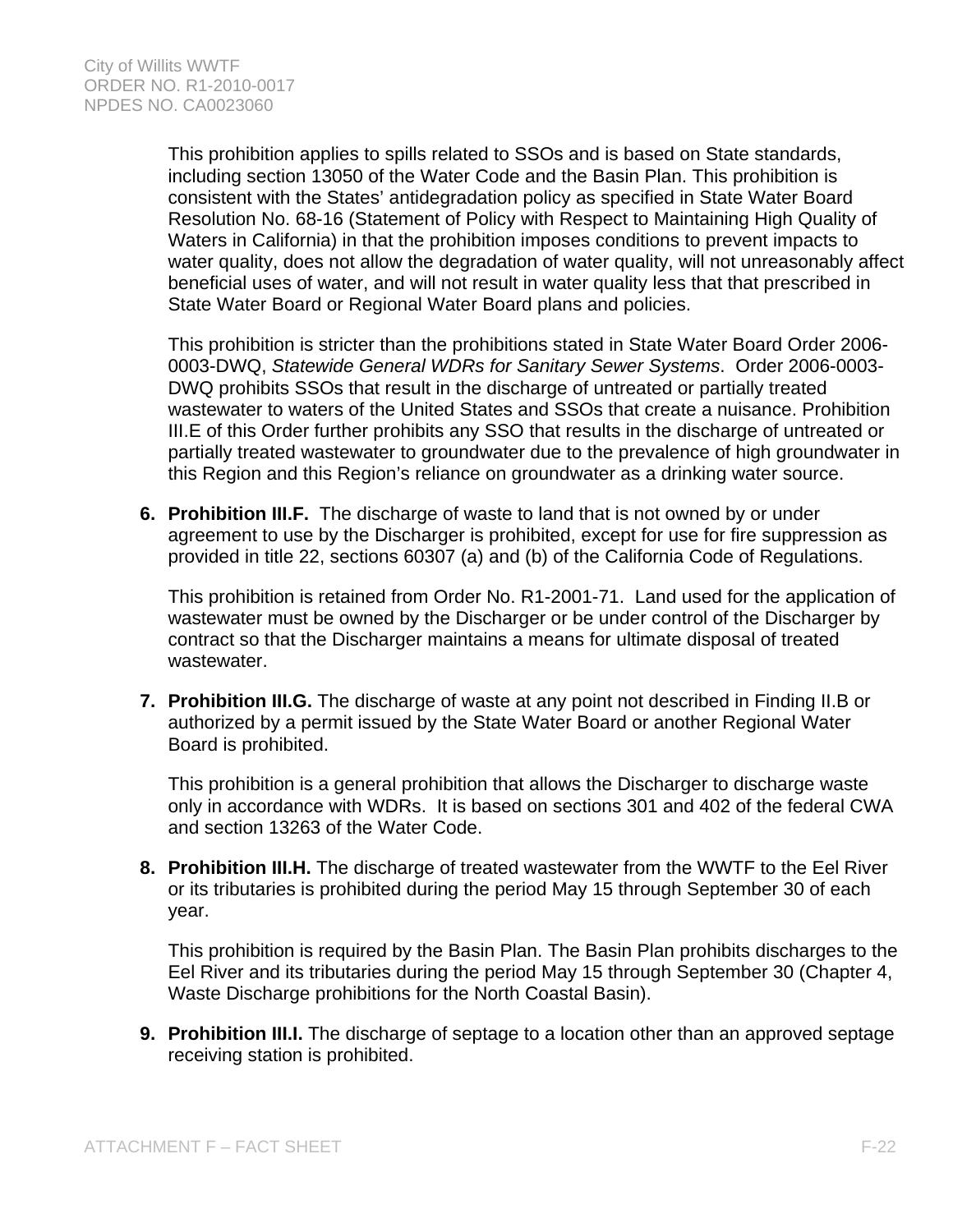This prohibition applies to spills related to SSOs and is based on State standards, including section 13050 of the Water Code and the Basin Plan. This prohibition is consistent with the States' antidegradation policy as specified in State Water Board Resolution No. 68-16 (Statement of Policy with Respect to Maintaining High Quality of Waters in California) in that the prohibition imposes conditions to prevent impacts to water quality, does not allow the degradation of water quality, will not unreasonably affect beneficial uses of water, and will not result in water quality less that that prescribed in State Water Board or Regional Water Board plans and policies.

This prohibition is stricter than the prohibitions stated in State Water Board Order 2006- 0003-DWQ, *Statewide General WDRs for Sanitary Sewer Systems*. Order 2006-0003- DWQ prohibits SSOs that result in the discharge of untreated or partially treated wastewater to waters of the United States and SSOs that create a nuisance. Prohibition III.E of this Order further prohibits any SSO that results in the discharge of untreated or partially treated wastewater to groundwater due to the prevalence of high groundwater in this Region and this Region's reliance on groundwater as a drinking water source.

**6. Prohibition III.F.** The discharge of waste to land that is not owned by or under agreement to use by the Discharger is prohibited, except for use for fire suppression as provided in title 22, sections 60307 (a) and (b) of the California Code of Regulations.

This prohibition is retained from Order No. R1-2001-71. Land used for the application of wastewater must be owned by the Discharger or be under control of the Discharger by contract so that the Discharger maintains a means for ultimate disposal of treated wastewater.

**7. Prohibition III.G.** The discharge of waste at any point not described in Finding II.B or authorized by a permit issued by the State Water Board or another Regional Water Board is prohibited.

This prohibition is a general prohibition that allows the Discharger to discharge waste only in accordance with WDRs. It is based on sections 301 and 402 of the federal CWA and section 13263 of the Water Code.

**8. Prohibition III.H.** The discharge of treated wastewater from the WWTF to the Eel River or its tributaries is prohibited during the period May 15 through September 30 of each year.

This prohibition is required by the Basin Plan. The Basin Plan prohibits discharges to the Eel River and its tributaries during the period May 15 through September 30 (Chapter 4, Waste Discharge prohibitions for the North Coastal Basin).

**9. Prohibition III.I.** The discharge of septage to a location other than an approved septage receiving station is prohibited.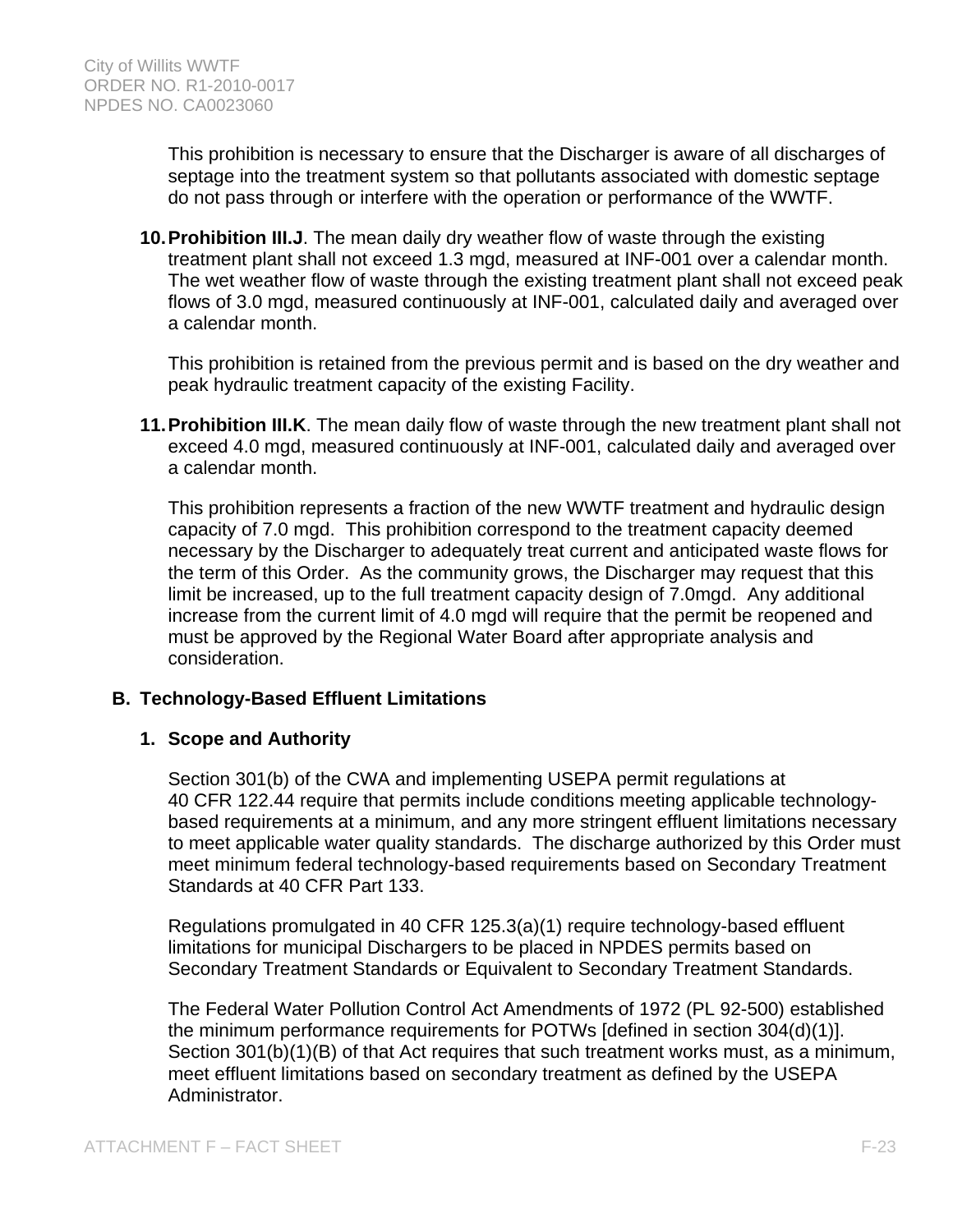This prohibition is necessary to ensure that the Discharger is aware of all discharges of septage into the treatment system so that pollutants associated with domestic septage do not pass through or interfere with the operation or performance of the WWTF.

**10. Prohibition III.J**. The mean daily dry weather flow of waste through the existing treatment plant shall not exceed 1.3 mgd, measured at INF-001 over a calendar month. The wet weather flow of waste through the existing treatment plant shall not exceed peak flows of 3.0 mgd, measured continuously at INF-001, calculated daily and averaged over a calendar month.

This prohibition is retained from the previous permit and is based on the dry weather and peak hydraulic treatment capacity of the existing Facility.

**11. Prohibition III.K**. The mean daily flow of waste through the new treatment plant shall not exceed 4.0 mgd, measured continuously at INF-001, calculated daily and averaged over a calendar month.

This prohibition represents a fraction of the new WWTF treatment and hydraulic design capacity of 7.0 mgd. This prohibition correspond to the treatment capacity deemed necessary by the Discharger to adequately treat current and anticipated waste flows for the term of this Order. As the community grows, the Discharger may request that this limit be increased, up to the full treatment capacity design of 7.0mgd. Any additional increase from the current limit of 4.0 mgd will require that the permit be reopened and must be approved by the Regional Water Board after appropriate analysis and consideration.

# **B. Technology-Based Effluent Limitations**

### **1. Scope and Authority**

Section 301(b) of the CWA and implementing USEPA permit regulations at 40 CFR 122.44 require that permits include conditions meeting applicable technologybased requirements at a minimum, and any more stringent effluent limitations necessary to meet applicable water quality standards. The discharge authorized by this Order must meet minimum federal technology-based requirements based on Secondary Treatment Standards at 40 CFR Part 133.

Regulations promulgated in 40 CFR 125.3(a)(1) require technology-based effluent limitations for municipal Dischargers to be placed in NPDES permits based on Secondary Treatment Standards or Equivalent to Secondary Treatment Standards.

The Federal Water Pollution Control Act Amendments of 1972 (PL 92-500) established the minimum performance requirements for POTWs [defined in section 304(d)(1)]. Section 301(b)(1)(B) of that Act requires that such treatment works must, as a minimum, meet effluent limitations based on secondary treatment as defined by the USEPA Administrator.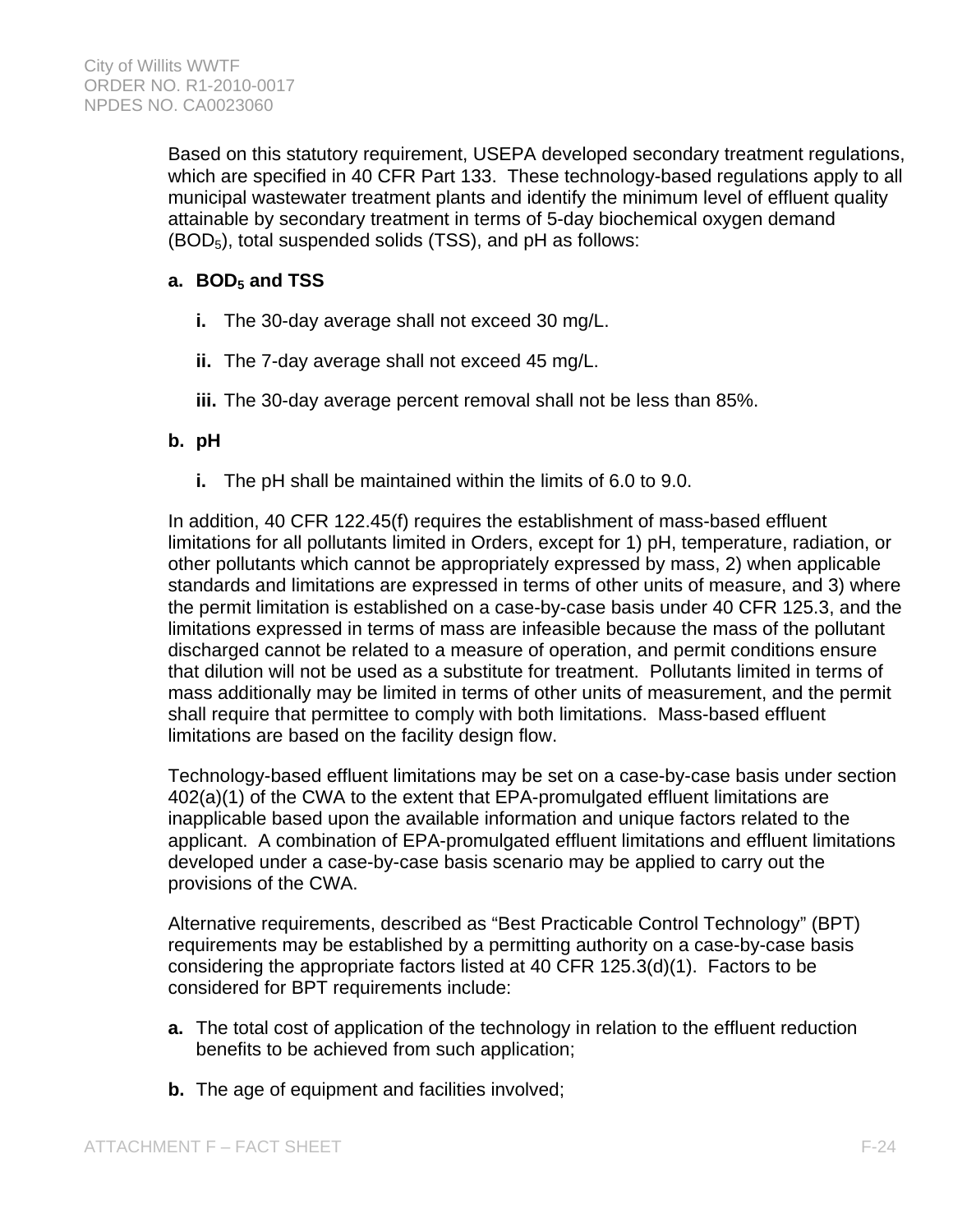Based on this statutory requirement, USEPA developed secondary treatment regulations, which are specified in 40 CFR Part 133. These technology-based regulations apply to all municipal wastewater treatment plants and identify the minimum level of effluent quality attainable by secondary treatment in terms of 5-day biochemical oxygen demand  $(BOD<sub>5</sub>)$ , total suspended solids (TSS), and pH as follows:

# a. BOD<sub>5</sub> and TSS

- **i.** The 30-day average shall not exceed 30 mg/L.
- **ii.** The 7-day average shall not exceed 45 mg/L.
- **iii.** The 30-day average percent removal shall not be less than 85%.

# **b. pH**

**i.** The pH shall be maintained within the limits of 6.0 to 9.0.

In addition, 40 CFR 122.45(f) requires the establishment of mass-based effluent limitations for all pollutants limited in Orders, except for 1) pH, temperature, radiation, or other pollutants which cannot be appropriately expressed by mass, 2) when applicable standards and limitations are expressed in terms of other units of measure, and 3) where the permit limitation is established on a case-by-case basis under 40 CFR 125.3, and the limitations expressed in terms of mass are infeasible because the mass of the pollutant discharged cannot be related to a measure of operation, and permit conditions ensure that dilution will not be used as a substitute for treatment. Pollutants limited in terms of mass additionally may be limited in terms of other units of measurement, and the permit shall require that permittee to comply with both limitations. Mass-based effluent limitations are based on the facility design flow.

Technology-based effluent limitations may be set on a case-by-case basis under section 402(a)(1) of the CWA to the extent that EPA-promulgated effluent limitations are inapplicable based upon the available information and unique factors related to the applicant. A combination of EPA-promulgated effluent limitations and effluent limitations developed under a case-by-case basis scenario may be applied to carry out the provisions of the CWA.

Alternative requirements, described as "Best Practicable Control Technology" (BPT) requirements may be established by a permitting authority on a case-by-case basis considering the appropriate factors listed at 40 CFR 125.3(d)(1). Factors to be considered for BPT requirements include:

- **a.** The total cost of application of the technology in relation to the effluent reduction benefits to be achieved from such application;
- **b.** The age of equipment and facilities involved;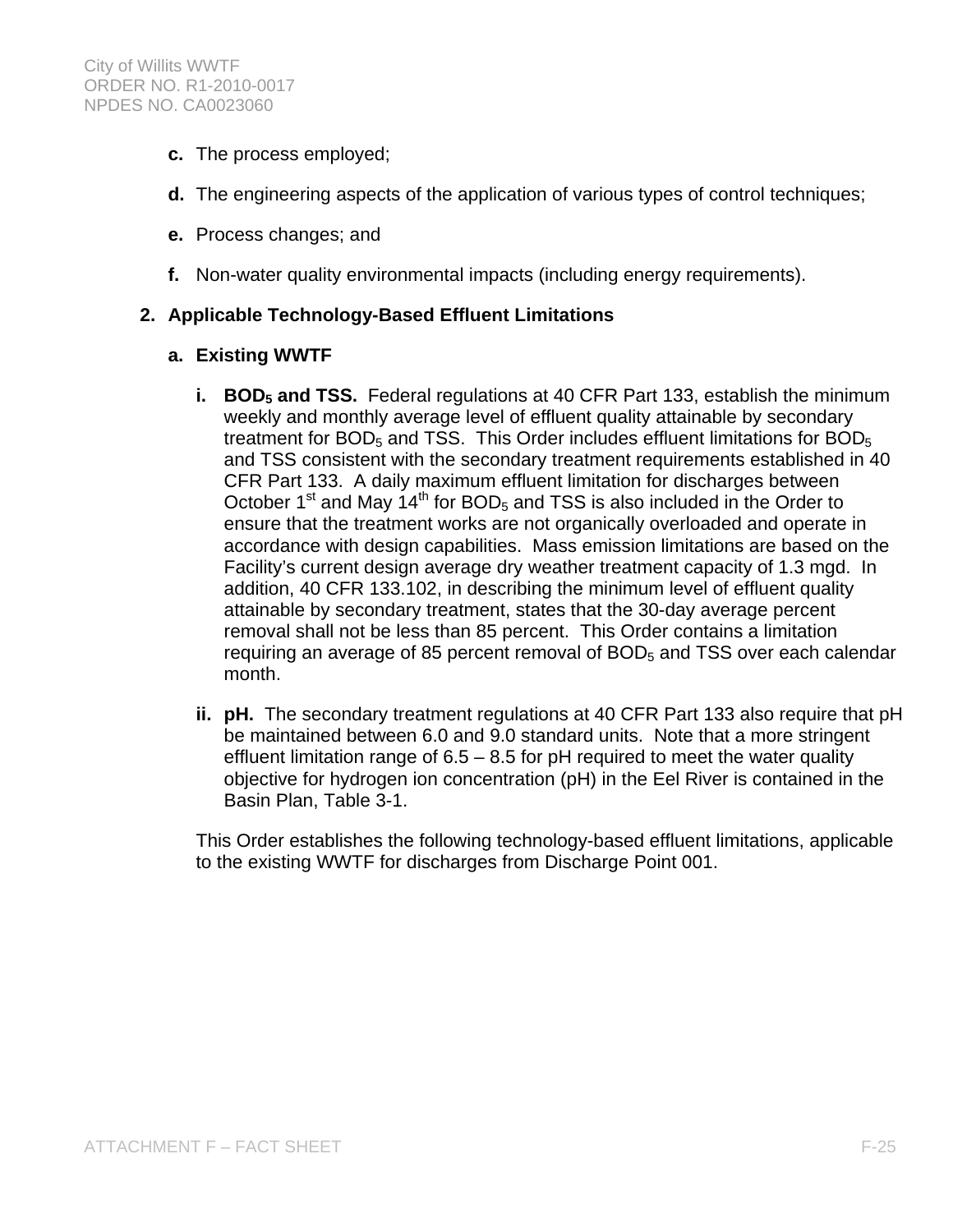- **c.** The process employed;
- **d.** The engineering aspects of the application of various types of control techniques;
- **e.** Process changes; and
- **f.** Non-water quality environmental impacts (including energy requirements).

### **2. Applicable Technology-Based Effluent Limitations**

- **a. Existing WWTF**
	- **i.** BOD<sub>5</sub> and TSS. Federal regulations at 40 CFR Part 133, establish the minimum weekly and monthly average level of effluent quality attainable by secondary treatment for  $BOD<sub>5</sub>$  and TSS. This Order includes effluent limitations for  $BOD<sub>5</sub>$ and TSS consistent with the secondary treatment requirements established in 40 CFR Part 133. A daily maximum effluent limitation for discharges between October 1<sup>st</sup> and May  $14<sup>th</sup>$  for BOD<sub>5</sub> and TSS is also included in the Order to ensure that the treatment works are not organically overloaded and operate in accordance with design capabilities. Mass emission limitations are based on the Facility's current design average dry weather treatment capacity of 1.3 mgd. In addition, 40 CFR 133.102, in describing the minimum level of effluent quality attainable by secondary treatment, states that the 30-day average percent removal shall not be less than 85 percent. This Order contains a limitation requiring an average of 85 percent removal of  $BOD<sub>5</sub>$  and TSS over each calendar month.
	- **ii. pH.** The secondary treatment regulations at 40 CFR Part 133 also require that pH be maintained between 6.0 and 9.0 standard units. Note that a more stringent effluent limitation range of  $6.5 - 8.5$  for pH required to meet the water quality objective for hydrogen ion concentration (pH) in the Eel River is contained in the Basin Plan, Table 3-1.

This Order establishes the following technology-based effluent limitations, applicable to the existing WWTF for discharges from Discharge Point 001.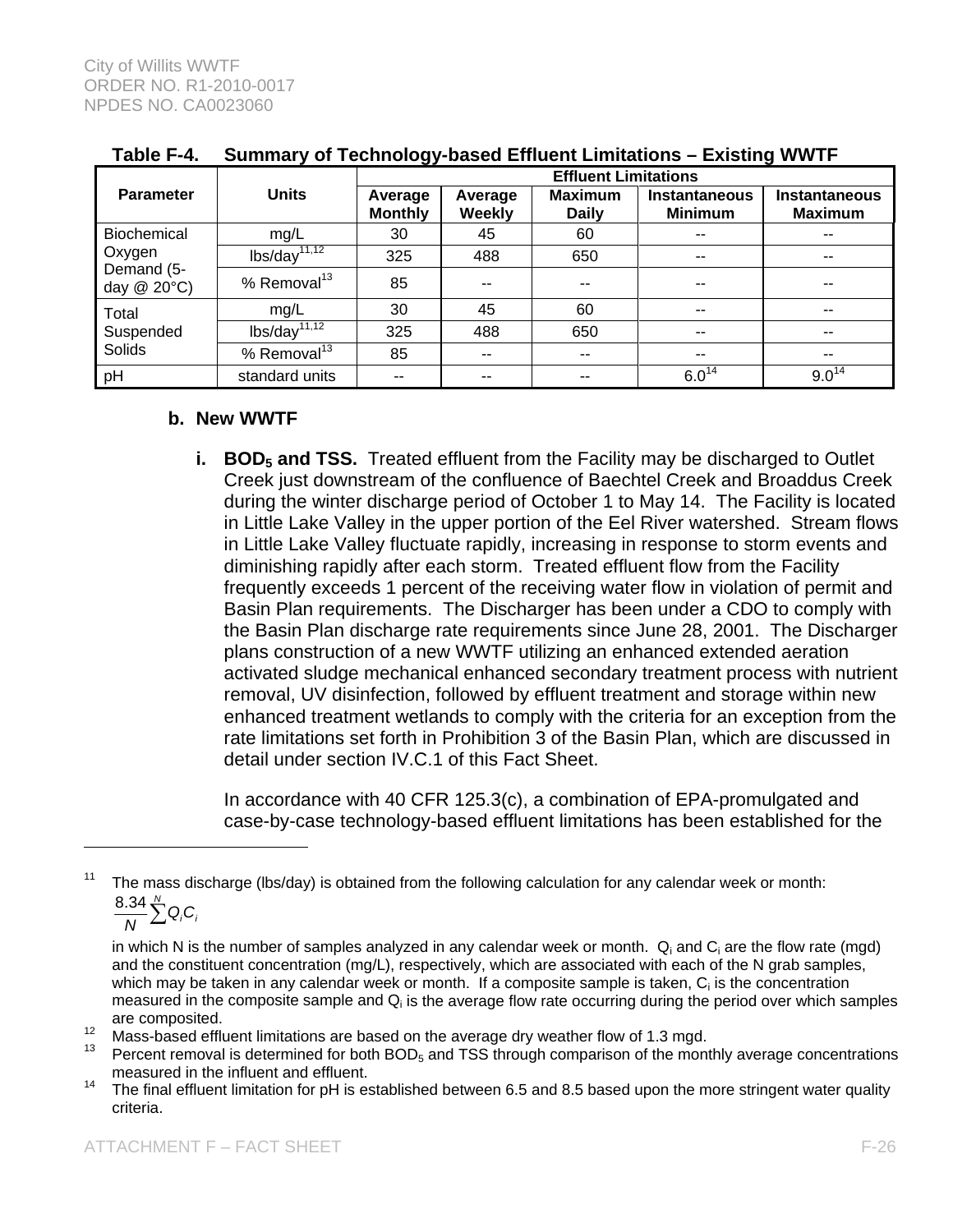|                                                    | <b>Units</b>               | --<br><b>Effluent Limitations</b> |                          |                                |                                        |                                        |  |
|----------------------------------------------------|----------------------------|-----------------------------------|--------------------------|--------------------------------|----------------------------------------|----------------------------------------|--|
| <b>Parameter</b>                                   |                            | Average<br><b>Monthly</b>         | Average<br><b>Weekly</b> | <b>Maximum</b><br><b>Daily</b> | <b>Instantaneous</b><br><b>Minimum</b> | <b>Instantaneous</b><br><b>Maximum</b> |  |
| Biochemical<br>Oxygen<br>Demand (5-<br>day @ 20°C) | mg/L                       | 30                                | 45                       | 60                             | $-$                                    | $- -$                                  |  |
|                                                    | $lbs/day$ <sup>11,12</sup> | 325                               | 488                      | 650                            | $-$                                    | $- -$                                  |  |
|                                                    | % Removal $^{13}$          | 85                                | --                       | $- -$                          | --                                     | $- -$                                  |  |
| Total<br>Suspended<br>Solids                       | mg/L                       | 30                                | 45                       | 60                             | $\overline{\phantom{a}}$               | $- -$                                  |  |
|                                                    | $\frac{1}{1.12}$           | 325                               | 488                      | 650                            | $-$                                    | $- -$                                  |  |
|                                                    | % Removal <sup>13</sup>    | 85                                | $- -$                    | $-$                            | $\sim$ $\sim$                          | $\sim$ $\sim$                          |  |
| pH                                                 | standard units             | --                                | --                       | --                             | $6.0^{14}$                             | $9.0^{14}$                             |  |

### **Table F-4. Summary of Technology-based Effluent Limitations – Existing WWTF**

#### **b. New WWTF**

**i.** BOD<sub>5</sub> and TSS. Treated effluent from the Facility may be discharged to Outlet Creek just downstream of the confluence of Baechtel Creek and Broaddus Creek during the winter discharge period of October 1 to May 14. The Facility is located in Little Lake Valley in the upper portion of the Eel River watershed. Stream flows in Little Lake Valley fluctuate rapidly, increasing in response to storm events and diminishing rapidly after each storm. Treated effluent flow from the Facility frequently exceeds 1 percent of the receiving water flow in violation of permit and Basin Plan requirements. The Discharger has been under a CDO to comply with the Basin Plan discharge rate requirements since June 28, 2001. The Discharger plans construction of a new WWTF utilizing an enhanced extended aeration activated sludge mechanical enhanced secondary treatment process with nutrient removal, UV disinfection, followed by effluent treatment and storage within new enhanced treatment wetlands to comply with the criteria for an exception from the rate limitations set forth in Prohibition 3 of the Basin Plan, which are discussed in detail under section IV.C.1 of this Fact Sheet.

In accordance with 40 CFR 125.3(c), a combination of EPA-promulgated and case-by-case technology-based effluent limitations has been established for the

 $\overline{a}$ 

The mass discharge (lbs/day) is obtained from the following calculation for any calendar week or month:

 $\frac{8.34}{N}$  $\sum_{i=1}^{N}$  Q<sub>i</sub>C<sub>i</sub>

in which N is the number of samples analyzed in any calendar week or month.  $Q_i$  and  $C_i$  are the flow rate (mgd) and the constituent concentration (mg/L), respectively, which are associated with each of the N grab samples, which may be taken in any calendar week or month. If a composite sample is taken,  $C_i$  is the concentration measured in the composite sample and  $Q_i$  is the average flow rate occurring during the period over which samples are composited.<br><sup>12</sup> Mass-based effluent limitations are based on the average dry weather flow of 1.3 mgd.<br><sup>13</sup> Percent removal is determined for both BOD<sub>5</sub> and TSS through comparison of the monthly average concentration

measured in the influent and effluent.

<sup>&</sup>lt;sup>14</sup> The final effluent limitation for pH is established between 6.5 and 8.5 based upon the more stringent water quality criteria.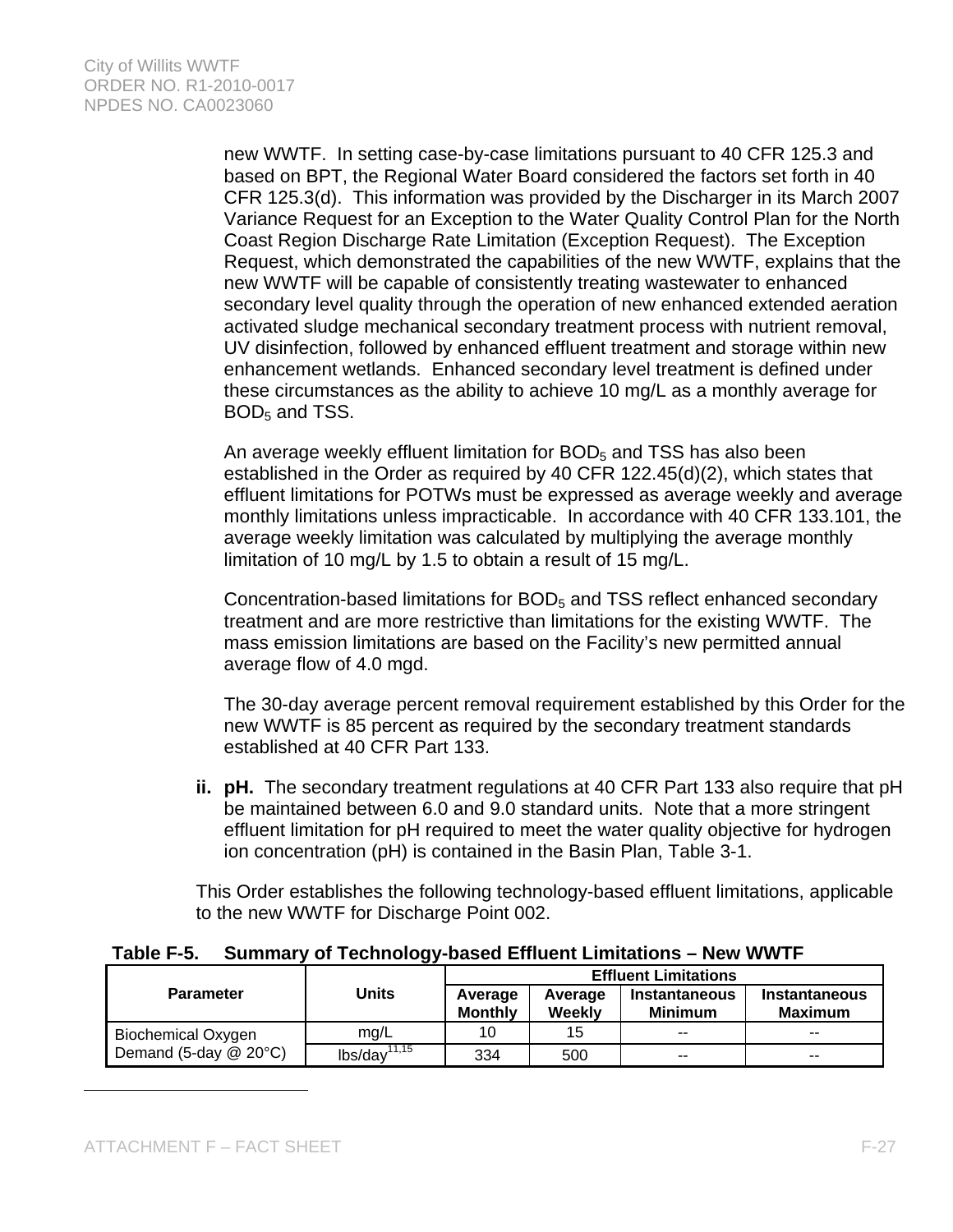new WWTF. In setting case-by-case limitations pursuant to 40 CFR 125.3 and based on BPT, the Regional Water Board considered the factors set forth in 40 CFR 125.3(d). This information was provided by the Discharger in its March 2007 Variance Request for an Exception to the Water Quality Control Plan for the North Coast Region Discharge Rate Limitation (Exception Request). The Exception Request, which demonstrated the capabilities of the new WWTF, explains that the new WWTF will be capable of consistently treating wastewater to enhanced secondary level quality through the operation of new enhanced extended aeration activated sludge mechanical secondary treatment process with nutrient removal, UV disinfection, followed by enhanced effluent treatment and storage within new enhancement wetlands. Enhanced secondary level treatment is defined under these circumstances as the ability to achieve 10 mg/L as a monthly average for  $BOD<sub>5</sub>$  and TSS.

An average weekly effluent limitation for  $BOD<sub>5</sub>$  and TSS has also been established in the Order as required by 40 CFR 122.45(d)(2), which states that effluent limitations for POTWs must be expressed as average weekly and average monthly limitations unless impracticable. In accordance with 40 CFR 133.101, the average weekly limitation was calculated by multiplying the average monthly limitation of 10 mg/L by 1.5 to obtain a result of 15 mg/L.

Concentration-based limitations for BOD<sub>5</sub> and TSS reflect enhanced secondary treatment and are more restrictive than limitations for the existing WWTF. The mass emission limitations are based on the Facility's new permitted annual average flow of 4.0 mgd.

The 30-day average percent removal requirement established by this Order for the new WWTF is 85 percent as required by the secondary treatment standards established at 40 CFR Part 133.

**ii. pH.** The secondary treatment regulations at 40 CFR Part 133 also require that pH be maintained between 6.0 and 9.0 standard units. Note that a more stringent effluent limitation for pH required to meet the water quality objective for hydrogen ion concentration (pH) is contained in the Basin Plan, Table 3-1.

This Order establishes the following technology-based effluent limitations, applicable to the new WWTF for Discharge Point 002.

### **Table F-5. Summary of Technology-based Effluent Limitations – New WWTF**

|                             | Units                           | <b>Effluent Limitations</b> |                   |                                        |                                        |
|-----------------------------|---------------------------------|-----------------------------|-------------------|----------------------------------------|----------------------------------------|
| <b>Parameter</b>            |                                 | Average<br><b>Monthly</b>   | Average<br>Weekly | <b>Instantaneous</b><br><b>Minimum</b> | <b>Instantaneous</b><br><b>Maximum</b> |
| <b>Biochemical Oxygen</b>   | mq/L                            | 10                          | 15                | $- -$                                  | $- -$                                  |
| Demand (5-day $@$ 20 $°C$ ) | $\text{lbs}/\text{day}^{11,15}$ | 334                         | 500               | $-$                                    | $-$                                    |

 $\overline{a}$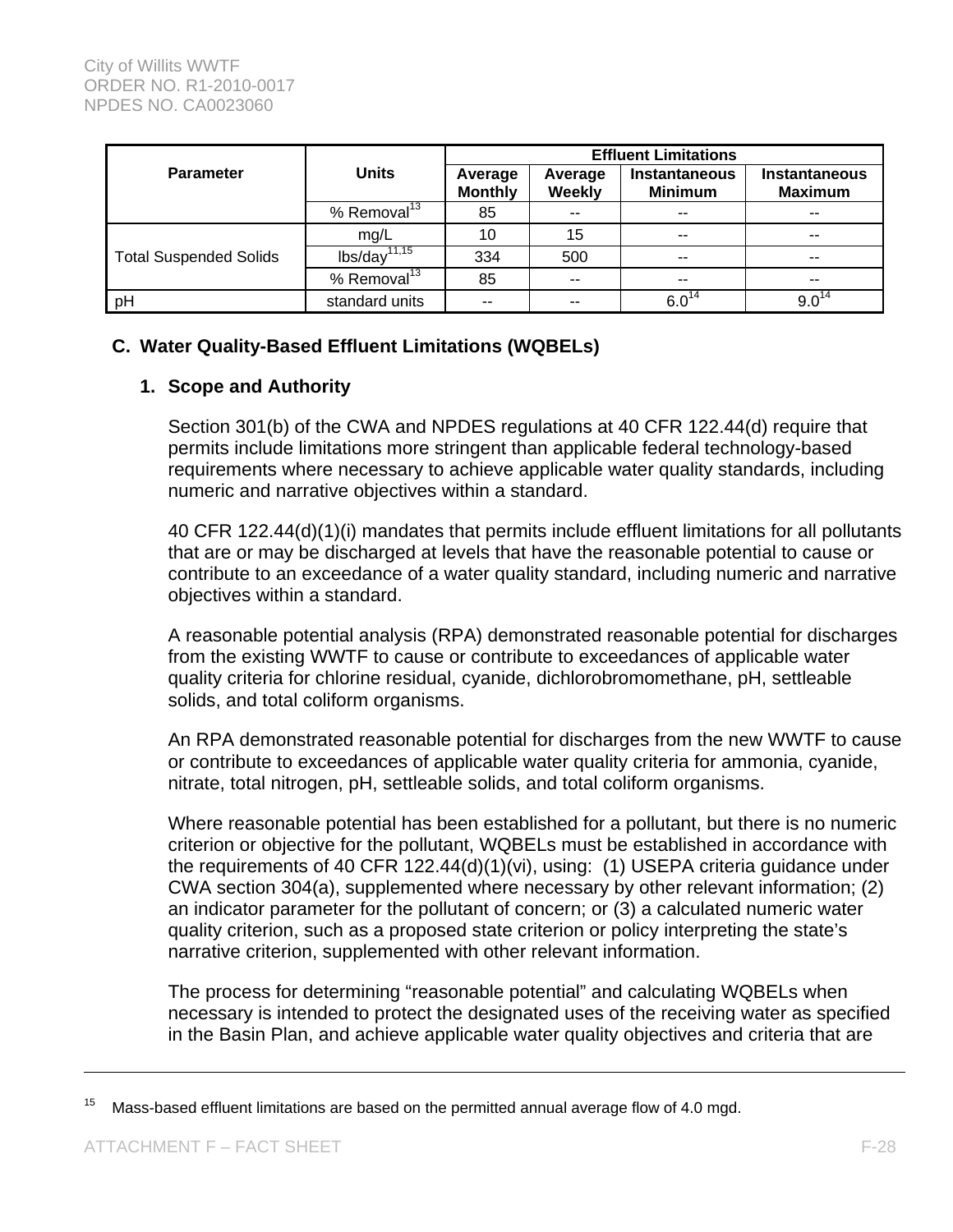|                               |                         |                           | <b>Effluent Limitations</b> |                                        |                                        |  |  |  |
|-------------------------------|-------------------------|---------------------------|-----------------------------|----------------------------------------|----------------------------------------|--|--|--|
| <b>Parameter</b>              | <b>Units</b>            | Average<br><b>Monthly</b> | Average<br><b>Weekly</b>    | <b>Instantaneous</b><br><b>Minimum</b> | <b>Instantaneous</b><br><b>Maximum</b> |  |  |  |
|                               | % Removal <sup>13</sup> | 85                        | --                          | $- -$                                  | $- -$                                  |  |  |  |
|                               | mg/L                    | 10                        | 15                          | --                                     | --                                     |  |  |  |
| <b>Total Suspended Solids</b> | $\frac{1}{15}$          | 334                       | 500                         | $-$                                    | $- -$                                  |  |  |  |
|                               | % Removal <sup>13</sup> | 85                        | $-$                         | $- -$                                  | $- -$                                  |  |  |  |
| pH                            | standard units          | $- -$                     | $- -$                       | $6.0^{14}$                             | $9.0^{14}$                             |  |  |  |

## **C. Water Quality-Based Effluent Limitations (WQBELs)**

### **1. Scope and Authority**

Section 301(b) of the CWA and NPDES regulations at 40 CFR 122.44(d) require that permits include limitations more stringent than applicable federal technology-based requirements where necessary to achieve applicable water quality standards, including numeric and narrative objectives within a standard.

40 CFR 122.44(d)(1)(i) mandates that permits include effluent limitations for all pollutants that are or may be discharged at levels that have the reasonable potential to cause or contribute to an exceedance of a water quality standard, including numeric and narrative objectives within a standard.

A reasonable potential analysis (RPA) demonstrated reasonable potential for discharges from the existing WWTF to cause or contribute to exceedances of applicable water quality criteria for chlorine residual, cyanide, dichlorobromomethane, pH, settleable solids, and total coliform organisms.

An RPA demonstrated reasonable potential for discharges from the new WWTF to cause or contribute to exceedances of applicable water quality criteria for ammonia, cyanide, nitrate, total nitrogen, pH, settleable solids, and total coliform organisms.

Where reasonable potential has been established for a pollutant, but there is no numeric criterion or objective for the pollutant, WQBELs must be established in accordance with the requirements of 40 CFR 122.44(d)(1)(vi), using: (1) USEPA criteria guidance under CWA section 304(a), supplemented where necessary by other relevant information; (2) an indicator parameter for the pollutant of concern; or (3) a calculated numeric water quality criterion, such as a proposed state criterion or policy interpreting the state's narrative criterion, supplemented with other relevant information.

The process for determining "reasonable potential" and calculating WQBELs when necessary is intended to protect the designated uses of the receiving water as specified in the Basin Plan, and achieve applicable water quality objectives and criteria that are

 $15$  Mass-based effluent limitations are based on the permitted annual average flow of 4.0 mgd.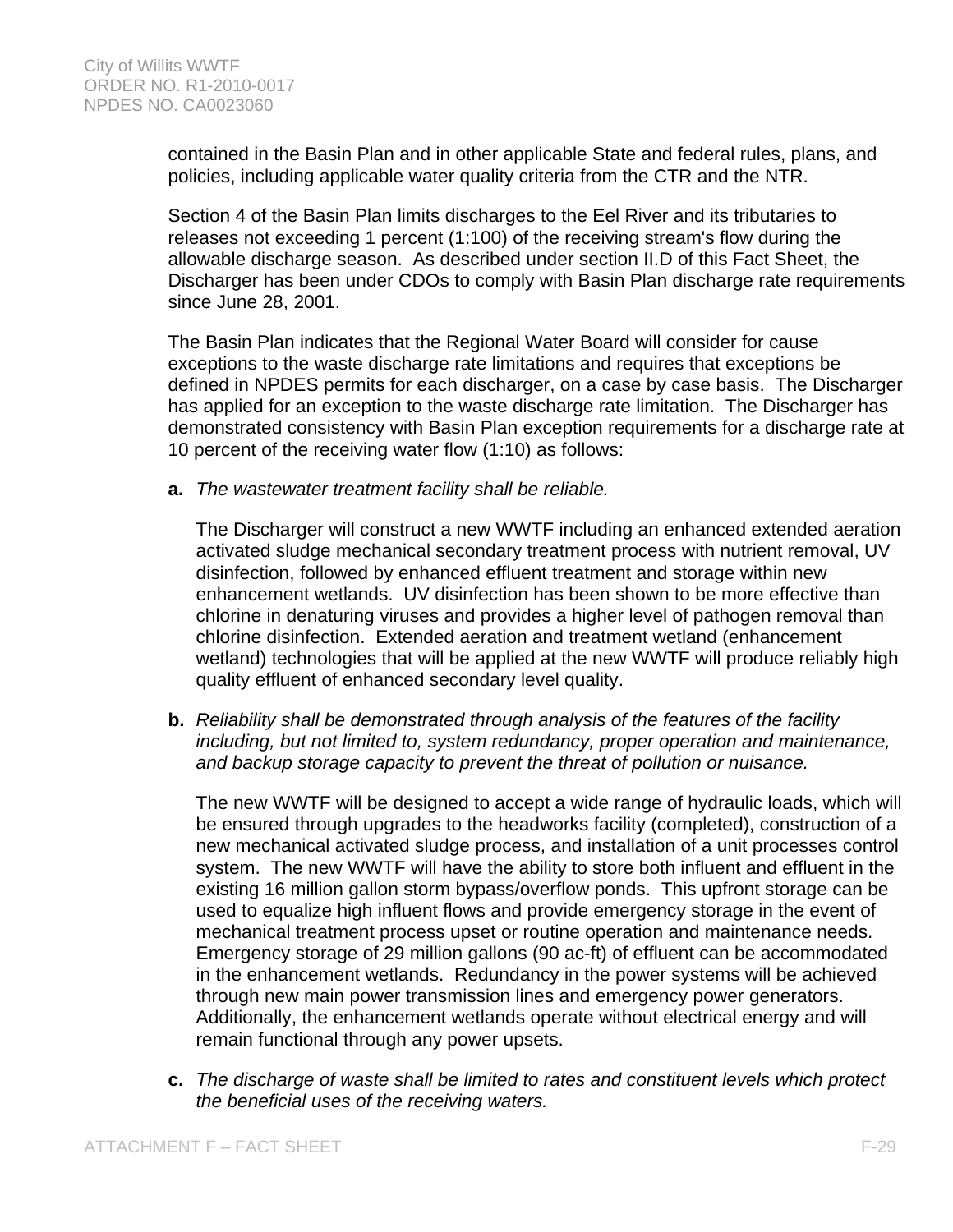contained in the Basin Plan and in other applicable State and federal rules, plans, and policies, including applicable water quality criteria from the CTR and the NTR.

Section 4 of the Basin Plan limits discharges to the Eel River and its tributaries to releases not exceeding 1 percent (1:100) of the receiving stream's flow during the allowable discharge season. As described under section II.D of this Fact Sheet, the Discharger has been under CDOs to comply with Basin Plan discharge rate requirements since June 28, 2001.

The Basin Plan indicates that the Regional Water Board will consider for cause exceptions to the waste discharge rate limitations and requires that exceptions be defined in NPDES permits for each discharger, on a case by case basis. The Discharger has applied for an exception to the waste discharge rate limitation. The Discharger has demonstrated consistency with Basin Plan exception requirements for a discharge rate at 10 percent of the receiving water flow (1:10) as follows:

**a.** *The wastewater treatment facility shall be reliable.* 

The Discharger will construct a new WWTF including an enhanced extended aeration activated sludge mechanical secondary treatment process with nutrient removal, UV disinfection, followed by enhanced effluent treatment and storage within new enhancement wetlands. UV disinfection has been shown to be more effective than chlorine in denaturing viruses and provides a higher level of pathogen removal than chlorine disinfection. Extended aeration and treatment wetland (enhancement wetland) technologies that will be applied at the new WWTF will produce reliably high quality effluent of enhanced secondary level quality.

**b.** *Reliability shall be demonstrated through analysis of the features of the facility including, but not limited to, system redundancy, proper operation and maintenance, and backup storage capacity to prevent the threat of pollution or nuisance.* 

The new WWTF will be designed to accept a wide range of hydraulic loads, which will be ensured through upgrades to the headworks facility (completed), construction of a new mechanical activated sludge process, and installation of a unit processes control system. The new WWTF will have the ability to store both influent and effluent in the existing 16 million gallon storm bypass/overflow ponds. This upfront storage can be used to equalize high influent flows and provide emergency storage in the event of mechanical treatment process upset or routine operation and maintenance needs. Emergency storage of 29 million gallons (90 ac-ft) of effluent can be accommodated in the enhancement wetlands. Redundancy in the power systems will be achieved through new main power transmission lines and emergency power generators. Additionally, the enhancement wetlands operate without electrical energy and will remain functional through any power upsets.

**c.** *The discharge of waste shall be limited to rates and constituent levels which protect the beneficial uses of the receiving waters.*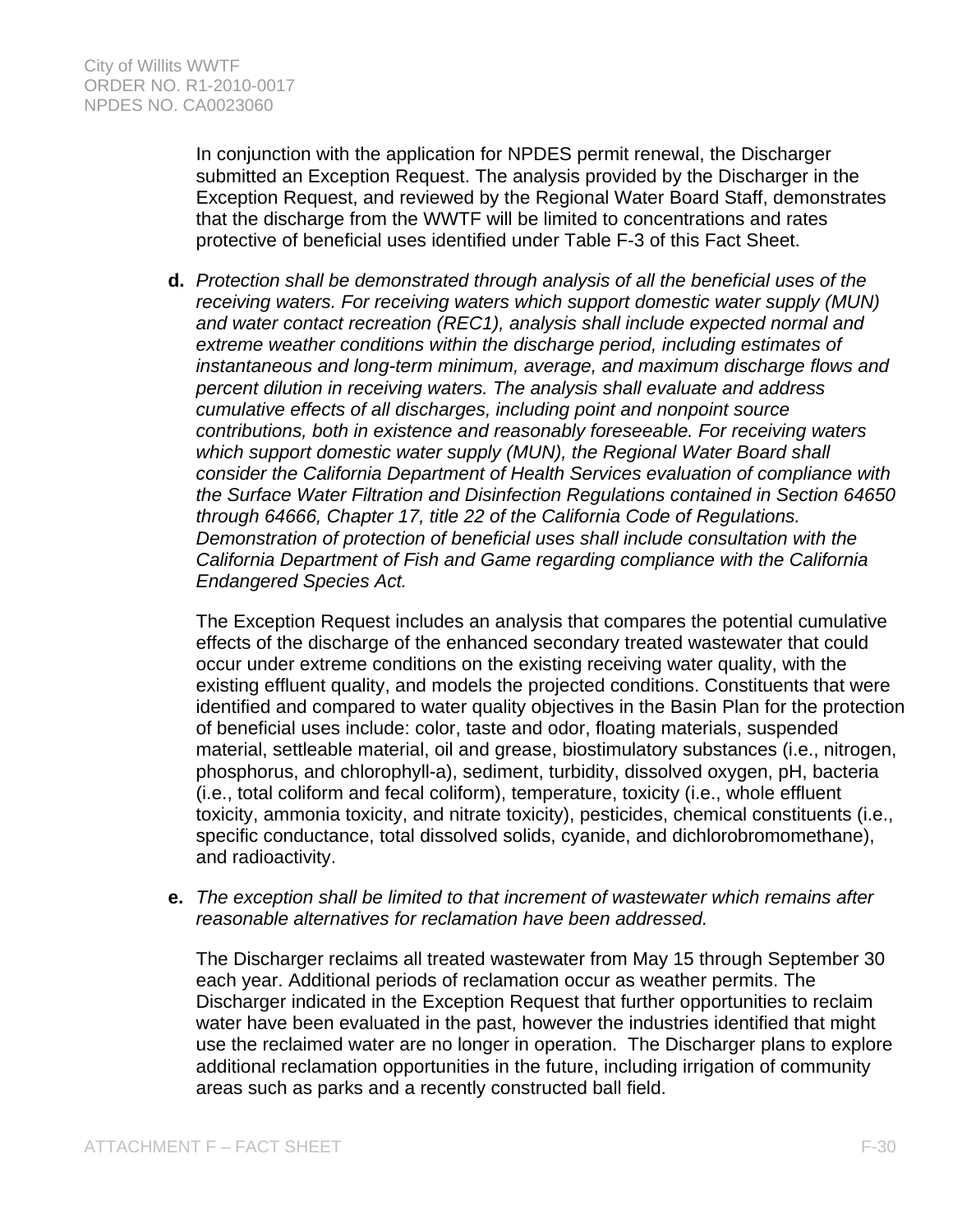In conjunction with the application for NPDES permit renewal, the Discharger submitted an Exception Request. The analysis provided by the Discharger in the Exception Request, and reviewed by the Regional Water Board Staff, demonstrates that the discharge from the WWTF will be limited to concentrations and rates protective of beneficial uses identified under Table F-3 of this Fact Sheet.

**d.** *Protection shall be demonstrated through analysis of all the beneficial uses of the receiving waters. For receiving waters which support domestic water supply (MUN) and water contact recreation (REC1), analysis shall include expected normal and extreme weather conditions within the discharge period, including estimates of instantaneous and long-term minimum, average, and maximum discharge flows and percent dilution in receiving waters. The analysis shall evaluate and address cumulative effects of all discharges, including point and nonpoint source contributions, both in existence and reasonably foreseeable. For receiving waters which support domestic water supply (MUN), the Regional Water Board shall consider the California Department of Health Services evaluation of compliance with the Surface Water Filtration and Disinfection Regulations contained in Section 64650 through 64666, Chapter 17, title 22 of the California Code of Regulations. Demonstration of protection of beneficial uses shall include consultation with the California Department of Fish and Game regarding compliance with the California Endangered Species Act.* 

The Exception Request includes an analysis that compares the potential cumulative effects of the discharge of the enhanced secondary treated wastewater that could occur under extreme conditions on the existing receiving water quality, with the existing effluent quality, and models the projected conditions. Constituents that were identified and compared to water quality objectives in the Basin Plan for the protection of beneficial uses include: color, taste and odor, floating materials, suspended material, settleable material, oil and grease, biostimulatory substances (i.e., nitrogen, phosphorus, and chlorophyll-a), sediment, turbidity, dissolved oxygen, pH, bacteria (i.e., total coliform and fecal coliform), temperature, toxicity (i.e., whole effluent toxicity, ammonia toxicity, and nitrate toxicity), pesticides, chemical constituents (i.e., specific conductance, total dissolved solids, cyanide, and dichlorobromomethane), and radioactivity.

**e.** *The exception shall be limited to that increment of wastewater which remains after reasonable alternatives for reclamation have been addressed.* 

The Discharger reclaims all treated wastewater from May 15 through September 30 each year. Additional periods of reclamation occur as weather permits. The Discharger indicated in the Exception Request that further opportunities to reclaim water have been evaluated in the past, however the industries identified that might use the reclaimed water are no longer in operation. The Discharger plans to explore additional reclamation opportunities in the future, including irrigation of community areas such as parks and a recently constructed ball field.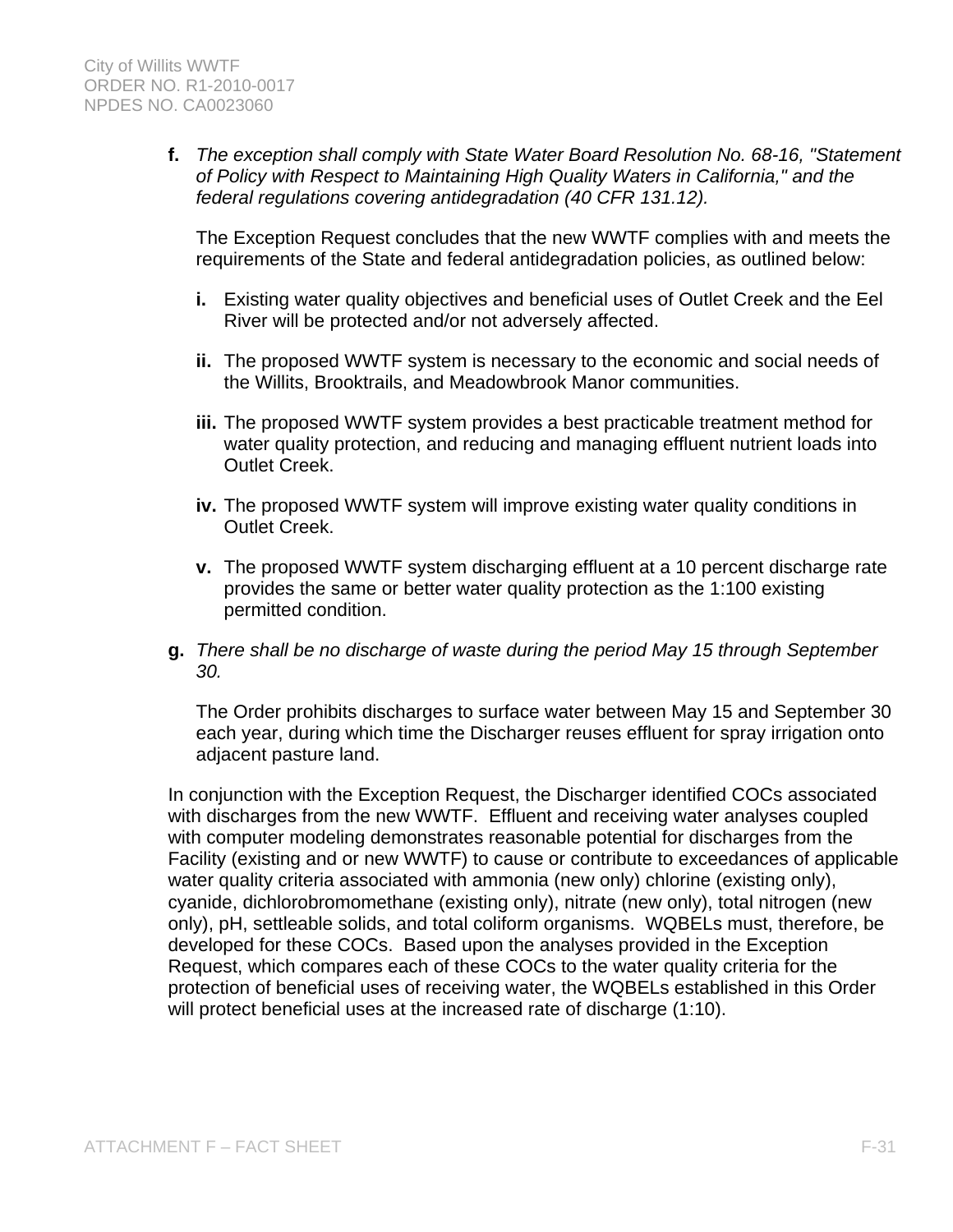**f.** *The exception shall comply with State Water Board Resolution No. 68-16, "Statement of Policy with Respect to Maintaining High Quality Waters in California," and the federal regulations covering antidegradation (40 CFR 131.12).* 

The Exception Request concludes that the new WWTF complies with and meets the requirements of the State and federal antidegradation policies, as outlined below:

- **i.** Existing water quality objectives and beneficial uses of Outlet Creek and the Eel River will be protected and/or not adversely affected.
- **ii.** The proposed WWTF system is necessary to the economic and social needs of the Willits, Brooktrails, and Meadowbrook Manor communities.
- **iii.** The proposed WWTF system provides a best practicable treatment method for water quality protection, and reducing and managing effluent nutrient loads into Outlet Creek.
- **iv.** The proposed WWTF system will improve existing water quality conditions in Outlet Creek.
- **v.** The proposed WWTF system discharging effluent at a 10 percent discharge rate provides the same or better water quality protection as the 1:100 existing permitted condition.
- **g.** *There shall be no discharge of waste during the period May 15 through September 30.*

The Order prohibits discharges to surface water between May 15 and September 30 each year, during which time the Discharger reuses effluent for spray irrigation onto adjacent pasture land.

In conjunction with the Exception Request, the Discharger identified COCs associated with discharges from the new WWTF. Effluent and receiving water analyses coupled with computer modeling demonstrates reasonable potential for discharges from the Facility (existing and or new WWTF) to cause or contribute to exceedances of applicable water quality criteria associated with ammonia (new only) chlorine (existing only), cyanide, dichlorobromomethane (existing only), nitrate (new only), total nitrogen (new only), pH, settleable solids, and total coliform organisms. WQBELs must, therefore, be developed for these COCs. Based upon the analyses provided in the Exception Request, which compares each of these COCs to the water quality criteria for the protection of beneficial uses of receiving water, the WQBELs established in this Order will protect beneficial uses at the increased rate of discharge (1:10).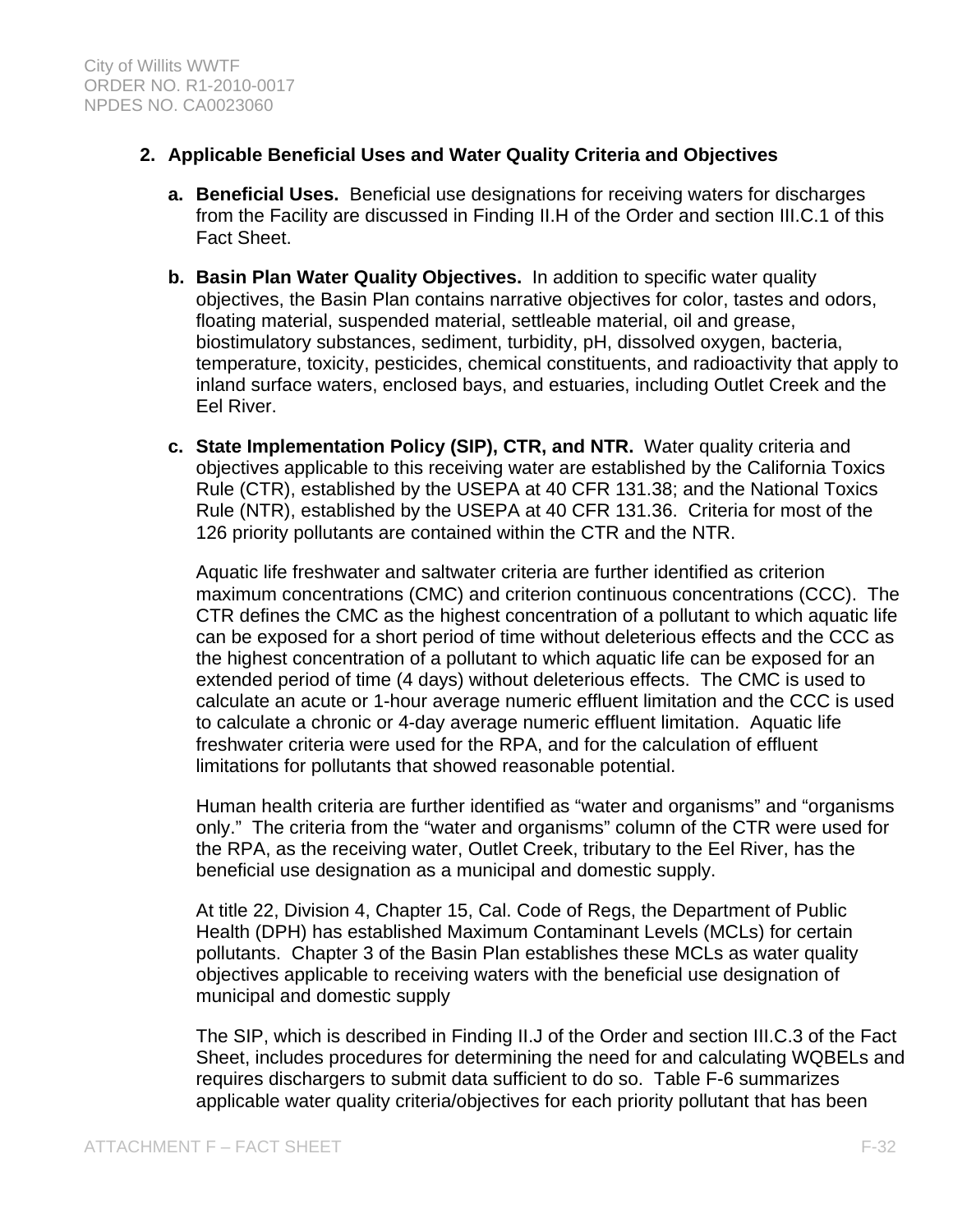## **2. Applicable Beneficial Uses and Water Quality Criteria and Objectives**

- **a. Beneficial Uses.** Beneficial use designations for receiving waters for discharges from the Facility are discussed in Finding II.H of the Order and section III.C.1 of this Fact Sheet.
- **b. Basin Plan Water Quality Objectives.** In addition to specific water quality objectives, the Basin Plan contains narrative objectives for color, tastes and odors, floating material, suspended material, settleable material, oil and grease, biostimulatory substances, sediment, turbidity, pH, dissolved oxygen, bacteria, temperature, toxicity, pesticides, chemical constituents, and radioactivity that apply to inland surface waters, enclosed bays, and estuaries, including Outlet Creek and the Eel River.
- **c. State Implementation Policy (SIP), CTR, and NTR.** Water quality criteria and objectives applicable to this receiving water are established by the California Toxics Rule (CTR), established by the USEPA at 40 CFR 131.38; and the National Toxics Rule (NTR), established by the USEPA at 40 CFR 131.36. Criteria for most of the 126 priority pollutants are contained within the CTR and the NTR.

Aquatic life freshwater and saltwater criteria are further identified as criterion maximum concentrations (CMC) and criterion continuous concentrations (CCC). The CTR defines the CMC as the highest concentration of a pollutant to which aquatic life can be exposed for a short period of time without deleterious effects and the CCC as the highest concentration of a pollutant to which aquatic life can be exposed for an extended period of time (4 days) without deleterious effects. The CMC is used to calculate an acute or 1-hour average numeric effluent limitation and the CCC is used to calculate a chronic or 4-day average numeric effluent limitation. Aquatic life freshwater criteria were used for the RPA, and for the calculation of effluent limitations for pollutants that showed reasonable potential.

Human health criteria are further identified as "water and organisms" and "organisms only." The criteria from the "water and organisms" column of the CTR were used for the RPA, as the receiving water, Outlet Creek, tributary to the Eel River, has the beneficial use designation as a municipal and domestic supply.

At title 22, Division 4, Chapter 15, Cal. Code of Regs, the Department of Public Health (DPH) has established Maximum Contaminant Levels (MCLs) for certain pollutants. Chapter 3 of the Basin Plan establishes these MCLs as water quality objectives applicable to receiving waters with the beneficial use designation of municipal and domestic supply

The SIP, which is described in Finding II.J of the Order and section III.C.3 of the Fact Sheet, includes procedures for determining the need for and calculating WQBELs and requires dischargers to submit data sufficient to do so. Table F-6 summarizes applicable water quality criteria/objectives for each priority pollutant that has been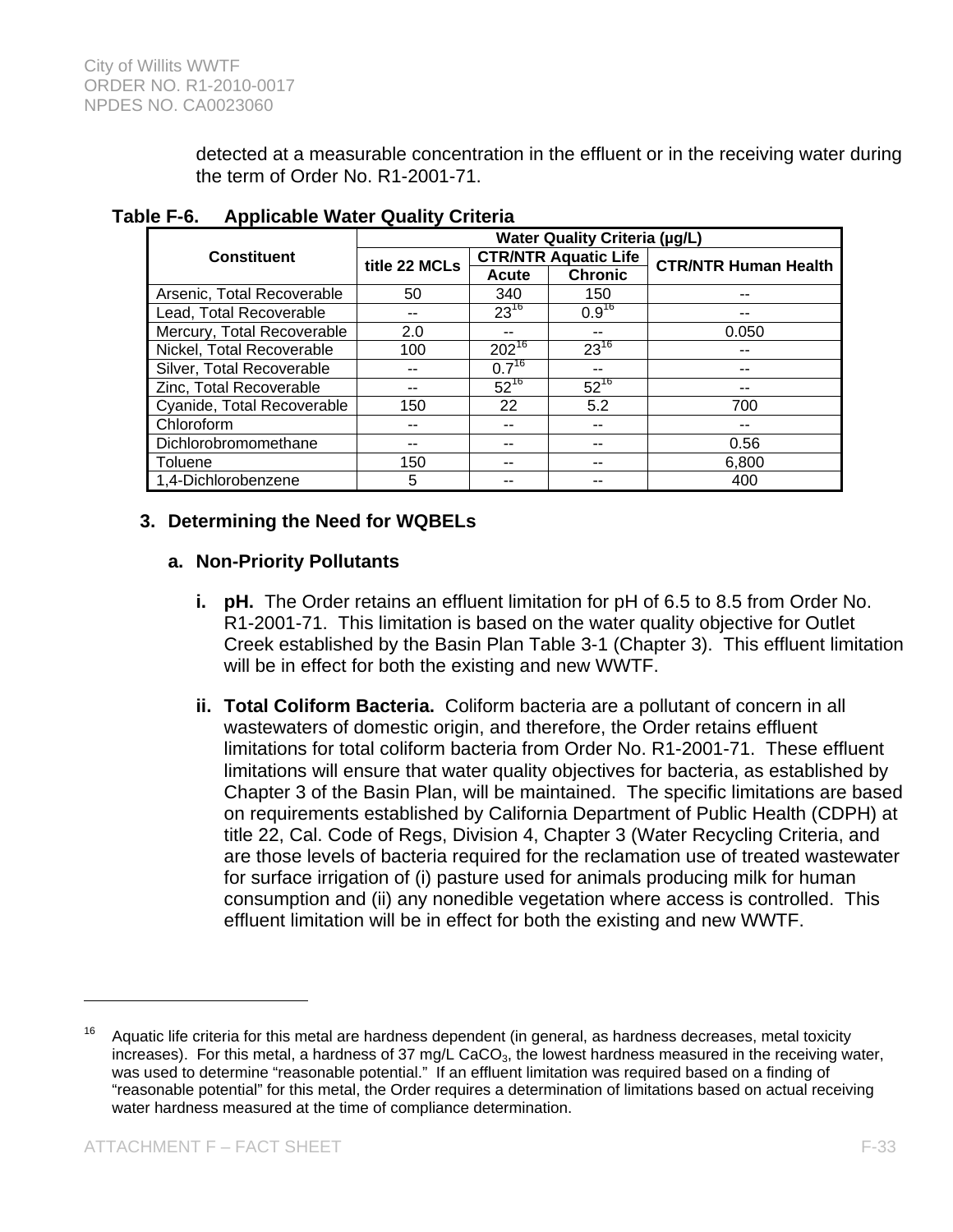detected at a measurable concentration in the effluent or in the receiving water during the term of Order No. R1-2001-71.

|                            | <b>Water Quality Criteria (µg/L)</b> |                         |                             |                             |  |  |  |  |
|----------------------------|--------------------------------------|-------------------------|-----------------------------|-----------------------------|--|--|--|--|
| <b>Constituent</b>         | title 22 MCLs                        |                         | <b>CTR/NTR Aquatic Life</b> | <b>CTR/NTR Human Health</b> |  |  |  |  |
|                            |                                      | <b>Chronic</b><br>Acute |                             |                             |  |  |  |  |
| Arsenic, Total Recoverable | 50                                   | 340                     | 150                         | --                          |  |  |  |  |
| Lead, Total Recoverable    |                                      | $23^{16}$               | $0.9^{16}$                  | --                          |  |  |  |  |
| Mercury, Total Recoverable | 2.0                                  | --                      | --                          | 0.050                       |  |  |  |  |
| Nickel, Total Recoverable  | 100                                  | $202^{16}$              | $23^{16}$                   | --                          |  |  |  |  |
| Silver, Total Recoverable  |                                      | $0.7^{16}$              |                             | --                          |  |  |  |  |
| Zinc, Total Recoverable    |                                      | $52^{16}$               | $52^{16}$                   | --                          |  |  |  |  |
| Cyanide, Total Recoverable | 150                                  | 22                      | 5.2                         | 700                         |  |  |  |  |
| Chloroform                 |                                      | --                      |                             | --                          |  |  |  |  |
| Dichlorobromomethane       |                                      |                         | --                          | 0.56                        |  |  |  |  |
| Toluene                    | 150                                  |                         |                             | 6,800                       |  |  |  |  |
| 1,4-Dichlorobenzene        | 5                                    |                         |                             | 400                         |  |  |  |  |

**Table F-6. Applicable Water Quality Criteria** 

## **3. Determining the Need for WQBELs**

## **a. Non-Priority Pollutants**

- **i. pH.** The Order retains an effluent limitation for pH of 6.5 to 8.5 from Order No. R1-2001-71. This limitation is based on the water quality objective for Outlet Creek established by the Basin Plan Table 3-1 (Chapter 3). This effluent limitation will be in effect for both the existing and new WWTF.
- **ii. Total Coliform Bacteria.** Coliform bacteria are a pollutant of concern in all wastewaters of domestic origin, and therefore, the Order retains effluent limitations for total coliform bacteria from Order No. R1-2001-71. These effluent limitations will ensure that water quality objectives for bacteria, as established by Chapter 3 of the Basin Plan, will be maintained. The specific limitations are based on requirements established by California Department of Public Health (CDPH) at title 22, Cal. Code of Regs, Division 4, Chapter 3 (Water Recycling Criteria, and are those levels of bacteria required for the reclamation use of treated wastewater for surface irrigation of (i) pasture used for animals producing milk for human consumption and (ii) any nonedible vegetation where access is controlled. This effluent limitation will be in effect for both the existing and new WWTF.

 $16$  Aquatic life criteria for this metal are hardness dependent (in general, as hardness decreases, metal toxicity increases). For this metal, a hardness of 37 mg/L CaCO<sub>3</sub>, the lowest hardness measured in the receiving water, was used to determine "reasonable potential." If an effluent limitation was required based on a finding of "reasonable potential" for this metal, the Order requires a determination of limitations based on actual receiving water hardness measured at the time of compliance determination.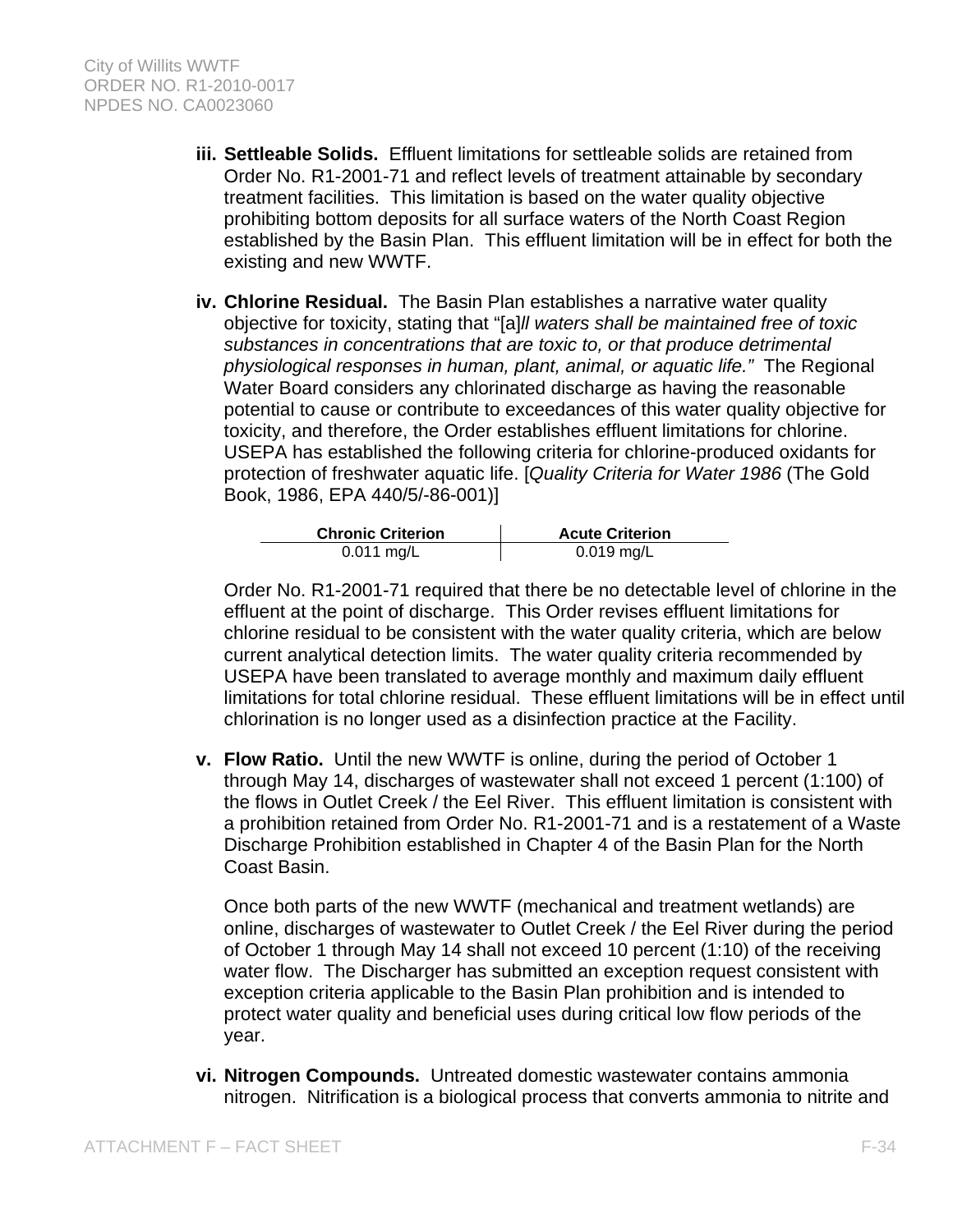- **iii. Settleable Solids.** Effluent limitations for settleable solids are retained from Order No. R1-2001-71 and reflect levels of treatment attainable by secondary treatment facilities. This limitation is based on the water quality objective prohibiting bottom deposits for all surface waters of the North Coast Region established by the Basin Plan. This effluent limitation will be in effect for both the existing and new WWTF.
- **iv. Chlorine Residual.** The Basin Plan establishes a narrative water quality objective for toxicity, stating that "[a]*ll waters shall be maintained free of toxic substances in concentrations that are toxic to, or that produce detrimental physiological responses in human, plant, animal, or aquatic life."* The Regional Water Board considers any chlorinated discharge as having the reasonable potential to cause or contribute to exceedances of this water quality objective for toxicity, and therefore, the Order establishes effluent limitations for chlorine. USEPA has established the following criteria for chlorine-produced oxidants for protection of freshwater aquatic life. [*Quality Criteria for Water 1986* (The Gold Book, 1986, EPA 440/5/-86-001)]

| <b>Chronic Criterion</b> | <b>Acute Criterion</b> |
|--------------------------|------------------------|
| $0.011$ mg/L             | $0.019$ mg/L           |

Order No. R1-2001-71 required that there be no detectable level of chlorine in the effluent at the point of discharge. This Order revises effluent limitations for chlorine residual to be consistent with the water quality criteria, which are below current analytical detection limits. The water quality criteria recommended by USEPA have been translated to average monthly and maximum daily effluent limitations for total chlorine residual. These effluent limitations will be in effect until chlorination is no longer used as a disinfection practice at the Facility.

**v. Flow Ratio.** Until the new WWTF is online, during the period of October 1 through May 14, discharges of wastewater shall not exceed 1 percent (1:100) of the flows in Outlet Creek / the Eel River. This effluent limitation is consistent with a prohibition retained from Order No. R1-2001-71 and is a restatement of a Waste Discharge Prohibition established in Chapter 4 of the Basin Plan for the North Coast Basin.

Once both parts of the new WWTF (mechanical and treatment wetlands) are online, discharges of wastewater to Outlet Creek / the Eel River during the period of October 1 through May 14 shall not exceed 10 percent (1:10) of the receiving water flow. The Discharger has submitted an exception request consistent with exception criteria applicable to the Basin Plan prohibition and is intended to protect water quality and beneficial uses during critical low flow periods of the year.

**vi. Nitrogen Compounds.** Untreated domestic wastewater contains ammonia nitrogen. Nitrification is a biological process that converts ammonia to nitrite and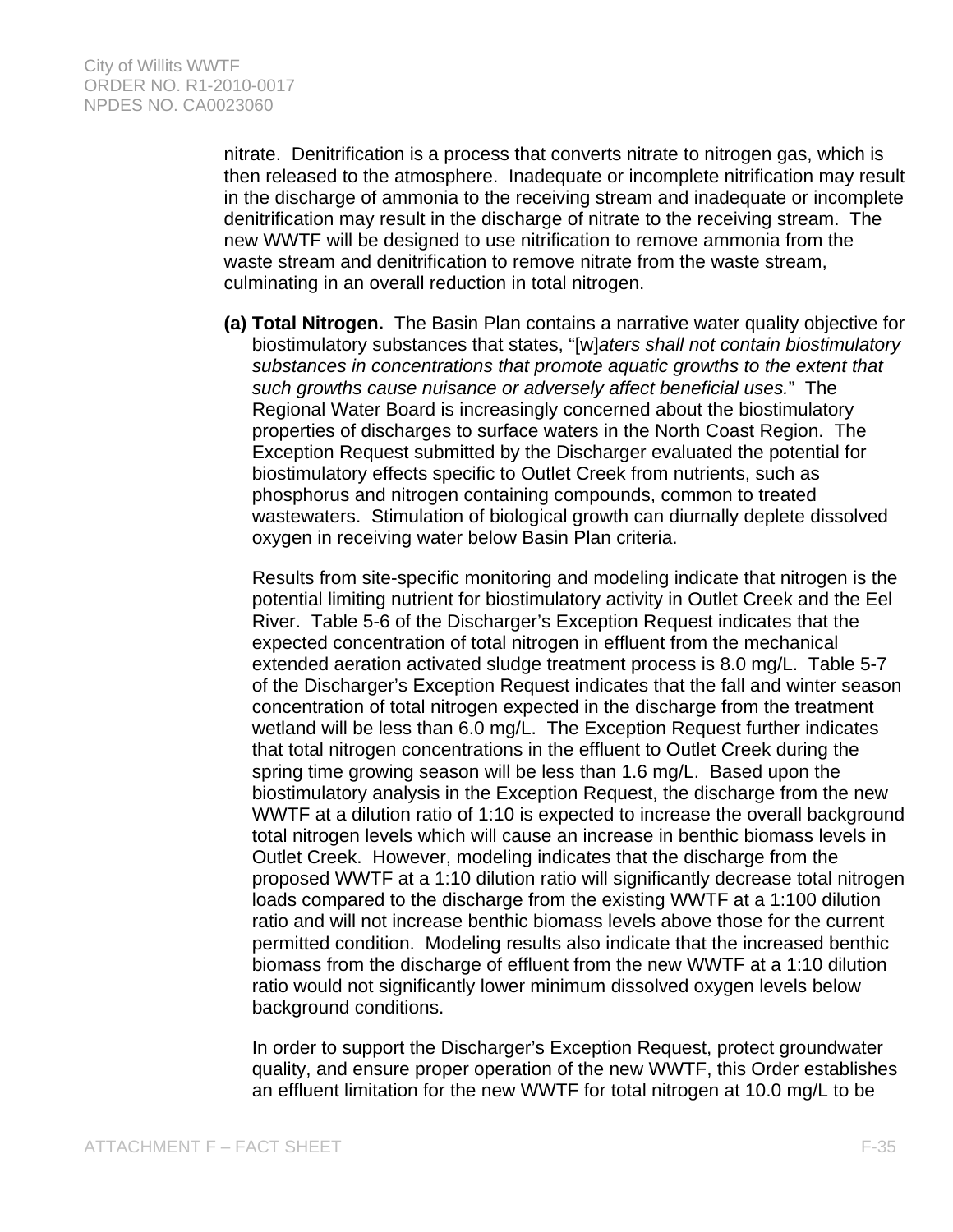nitrate. Denitrification is a process that converts nitrate to nitrogen gas, which is then released to the atmosphere. Inadequate or incomplete nitrification may result in the discharge of ammonia to the receiving stream and inadequate or incomplete denitrification may result in the discharge of nitrate to the receiving stream. The new WWTF will be designed to use nitrification to remove ammonia from the waste stream and denitrification to remove nitrate from the waste stream, culminating in an overall reduction in total nitrogen.

**(a) Total Nitrogen.** The Basin Plan contains a narrative water quality objective for biostimulatory substances that states, "[w]*aters shall not contain biostimulatory substances in concentrations that promote aquatic growths to the extent that such growths cause nuisance or adversely affect beneficial uses.*" The Regional Water Board is increasingly concerned about the biostimulatory properties of discharges to surface waters in the North Coast Region. The Exception Request submitted by the Discharger evaluated the potential for biostimulatory effects specific to Outlet Creek from nutrients, such as phosphorus and nitrogen containing compounds, common to treated wastewaters. Stimulation of biological growth can diurnally deplete dissolved oxygen in receiving water below Basin Plan criteria.

Results from site-specific monitoring and modeling indicate that nitrogen is the potential limiting nutrient for biostimulatory activity in Outlet Creek and the Eel River. Table 5-6 of the Discharger's Exception Request indicates that the expected concentration of total nitrogen in effluent from the mechanical extended aeration activated sludge treatment process is 8.0 mg/L. Table 5-7 of the Discharger's Exception Request indicates that the fall and winter season concentration of total nitrogen expected in the discharge from the treatment wetland will be less than 6.0 mg/L. The Exception Request further indicates that total nitrogen concentrations in the effluent to Outlet Creek during the spring time growing season will be less than 1.6 mg/L. Based upon the biostimulatory analysis in the Exception Request, the discharge from the new WWTF at a dilution ratio of 1:10 is expected to increase the overall background total nitrogen levels which will cause an increase in benthic biomass levels in Outlet Creek. However, modeling indicates that the discharge from the proposed WWTF at a 1:10 dilution ratio will significantly decrease total nitrogen loads compared to the discharge from the existing WWTF at a 1:100 dilution ratio and will not increase benthic biomass levels above those for the current permitted condition. Modeling results also indicate that the increased benthic biomass from the discharge of effluent from the new WWTF at a 1:10 dilution ratio would not significantly lower minimum dissolved oxygen levels below background conditions.

In order to support the Discharger's Exception Request, protect groundwater quality, and ensure proper operation of the new WWTF, this Order establishes an effluent limitation for the new WWTF for total nitrogen at 10.0 mg/L to be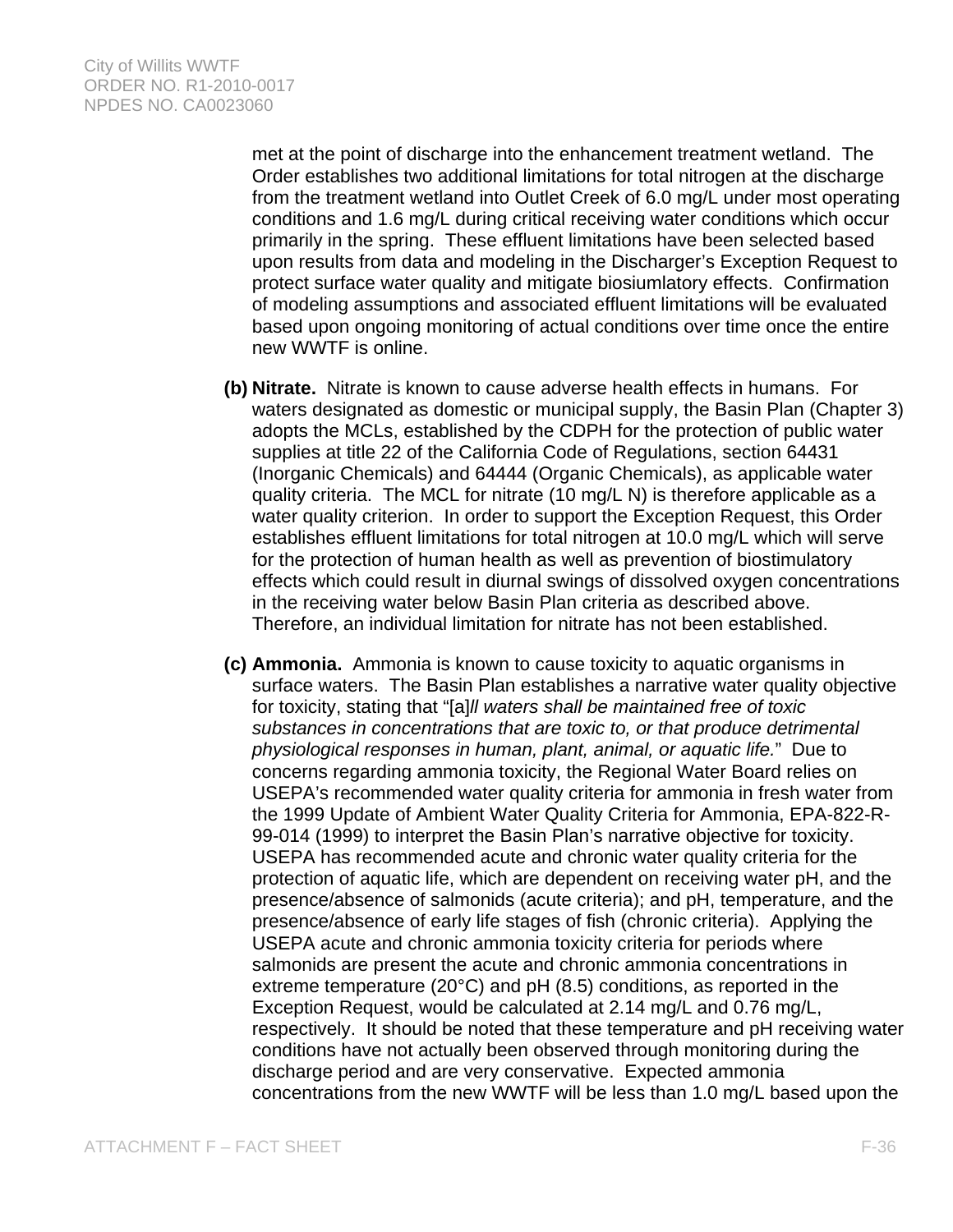met at the point of discharge into the enhancement treatment wetland. The Order establishes two additional limitations for total nitrogen at the discharge from the treatment wetland into Outlet Creek of 6.0 mg/L under most operating conditions and 1.6 mg/L during critical receiving water conditions which occur primarily in the spring. These effluent limitations have been selected based upon results from data and modeling in the Discharger's Exception Request to protect surface water quality and mitigate biosiumlatory effects. Confirmation of modeling assumptions and associated effluent limitations will be evaluated based upon ongoing monitoring of actual conditions over time once the entire new WWTF is online.

- **(b) Nitrate.** Nitrate is known to cause adverse health effects in humans. For waters designated as domestic or municipal supply, the Basin Plan (Chapter 3) adopts the MCLs, established by the CDPH for the protection of public water supplies at title 22 of the California Code of Regulations, section 64431 (Inorganic Chemicals) and 64444 (Organic Chemicals), as applicable water quality criteria. The MCL for nitrate (10 mg/L N) is therefore applicable as a water quality criterion. In order to support the Exception Request, this Order establishes effluent limitations for total nitrogen at 10.0 mg/L which will serve for the protection of human health as well as prevention of biostimulatory effects which could result in diurnal swings of dissolved oxygen concentrations in the receiving water below Basin Plan criteria as described above. Therefore, an individual limitation for nitrate has not been established.
- **(c) Ammonia.** Ammonia is known to cause toxicity to aquatic organisms in surface waters. The Basin Plan establishes a narrative water quality objective for toxicity, stating that "[a]*ll waters shall be maintained free of toxic substances in concentrations that are toxic to, or that produce detrimental physiological responses in human, plant, animal, or aquatic life.*" Due to concerns regarding ammonia toxicity, the Regional Water Board relies on USEPA's recommended water quality criteria for ammonia in fresh water from the 1999 Update of Ambient Water Quality Criteria for Ammonia, EPA-822-R-99-014 (1999) to interpret the Basin Plan's narrative objective for toxicity. USEPA has recommended acute and chronic water quality criteria for the protection of aquatic life, which are dependent on receiving water pH, and the presence/absence of salmonids (acute criteria); and pH, temperature, and the presence/absence of early life stages of fish (chronic criteria). Applying the USEPA acute and chronic ammonia toxicity criteria for periods where salmonids are present the acute and chronic ammonia concentrations in extreme temperature (20°C) and pH (8.5) conditions, as reported in the Exception Request, would be calculated at 2.14 mg/L and 0.76 mg/L, respectively. It should be noted that these temperature and pH receiving water conditions have not actually been observed through monitoring during the discharge period and are very conservative. Expected ammonia concentrations from the new WWTF will be less than 1.0 mg/L based upon the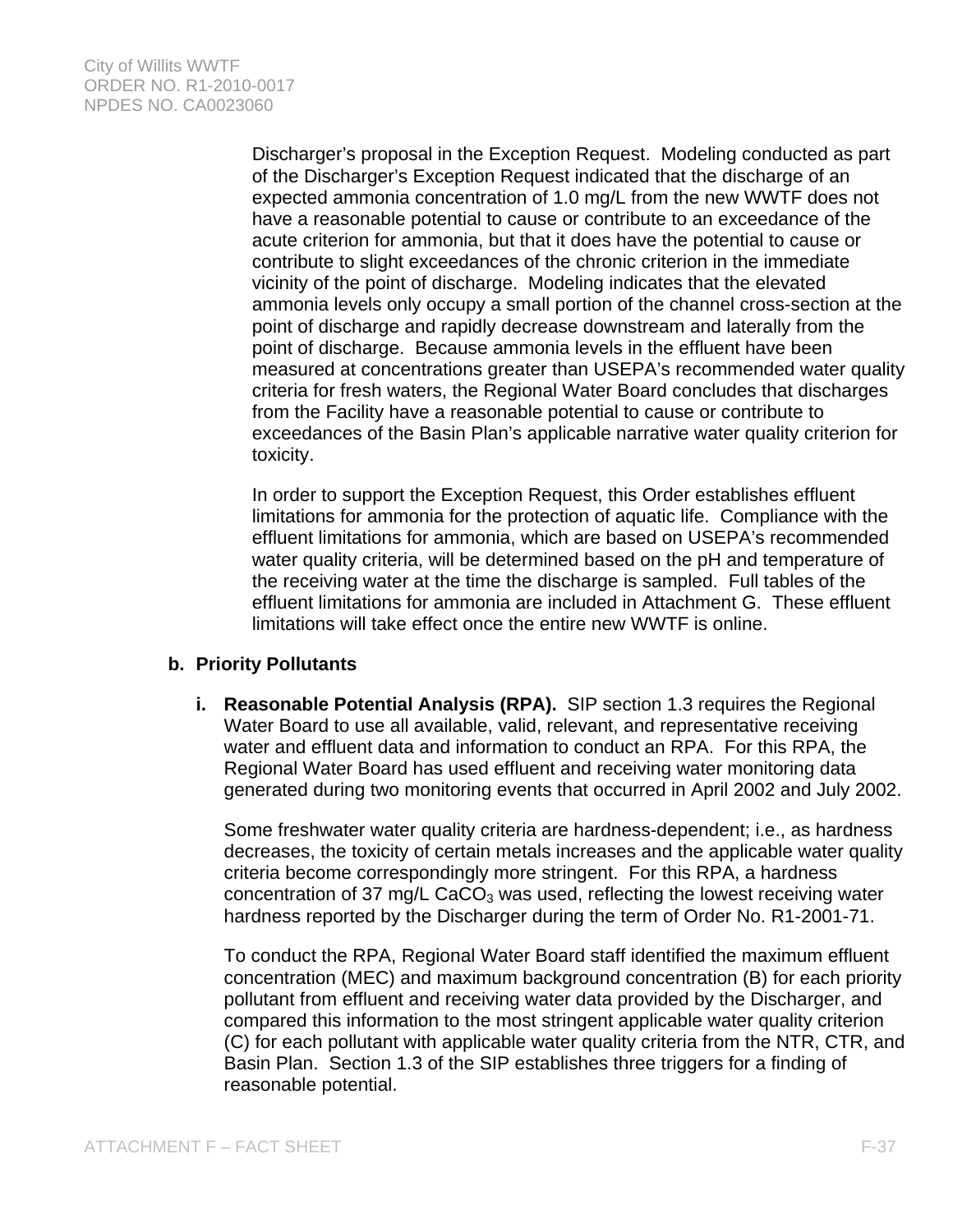Discharger's proposal in the Exception Request. Modeling conducted as part of the Discharger's Exception Request indicated that the discharge of an expected ammonia concentration of 1.0 mg/L from the new WWTF does not have a reasonable potential to cause or contribute to an exceedance of the acute criterion for ammonia, but that it does have the potential to cause or contribute to slight exceedances of the chronic criterion in the immediate vicinity of the point of discharge. Modeling indicates that the elevated ammonia levels only occupy a small portion of the channel cross-section at the point of discharge and rapidly decrease downstream and laterally from the point of discharge. Because ammonia levels in the effluent have been measured at concentrations greater than USEPA's recommended water quality criteria for fresh waters, the Regional Water Board concludes that discharges from the Facility have a reasonable potential to cause or contribute to exceedances of the Basin Plan's applicable narrative water quality criterion for toxicity.

In order to support the Exception Request, this Order establishes effluent limitations for ammonia for the protection of aquatic life. Compliance with the effluent limitations for ammonia, which are based on USEPA's recommended water quality criteria, will be determined based on the pH and temperature of the receiving water at the time the discharge is sampled. Full tables of the effluent limitations for ammonia are included in Attachment G. These effluent limitations will take effect once the entire new WWTF is online.

### **b. Priority Pollutants**

**i. Reasonable Potential Analysis (RPA).** SIP section 1.3 requires the Regional Water Board to use all available, valid, relevant, and representative receiving water and effluent data and information to conduct an RPA. For this RPA, the Regional Water Board has used effluent and receiving water monitoring data generated during two monitoring events that occurred in April 2002 and July 2002.

Some freshwater water quality criteria are hardness-dependent; i.e., as hardness decreases, the toxicity of certain metals increases and the applicable water quality criteria become correspondingly more stringent. For this RPA, a hardness concentration of 37 mg/L  $CaCO<sub>3</sub>$  was used, reflecting the lowest receiving water hardness reported by the Discharger during the term of Order No. R1-2001-71.

To conduct the RPA, Regional Water Board staff identified the maximum effluent concentration (MEC) and maximum background concentration (B) for each priority pollutant from effluent and receiving water data provided by the Discharger, and compared this information to the most stringent applicable water quality criterion (C) for each pollutant with applicable water quality criteria from the NTR, CTR, and Basin Plan. Section 1.3 of the SIP establishes three triggers for a finding of reasonable potential.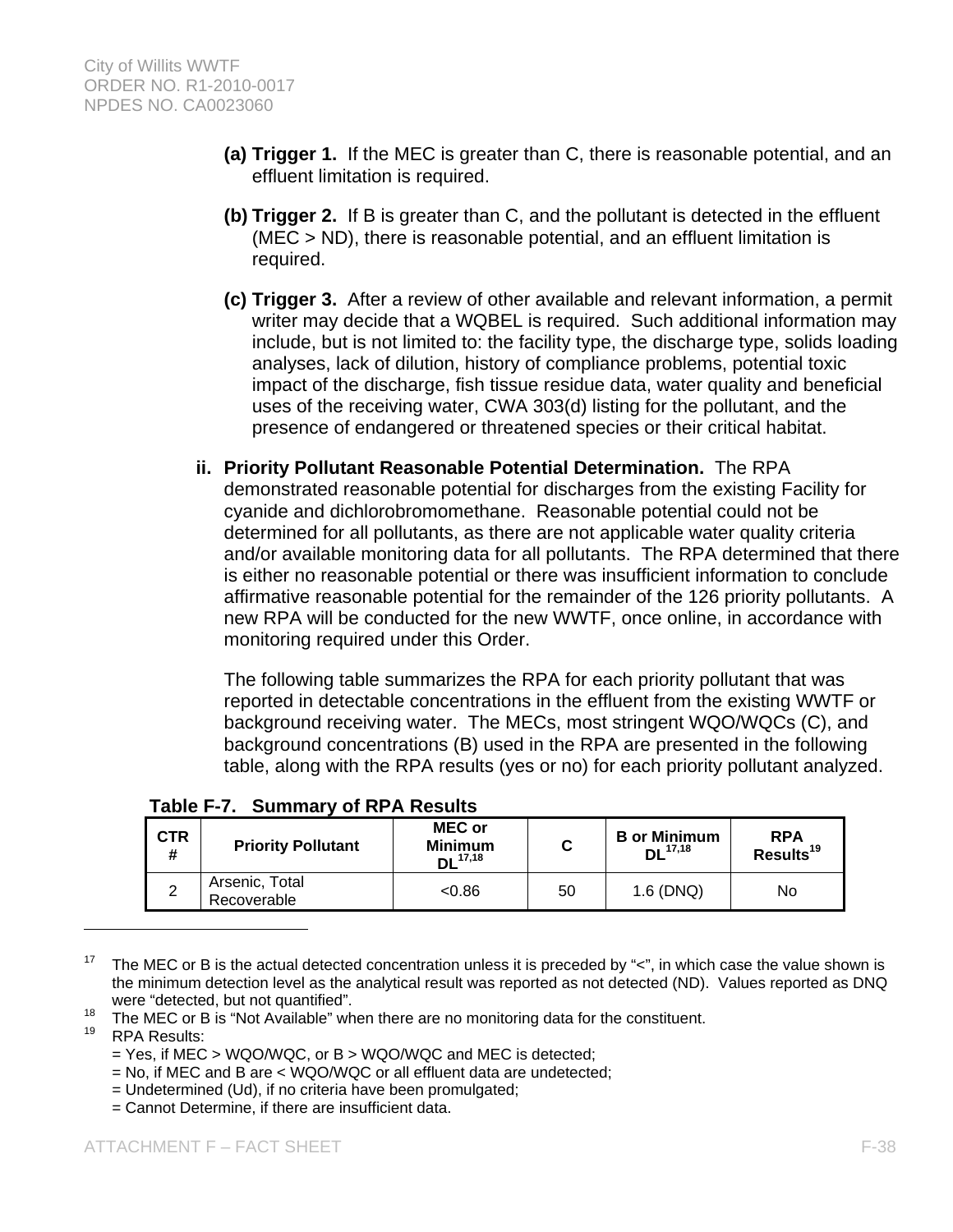- **(a) Trigger 1.** If the MEC is greater than C, there is reasonable potential, and an effluent limitation is required.
- **(b) Trigger 2.** If B is greater than C, and the pollutant is detected in the effluent (MEC > ND), there is reasonable potential, and an effluent limitation is required.
- **(c) Trigger 3.** After a review of other available and relevant information, a permit writer may decide that a WQBEL is required. Such additional information may include, but is not limited to: the facility type, the discharge type, solids loading analyses, lack of dilution, history of compliance problems, potential toxic impact of the discharge, fish tissue residue data, water quality and beneficial uses of the receiving water, CWA 303(d) listing for the pollutant, and the presence of endangered or threatened species or their critical habitat.
- **ii. Priority Pollutant Reasonable Potential Determination.** The RPA demonstrated reasonable potential for discharges from the existing Facility for cyanide and dichlorobromomethane. Reasonable potential could not be determined for all pollutants, as there are not applicable water quality criteria and/or available monitoring data for all pollutants. The RPA determined that there is either no reasonable potential or there was insufficient information to conclude affirmative reasonable potential for the remainder of the 126 priority pollutants. A new RPA will be conducted for the new WWTF, once online, in accordance with monitoring required under this Order.

The following table summarizes the RPA for each priority pollutant that was reported in detectable concentrations in the effluent from the existing WWTF or background receiving water. The MECs, most stringent WQO/WQCs (C), and background concentrations (B) used in the RPA are presented in the following table, along with the RPA results (yes or no) for each priority pollutant analyzed.

| <b>CTR</b><br># | <b>Priority Pollutant</b>     | <b>MEC or</b><br><b>Minimum</b><br>$DL^{17,18}$ |    | <b>B</b> or Minimum<br>DL <sup>17,18</sup> | <b>RPA</b><br>Results <sup>19</sup> |
|-----------------|-------------------------------|-------------------------------------------------|----|--------------------------------------------|-------------------------------------|
|                 | Arsenic, Total<br>Recoverable | < 0.86                                          | 50 | 1.6 (DNQ)                                  | No                                  |

## **Table F-7. Summary of RPA Results**

- = Yes, if MEC > WQO/WQC, or B > WQO/WQC and MEC is detected;
- = No, if MEC and B are < WQO/WQC or all effluent data are undetected;
- = Undetermined (Ud), if no criteria have been promulgated;
- = Cannot Determine, if there are insufficient data.

<sup>&</sup>lt;sup>17</sup> The MEC or B is the actual detected concentration unless it is preceded by " $\lt$ ", in which case the value shown is the minimum detection level as the analytical result was reported as not detected (ND). Values reported as DNQ

were "detected, but not quantified".<br>
<sup>18</sup> The MEC or B is "Not Available" when there are no monitoring data for the constituent.<br>
<sup>19</sup> RPA Results: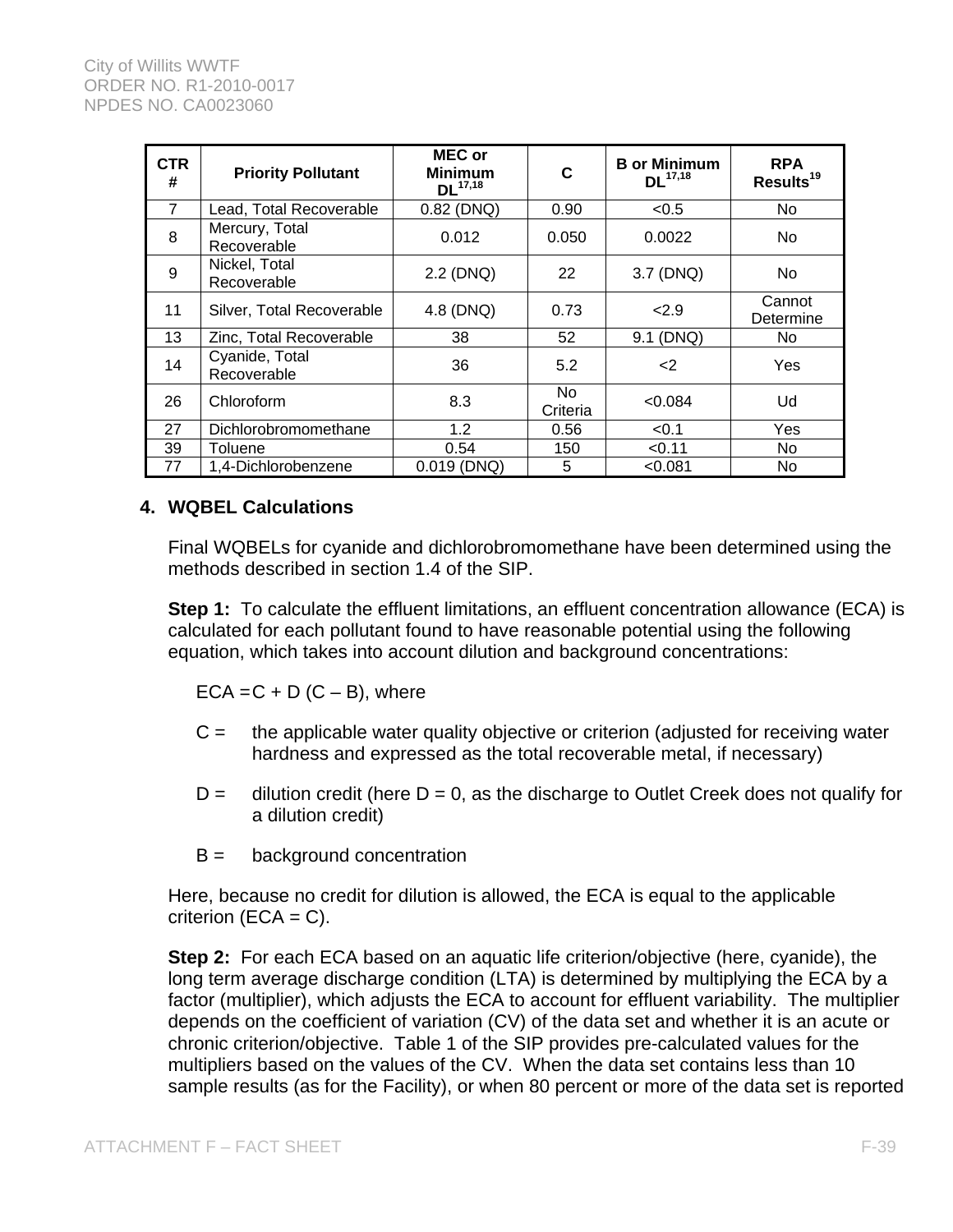| <b>CTR</b><br># | <b>Priority Pollutant</b>     | <b>MEC or</b><br><b>Minimum</b><br>$DL^{17,18}$ | C              | <b>B</b> or Minimum<br>$DL^{17,18}$ | <b>RPA</b><br>Results <sup>19</sup> |
|-----------------|-------------------------------|-------------------------------------------------|----------------|-------------------------------------|-------------------------------------|
| 7               | Lead, Total Recoverable       | 0.82 (DNQ)                                      | 0.90           | < 0.5                               | No                                  |
| 8               | Mercury, Total<br>Recoverable | 0.012                                           | 0.050          | 0.0022                              | No                                  |
| 9               | Nickel, Total<br>Recoverable  | 2.2 (DNQ)                                       | 22             | 3.7 (DNQ)                           | No                                  |
| 11              | Silver, Total Recoverable     | 4.8 (DNQ)                                       | 0.73           | 2.9                                 | Cannot<br>Determine                 |
| 13              | Zinc, Total Recoverable       | 38                                              | 52             | 9.1 (DNQ)                           | No.                                 |
| 14              | Cyanide, Total<br>Recoverable | 36                                              | 5.2            | $\leq$                              | Yes                                 |
| 26              | Chloroform                    | 8.3                                             | No<br>Criteria | < 0.084                             | Ud                                  |
| 27              | Dichlorobromomethane          | 1.2                                             | 0.56           | < 0.1                               | Yes                                 |
| 39              | Toluene                       | 0.54                                            | 150            | < 0.11                              | No                                  |
| 77              | 1,4-Dichlorobenzene           | $0.019$ (DNQ)                                   | 5              | < 0.081                             | No                                  |

## **4. WQBEL Calculations**

Final WQBELs for cyanide and dichlorobromomethane have been determined using the methods described in section 1.4 of the SIP.

**Step 1:** To calculate the effluent limitations, an effluent concentration allowance (ECA) is calculated for each pollutant found to have reasonable potential using the following equation, which takes into account dilution and background concentrations:

 $ECA = C + D (C - B)$ , where

- $C =$  the applicable water quality objective or criterion (adjusted for receiving water hardness and expressed as the total recoverable metal, if necessary)
- $D =$  dilution credit (here  $D = 0$ , as the discharge to Outlet Creek does not qualify for a dilution credit)
- $B =$  background concentration

Here, because no credit for dilution is allowed, the ECA is equal to the applicable criterion  $(ECA = C)$ .

**Step 2:** For each ECA based on an aquatic life criterion/objective (here, cyanide), the long term average discharge condition (LTA) is determined by multiplying the ECA by a factor (multiplier), which adjusts the ECA to account for effluent variability. The multiplier depends on the coefficient of variation (CV) of the data set and whether it is an acute or chronic criterion/objective. Table 1 of the SIP provides pre-calculated values for the multipliers based on the values of the CV. When the data set contains less than 10 sample results (as for the Facility), or when 80 percent or more of the data set is reported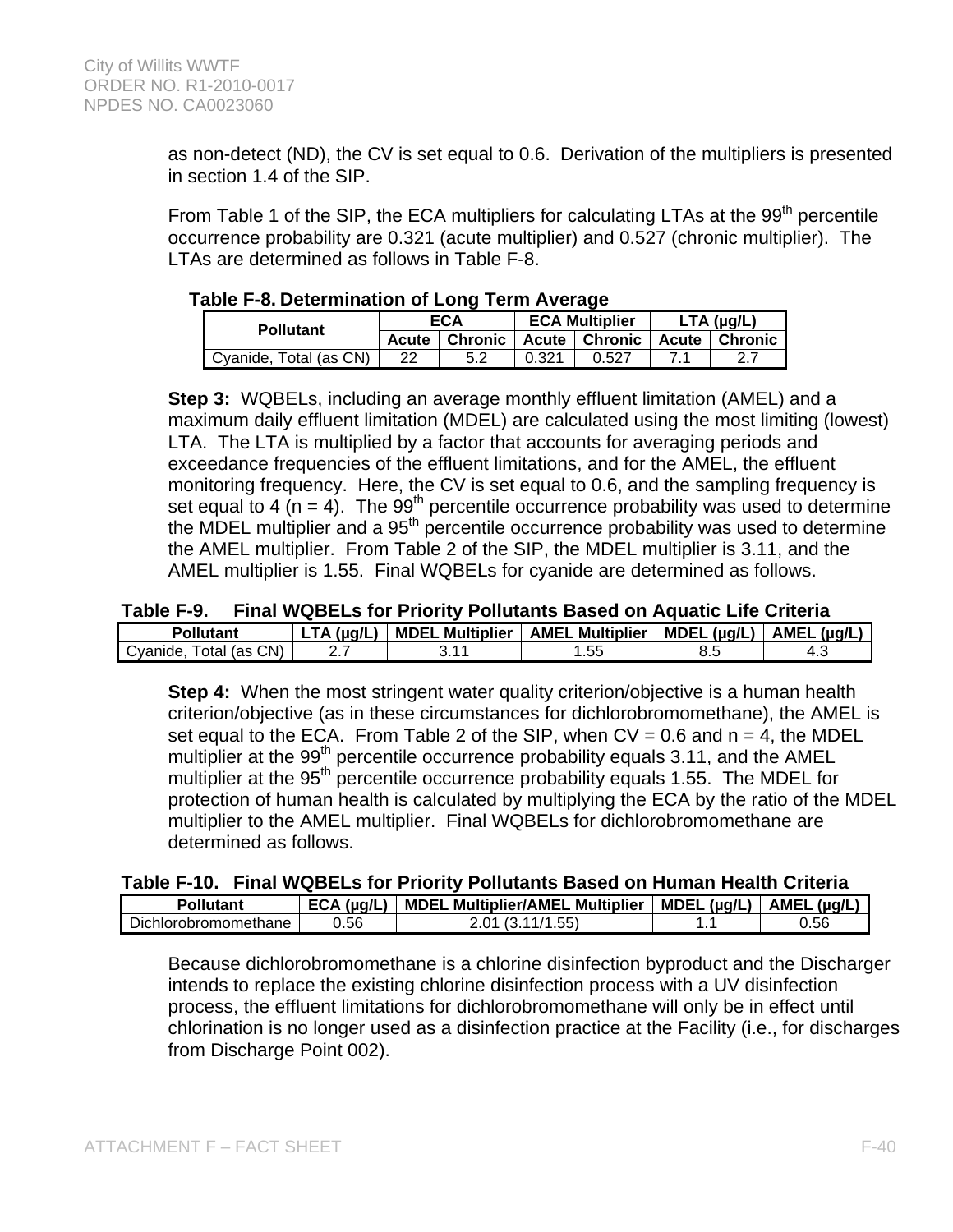as non-detect (ND), the CV is set equal to 0.6. Derivation of the multipliers is presented in section 1.4 of the SIP.

From Table 1 of the SIP, the ECA multipliers for calculating LTAs at the 99<sup>th</sup> percentile occurrence probability are 0.321 (acute multiplier) and 0.527 (chronic multiplier). The LTAs are determined as follows in Table F-8.

### **Table F-8. Determination of Long Term Average**

| <b>Pollutant</b>       | ECA   |           | <b>ECA Multiplier</b> |                  | $LTA$ ( $\mu$ g/L) |                        |
|------------------------|-------|-----------|-----------------------|------------------|--------------------|------------------------|
|                        | Acute | l Chronic | <b>Acute</b>          | <b>∣ Chronic</b> |                    | <b>Acute   Chronic</b> |
| Cyanide, Total (as CN) | 22    |           | 0.321                 | 0.527            |                    |                        |

**Step 3:** WQBELs, including an average monthly effluent limitation (AMEL) and a maximum daily effluent limitation (MDEL) are calculated using the most limiting (lowest) LTA. The LTA is multiplied by a factor that accounts for averaging periods and exceedance frequencies of the effluent limitations, and for the AMEL, the effluent monitoring frequency. Here, the CV is set equal to 0.6, and the sampling frequency is set equal to 4 (n = 4). The 99<sup>th</sup> percentile occurrence probability was used to determine the MDEL multiplier and a 95<sup>th</sup> percentile occurrence probability was used to determine the AMEL multiplier. From Table 2 of the SIP, the MDEL multiplier is 3.11, and the AMEL multiplier is 1.55. Final WQBELs for cyanide are determined as follows.

#### **Table F-9. Final WQBELs for Priority Pollutants Based on Aquatic Life Criteria**

| Pollutant                       | (µg/L) | <b>Multiplier</b><br><b>MDEL</b> | <b>Multiplier</b><br>AMEL | MDEL $(\mu q/L)$ | (µq/L,<br><b>AMEL</b> |
|---------------------------------|--------|----------------------------------|---------------------------|------------------|-----------------------|
| CN)<br>Cvanide.<br>l (as<br>ota | .      |                                  | . . JJ                    | ∪.∪              |                       |

**Step 4:** When the most stringent water quality criterion/objective is a human health criterion/objective (as in these circumstances for dichlorobromomethane), the AMEL is set equal to the ECA. From Table 2 of the SIP, when  $CV = 0.6$  and  $n = 4$ , the MDEL multiplier at the 99<sup>th</sup> percentile occurrence probability equals 3.11, and the AMEL multiplier at the 95<sup>th</sup> percentile occurrence probability equals 1.55. The MDEL for protection of human health is calculated by multiplying the ECA by the ratio of the MDEL multiplier to the AMEL multiplier. Final WQBELs for dichlorobromomethane are determined as follows.

### **Table F-10. Final WQBELs for Priority Pollutants Based on Human Health Criteria**

| Pollutant            | (ua/L<br><b>ECA</b> | <b>MDEL Multiplier/AMEL Multiplier</b> | $MDEL$ ( $\mu q/L$ ) | AMEL (µq/L, |
|----------------------|---------------------|----------------------------------------|----------------------|-------------|
| Dichlorobromomethane | ა.56                | F(Y)                                   | . .                  | ว.56        |

Because dichlorobromomethane is a chlorine disinfection byproduct and the Discharger intends to replace the existing chlorine disinfection process with a UV disinfection process, the effluent limitations for dichlorobromomethane will only be in effect until chlorination is no longer used as a disinfection practice at the Facility (i.e., for discharges from Discharge Point 002).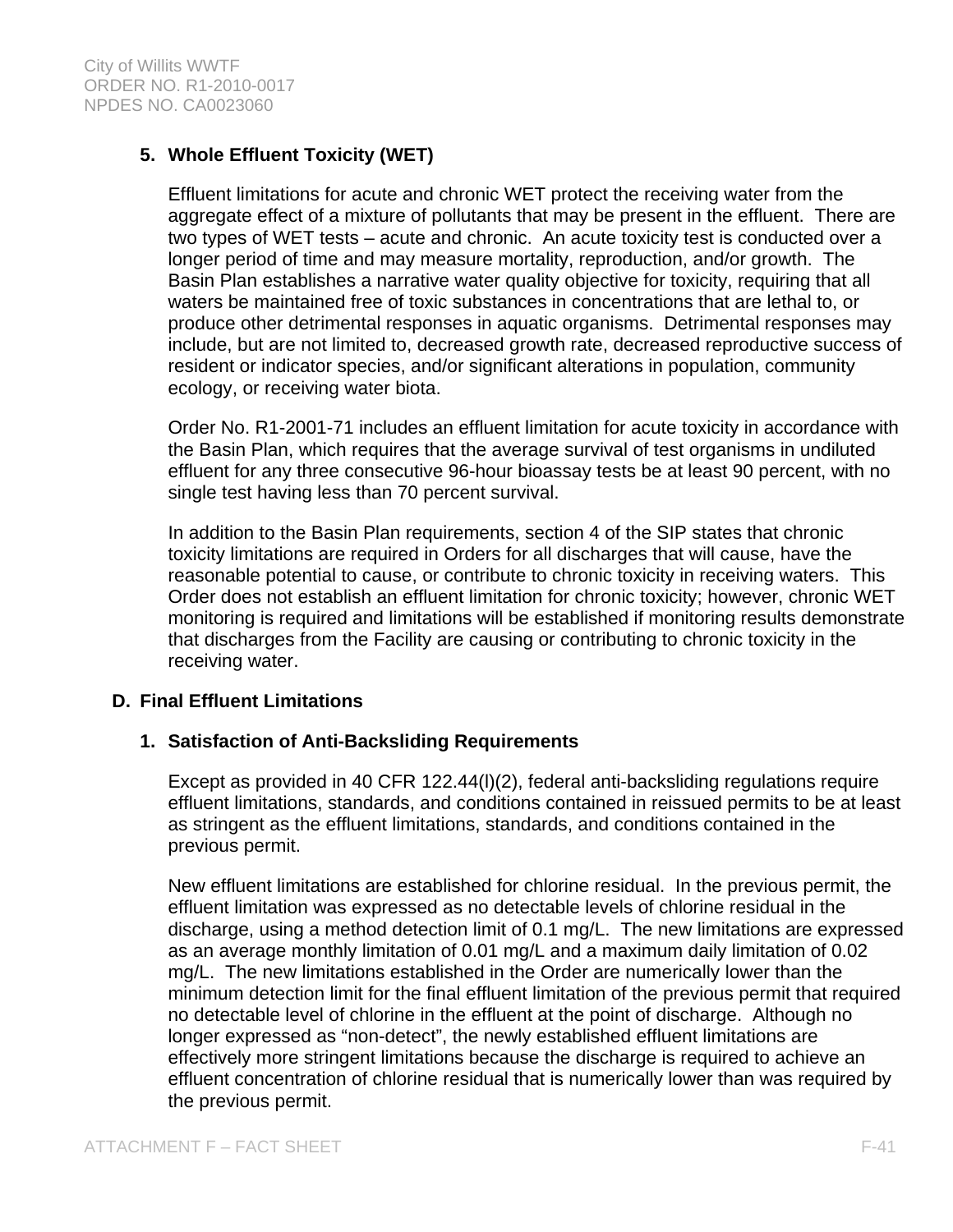# **5. Whole Effluent Toxicity (WET)**

Effluent limitations for acute and chronic WET protect the receiving water from the aggregate effect of a mixture of pollutants that may be present in the effluent. There are two types of WET tests – acute and chronic. An acute toxicity test is conducted over a longer period of time and may measure mortality, reproduction, and/or growth. The Basin Plan establishes a narrative water quality objective for toxicity, requiring that all waters be maintained free of toxic substances in concentrations that are lethal to, or produce other detrimental responses in aquatic organisms. Detrimental responses may include, but are not limited to, decreased growth rate, decreased reproductive success of resident or indicator species, and/or significant alterations in population, community ecology, or receiving water biota.

Order No. R1-2001-71 includes an effluent limitation for acute toxicity in accordance with the Basin Plan, which requires that the average survival of test organisms in undiluted effluent for any three consecutive 96-hour bioassay tests be at least 90 percent, with no single test having less than 70 percent survival.

In addition to the Basin Plan requirements, section 4 of the SIP states that chronic toxicity limitations are required in Orders for all discharges that will cause, have the reasonable potential to cause, or contribute to chronic toxicity in receiving waters. This Order does not establish an effluent limitation for chronic toxicity; however, chronic WET monitoring is required and limitations will be established if monitoring results demonstrate that discharges from the Facility are causing or contributing to chronic toxicity in the receiving water.

## **D. Final Effluent Limitations**

### **1. Satisfaction of Anti-Backsliding Requirements**

Except as provided in 40 CFR 122.44(l)(2), federal anti-backsliding regulations require effluent limitations, standards, and conditions contained in reissued permits to be at least as stringent as the effluent limitations, standards, and conditions contained in the previous permit.

New effluent limitations are established for chlorine residual. In the previous permit, the effluent limitation was expressed as no detectable levels of chlorine residual in the discharge, using a method detection limit of 0.1 mg/L. The new limitations are expressed as an average monthly limitation of 0.01 mg/L and a maximum daily limitation of 0.02 mg/L. The new limitations established in the Order are numerically lower than the minimum detection limit for the final effluent limitation of the previous permit that required no detectable level of chlorine in the effluent at the point of discharge. Although no longer expressed as "non-detect", the newly established effluent limitations are effectively more stringent limitations because the discharge is required to achieve an effluent concentration of chlorine residual that is numerically lower than was required by the previous permit.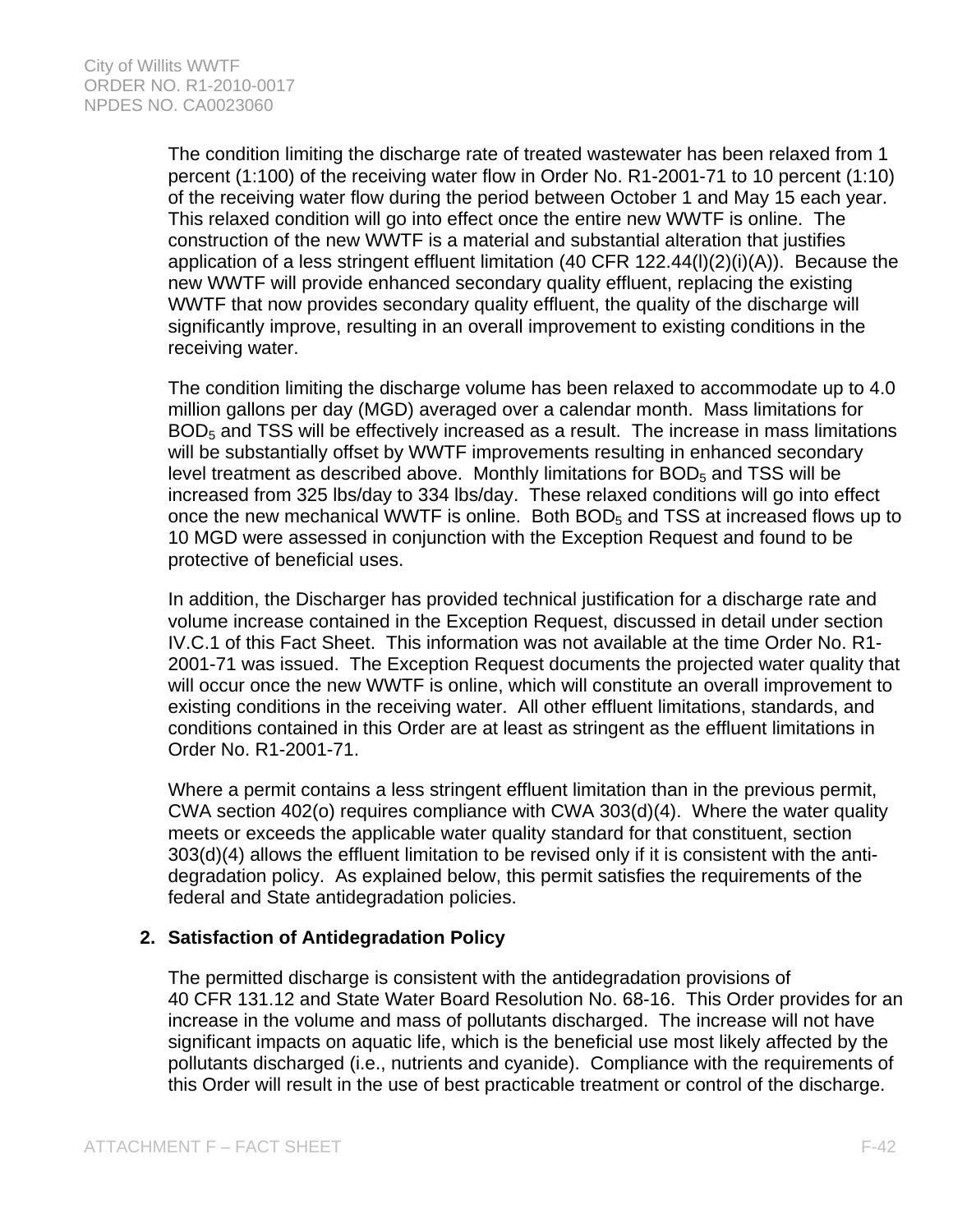The condition limiting the discharge rate of treated wastewater has been relaxed from 1 percent (1:100) of the receiving water flow in Order No. R1-2001-71 to 10 percent (1:10) of the receiving water flow during the period between October 1 and May 15 each year. This relaxed condition will go into effect once the entire new WWTF is online. The construction of the new WWTF is a material and substantial alteration that justifies application of a less stringent effluent limitation (40 CFR 122.44(l)(2)(i)(A)). Because the new WWTF will provide enhanced secondary quality effluent, replacing the existing WWTF that now provides secondary quality effluent, the quality of the discharge will significantly improve, resulting in an overall improvement to existing conditions in the receiving water.

The condition limiting the discharge volume has been relaxed to accommodate up to 4.0 million gallons per day (MGD) averaged over a calendar month. Mass limitations for  $BOD<sub>5</sub>$  and TSS will be effectively increased as a result. The increase in mass limitations will be substantially offset by WWTF improvements resulting in enhanced secondary level treatment as described above. Monthly limitations for  $BOD<sub>5</sub>$  and TSS will be increased from 325 lbs/day to 334 lbs/day. These relaxed conditions will go into effect once the new mechanical WWTF is online. Both  $BOD<sub>5</sub>$  and TSS at increased flows up to 10 MGD were assessed in conjunction with the Exception Request and found to be protective of beneficial uses.

In addition, the Discharger has provided technical justification for a discharge rate and volume increase contained in the Exception Request, discussed in detail under section IV.C.1 of this Fact Sheet. This information was not available at the time Order No. R1- 2001-71 was issued. The Exception Request documents the projected water quality that will occur once the new WWTF is online, which will constitute an overall improvement to existing conditions in the receiving water. All other effluent limitations, standards, and conditions contained in this Order are at least as stringent as the effluent limitations in Order No. R1-2001-71.

Where a permit contains a less stringent effluent limitation than in the previous permit, CWA section 402(o) requires compliance with CWA 303(d)(4). Where the water quality meets or exceeds the applicable water quality standard for that constituent, section 303(d)(4) allows the effluent limitation to be revised only if it is consistent with the antidegradation policy. As explained below, this permit satisfies the requirements of the federal and State antidegradation policies.

## **2. Satisfaction of Antidegradation Policy**

The permitted discharge is consistent with the antidegradation provisions of 40 CFR 131.12 and State Water Board Resolution No. 68-16. This Order provides for an increase in the volume and mass of pollutants discharged. The increase will not have significant impacts on aquatic life, which is the beneficial use most likely affected by the pollutants discharged (i.e., nutrients and cyanide). Compliance with the requirements of this Order will result in the use of best practicable treatment or control of the discharge.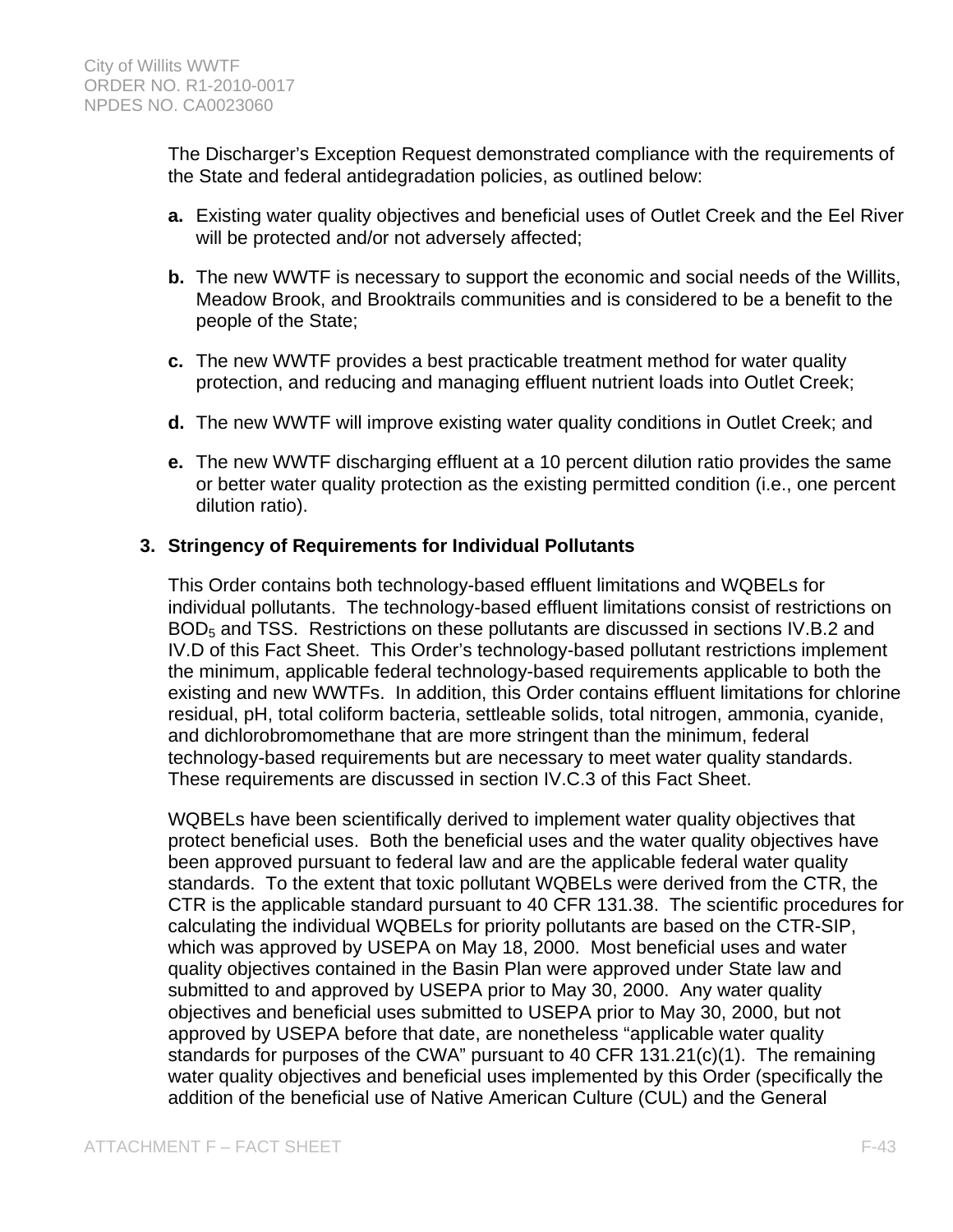The Discharger's Exception Request demonstrated compliance with the requirements of the State and federal antidegradation policies, as outlined below:

- **a.** Existing water quality objectives and beneficial uses of Outlet Creek and the Eel River will be protected and/or not adversely affected;
- **b.** The new WWTF is necessary to support the economic and social needs of the Willits, Meadow Brook, and Brooktrails communities and is considered to be a benefit to the people of the State;
- **c.** The new WWTF provides a best practicable treatment method for water quality protection, and reducing and managing effluent nutrient loads into Outlet Creek;
- **d.** The new WWTF will improve existing water quality conditions in Outlet Creek; and
- **e.** The new WWTF discharging effluent at a 10 percent dilution ratio provides the same or better water quality protection as the existing permitted condition (i.e., one percent dilution ratio).

## **3. Stringency of Requirements for Individual Pollutants**

This Order contains both technology-based effluent limitations and WQBELs for individual pollutants. The technology-based effluent limitations consist of restrictions on BOD<sub>5</sub> and TSS. Restrictions on these pollutants are discussed in sections IV.B.2 and IV.D of this Fact Sheet. This Order's technology-based pollutant restrictions implement the minimum, applicable federal technology-based requirements applicable to both the existing and new WWTFs. In addition, this Order contains effluent limitations for chlorine residual, pH, total coliform bacteria, settleable solids, total nitrogen, ammonia, cyanide, and dichlorobromomethane that are more stringent than the minimum, federal technology-based requirements but are necessary to meet water quality standards. These requirements are discussed in section IV.C.3 of this Fact Sheet.

WQBELs have been scientifically derived to implement water quality objectives that protect beneficial uses. Both the beneficial uses and the water quality objectives have been approved pursuant to federal law and are the applicable federal water quality standards. To the extent that toxic pollutant WQBELs were derived from the CTR, the CTR is the applicable standard pursuant to 40 CFR 131.38. The scientific procedures for calculating the individual WQBELs for priority pollutants are based on the CTR-SIP, which was approved by USEPA on May 18, 2000. Most beneficial uses and water quality objectives contained in the Basin Plan were approved under State law and submitted to and approved by USEPA prior to May 30, 2000. Any water quality objectives and beneficial uses submitted to USEPA prior to May 30, 2000, but not approved by USEPA before that date, are nonetheless "applicable water quality standards for purposes of the CWA" pursuant to 40 CFR 131.21(c)(1). The remaining water quality objectives and beneficial uses implemented by this Order (specifically the addition of the beneficial use of Native American Culture (CUL) and the General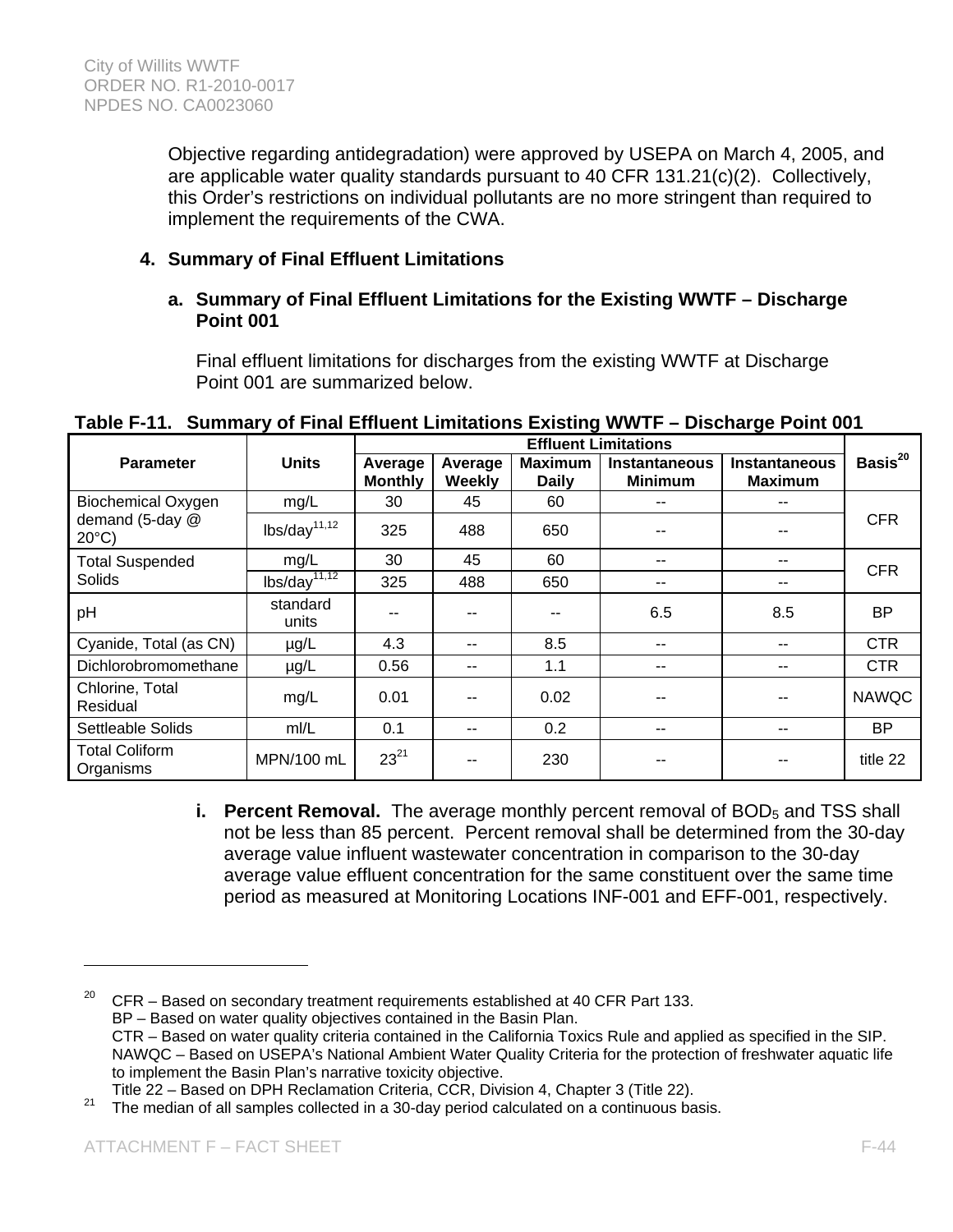Objective regarding antidegradation) were approved by USEPA on March 4, 2005, and are applicable water quality standards pursuant to 40 CFR 131.21(c)(2). Collectively, this Order's restrictions on individual pollutants are no more stringent than required to implement the requirements of the CWA.

# **4. Summary of Final Effluent Limitations**

### **a. Summary of Final Effluent Limitations for the Existing WWTF – Discharge Point 001**

Final effluent limitations for discharges from the existing WWTF at Discharge Point 001 are summarized below.

|                                    |                                        |                           |                   | <b>Effluent Limitations</b>    |                                        |                                        |               |
|------------------------------------|----------------------------------------|---------------------------|-------------------|--------------------------------|----------------------------------------|----------------------------------------|---------------|
| <b>Parameter</b>                   | <b>Units</b>                           | Average<br><b>Monthly</b> | Average<br>Weekly | <b>Maximum</b><br><b>Daily</b> | <b>Instantaneous</b><br><b>Minimum</b> | <b>Instantaneous</b><br><b>Maximum</b> | Basis $^{20}$ |
| <b>Biochemical Oxygen</b>          | mg/L                                   | 30                        | 45                | 60                             |                                        | --                                     |               |
| demand (5-day @<br>$20^{\circ}$ C) | lbs/day <sup>11,12</sup>               | 325                       | 488               | 650                            |                                        |                                        | <b>CFR</b>    |
| <b>Total Suspended</b>             | mg/L                                   | 30                        | 45                | 60                             |                                        | --                                     | <b>CFR</b>    |
| <b>Solids</b>                      | $\frac{1}{1}$ lbs/day <sup>11,12</sup> | 325                       | 488               | 650                            | --                                     | --                                     |               |
| pH                                 | standard<br>units                      | --                        | --                |                                | 6.5                                    | 8.5                                    | <b>BP</b>     |
| Cyanide, Total (as CN)             | $\mu$ g/L                              | 4.3                       | --                | 8.5                            |                                        | --                                     | <b>CTR</b>    |
| Dichlorobromomethane               | $\mu$ g/L                              | 0.56                      | --                | 1.1                            |                                        | --                                     | <b>CTR</b>    |
| Chlorine, Total<br>Residual        | mg/L                                   | 0.01                      | --                | 0.02                           |                                        |                                        | <b>NAWQC</b>  |
| Settleable Solids                  | mI/L                                   | 0.1                       | --                | 0.2                            |                                        | --                                     | <b>BP</b>     |
| <b>Total Coliform</b><br>Organisms | MPN/100 mL                             | $23^{21}$                 | --                | 230                            |                                        |                                        | title 22      |

# **Table F-11. Summary of Final Effluent Limitations Existing WWTF – Discharge Point 001**

**i. Percent Removal.** The average monthly percent removal of BOD<sub>5</sub> and TSS shall not be less than 85 percent. Percent removal shall be determined from the 30-day average value influent wastewater concentration in comparison to the 30-day average value effluent concentration for the same constituent over the same time period as measured at Monitoring Locations INF-001 and EFF-001, respectively.

 $20$  CFR – Based on secondary treatment requirements established at 40 CFR Part 133. BP – Based on water quality objectives contained in the Basin Plan. CTR – Based on water quality criteria contained in the California Toxics Rule and applied as specified in the SIP. NAWQC – Based on USEPA's National Ambient Water Quality Criteria for the protection of freshwater aquatic life to implement the Basin Plan's narrative toxicity objective.<br>Title 22 – Based on DPH Reclamation Criteria, CCR, Division 4, Chapter 3 (Title 22).

<sup>&</sup>lt;sup>21</sup> The median of all samples collected in a 30-day period calculated on a continuous basis.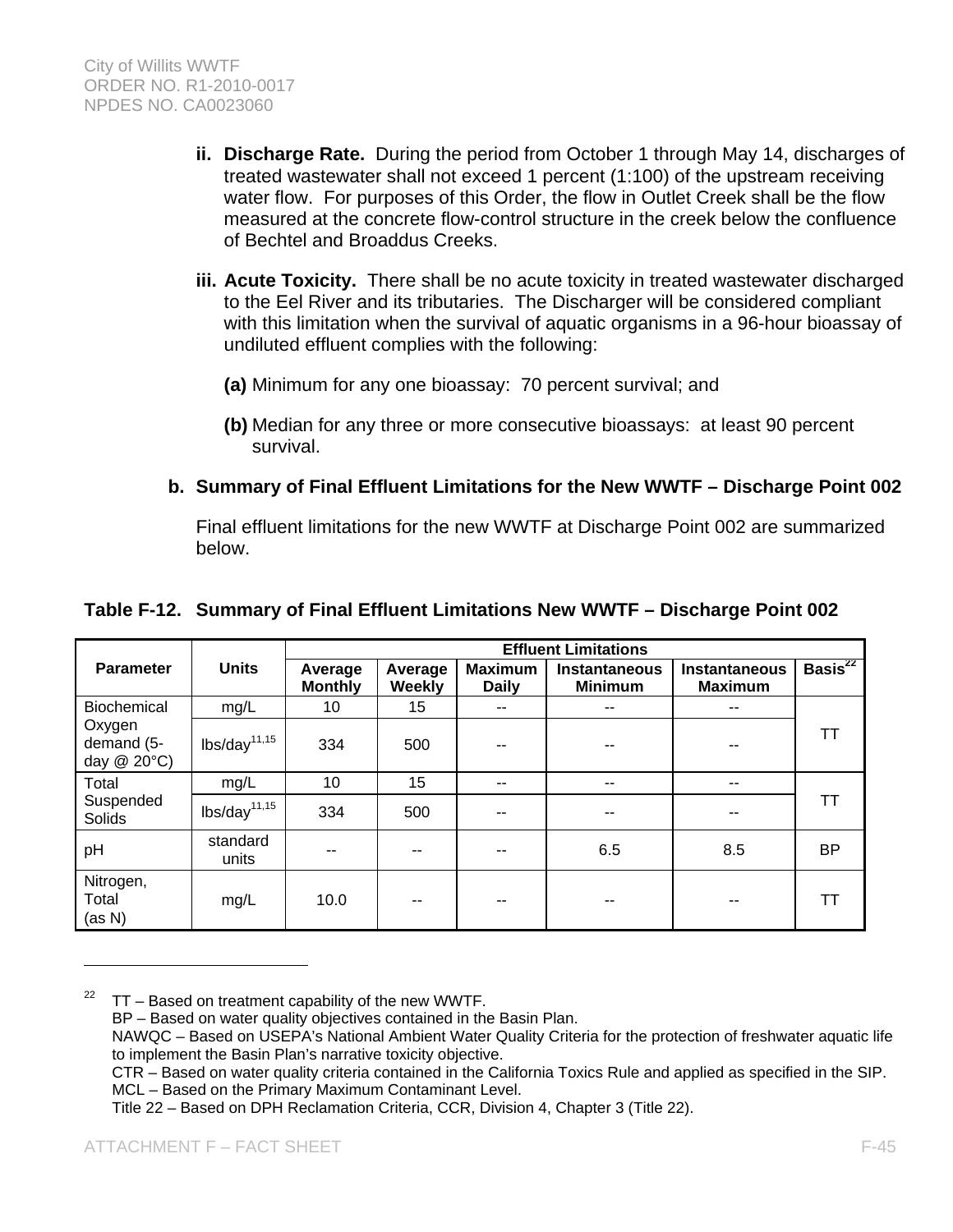- **ii. Discharge Rate.** During the period from October 1 through May 14, discharges of treated wastewater shall not exceed 1 percent (1:100) of the upstream receiving water flow. For purposes of this Order, the flow in Outlet Creek shall be the flow measured at the concrete flow-control structure in the creek below the confluence of Bechtel and Broaddus Creeks.
- **iii. Acute Toxicity.** There shall be no acute toxicity in treated wastewater discharged to the Eel River and its tributaries. The Discharger will be considered compliant with this limitation when the survival of aquatic organisms in a 96-hour bioassay of undiluted effluent complies with the following:
	- **(a)** Minimum for any one bioassay: 70 percent survival; and
	- **(b)** Median for any three or more consecutive bioassays: at least 90 percent survival.
- **b. Summary of Final Effluent Limitations for the New WWTF Discharge Point 002**

Final effluent limitations for the new WWTF at Discharge Point 002 are summarized below.

|                                     |                                 |                           |                   |                                | <b>Effluent Limitations</b>            |                                        |               |
|-------------------------------------|---------------------------------|---------------------------|-------------------|--------------------------------|----------------------------------------|----------------------------------------|---------------|
| <b>Parameter</b>                    | <b>Units</b>                    | Average<br><b>Monthly</b> | Average<br>Weekly | <b>Maximum</b><br><b>Daily</b> | <b>Instantaneous</b><br><b>Minimum</b> | <b>Instantaneous</b><br><b>Maximum</b> | Basis $^{22}$ |
| Biochemical                         | mg/L                            | 10                        | 15                | $\overline{\phantom{a}}$       | $- -$                                  | $- -$                                  |               |
| Oxygen<br>demand (5-<br>day @ 20°C) | $\text{lbs/day}^{\text{11,15}}$ | 334                       | 500               | --                             |                                        |                                        | TТ            |
| Total                               | mg/L                            | 10                        | 15                | $\sim$ $\sim$                  | $\sim$ $\sim$                          | $\sim$ $\sim$                          |               |
| Suspended<br>Solids                 | $\text{lbs/day}^{11,15}$        | 334                       | 500               | $-$                            | --                                     | --                                     | TТ            |
| pH                                  | standard<br>units               | --                        | --                | $- -$                          | 6.5                                    | 8.5                                    | <b>BP</b>     |
| Nitrogen,<br>Total<br>(as N)        | mg/L                            | 10.0                      | --                | --                             | $- -$                                  | $- -$                                  | тı            |

### **Table F-12. Summary of Final Effluent Limitations New WWTF – Discharge Point 002**

 $22$  TT – Based on treatment capability of the new WWTF.

Title 22 – Based on DPH Reclamation Criteria, CCR, Division 4, Chapter 3 (Title 22).

BP – Based on water quality objectives contained in the Basin Plan.

NAWQC – Based on USEPA's National Ambient Water Quality Criteria for the protection of freshwater aquatic life to implement the Basin Plan's narrative toxicity objective.

CTR – Based on water quality criteria contained in the California Toxics Rule and applied as specified in the SIP. MCL – Based on the Primary Maximum Contaminant Level.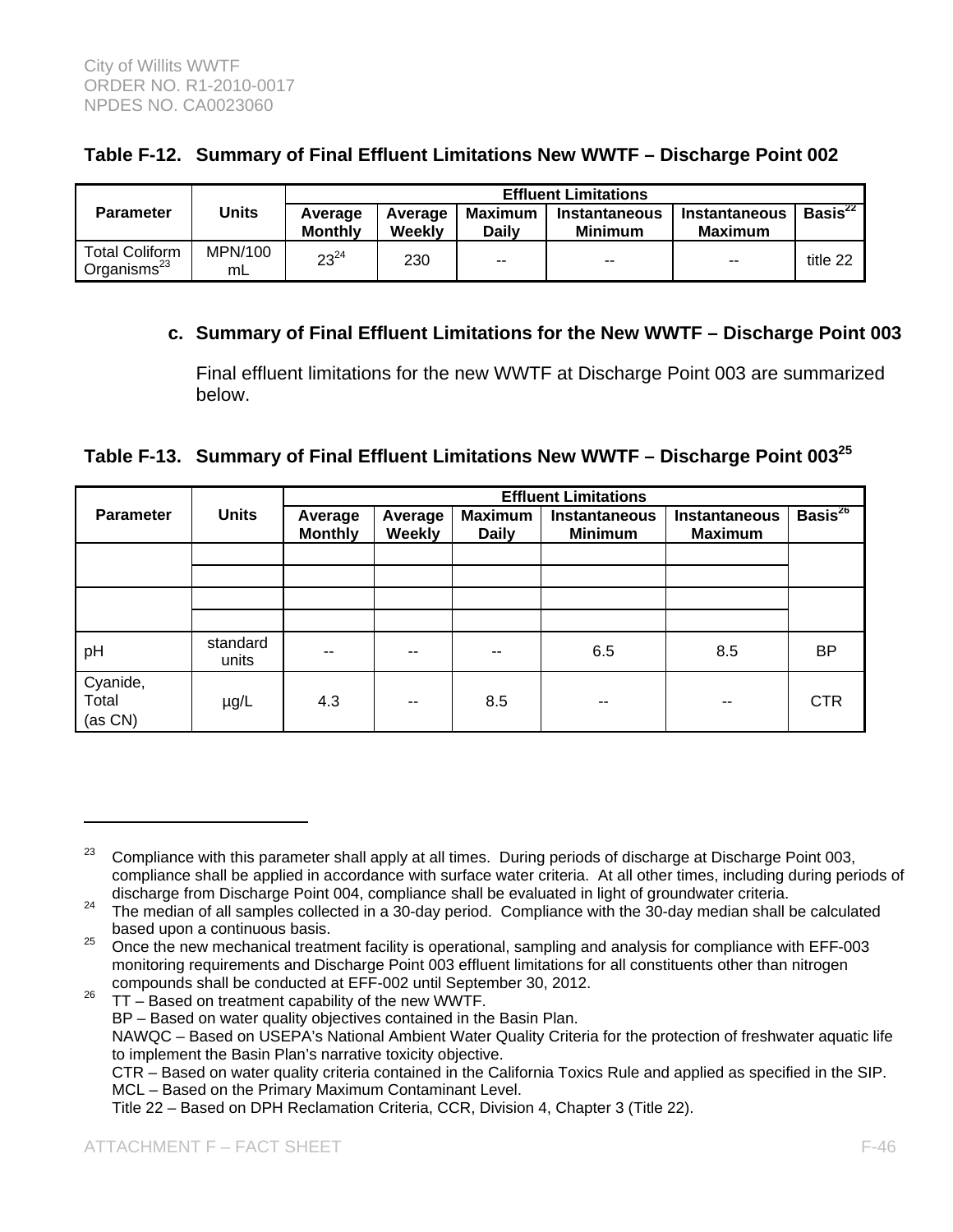|  |  | Table F-12. Summary of Final Effluent Limitations New WWTF - Discharge Point 002 |
|--|--|----------------------------------------------------------------------------------|
|  |  |                                                                                  |

|                                                  |               |                           | <b>Effluent Limitations</b> |                  |                                 |                                        |               |  |  |
|--------------------------------------------------|---------------|---------------------------|-----------------------------|------------------|---------------------------------|----------------------------------------|---------------|--|--|
| <b>Parameter</b>                                 | Units         | Average<br><b>Monthly</b> | Average<br>Weekly           | Maximum<br>Dailv | Instantaneous<br><b>Minimum</b> | <b>Instantaneous</b><br><b>Maximum</b> | Basis $^{22}$ |  |  |
| <b>Total Coliform</b><br>Organisms <sup>23</sup> | MPN/100<br>mL | $23^{24}$                 | 230                         | $- -$            | $-$                             | $-$                                    | title 22      |  |  |

## **c. Summary of Final Effluent Limitations for the New WWTF – Discharge Point 003**

Final effluent limitations for the new WWTF at Discharge Point 003 are summarized below.

**Table F-13. Summary of Final Effluent Limitations New WWTF – Discharge Point 00325**

|                              |                   | <b>Effluent Limitations</b> |                          |                                |                                        |                                        |               |  |
|------------------------------|-------------------|-----------------------------|--------------------------|--------------------------------|----------------------------------------|----------------------------------------|---------------|--|
| <b>Parameter</b>             | <b>Units</b>      | Average<br><b>Monthly</b>   | Average<br><b>Weekly</b> | <b>Maximum</b><br><b>Daily</b> | <b>Instantaneous</b><br><b>Minimum</b> | <b>Instantaneous</b><br><b>Maximum</b> | Basis $^{26}$ |  |
|                              |                   |                             |                          |                                |                                        |                                        |               |  |
|                              |                   |                             |                          |                                |                                        |                                        |               |  |
|                              |                   |                             |                          |                                |                                        |                                        |               |  |
| pH                           | standard<br>units | $- -$                       | --                       | --                             | 6.5                                    | 8.5                                    | <b>BP</b>     |  |
| Cyanide,<br>Total<br>(as CN) | $\mu$ g/L         | 4.3                         | $- -$                    | 8.5                            | --                                     | $- -$                                  | <b>CTR</b>    |  |

Title 22 – Based on DPH Reclamation Criteria, CCR, Division 4, Chapter 3 (Title 22).

 $23$  Compliance with this parameter shall apply at all times. During periods of discharge at Discharge Point 003, compliance shall be applied in accordance with surface water criteria. At all other times, including during periods of discharge Point 004, compliance shall be evaluated in light of groundwater criteria.

discharge from Discharge Point 004, compliance shall be evaluated in light of groundwater criteria. 24 The median of all samples collected in a 30-day period. Compliance with the 30-day median shall be calculated

based upon a continuous basis.<br><sup>25</sup> Once the new mechanical treatment facility is operational, sampling and analysis for compliance with EFF-003 monitoring requirements and Discharge Point 003 effluent limitations for all constituents other than nitrogen compounds shall be conducted at EFF-002 until September 30, 2012. 26 TT – Based on treatment capability of the new WWTF.

BP – Based on water quality objectives contained in the Basin Plan.

NAWQC – Based on USEPA's National Ambient Water Quality Criteria for the protection of freshwater aquatic life to implement the Basin Plan's narrative toxicity objective.

CTR – Based on water quality criteria contained in the California Toxics Rule and applied as specified in the SIP. MCL – Based on the Primary Maximum Contaminant Level.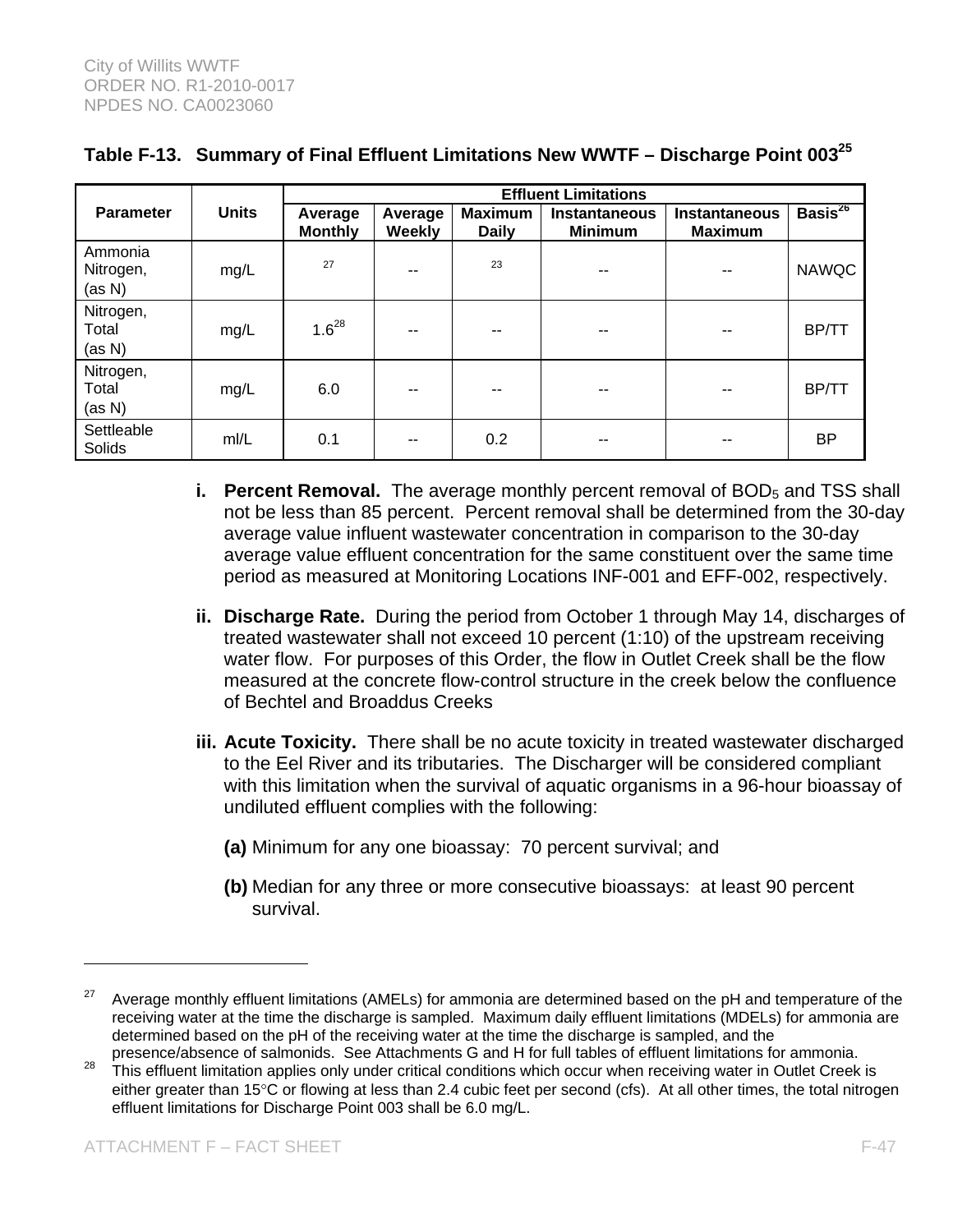|                                |              | <b>Effluent Limitations</b> |                   |                                |                                        |                                        |               |  |
|--------------------------------|--------------|-----------------------------|-------------------|--------------------------------|----------------------------------------|----------------------------------------|---------------|--|
| <b>Parameter</b>               | <b>Units</b> | Average<br><b>Monthly</b>   | Average<br>Weekly | <b>Maximum</b><br><b>Daily</b> | <b>Instantaneous</b><br><b>Minimum</b> | <b>Instantaneous</b><br><b>Maximum</b> | Basis $^{26}$ |  |
| Ammonia<br>Nitrogen,<br>(as N) | mg/L         | 27                          | --                | 23                             | --                                     | --                                     | <b>NAWQC</b>  |  |
| Nitrogen,<br>Total<br>(as N)   | mg/L         | $1.6^{28}$                  | --                | --                             | --                                     | --                                     | BP/TT         |  |
| Nitrogen,<br>Total<br>(as N)   | mg/L         | 6.0                         |                   |                                | --                                     | --                                     | BP/TT         |  |
| Settleable<br>Solids           | m/L          | 0.1                         | --                | 0.2                            | --                                     | --                                     | ΒP            |  |

## **Table F-13. Summary of Final Effluent Limitations New WWTF – Discharge Point 00325**

- **i. Percent Removal.** The average monthly percent removal of BOD<sub>5</sub> and TSS shall not be less than 85 percent. Percent removal shall be determined from the 30-day average value influent wastewater concentration in comparison to the 30-day average value effluent concentration for the same constituent over the same time period as measured at Monitoring Locations INF-001 and EFF-002, respectively.
- **ii. Discharge Rate.** During the period from October 1 through May 14, discharges of treated wastewater shall not exceed 10 percent (1:10) of the upstream receiving water flow. For purposes of this Order, the flow in Outlet Creek shall be the flow measured at the concrete flow-control structure in the creek below the confluence of Bechtel and Broaddus Creeks
- **iii. Acute Toxicity.** There shall be no acute toxicity in treated wastewater discharged to the Eel River and its tributaries. The Discharger will be considered compliant with this limitation when the survival of aquatic organisms in a 96-hour bioassay of undiluted effluent complies with the following:
	- **(a)** Minimum for any one bioassay: 70 percent survival; and
	- **(b)** Median for any three or more consecutive bioassays: at least 90 percent survival.

<sup>&</sup>lt;sup>27</sup> Average monthly effluent limitations (AMELs) for ammonia are determined based on the pH and temperature of the receiving water at the time the discharge is sampled. Maximum daily effluent limitations (MDELs) for ammonia are determined based on the pH of the receiving water at the time the discharge is sampled, and the presence/absence of salmonids. See Attachments G and H for full tables of effluent limitations for ammonia.

<sup>&</sup>lt;sup>28</sup> This effluent limitation applies only under critical conditions which occur when receiving water in Outlet Creek is either greater than 15°C or flowing at less than 2.4 cubic feet per second (cfs). At all other times, the total nitrogen effluent limitations for Discharge Point 003 shall be 6.0 mg/L.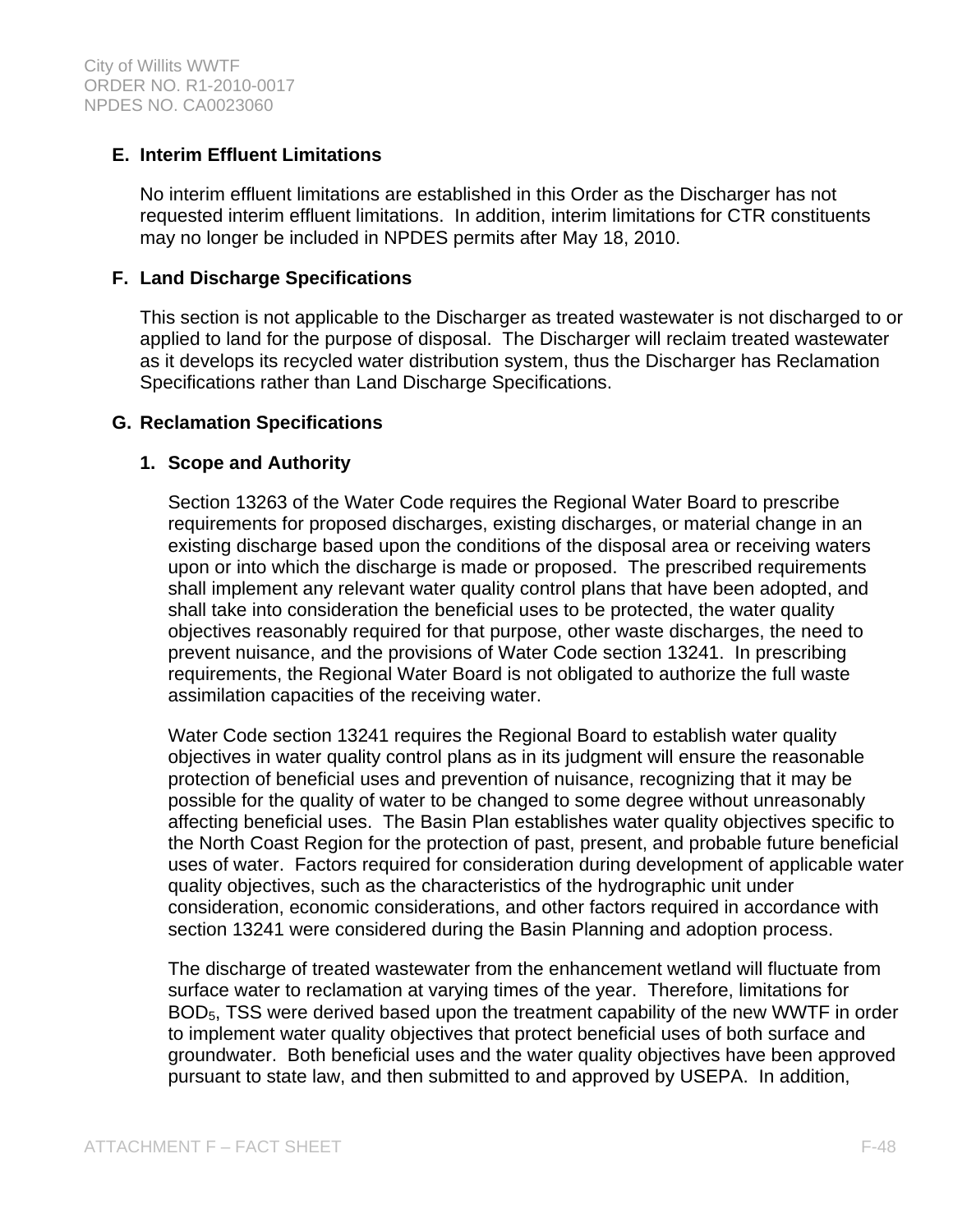## **E. Interim Effluent Limitations**

No interim effluent limitations are established in this Order as the Discharger has not requested interim effluent limitations. In addition, interim limitations for CTR constituents may no longer be included in NPDES permits after May 18, 2010.

### **F. Land Discharge Specifications**

This section is not applicable to the Discharger as treated wastewater is not discharged to or applied to land for the purpose of disposal. The Discharger will reclaim treated wastewater as it develops its recycled water distribution system, thus the Discharger has Reclamation Specifications rather than Land Discharge Specifications.

### **G. Reclamation Specifications**

### **1. Scope and Authority**

Section 13263 of the Water Code requires the Regional Water Board to prescribe requirements for proposed discharges, existing discharges, or material change in an existing discharge based upon the conditions of the disposal area or receiving waters upon or into which the discharge is made or proposed. The prescribed requirements shall implement any relevant water quality control plans that have been adopted, and shall take into consideration the beneficial uses to be protected, the water quality objectives reasonably required for that purpose, other waste discharges, the need to prevent nuisance, and the provisions of Water Code section 13241. In prescribing requirements, the Regional Water Board is not obligated to authorize the full waste assimilation capacities of the receiving water.

Water Code section 13241 requires the Regional Board to establish water quality objectives in water quality control plans as in its judgment will ensure the reasonable protection of beneficial uses and prevention of nuisance, recognizing that it may be possible for the quality of water to be changed to some degree without unreasonably affecting beneficial uses. The Basin Plan establishes water quality objectives specific to the North Coast Region for the protection of past, present, and probable future beneficial uses of water. Factors required for consideration during development of applicable water quality objectives, such as the characteristics of the hydrographic unit under consideration, economic considerations, and other factors required in accordance with section 13241 were considered during the Basin Planning and adoption process.

The discharge of treated wastewater from the enhancement wetland will fluctuate from surface water to reclamation at varying times of the year. Therefore, limitations for BOD5, TSS were derived based upon the treatment capability of the new WWTF in order to implement water quality objectives that protect beneficial uses of both surface and groundwater. Both beneficial uses and the water quality objectives have been approved pursuant to state law, and then submitted to and approved by USEPA. In addition,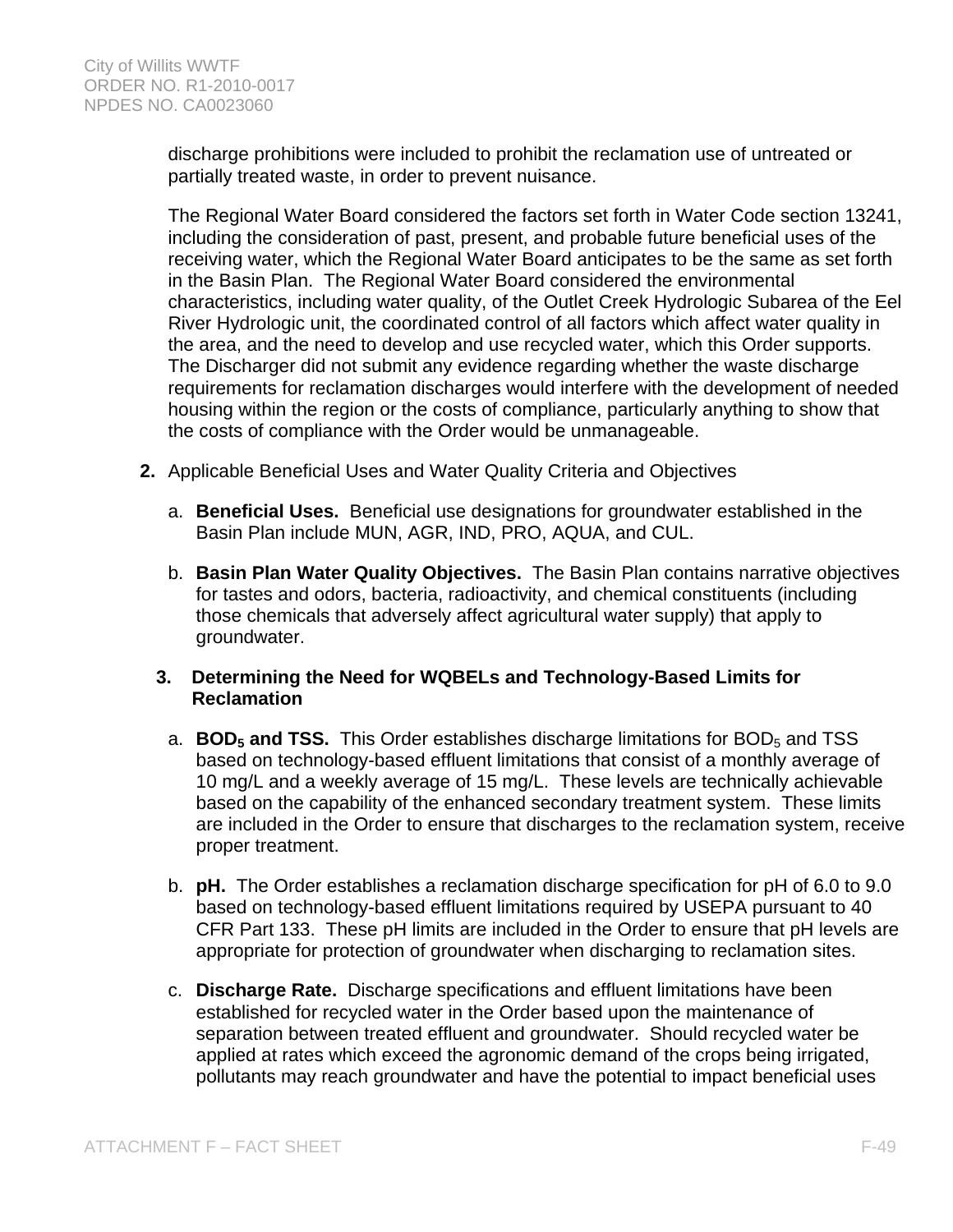discharge prohibitions were included to prohibit the reclamation use of untreated or partially treated waste, in order to prevent nuisance.

The Regional Water Board considered the factors set forth in Water Code section 13241, including the consideration of past, present, and probable future beneficial uses of the receiving water, which the Regional Water Board anticipates to be the same as set forth in the Basin Plan. The Regional Water Board considered the environmental characteristics, including water quality, of the Outlet Creek Hydrologic Subarea of the Eel River Hydrologic unit, the coordinated control of all factors which affect water quality in the area, and the need to develop and use recycled water, which this Order supports. The Discharger did not submit any evidence regarding whether the waste discharge requirements for reclamation discharges would interfere with the development of needed housing within the region or the costs of compliance, particularly anything to show that the costs of compliance with the Order would be unmanageable.

- **2.** Applicable Beneficial Uses and Water Quality Criteria and Objectives
	- a. **Beneficial Uses.** Beneficial use designations for groundwater established in the Basin Plan include MUN, AGR, IND, PRO, AQUA, and CUL.
	- b. **Basin Plan Water Quality Objectives.** The Basin Plan contains narrative objectives for tastes and odors, bacteria, radioactivity, and chemical constituents (including those chemicals that adversely affect agricultural water supply) that apply to groundwater.
	- **3. Determining the Need for WQBELs and Technology-Based Limits for Reclamation** 
		- a. **BOD<sub>5</sub> and TSS.** This Order establishes discharge limitations for BOD<sub>5</sub> and TSS based on technology-based effluent limitations that consist of a monthly average of 10 mg/L and a weekly average of 15 mg/L. These levels are technically achievable based on the capability of the enhanced secondary treatment system. These limits are included in the Order to ensure that discharges to the reclamation system, receive proper treatment.
		- b. **pH.** The Order establishes a reclamation discharge specification for pH of 6.0 to 9.0 based on technology-based effluent limitations required by USEPA pursuant to 40 CFR Part 133. These pH limits are included in the Order to ensure that pH levels are appropriate for protection of groundwater when discharging to reclamation sites.
		- c. **Discharge Rate.** Discharge specifications and effluent limitations have been established for recycled water in the Order based upon the maintenance of separation between treated effluent and groundwater. Should recycled water be applied at rates which exceed the agronomic demand of the crops being irrigated, pollutants may reach groundwater and have the potential to impact beneficial uses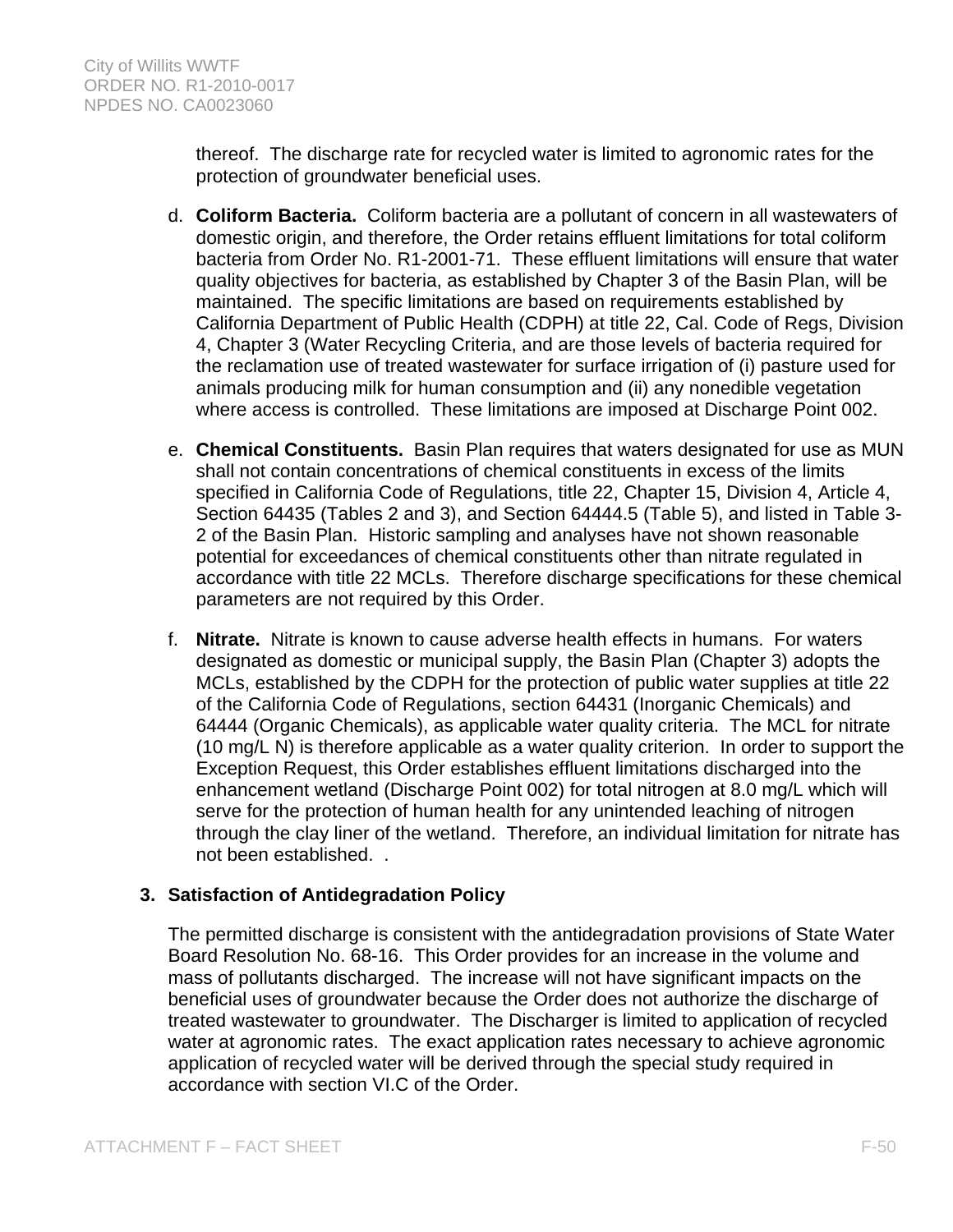thereof. The discharge rate for recycled water is limited to agronomic rates for the protection of groundwater beneficial uses.

- d. **Coliform Bacteria.** Coliform bacteria are a pollutant of concern in all wastewaters of domestic origin, and therefore, the Order retains effluent limitations for total coliform bacteria from Order No. R1-2001-71. These effluent limitations will ensure that water quality objectives for bacteria, as established by Chapter 3 of the Basin Plan, will be maintained. The specific limitations are based on requirements established by California Department of Public Health (CDPH) at title 22, Cal. Code of Regs, Division 4, Chapter 3 (Water Recycling Criteria, and are those levels of bacteria required for the reclamation use of treated wastewater for surface irrigation of (i) pasture used for animals producing milk for human consumption and (ii) any nonedible vegetation where access is controlled. These limitations are imposed at Discharge Point 002.
- e. **Chemical Constituents.** Basin Plan requires that waters designated for use as MUN shall not contain concentrations of chemical constituents in excess of the limits specified in California Code of Regulations, title 22, Chapter 15, Division 4, Article 4, Section 64435 (Tables 2 and 3), and Section 64444.5 (Table 5), and listed in Table 3- 2 of the Basin Plan. Historic sampling and analyses have not shown reasonable potential for exceedances of chemical constituents other than nitrate regulated in accordance with title 22 MCLs. Therefore discharge specifications for these chemical parameters are not required by this Order.
- f. **Nitrate.** Nitrate is known to cause adverse health effects in humans. For waters designated as domestic or municipal supply, the Basin Plan (Chapter 3) adopts the MCLs, established by the CDPH for the protection of public water supplies at title 22 of the California Code of Regulations, section 64431 (Inorganic Chemicals) and 64444 (Organic Chemicals), as applicable water quality criteria. The MCL for nitrate (10 mg/L N) is therefore applicable as a water quality criterion. In order to support the Exception Request, this Order establishes effluent limitations discharged into the enhancement wetland (Discharge Point 002) for total nitrogen at 8.0 mg/L which will serve for the protection of human health for any unintended leaching of nitrogen through the clay liner of the wetland. Therefore, an individual limitation for nitrate has not been established. .

## **3. Satisfaction of Antidegradation Policy**

The permitted discharge is consistent with the antidegradation provisions of State Water Board Resolution No. 68-16. This Order provides for an increase in the volume and mass of pollutants discharged. The increase will not have significant impacts on the beneficial uses of groundwater because the Order does not authorize the discharge of treated wastewater to groundwater. The Discharger is limited to application of recycled water at agronomic rates. The exact application rates necessary to achieve agronomic application of recycled water will be derived through the special study required in accordance with section VI.C of the Order.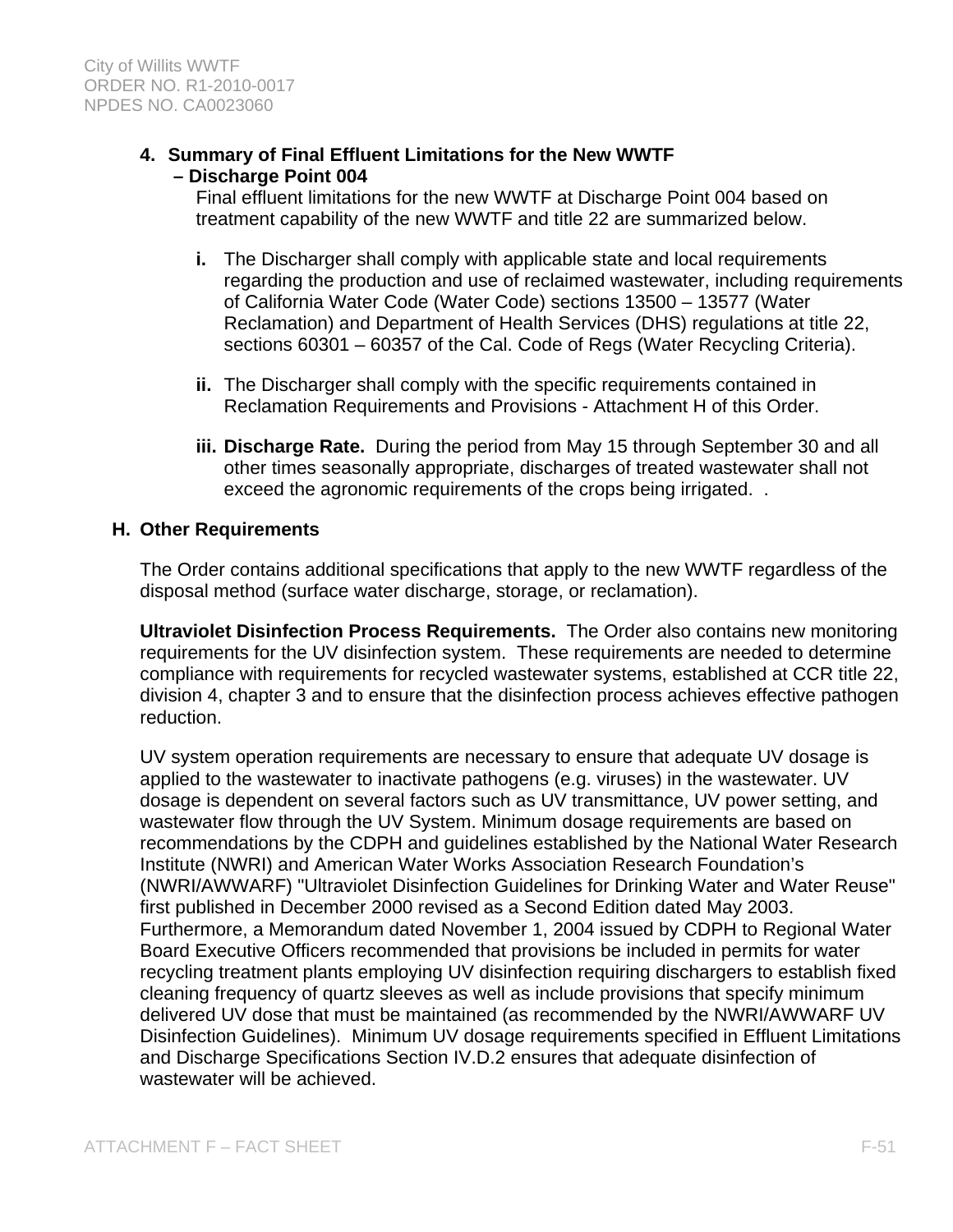## **4. Summary of Final Effluent Limitations for the New WWTF – Discharge Point 004**

Final effluent limitations for the new WWTF at Discharge Point 004 based on treatment capability of the new WWTF and title 22 are summarized below.

- **i.** The Discharger shall comply with applicable state and local requirements regarding the production and use of reclaimed wastewater, including requirements of California Water Code (Water Code) sections 13500 – 13577 (Water Reclamation) and Department of Health Services (DHS) regulations at title 22, sections 60301 – 60357 of the Cal. Code of Regs (Water Recycling Criteria).
- **ii.** The Discharger shall comply with the specific requirements contained in Reclamation Requirements and Provisions - Attachment H of this Order.
- **iii. Discharge Rate.** During the period from May 15 through September 30 and all other times seasonally appropriate, discharges of treated wastewater shall not exceed the agronomic requirements of the crops being irrigated. .

#### **H. Other Requirements**

The Order contains additional specifications that apply to the new WWTF regardless of the disposal method (surface water discharge, storage, or reclamation).

**Ultraviolet Disinfection Process Requirements.** The Order also contains new monitoring requirements for the UV disinfection system. These requirements are needed to determine compliance with requirements for recycled wastewater systems, established at CCR title 22, division 4, chapter 3 and to ensure that the disinfection process achieves effective pathogen reduction.

UV system operation requirements are necessary to ensure that adequate UV dosage is applied to the wastewater to inactivate pathogens (e.g. viruses) in the wastewater. UV dosage is dependent on several factors such as UV transmittance, UV power setting, and wastewater flow through the UV System. Minimum dosage requirements are based on recommendations by the CDPH and guidelines established by the National Water Research Institute (NWRI) and American Water Works Association Research Foundation's (NWRI/AWWARF) "Ultraviolet Disinfection Guidelines for Drinking Water and Water Reuse" first published in December 2000 revised as a Second Edition dated May 2003. Furthermore, a Memorandum dated November 1, 2004 issued by CDPH to Regional Water Board Executive Officers recommended that provisions be included in permits for water recycling treatment plants employing UV disinfection requiring dischargers to establish fixed cleaning frequency of quartz sleeves as well as include provisions that specify minimum delivered UV dose that must be maintained (as recommended by the NWRI/AWWARF UV Disinfection Guidelines). Minimum UV dosage requirements specified in Effluent Limitations and Discharge Specifications Section IV.D.2 ensures that adequate disinfection of wastewater will be achieved.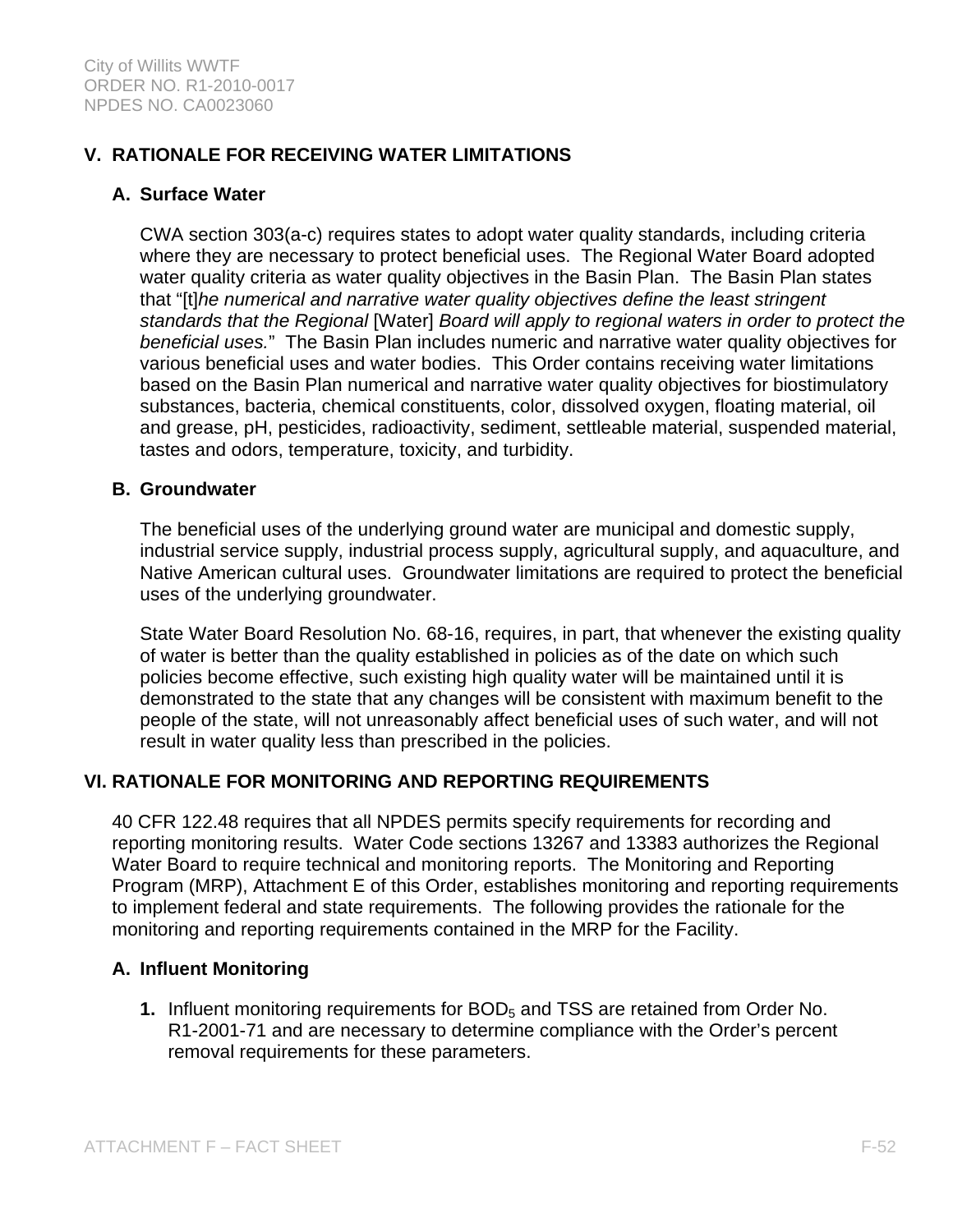## **V. RATIONALE FOR RECEIVING WATER LIMITATIONS**

### **A. Surface Water**

CWA section 303(a-c) requires states to adopt water quality standards, including criteria where they are necessary to protect beneficial uses. The Regional Water Board adopted water quality criteria as water quality objectives in the Basin Plan. The Basin Plan states that "[t]*he numerical and narrative water quality objectives define the least stringent standards that the Regional* [Water] *Board will apply to regional waters in order to protect the beneficial uses.*" The Basin Plan includes numeric and narrative water quality objectives for various beneficial uses and water bodies. This Order contains receiving water limitations based on the Basin Plan numerical and narrative water quality objectives for biostimulatory substances, bacteria, chemical constituents, color, dissolved oxygen, floating material, oil and grease, pH, pesticides, radioactivity, sediment, settleable material, suspended material, tastes and odors, temperature, toxicity, and turbidity.

#### **B. Groundwater**

The beneficial uses of the underlying ground water are municipal and domestic supply, industrial service supply, industrial process supply, agricultural supply, and aquaculture, and Native American cultural uses. Groundwater limitations are required to protect the beneficial uses of the underlying groundwater.

State Water Board Resolution No. 68-16, requires, in part, that whenever the existing quality of water is better than the quality established in policies as of the date on which such policies become effective, such existing high quality water will be maintained until it is demonstrated to the state that any changes will be consistent with maximum benefit to the people of the state, will not unreasonably affect beneficial uses of such water, and will not result in water quality less than prescribed in the policies.

### **VI. RATIONALE FOR MONITORING AND REPORTING REQUIREMENTS**

40 CFR 122.48 requires that all NPDES permits specify requirements for recording and reporting monitoring results. Water Code sections 13267 and 13383 authorizes the Regional Water Board to require technical and monitoring reports. The Monitoring and Reporting Program (MRP), Attachment E of this Order, establishes monitoring and reporting requirements to implement federal and state requirements. The following provides the rationale for the monitoring and reporting requirements contained in the MRP for the Facility.

### **A. Influent Monitoring**

**1.** Influent monitoring requirements for BOD<sub>5</sub> and TSS are retained from Order No. R1-2001-71 and are necessary to determine compliance with the Order's percent removal requirements for these parameters.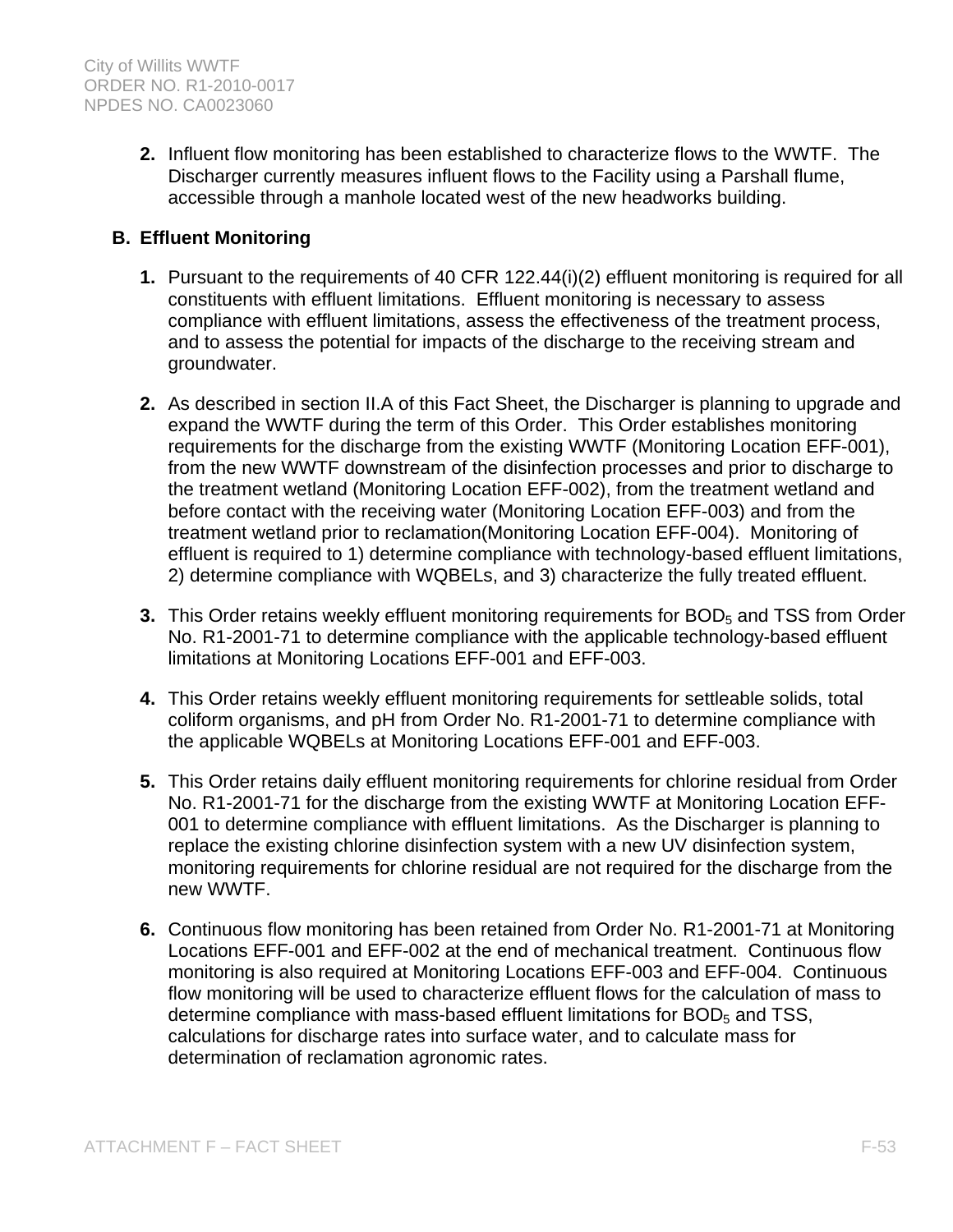**2.** Influent flow monitoring has been established to characterize flows to the WWTF. The Discharger currently measures influent flows to the Facility using a Parshall flume, accessible through a manhole located west of the new headworks building.

## **B. Effluent Monitoring**

- **1.** Pursuant to the requirements of 40 CFR 122.44(i)(2) effluent monitoring is required for all constituents with effluent limitations. Effluent monitoring is necessary to assess compliance with effluent limitations, assess the effectiveness of the treatment process, and to assess the potential for impacts of the discharge to the receiving stream and groundwater.
- **2.** As described in section II.A of this Fact Sheet, the Discharger is planning to upgrade and expand the WWTF during the term of this Order. This Order establishes monitoring requirements for the discharge from the existing WWTF (Monitoring Location EFF-001), from the new WWTF downstream of the disinfection processes and prior to discharge to the treatment wetland (Monitoring Location EFF-002), from the treatment wetland and before contact with the receiving water (Monitoring Location EFF-003) and from the treatment wetland prior to reclamation(Monitoring Location EFF-004). Monitoring of effluent is required to 1) determine compliance with technology-based effluent limitations, 2) determine compliance with WQBELs, and 3) characterize the fully treated effluent.
- **3.** This Order retains weekly effluent monitoring requirements for BOD<sub>5</sub> and TSS from Order No. R1-2001-71 to determine compliance with the applicable technology-based effluent limitations at Monitoring Locations EFF-001 and EFF-003.
- **4.** This Order retains weekly effluent monitoring requirements for settleable solids, total coliform organisms, and pH from Order No. R1-2001-71 to determine compliance with the applicable WQBELs at Monitoring Locations EFF-001 and EFF-003.
- **5.** This Order retains daily effluent monitoring requirements for chlorine residual from Order No. R1-2001-71 for the discharge from the existing WWTF at Monitoring Location EFF-001 to determine compliance with effluent limitations. As the Discharger is planning to replace the existing chlorine disinfection system with a new UV disinfection system, monitoring requirements for chlorine residual are not required for the discharge from the new WWTF.
- **6.** Continuous flow monitoring has been retained from Order No. R1-2001-71 at Monitoring Locations EFF-001 and EFF-002 at the end of mechanical treatment. Continuous flow monitoring is also required at Monitoring Locations EFF-003 and EFF-004. Continuous flow monitoring will be used to characterize effluent flows for the calculation of mass to determine compliance with mass-based effluent limitations for  $BOD<sub>5</sub>$  and TSS, calculations for discharge rates into surface water, and to calculate mass for determination of reclamation agronomic rates.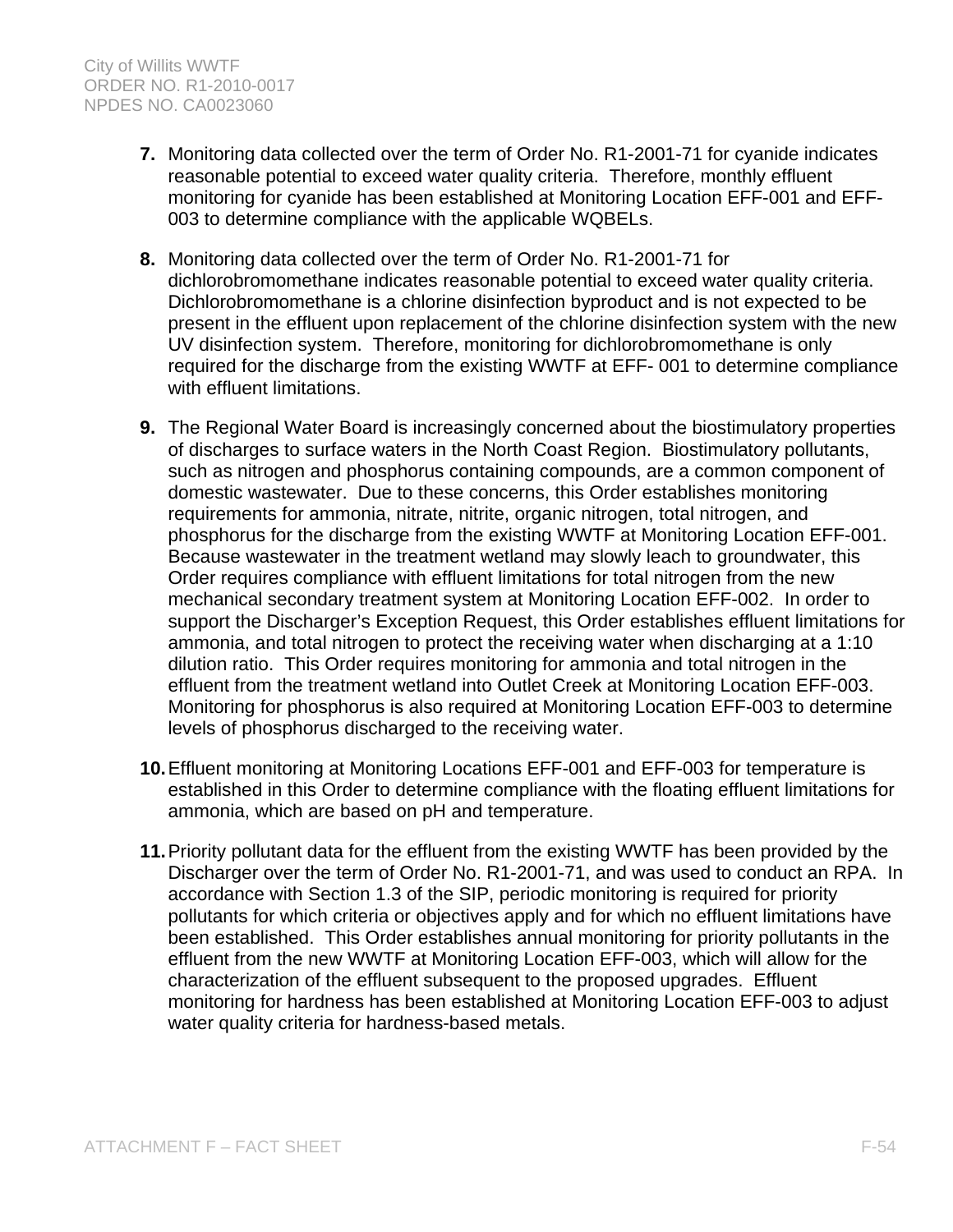- **7.** Monitoring data collected over the term of Order No. R1-2001-71 for cyanide indicates reasonable potential to exceed water quality criteria. Therefore, monthly effluent monitoring for cyanide has been established at Monitoring Location EFF-001 and EFF-003 to determine compliance with the applicable WQBELs.
- **8.** Monitoring data collected over the term of Order No. R1-2001-71 for dichlorobromomethane indicates reasonable potential to exceed water quality criteria. Dichlorobromomethane is a chlorine disinfection byproduct and is not expected to be present in the effluent upon replacement of the chlorine disinfection system with the new UV disinfection system. Therefore, monitoring for dichlorobromomethane is only required for the discharge from the existing WWTF at EFF- 001 to determine compliance with effluent limitations.
- **9.** The Regional Water Board is increasingly concerned about the biostimulatory properties of discharges to surface waters in the North Coast Region. Biostimulatory pollutants, such as nitrogen and phosphorus containing compounds, are a common component of domestic wastewater. Due to these concerns, this Order establishes monitoring requirements for ammonia, nitrate, nitrite, organic nitrogen, total nitrogen, and phosphorus for the discharge from the existing WWTF at Monitoring Location EFF-001. Because wastewater in the treatment wetland may slowly leach to groundwater, this Order requires compliance with effluent limitations for total nitrogen from the new mechanical secondary treatment system at Monitoring Location EFF-002. In order to support the Discharger's Exception Request, this Order establishes effluent limitations for ammonia, and total nitrogen to protect the receiving water when discharging at a 1:10 dilution ratio. This Order requires monitoring for ammonia and total nitrogen in the effluent from the treatment wetland into Outlet Creek at Monitoring Location EFF-003. Monitoring for phosphorus is also required at Monitoring Location EFF-003 to determine levels of phosphorus discharged to the receiving water.
- **10.** Effluent monitoring at Monitoring Locations EFF-001 and EFF-003 for temperature is established in this Order to determine compliance with the floating effluent limitations for ammonia, which are based on pH and temperature.
- **11.** Priority pollutant data for the effluent from the existing WWTF has been provided by the Discharger over the term of Order No. R1-2001-71, and was used to conduct an RPA. In accordance with Section 1.3 of the SIP, periodic monitoring is required for priority pollutants for which criteria or objectives apply and for which no effluent limitations have been established. This Order establishes annual monitoring for priority pollutants in the effluent from the new WWTF at Monitoring Location EFF-003, which will allow for the characterization of the effluent subsequent to the proposed upgrades. Effluent monitoring for hardness has been established at Monitoring Location EFF-003 to adjust water quality criteria for hardness-based metals.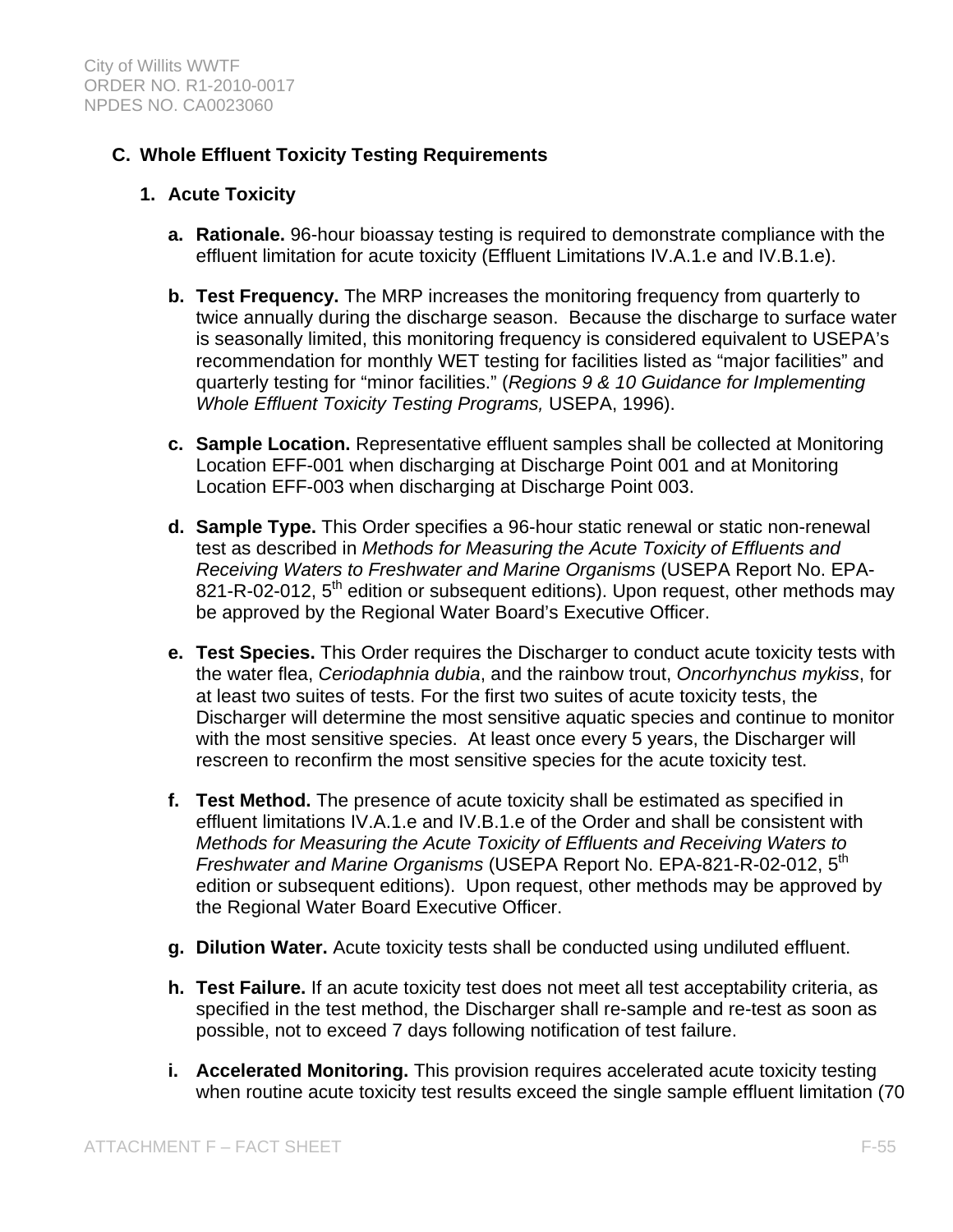## **C. Whole Effluent Toxicity Testing Requirements**

#### **1. Acute Toxicity**

- **a. Rationale.** 96-hour bioassay testing is required to demonstrate compliance with the effluent limitation for acute toxicity (Effluent Limitations IV.A.1.e and IV.B.1.e).
- **b. Test Frequency.** The MRP increases the monitoring frequency from quarterly to twice annually during the discharge season. Because the discharge to surface water is seasonally limited, this monitoring frequency is considered equivalent to USEPA's recommendation for monthly WET testing for facilities listed as "major facilities" and quarterly testing for "minor facilities." (*Regions 9 & 10 Guidance for Implementing Whole Effluent Toxicity Testing Programs,* USEPA, 1996).
- **c. Sample Location.** Representative effluent samples shall be collected at Monitoring Location EFF-001 when discharging at Discharge Point 001 and at Monitoring Location EFF-003 when discharging at Discharge Point 003.
- **d. Sample Type.** This Order specifies a 96-hour static renewal or static non-renewal test as described in *Methods for Measuring the Acute Toxicity of Effluents and Receiving Waters to Freshwater and Marine Organisms* (USEPA Report No. EPA-821-R-02-012, 5<sup>th</sup> edition or subsequent editions). Upon request, other methods may be approved by the Regional Water Board's Executive Officer.
- **e. Test Species.** This Order requires the Discharger to conduct acute toxicity tests with the water flea, *Ceriodaphnia dubia*, and the rainbow trout, *Oncorhynchus mykiss*, for at least two suites of tests. For the first two suites of acute toxicity tests, the Discharger will determine the most sensitive aquatic species and continue to monitor with the most sensitive species. At least once every 5 years, the Discharger will rescreen to reconfirm the most sensitive species for the acute toxicity test.
- **f. Test Method.** The presence of acute toxicity shall be estimated as specified in effluent limitations IV.A.1.e and IV.B.1.e of the Order and shall be consistent with *Methods for Measuring the Acute Toxicity of Effluents and Receiving Waters to Freshwater and Marine Organisms* (USEPA Report No. EPA-821-R-02-012, 5th edition or subsequent editions). Upon request, other methods may be approved by the Regional Water Board Executive Officer.
- **g. Dilution Water.** Acute toxicity tests shall be conducted using undiluted effluent.
- **h. Test Failure.** If an acute toxicity test does not meet all test acceptability criteria, as specified in the test method, the Discharger shall re-sample and re-test as soon as possible, not to exceed 7 days following notification of test failure.
- **i. Accelerated Monitoring.** This provision requires accelerated acute toxicity testing when routine acute toxicity test results exceed the single sample effluent limitation (70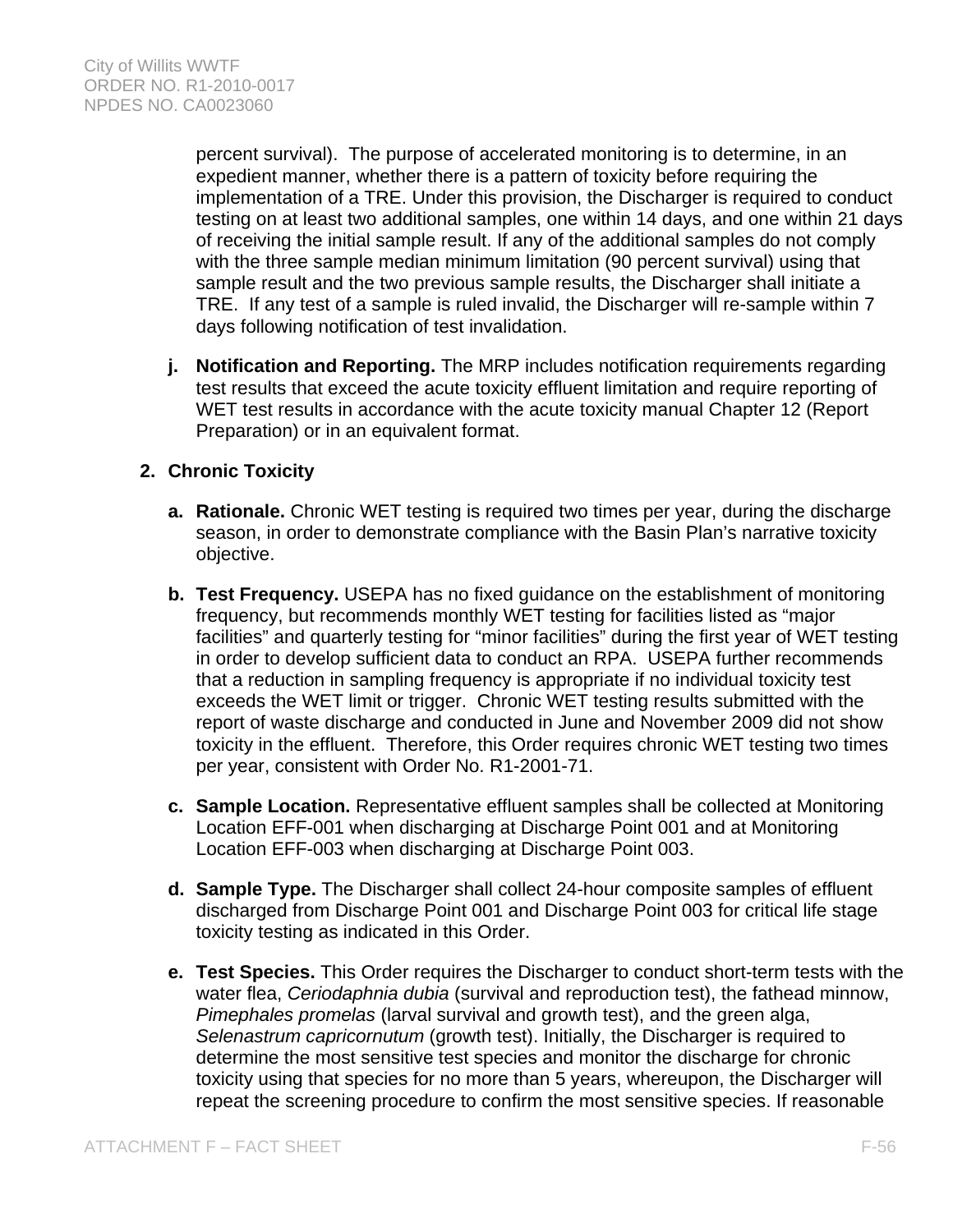percent survival). The purpose of accelerated monitoring is to determine, in an expedient manner, whether there is a pattern of toxicity before requiring the implementation of a TRE. Under this provision, the Discharger is required to conduct testing on at least two additional samples, one within 14 days, and one within 21 days of receiving the initial sample result. If any of the additional samples do not comply with the three sample median minimum limitation (90 percent survival) using that sample result and the two previous sample results, the Discharger shall initiate a TRE. If any test of a sample is ruled invalid, the Discharger will re-sample within 7 days following notification of test invalidation.

**j. Notification and Reporting.** The MRP includes notification requirements regarding test results that exceed the acute toxicity effluent limitation and require reporting of WET test results in accordance with the acute toxicity manual Chapter 12 (Report Preparation) or in an equivalent format.

## **2. Chronic Toxicity**

- **a. Rationale.** Chronic WET testing is required two times per year, during the discharge season, in order to demonstrate compliance with the Basin Plan's narrative toxicity objective.
- **b. Test Frequency.** USEPA has no fixed guidance on the establishment of monitoring frequency, but recommends monthly WET testing for facilities listed as "major facilities" and quarterly testing for "minor facilities" during the first year of WET testing in order to develop sufficient data to conduct an RPA. USEPA further recommends that a reduction in sampling frequency is appropriate if no individual toxicity test exceeds the WET limit or trigger. Chronic WET testing results submitted with the report of waste discharge and conducted in June and November 2009 did not show toxicity in the effluent. Therefore, this Order requires chronic WET testing two times per year, consistent with Order No. R1-2001-71.
- **c. Sample Location.** Representative effluent samples shall be collected at Monitoring Location EFF-001 when discharging at Discharge Point 001 and at Monitoring Location EFF-003 when discharging at Discharge Point 003.
- **d. Sample Type.** The Discharger shall collect 24-hour composite samples of effluent discharged from Discharge Point 001 and Discharge Point 003 for critical life stage toxicity testing as indicated in this Order.
- **e. Test Species.** This Order requires the Discharger to conduct short-term tests with the water flea, *Ceriodaphnia dubia* (survival and reproduction test), the fathead minnow, *Pimephales promelas* (larval survival and growth test), and the green alga, *Selenastrum capricornutum* (growth test). Initially, the Discharger is required to determine the most sensitive test species and monitor the discharge for chronic toxicity using that species for no more than 5 years, whereupon, the Discharger will repeat the screening procedure to confirm the most sensitive species. If reasonable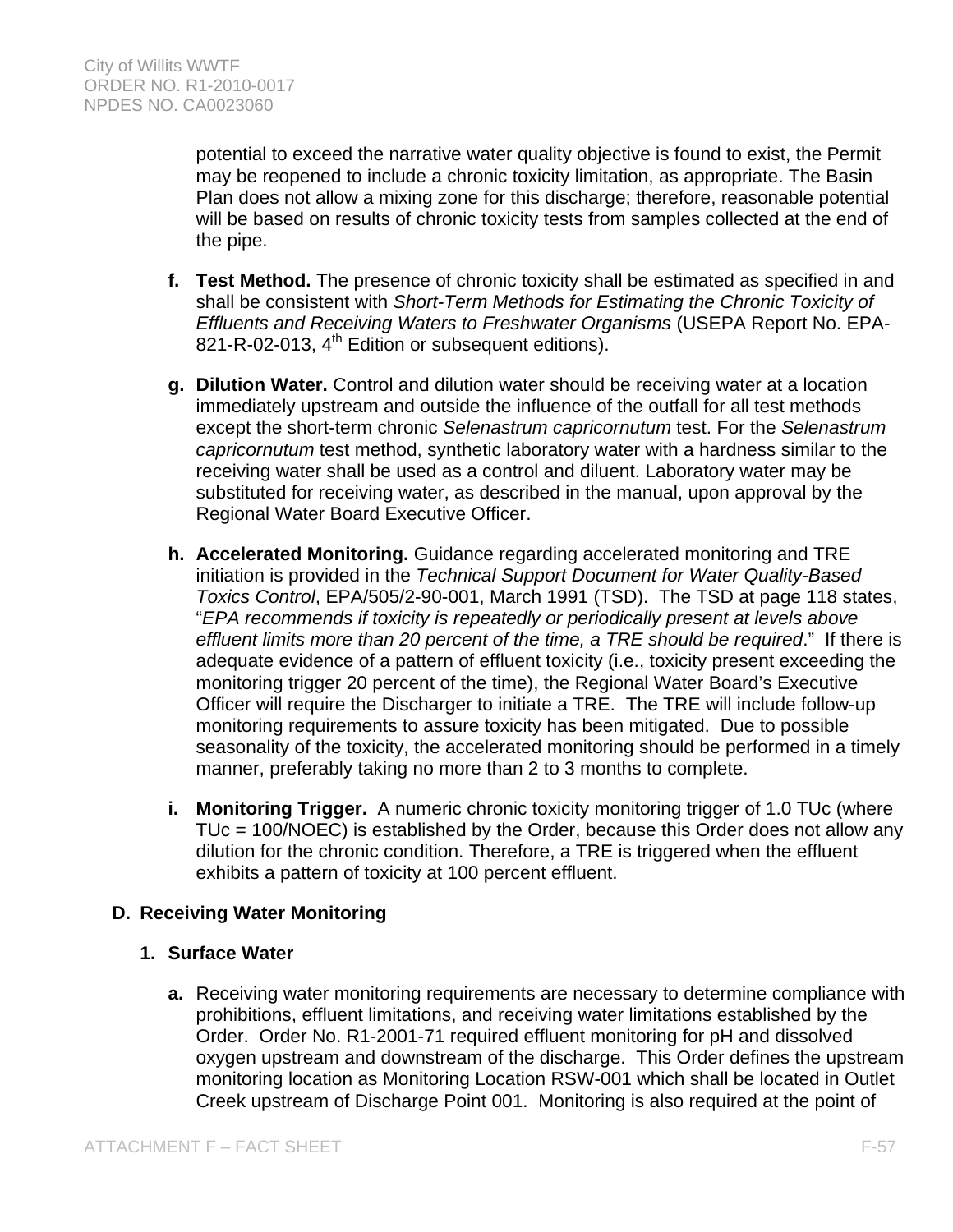potential to exceed the narrative water quality objective is found to exist, the Permit may be reopened to include a chronic toxicity limitation, as appropriate. The Basin Plan does not allow a mixing zone for this discharge; therefore, reasonable potential will be based on results of chronic toxicity tests from samples collected at the end of the pipe.

- **f. Test Method.** The presence of chronic toxicity shall be estimated as specified in and shall be consistent with *Short-Term Methods for Estimating the Chronic Toxicity of Effluents and Receiving Waters to Freshwater Organisms* (USEPA Report No. EPA-821-R-02-013, 4<sup>th</sup> Edition or subsequent editions).
- **g. Dilution Water.** Control and dilution water should be receiving water at a location immediately upstream and outside the influence of the outfall for all test methods except the short-term chronic *Selenastrum capricornutum* test. For the *Selenastrum capricornutum* test method, synthetic laboratory water with a hardness similar to the receiving water shall be used as a control and diluent. Laboratory water may be substituted for receiving water, as described in the manual, upon approval by the Regional Water Board Executive Officer.
- **h. Accelerated Monitoring.** Guidance regarding accelerated monitoring and TRE initiation is provided in the *Technical Support Document for Water Quality-Based Toxics Control*, EPA/505/2-90-001, March 1991 (TSD). The TSD at page 118 states, "*EPA recommends if toxicity is repeatedly or periodically present at levels above effluent limits more than 20 percent of the time, a TRE should be required*." If there is adequate evidence of a pattern of effluent toxicity (i.e., toxicity present exceeding the monitoring trigger 20 percent of the time), the Regional Water Board's Executive Officer will require the Discharger to initiate a TRE. The TRE will include follow-up monitoring requirements to assure toxicity has been mitigated. Due to possible seasonality of the toxicity, the accelerated monitoring should be performed in a timely manner, preferably taking no more than 2 to 3 months to complete.
- **i. Monitoring Trigger.** A numeric chronic toxicity monitoring trigger of 1.0 TUc (where TUc = 100/NOEC) is established by the Order, because this Order does not allow any dilution for the chronic condition. Therefore, a TRE is triggered when the effluent exhibits a pattern of toxicity at 100 percent effluent.

## **D. Receiving Water Monitoring**

### **1. Surface Water**

**a.** Receiving water monitoring requirements are necessary to determine compliance with prohibitions, effluent limitations, and receiving water limitations established by the Order. Order No. R1-2001-71 required effluent monitoring for pH and dissolved oxygen upstream and downstream of the discharge. This Order defines the upstream monitoring location as Monitoring Location RSW-001 which shall be located in Outlet Creek upstream of Discharge Point 001. Monitoring is also required at the point of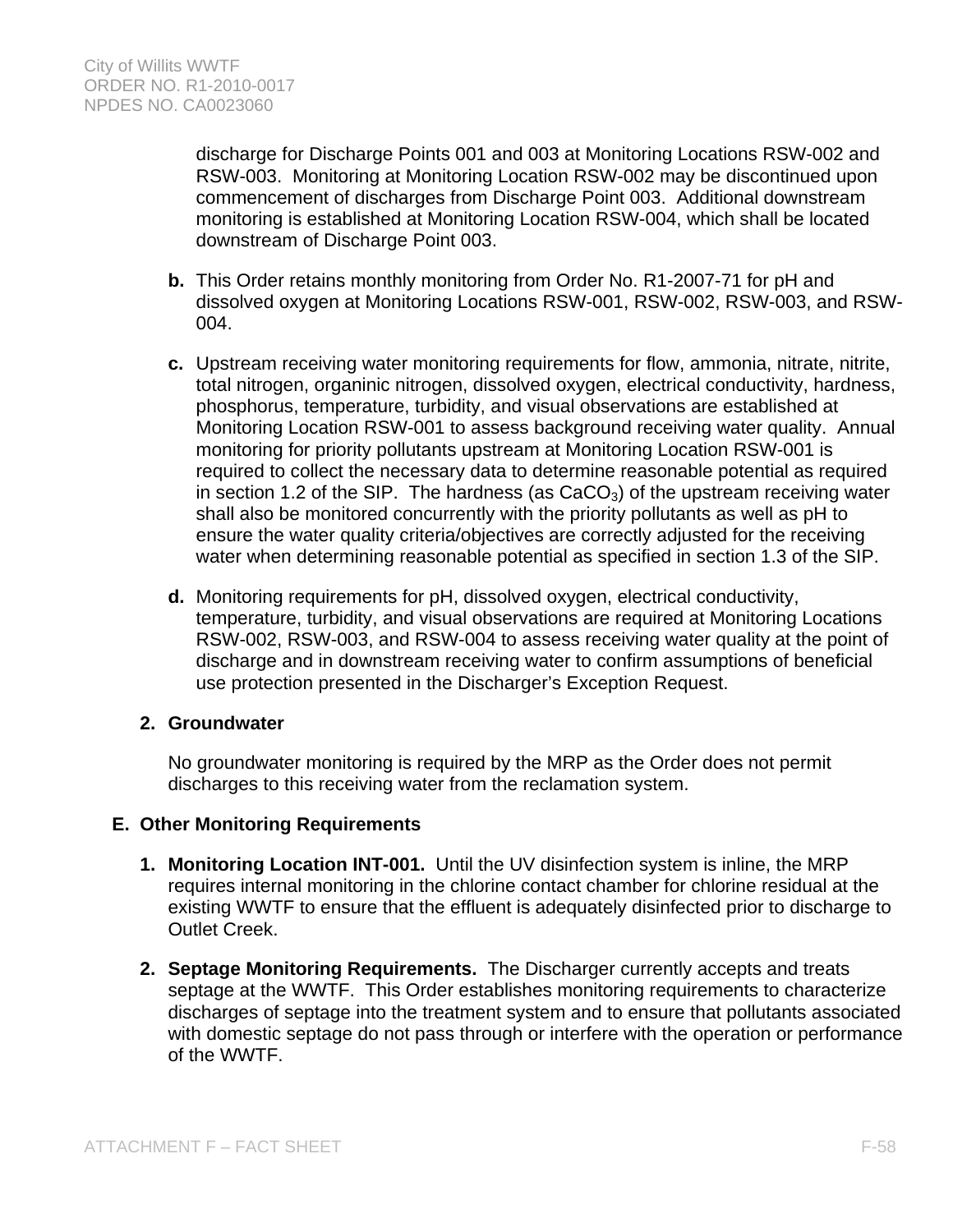discharge for Discharge Points 001 and 003 at Monitoring Locations RSW-002 and RSW-003. Monitoring at Monitoring Location RSW-002 may be discontinued upon commencement of discharges from Discharge Point 003. Additional downstream monitoring is established at Monitoring Location RSW-004, which shall be located downstream of Discharge Point 003.

- **b.** This Order retains monthly monitoring from Order No. R1-2007-71 for pH and dissolved oxygen at Monitoring Locations RSW-001, RSW-002, RSW-003, and RSW-004.
- **c.** Upstream receiving water monitoring requirements for flow, ammonia, nitrate, nitrite, total nitrogen, organinic nitrogen, dissolved oxygen, electrical conductivity, hardness, phosphorus, temperature, turbidity, and visual observations are established at Monitoring Location RSW-001 to assess background receiving water quality. Annual monitoring for priority pollutants upstream at Monitoring Location RSW-001 is required to collect the necessary data to determine reasonable potential as required in section 1.2 of the SIP. The hardness (as  $CaCO<sub>3</sub>$ ) of the upstream receiving water shall also be monitored concurrently with the priority pollutants as well as pH to ensure the water quality criteria/objectives are correctly adjusted for the receiving water when determining reasonable potential as specified in section 1.3 of the SIP.
- **d.** Monitoring requirements for pH, dissolved oxygen, electrical conductivity, temperature, turbidity, and visual observations are required at Monitoring Locations RSW-002, RSW-003, and RSW-004 to assess receiving water quality at the point of discharge and in downstream receiving water to confirm assumptions of beneficial use protection presented in the Discharger's Exception Request.

### **2. Groundwater**

No groundwater monitoring is required by the MRP as the Order does not permit discharges to this receiving water from the reclamation system.

### **E. Other Monitoring Requirements**

- **1. Monitoring Location INT-001.** Until the UV disinfection system is inline, the MRP requires internal monitoring in the chlorine contact chamber for chlorine residual at the existing WWTF to ensure that the effluent is adequately disinfected prior to discharge to Outlet Creek.
- **2. Septage Monitoring Requirements.** The Discharger currently accepts and treats septage at the WWTF. This Order establishes monitoring requirements to characterize discharges of septage into the treatment system and to ensure that pollutants associated with domestic septage do not pass through or interfere with the operation or performance of the WWTF.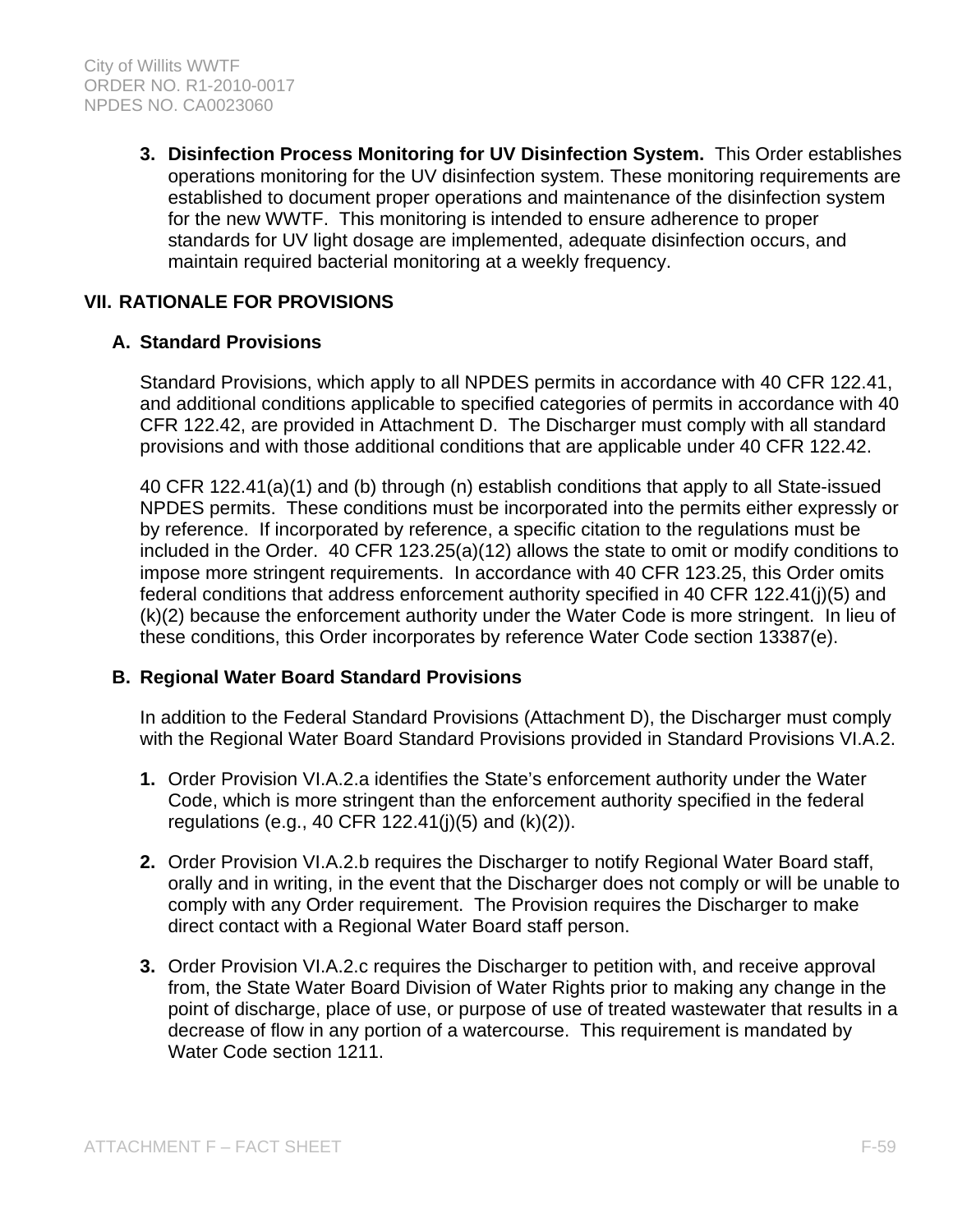**3. Disinfection Process Monitoring for UV Disinfection System.** This Order establishes operations monitoring for the UV disinfection system. These monitoring requirements are established to document proper operations and maintenance of the disinfection system for the new WWTF. This monitoring is intended to ensure adherence to proper standards for UV light dosage are implemented, adequate disinfection occurs, and maintain required bacterial monitoring at a weekly frequency.

# **VII. RATIONALE FOR PROVISIONS**

### **A. Standard Provisions**

Standard Provisions, which apply to all NPDES permits in accordance with 40 CFR 122.41, and additional conditions applicable to specified categories of permits in accordance with 40 CFR 122.42, are provided in Attachment D. The Discharger must comply with all standard provisions and with those additional conditions that are applicable under 40 CFR 122.42.

40 CFR 122.41(a)(1) and (b) through (n) establish conditions that apply to all State-issued NPDES permits. These conditions must be incorporated into the permits either expressly or by reference. If incorporated by reference, a specific citation to the regulations must be included in the Order. 40 CFR 123.25(a)(12) allows the state to omit or modify conditions to impose more stringent requirements. In accordance with 40 CFR 123.25, this Order omits federal conditions that address enforcement authority specified in 40 CFR 122.41(j)(5) and (k)(2) because the enforcement authority under the Water Code is more stringent. In lieu of these conditions, this Order incorporates by reference Water Code section 13387(e).

### **B. Regional Water Board Standard Provisions**

In addition to the Federal Standard Provisions (Attachment D), the Discharger must comply with the Regional Water Board Standard Provisions provided in Standard Provisions VI.A.2.

- **1.** Order Provision VI.A.2.a identifies the State's enforcement authority under the Water Code, which is more stringent than the enforcement authority specified in the federal regulations (e.g., 40 CFR 122.41(j)(5) and (k)(2)).
- **2.** Order Provision VI.A.2.b requires the Discharger to notify Regional Water Board staff, orally and in writing, in the event that the Discharger does not comply or will be unable to comply with any Order requirement. The Provision requires the Discharger to make direct contact with a Regional Water Board staff person.
- **3.** Order Provision VI.A.2.c requires the Discharger to petition with, and receive approval from, the State Water Board Division of Water Rights prior to making any change in the point of discharge, place of use, or purpose of use of treated wastewater that results in a decrease of flow in any portion of a watercourse. This requirement is mandated by Water Code section 1211.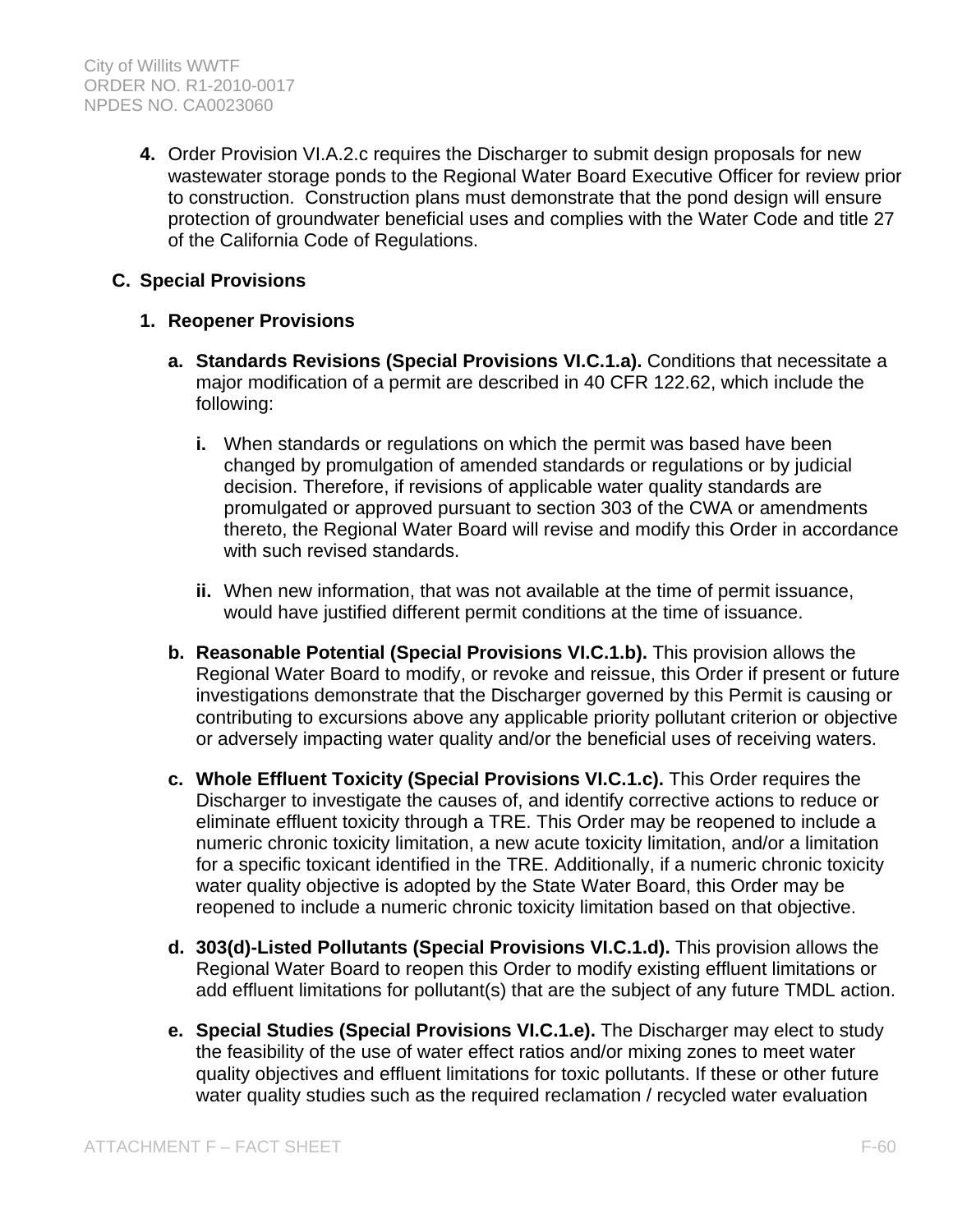**4.** Order Provision VI.A.2.c requires the Discharger to submit design proposals for new wastewater storage ponds to the Regional Water Board Executive Officer for review prior to construction. Construction plans must demonstrate that the pond design will ensure protection of groundwater beneficial uses and complies with the Water Code and title 27 of the California Code of Regulations.

## **C. Special Provisions**

### **1. Reopener Provisions**

- **a. Standards Revisions (Special Provisions VI.C.1.a).** Conditions that necessitate a major modification of a permit are described in 40 CFR 122.62, which include the following:
	- **i.** When standards or regulations on which the permit was based have been changed by promulgation of amended standards or regulations or by judicial decision. Therefore, if revisions of applicable water quality standards are promulgated or approved pursuant to section 303 of the CWA or amendments thereto, the Regional Water Board will revise and modify this Order in accordance with such revised standards.
	- **ii.** When new information, that was not available at the time of permit issuance, would have justified different permit conditions at the time of issuance.
- **b. Reasonable Potential (Special Provisions VI.C.1.b).** This provision allows the Regional Water Board to modify, or revoke and reissue, this Order if present or future investigations demonstrate that the Discharger governed by this Permit is causing or contributing to excursions above any applicable priority pollutant criterion or objective or adversely impacting water quality and/or the beneficial uses of receiving waters.
- **c. Whole Effluent Toxicity (Special Provisions VI.C.1.c).** This Order requires the Discharger to investigate the causes of, and identify corrective actions to reduce or eliminate effluent toxicity through a TRE. This Order may be reopened to include a numeric chronic toxicity limitation, a new acute toxicity limitation, and/or a limitation for a specific toxicant identified in the TRE. Additionally, if a numeric chronic toxicity water quality objective is adopted by the State Water Board, this Order may be reopened to include a numeric chronic toxicity limitation based on that objective.
- **d. 303(d)-Listed Pollutants (Special Provisions VI.C.1.d).** This provision allows the Regional Water Board to reopen this Order to modify existing effluent limitations or add effluent limitations for pollutant(s) that are the subject of any future TMDL action.
- **e. Special Studies (Special Provisions VI.C.1.e).** The Discharger may elect to study the feasibility of the use of water effect ratios and/or mixing zones to meet water quality objectives and effluent limitations for toxic pollutants. If these or other future water quality studies such as the required reclamation / recycled water evaluation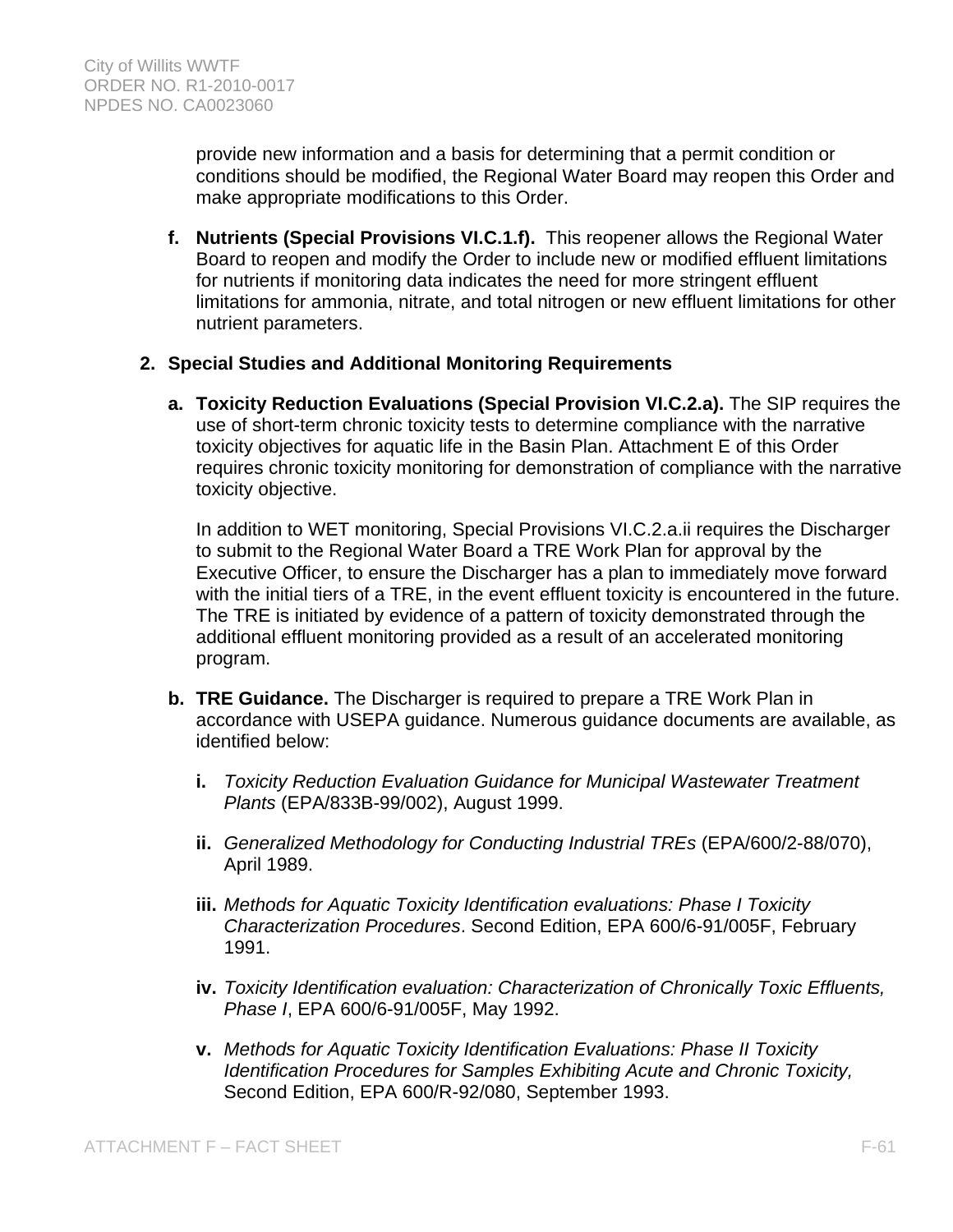provide new information and a basis for determining that a permit condition or conditions should be modified, the Regional Water Board may reopen this Order and make appropriate modifications to this Order.

**f. Nutrients (Special Provisions VI.C.1.f).** This reopener allows the Regional Water Board to reopen and modify the Order to include new or modified effluent limitations for nutrients if monitoring data indicates the need for more stringent effluent limitations for ammonia, nitrate, and total nitrogen or new effluent limitations for other nutrient parameters.

## **2. Special Studies and Additional Monitoring Requirements**

**a. Toxicity Reduction Evaluations (Special Provision VI.C.2.a).** The SIP requires the use of short-term chronic toxicity tests to determine compliance with the narrative toxicity objectives for aquatic life in the Basin Plan. Attachment E of this Order requires chronic toxicity monitoring for demonstration of compliance with the narrative toxicity objective.

In addition to WET monitoring, Special Provisions VI.C.2.a.ii requires the Discharger to submit to the Regional Water Board a TRE Work Plan for approval by the Executive Officer, to ensure the Discharger has a plan to immediately move forward with the initial tiers of a TRE, in the event effluent toxicity is encountered in the future. The TRE is initiated by evidence of a pattern of toxicity demonstrated through the additional effluent monitoring provided as a result of an accelerated monitoring program.

- **b. TRE Guidance.** The Discharger is required to prepare a TRE Work Plan in accordance with USEPA guidance. Numerous guidance documents are available, as identified below:
	- **i.** *Toxicity Reduction Evaluation Guidance for Municipal Wastewater Treatment Plants* (EPA/833B-99/002), August 1999.
	- **ii.** *Generalized Methodology for Conducting Industrial TREs* (EPA/600/2-88/070), April 1989.
	- **iii.** *Methods for Aquatic Toxicity Identification evaluations: Phase I Toxicity Characterization Procedures*. Second Edition, EPA 600/6-91/005F, February 1991.
	- **iv.** *Toxicity Identification evaluation: Characterization of Chronically Toxic Effluents, Phase I*, EPA 600/6-91/005F, May 1992.
	- **v.** *Methods for Aquatic Toxicity Identification Evaluations: Phase II Toxicity Identification Procedures for Samples Exhibiting Acute and Chronic Toxicity,* Second Edition, EPA 600/R-92/080, September 1993.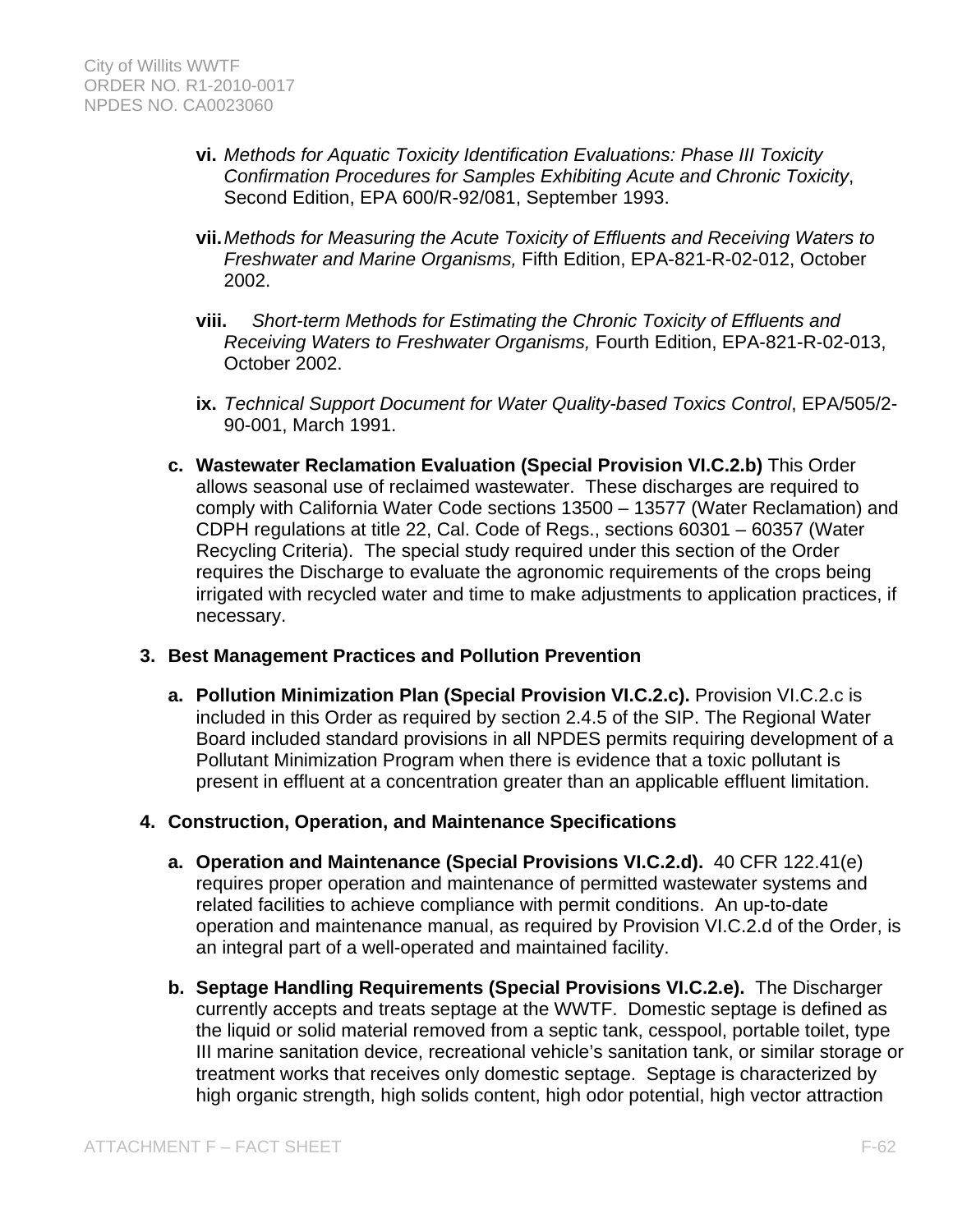- **vi.** *Methods for Aquatic Toxicity Identification Evaluations: Phase III Toxicity Confirmation Procedures for Samples Exhibiting Acute and Chronic Toxicity*, Second Edition, EPA 600/R-92/081, September 1993.
- **vii.** *Methods for Measuring the Acute Toxicity of Effluents and Receiving Waters to Freshwater and Marine Organisms,* Fifth Edition, EPA-821-R-02-012, October 2002.
- **viii.** *Short-term Methods for Estimating the Chronic Toxicity of Effluents and Receiving Waters to Freshwater Organisms,* Fourth Edition, EPA-821-R-02-013, October 2002.
- **ix.** *Technical Support Document for Water Quality-based Toxics Control*, EPA/505/2- 90-001, March 1991.
- **c. Wastewater Reclamation Evaluation (Special Provision VI.C.2.b)** This Order allows seasonal use of reclaimed wastewater. These discharges are required to comply with California Water Code sections 13500 – 13577 (Water Reclamation) and CDPH regulations at title 22, Cal. Code of Regs., sections 60301 – 60357 (Water Recycling Criteria). The special study required under this section of the Order requires the Discharge to evaluate the agronomic requirements of the crops being irrigated with recycled water and time to make adjustments to application practices, if necessary.

### **3. Best Management Practices and Pollution Prevention**

**a. Pollution Minimization Plan (Special Provision VI.C.2.c).** Provision VI.C.2.c is included in this Order as required by section 2.4.5 of the SIP. The Regional Water Board included standard provisions in all NPDES permits requiring development of a Pollutant Minimization Program when there is evidence that a toxic pollutant is present in effluent at a concentration greater than an applicable effluent limitation.

## **4. Construction, Operation, and Maintenance Specifications**

- **a. Operation and Maintenance (Special Provisions VI.C.2.d).** 40 CFR 122.41(e) requires proper operation and maintenance of permitted wastewater systems and related facilities to achieve compliance with permit conditions. An up-to-date operation and maintenance manual, as required by Provision VI.C.2.d of the Order, is an integral part of a well-operated and maintained facility.
- **b. Septage Handling Requirements (Special Provisions VI.C.2.e).** The Discharger currently accepts and treats septage at the WWTF. Domestic septage is defined as the liquid or solid material removed from a septic tank, cesspool, portable toilet, type III marine sanitation device, recreational vehicle's sanitation tank, or similar storage or treatment works that receives only domestic septage. Septage is characterized by high organic strength, high solids content, high odor potential, high vector attraction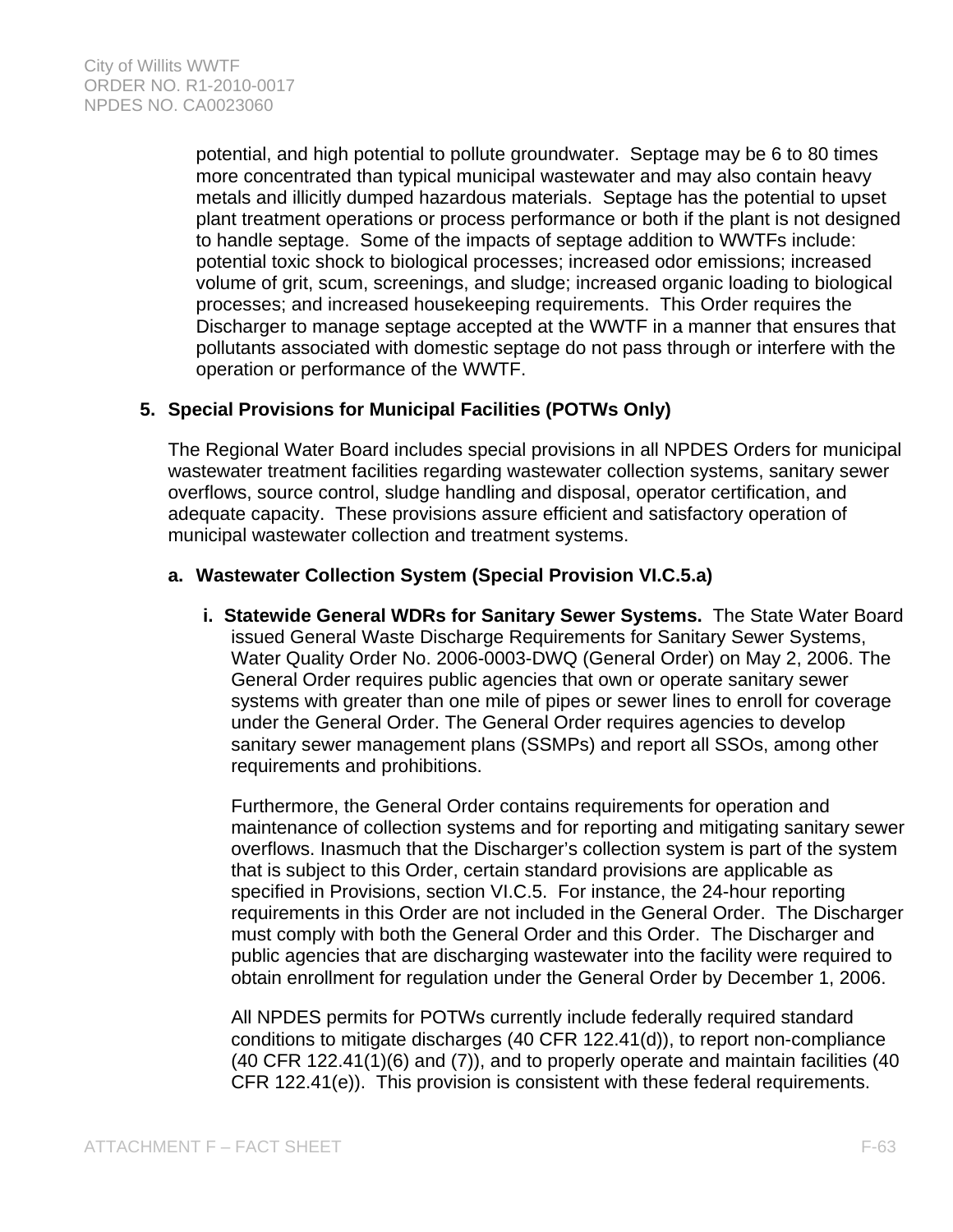potential, and high potential to pollute groundwater. Septage may be 6 to 80 times more concentrated than typical municipal wastewater and may also contain heavy metals and illicitly dumped hazardous materials. Septage has the potential to upset plant treatment operations or process performance or both if the plant is not designed to handle septage. Some of the impacts of septage addition to WWTFs include: potential toxic shock to biological processes; increased odor emissions; increased volume of grit, scum, screenings, and sludge; increased organic loading to biological processes; and increased housekeeping requirements. This Order requires the Discharger to manage septage accepted at the WWTF in a manner that ensures that pollutants associated with domestic septage do not pass through or interfere with the operation or performance of the WWTF.

## **5. Special Provisions for Municipal Facilities (POTWs Only)**

The Regional Water Board includes special provisions in all NPDES Orders for municipal wastewater treatment facilities regarding wastewater collection systems, sanitary sewer overflows, source control, sludge handling and disposal, operator certification, and adequate capacity. These provisions assure efficient and satisfactory operation of municipal wastewater collection and treatment systems.

## **a. Wastewater Collection System (Special Provision VI.C.5.a)**

**i. Statewide General WDRs for Sanitary Sewer Systems.** The State Water Board issued General Waste Discharge Requirements for Sanitary Sewer Systems, Water Quality Order No. 2006-0003-DWQ (General Order) on May 2, 2006. The General Order requires public agencies that own or operate sanitary sewer systems with greater than one mile of pipes or sewer lines to enroll for coverage under the General Order. The General Order requires agencies to develop sanitary sewer management plans (SSMPs) and report all SSOs, among other requirements and prohibitions.

Furthermore, the General Order contains requirements for operation and maintenance of collection systems and for reporting and mitigating sanitary sewer overflows. Inasmuch that the Discharger's collection system is part of the system that is subject to this Order, certain standard provisions are applicable as specified in Provisions, section VI.C.5. For instance, the 24-hour reporting requirements in this Order are not included in the General Order. The Discharger must comply with both the General Order and this Order. The Discharger and public agencies that are discharging wastewater into the facility were required to obtain enrollment for regulation under the General Order by December 1, 2006.

All NPDES permits for POTWs currently include federally required standard conditions to mitigate discharges (40 CFR 122.41(d)), to report non-compliance (40 CFR 122.41(1)(6) and (7)), and to properly operate and maintain facilities (40 CFR 122.41(e)). This provision is consistent with these federal requirements.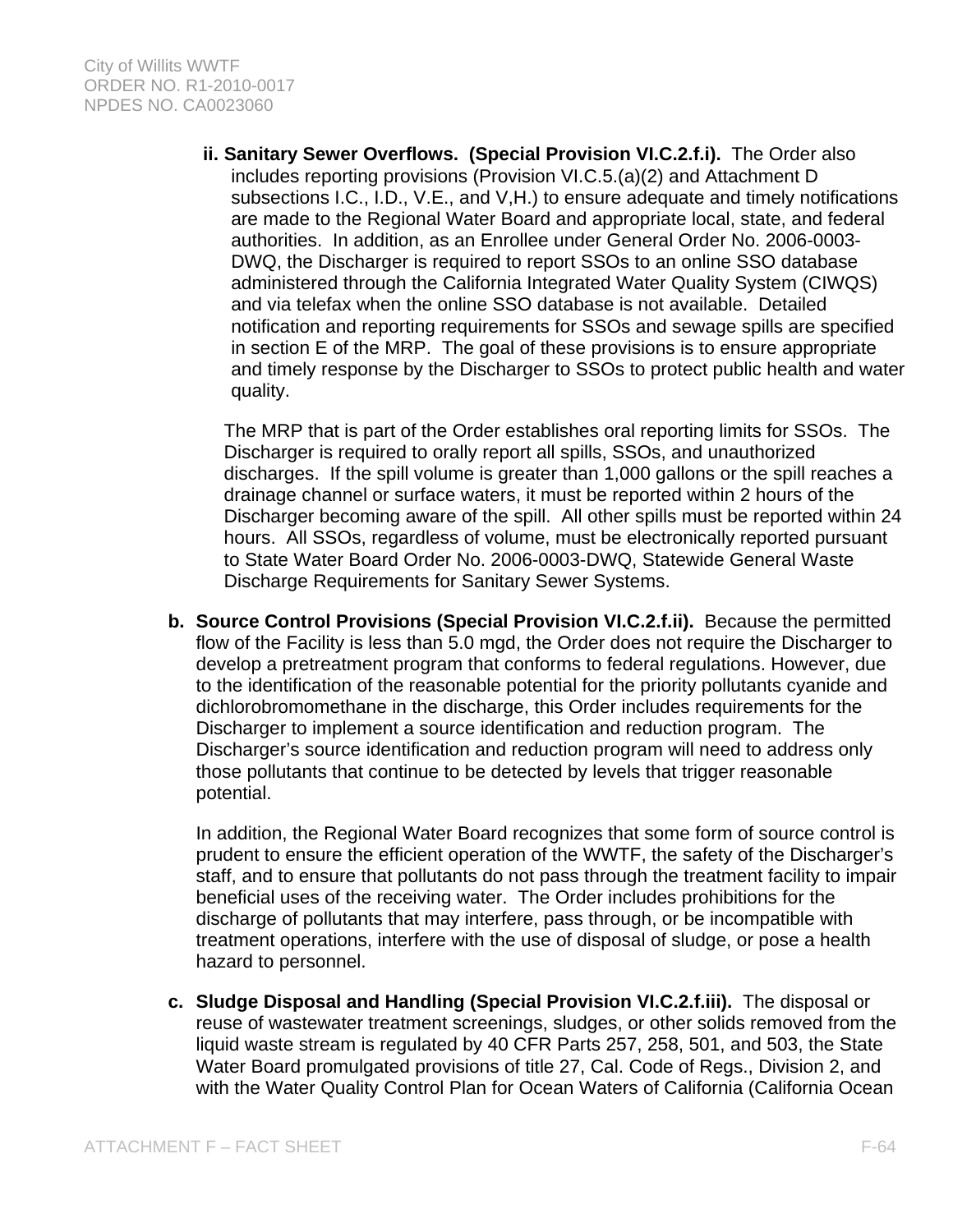**ii. Sanitary Sewer Overflows. (Special Provision VI.C.2.f.i).** The Order also includes reporting provisions (Provision VI.C.5.(a)(2) and Attachment D subsections I.C., I.D., V.E., and V,H.) to ensure adequate and timely notifications are made to the Regional Water Board and appropriate local, state, and federal authorities. In addition, as an Enrollee under General Order No. 2006-0003- DWQ, the Discharger is required to report SSOs to an online SSO database administered through the California Integrated Water Quality System (CIWQS) and via telefax when the online SSO database is not available. Detailed notification and reporting requirements for SSOs and sewage spills are specified in section E of the MRP. The goal of these provisions is to ensure appropriate and timely response by the Discharger to SSOs to protect public health and water quality.

The MRP that is part of the Order establishes oral reporting limits for SSOs. The Discharger is required to orally report all spills, SSOs, and unauthorized discharges. If the spill volume is greater than 1,000 gallons or the spill reaches a drainage channel or surface waters, it must be reported within 2 hours of the Discharger becoming aware of the spill. All other spills must be reported within 24 hours. All SSOs, regardless of volume, must be electronically reported pursuant to State Water Board Order No. 2006-0003-DWQ, Statewide General Waste Discharge Requirements for Sanitary Sewer Systems.

**b. Source Control Provisions (Special Provision VI.C.2.f.ii).** Because the permitted flow of the Facility is less than 5.0 mgd, the Order does not require the Discharger to develop a pretreatment program that conforms to federal regulations. However, due to the identification of the reasonable potential for the priority pollutants cyanide and dichlorobromomethane in the discharge, this Order includes requirements for the Discharger to implement a source identification and reduction program. The Discharger's source identification and reduction program will need to address only those pollutants that continue to be detected by levels that trigger reasonable potential.

In addition, the Regional Water Board recognizes that some form of source control is prudent to ensure the efficient operation of the WWTF, the safety of the Discharger's staff, and to ensure that pollutants do not pass through the treatment facility to impair beneficial uses of the receiving water. The Order includes prohibitions for the discharge of pollutants that may interfere, pass through, or be incompatible with treatment operations, interfere with the use of disposal of sludge, or pose a health hazard to personnel.

**c. Sludge Disposal and Handling (Special Provision VI.C.2.f.iii).** The disposal or reuse of wastewater treatment screenings, sludges, or other solids removed from the liquid waste stream is regulated by 40 CFR Parts 257, 258, 501, and 503, the State Water Board promulgated provisions of title 27, Cal. Code of Regs., Division 2, and with the Water Quality Control Plan for Ocean Waters of California (California Ocean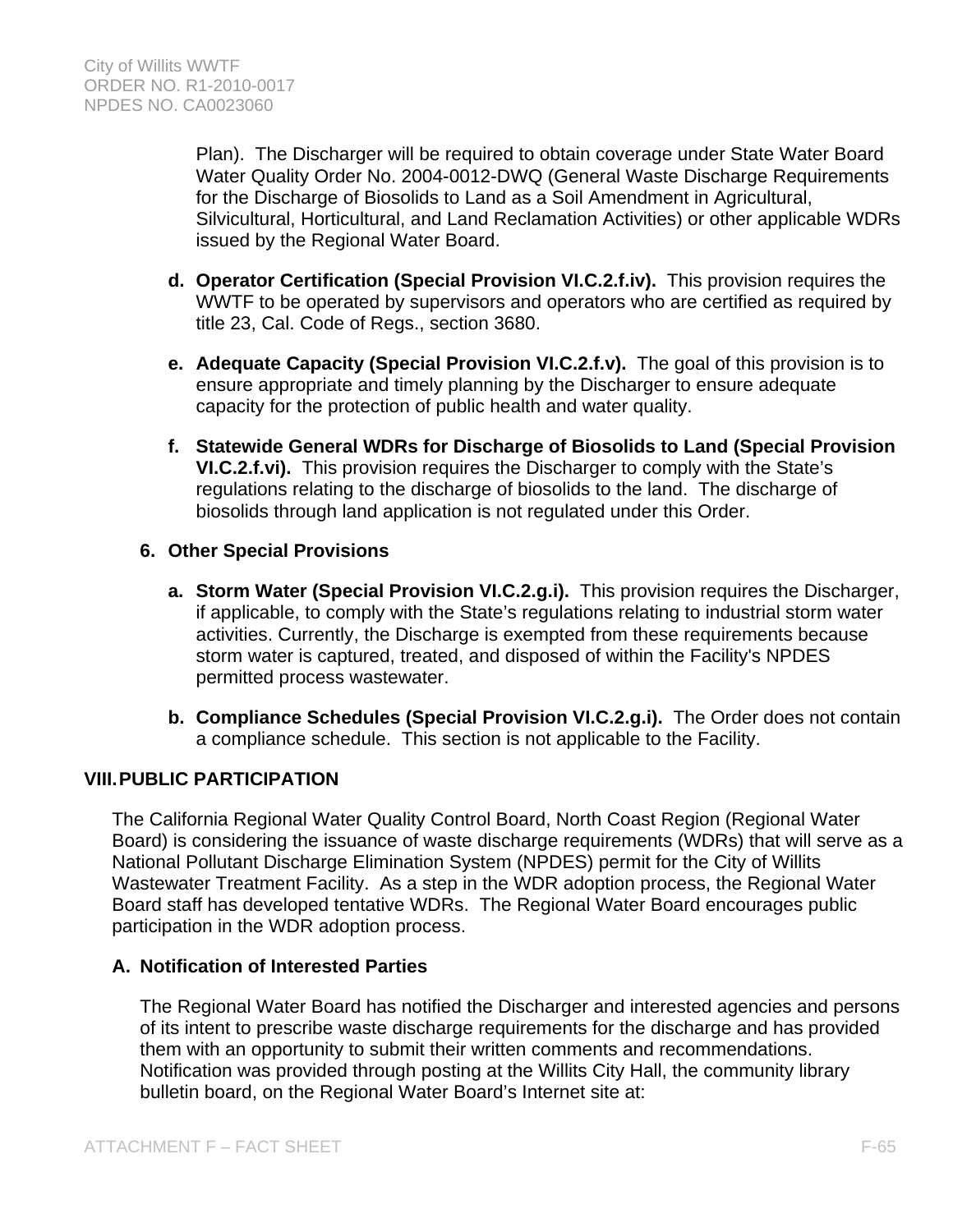Plan). The Discharger will be required to obtain coverage under State Water Board Water Quality Order No. 2004-0012-DWQ (General Waste Discharge Requirements for the Discharge of Biosolids to Land as a Soil Amendment in Agricultural, Silvicultural, Horticultural, and Land Reclamation Activities) or other applicable WDRs issued by the Regional Water Board.

- **d. Operator Certification (Special Provision VI.C.2.f.iv).** This provision requires the WWTF to be operated by supervisors and operators who are certified as required by title 23, Cal. Code of Regs., section 3680.
- **e. Adequate Capacity (Special Provision VI.C.2.f.v).** The goal of this provision is to ensure appropriate and timely planning by the Discharger to ensure adequate capacity for the protection of public health and water quality.
- **f. Statewide General WDRs for Discharge of Biosolids to Land (Special Provision VI.C.2.f.vi).** This provision requires the Discharger to comply with the State's regulations relating to the discharge of biosolids to the land. The discharge of biosolids through land application is not regulated under this Order.

## **6. Other Special Provisions**

- **a. Storm Water (Special Provision VI.C.2.g.i).** This provision requires the Discharger, if applicable, to comply with the State's regulations relating to industrial storm water activities. Currently, the Discharge is exempted from these requirements because storm water is captured, treated, and disposed of within the Facility's NPDES permitted process wastewater.
- **b. Compliance Schedules (Special Provision VI.C.2.g.i).** The Order does not contain a compliance schedule. This section is not applicable to the Facility.

# **VIII. PUBLIC PARTICIPATION**

The California Regional Water Quality Control Board, North Coast Region (Regional Water Board) is considering the issuance of waste discharge requirements (WDRs) that will serve as a National Pollutant Discharge Elimination System (NPDES) permit for the City of Willits Wastewater Treatment Facility. As a step in the WDR adoption process, the Regional Water Board staff has developed tentative WDRs. The Regional Water Board encourages public participation in the WDR adoption process.

## **A. Notification of Interested Parties**

The Regional Water Board has notified the Discharger and interested agencies and persons of its intent to prescribe waste discharge requirements for the discharge and has provided them with an opportunity to submit their written comments and recommendations. Notification was provided through posting at the Willits City Hall, the community library bulletin board, on the Regional Water Board's Internet site at: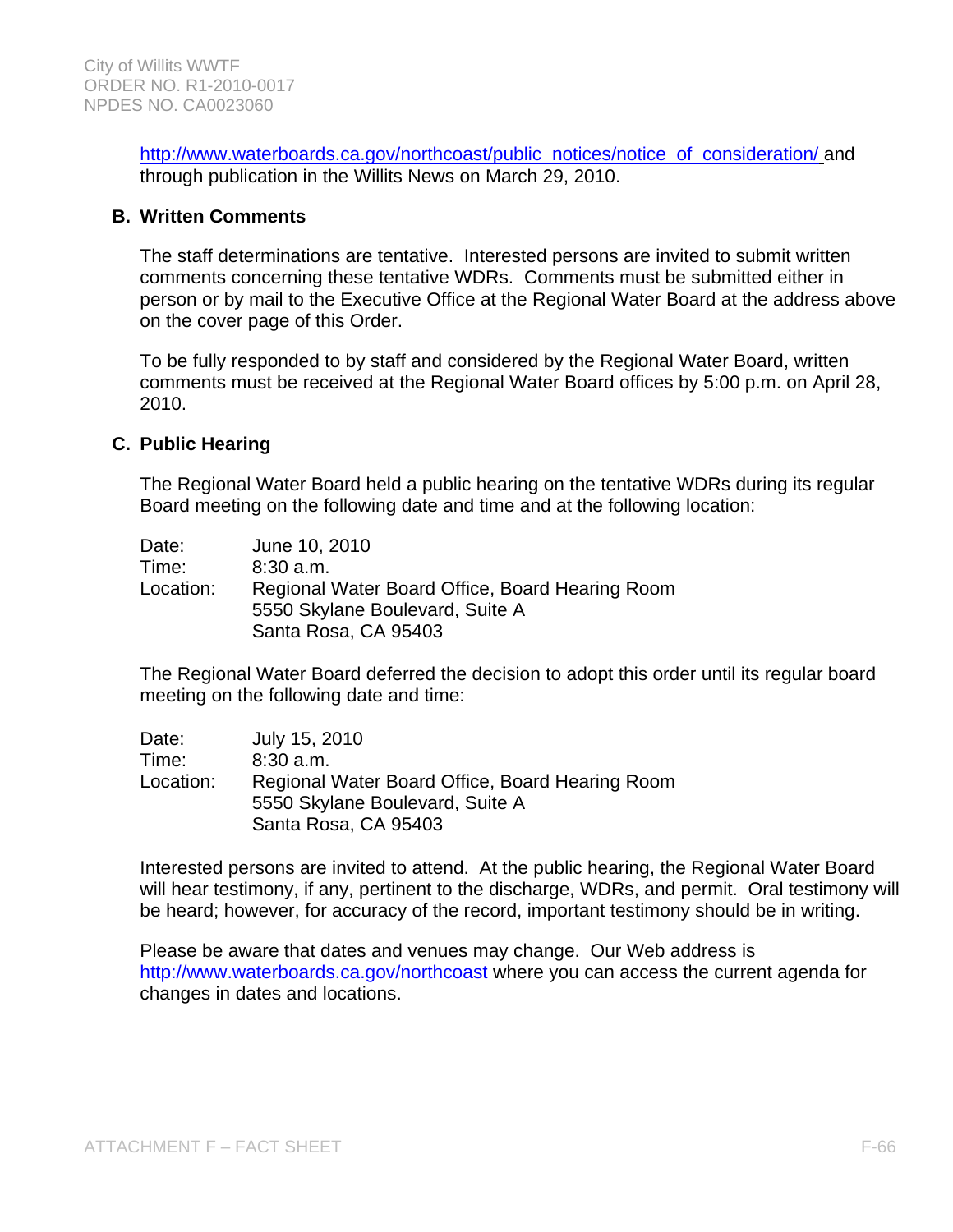http://www.waterboards.ca.gov/northcoast/public\_notices/notice\_of\_consideration/ and through publication in the Willits News on March 29, 2010.

## **B. Written Comments**

The staff determinations are tentative. Interested persons are invited to submit written comments concerning these tentative WDRs. Comments must be submitted either in person or by mail to the Executive Office at the Regional Water Board at the address above on the cover page of this Order.

To be fully responded to by staff and considered by the Regional Water Board, written comments must be received at the Regional Water Board offices by 5:00 p.m. on April 28, 2010.

#### **C. Public Hearing**

The Regional Water Board held a public hearing on the tentative WDRs during its regular Board meeting on the following date and time and at the following location:

| Date:     | June 10, 2010                                                                      |
|-----------|------------------------------------------------------------------------------------|
| Time:     | $8:30$ a.m.                                                                        |
| Location: | Regional Water Board Office, Board Hearing Room<br>5550 Skylane Boulevard, Suite A |
|           | Santa Rosa, CA 95403                                                               |

The Regional Water Board deferred the decision to adopt this order until its regular board meeting on the following date and time:

| Date:     | July 15, 2010                                   |
|-----------|-------------------------------------------------|
| Time:     | $8:30$ a.m.                                     |
| Location: | Regional Water Board Office, Board Hearing Room |
|           | 5550 Skylane Boulevard, Suite A                 |
|           | Santa Rosa, CA 95403                            |

Interested persons are invited to attend. At the public hearing, the Regional Water Board will hear testimony, if any, pertinent to the discharge, WDRs, and permit. Oral testimony will be heard; however, for accuracy of the record, important testimony should be in writing.

Please be aware that dates and venues may change. Our Web address is http://www.waterboards.ca.gov/northcoast where you can access the current agenda for changes in dates and locations.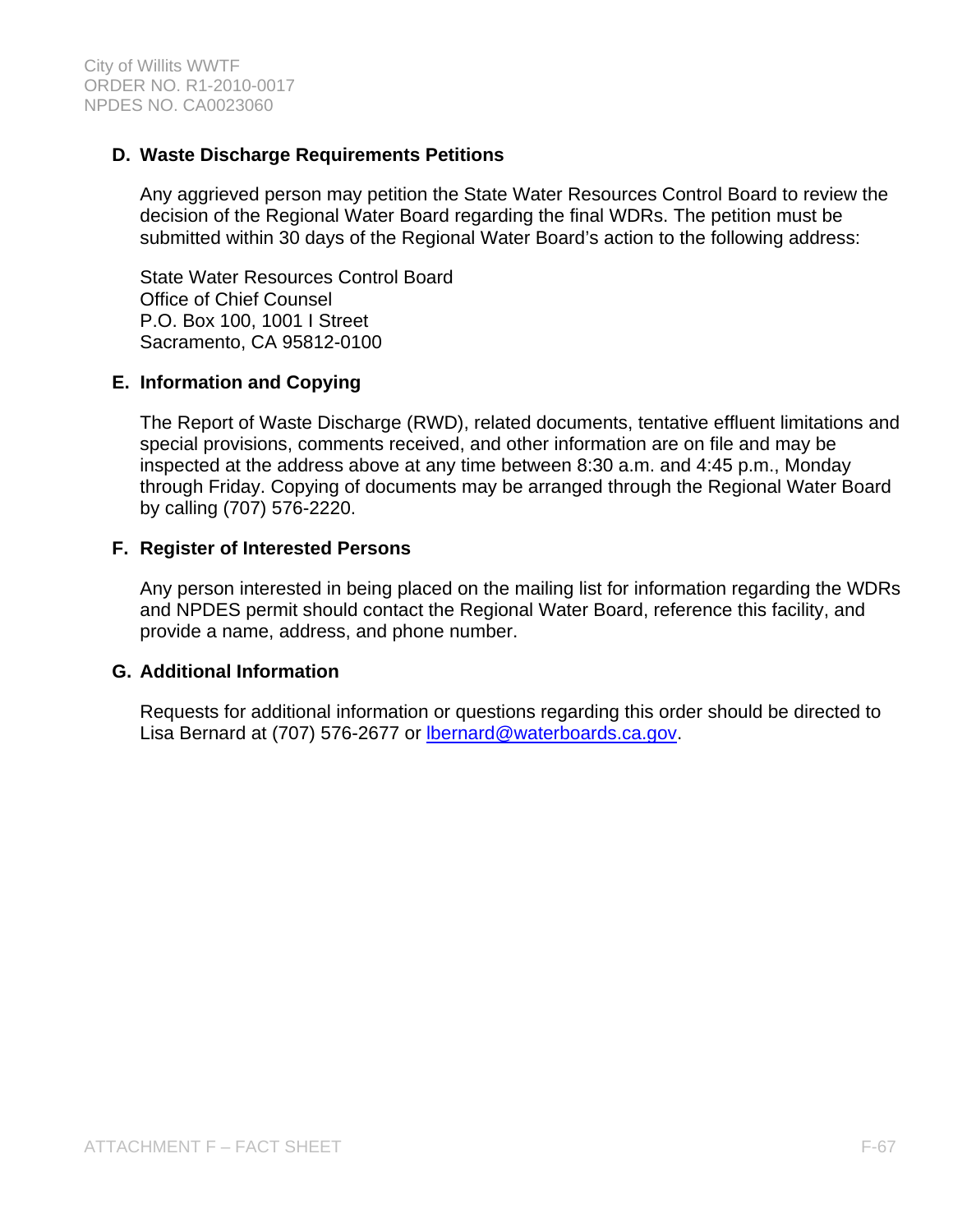## **D. Waste Discharge Requirements Petitions**

Any aggrieved person may petition the State Water Resources Control Board to review the decision of the Regional Water Board regarding the final WDRs. The petition must be submitted within 30 days of the Regional Water Board's action to the following address:

State Water Resources Control Board Office of Chief Counsel P.O. Box 100, 1001 I Street Sacramento, CA 95812-0100

## **E. Information and Copying**

The Report of Waste Discharge (RWD), related documents, tentative effluent limitations and special provisions, comments received, and other information are on file and may be inspected at the address above at any time between 8:30 a.m. and 4:45 p.m., Monday through Friday. Copying of documents may be arranged through the Regional Water Board by calling (707) 576-2220.

## **F. Register of Interested Persons**

Any person interested in being placed on the mailing list for information regarding the WDRs and NPDES permit should contact the Regional Water Board, reference this facility, and provide a name, address, and phone number.

#### **G. Additional Information**

Requests for additional information or questions regarding this order should be directed to Lisa Bernard at (707) 576-2677 or **Ibernard@waterboards.ca.gov.**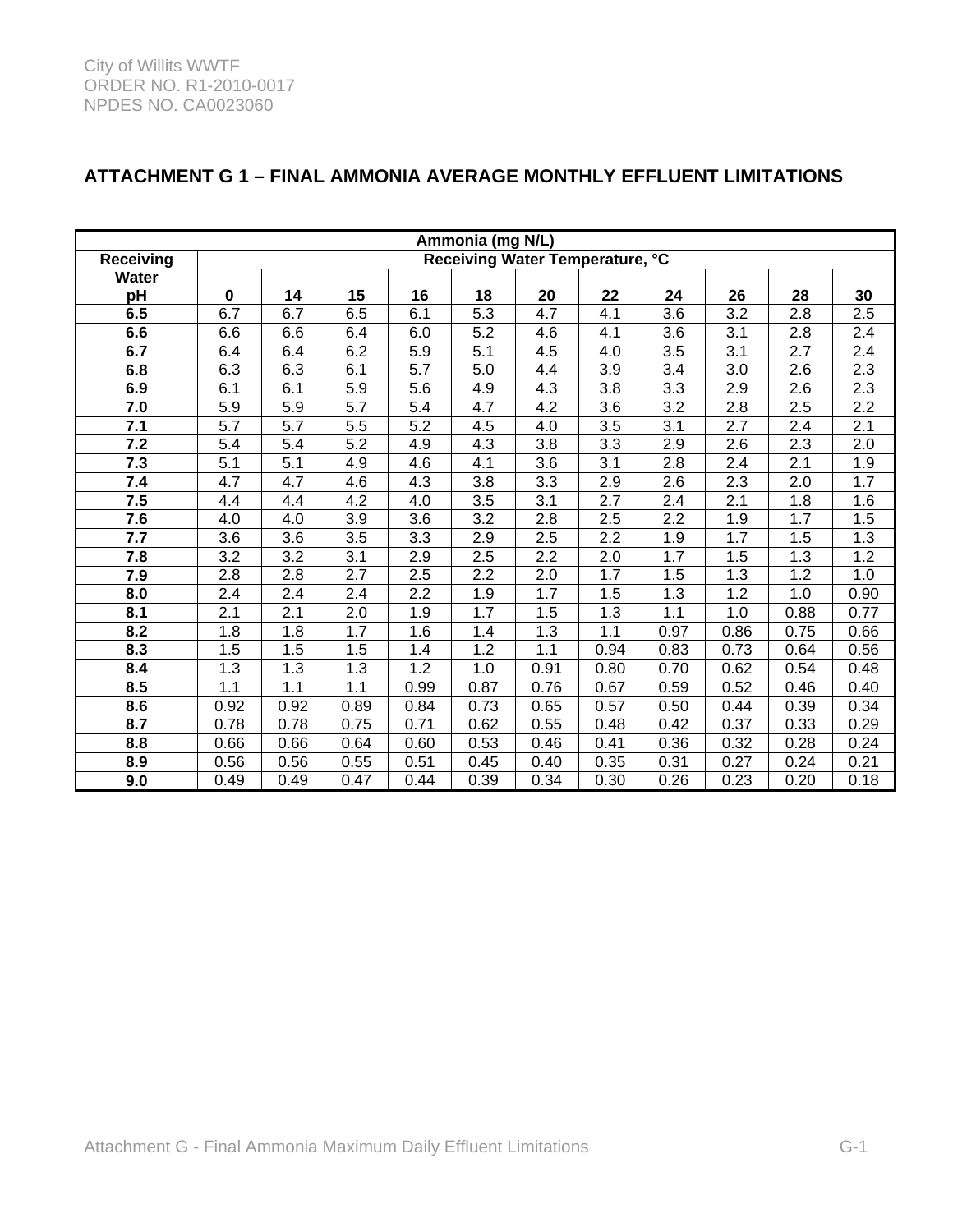| Ammonia (mg N/L) |                                 |       |                  |                  |                  |                  |                  |      |      |                  |      |
|------------------|---------------------------------|-------|------------------|------------------|------------------|------------------|------------------|------|------|------------------|------|
| <b>Receiving</b> | Receiving Water Temperature, °C |       |                  |                  |                  |                  |                  |      |      |                  |      |
| <b>Water</b>     |                                 |       |                  |                  |                  |                  |                  |      |      |                  |      |
| pH               | $\mathbf 0$                     | 14    | 15               | 16               | 18               | 20               | 22               | 24   | 26   | 28               | 30   |
| 6.5              | 6.7                             | 6.7   | 6.5              | 6.1              | 5.3              | 4.7              | 4.1              | 3.6  | 3.2  | 2.8              | 2.5  |
| 6.6              | 6.6                             | 6.6   | 6.4              | 6.0              | 5.2              | 4.6              | 4.1              | 3.6  | 3.1  | 2.8              | 2.4  |
| 6.7              | 6.4                             | 6.4   | 6.2              | 5.9              | 5.1              | 4.5              | 4.0              | 3.5  | 3.1  | 2.7              | 2.4  |
| 6.8              | 6.3                             | 6.3   | 6.1              | 5.7              | 5.0              | 4.4              | 3.9              | 3.4  | 3.0  | 2.6              | 2.3  |
| 6.9              | 6.1                             | 6.1   | 5.9              | 5.6              | 4.9              | 4.3              | 3.8              | 3.3  | 2.9  | 2.6              | 2.3  |
| 7.0              | 5.9                             | 5.9   | 5.7              | 5.4              | 4.7              | 4.2              | 3.6              | 3.2  | 2.8  | 2.5              | 2.2  |
| 7.1              | 5.7                             | 5.7   | 5.5              | 5.2              | 4.5              | 4.0              | 3.5              | 3.1  | 2.7  | 2.4              | 2.1  |
| 7.2              | 5.4                             | 5.4   | 5.2              | 4.9              | 4.3              | 3.8              | 3.3              | 2.9  | 2.6  | 2.3              | 2.0  |
| 7.3              | 5.1                             | 5.1   | 4.9              | 4.6              | 4.1              | $\overline{3.6}$ | $\overline{3.1}$ | 2.8  | 2.4  | $\overline{2.1}$ | 1.9  |
| 7.4              | 4.7                             | 4.7   | 4.6              | 4.3              | 3.8              | 3.3              | 2.9              | 2.6  | 2.3  | 2.0              | 1.7  |
| 7.5              | 4.4                             | 4.4   | 4.2              | 4.0              | 3.5              | 3.1              | 2.7              | 2.4  | 2.1  | 1.8              | 1.6  |
| 7.6              | 4.0                             | 4.0   | 3.9              | 3.6              | 3.2              | 2.8              | 2.5              | 2.2  | 1.9  | 1.7              | 1.5  |
| 7.7              | 3.6                             | 3.6   | $\overline{3.5}$ | $\overline{3.3}$ | 2.9              | $\overline{2.5}$ | 2.2              | 1.9  | 1.7  | 1.5              | 1.3  |
| 7.8              | 3.2                             | 3.2   | 3.1              | 2.9              | 2.5              | 2.2              | 2.0              | 1.7  | 1.5  | 1.3              | 1.2  |
| 7.9              | 2.8                             | 2.8   | 2.7              | 2.5              | $\overline{2.2}$ | 2.0              | 1.7              | 1.5  | 1.3  | 1.2              | 1.0  |
| 8.0              | 2.4                             | 2.4   | 2.4              | 2.2              | 1.9              | 1.7              | 1.5              | 1.3  | 1.2  | 1.0              | 0.90 |
| 8.1              | $\overline{2.1}$                | 2.1   | $\overline{2.0}$ | 1.9              | 1.7              | 1.5              | 1.3              | 1.1  | 1.0  | 0.88             | 0.77 |
| 8.2              | 1.8                             | 1.8   | 1.7              | 1.6              | 1.4              | 1.3              | 1.1              | 0.97 | 0.86 | 0.75             | 0.66 |
| 8.3              | 1.5                             | 1.5   | 1.5              | 1.4              | 1.2              | 1.1              | 0.94             | 0.83 | 0.73 | 0.64             | 0.56 |
| 8.4              | 1.3                             | 1.3   | 1.3              | 1.2              | 1.0              | 0.91             | 0.80             | 0.70 | 0.62 | 0.54             | 0.48 |
| 8.5              | 1.1                             | $1.1$ | 1.1              | 0.99             | 0.87             | 0.76             | 0.67             | 0.59 | 0.52 | 0.46             | 0.40 |
| 8.6              | 0.92                            | 0.92  | 0.89             | 0.84             | 0.73             | 0.65             | 0.57             | 0.50 | 0.44 | 0.39             | 0.34 |
| 8.7              | 0.78                            | 0.78  | 0.75             | 0.71             | 0.62             | 0.55             | 0.48             | 0.42 | 0.37 | 0.33             | 0.29 |
| 8.8              | 0.66                            | 0.66  | 0.64             | 0.60             | 0.53             | 0.46             | 0.41             | 0.36 | 0.32 | 0.28             | 0.24 |
| 8.9              | 0.56                            | 0.56  | 0.55             | 0.51             | 0.45             | 0.40             | 0.35             | 0.31 | 0.27 | 0.24             | 0.21 |
| 9.0              | 0.49                            | 0.49  | 0.47             | 0.44             | 0.39             | 0.34             | 0.30             | 0.26 | 0.23 | 0.20             | 0.18 |

# **ATTACHMENT G 1 – FINAL AMMONIA AVERAGE MONTHLY EFFLUENT LIMITATIONS**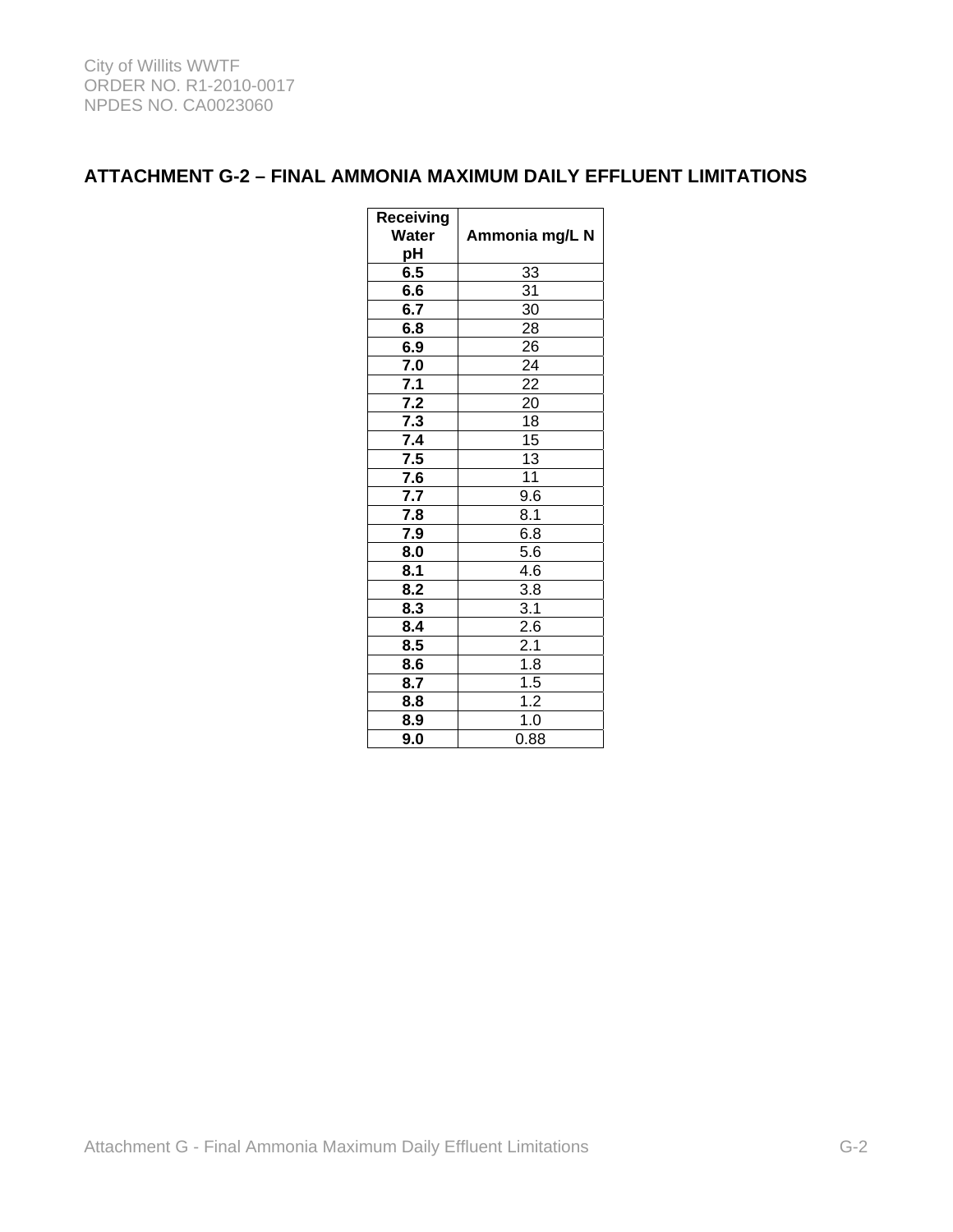# **ATTACHMENT G-2 – FINAL AMMONIA MAXIMUM DAILY EFFLUENT LIMITATIONS**

| Receiving<br>Water<br>рH  | Ammonia mg/L N                     |  |  |  |  |  |
|---------------------------|------------------------------------|--|--|--|--|--|
| 6.5                       | 33                                 |  |  |  |  |  |
| 6.6                       | $\overline{31}$                    |  |  |  |  |  |
| 6.7                       | 30                                 |  |  |  |  |  |
| 6.8                       | $\overline{28}$                    |  |  |  |  |  |
| 6.9                       | $\overline{26}$                    |  |  |  |  |  |
| 7.0                       |                                    |  |  |  |  |  |
| $\overline{7.1}$          | $\frac{24}{22}$<br>$\frac{22}{20}$ |  |  |  |  |  |
| 7.2                       |                                    |  |  |  |  |  |
| 7.3                       | $\overline{18}$                    |  |  |  |  |  |
| 7.4                       | $\overline{15}$                    |  |  |  |  |  |
| 7.5                       | $\overline{13}$                    |  |  |  |  |  |
| 7.6                       | $\overline{11}$                    |  |  |  |  |  |
| 7.7                       | 9.6                                |  |  |  |  |  |
| $\overline{7.8}$          | $\overline{8.1}$                   |  |  |  |  |  |
| 7.9                       | $6.\overline{8}$                   |  |  |  |  |  |
| $\overline{\mathbf{8.0}}$ | 5.6                                |  |  |  |  |  |
| 8.1                       | 4.6                                |  |  |  |  |  |
| $\overline{8.2}$          | $\overline{3.8}$                   |  |  |  |  |  |
| 8.3                       | 3.1                                |  |  |  |  |  |
| 8.4                       | $\overline{2.6}$                   |  |  |  |  |  |
| 8.5                       | $2.\overline{1}$                   |  |  |  |  |  |
| 8.6                       | 1.8                                |  |  |  |  |  |
| 8.7                       | $\overline{1.5}$                   |  |  |  |  |  |
| 8.8                       | $\overline{1.2}$                   |  |  |  |  |  |
| 8.9                       | 1.0                                |  |  |  |  |  |
| 9.0                       | 0.88                               |  |  |  |  |  |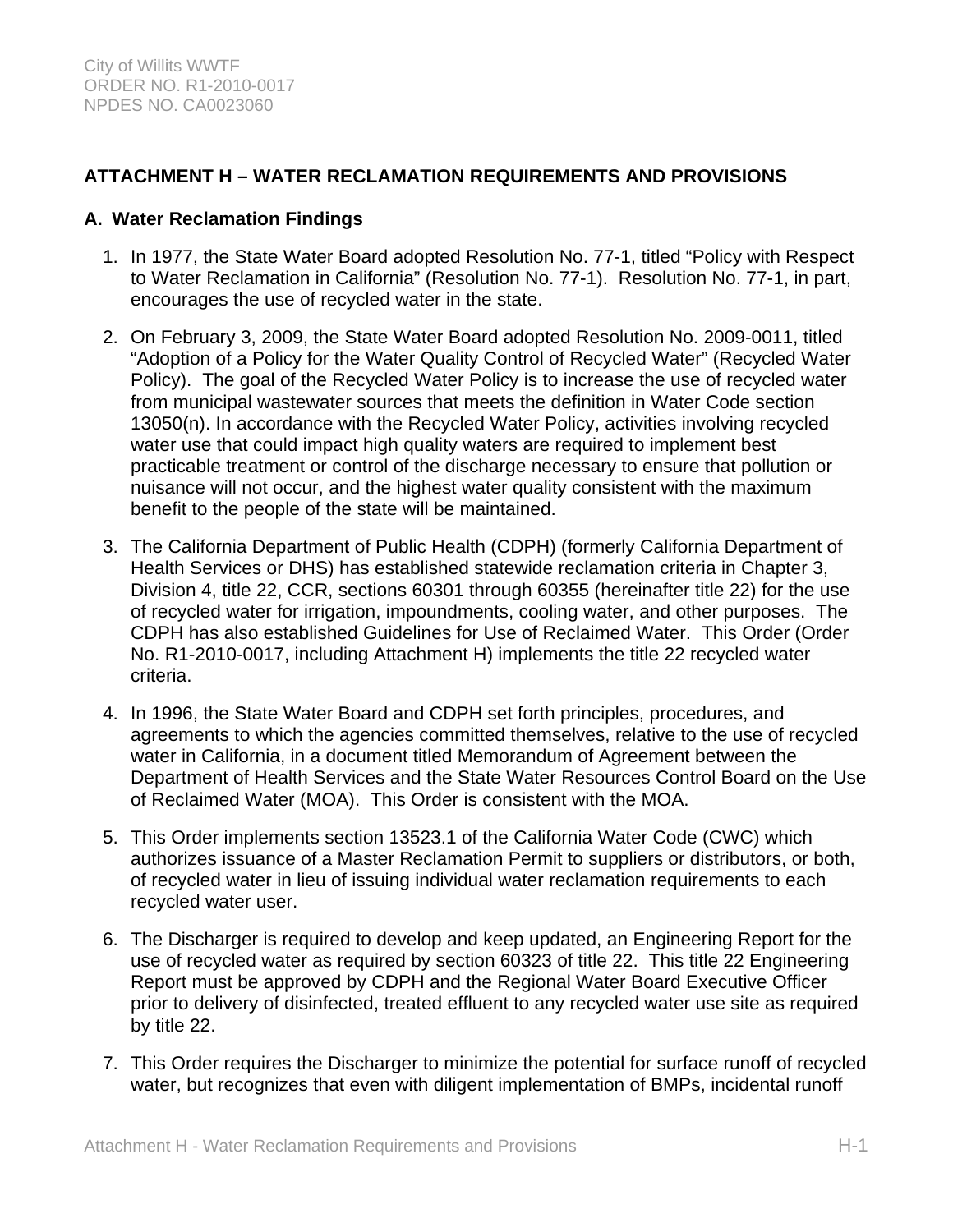# **ATTACHMENT H – WATER RECLAMATION REQUIREMENTS AND PROVISIONS**

## **A. Water Reclamation Findings**

- 1. In 1977, the State Water Board adopted Resolution No. 77-1, titled "Policy with Respect to Water Reclamation in California" (Resolution No. 77-1). Resolution No. 77-1, in part, encourages the use of recycled water in the state.
- 2. On February 3, 2009, the State Water Board adopted Resolution No. 2009-0011, titled "Adoption of a Policy for the Water Quality Control of Recycled Water" (Recycled Water Policy). The goal of the Recycled Water Policy is to increase the use of recycled water from municipal wastewater sources that meets the definition in Water Code section 13050(n). In accordance with the Recycled Water Policy, activities involving recycled water use that could impact high quality waters are required to implement best practicable treatment or control of the discharge necessary to ensure that pollution or nuisance will not occur, and the highest water quality consistent with the maximum benefit to the people of the state will be maintained.
- 3. The California Department of Public Health (CDPH) (formerly California Department of Health Services or DHS) has established statewide reclamation criteria in Chapter 3, Division 4, title 22, CCR, sections 60301 through 60355 (hereinafter title 22) for the use of recycled water for irrigation, impoundments, cooling water, and other purposes. The CDPH has also established Guidelines for Use of Reclaimed Water. This Order (Order No. R1-2010-0017, including Attachment H) implements the title 22 recycled water criteria.
- 4. In 1996, the State Water Board and CDPH set forth principles, procedures, and agreements to which the agencies committed themselves, relative to the use of recycled water in California, in a document titled Memorandum of Agreement between the Department of Health Services and the State Water Resources Control Board on the Use of Reclaimed Water (MOA). This Order is consistent with the MOA.
- 5. This Order implements section 13523.1 of the California Water Code (CWC) which authorizes issuance of a Master Reclamation Permit to suppliers or distributors, or both, of recycled water in lieu of issuing individual water reclamation requirements to each recycled water user.
- 6. The Discharger is required to develop and keep updated, an Engineering Report for the use of recycled water as required by section 60323 of title 22. This title 22 Engineering Report must be approved by CDPH and the Regional Water Board Executive Officer prior to delivery of disinfected, treated effluent to any recycled water use site as required by title 22.
- 7. This Order requires the Discharger to minimize the potential for surface runoff of recycled water, but recognizes that even with diligent implementation of BMPs, incidental runoff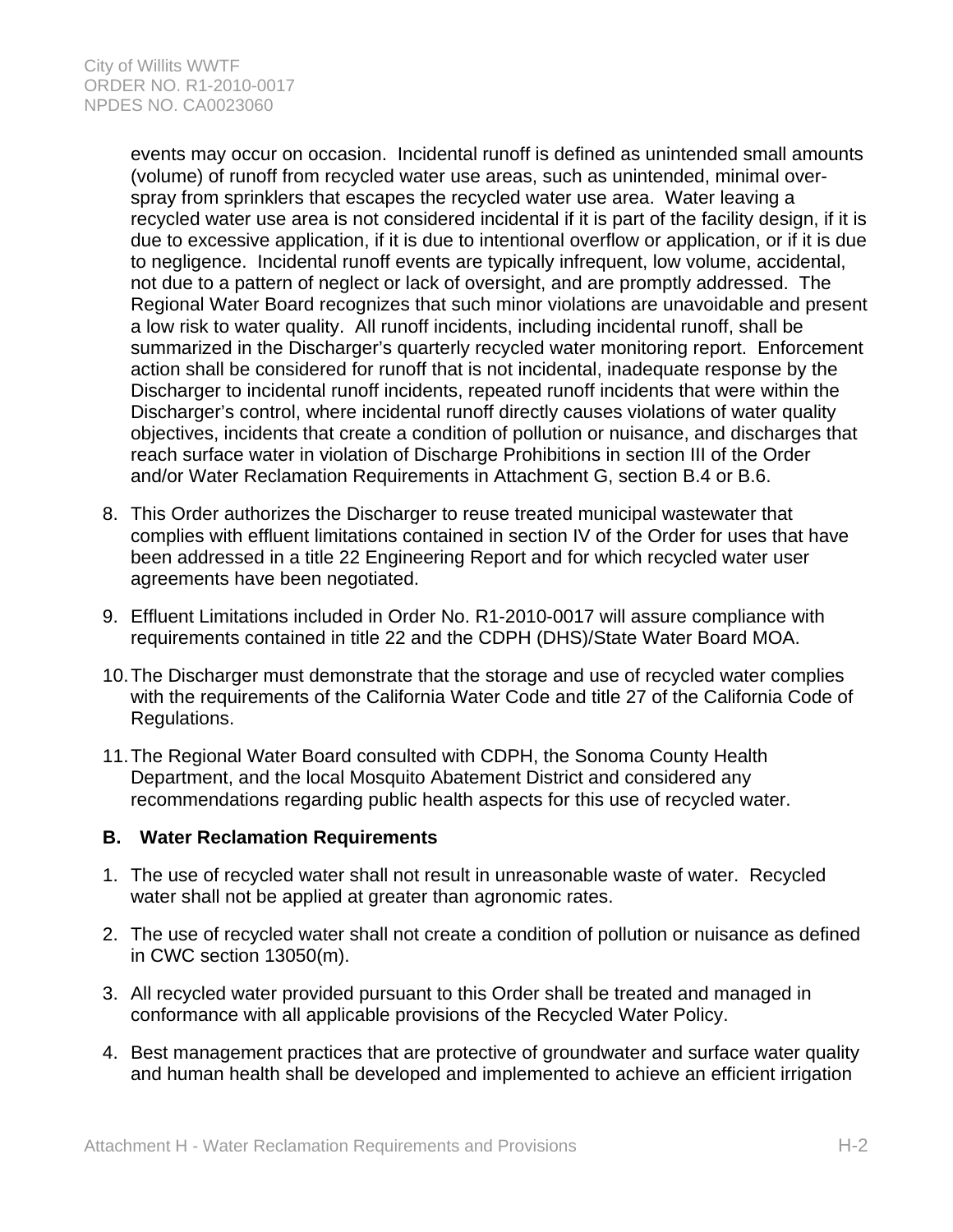events may occur on occasion. Incidental runoff is defined as unintended small amounts (volume) of runoff from recycled water use areas, such as unintended, minimal overspray from sprinklers that escapes the recycled water use area. Water leaving a recycled water use area is not considered incidental if it is part of the facility design, if it is due to excessive application, if it is due to intentional overflow or application, or if it is due to negligence. Incidental runoff events are typically infrequent, low volume, accidental, not due to a pattern of neglect or lack of oversight, and are promptly addressed. The Regional Water Board recognizes that such minor violations are unavoidable and present a low risk to water quality. All runoff incidents, including incidental runoff, shall be summarized in the Discharger's quarterly recycled water monitoring report. Enforcement action shall be considered for runoff that is not incidental, inadequate response by the Discharger to incidental runoff incidents, repeated runoff incidents that were within the Discharger's control, where incidental runoff directly causes violations of water quality objectives, incidents that create a condition of pollution or nuisance, and discharges that reach surface water in violation of Discharge Prohibitions in section III of the Order and/or Water Reclamation Requirements in Attachment G, section B.4 or B.6.

- 8. This Order authorizes the Discharger to reuse treated municipal wastewater that complies with effluent limitations contained in section IV of the Order for uses that have been addressed in a title 22 Engineering Report and for which recycled water user agreements have been negotiated.
- 9. Effluent Limitations included in Order No. R1-2010-0017 will assure compliance with requirements contained in title 22 and the CDPH (DHS)/State Water Board MOA.
- 10. The Discharger must demonstrate that the storage and use of recycled water complies with the requirements of the California Water Code and title 27 of the California Code of Regulations.
- 11. The Regional Water Board consulted with CDPH, the Sonoma County Health Department, and the local Mosquito Abatement District and considered any recommendations regarding public health aspects for this use of recycled water.

## **B. Water Reclamation Requirements**

- 1. The use of recycled water shall not result in unreasonable waste of water. Recycled water shall not be applied at greater than agronomic rates.
- 2. The use of recycled water shall not create a condition of pollution or nuisance as defined in CWC section 13050(m).
- 3. All recycled water provided pursuant to this Order shall be treated and managed in conformance with all applicable provisions of the Recycled Water Policy.
- 4. Best management practices that are protective of groundwater and surface water quality and human health shall be developed and implemented to achieve an efficient irrigation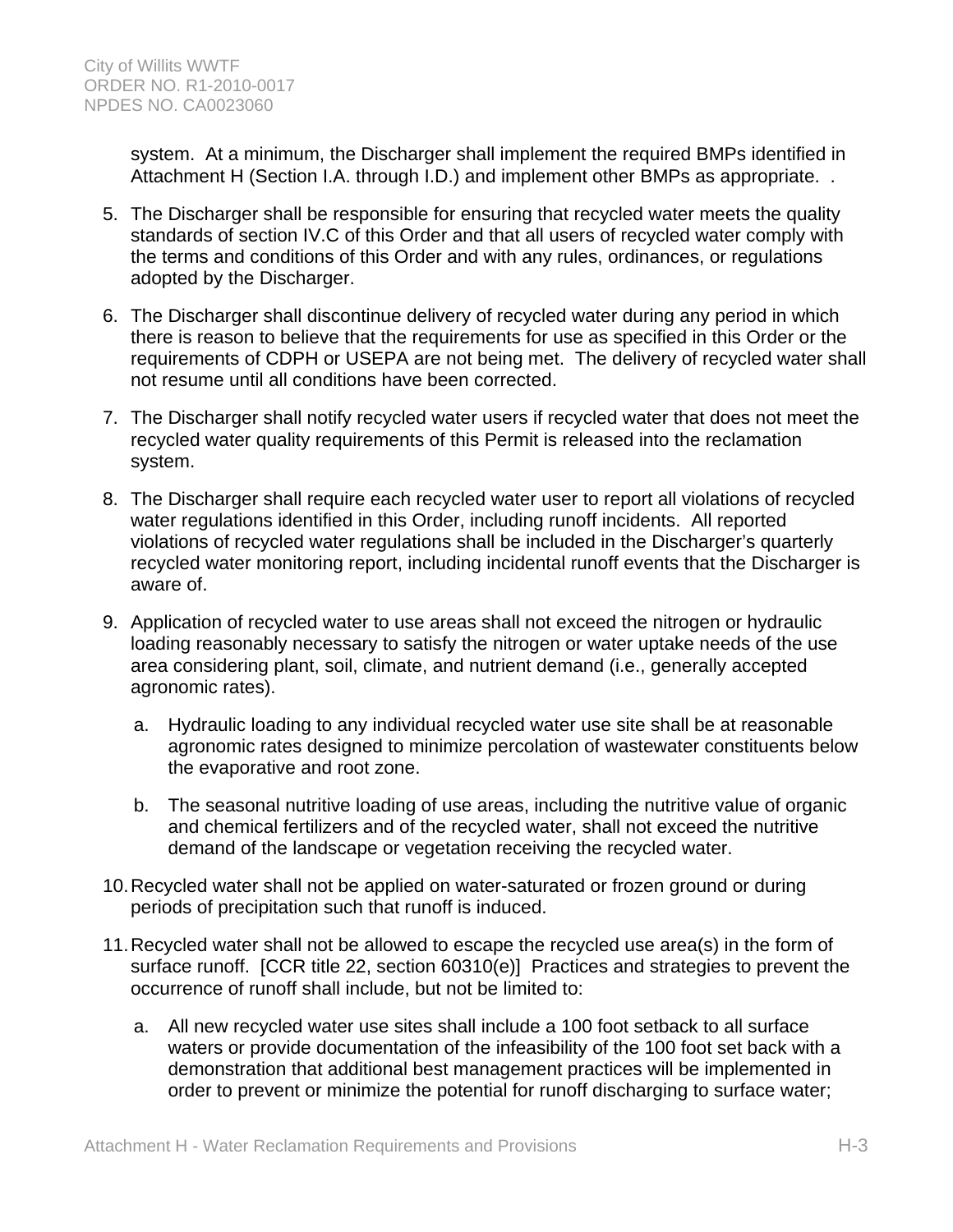system. At a minimum, the Discharger shall implement the required BMPs identified in Attachment H (Section I.A. through I.D.) and implement other BMPs as appropriate. .

- 5. The Discharger shall be responsible for ensuring that recycled water meets the quality standards of section IV.C of this Order and that all users of recycled water comply with the terms and conditions of this Order and with any rules, ordinances, or regulations adopted by the Discharger.
- 6. The Discharger shall discontinue delivery of recycled water during any period in which there is reason to believe that the requirements for use as specified in this Order or the requirements of CDPH or USEPA are not being met. The delivery of recycled water shall not resume until all conditions have been corrected.
- 7. The Discharger shall notify recycled water users if recycled water that does not meet the recycled water quality requirements of this Permit is released into the reclamation system.
- 8. The Discharger shall require each recycled water user to report all violations of recycled water regulations identified in this Order, including runoff incidents. All reported violations of recycled water regulations shall be included in the Discharger's quarterly recycled water monitoring report, including incidental runoff events that the Discharger is aware of.
- 9. Application of recycled water to use areas shall not exceed the nitrogen or hydraulic loading reasonably necessary to satisfy the nitrogen or water uptake needs of the use area considering plant, soil, climate, and nutrient demand (i.e., generally accepted agronomic rates).
	- a. Hydraulic loading to any individual recycled water use site shall be at reasonable agronomic rates designed to minimize percolation of wastewater constituents below the evaporative and root zone.
	- b. The seasonal nutritive loading of use areas, including the nutritive value of organic and chemical fertilizers and of the recycled water, shall not exceed the nutritive demand of the landscape or vegetation receiving the recycled water.
- 10. Recycled water shall not be applied on water-saturated or frozen ground or during periods of precipitation such that runoff is induced.
- 11. Recycled water shall not be allowed to escape the recycled use area(s) in the form of surface runoff. [CCR title 22, section 60310(e)] Practices and strategies to prevent the occurrence of runoff shall include, but not be limited to:
	- a. All new recycled water use sites shall include a 100 foot setback to all surface waters or provide documentation of the infeasibility of the 100 foot set back with a demonstration that additional best management practices will be implemented in order to prevent or minimize the potential for runoff discharging to surface water;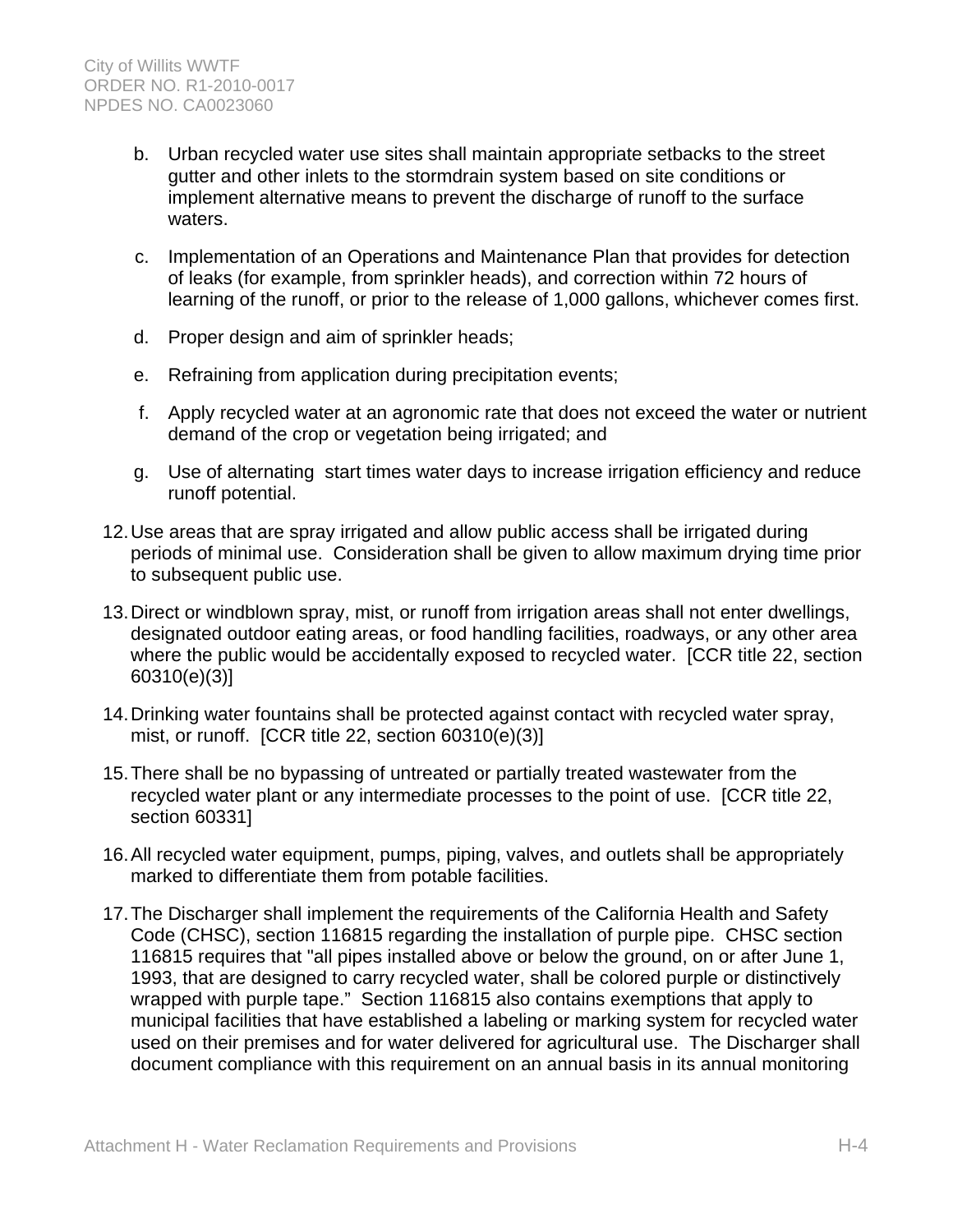- b. Urban recycled water use sites shall maintain appropriate setbacks to the street gutter and other inlets to the stormdrain system based on site conditions or implement alternative means to prevent the discharge of runoff to the surface waters.
- c. Implementation of an Operations and Maintenance Plan that provides for detection of leaks (for example, from sprinkler heads), and correction within 72 hours of learning of the runoff, or prior to the release of 1,000 gallons, whichever comes first.
- d. Proper design and aim of sprinkler heads;
- e. Refraining from application during precipitation events;
- f. Apply recycled water at an agronomic rate that does not exceed the water or nutrient demand of the crop or vegetation being irrigated; and
- g. Use of alternating start times water days to increase irrigation efficiency and reduce runoff potential.
- 12. Use areas that are spray irrigated and allow public access shall be irrigated during periods of minimal use. Consideration shall be given to allow maximum drying time prior to subsequent public use.
- 13. Direct or windblown spray, mist, or runoff from irrigation areas shall not enter dwellings, designated outdoor eating areas, or food handling facilities, roadways, or any other area where the public would be accidentally exposed to recycled water. [CCR title 22, section 60310(e)(3)]
- 14. Drinking water fountains shall be protected against contact with recycled water spray, mist, or runoff. [CCR title 22, section 60310(e)(3)]
- 15. There shall be no bypassing of untreated or partially treated wastewater from the recycled water plant or any intermediate processes to the point of use. [CCR title 22, section 60331]
- 16. All recycled water equipment, pumps, piping, valves, and outlets shall be appropriately marked to differentiate them from potable facilities.
- 17. The Discharger shall implement the requirements of the California Health and Safety Code (CHSC), section 116815 regarding the installation of purple pipe. CHSC section 116815 requires that "all pipes installed above or below the ground, on or after June 1, 1993, that are designed to carry recycled water, shall be colored purple or distinctively wrapped with purple tape." Section 116815 also contains exemptions that apply to municipal facilities that have established a labeling or marking system for recycled water used on their premises and for water delivered for agricultural use. The Discharger shall document compliance with this requirement on an annual basis in its annual monitoring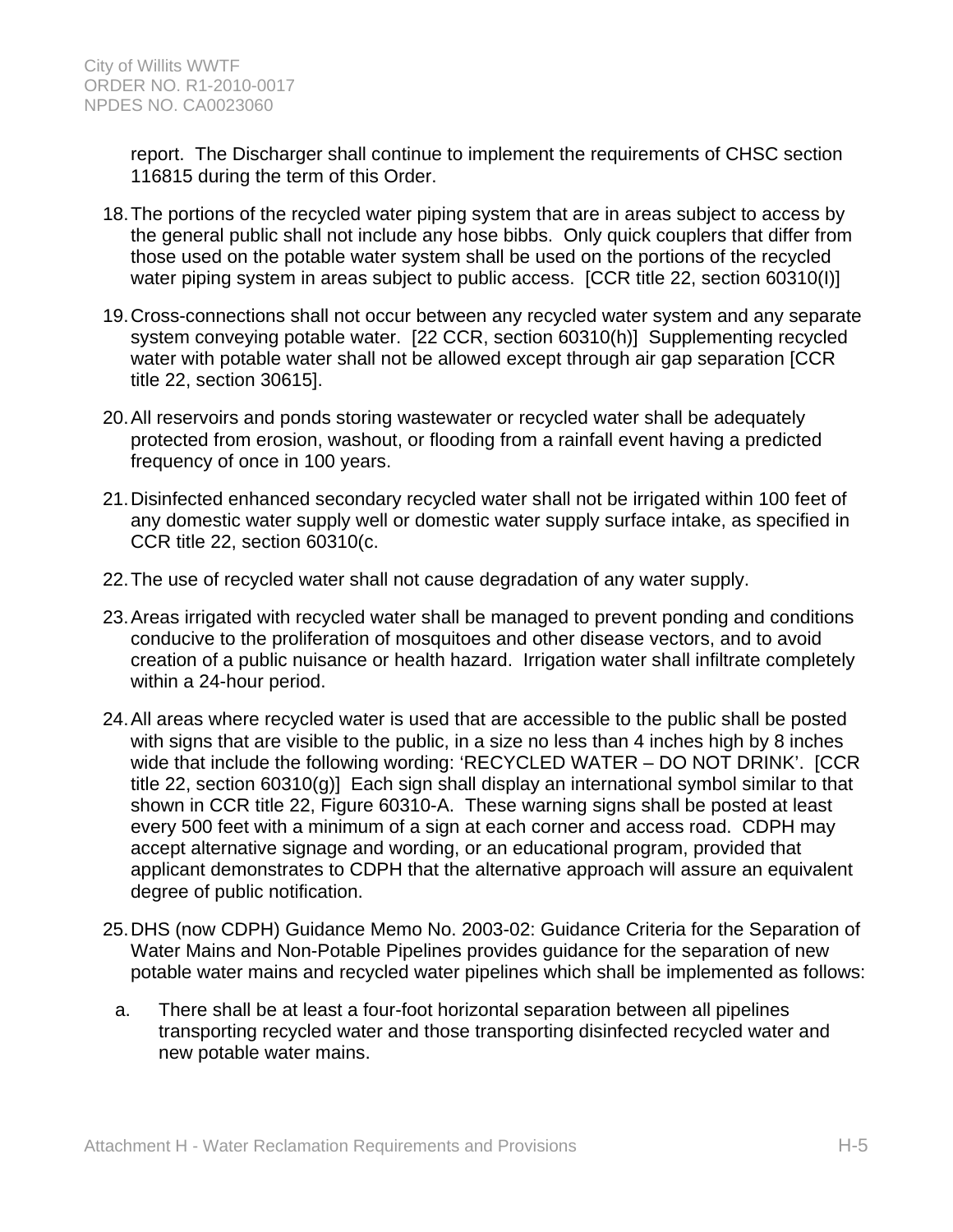report. The Discharger shall continue to implement the requirements of CHSC section 116815 during the term of this Order.

- 18. The portions of the recycled water piping system that are in areas subject to access by the general public shall not include any hose bibbs. Only quick couplers that differ from those used on the potable water system shall be used on the portions of the recycled water piping system in areas subject to public access. [CCR title 22, section 60310(I)]
- 19. Cross-connections shall not occur between any recycled water system and any separate system conveying potable water. [22 CCR, section 60310(h)] Supplementing recycled water with potable water shall not be allowed except through air gap separation [CCR title 22, section 30615].
- 20. All reservoirs and ponds storing wastewater or recycled water shall be adequately protected from erosion, washout, or flooding from a rainfall event having a predicted frequency of once in 100 years.
- 21. Disinfected enhanced secondary recycled water shall not be irrigated within 100 feet of any domestic water supply well or domestic water supply surface intake, as specified in CCR title 22, section 60310(c.
- 22. The use of recycled water shall not cause degradation of any water supply.
- 23. Areas irrigated with recycled water shall be managed to prevent ponding and conditions conducive to the proliferation of mosquitoes and other disease vectors, and to avoid creation of a public nuisance or health hazard. Irrigation water shall infiltrate completely within a 24-hour period.
- 24. All areas where recycled water is used that are accessible to the public shall be posted with signs that are visible to the public, in a size no less than 4 inches high by 8 inches wide that include the following wording: 'RECYCLED WATER – DO NOT DRINK'. [CCR title 22, section 60310(g)] Each sign shall display an international symbol similar to that shown in CCR title 22, Figure 60310-A. These warning signs shall be posted at least every 500 feet with a minimum of a sign at each corner and access road. CDPH may accept alternative signage and wording, or an educational program, provided that applicant demonstrates to CDPH that the alternative approach will assure an equivalent degree of public notification.
- 25. DHS (now CDPH) Guidance Memo No. 2003-02: Guidance Criteria for the Separation of Water Mains and Non-Potable Pipelines provides guidance for the separation of new potable water mains and recycled water pipelines which shall be implemented as follows:
	- a. There shall be at least a four-foot horizontal separation between all pipelines transporting recycled water and those transporting disinfected recycled water and new potable water mains.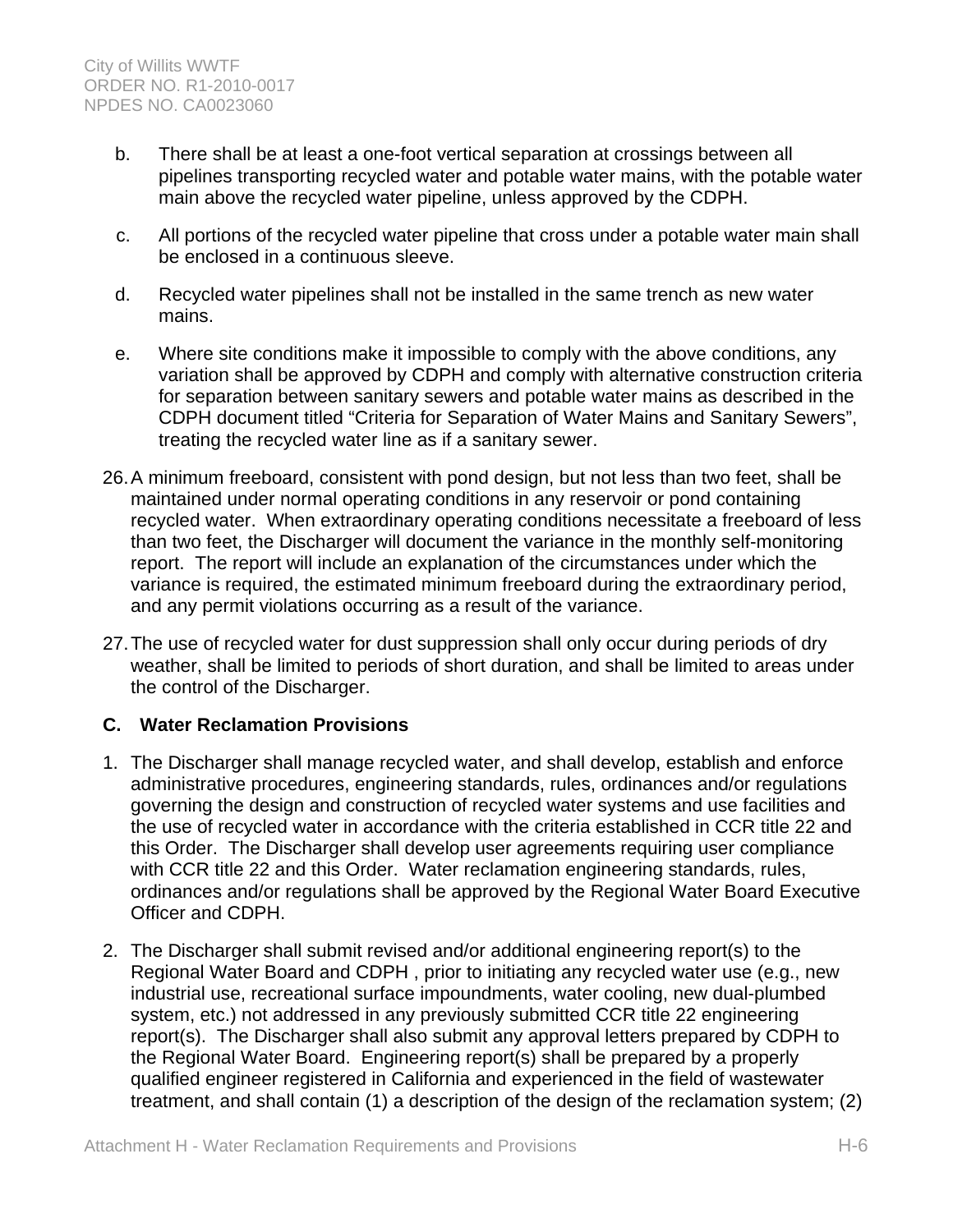- b. There shall be at least a one-foot vertical separation at crossings between all pipelines transporting recycled water and potable water mains, with the potable water main above the recycled water pipeline, unless approved by the CDPH.
- c. All portions of the recycled water pipeline that cross under a potable water main shall be enclosed in a continuous sleeve.
- d. Recycled water pipelines shall not be installed in the same trench as new water mains.
- e. Where site conditions make it impossible to comply with the above conditions, any variation shall be approved by CDPH and comply with alternative construction criteria for separation between sanitary sewers and potable water mains as described in the CDPH document titled "Criteria for Separation of Water Mains and Sanitary Sewers", treating the recycled water line as if a sanitary sewer.
- 26. A minimum freeboard, consistent with pond design, but not less than two feet, shall be maintained under normal operating conditions in any reservoir or pond containing recycled water. When extraordinary operating conditions necessitate a freeboard of less than two feet, the Discharger will document the variance in the monthly self-monitoring report. The report will include an explanation of the circumstances under which the variance is required, the estimated minimum freeboard during the extraordinary period, and any permit violations occurring as a result of the variance.
- 27. The use of recycled water for dust suppression shall only occur during periods of dry weather, shall be limited to periods of short duration, and shall be limited to areas under the control of the Discharger.

# **C. Water Reclamation Provisions**

- 1. The Discharger shall manage recycled water, and shall develop, establish and enforce administrative procedures, engineering standards, rules, ordinances and/or regulations governing the design and construction of recycled water systems and use facilities and the use of recycled water in accordance with the criteria established in CCR title 22 and this Order. The Discharger shall develop user agreements requiring user compliance with CCR title 22 and this Order. Water reclamation engineering standards, rules, ordinances and/or regulations shall be approved by the Regional Water Board Executive Officer and CDPH.
- 2. The Discharger shall submit revised and/or additional engineering report(s) to the Regional Water Board and CDPH , prior to initiating any recycled water use (e.g., new industrial use, recreational surface impoundments, water cooling, new dual-plumbed system, etc.) not addressed in any previously submitted CCR title 22 engineering report(s). The Discharger shall also submit any approval letters prepared by CDPH to the Regional Water Board. Engineering report(s) shall be prepared by a properly qualified engineer registered in California and experienced in the field of wastewater treatment, and shall contain (1) a description of the design of the reclamation system; (2)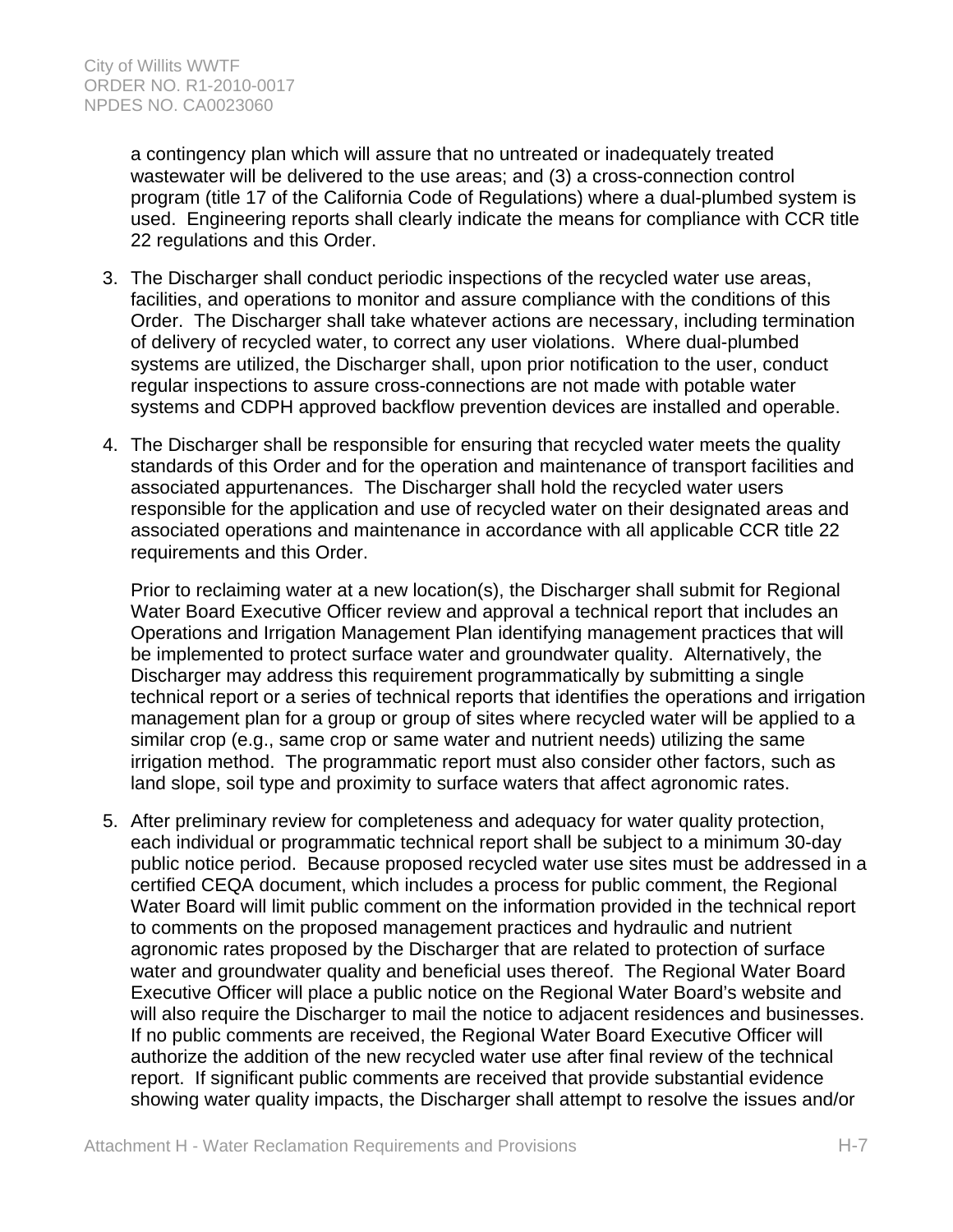a contingency plan which will assure that no untreated or inadequately treated wastewater will be delivered to the use areas; and (3) a cross-connection control program (title 17 of the California Code of Regulations) where a dual-plumbed system is used. Engineering reports shall clearly indicate the means for compliance with CCR title 22 regulations and this Order.

- 3. The Discharger shall conduct periodic inspections of the recycled water use areas, facilities, and operations to monitor and assure compliance with the conditions of this Order. The Discharger shall take whatever actions are necessary, including termination of delivery of recycled water, to correct any user violations. Where dual-plumbed systems are utilized, the Discharger shall, upon prior notification to the user, conduct regular inspections to assure cross-connections are not made with potable water systems and CDPH approved backflow prevention devices are installed and operable.
- 4. The Discharger shall be responsible for ensuring that recycled water meets the quality standards of this Order and for the operation and maintenance of transport facilities and associated appurtenances. The Discharger shall hold the recycled water users responsible for the application and use of recycled water on their designated areas and associated operations and maintenance in accordance with all applicable CCR title 22 requirements and this Order.

Prior to reclaiming water at a new location(s), the Discharger shall submit for Regional Water Board Executive Officer review and approval a technical report that includes an Operations and Irrigation Management Plan identifying management practices that will be implemented to protect surface water and groundwater quality. Alternatively, the Discharger may address this requirement programmatically by submitting a single technical report or a series of technical reports that identifies the operations and irrigation management plan for a group or group of sites where recycled water will be applied to a similar crop (e.g., same crop or same water and nutrient needs) utilizing the same irrigation method. The programmatic report must also consider other factors, such as land slope, soil type and proximity to surface waters that affect agronomic rates.

5. After preliminary review for completeness and adequacy for water quality protection, each individual or programmatic technical report shall be subject to a minimum 30-day public notice period. Because proposed recycled water use sites must be addressed in a certified CEQA document, which includes a process for public comment, the Regional Water Board will limit public comment on the information provided in the technical report to comments on the proposed management practices and hydraulic and nutrient agronomic rates proposed by the Discharger that are related to protection of surface water and groundwater quality and beneficial uses thereof. The Regional Water Board Executive Officer will place a public notice on the Regional Water Board's website and will also require the Discharger to mail the notice to adjacent residences and businesses. If no public comments are received, the Regional Water Board Executive Officer will authorize the addition of the new recycled water use after final review of the technical report. If significant public comments are received that provide substantial evidence showing water quality impacts, the Discharger shall attempt to resolve the issues and/or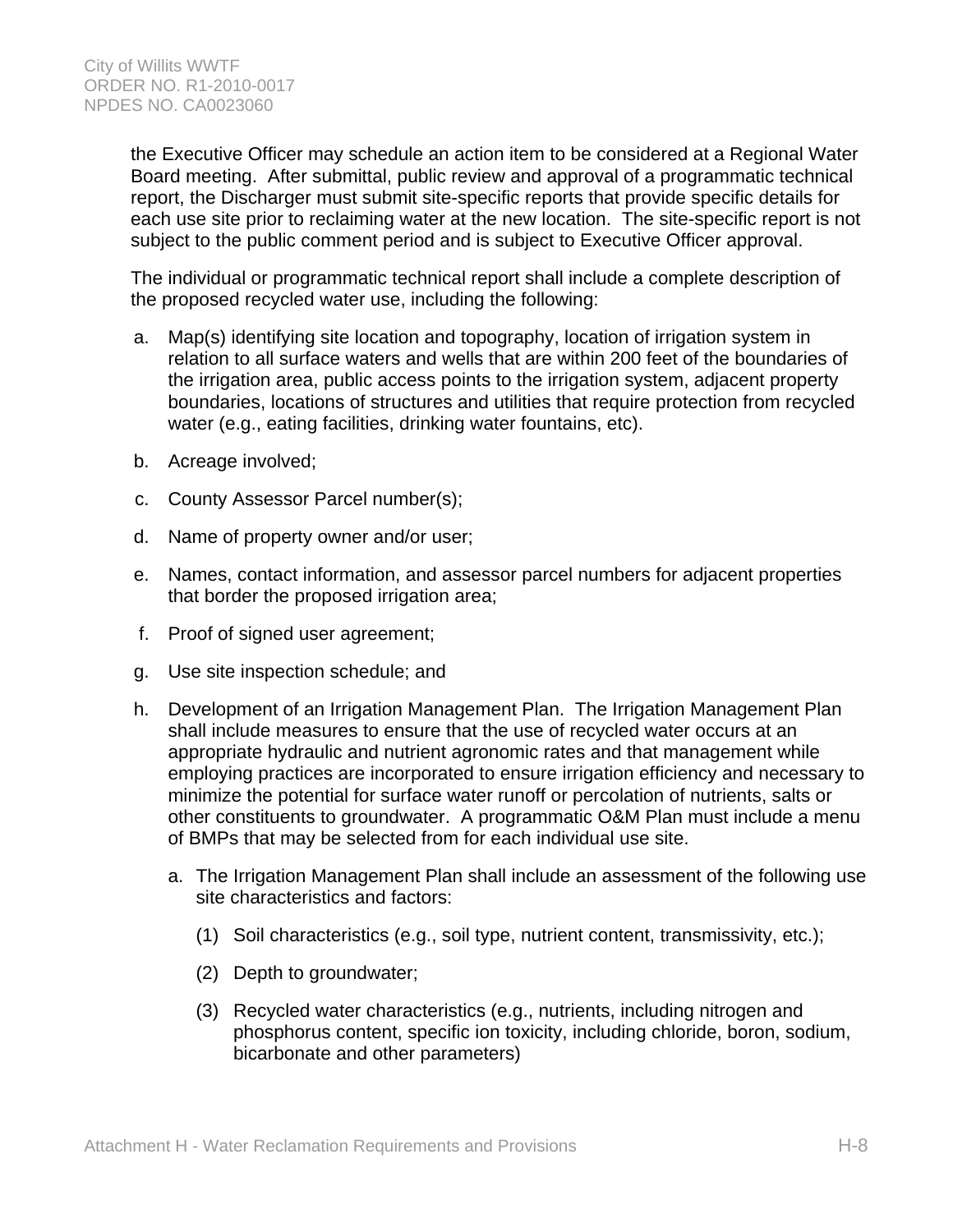the Executive Officer may schedule an action item to be considered at a Regional Water Board meeting. After submittal, public review and approval of a programmatic technical report, the Discharger must submit site-specific reports that provide specific details for each use site prior to reclaiming water at the new location. The site-specific report is not subject to the public comment period and is subject to Executive Officer approval.

The individual or programmatic technical report shall include a complete description of the proposed recycled water use, including the following:

- a. Map(s) identifying site location and topography, location of irrigation system in relation to all surface waters and wells that are within 200 feet of the boundaries of the irrigation area, public access points to the irrigation system, adjacent property boundaries, locations of structures and utilities that require protection from recycled water (e.g., eating facilities, drinking water fountains, etc).
- b. Acreage involved;
- c. County Assessor Parcel number(s);
- d. Name of property owner and/or user;
- e. Names, contact information, and assessor parcel numbers for adjacent properties that border the proposed irrigation area;
- f. Proof of signed user agreement;
- g. Use site inspection schedule; and
- h. Development of an Irrigation Management Plan. The Irrigation Management Plan shall include measures to ensure that the use of recycled water occurs at an appropriate hydraulic and nutrient agronomic rates and that management while employing practices are incorporated to ensure irrigation efficiency and necessary to minimize the potential for surface water runoff or percolation of nutrients, salts or other constituents to groundwater. A programmatic O&M Plan must include a menu of BMPs that may be selected from for each individual use site.
	- a. The Irrigation Management Plan shall include an assessment of the following use site characteristics and factors:
		- (1) Soil characteristics (e.g., soil type, nutrient content, transmissivity, etc.);
		- (2) Depth to groundwater;
		- (3) Recycled water characteristics (e.g., nutrients, including nitrogen and phosphorus content, specific ion toxicity, including chloride, boron, sodium, bicarbonate and other parameters)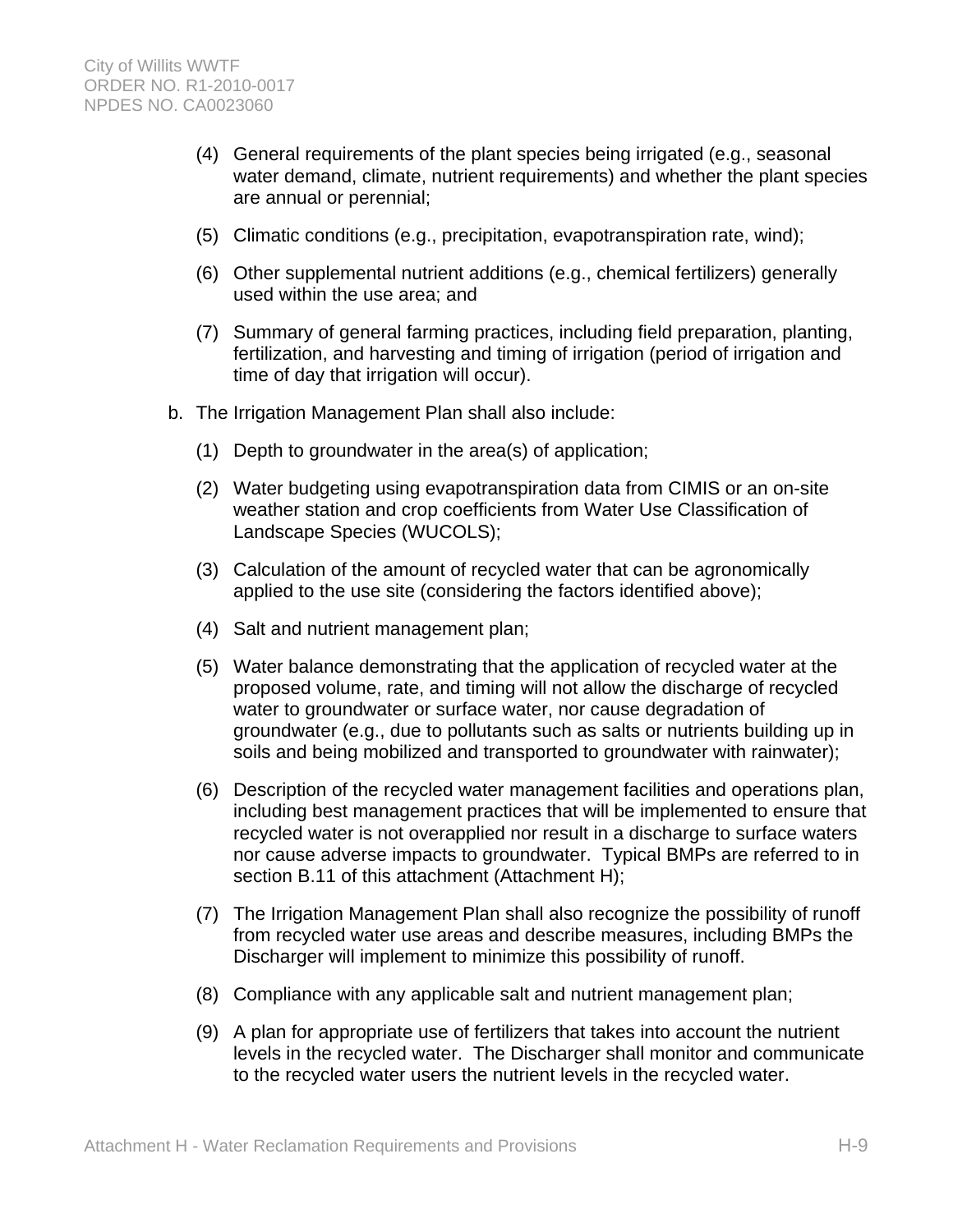- (4) General requirements of the plant species being irrigated (e.g., seasonal water demand, climate, nutrient requirements) and whether the plant species are annual or perennial;
- (5) Climatic conditions (e.g., precipitation, evapotranspiration rate, wind);
- (6) Other supplemental nutrient additions (e.g., chemical fertilizers) generally used within the use area; and
- (7) Summary of general farming practices, including field preparation, planting, fertilization, and harvesting and timing of irrigation (period of irrigation and time of day that irrigation will occur).
- b. The Irrigation Management Plan shall also include:
	- (1) Depth to groundwater in the area(s) of application;
	- (2) Water budgeting using evapotranspiration data from CIMIS or an on-site weather station and crop coefficients from Water Use Classification of Landscape Species (WUCOLS);
	- (3) Calculation of the amount of recycled water that can be agronomically applied to the use site (considering the factors identified above);
	- (4) Salt and nutrient management plan;
	- (5) Water balance demonstrating that the application of recycled water at the proposed volume, rate, and timing will not allow the discharge of recycled water to groundwater or surface water, nor cause degradation of groundwater (e.g., due to pollutants such as salts or nutrients building up in soils and being mobilized and transported to groundwater with rainwater);
	- (6) Description of the recycled water management facilities and operations plan, including best management practices that will be implemented to ensure that recycled water is not overapplied nor result in a discharge to surface waters nor cause adverse impacts to groundwater. Typical BMPs are referred to in section B.11 of this attachment (Attachment H);
	- (7) The Irrigation Management Plan shall also recognize the possibility of runoff from recycled water use areas and describe measures, including BMPs the Discharger will implement to minimize this possibility of runoff.
	- (8) Compliance with any applicable salt and nutrient management plan;
	- (9) A plan for appropriate use of fertilizers that takes into account the nutrient levels in the recycled water. The Discharger shall monitor and communicate to the recycled water users the nutrient levels in the recycled water.